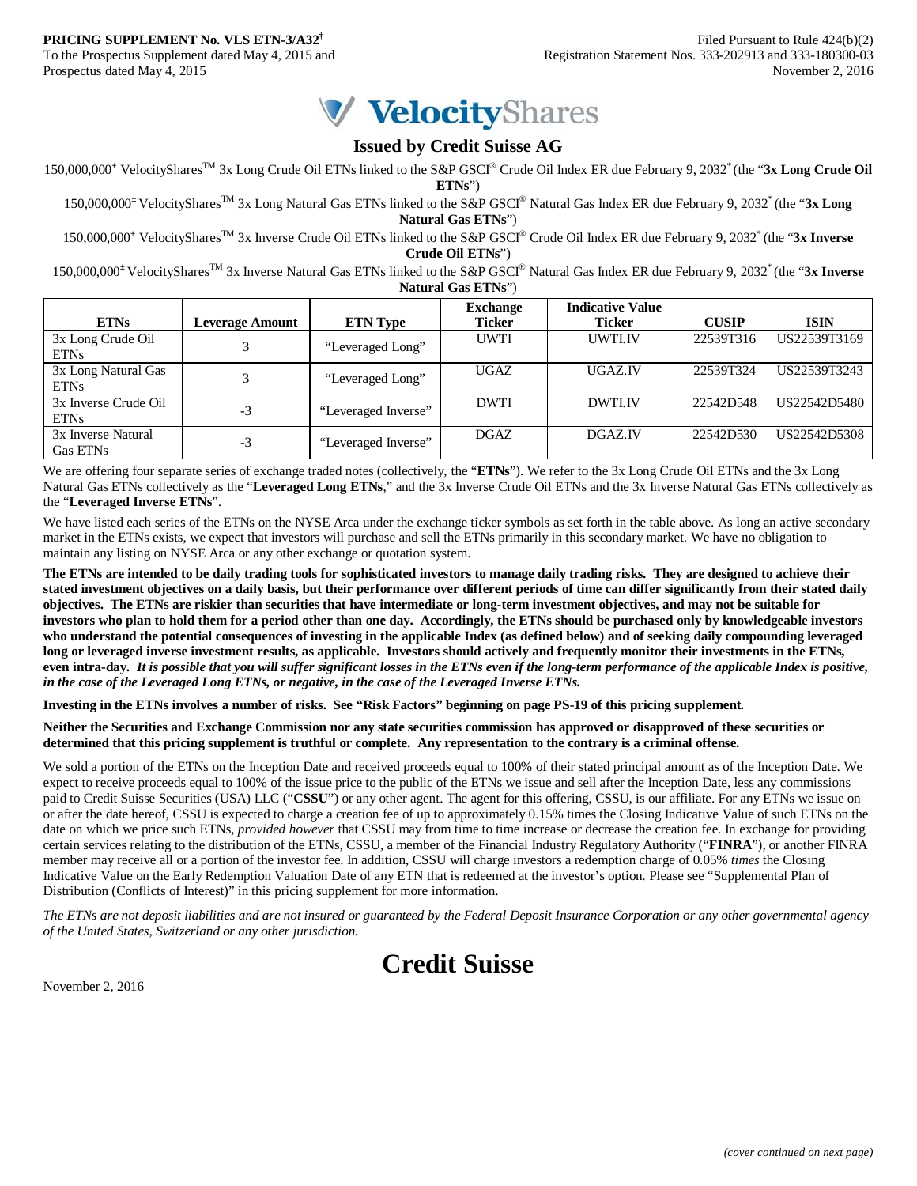To the Prospectus Supplement dated May 4, 2015 and Prospectus dated May 4, 2015



# **Issued by Credit Suisse AG**

150,000,000<sup>±</sup> VelocityShares<sup>TM</sup> 3x Long Crude Oil ETNs linked to the S&P GSCI<sup>®</sup> Crude Oil Index ER due February 9, 2032<sup>\*</sup> (the "3x Long Crude Oil **ETNs**")

150,000,000**<sup>±</sup>**VelocitySharesTM 3x Long Natural Gas ETNs linked to the S&P GSCI® Natural Gas Index ER due February 9, 2032\* (the "**3x Long Natural Gas ETNs**")

150,000,000<sup>±</sup> VelocityShares<sup>TM</sup> 3x Inverse Crude Oil ETNs linked to the S&P GSCI<sup>®</sup> Crude Oil Index ER due February 9, 2032<sup>\*</sup> (the "3x Inverse **Crude Oil ETNs**")

150,000,000**<sup>±</sup>**VelocitySharesTM 3x Inverse Natural Gas ETNs linked to the S&P GSCI® Natural Gas Index ER due February 9, 2032\* (the "**3x Inverse Natural Gas ETNs**")

|                                     |                        |                     | <b>Exchange</b> | <b>Indicative Value</b> |              |              |
|-------------------------------------|------------------------|---------------------|-----------------|-------------------------|--------------|--------------|
| <b>ETNs</b>                         | <b>Leverage Amount</b> | <b>ETN Type</b>     | <b>Ticker</b>   | <b>Ticker</b>           | <b>CUSIP</b> | <b>ISIN</b>  |
| 3x Long Crude Oil<br><b>ETNs</b>    |                        | "Leveraged Long"    | <b>UWTI</b>     | UWTLIV                  | 22539T316    | US22539T3169 |
| 3x Long Natural Gas<br><b>ETNs</b>  |                        | "Leveraged Long"    | <b>UGAZ</b>     | UGAZ.IV                 | 22539T324    | US22539T3243 |
| 3x Inverse Crude Oil<br><b>ETNs</b> | $-3$                   | "Leveraged Inverse" | <b>DWTI</b>     | <b>DWTLIV</b>           | 22542D548    | US22542D5480 |
| 3x Inverse Natural<br>Gas ETNs      | $-3$                   | "Leveraged Inverse" | <b>DGAZ</b>     | DGAZ.IV                 | 22542D530    | US22542D5308 |

We are offering four separate series of exchange traded notes (collectively, the "**ETNs**"). We refer to the 3x Long Crude Oil ETNs and the 3x Long Natural Gas ETNs collectively as the "**Leveraged Long ETNs**," and the 3x Inverse Crude Oil ETNs and the 3x Inverse Natural Gas ETNs collectively as the "**Leveraged Inverse ETNs**".

We have listed each series of the ETNs on the NYSE Arca under the exchange ticker symbols as set forth in the table above. As long an active secondary market in the ETNs exists, we expect that investors will purchase and sell the ETNs primarily in this secondary market. We have no obligation to maintain any listing on NYSE Arca or any other exchange or quotation system.

**The ETNs are intended to be daily trading tools for sophisticated investors to manage daily trading risks. They are designed to achieve their stated investment objectives on a daily basis, but their performance over different periods of time can differ significantly from their stated daily objectives. The ETNs are riskier than securities that have intermediate or long-term investment objectives, and may not be suitable for investors who plan to hold them for a period other than one day. Accordingly, the ETNs should be purchased only by knowledgeable investors who understand the potential consequences of investing in the applicable Index (as defined below) and of seeking daily compounding leveraged long or leveraged inverse investment results, as applicable. Investors should actively and frequently monitor their investments in the ETNs, even intra-day.** *It is possible that you will suffer significant losses in the ETNs even if the long-term performance of the applicable Index is positive, in the case of the Leveraged Long ETNs, or negative, in the case of the Leveraged Inverse ETNs.*

**Investing in the ETNs involves a number of risks. See "Risk Factors" beginning on page PS-19 of this pricing supplement***.*

#### **Neither the Securities and Exchange Commission nor any state securities commission has approved or disapproved of these securities or determined that this pricing supplement is truthful or complete. Any representation to the contrary is a criminal offense.**

We sold a portion of the ETNs on the Inception Date and received proceeds equal to 100% of their stated principal amount as of the Inception Date. We expect to receive proceeds equal to 100% of the issue price to the public of the ETNs we issue and sell after the Inception Date, less any commissions paid to Credit Suisse Securities (USA) LLC ("**CSSU**") or any other agent. The agent for this offering, CSSU, is our affiliate. For any ETNs we issue on or after the date hereof, CSSU is expected to charge a creation fee of up to approximately 0.15% times the Closing Indicative Value of such ETNs on the date on which we price such ETNs, *provided however* that CSSU may from time to time increase or decrease the creation fee. In exchange for providing certain services relating to the distribution of the ETNs, CSSU, a member of the Financial Industry Regulatory Authority ("**FINRA**"), or another FINRA member may receive all or a portion of the investor fee. In addition, CSSU will charge investors a redemption charge of 0.05% *times* the Closing Indicative Value on the Early Redemption Valuation Date of any ETN that is redeemed at the investor's option. Please see "Supplemental Plan of Distribution (Conflicts of Interest)" in this pricing supplement for more information.

*The ETNs are not deposit liabilities and are not insured or guaranteed by the Federal Deposit Insurance Corporation or any other governmental agency of the United States, Switzerland or any other jurisdiction.* 

# **Credit Suisse**

November 2, 2016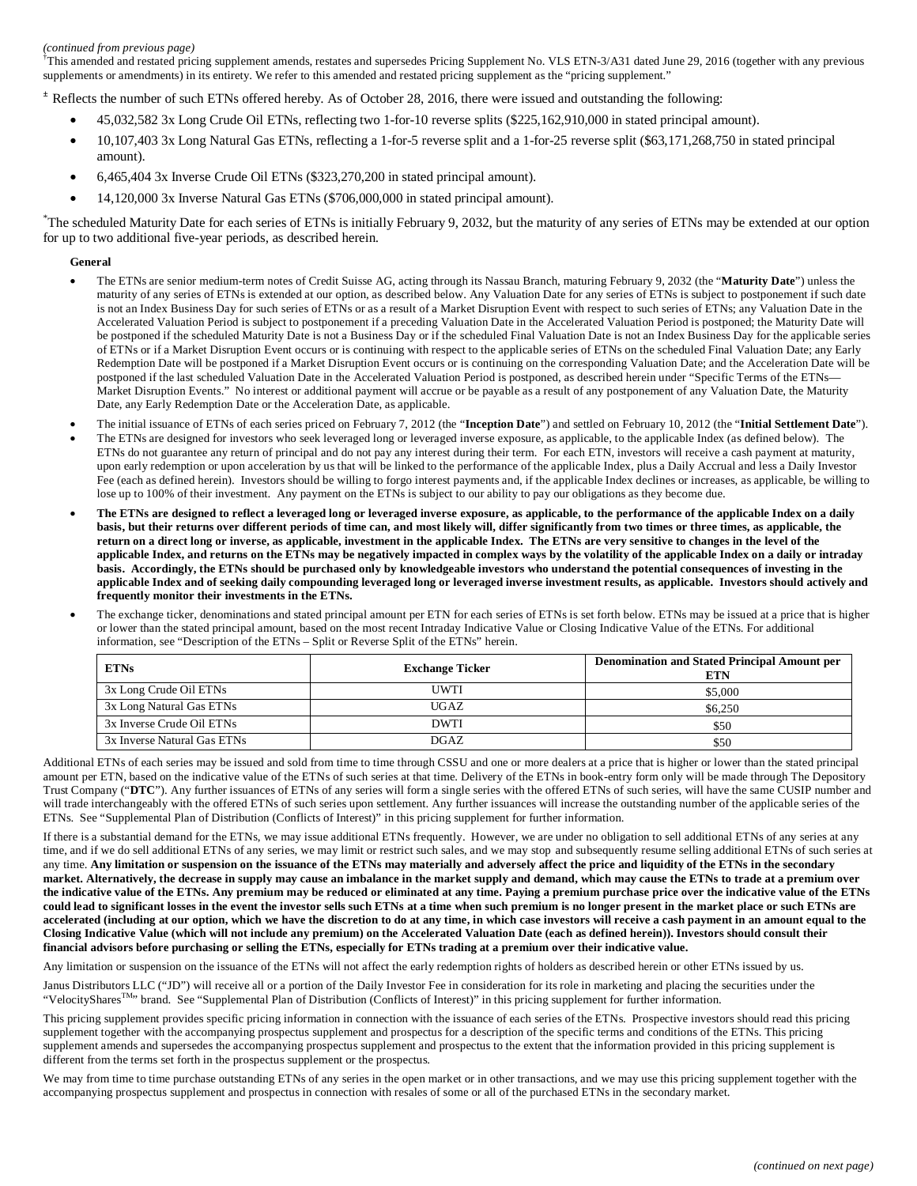#### *(continued from previous page)*

† This amended and restated pricing supplement amends, restates and supersedes Pricing Supplement No. VLS ETN-3/A31 dated June 29, 2016 (together with any previous supplements or amendments) in its entirety. We refer to this amended and restated pricing supplement as the "pricing supplement."

**<sup>±</sup>**Reflects the number of such ETNs offered hereby. As of October 28, 2016, there were issued and outstanding the following:

- 45,032,582 3x Long Crude Oil ETNs, reflecting two 1-for-10 reverse splits (\$225,162,910,000 in stated principal amount).
- 10,107,403 3x Long Natural Gas ETNs, reflecting a 1-for-5 reverse split and a 1-for-25 reverse split (\$63,171,268,750 in stated principal amount).
- 6,465,404 3x Inverse Crude Oil ETNs (\$323,270,200 in stated principal amount).
- 14,120,000 3x Inverse Natural Gas ETNs (\$706,000,000 in stated principal amount).

\* The scheduled Maturity Date for each series of ETNs is initially February 9, 2032, but the maturity of any series of ETNs may be extended at our option for up to two additional five-year periods, as described herein.

#### **General**

- The ETNs are senior medium-term notes of Credit Suisse AG, acting through its Nassau Branch, maturing February 9, 2032 (the "**Maturity Date**") unless the maturity of any series of ETNs is extended at our option, as described below. Any Valuation Date for any series of ETNs is subject to postponement if such date is not an Index Business Day for such series of ETNs or as a result of a Market Disruption Event with respect to such series of ETNs; any Valuation Date in the Accelerated Valuation Period is subject to postponement if a preceding Valuation Date in the Accelerated Valuation Period is postponed; the Maturity Date will be postponed if the scheduled Maturity Date is not a Business Day or if the scheduled Final Valuation Date is not an Index Business Day for the applicable series of ETNs or if a Market Disruption Event occurs or is continuing with respect to the applicable series of ETNs on the scheduled Final Valuation Date; any Early Redemption Date will be postponed if a Market Disruption Event occurs or is continuing on the corresponding Valuation Date; and the Acceleration Date will be postponed if the last scheduled Valuation Date in the Accelerated Valuation Period is postponed, as described herein under "Specific Terms of the ETNs— Market Disruption Events." No interest or additional payment will accrue or be payable as a result of any postponement of any Valuation Date, the Maturity Date, any Early Redemption Date or the Acceleration Date, as applicable.
- The initial issuance of ETNs of each series priced on February 7, 2012 (the "**Inception Date**") and settled on February 10, 2012 (the "**Initial Settlement Date**").
- The ETNs are designed for investors who seek leveraged long or leveraged inverse exposure, as applicable, to the applicable Index (as defined below). The ETNs do not guarantee any return of principal and do not pay any interest during their term. For each ETN, investors will receive a cash payment at maturity, upon early redemption or upon acceleration by us that will be linked to the performance of the applicable Index, plus a Daily Accrual and less a Daily Investor Fee (each as defined herein). Investors should be willing to forgo interest payments and, if the applicable Index declines or increases, as applicable, be willing to lose up to 100% of their investment. Any payment on the ETNs is subject to our ability to pay our obligations as they become due.
- **The ETNs are designed to reflect a leveraged long or leveraged inverse exposure, as applicable, to the performance of the applicable Index on a daily**  basis, but their returns over different periods of time can, and most likely will, differ significantly from two times or three times, as applicable, the **return on a direct long or inverse, as applicable, investment in the applicable Index. The ETNs are very sensitive to changes in the level of the applicable Index, and returns on the ETNs may be negatively impacted in complex ways by the volatility of the applicable Index on a daily or intraday basis. Accordingly, the ETNs should be purchased only by knowledgeable investors who understand the potential consequences of investing in the applicable Index and of seeking daily compounding leveraged long or leveraged inverse investment results, as applicable. Investors should actively and frequently monitor their investments in the ETNs.**
- The exchange ticker, denominations and stated principal amount per ETN for each series of ETNs is set forth below. ETNs may be issued at a price that is higher or lower than the stated principal amount, based on the most recent Intraday Indicative Value or Closing Indicative Value of the ETNs. For additional information, see "Description of the ETNs – Split or Reverse Split of the ETNs" herein.

| <b>ETNs</b>                 | <b>Exchange Ticker</b> | <b>Denomination and Stated Principal Amount per</b><br>ETN |
|-----------------------------|------------------------|------------------------------------------------------------|
| 3x Long Crude Oil ETNs      | UWTI                   | \$5,000                                                    |
| 3x Long Natural Gas ETNs    | UGAZ.                  | \$6,250                                                    |
| 3x Inverse Crude Oil ETNs   | <b>DWTI</b>            | \$50                                                       |
| 3x Inverse Natural Gas ETNs | DGAZ                   | \$50                                                       |

Additional ETNs of each series may be issued and sold from time to time through CSSU and one or more dealers at a price that is higher or lower than the stated principal amount per ETN, based on the indicative value of the ETNs of such series at that time. Delivery of the ETNs in book-entry form only will be made through The Depository Trust Company ("**DTC**"). Any further issuances of ETNs of any series will form a single series with the offered ETNs of such series, will have the same CUSIP number and will trade interchangeably with the offered ETNs of such series upon settlement. Any further issuances will increase the outstanding number of the applicable series of the ETNs. See "Supplemental Plan of Distribution (Conflicts of Interest)" in this pricing supplement for further information.

If there is a substantial demand for the ETNs, we may issue additional ETNs frequently. However, we are under no obligation to sell additional ETNs of any series at any time, and if we do sell additional ETNs of any series, we may limit or restrict such sales, and we may stop and subsequently resume selling additional ETNs of such series at any time. **Any limitation or suspension on the issuance of the ETNs may materially and adversely affect the price and liquidity of the ETNs in the secondary market. Alternatively, the decrease in supply may cause an imbalance in the market supply and demand, which may cause the ETNs to trade at a premium over the indicative value of the ETNs. Any premium may be reduced or eliminated at any time. Paying a premium purchase price over the indicative value of the ETNs could lead to significant losses in the event the investor sells such ETNs at a time when such premium is no longer present in the market place or such ETNs are accelerated (including at our option, which we have the discretion to do at any time, in which case investors will receive a cash payment in an amount equal to the Closing Indicative Value (which will not include any premium) on the Accelerated Valuation Date (each as defined herein)). Investors should consult their financial advisors before purchasing or selling the ETNs, especially for ETNs trading at a premium over their indicative value.**

Any limitation or suspension on the issuance of the ETNs will not affect the early redemption rights of holders as described herein or other ETNs issued by us.

Janus Distributors LLC ("JD") will receive all or a portion of the Daily Investor Fee in consideration for its role in marketing and placing the securities under the "VelocityShares<sup>TM</sup>" brand. See "Supplemental Plan of Distribution (Conflicts of Interest)" in this pricing supplement for further information.

This pricing supplement provides specific pricing information in connection with the issuance of each series of the ETNs. Prospective investors should read this pricing supplement together with the accompanying prospectus supplement and prospectus for a description of the specific terms and conditions of the ETNs. This pricing supplement amends and supersedes the accompanying prospectus supplement and prospectus to the extent that the information provided in this pricing supplement is different from the terms set forth in the prospectus supplement or the prospectus.

We may from time to time purchase outstanding ETNs of any series in the open market or in other transactions, and we may use this pricing supplement together with the accompanying prospectus supplement and prospectus in connection with resales of some or all of the purchased ETNs in the secondary market.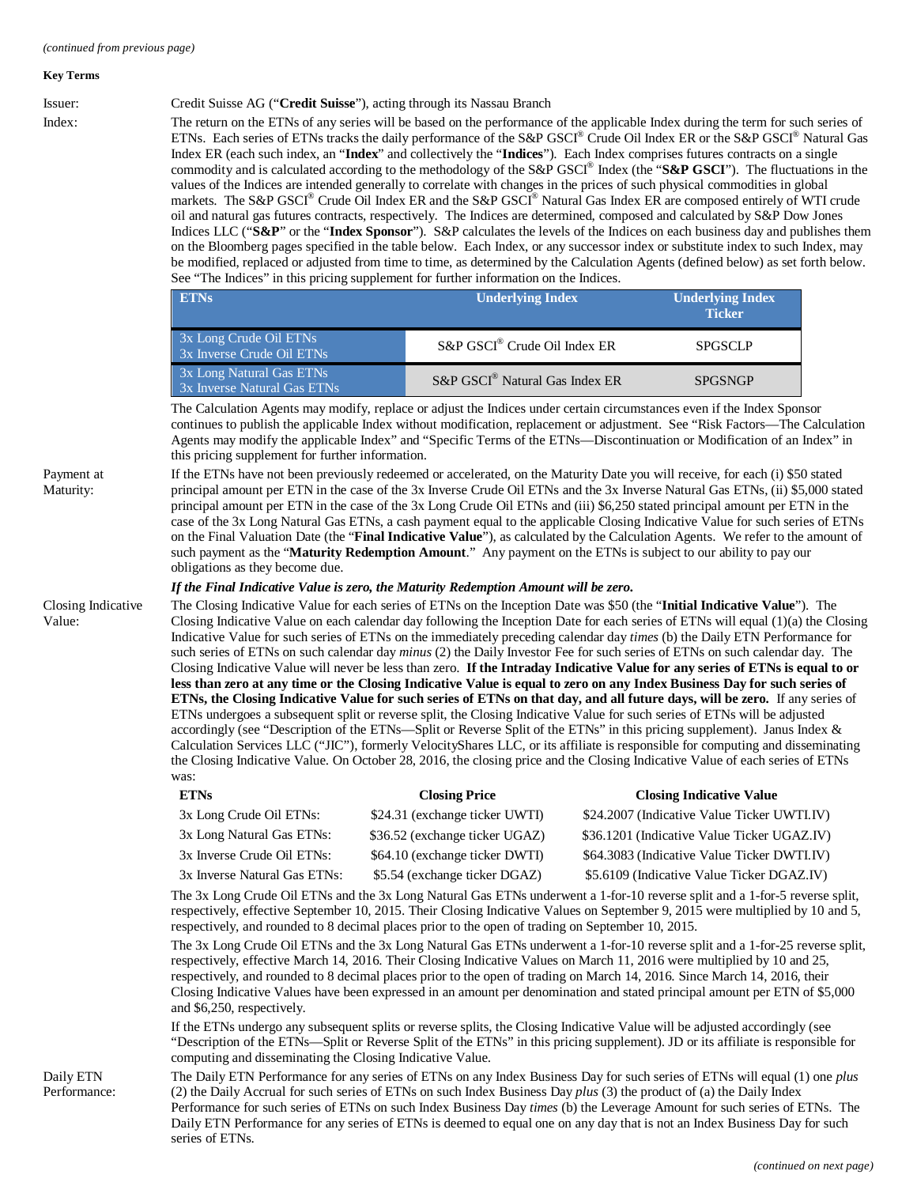#### **Key Terms**

Payment at Maturity:

Closing Indicative

Value:

#### Issuer: Credit Suisse AG ("**Credit Suisse**"), acting through its Nassau Branch

Index: The return on the ETNs of any series will be based on the performance of the applicable Index during the term for such series of ETNs. Each series of ETNs tracks the daily performance of the S&P GSCI® Crude Oil Index ER or the S&P GSCI® Natural Gas Index ER (each such index, an "**Index**" and collectively the "**Indices**"). Each Index comprises futures contracts on a single commodity and is calculated according to the methodology of the S&P GSCI® Index (the "**S&P GSCI**"). The fluctuations in the values of the Indices are intended generally to correlate with changes in the prices of such physical commodities in global markets. The S&P GSCI<sup>®</sup> Crude Oil Index ER and the S&P GSCI<sup>®</sup> Natural Gas Index ER are composed entirely of WTI crude oil and natural gas futures contracts, respectively. The Indices are determined, composed and calculated by S&P Dow Jones Indices LLC ("**S&P**" or the "**Index Sponsor**"). S&P calculates the levels of the Indices on each business day and publishes them on the Bloomberg pages specified in the table below. Each Index, or any successor index or substitute index to such Index, may be modified, replaced or adjusted from time to time, as determined by the Calculation Agents (defined below) as set forth below. See "The Indices" in this pricing supplement for further information on the Indices.

| <b>ETNs</b>                                             | <b>Underlying Index</b>                    | <b>Underlying Index</b><br>Ticker <sup>1</sup> |
|---------------------------------------------------------|--------------------------------------------|------------------------------------------------|
| 3x Long Crude Oil ETNs<br>3x Inverse Crude Oil ETNs     | S&P GSCI <sup>®</sup> Crude Oil Index ER   | <b>SPGSCLP</b>                                 |
| 3x Long Natural Gas ETNs<br>3x Inverse Natural Gas ETNs | S&P GSCI <sup>®</sup> Natural Gas Index ER | <b>SPGSNGP</b>                                 |

The Calculation Agents may modify, replace or adjust the Indices under certain circumstances even if the Index Sponsor continues to publish the applicable Index without modification, replacement or adjustment. See "Risk Factors—The Calculation Agents may modify the applicable Index" and "Specific Terms of the ETNs—Discontinuation or Modification of an Index" in this pricing supplement for further information.

If the ETNs have not been previously redeemed or accelerated, on the Maturity Date you will receive, for each (i) \$50 stated principal amount per ETN in the case of the 3x Inverse Crude Oil ETNs and the 3x Inverse Natural Gas ETNs, (ii) \$5,000 stated principal amount per ETN in the case of the 3x Long Crude Oil ETNs and (iii) \$6,250 stated principal amount per ETN in the case of the 3x Long Natural Gas ETNs, a cash payment equal to the applicable Closing Indicative Value for such series of ETNs on the Final Valuation Date (the "**Final Indicative Value**"), as calculated by the Calculation Agents. We refer to the amount of such payment as the "**Maturity Redemption Amount**." Any payment on the ETNs is subject to our ability to pay our obligations as they become due.

#### *If the Final Indicative Value is zero, the Maturity Redemption Amount will be zero.*

The Closing Indicative Value for each series of ETNs on the Inception Date was \$50 (the "**Initial Indicative Value**"). The Closing Indicative Value on each calendar day following the Inception Date for each series of ETNs will equal (1)(a) the Closing Indicative Value for such series of ETNs on the immediately preceding calendar day *times* (b) the Daily ETN Performance for such series of ETNs on such calendar day *minus* (2) the Daily Investor Fee for such series of ETNs on such calendar day. The Closing Indicative Value will never be less than zero. **If the Intraday Indicative Value for any series of ETNs is equal to or less than zero at any time or the Closing Indicative Value is equal to zero on any Index Business Day for such series of ETNs, the Closing Indicative Value for such series of ETNs on that day, and all future days, will be zero.** If any series of ETNs undergoes a subsequent split or reverse split, the Closing Indicative Value for such series of ETNs will be adjusted accordingly (see "Description of the ETNs—Split or Reverse Split of the ETNs" in this pricing supplement). Janus Index & Calculation Services LLC ("JIC"), formerly VelocityShares LLC, or its affiliate is responsible for computing and disseminating the Closing Indicative Value. On October 28, 2016, the closing price and the Closing Indicative Value of each series of ETNs was:

# **ETNs Closing Price Closing Indicative Value** 3x Long Crude Oil ETNs: \$24.31 (exchange ticker UWTI) \$24.2007 (Indicative Value Ticker UWTI.IV) 3x Long Natural Gas ETNs: \$36.52 (exchange ticker UGAZ) \$36.1201 (Indicative Value Ticker UGAZ.IV) 3x Inverse Crude Oil ETNs: \$64.10 (exchange ticker DWTI) \$64.3083 (Indicative Value Ticker DWTI.IV) 3x Inverse Natural Gas ETNs: \$5.54 (exchange ticker DGAZ) \$5.6109 (Indicative Value Ticker DGAZ.IV)

The 3x Long Crude Oil ETNs and the 3x Long Natural Gas ETNs underwent a 1-for-10 reverse split and a 1-for-5 reverse split, respectively, effective September 10, 2015. Their Closing Indicative Values on September 9, 2015 were multiplied by 10 and 5, respectively, and rounded to 8 decimal places prior to the open of trading on September 10, 2015.

The 3x Long Crude Oil ETNs and the 3x Long Natural Gas ETNs underwent a 1-for-10 reverse split and a 1-for-25 reverse split, respectively, effective March 14, 2016. Their Closing Indicative Values on March 11, 2016 were multiplied by 10 and 25, respectively, and rounded to 8 decimal places prior to the open of trading on March 14, 2016. Since March 14, 2016, their Closing Indicative Values have been expressed in an amount per denomination and stated principal amount per ETN of \$5,000 and \$6,250, respectively.

If the ETNs undergo any subsequent splits or reverse splits, the Closing Indicative Value will be adjusted accordingly (see "Description of the ETNs—Split or Reverse Split of the ETNs" in this pricing supplement). JD or its affiliate is responsible for computing and disseminating the Closing Indicative Value.

Daily ETN Performance: The Daily ETN Performance for any series of ETNs on any Index Business Day for such series of ETNs will equal (1) one *plus* (2) the Daily Accrual for such series of ETNs on such Index Business Day *plus* (3) the product of (a) the Daily Index Performance for such series of ETNs on such Index Business Day *times* (b) the Leverage Amount for such series of ETNs. The Daily ETN Performance for any series of ETNs is deemed to equal one on any day that is not an Index Business Day for such series of ETNs.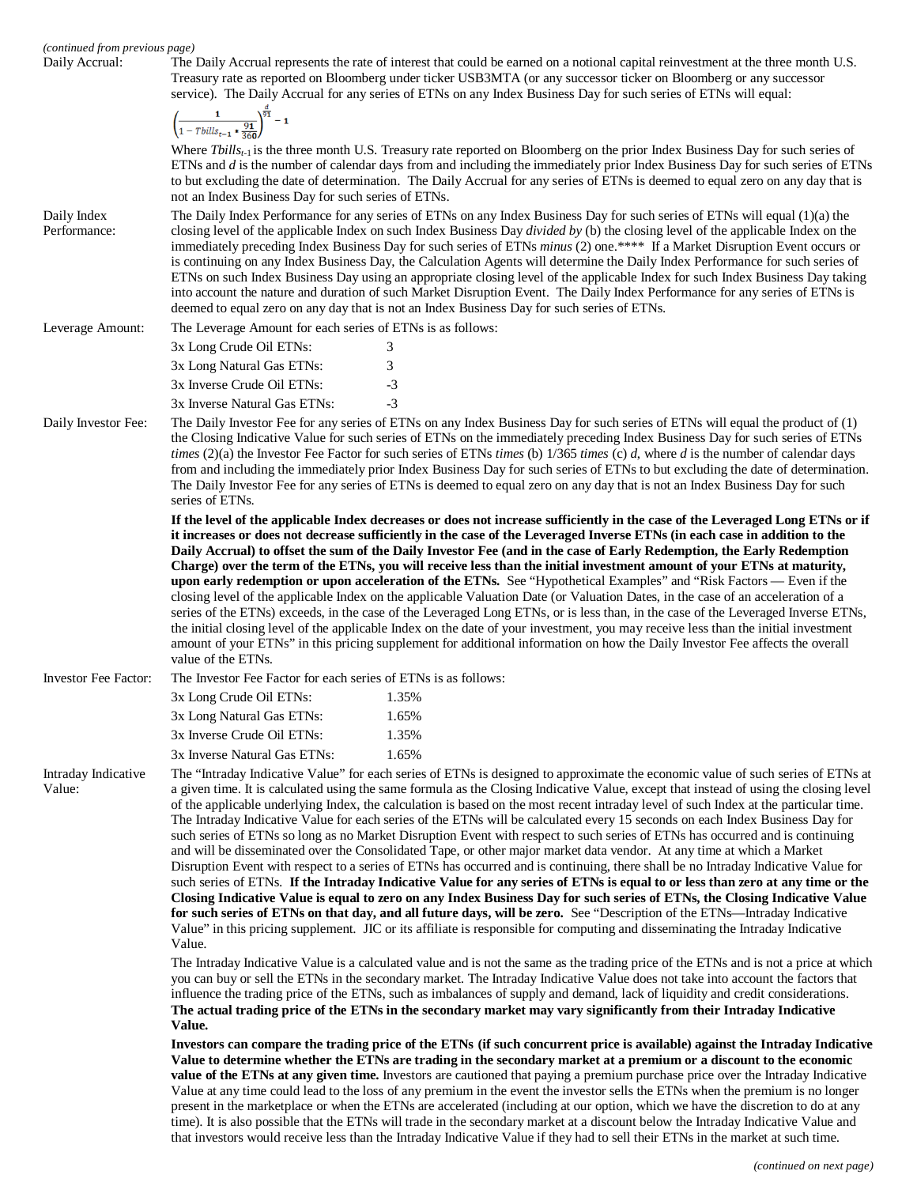*(continued from previous page)*

Daily Accrual: The Daily Accrual represents the rate of interest that could be earned on a notional capital reinvestment at the three month U.S. Treasury rate as reported on Bloomberg under ticker USB3MTA (or any successor ticker on Bloomberg or any successor service). The Daily Accrual for any series of ETNs on any Index Business Day for such series of ETNs will equal:

$$
\left(\frac{1}{1 - \text{Tbills}_{t-1} * \frac{91}{360}}\right)^{\frac{4}{91}} -
$$

Where  $T \frac{b i}{s_{t-1}}$  is the three month U.S. Treasury rate reported on Bloomberg on the prior Index Business Day for such series of ETNs and *d* is the number of calendar days from and including the immediately prior Index Business Day for such series of ETNs to but excluding the date of determination. The Daily Accrual for any series of ETNs is deemed to equal zero on any day that is not an Index Business Day for such series of ETNs.

Daily Index Performance: The Daily Index Performance for any series of ETNs on any Index Business Day for such series of ETNs will equal (1)(a) the closing level of the applicable Index on such Index Business Day *divided by* (b) the closing level of the applicable Index on the immediately preceding Index Business Day for such series of ETNs *minus* (2) one.\*\*\*\* If a Market Disruption Event occurs or is continuing on any Index Business Day, the Calculation Agents will determine the Daily Index Performance for such series of ETNs on such Index Business Day using an appropriate closing level of the applicable Index for such Index Business Day taking into account the nature and duration of such Market Disruption Event. The Daily Index Performance for any series of ETNs is deemed to equal zero on any day that is not an Index Business Day for such series of ETNs.

| Leverage Amount: | The Leverage Amount for each series of ETNs is as follows: |      |  |
|------------------|------------------------------------------------------------|------|--|
|                  | 3x Long Crude Oil ETNs:                                    |      |  |
|                  | 3x Long Natural Gas ETNs:                                  | 3    |  |
|                  | 3x Inverse Crude Oil ETNs:                                 | $-3$ |  |
|                  | 3x Inverse Natural Gas ETNs:                               | $-3$ |  |

Daily Investor Fee: The Daily Investor Fee for any series of ETNs on any Index Business Day for such series of ETNs will equal the product of (1) the Closing Indicative Value for such series of ETNs on the immediately preceding Index Business Day for such series of ETNs *times* (2)(a) the Investor Fee Factor for such series of ETNs *times* (b) 1/365 *times* (c) *d*, where *d* is the number of calendar days from and including the immediately prior Index Business Day for such series of ETNs to but excluding the date of determination. The Daily Investor Fee for any series of ETNs is deemed to equal zero on any day that is not an Index Business Day for such series of ETNs.

> **If the level of the applicable Index decreases or does not increase sufficiently in the case of the Leveraged Long ETNs or if it increases or does not decrease sufficiently in the case of the Leveraged Inverse ETNs (in each case in addition to the Daily Accrual) to offset the sum of the Daily Investor Fee (and in the case of Early Redemption, the Early Redemption Charge) over the term of the ETNs, you will receive less than the initial investment amount of your ETNs at maturity, upon early redemption or upon acceleration of the ETNs.** See "Hypothetical Examples" and "Risk Factors — Even if the closing level of the applicable Index on the applicable Valuation Date (or Valuation Dates, in the case of an acceleration of a series of the ETNs) exceeds, in the case of the Leveraged Long ETNs, or is less than, in the case of the Leveraged Inverse ETNs, the initial closing level of the applicable Index on the date of your investment, you may receive less than the initial investment amount of your ETNs" in this pricing supplement for additional information on how the Daily Investor Fee affects the overall value of the ETNs.

#### Investor Fee Factor: The Investor Fee Factor for each series of ETNs is as follows:

| 3x Long Crude Oil ETNs:      | 1.35% |
|------------------------------|-------|
| 3x Long Natural Gas ETNs:    | 1.65% |
| 3x Inverse Crude Oil ETNs:   | 1.35% |
| 3x Inverse Natural Gas ETNs: | 1.65% |

Intraday Indicative Value:

The "Intraday Indicative Value" for each series of ETNs is designed to approximate the economic value of such series of ETNs at a given time. It is calculated using the same formula as the Closing Indicative Value, except that instead of using the closing level of the applicable underlying Index, the calculation is based on the most recent intraday level of such Index at the particular time. The Intraday Indicative Value for each series of the ETNs will be calculated every 15 seconds on each Index Business Day for such series of ETNs so long as no Market Disruption Event with respect to such series of ETNs has occurred and is continuing and will be disseminated over the Consolidated Tape, or other major market data vendor. At any time at which a Market Disruption Event with respect to a series of ETNs has occurred and is continuing, there shall be no Intraday Indicative Value for such series of ETNs. **If the Intraday Indicative Value for any series of ETNs is equal to or less than zero at any time or the Closing Indicative Value is equal to zero on any Index Business Day for such series of ETNs, the Closing Indicative Value for such series of ETNs on that day, and all future days, will be zero.** See "Description of the ETNs—Intraday Indicative Value" in this pricing supplement. JIC or its affiliate is responsible for computing and disseminating the Intraday Indicative Value.

The Intraday Indicative Value is a calculated value and is not the same as the trading price of the ETNs and is not a price at which you can buy or sell the ETNs in the secondary market. The Intraday Indicative Value does not take into account the factors that influence the trading price of the ETNs, such as imbalances of supply and demand, lack of liquidity and credit considerations. **The actual trading price of the ETNs in the secondary market may vary significantly from their Intraday Indicative Value.** 

**Investors can compare the trading price of the ETNs (if such concurrent price is available) against the Intraday Indicative Value to determine whether the ETNs are trading in the secondary market at a premium or a discount to the economic value of the ETNs at any given time.** Investors are cautioned that paying a premium purchase price over the Intraday Indicative Value at any time could lead to the loss of any premium in the event the investor sells the ETNs when the premium is no longer present in the marketplace or when the ETNs are accelerated (including at our option, which we have the discretion to do at any time). It is also possible that the ETNs will trade in the secondary market at a discount below the Intraday Indicative Value and that investors would receive less than the Intraday Indicative Value if they had to sell their ETNs in the market at such time.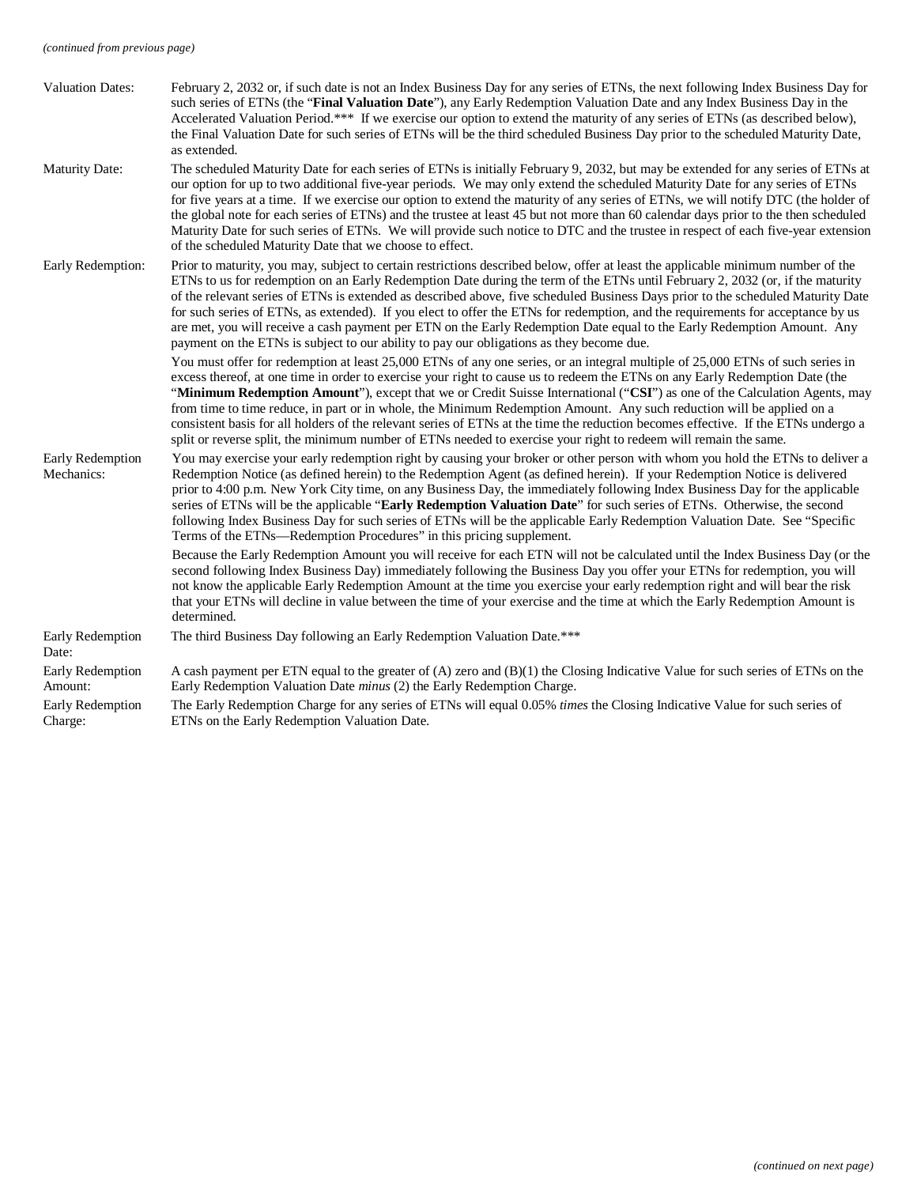| <b>Valuation Dates:</b>               | February 2, 2032 or, if such date is not an Index Business Day for any series of ETNs, the next following Index Business Day for<br>such series of ETNs (the "Final Valuation Date"), any Early Redemption Valuation Date and any Index Business Day in the<br>Accelerated Valuation Period.*** If we exercise our option to extend the maturity of any series of ETNs (as described below),<br>the Final Valuation Date for such series of ETNs will be the third scheduled Business Day prior to the scheduled Maturity Date,<br>as extended.                                                                                                                                                                                                                                |
|---------------------------------------|--------------------------------------------------------------------------------------------------------------------------------------------------------------------------------------------------------------------------------------------------------------------------------------------------------------------------------------------------------------------------------------------------------------------------------------------------------------------------------------------------------------------------------------------------------------------------------------------------------------------------------------------------------------------------------------------------------------------------------------------------------------------------------|
| Maturity Date:                        | The scheduled Maturity Date for each series of ETNs is initially February 9, 2032, but may be extended for any series of ETNs at<br>our option for up to two additional five-year periods. We may only extend the scheduled Maturity Date for any series of ETNs<br>for five years at a time. If we exercise our option to extend the maturity of any series of ETNs, we will notify DTC (the holder of<br>the global note for each series of ETNs) and the trustee at least 45 but not more than 60 calendar days prior to the then scheduled<br>Maturity Date for such series of ETNs. We will provide such notice to DTC and the trustee in respect of each five-year extension<br>of the scheduled Maturity Date that we choose to effect.                                 |
| Early Redemption:                     | Prior to maturity, you may, subject to certain restrictions described below, offer at least the applicable minimum number of the<br>ETNs to us for redemption on an Early Redemption Date during the term of the ETNs until February 2, 2032 (or, if the maturity<br>of the relevant series of ETNs is extended as described above, five scheduled Business Days prior to the scheduled Maturity Date<br>for such series of ETNs, as extended). If you elect to offer the ETNs for redemption, and the requirements for acceptance by us<br>are met, you will receive a cash payment per ETN on the Early Redemption Date equal to the Early Redemption Amount. Any<br>payment on the ETNs is subject to our ability to pay our obligations as they become due.                |
|                                       | You must offer for redemption at least 25,000 ETNs of any one series, or an integral multiple of 25,000 ETNs of such series in<br>excess thereof, at one time in order to exercise your right to cause us to redeem the ETNs on any Early Redemption Date (the<br>"Minimum Redemption Amount"), except that we or Credit Suisse International ("CSI") as one of the Calculation Agents, may<br>from time to time reduce, in part or in whole, the Minimum Redemption Amount. Any such reduction will be applied on a<br>consistent basis for all holders of the relevant series of ETNs at the time the reduction becomes effective. If the ETNs undergo a<br>split or reverse split, the minimum number of ETNs needed to exercise your right to redeem will remain the same. |
| <b>Early Redemption</b><br>Mechanics: | You may exercise your early redemption right by causing your broker or other person with whom you hold the ETNs to deliver a<br>Redemption Notice (as defined herein) to the Redemption Agent (as defined herein). If your Redemption Notice is delivered<br>prior to 4:00 p.m. New York City time, on any Business Day, the immediately following Index Business Day for the applicable<br>series of ETNs will be the applicable "Early Redemption Valuation Date" for such series of ETNs. Otherwise, the second<br>following Index Business Day for such series of ETNs will be the applicable Early Redemption Valuation Date. See "Specific<br>Terms of the ETNs—Redemption Procedures" in this pricing supplement.                                                       |
|                                       | Because the Early Redemption Amount you will receive for each ETN will not be calculated until the Index Business Day (or the<br>second following Index Business Day) immediately following the Business Day you offer your ETNs for redemption, you will<br>not know the applicable Early Redemption Amount at the time you exercise your early redemption right and will bear the risk<br>that your ETNs will decline in value between the time of your exercise and the time at which the Early Redemption Amount is<br>determined.                                                                                                                                                                                                                                         |
| Early Redemption<br>Date:             | The third Business Day following an Early Redemption Valuation Date.***                                                                                                                                                                                                                                                                                                                                                                                                                                                                                                                                                                                                                                                                                                        |
| Early Redemption<br>Amount:           | A cash payment per ETN equal to the greater of (A) zero and (B)(1) the Closing Indicative Value for such series of ETNs on the<br>Early Redemption Valuation Date minus (2) the Early Redemption Charge.                                                                                                                                                                                                                                                                                                                                                                                                                                                                                                                                                                       |
| Early Redemption<br>Charge:           | The Early Redemption Charge for any series of ETNs will equal 0.05% times the Closing Indicative Value for such series of<br>ETNs on the Early Redemption Valuation Date.                                                                                                                                                                                                                                                                                                                                                                                                                                                                                                                                                                                                      |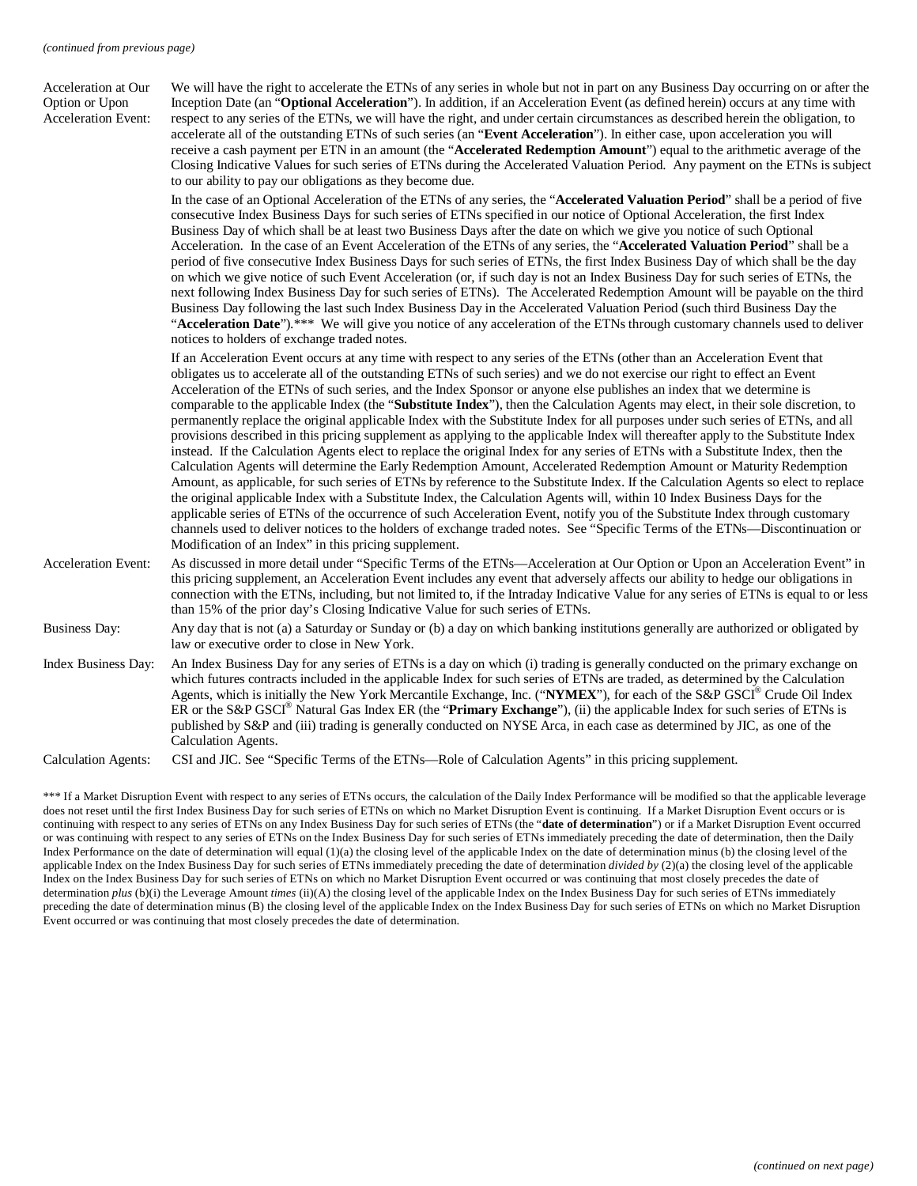| Acceleration at Our<br>Option or Upon<br>Acceleration Event: | We will have the right to accelerate the ETNs of any series in whole but not in part on any Business Day occurring on or after the<br>Inception Date (an "Optional Acceleration"). In addition, if an Acceleration Event (as defined herein) occurs at any time with<br>respect to any series of the ETNs, we will have the right, and under certain circumstances as described herein the obligation, to<br>accelerate all of the outstanding ETNs of such series (an "Event Acceleration"). In either case, upon acceleration you will<br>receive a cash payment per ETN in an amount (the "Accelerated Redemption Amount") equal to the arithmetic average of the<br>Closing Indicative Values for such series of ETNs during the Accelerated Valuation Period. Any payment on the ETNs is subject<br>to our ability to pay our obligations as they become due.<br>In the case of an Optional Acceleration of the ETNs of any series, the "Accelerated Valuation Period" shall be a period of five<br>consecutive Index Business Days for such series of ETNs specified in our notice of Optional Acceleration, the first Index<br>Business Day of which shall be at least two Business Days after the date on which we give you notice of such Optional<br>Acceleration. In the case of an Event Acceleration of the ETNs of any series, the "Accelerated Valuation Period" shall be a<br>period of five consecutive Index Business Days for such series of ETNs, the first Index Business Day of which shall be the day<br>on which we give notice of such Event Acceleration (or, if such day is not an Index Business Day for such series of ETNs, the<br>next following Index Business Day for such series of ETNs). The Accelerated Redemption Amount will be payable on the third<br>Business Day following the last such Index Business Day in the Accelerated Valuation Period (such third Business Day the<br>"Acceleration Date").*** We will give you notice of any acceleration of the ETNs through customary channels used to deliver<br>notices to holders of exchange traded notes. |
|--------------------------------------------------------------|--------------------------------------------------------------------------------------------------------------------------------------------------------------------------------------------------------------------------------------------------------------------------------------------------------------------------------------------------------------------------------------------------------------------------------------------------------------------------------------------------------------------------------------------------------------------------------------------------------------------------------------------------------------------------------------------------------------------------------------------------------------------------------------------------------------------------------------------------------------------------------------------------------------------------------------------------------------------------------------------------------------------------------------------------------------------------------------------------------------------------------------------------------------------------------------------------------------------------------------------------------------------------------------------------------------------------------------------------------------------------------------------------------------------------------------------------------------------------------------------------------------------------------------------------------------------------------------------------------------------------------------------------------------------------------------------------------------------------------------------------------------------------------------------------------------------------------------------------------------------------------------------------------------------------------------------------------------------------------------------------------------------------------------------------------------------------------------------------------|
|                                                              | If an Acceleration Event occurs at any time with respect to any series of the ETNs (other than an Acceleration Event that<br>obligates us to accelerate all of the outstanding ETNs of such series) and we do not exercise our right to effect an Event<br>Acceleration of the ETNs of such series, and the Index Sponsor or anyone else publishes an index that we determine is<br>comparable to the applicable Index (the "Substitute Index"), then the Calculation Agents may elect, in their sole discretion, to<br>permanently replace the original applicable Index with the Substitute Index for all purposes under such series of ETNs, and all<br>provisions described in this pricing supplement as applying to the applicable Index will thereafter apply to the Substitute Index<br>instead. If the Calculation Agents elect to replace the original Index for any series of ETNs with a Substitute Index, then the<br>Calculation Agents will determine the Early Redemption Amount, Accelerated Redemption Amount or Maturity Redemption<br>Amount, as applicable, for such series of ETNs by reference to the Substitute Index. If the Calculation Agents so elect to replace<br>the original applicable Index with a Substitute Index, the Calculation Agents will, within 10 Index Business Days for the<br>applicable series of ETNs of the occurrence of such Acceleration Event, notify you of the Substitute Index through customary<br>channels used to deliver notices to the holders of exchange traded notes. See "Specific Terms of the ETNs—Discontinuation or<br>Modification of an Index" in this pricing supplement.                                                                                                                                                                                                                                                                                                                                                                                                                                                     |
| <b>Acceleration Event:</b>                                   | As discussed in more detail under "Specific Terms of the ETNs—Acceleration at Our Option or Upon an Acceleration Event" in<br>this pricing supplement, an Acceleration Event includes any event that adversely affects our ability to hedge our obligations in<br>connection with the ETNs, including, but not limited to, if the Intraday Indicative Value for any series of ETNs is equal to or less<br>than 15% of the prior day's Closing Indicative Value for such series of ETNs.                                                                                                                                                                                                                                                                                                                                                                                                                                                                                                                                                                                                                                                                                                                                                                                                                                                                                                                                                                                                                                                                                                                                                                                                                                                                                                                                                                                                                                                                                                                                                                                                                |
| <b>Business Day:</b>                                         | Any day that is not (a) a Saturday or Sunday or (b) a day on which banking institutions generally are authorized or obligated by<br>law or executive order to close in New York.                                                                                                                                                                                                                                                                                                                                                                                                                                                                                                                                                                                                                                                                                                                                                                                                                                                                                                                                                                                                                                                                                                                                                                                                                                                                                                                                                                                                                                                                                                                                                                                                                                                                                                                                                                                                                                                                                                                       |
| Index Business Day:                                          | An Index Business Day for any series of ETNs is a day on which (i) trading is generally conducted on the primary exchange on<br>which futures contracts included in the applicable Index for such series of ETNs are traded, as determined by the Calculation<br>Agents, which is initially the New York Mercantile Exchange, Inc. ("NYMEX"), for each of the S&P GSCI <sup>®</sup> Crude Oil Index<br>ER or the S&P GSCI® Natural Gas Index ER (the "Primary Exchange"), (ii) the applicable Index for such series of ETNs is<br>published by S&P and (iii) trading is generally conducted on NYSE Arca, in each case as determined by JIC, as one of the<br>Calculation Agents.                                                                                                                                                                                                                                                                                                                                                                                                                                                                                                                                                                                                                                                                                                                                                                                                                                                                                                                                                                                                                                                                                                                                                                                                                                                                                                                                                                                                                      |
| <b>Calculation Agents:</b>                                   | CSI and JIC. See "Specific Terms of the ETNs—Role of Calculation Agents" in this pricing supplement.                                                                                                                                                                                                                                                                                                                                                                                                                                                                                                                                                                                                                                                                                                                                                                                                                                                                                                                                                                                                                                                                                                                                                                                                                                                                                                                                                                                                                                                                                                                                                                                                                                                                                                                                                                                                                                                                                                                                                                                                   |

\*\*\* If a Market Disruption Event with respect to any series of ETNs occurs, the calculation of the Daily Index Performance will be modified so that the applicable leverage does not reset until the first Index Business Day for such series of ETNs on which no Market Disruption Event is continuing. If a Market Disruption Event occurs or is continuing with respect to any series of ETNs on any Index Business Day for such series of ETNs (the "**date of determination**") or if a Market Disruption Event occurred or was continuing with respect to any series of ETNs on the Index Business Day for such series of ETNs immediately preceding the date of determination, then the Daily Index Performance on the date of determination will equal (1)(a) the closing level of the applicable Index on the date of determination minus (b) the closing level of the applicable Index on the Index Business Day for such series of ETNs immediately preceding the date of determination *divided by* (2)(a) the closing level of the applicable Index on the Index Business Day for such series of ETNs on which no Market Disruption Event occurred or was continuing that most closely precedes the date of determination *plus* (b)(i) the Leverage Amount *times* (ii)(A) the closing level of the applicable Index on the Index Business Day for such series of ETNs immediately preceding the date of determination minus (B) the closing level of the applicable Index on the Index Business Day for such series of ETNs on which no Market Disruption Event occurred or was continuing that most closely precedes the date of determination.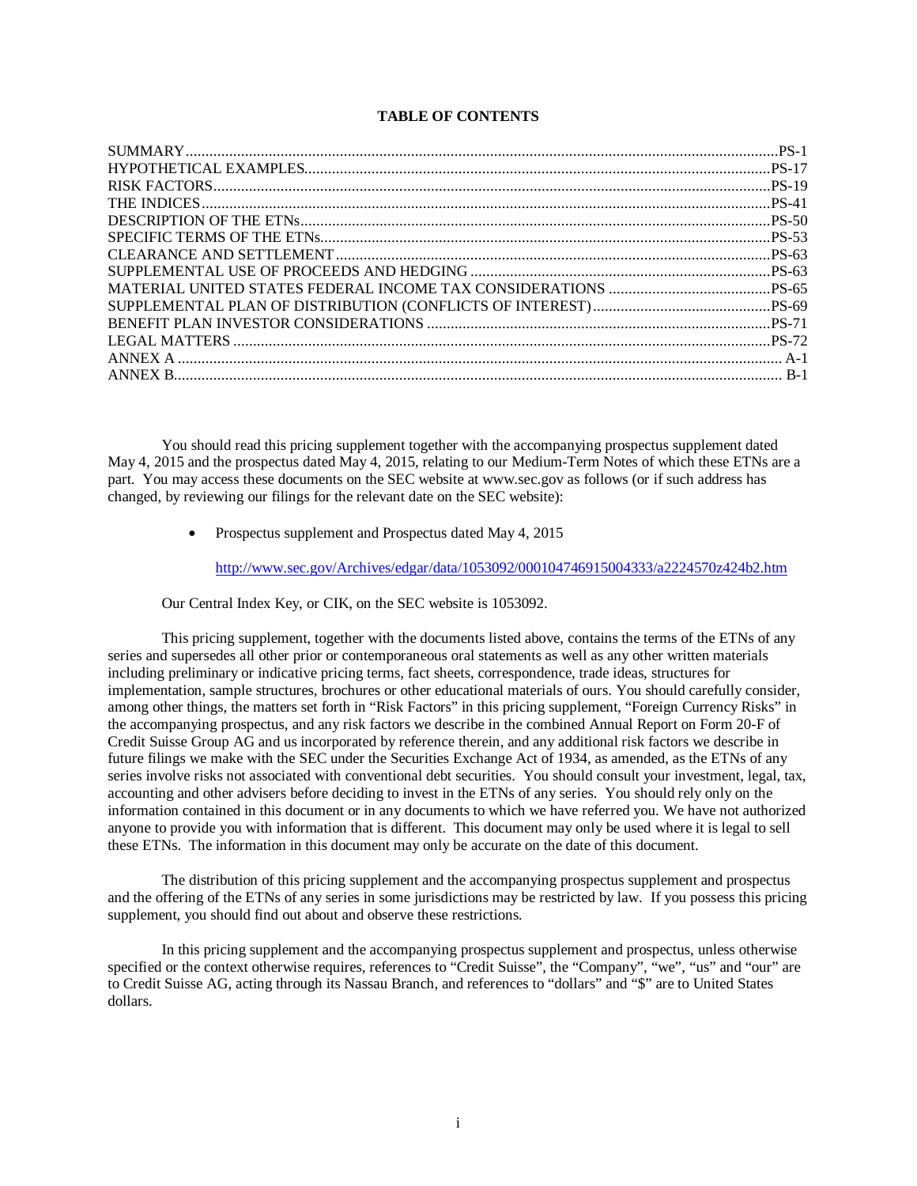# **TABLE OF CONTENTS**

You should read this pricing supplement together with the accompanying prospectus supplement dated May 4, 2015 and the prospectus dated May 4, 2015, relating to our Medium-Term Notes of which these ETNs are a part. You may access these documents on the SEC website at www.sec.gov as follows (or if such address has changed, by reviewing our filings for the relevant date on the SEC website):

• Prospectus supplement and Prospectus dated May 4, 2015

http://www.sec.gov/Archives/edgar/data/1053092/000104746915004333/a2224570z424b2.htm

Our Central Index Key, or CIK, on the SEC website is 1053092.

This pricing supplement, together with the documents listed above, contains the terms of the ETNs of any series and supersedes all other prior or contemporaneous oral statements as well as any other written materials including preliminary or indicative pricing terms, fact sheets, correspondence, trade ideas, structures for implementation, sample structures, brochures or other educational materials of ours. You should carefully consider, among other things, the matters set forth in "Risk Factors" in this pricing supplement, "Foreign Currency Risks" in the accompanying prospectus, and any risk factors we describe in the combined Annual Report on Form 20-F of Credit Suisse Group AG and us incorporated by reference therein, and any additional risk factors we describe in future filings we make with the SEC under the Securities Exchange Act of 1934, as amended, as the ETNs of any series involve risks not associated with conventional debt securities. You should consult your investment, legal, tax, accounting and other advisers before deciding to invest in the ETNs of any series. You should rely only on the information contained in this document or in any documents to which we have referred you. We have not authorized anyone to provide you with information that is different. This document may only be used where it is legal to sell these ETNs. The information in this document may only be accurate on the date of this document.

The distribution of this pricing supplement and the accompanying prospectus supplement and prospectus and the offering of the ETNs of any series in some jurisdictions may be restricted by law. If you possess this pricing supplement, you should find out about and observe these restrictions.

In this pricing supplement and the accompanying prospectus supplement and prospectus, unless otherwise specified or the context otherwise requires, references to "Credit Suisse", the "Company", "we", "us" and "our" are to Credit Suisse AG, acting through its Nassau Branch, and references to "dollars" and "\$" are to United States dollars.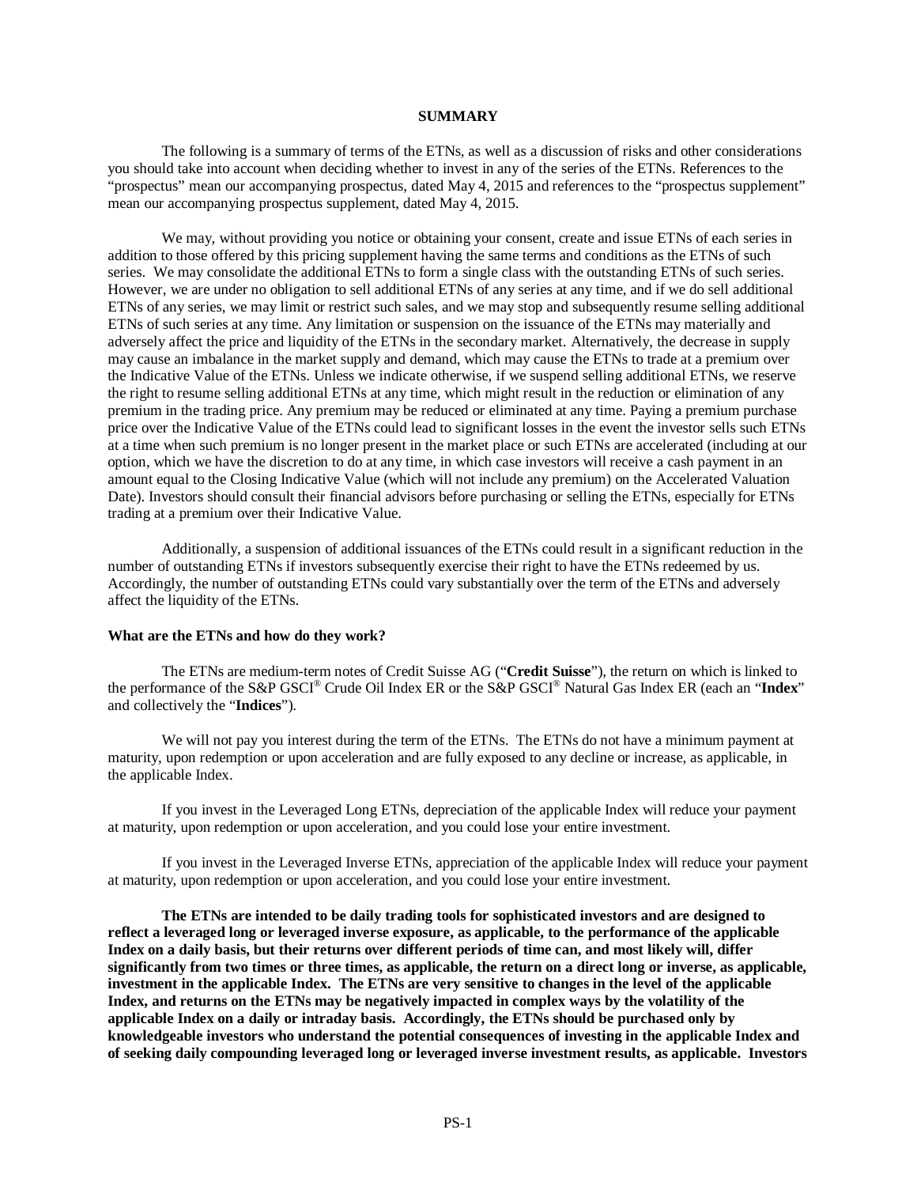#### **SUMMARY**

The following is a summary of terms of the ETNs, as well as a discussion of risks and other considerations you should take into account when deciding whether to invest in any of the series of the ETNs. References to the "prospectus" mean our accompanying prospectus, dated May 4, 2015 and references to the "prospectus supplement" mean our accompanying prospectus supplement, dated May 4, 2015.

We may, without providing you notice or obtaining your consent, create and issue ETNs of each series in addition to those offered by this pricing supplement having the same terms and conditions as the ETNs of such series. We may consolidate the additional ETNs to form a single class with the outstanding ETNs of such series. However, we are under no obligation to sell additional ETNs of any series at any time, and if we do sell additional ETNs of any series, we may limit or restrict such sales, and we may stop and subsequently resume selling additional ETNs of such series at any time. Any limitation or suspension on the issuance of the ETNs may materially and adversely affect the price and liquidity of the ETNs in the secondary market. Alternatively, the decrease in supply may cause an imbalance in the market supply and demand, which may cause the ETNs to trade at a premium over the Indicative Value of the ETNs. Unless we indicate otherwise, if we suspend selling additional ETNs, we reserve the right to resume selling additional ETNs at any time, which might result in the reduction or elimination of any premium in the trading price. Any premium may be reduced or eliminated at any time. Paying a premium purchase price over the Indicative Value of the ETNs could lead to significant losses in the event the investor sells such ETNs at a time when such premium is no longer present in the market place or such ETNs are accelerated (including at our option, which we have the discretion to do at any time, in which case investors will receive a cash payment in an amount equal to the Closing Indicative Value (which will not include any premium) on the Accelerated Valuation Date). Investors should consult their financial advisors before purchasing or selling the ETNs, especially for ETNs trading at a premium over their Indicative Value.

Additionally, a suspension of additional issuances of the ETNs could result in a significant reduction in the number of outstanding ETNs if investors subsequently exercise their right to have the ETNs redeemed by us. Accordingly, the number of outstanding ETNs could vary substantially over the term of the ETNs and adversely affect the liquidity of the ETNs.

#### **What are the ETNs and how do they work?**

The ETNs are medium-term notes of Credit Suisse AG ("**Credit Suisse**"), the return on which is linked to the performance of the S&P GSCI® Crude Oil Index ER or the S&P GSCI® Natural Gas Index ER (each an "**Index**" and collectively the "**Indices**").

We will not pay you interest during the term of the ETNs. The ETNs do not have a minimum payment at maturity, upon redemption or upon acceleration and are fully exposed to any decline or increase, as applicable, in the applicable Index.

If you invest in the Leveraged Long ETNs, depreciation of the applicable Index will reduce your payment at maturity, upon redemption or upon acceleration, and you could lose your entire investment.

If you invest in the Leveraged Inverse ETNs, appreciation of the applicable Index will reduce your payment at maturity, upon redemption or upon acceleration, and you could lose your entire investment.

**The ETNs are intended to be daily trading tools for sophisticated investors and are designed to reflect a leveraged long or leveraged inverse exposure, as applicable, to the performance of the applicable Index on a daily basis, but their returns over different periods of time can, and most likely will, differ significantly from two times or three times, as applicable, the return on a direct long or inverse, as applicable, investment in the applicable Index. The ETNs are very sensitive to changes in the level of the applicable Index, and returns on the ETNs may be negatively impacted in complex ways by the volatility of the applicable Index on a daily or intraday basis. Accordingly, the ETNs should be purchased only by knowledgeable investors who understand the potential consequences of investing in the applicable Index and of seeking daily compounding leveraged long or leveraged inverse investment results, as applicable. Investors**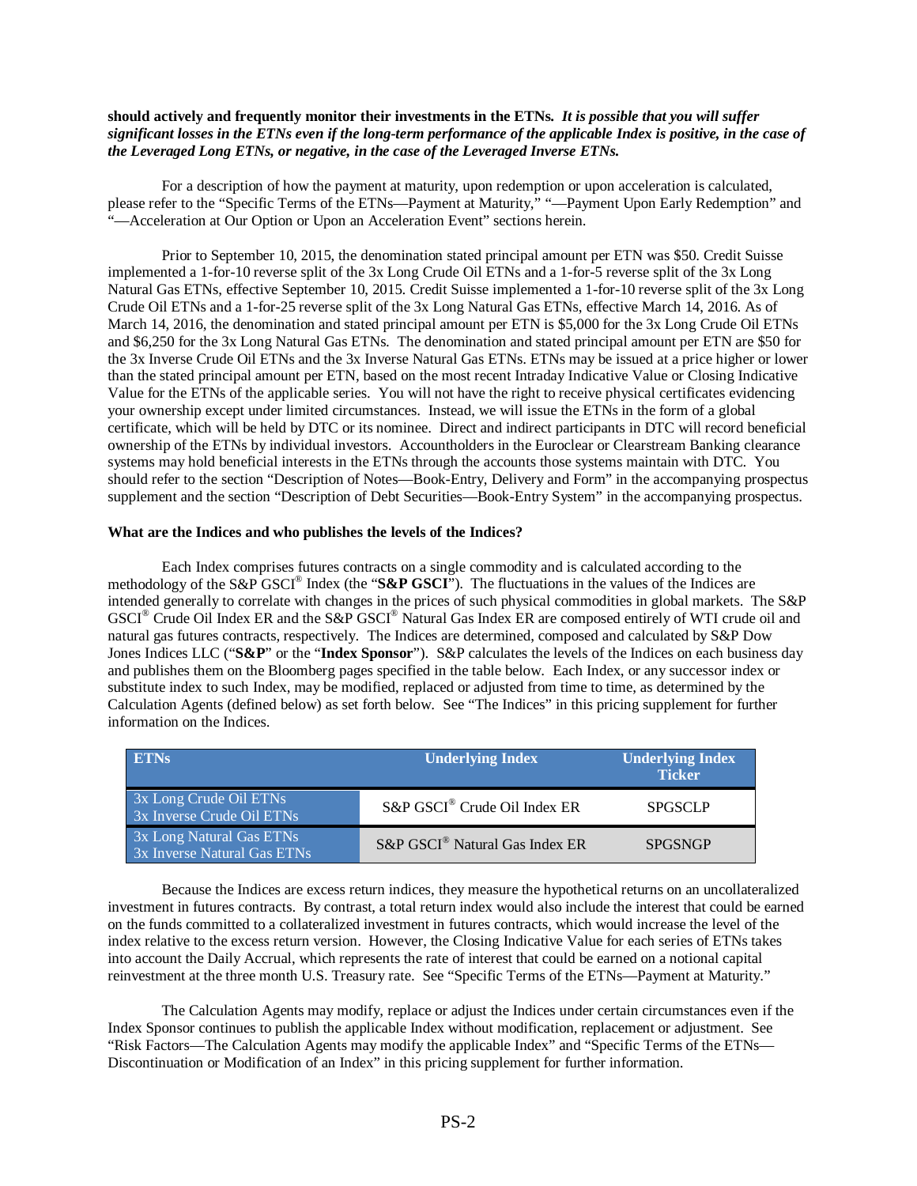# **should actively and frequently monitor their investments in the ETNs.** *It is possible that you will suffer significant losses in the ETNs even if the long-term performance of the applicable Index is positive, in the case of the Leveraged Long ETNs, or negative, in the case of the Leveraged Inverse ETNs.*

For a description of how the payment at maturity, upon redemption or upon acceleration is calculated, please refer to the "Specific Terms of the ETNs—Payment at Maturity," "—Payment Upon Early Redemption" and "-Acceleration at Our Option or Upon an Acceleration Event" sections herein.

Prior to September 10, 2015, the denomination stated principal amount per ETN was \$50. Credit Suisse implemented a 1-for-10 reverse split of the 3x Long Crude Oil ETNs and a 1-for-5 reverse split of the 3x Long Natural Gas ETNs, effective September 10, 2015. Credit Suisse implemented a 1-for-10 reverse split of the 3x Long Crude Oil ETNs and a 1-for-25 reverse split of the 3x Long Natural Gas ETNs, effective March 14, 2016. As of March 14, 2016, the denomination and stated principal amount per ETN is \$5,000 for the 3x Long Crude Oil ETNs and \$6,250 for the 3x Long Natural Gas ETNs. The denomination and stated principal amount per ETN are \$50 for the 3x Inverse Crude Oil ETNs and the 3x Inverse Natural Gas ETNs. ETNs may be issued at a price higher or lower than the stated principal amount per ETN, based on the most recent Intraday Indicative Value or Closing Indicative Value for the ETNs of the applicable series. You will not have the right to receive physical certificates evidencing your ownership except under limited circumstances. Instead, we will issue the ETNs in the form of a global certificate, which will be held by DTC or its nominee. Direct and indirect participants in DTC will record beneficial ownership of the ETNs by individual investors. Accountholders in the Euroclear or Clearstream Banking clearance systems may hold beneficial interests in the ETNs through the accounts those systems maintain with DTC. You should refer to the section "Description of Notes—Book-Entry, Delivery and Form" in the accompanying prospectus supplement and the section "Description of Debt Securities—Book-Entry System" in the accompanying prospectus.

## **What are the Indices and who publishes the levels of the Indices?**

Each Index comprises futures contracts on a single commodity and is calculated according to the methodology of the S&P GSCI® Index (the "**S&P GSCI**"). The fluctuations in the values of the Indices are intended generally to correlate with changes in the prices of such physical commodities in global markets. The S&P GSCI® Crude Oil Index ER and the S&P GSCI® Natural Gas Index ER are composed entirely of WTI crude oil and natural gas futures contracts, respectively. The Indices are determined, composed and calculated by S&P Dow Jones Indices LLC ("**S&P**" or the "**Index Sponsor**"). S&P calculates the levels of the Indices on each business day and publishes them on the Bloomberg pages specified in the table below. Each Index, or any successor index or substitute index to such Index, may be modified, replaced or adjusted from time to time, as determined by the Calculation Agents (defined below) as set forth below. See "The Indices" in this pricing supplement for further information on the Indices.

| <b>ETNs</b>                                             | <b>Underlying Index</b>                    | <b>Underlying Index</b><br><b>Ticker</b> |
|---------------------------------------------------------|--------------------------------------------|------------------------------------------|
| 3x Long Crude Oil ETNs<br>3x Inverse Crude Oil ETNs     | S&P GSCI <sup>®</sup> Crude Oil Index ER   | <b>SPGSCLP</b>                           |
| 3x Long Natural Gas ETNs<br>3x Inverse Natural Gas ETNs | S&P GSCI <sup>®</sup> Natural Gas Index ER | <b>SPGSNGP</b>                           |

Because the Indices are excess return indices, they measure the hypothetical returns on an uncollateralized investment in futures contracts. By contrast, a total return index would also include the interest that could be earned on the funds committed to a collateralized investment in futures contracts, which would increase the level of the index relative to the excess return version. However, the Closing Indicative Value for each series of ETNs takes into account the Daily Accrual, which represents the rate of interest that could be earned on a notional capital reinvestment at the three month U.S. Treasury rate. See "Specific Terms of the ETNs—Payment at Maturity."

The Calculation Agents may modify, replace or adjust the Indices under certain circumstances even if the Index Sponsor continues to publish the applicable Index without modification, replacement or adjustment. See "Risk Factors—The Calculation Agents may modify the applicable Index" and "Specific Terms of the ETNs— Discontinuation or Modification of an Index" in this pricing supplement for further information.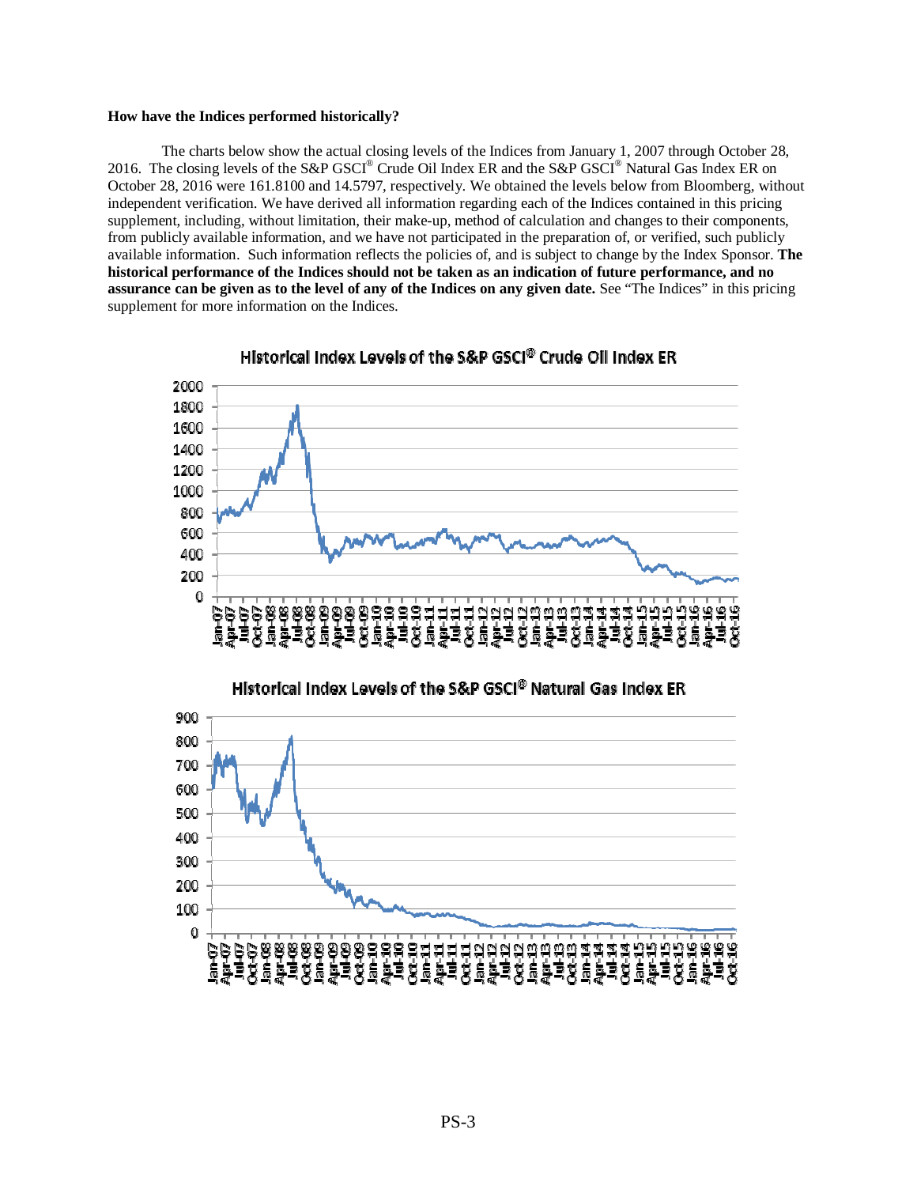#### **How have the Indices performed historically?**

The charts below show the actual closing levels of the Indices from January 1, 2007 through October 28, 2016. The closing levels of the S&P GSCI® Crude Oil Index ER and the S&P GSCI® Natural Gas Index ER on October 28, 2016 were 161.8100 and 14.5797, respectively. We obtained the levels below from Bloomberg, without independent verification. We have derived all information regarding each of the Indices contained in this pricing supplement, including, without limitation, their make-up, method of calculation and changes to their components, from publicly available information, and we have not participated in the preparation of, or verified, such publicly available information. Such information reflects the policies of, and is subject to change by the Index Sponsor. **The historical performance of the Indices should not be taken as an indication of future performance, and no assurance can be given as to the level of any of the Indices on any given date. See "The Indices" in this pricing** supplement for more information on the Indices.



# Historical Index Levels of the S&P GSCI® Crude Oil Index ER



Historical Index Levels of the S&P GSCI® Natural Gas Index ER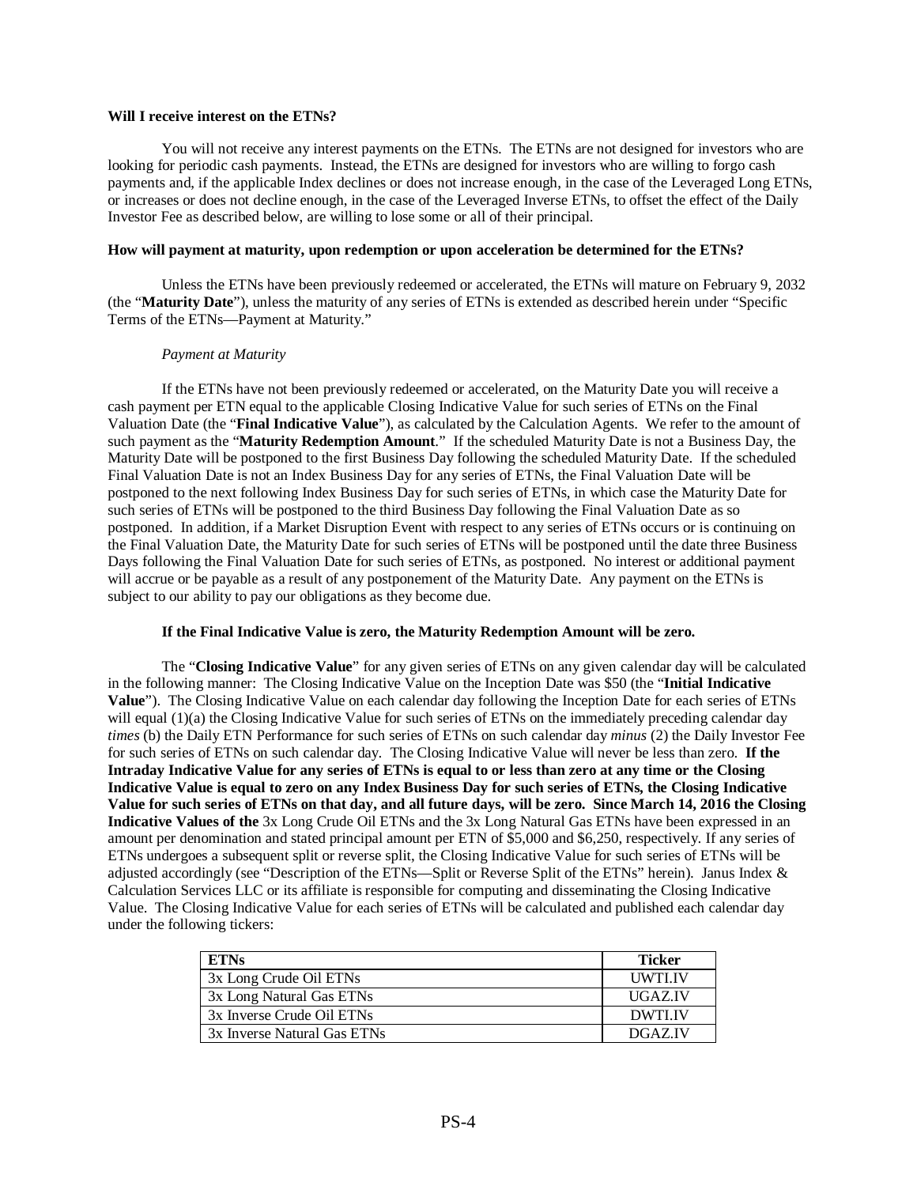#### **Will I receive interest on the ETNs?**

You will not receive any interest payments on the ETNs. The ETNs are not designed for investors who are looking for periodic cash payments. Instead, the ETNs are designed for investors who are willing to forgo cash payments and, if the applicable Index declines or does not increase enough, in the case of the Leveraged Long ETNs, or increases or does not decline enough, in the case of the Leveraged Inverse ETNs, to offset the effect of the Daily Investor Fee as described below, are willing to lose some or all of their principal.

#### **How will payment at maturity, upon redemption or upon acceleration be determined for the ETNs?**

Unless the ETNs have been previously redeemed or accelerated, the ETNs will mature on February 9, 2032 (the "**Maturity Date**"), unless the maturity of any series of ETNs is extended as described herein under "Specific Terms of the ETNs—Payment at Maturity."

#### *Payment at Maturity*

If the ETNs have not been previously redeemed or accelerated, on the Maturity Date you will receive a cash payment per ETN equal to the applicable Closing Indicative Value for such series of ETNs on the Final Valuation Date (the "**Final Indicative Value**"), as calculated by the Calculation Agents. We refer to the amount of such payment as the "**Maturity Redemption Amount**." If the scheduled Maturity Date is not a Business Day, the Maturity Date will be postponed to the first Business Day following the scheduled Maturity Date. If the scheduled Final Valuation Date is not an Index Business Day for any series of ETNs, the Final Valuation Date will be postponed to the next following Index Business Day for such series of ETNs, in which case the Maturity Date for such series of ETNs will be postponed to the third Business Day following the Final Valuation Date as so postponed. In addition, if a Market Disruption Event with respect to any series of ETNs occurs or is continuing on the Final Valuation Date, the Maturity Date for such series of ETNs will be postponed until the date three Business Days following the Final Valuation Date for such series of ETNs, as postponed. No interest or additional payment will accrue or be payable as a result of any postponement of the Maturity Date. Any payment on the ETNs is subject to our ability to pay our obligations as they become due.

#### **If the Final Indicative Value is zero, the Maturity Redemption Amount will be zero.**

The "**Closing Indicative Value**" for any given series of ETNs on any given calendar day will be calculated in the following manner: The Closing Indicative Value on the Inception Date was \$50 (the "**Initial Indicative Value**"). The Closing Indicative Value on each calendar day following the Inception Date for each series of ETNs will equal (1)(a) the Closing Indicative Value for such series of ETNs on the immediately preceding calendar day *times* (b) the Daily ETN Performance for such series of ETNs on such calendar day *minus* (2) the Daily Investor Fee for such series of ETNs on such calendar day. The Closing Indicative Value will never be less than zero. **If the Intraday Indicative Value for any series of ETNs is equal to or less than zero at any time or the Closing Indicative Value is equal to zero on any Index Business Day for such series of ETNs, the Closing Indicative Value for such series of ETNs on that day, and all future days, will be zero. Since March 14, 2016 the Closing Indicative Values of the** 3x Long Crude Oil ETNs and the 3x Long Natural Gas ETNs have been expressed in an amount per denomination and stated principal amount per ETN of \$5,000 and \$6,250, respectively. If any series of ETNs undergoes a subsequent split or reverse split, the Closing Indicative Value for such series of ETNs will be adjusted accordingly (see "Description of the ETNs—Split or Reverse Split of the ETNs" herein). Janus Index & Calculation Services LLC or its affiliate is responsible for computing and disseminating the Closing Indicative Value. The Closing Indicative Value for each series of ETNs will be calculated and published each calendar day under the following tickers:

| <b>ETNs</b>                 | Ticker        |
|-----------------------------|---------------|
| 3x Long Crude Oil ETNs      | <b>UWTLIV</b> |
| 3x Long Natural Gas ETNs    | UGAZ IV       |
| 3x Inverse Crude Oil ETNs   | <b>DWTLIV</b> |
| 3x Inverse Natural Gas ETNs | DGAZ IV       |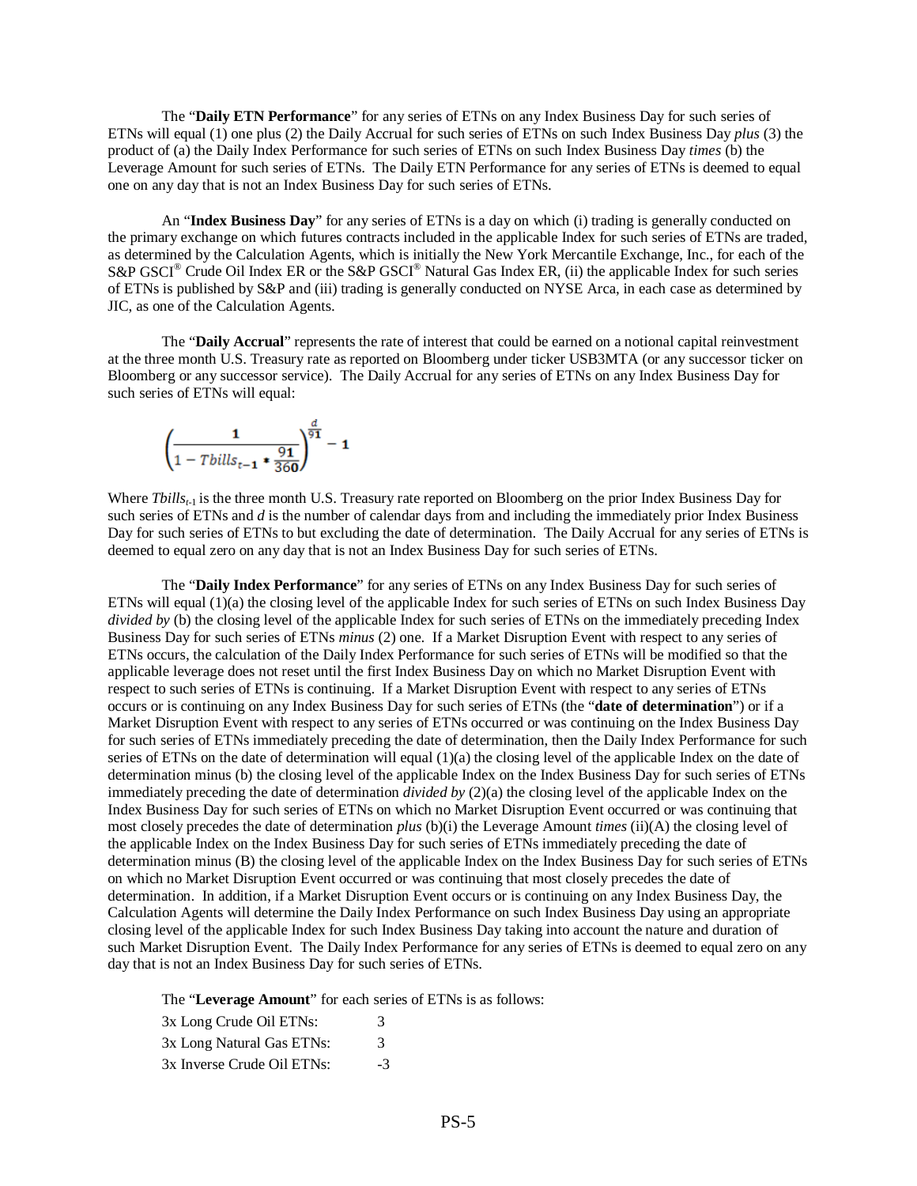The "**Daily ETN Performance**" for any series of ETNs on any Index Business Day for such series of ETNs will equal (1) one plus (2) the Daily Accrual for such series of ETNs on such Index Business Day *plus* (3) the product of (a) the Daily Index Performance for such series of ETNs on such Index Business Day *times* (b) the Leverage Amount for such series of ETNs. The Daily ETN Performance for any series of ETNs is deemed to equal one on any day that is not an Index Business Day for such series of ETNs.

An "**Index Business Day**" for any series of ETNs is a day on which (i) trading is generally conducted on the primary exchange on which futures contracts included in the applicable Index for such series of ETNs are traded, as determined by the Calculation Agents, which is initially the New York Mercantile Exchange, Inc., for each of the S&P GSCI® Crude Oil Index ER or the S&P GSCI® Natural Gas Index ER, (ii) the applicable Index for such series of ETNs is published by S&P and (iii) trading is generally conducted on NYSE Arca, in each case as determined by JIC, as one of the Calculation Agents.

The "**Daily Accrual**" represents the rate of interest that could be earned on a notional capital reinvestment at the three month U.S. Treasury rate as reported on Bloomberg under ticker USB3MTA (or any successor ticker on Bloomberg or any successor service). The Daily Accrual for any series of ETNs on any Index Business Day for such series of ETNs will equal:

$$
\left(\frac{1}{1 - \text{Tbills}_{t-1} \cdot \frac{91}{360}}\right)^{\frac{d}{91}} - 1
$$

Where *Tbills<sub>t-1</sub>* is the three month U.S. Treasury rate reported on Bloomberg on the prior Index Business Day for such series of ETNs and *d* is the number of calendar days from and including the immediately prior Index Business Day for such series of ETNs to but excluding the date of determination. The Daily Accrual for any series of ETNs is deemed to equal zero on any day that is not an Index Business Day for such series of ETNs.

The "**Daily Index Performance**" for any series of ETNs on any Index Business Day for such series of ETNs will equal (1)(a) the closing level of the applicable Index for such series of ETNs on such Index Business Day *divided by* (b) the closing level of the applicable Index for such series of ETNs on the immediately preceding Index Business Day for such series of ETNs *minus* (2) one. If a Market Disruption Event with respect to any series of ETNs occurs, the calculation of the Daily Index Performance for such series of ETNs will be modified so that the applicable leverage does not reset until the first Index Business Day on which no Market Disruption Event with respect to such series of ETNs is continuing. If a Market Disruption Event with respect to any series of ETNs occurs or is continuing on any Index Business Day for such series of ETNs (the "**date of determination**") or if a Market Disruption Event with respect to any series of ETNs occurred or was continuing on the Index Business Day for such series of ETNs immediately preceding the date of determination, then the Daily Index Performance for such series of ETNs on the date of determination will equal (1)(a) the closing level of the applicable Index on the date of determination minus (b) the closing level of the applicable Index on the Index Business Day for such series of ETNs immediately preceding the date of determination *divided by* (2)(a) the closing level of the applicable Index on the Index Business Day for such series of ETNs on which no Market Disruption Event occurred or was continuing that most closely precedes the date of determination *plus* (b)(i) the Leverage Amount *times* (ii)(A) the closing level of the applicable Index on the Index Business Day for such series of ETNs immediately preceding the date of determination minus (B) the closing level of the applicable Index on the Index Business Day for such series of ETNs on which no Market Disruption Event occurred or was continuing that most closely precedes the date of determination. In addition, if a Market Disruption Event occurs or is continuing on any Index Business Day, the Calculation Agents will determine the Daily Index Performance on such Index Business Day using an appropriate closing level of the applicable Index for such Index Business Day taking into account the nature and duration of such Market Disruption Event. The Daily Index Performance for any series of ETNs is deemed to equal zero on any day that is not an Index Business Day for such series of ETNs.

The "**Leverage Amount**" for each series of ETNs is as follows:

| 3x Long Crude Oil ETNs:    |      |
|----------------------------|------|
| 3x Long Natural Gas ETNs:  | 3    |
| 3x Inverse Crude Oil ETNs: | $-3$ |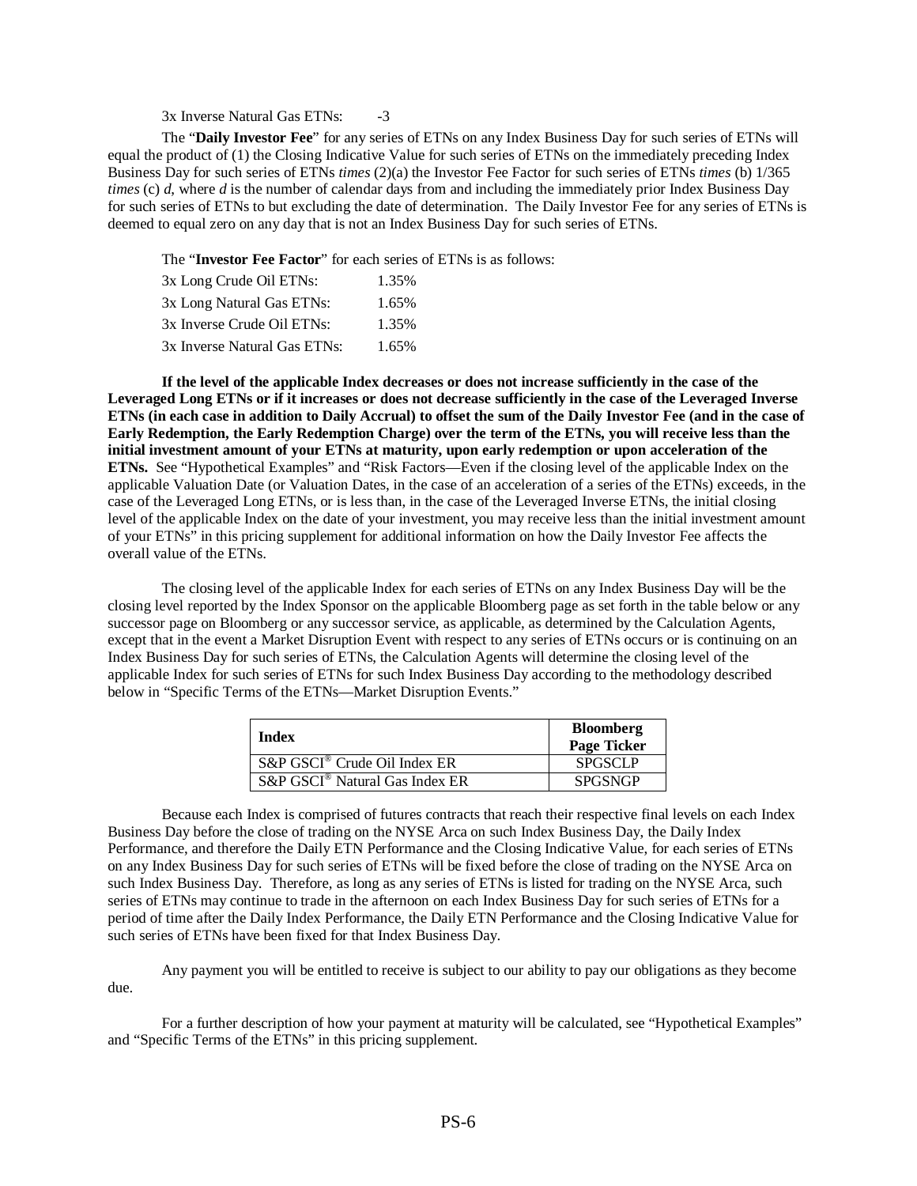# 3x Inverse Natural Gas ETNs:  $-3$

The "**Daily Investor Fee**" for any series of ETNs on any Index Business Day for such series of ETNs will equal the product of (1) the Closing Indicative Value for such series of ETNs on the immediately preceding Index Business Day for such series of ETNs *times* (2)(a) the Investor Fee Factor for such series of ETNs *times* (b) 1/365 *times* (c) *d*, where *d* is the number of calendar days from and including the immediately prior Index Business Day for such series of ETNs to but excluding the date of determination. The Daily Investor Fee for any series of ETNs is deemed to equal zero on any day that is not an Index Business Day for such series of ETNs.

The "**Investor Fee Factor**" for each series of ETNs is as follows:

| 3x Long Crude Oil ETNs:      | 1.35% |
|------------------------------|-------|
| 3x Long Natural Gas ETNs:    | 1.65% |
| 3x Inverse Crude Oil ETNs:   | 1.35% |
| 3x Inverse Natural Gas ETNs: | 1.65% |

**If the level of the applicable Index decreases or does not increase sufficiently in the case of the Leveraged Long ETNs or if it increases or does not decrease sufficiently in the case of the Leveraged Inverse ETNs (in each case in addition to Daily Accrual) to offset the sum of the Daily Investor Fee (and in the case of Early Redemption, the Early Redemption Charge) over the term of the ETNs, you will receive less than the initial investment amount of your ETNs at maturity, upon early redemption or upon acceleration of the ETNs.** See "Hypothetical Examples" and "Risk Factors—Even if the closing level of the applicable Index on the applicable Valuation Date (or Valuation Dates, in the case of an acceleration of a series of the ETNs) exceeds, in the case of the Leveraged Long ETNs, or is less than, in the case of the Leveraged Inverse ETNs, the initial closing level of the applicable Index on the date of your investment, you may receive less than the initial investment amount of your ETNs" in this pricing supplement for additional information on how the Daily Investor Fee affects the overall value of the ETNs.

The closing level of the applicable Index for each series of ETNs on any Index Business Day will be the closing level reported by the Index Sponsor on the applicable Bloomberg page as set forth in the table below or any successor page on Bloomberg or any successor service, as applicable, as determined by the Calculation Agents, except that in the event a Market Disruption Event with respect to any series of ETNs occurs or is continuing on an Index Business Day for such series of ETNs, the Calculation Agents will determine the closing level of the applicable Index for such series of ETNs for such Index Business Day according to the methodology described below in "Specific Terms of the ETNs—Market Disruption Events."

| Index                                       | <b>Bloomberg</b><br><b>Page Ticker</b> |
|---------------------------------------------|----------------------------------------|
| $S\&P$ GSCI <sup>®</sup> Crude Oil Index ER | <b>SPGSCLP</b>                         |
| S&P GSCI <sup>®</sup> Natural Gas Index ER  | <b>SPGSNGP</b>                         |

Because each Index is comprised of futures contracts that reach their respective final levels on each Index Business Day before the close of trading on the NYSE Arca on such Index Business Day, the Daily Index Performance, and therefore the Daily ETN Performance and the Closing Indicative Value, for each series of ETNs on any Index Business Day for such series of ETNs will be fixed before the close of trading on the NYSE Arca on such Index Business Day. Therefore, as long as any series of ETNs is listed for trading on the NYSE Arca, such series of ETNs may continue to trade in the afternoon on each Index Business Day for such series of ETNs for a period of time after the Daily Index Performance, the Daily ETN Performance and the Closing Indicative Value for such series of ETNs have been fixed for that Index Business Day.

Any payment you will be entitled to receive is subject to our ability to pay our obligations as they become due.

For a further description of how your payment at maturity will be calculated, see "Hypothetical Examples" and "Specific Terms of the ETNs" in this pricing supplement.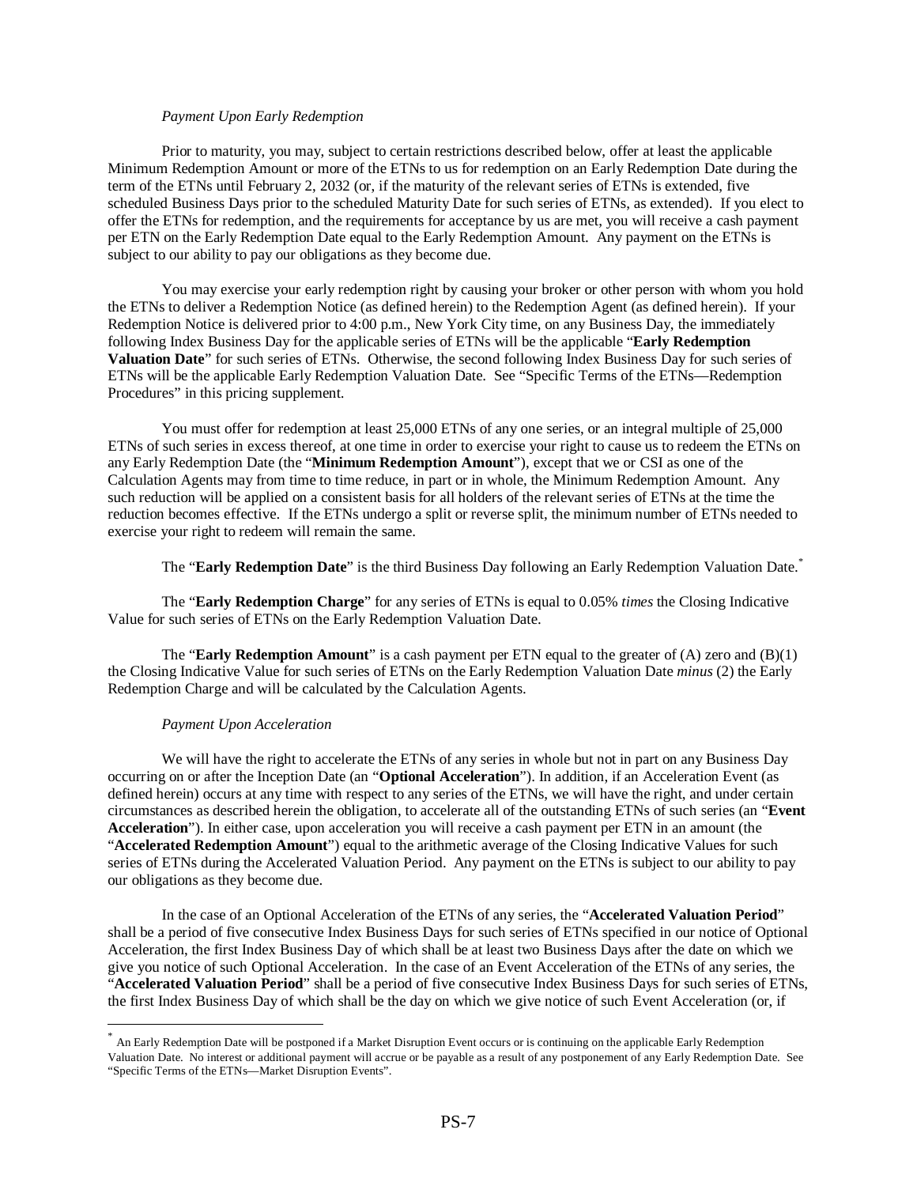#### *Payment Upon Early Redemption*

Prior to maturity, you may, subject to certain restrictions described below, offer at least the applicable Minimum Redemption Amount or more of the ETNs to us for redemption on an Early Redemption Date during the term of the ETNs until February 2, 2032 (or, if the maturity of the relevant series of ETNs is extended, five scheduled Business Days prior to the scheduled Maturity Date for such series of ETNs, as extended). If you elect to offer the ETNs for redemption, and the requirements for acceptance by us are met, you will receive a cash payment per ETN on the Early Redemption Date equal to the Early Redemption Amount. Any payment on the ETNs is subject to our ability to pay our obligations as they become due.

You may exercise your early redemption right by causing your broker or other person with whom you hold the ETNs to deliver a Redemption Notice (as defined herein) to the Redemption Agent (as defined herein). If your Redemption Notice is delivered prior to 4:00 p.m., New York City time, on any Business Day, the immediately following Index Business Day for the applicable series of ETNs will be the applicable "**Early Redemption Valuation Date**" for such series of ETNs. Otherwise, the second following Index Business Day for such series of ETNs will be the applicable Early Redemption Valuation Date. See "Specific Terms of the ETNs—Redemption Procedures" in this pricing supplement.

You must offer for redemption at least 25,000 ETNs of any one series, or an integral multiple of 25,000 ETNs of such series in excess thereof, at one time in order to exercise your right to cause us to redeem the ETNs on any Early Redemption Date (the "**Minimum Redemption Amount**"), except that we or CSI as one of the Calculation Agents may from time to time reduce, in part or in whole, the Minimum Redemption Amount. Any such reduction will be applied on a consistent basis for all holders of the relevant series of ETNs at the time the reduction becomes effective. If the ETNs undergo a split or reverse split, the minimum number of ETNs needed to exercise your right to redeem will remain the same.

The "**Early Redemption Date**" is the third Business Day following an Early Redemption Valuation Date.\*

The "**Early Redemption Charge**" for any series of ETNs is equal to 0.05% *times* the Closing Indicative Value for such series of ETNs on the Early Redemption Valuation Date.

The "**Early Redemption Amount**" is a cash payment per ETN equal to the greater of (A) zero and (B)(1) the Closing Indicative Value for such series of ETNs on the Early Redemption Valuation Date *minus* (2) the Early Redemption Charge and will be calculated by the Calculation Agents.

#### *Payment Upon Acceleration*

 $\overline{a}$ 

We will have the right to accelerate the ETNs of any series in whole but not in part on any Business Day occurring on or after the Inception Date (an "**Optional Acceleration**"). In addition, if an Acceleration Event (as defined herein) occurs at any time with respect to any series of the ETNs, we will have the right, and under certain circumstances as described herein the obligation, to accelerate all of the outstanding ETNs of such series (an "**Event Acceleration**"). In either case, upon acceleration you will receive a cash payment per ETN in an amount (the "**Accelerated Redemption Amount**") equal to the arithmetic average of the Closing Indicative Values for such series of ETNs during the Accelerated Valuation Period. Any payment on the ETNs is subject to our ability to pay our obligations as they become due.

In the case of an Optional Acceleration of the ETNs of any series, the "**Accelerated Valuation Period**" shall be a period of five consecutive Index Business Days for such series of ETNs specified in our notice of Optional Acceleration, the first Index Business Day of which shall be at least two Business Days after the date on which we give you notice of such Optional Acceleration. In the case of an Event Acceleration of the ETNs of any series, the "**Accelerated Valuation Period**" shall be a period of five consecutive Index Business Days for such series of ETNs, the first Index Business Day of which shall be the day on which we give notice of such Event Acceleration (or, if

An Early Redemption Date will be postponed if a Market Disruption Event occurs or is continuing on the applicable Early Redemption Valuation Date. No interest or additional payment will accrue or be payable as a result of any postponement of any Early Redemption Date. See "Specific Terms of the ETNs—Market Disruption Events".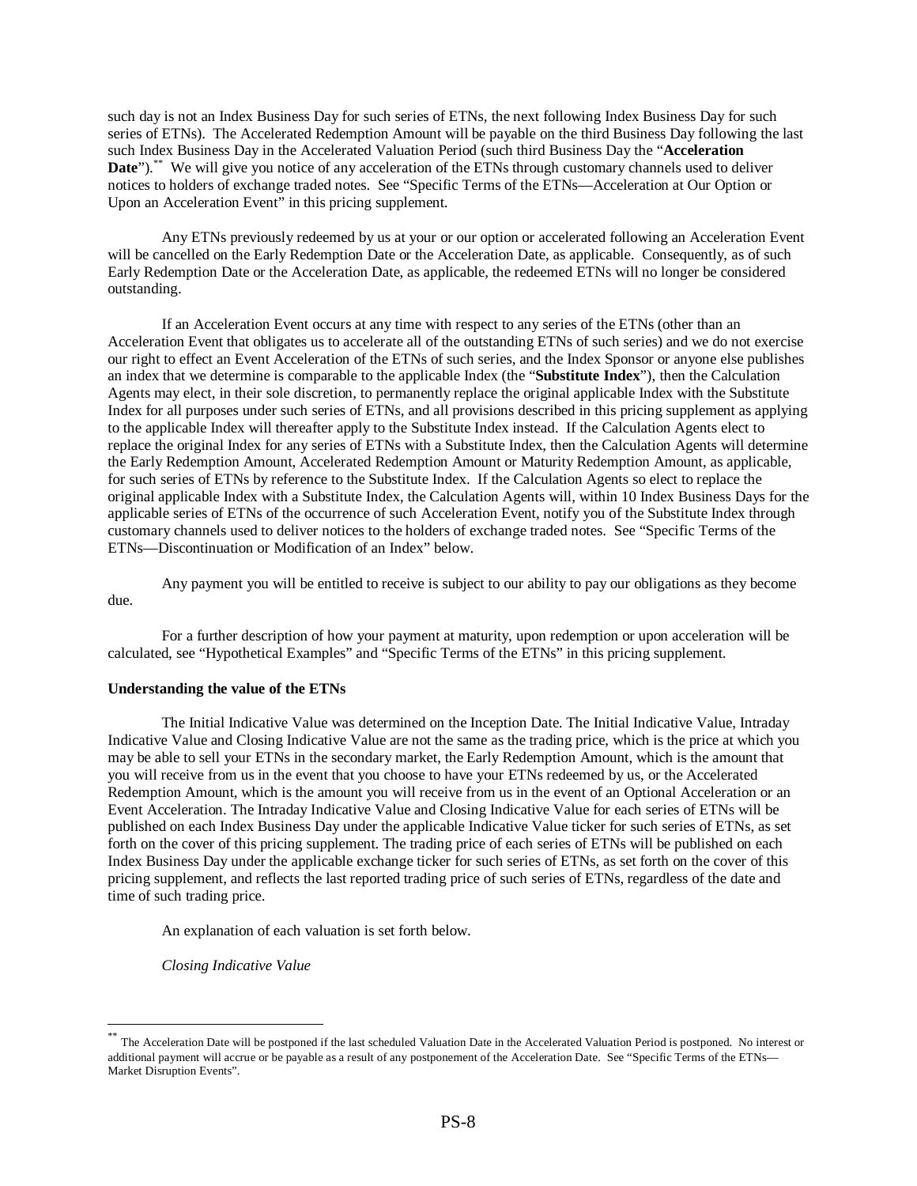such day is not an Index Business Day for such series of ETNs, the next following Index Business Day for such series of ETNs). The Accelerated Redemption Amount will be payable on the third Business Day following the last such Index Business Day in the Accelerated Valuation Period (such third Business Day the "**Acceleration Date**").<sup>\*\*</sup> We will give you notice of any acceleration of the ETNs through customary channels used to deliver notices to holders of exchange traded notes. See "Specific Terms of the ETNs—Acceleration at Our Option or Upon an Acceleration Event" in this pricing supplement.

Any ETNs previously redeemed by us at your or our option or accelerated following an Acceleration Event will be cancelled on the Early Redemption Date or the Acceleration Date, as applicable. Consequently, as of such Early Redemption Date or the Acceleration Date, as applicable, the redeemed ETNs will no longer be considered outstanding.

If an Acceleration Event occurs at any time with respect to any series of the ETNs (other than an Acceleration Event that obligates us to accelerate all of the outstanding ETNs of such series) and we do not exercise our right to effect an Event Acceleration of the ETNs of such series, and the Index Sponsor or anyone else publishes an index that we determine is comparable to the applicable Index (the "**Substitute Index**"), then the Calculation Agents may elect, in their sole discretion, to permanently replace the original applicable Index with the Substitute Index for all purposes under such series of ETNs, and all provisions described in this pricing supplement as applying to the applicable Index will thereafter apply to the Substitute Index instead. If the Calculation Agents elect to replace the original Index for any series of ETNs with a Substitute Index, then the Calculation Agents will determine the Early Redemption Amount, Accelerated Redemption Amount or Maturity Redemption Amount, as applicable, for such series of ETNs by reference to the Substitute Index. If the Calculation Agents so elect to replace the original applicable Index with a Substitute Index, the Calculation Agents will, within 10 Index Business Days for the applicable series of ETNs of the occurrence of such Acceleration Event, notify you of the Substitute Index through customary channels used to deliver notices to the holders of exchange traded notes. See "Specific Terms of the ETNs—Discontinuation or Modification of an Index" below.

Any payment you will be entitled to receive is subject to our ability to pay our obligations as they become due.

For a further description of how your payment at maturity, upon redemption or upon acceleration will be calculated, see "Hypothetical Examples" and "Specific Terms of the ETNs" in this pricing supplement.

#### **Understanding the value of the ETNs**

The Initial Indicative Value was determined on the Inception Date. The Initial Indicative Value, Intraday Indicative Value and Closing Indicative Value are not the same as the trading price, which is the price at which you may be able to sell your ETNs in the secondary market, the Early Redemption Amount, which is the amount that you will receive from us in the event that you choose to have your ETNs redeemed by us, or the Accelerated Redemption Amount, which is the amount you will receive from us in the event of an Optional Acceleration or an Event Acceleration. The Intraday Indicative Value and Closing Indicative Value for each series of ETNs will be published on each Index Business Day under the applicable Indicative Value ticker for such series of ETNs, as set forth on the cover of this pricing supplement. The trading price of each series of ETNs will be published on each Index Business Day under the applicable exchange ticker for such series of ETNs, as set forth on the cover of this pricing supplement, and reflects the last reported trading price of such series of ETNs, regardless of the date and time of such trading price.

An explanation of each valuation is set forth below.

*Closing Indicative Value* 

 $\overline{a}$ 

The Acceleration Date will be postponed if the last scheduled Valuation Date in the Accelerated Valuation Period is postponed. No interest or additional payment will accrue or be payable as a result of any postponement of the Acceleration Date. See "Specific Terms of the ETNs— Market Disruption Events".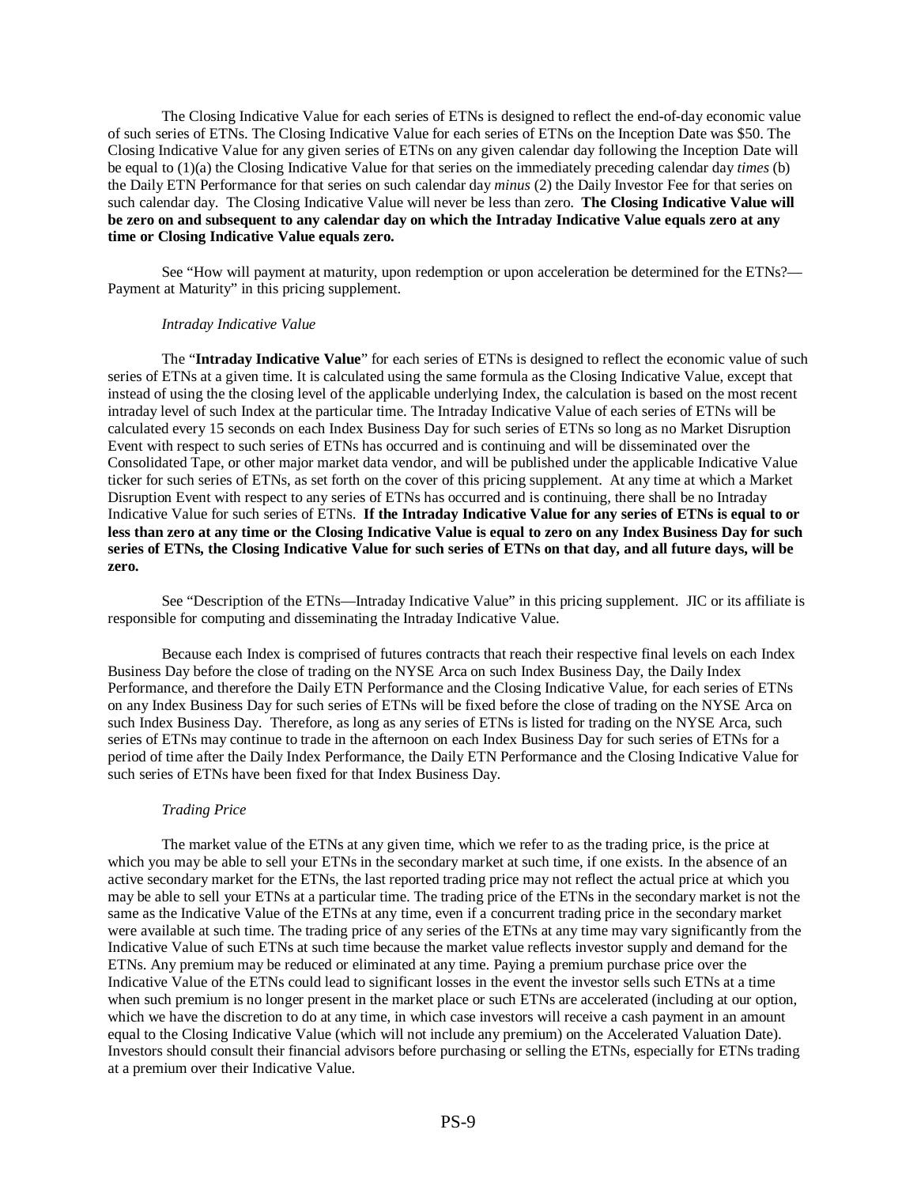The Closing Indicative Value for each series of ETNs is designed to reflect the end-of-day economic value of such series of ETNs. The Closing Indicative Value for each series of ETNs on the Inception Date was \$50. The Closing Indicative Value for any given series of ETNs on any given calendar day following the Inception Date will be equal to (1)(a) the Closing Indicative Value for that series on the immediately preceding calendar day *times* (b) the Daily ETN Performance for that series on such calendar day *minus* (2) the Daily Investor Fee for that series on such calendar day. The Closing Indicative Value will never be less than zero. **The Closing Indicative Value will be zero on and subsequent to any calendar day on which the Intraday Indicative Value equals zero at any time or Closing Indicative Value equals zero.**

See "How will payment at maturity, upon redemption or upon acceleration be determined for the ETNs?— Payment at Maturity" in this pricing supplement.

#### *Intraday Indicative Value*

The "**Intraday Indicative Value**" for each series of ETNs is designed to reflect the economic value of such series of ETNs at a given time. It is calculated using the same formula as the Closing Indicative Value, except that instead of using the the closing level of the applicable underlying Index, the calculation is based on the most recent intraday level of such Index at the particular time. The Intraday Indicative Value of each series of ETNs will be calculated every 15 seconds on each Index Business Day for such series of ETNs so long as no Market Disruption Event with respect to such series of ETNs has occurred and is continuing and will be disseminated over the Consolidated Tape, or other major market data vendor, and will be published under the applicable Indicative Value ticker for such series of ETNs, as set forth on the cover of this pricing supplement. At any time at which a Market Disruption Event with respect to any series of ETNs has occurred and is continuing, there shall be no Intraday Indicative Value for such series of ETNs. **If the Intraday Indicative Value for any series of ETNs is equal to or less than zero at any time or the Closing Indicative Value is equal to zero on any Index Business Day for such series of ETNs, the Closing Indicative Value for such series of ETNs on that day, and all future days, will be zero.**

See "Description of the ETNs—Intraday Indicative Value" in this pricing supplement. JIC or its affiliate is responsible for computing and disseminating the Intraday Indicative Value.

Because each Index is comprised of futures contracts that reach their respective final levels on each Index Business Day before the close of trading on the NYSE Arca on such Index Business Day, the Daily Index Performance, and therefore the Daily ETN Performance and the Closing Indicative Value, for each series of ETNs on any Index Business Day for such series of ETNs will be fixed before the close of trading on the NYSE Arca on such Index Business Day. Therefore, as long as any series of ETNs is listed for trading on the NYSE Arca, such series of ETNs may continue to trade in the afternoon on each Index Business Day for such series of ETNs for a period of time after the Daily Index Performance, the Daily ETN Performance and the Closing Indicative Value for such series of ETNs have been fixed for that Index Business Day.

#### *Trading Price*

The market value of the ETNs at any given time, which we refer to as the trading price, is the price at which you may be able to sell your ETNs in the secondary market at such time, if one exists. In the absence of an active secondary market for the ETNs, the last reported trading price may not reflect the actual price at which you may be able to sell your ETNs at a particular time. The trading price of the ETNs in the secondary market is not the same as the Indicative Value of the ETNs at any time, even if a concurrent trading price in the secondary market were available at such time. The trading price of any series of the ETNs at any time may vary significantly from the Indicative Value of such ETNs at such time because the market value reflects investor supply and demand for the ETNs. Any premium may be reduced or eliminated at any time. Paying a premium purchase price over the Indicative Value of the ETNs could lead to significant losses in the event the investor sells such ETNs at a time when such premium is no longer present in the market place or such ETNs are accelerated (including at our option, which we have the discretion to do at any time, in which case investors will receive a cash payment in an amount equal to the Closing Indicative Value (which will not include any premium) on the Accelerated Valuation Date). Investors should consult their financial advisors before purchasing or selling the ETNs, especially for ETNs trading at a premium over their Indicative Value.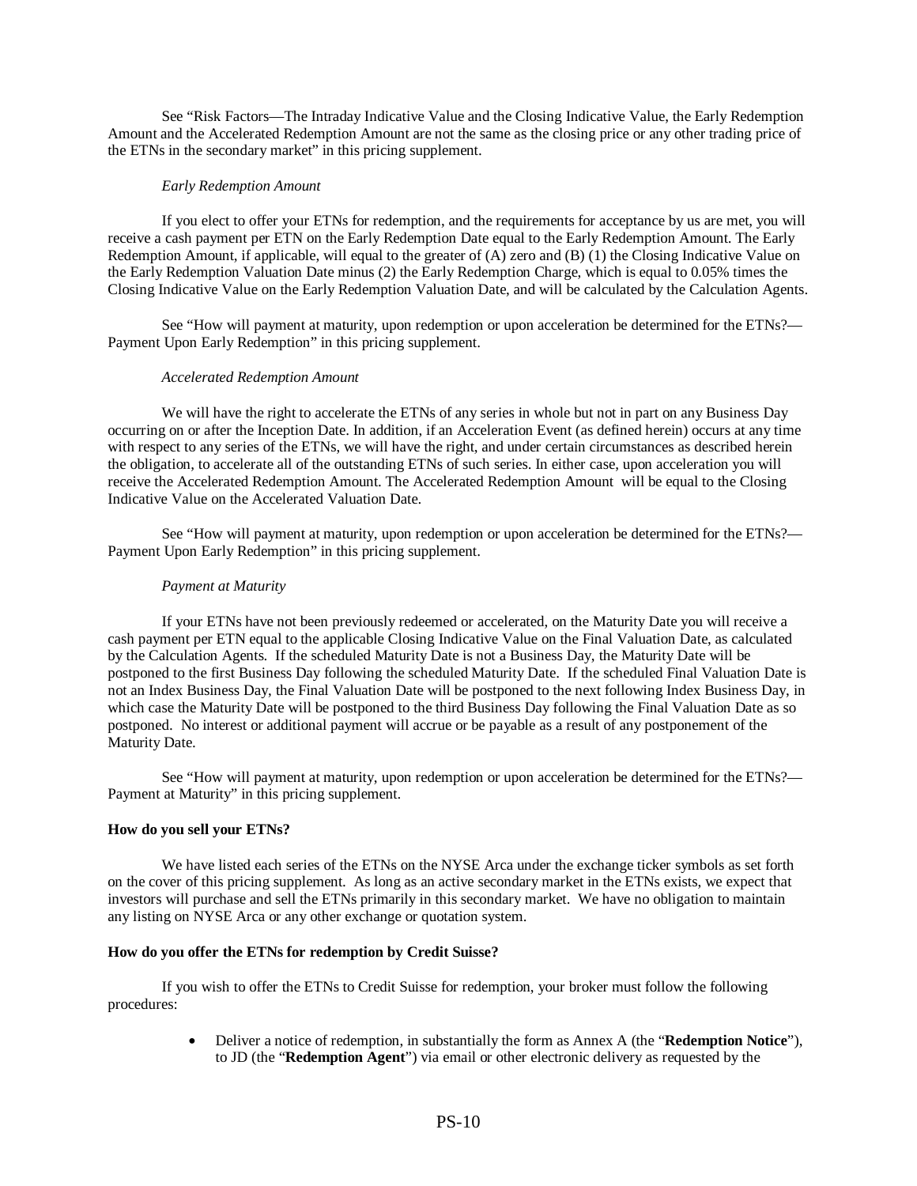See "Risk Factors—The Intraday Indicative Value and the Closing Indicative Value, the Early Redemption Amount and the Accelerated Redemption Amount are not the same as the closing price or any other trading price of the ETNs in the secondary market" in this pricing supplement.

#### *Early Redemption Amount*

If you elect to offer your ETNs for redemption, and the requirements for acceptance by us are met, you will receive a cash payment per ETN on the Early Redemption Date equal to the Early Redemption Amount. The Early Redemption Amount, if applicable, will equal to the greater of (A) zero and (B) (1) the Closing Indicative Value on the Early Redemption Valuation Date minus (2) the Early Redemption Charge, which is equal to 0.05% times the Closing Indicative Value on the Early Redemption Valuation Date, and will be calculated by the Calculation Agents.

See "How will payment at maturity, upon redemption or upon acceleration be determined for the ETNs?— Payment Upon Early Redemption" in this pricing supplement.

#### *Accelerated Redemption Amount*

We will have the right to accelerate the ETNs of any series in whole but not in part on any Business Day occurring on or after the Inception Date. In addition, if an Acceleration Event (as defined herein) occurs at any time with respect to any series of the ETNs, we will have the right, and under certain circumstances as described herein the obligation, to accelerate all of the outstanding ETNs of such series. In either case, upon acceleration you will receive the Accelerated Redemption Amount. The Accelerated Redemption Amount will be equal to the Closing Indicative Value on the Accelerated Valuation Date.

See "How will payment at maturity, upon redemption or upon acceleration be determined for the ETNs?— Payment Upon Early Redemption" in this pricing supplement.

#### *Payment at Maturity*

If your ETNs have not been previously redeemed or accelerated, on the Maturity Date you will receive a cash payment per ETN equal to the applicable Closing Indicative Value on the Final Valuation Date, as calculated by the Calculation Agents. If the scheduled Maturity Date is not a Business Day, the Maturity Date will be postponed to the first Business Day following the scheduled Maturity Date. If the scheduled Final Valuation Date is not an Index Business Day, the Final Valuation Date will be postponed to the next following Index Business Day, in which case the Maturity Date will be postponed to the third Business Day following the Final Valuation Date as so postponed. No interest or additional payment will accrue or be payable as a result of any postponement of the Maturity Date.

See "How will payment at maturity, upon redemption or upon acceleration be determined for the ETNs?— Payment at Maturity" in this pricing supplement.

#### **How do you sell your ETNs?**

We have listed each series of the ETNs on the NYSE Arca under the exchange ticker symbols as set forth on the cover of this pricing supplement. As long as an active secondary market in the ETNs exists, we expect that investors will purchase and sell the ETNs primarily in this secondary market. We have no obligation to maintain any listing on NYSE Arca or any other exchange or quotation system.

#### **How do you offer the ETNs for redemption by Credit Suisse?**

If you wish to offer the ETNs to Credit Suisse for redemption, your broker must follow the following procedures:

> • Deliver a notice of redemption, in substantially the form as Annex A (the "**Redemption Notice**"), to JD (the "**Redemption Agent**") via email or other electronic delivery as requested by the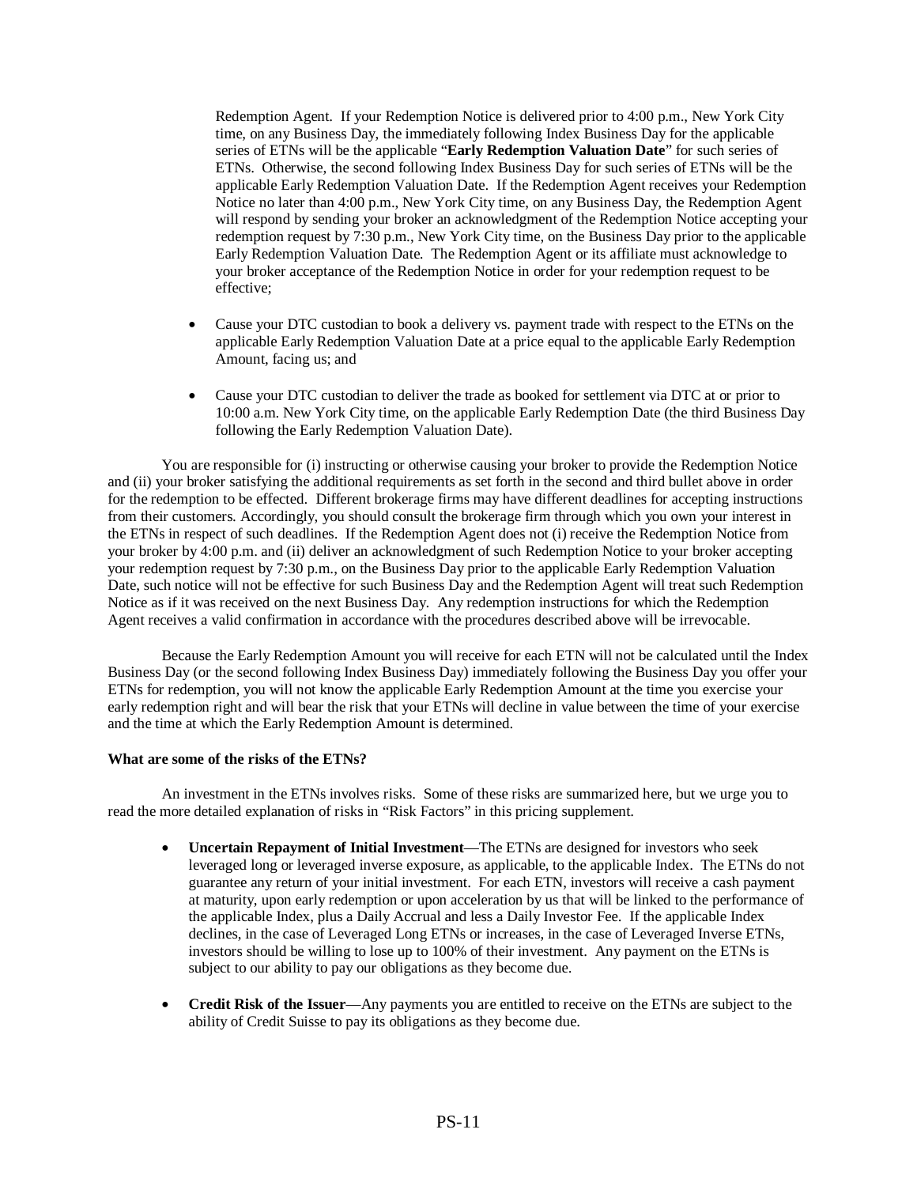Redemption Agent. If your Redemption Notice is delivered prior to 4:00 p.m., New York City time, on any Business Day, the immediately following Index Business Day for the applicable series of ETNs will be the applicable "**Early Redemption Valuation Date**" for such series of ETNs. Otherwise, the second following Index Business Day for such series of ETNs will be the applicable Early Redemption Valuation Date. If the Redemption Agent receives your Redemption Notice no later than 4:00 p.m., New York City time, on any Business Day, the Redemption Agent will respond by sending your broker an acknowledgment of the Redemption Notice accepting your redemption request by 7:30 p.m., New York City time, on the Business Day prior to the applicable Early Redemption Valuation Date. The Redemption Agent or its affiliate must acknowledge to your broker acceptance of the Redemption Notice in order for your redemption request to be effective;

- Cause your DTC custodian to book a delivery vs. payment trade with respect to the ETNs on the applicable Early Redemption Valuation Date at a price equal to the applicable Early Redemption Amount, facing us; and
- Cause your DTC custodian to deliver the trade as booked for settlement via DTC at or prior to 10:00 a.m. New York City time, on the applicable Early Redemption Date (the third Business Day following the Early Redemption Valuation Date).

You are responsible for (i) instructing or otherwise causing your broker to provide the Redemption Notice and (ii) your broker satisfying the additional requirements as set forth in the second and third bullet above in order for the redemption to be effected. Different brokerage firms may have different deadlines for accepting instructions from their customers. Accordingly, you should consult the brokerage firm through which you own your interest in the ETNs in respect of such deadlines. If the Redemption Agent does not (i) receive the Redemption Notice from your broker by 4:00 p.m. and (ii) deliver an acknowledgment of such Redemption Notice to your broker accepting your redemption request by 7:30 p.m., on the Business Day prior to the applicable Early Redemption Valuation Date, such notice will not be effective for such Business Day and the Redemption Agent will treat such Redemption Notice as if it was received on the next Business Day. Any redemption instructions for which the Redemption Agent receives a valid confirmation in accordance with the procedures described above will be irrevocable.

Because the Early Redemption Amount you will receive for each ETN will not be calculated until the Index Business Day (or the second following Index Business Day) immediately following the Business Day you offer your ETNs for redemption, you will not know the applicable Early Redemption Amount at the time you exercise your early redemption right and will bear the risk that your ETNs will decline in value between the time of your exercise and the time at which the Early Redemption Amount is determined.

#### **What are some of the risks of the ETNs?**

An investment in the ETNs involves risks. Some of these risks are summarized here, but we urge you to read the more detailed explanation of risks in "Risk Factors" in this pricing supplement.

- **Uncertain Repayment of Initial Investment**—The ETNs are designed for investors who seek leveraged long or leveraged inverse exposure, as applicable, to the applicable Index. The ETNs do not guarantee any return of your initial investment. For each ETN, investors will receive a cash payment at maturity, upon early redemption or upon acceleration by us that will be linked to the performance of the applicable Index, plus a Daily Accrual and less a Daily Investor Fee. If the applicable Index declines, in the case of Leveraged Long ETNs or increases, in the case of Leveraged Inverse ETNs, investors should be willing to lose up to 100% of their investment. Any payment on the ETNs is subject to our ability to pay our obligations as they become due.
- **Credit Risk of the Issuer**—Any payments you are entitled to receive on the ETNs are subject to the ability of Credit Suisse to pay its obligations as they become due.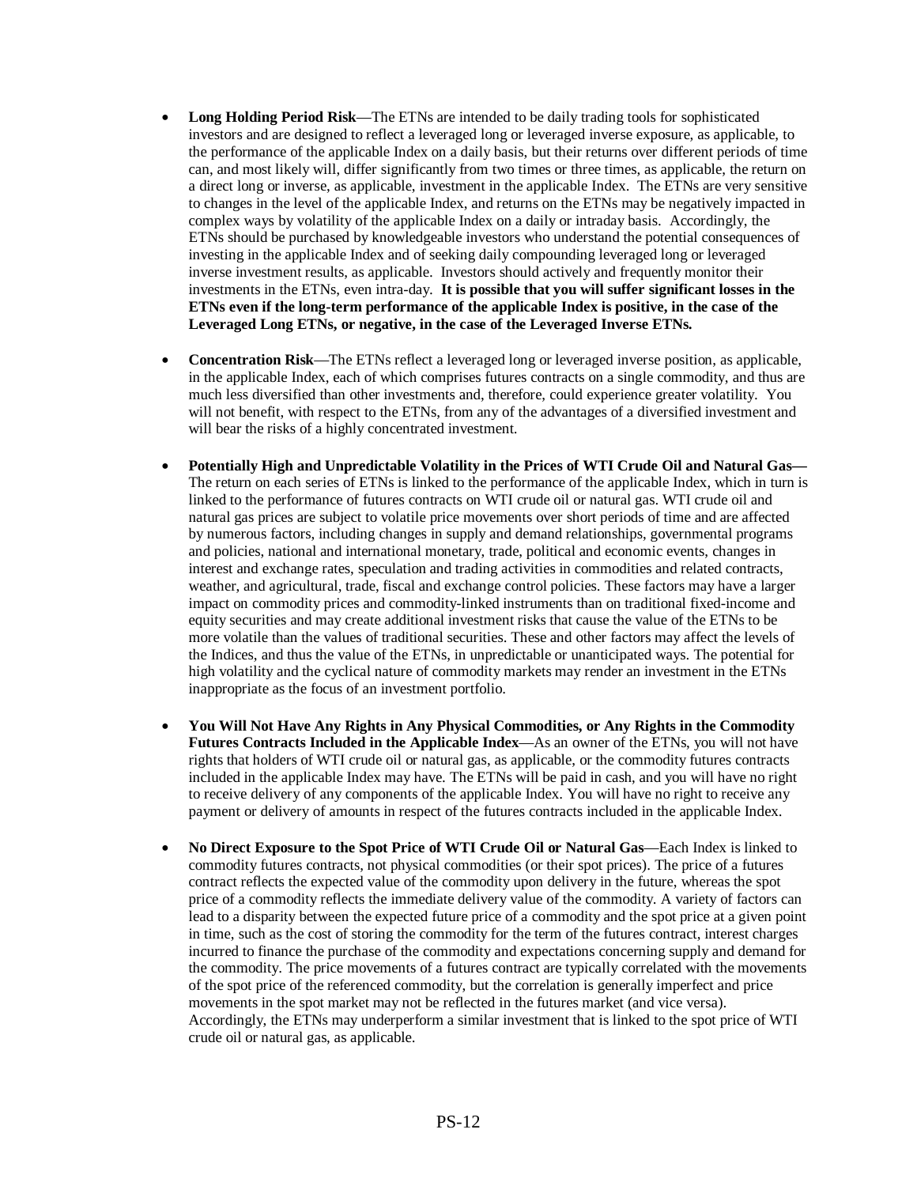- **Long Holding Period Risk—The ETNs** are intended to be daily trading tools for sophisticated investors and are designed to reflect a leveraged long or leveraged inverse exposure, as applicable, to the performance of the applicable Index on a daily basis, but their returns over different periods of time can, and most likely will, differ significantly from two times or three times, as applicable, the return on a direct long or inverse, as applicable, investment in the applicable Index. The ETNs are very sensitive to changes in the level of the applicable Index, and returns on the ETNs may be negatively impacted in complex ways by volatility of the applicable Index on a daily or intraday basis. Accordingly, the ETNs should be purchased by knowledgeable investors who understand the potential consequences of investing in the applicable Index and of seeking daily compounding leveraged long or leveraged inverse investment results, as applicable. Investors should actively and frequently monitor their investments in the ETNs, even intra-day. **It is possible that you will suffer significant losses in the ETNs even if the long-term performance of the applicable Index is positive, in the case of the Leveraged Long ETNs, or negative, in the case of the Leveraged Inverse ETNs.**
- **Concentration Risk**—The ETNs reflect a leveraged long or leveraged inverse position, as applicable, in the applicable Index, each of which comprises futures contracts on a single commodity, and thus are much less diversified than other investments and, therefore, could experience greater volatility. You will not benefit, with respect to the ETNs, from any of the advantages of a diversified investment and will bear the risks of a highly concentrated investment.
- **Potentially High and Unpredictable Volatility in the Prices of WTI Crude Oil and Natural Gas—** The return on each series of ETNs is linked to the performance of the applicable Index, which in turn is linked to the performance of futures contracts on WTI crude oil or natural gas. WTI crude oil and natural gas prices are subject to volatile price movements over short periods of time and are affected by numerous factors, including changes in supply and demand relationships, governmental programs and policies, national and international monetary, trade, political and economic events, changes in interest and exchange rates, speculation and trading activities in commodities and related contracts, weather, and agricultural, trade, fiscal and exchange control policies. These factors may have a larger impact on commodity prices and commodity-linked instruments than on traditional fixed-income and equity securities and may create additional investment risks that cause the value of the ETNs to be more volatile than the values of traditional securities. These and other factors may affect the levels of the Indices, and thus the value of the ETNs, in unpredictable or unanticipated ways. The potential for high volatility and the cyclical nature of commodity markets may render an investment in the ETNs inappropriate as the focus of an investment portfolio.
- **You Will Not Have Any Rights in Any Physical Commodities, or Any Rights in the Commodity Futures Contracts Included in the Applicable Index**—As an owner of the ETNs, you will not have rights that holders of WTI crude oil or natural gas, as applicable, or the commodity futures contracts included in the applicable Index may have. The ETNs will be paid in cash, and you will have no right to receive delivery of any components of the applicable Index. You will have no right to receive any payment or delivery of amounts in respect of the futures contracts included in the applicable Index.
- **No Direct Exposure to the Spot Price of WTI Crude Oil or Natural Gas**—Each Index is linked to commodity futures contracts, not physical commodities (or their spot prices). The price of a futures contract reflects the expected value of the commodity upon delivery in the future, whereas the spot price of a commodity reflects the immediate delivery value of the commodity. A variety of factors can lead to a disparity between the expected future price of a commodity and the spot price at a given point in time, such as the cost of storing the commodity for the term of the futures contract, interest charges incurred to finance the purchase of the commodity and expectations concerning supply and demand for the commodity. The price movements of a futures contract are typically correlated with the movements of the spot price of the referenced commodity, but the correlation is generally imperfect and price movements in the spot market may not be reflected in the futures market (and vice versa). Accordingly, the ETNs may underperform a similar investment that is linked to the spot price of WTI crude oil or natural gas, as applicable.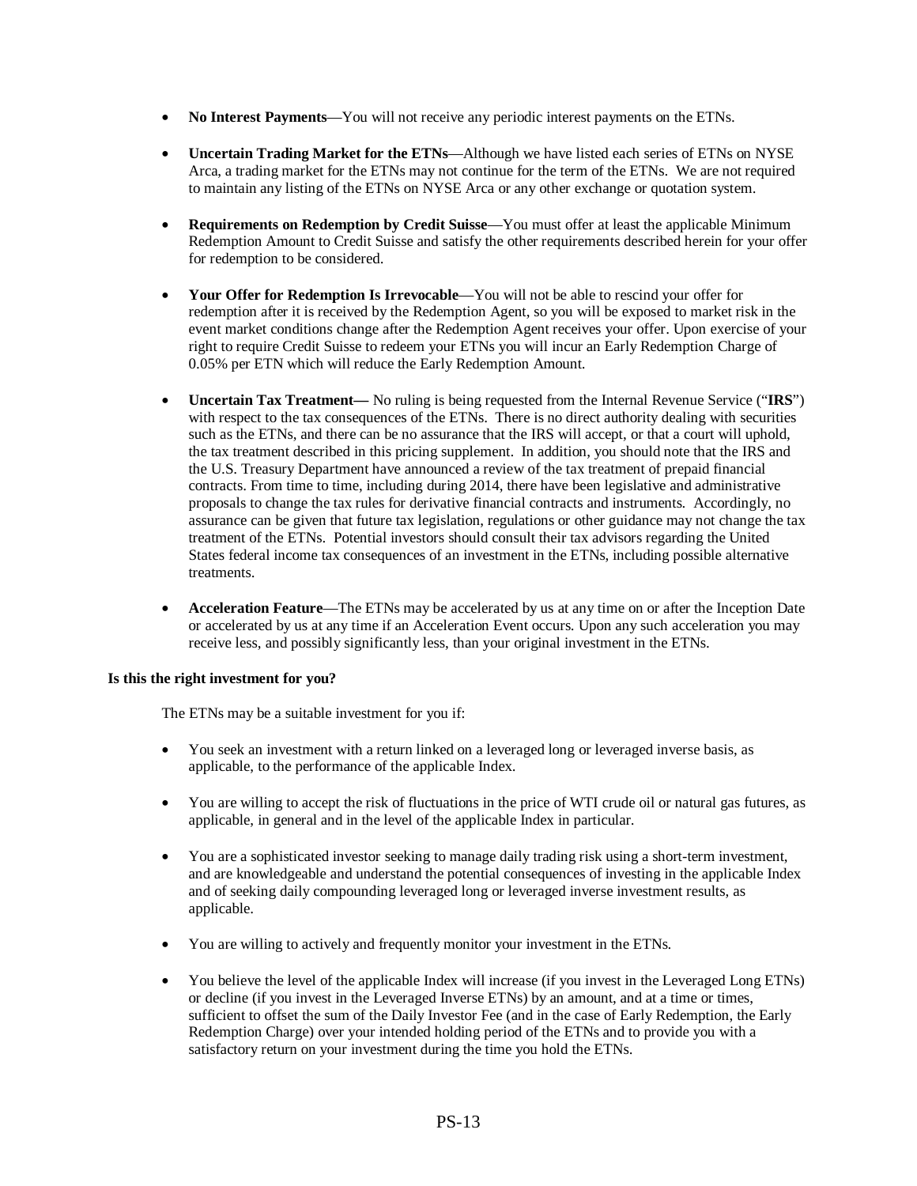- **No Interest Payments**—You will not receive any periodic interest payments on the ETNs.
- **Uncertain Trading Market for the ETNs**—Although we have listed each series of ETNs on NYSE Arca, a trading market for the ETNs may not continue for the term of the ETNs. We are not required to maintain any listing of the ETNs on NYSE Arca or any other exchange or quotation system.
- **Requirements on Redemption by Credit Suisse—You must offer at least the applicable Minimum** Redemption Amount to Credit Suisse and satisfy the other requirements described herein for your offer for redemption to be considered.
- **Your Offer for Redemption Is Irrevocable**—You will not be able to rescind your offer for redemption after it is received by the Redemption Agent, so you will be exposed to market risk in the event market conditions change after the Redemption Agent receives your offer. Upon exercise of your right to require Credit Suisse to redeem your ETNs you will incur an Early Redemption Charge of 0.05% per ETN which will reduce the Early Redemption Amount.
- **Uncertain Tax Treatment—** No ruling is being requested from the Internal Revenue Service ("**IRS**") with respect to the tax consequences of the ETNs. There is no direct authority dealing with securities such as the ETNs, and there can be no assurance that the IRS will accept, or that a court will uphold, the tax treatment described in this pricing supplement. In addition, you should note that the IRS and the U.S. Treasury Department have announced a review of the tax treatment of prepaid financial contracts. From time to time, including during 2014, there have been legislative and administrative proposals to change the tax rules for derivative financial contracts and instruments. Accordingly, no assurance can be given that future tax legislation, regulations or other guidance may not change the tax treatment of the ETNs. Potential investors should consult their tax advisors regarding the United States federal income tax consequences of an investment in the ETNs, including possible alternative treatments.
- **Acceleration Feature**—The ETNs may be accelerated by us at any time on or after the Inception Date or accelerated by us at any time if an Acceleration Event occurs. Upon any such acceleration you may receive less, and possibly significantly less, than your original investment in the ETNs.

# **Is this the right investment for you?**

The ETNs may be a suitable investment for you if:

- You seek an investment with a return linked on a leveraged long or leveraged inverse basis, as applicable, to the performance of the applicable Index.
- You are willing to accept the risk of fluctuations in the price of WTI crude oil or natural gas futures, as applicable, in general and in the level of the applicable Index in particular.
- You are a sophisticated investor seeking to manage daily trading risk using a short-term investment, and are knowledgeable and understand the potential consequences of investing in the applicable Index and of seeking daily compounding leveraged long or leveraged inverse investment results, as applicable.
- You are willing to actively and frequently monitor your investment in the ETNs.
- You believe the level of the applicable Index will increase (if you invest in the Leveraged Long ETNs) or decline (if you invest in the Leveraged Inverse ETNs) by an amount, and at a time or times, sufficient to offset the sum of the Daily Investor Fee (and in the case of Early Redemption, the Early Redemption Charge) over your intended holding period of the ETNs and to provide you with a satisfactory return on your investment during the time you hold the ETNs.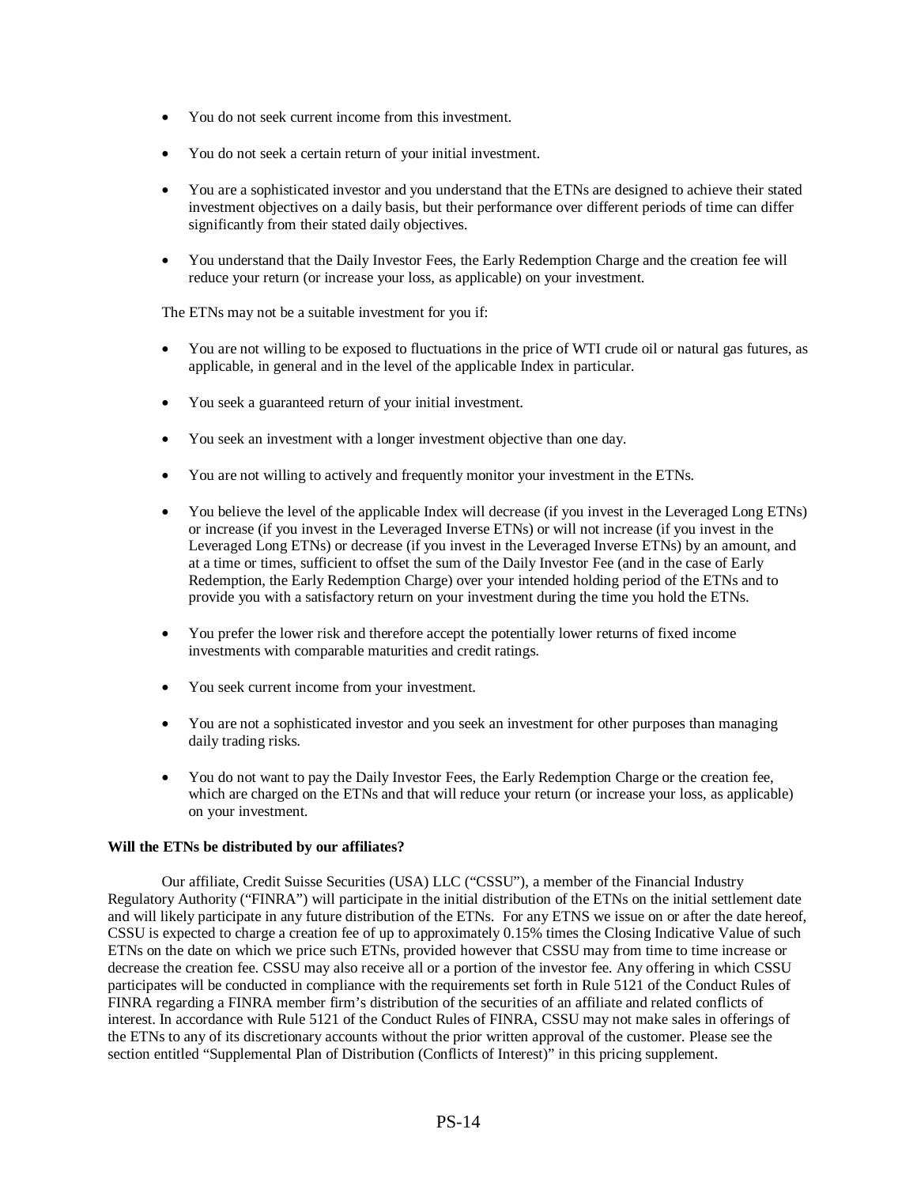- You do not seek current income from this investment.
- You do not seek a certain return of your initial investment.
- You are a sophisticated investor and you understand that the ETNs are designed to achieve their stated investment objectives on a daily basis, but their performance over different periods of time can differ significantly from their stated daily objectives.
- You understand that the Daily Investor Fees, the Early Redemption Charge and the creation fee will reduce your return (or increase your loss, as applicable) on your investment.

The ETNs may not be a suitable investment for you if:

- You are not willing to be exposed to fluctuations in the price of WTI crude oil or natural gas futures, as applicable, in general and in the level of the applicable Index in particular.
- You seek a guaranteed return of your initial investment.
- You seek an investment with a longer investment objective than one day.
- You are not willing to actively and frequently monitor your investment in the ETNs.
- You believe the level of the applicable Index will decrease (if you invest in the Leveraged Long ETNs) or increase (if you invest in the Leveraged Inverse ETNs) or will not increase (if you invest in the Leveraged Long ETNs) or decrease (if you invest in the Leveraged Inverse ETNs) by an amount, and at a time or times, sufficient to offset the sum of the Daily Investor Fee (and in the case of Early Redemption, the Early Redemption Charge) over your intended holding period of the ETNs and to provide you with a satisfactory return on your investment during the time you hold the ETNs.
- You prefer the lower risk and therefore accept the potentially lower returns of fixed income investments with comparable maturities and credit ratings.
- You seek current income from your investment.
- You are not a sophisticated investor and you seek an investment for other purposes than managing daily trading risks.
- You do not want to pay the Daily Investor Fees, the Early Redemption Charge or the creation fee, which are charged on the ETNs and that will reduce your return (or increase your loss, as applicable) on your investment.

#### **Will the ETNs be distributed by our affiliates?**

Our affiliate, Credit Suisse Securities (USA) LLC ("CSSU"), a member of the Financial Industry Regulatory Authority ("FINRA") will participate in the initial distribution of the ETNs on the initial settlement date and will likely participate in any future distribution of the ETNs. For any ETNS we issue on or after the date hereof, CSSU is expected to charge a creation fee of up to approximately 0.15% times the Closing Indicative Value of such ETNs on the date on which we price such ETNs, provided however that CSSU may from time to time increase or decrease the creation fee. CSSU may also receive all or a portion of the investor fee. Any offering in which CSSU participates will be conducted in compliance with the requirements set forth in Rule 5121 of the Conduct Rules of FINRA regarding a FINRA member firm's distribution of the securities of an affiliate and related conflicts of interest. In accordance with Rule 5121 of the Conduct Rules of FINRA, CSSU may not make sales in offerings of the ETNs to any of its discretionary accounts without the prior written approval of the customer. Please see the section entitled "Supplemental Plan of Distribution (Conflicts of Interest)" in this pricing supplement.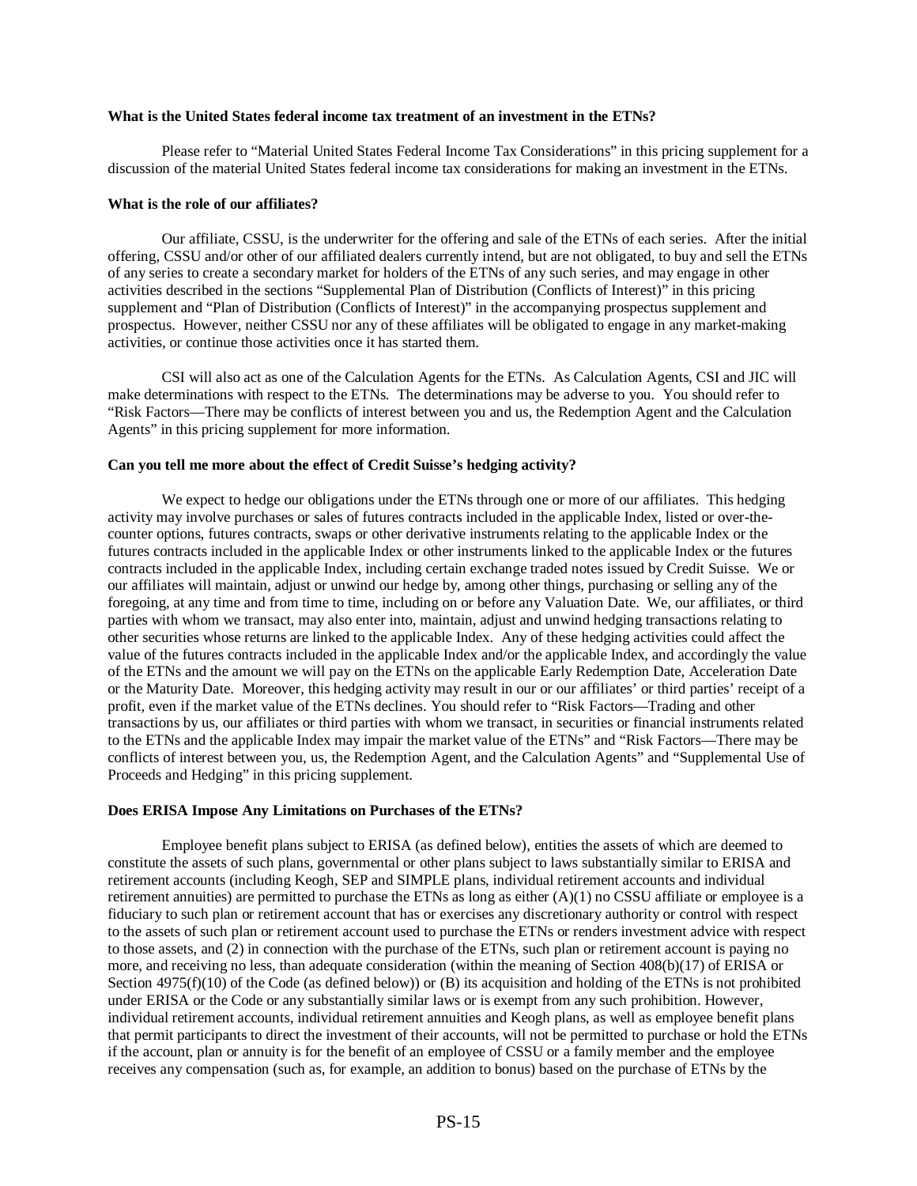#### **What is the United States federal income tax treatment of an investment in the ETNs?**

Please refer to "Material United States Federal Income Tax Considerations" in this pricing supplement for a discussion of the material United States federal income tax considerations for making an investment in the ETNs.

#### **What is the role of our affiliates?**

Our affiliate, CSSU, is the underwriter for the offering and sale of the ETNs of each series. After the initial offering, CSSU and/or other of our affiliated dealers currently intend, but are not obligated, to buy and sell the ETNs of any series to create a secondary market for holders of the ETNs of any such series, and may engage in other activities described in the sections "Supplemental Plan of Distribution (Conflicts of Interest)" in this pricing supplement and "Plan of Distribution (Conflicts of Interest)" in the accompanying prospectus supplement and prospectus. However, neither CSSU nor any of these affiliates will be obligated to engage in any market-making activities, or continue those activities once it has started them.

CSI will also act as one of the Calculation Agents for the ETNs. As Calculation Agents, CSI and JIC will make determinations with respect to the ETNs. The determinations may be adverse to you. You should refer to "Risk Factors—There may be conflicts of interest between you and us, the Redemption Agent and the Calculation Agents" in this pricing supplement for more information.

#### **Can you tell me more about the effect of Credit Suisse's hedging activity?**

We expect to hedge our obligations under the ETNs through one or more of our affiliates. This hedging activity may involve purchases or sales of futures contracts included in the applicable Index, listed or over-thecounter options, futures contracts, swaps or other derivative instruments relating to the applicable Index or the futures contracts included in the applicable Index or other instruments linked to the applicable Index or the futures contracts included in the applicable Index, including certain exchange traded notes issued by Credit Suisse. We or our affiliates will maintain, adjust or unwind our hedge by, among other things, purchasing or selling any of the foregoing, at any time and from time to time, including on or before any Valuation Date. We, our affiliates, or third parties with whom we transact, may also enter into, maintain, adjust and unwind hedging transactions relating to other securities whose returns are linked to the applicable Index. Any of these hedging activities could affect the value of the futures contracts included in the applicable Index and/or the applicable Index, and accordingly the value of the ETNs and the amount we will pay on the ETNs on the applicable Early Redemption Date, Acceleration Date or the Maturity Date. Moreover, this hedging activity may result in our or our affiliates' or third parties' receipt of a profit, even if the market value of the ETNs declines. You should refer to "Risk Factors—Trading and other transactions by us, our affiliates or third parties with whom we transact, in securities or financial instruments related to the ETNs and the applicable Index may impair the market value of the ETNs" and "Risk Factors—There may be conflicts of interest between you, us, the Redemption Agent, and the Calculation Agents" and "Supplemental Use of Proceeds and Hedging" in this pricing supplement.

#### **Does ERISA Impose Any Limitations on Purchases of the ETNs?**

Employee benefit plans subject to ERISA (as defined below), entities the assets of which are deemed to constitute the assets of such plans, governmental or other plans subject to laws substantially similar to ERISA and retirement accounts (including Keogh, SEP and SIMPLE plans, individual retirement accounts and individual retirement annuities) are permitted to purchase the ETNs as long as either (A)(1) no CSSU affiliate or employee is a fiduciary to such plan or retirement account that has or exercises any discretionary authority or control with respect to the assets of such plan or retirement account used to purchase the ETNs or renders investment advice with respect to those assets, and (2) in connection with the purchase of the ETNs, such plan or retirement account is paying no more, and receiving no less, than adequate consideration (within the meaning of Section 408(b)(17) of ERISA or Section  $4975(f)(10)$  of the Code (as defined below)) or (B) its acquisition and holding of the ETNs is not prohibited under ERISA or the Code or any substantially similar laws or is exempt from any such prohibition. However, individual retirement accounts, individual retirement annuities and Keogh plans, as well as employee benefit plans that permit participants to direct the investment of their accounts, will not be permitted to purchase or hold the ETNs if the account, plan or annuity is for the benefit of an employee of CSSU or a family member and the employee receives any compensation (such as, for example, an addition to bonus) based on the purchase of ETNs by the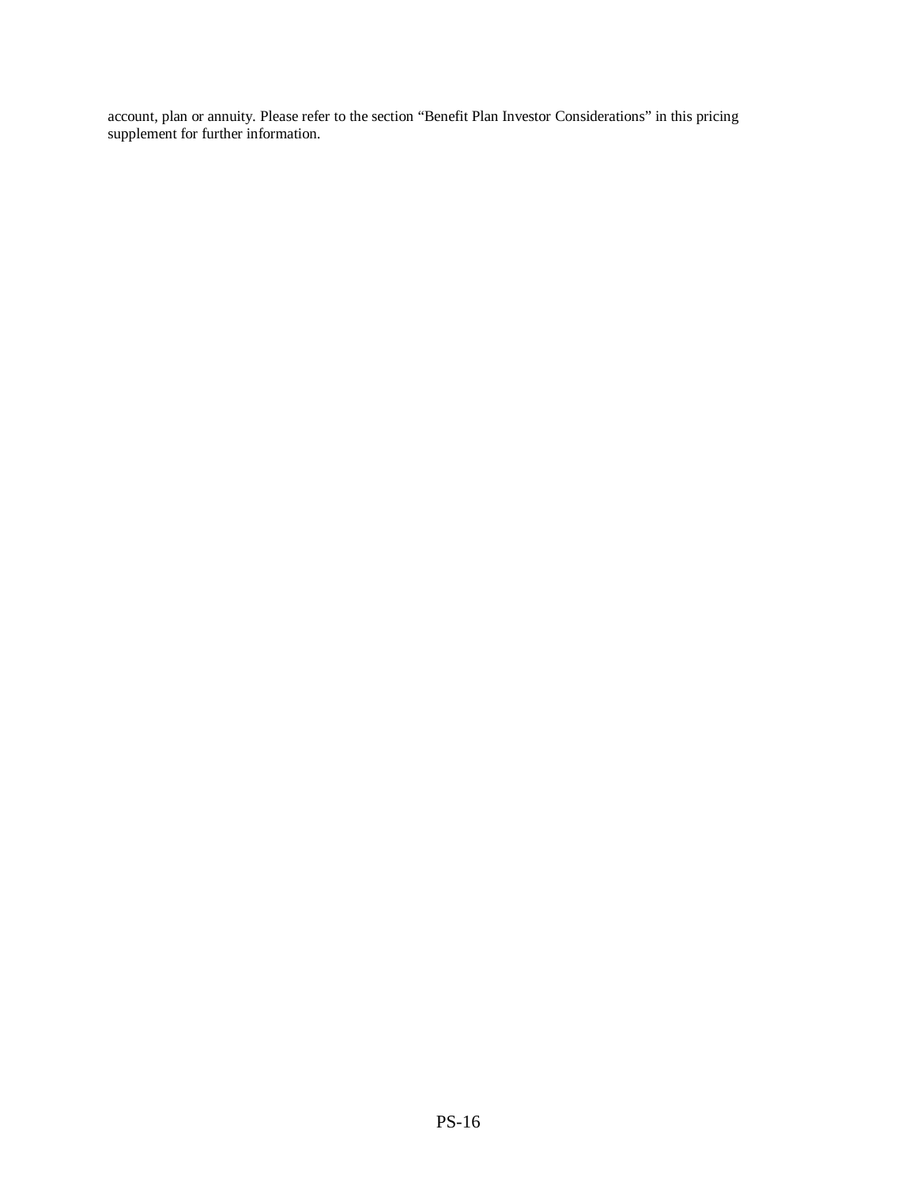account, plan or annuity. Please refer to the section "Benefit Plan Investor Considerations" in this pricing supplement for further information.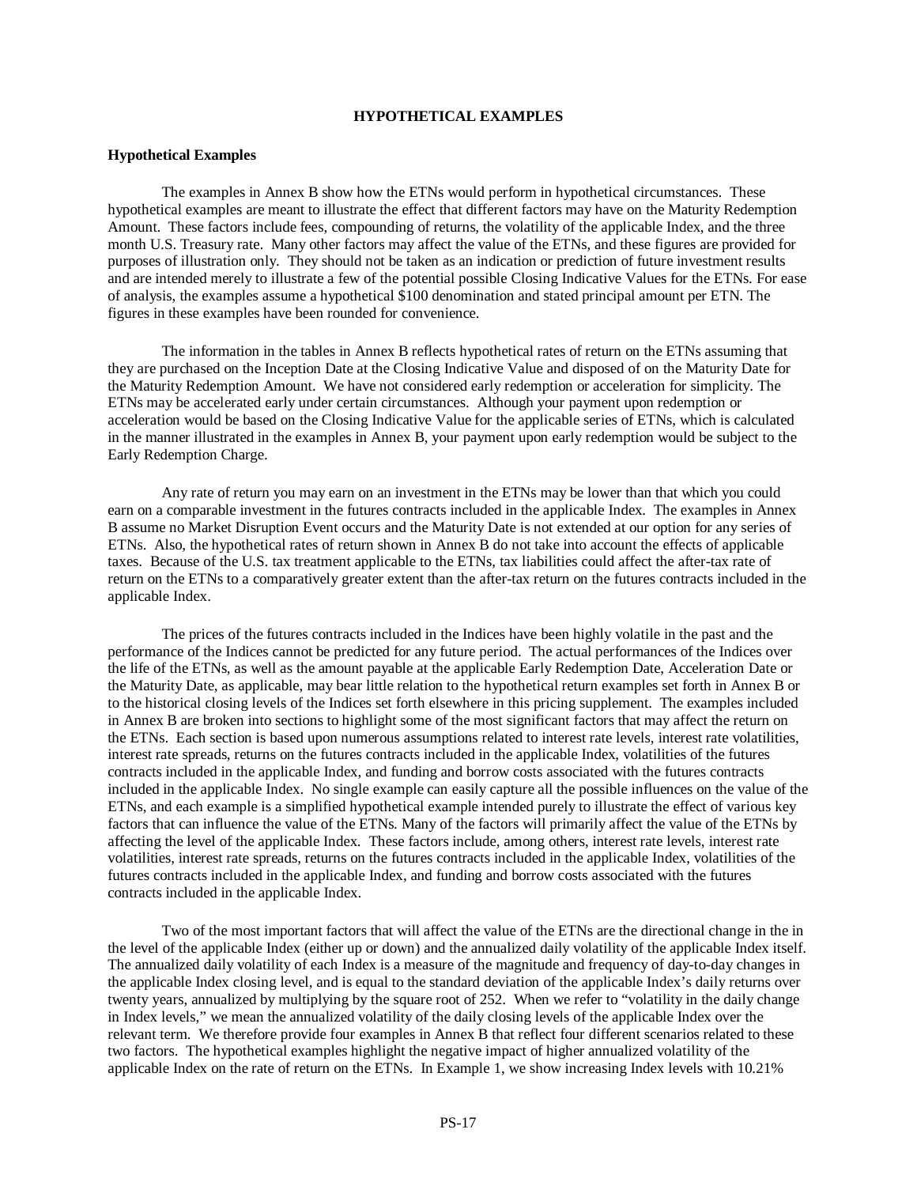#### **HYPOTHETICAL EXAMPLES**

#### **Hypothetical Examples**

The examples in Annex B show how the ETNs would perform in hypothetical circumstances. These hypothetical examples are meant to illustrate the effect that different factors may have on the Maturity Redemption Amount. These factors include fees, compounding of returns, the volatility of the applicable Index, and the three month U.S. Treasury rate. Many other factors may affect the value of the ETNs, and these figures are provided for purposes of illustration only. They should not be taken as an indication or prediction of future investment results and are intended merely to illustrate a few of the potential possible Closing Indicative Values for the ETNs. For ease of analysis, the examples assume a hypothetical \$100 denomination and stated principal amount per ETN. The figures in these examples have been rounded for convenience.

The information in the tables in Annex B reflects hypothetical rates of return on the ETNs assuming that they are purchased on the Inception Date at the Closing Indicative Value and disposed of on the Maturity Date for the Maturity Redemption Amount. We have not considered early redemption or acceleration for simplicity. The ETNs may be accelerated early under certain circumstances. Although your payment upon redemption or acceleration would be based on the Closing Indicative Value for the applicable series of ETNs, which is calculated in the manner illustrated in the examples in Annex B, your payment upon early redemption would be subject to the Early Redemption Charge.

Any rate of return you may earn on an investment in the ETNs may be lower than that which you could earn on a comparable investment in the futures contracts included in the applicable Index. The examples in Annex B assume no Market Disruption Event occurs and the Maturity Date is not extended at our option for any series of ETNs. Also, the hypothetical rates of return shown in Annex B do not take into account the effects of applicable taxes. Because of the U.S. tax treatment applicable to the ETNs, tax liabilities could affect the after-tax rate of return on the ETNs to a comparatively greater extent than the after-tax return on the futures contracts included in the applicable Index.

The prices of the futures contracts included in the Indices have been highly volatile in the past and the performance of the Indices cannot be predicted for any future period. The actual performances of the Indices over the life of the ETNs, as well as the amount payable at the applicable Early Redemption Date, Acceleration Date or the Maturity Date, as applicable, may bear little relation to the hypothetical return examples set forth in Annex B or to the historical closing levels of the Indices set forth elsewhere in this pricing supplement. The examples included in Annex B are broken into sections to highlight some of the most significant factors that may affect the return on the ETNs. Each section is based upon numerous assumptions related to interest rate levels, interest rate volatilities, interest rate spreads, returns on the futures contracts included in the applicable Index, volatilities of the futures contracts included in the applicable Index, and funding and borrow costs associated with the futures contracts included in the applicable Index. No single example can easily capture all the possible influences on the value of the ETNs, and each example is a simplified hypothetical example intended purely to illustrate the effect of various key factors that can influence the value of the ETNs. Many of the factors will primarily affect the value of the ETNs by affecting the level of the applicable Index. These factors include, among others, interest rate levels, interest rate volatilities, interest rate spreads, returns on the futures contracts included in the applicable Index, volatilities of the futures contracts included in the applicable Index, and funding and borrow costs associated with the futures contracts included in the applicable Index.

Two of the most important factors that will affect the value of the ETNs are the directional change in the in the level of the applicable Index (either up or down) and the annualized daily volatility of the applicable Index itself. The annualized daily volatility of each Index is a measure of the magnitude and frequency of day-to-day changes in the applicable Index closing level, and is equal to the standard deviation of the applicable Index's daily returns over twenty years, annualized by multiplying by the square root of 252. When we refer to "volatility in the daily change in Index levels," we mean the annualized volatility of the daily closing levels of the applicable Index over the relevant term. We therefore provide four examples in Annex B that reflect four different scenarios related to these two factors. The hypothetical examples highlight the negative impact of higher annualized volatility of the applicable Index on the rate of return on the ETNs. In Example 1, we show increasing Index levels with 10.21%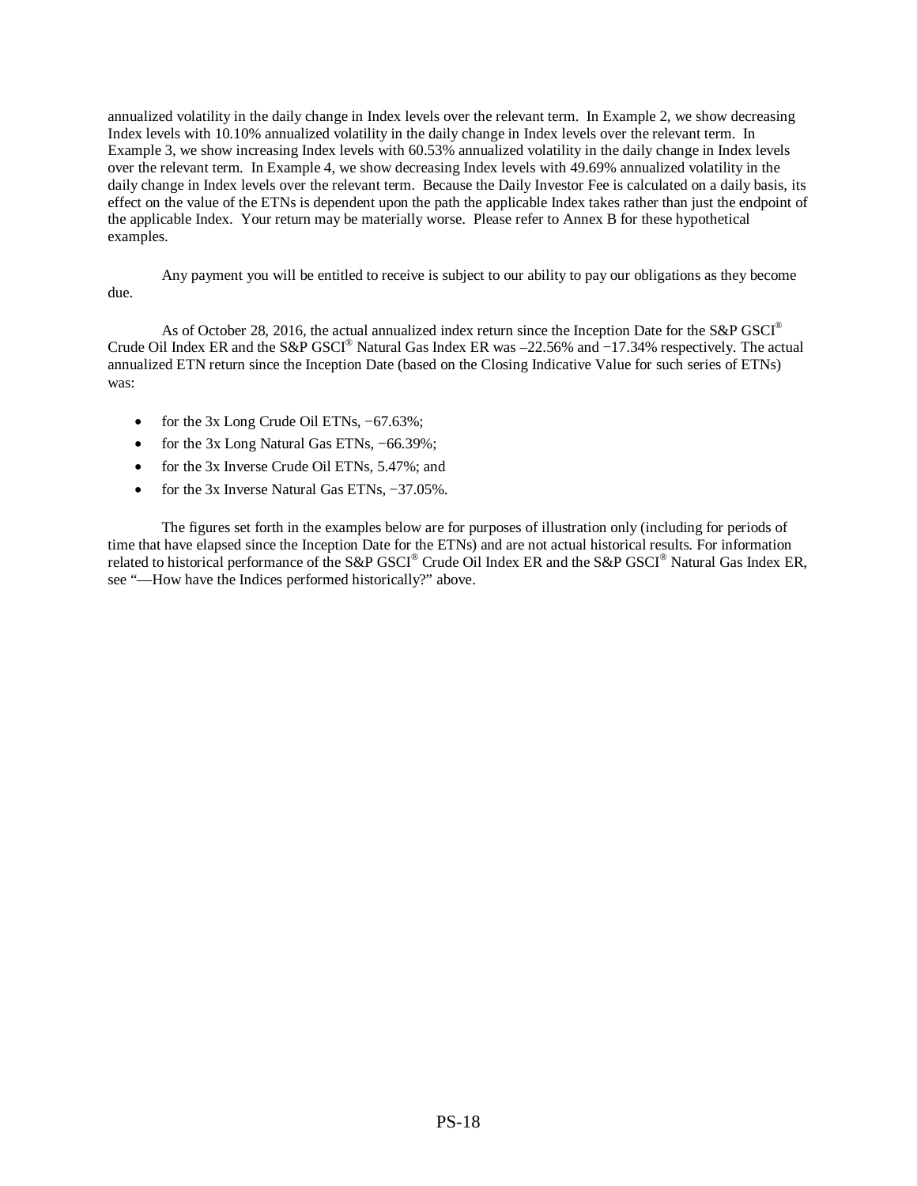annualized volatility in the daily change in Index levels over the relevant term. In Example 2, we show decreasing Index levels with 10.10% annualized volatility in the daily change in Index levels over the relevant term. In Example 3, we show increasing Index levels with 60.53% annualized volatility in the daily change in Index levels over the relevant term. In Example 4, we show decreasing Index levels with 49.69% annualized volatility in the daily change in Index levels over the relevant term. Because the Daily Investor Fee is calculated on a daily basis, its effect on the value of the ETNs is dependent upon the path the applicable Index takes rather than just the endpoint of the applicable Index. Your return may be materially worse. Please refer to Annex B for these hypothetical examples.

Any payment you will be entitled to receive is subject to our ability to pay our obligations as they become due.

As of October 28, 2016, the actual annualized index return since the Inception Date for the S&P GSCI<sup>®</sup> Crude Oil Index ER and the S&P GSCI® Natural Gas Index ER was –22.56% and −17.34% respectively. The actual annualized ETN return since the Inception Date (based on the Closing Indicative Value for such series of ETNs) was:

- for the 3x Long Crude Oil ETNs, −67.63%;
- for the 3x Long Natural Gas ETNs, −66.39%;
- for the 3x Inverse Crude Oil ETNs, 5.47%; and
- for the 3x Inverse Natural Gas ETNs, −37.05%.

The figures set forth in the examples below are for purposes of illustration only (including for periods of time that have elapsed since the Inception Date for the ETNs) and are not actual historical results. For information related to historical performance of the S&P GSCI® Crude Oil Index ER and the S&P GSCI® Natural Gas Index ER, see "—How have the Indices performed historically?" above.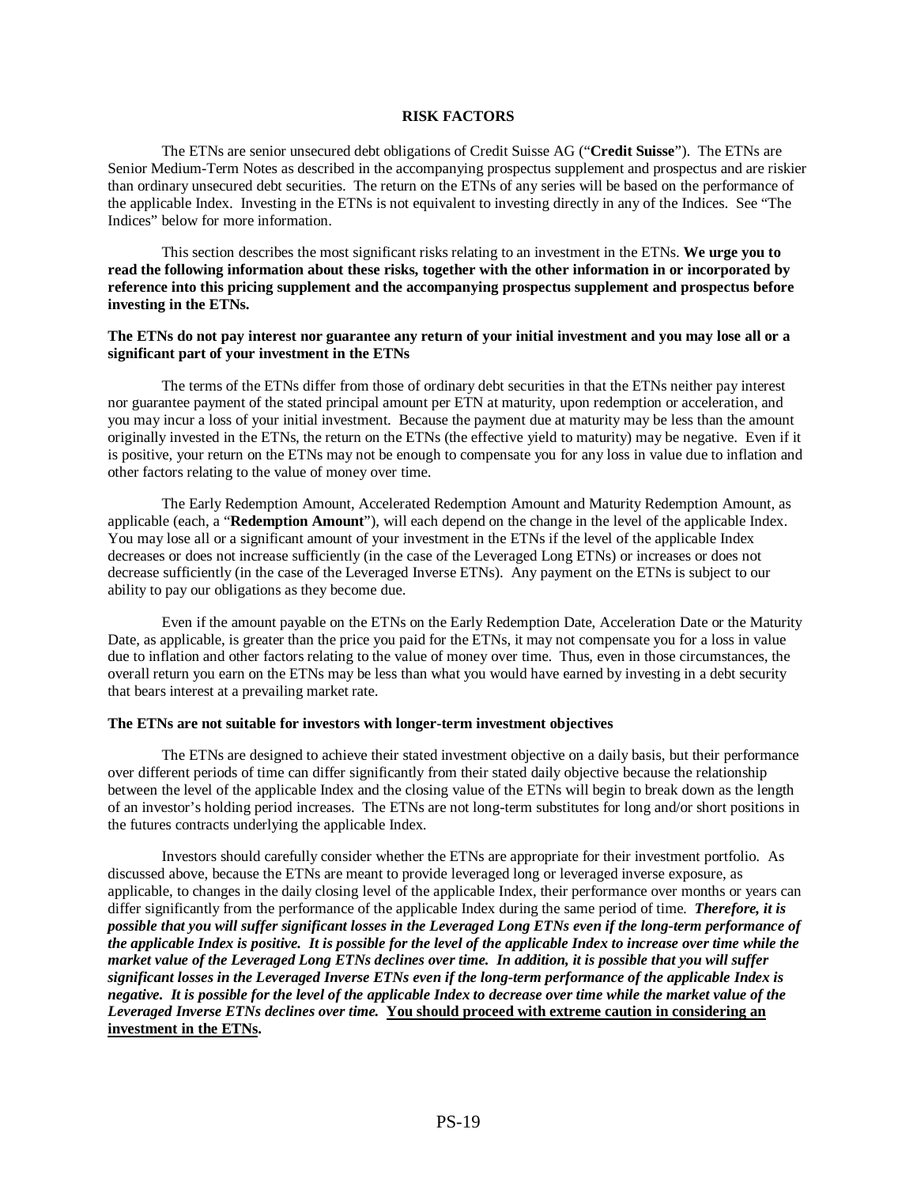# **RISK FACTORS**

The ETNs are senior unsecured debt obligations of Credit Suisse AG ("**Credit Suisse**"). The ETNs are Senior Medium-Term Notes as described in the accompanying prospectus supplement and prospectus and are riskier than ordinary unsecured debt securities. The return on the ETNs of any series will be based on the performance of the applicable Index. Investing in the ETNs is not equivalent to investing directly in any of the Indices. See "The Indices" below for more information.

This section describes the most significant risks relating to an investment in the ETNs. **We urge you to read the following information about these risks, together with the other information in or incorporated by reference into this pricing supplement and the accompanying prospectus supplement and prospectus before investing in the ETNs.**

#### **The ETNs do not pay interest nor guarantee any return of your initial investment and you may lose all or a significant part of your investment in the ETNs**

The terms of the ETNs differ from those of ordinary debt securities in that the ETNs neither pay interest nor guarantee payment of the stated principal amount per ETN at maturity, upon redemption or acceleration, and you may incur a loss of your initial investment. Because the payment due at maturity may be less than the amount originally invested in the ETNs, the return on the ETNs (the effective yield to maturity) may be negative. Even if it is positive, your return on the ETNs may not be enough to compensate you for any loss in value due to inflation and other factors relating to the value of money over time.

The Early Redemption Amount, Accelerated Redemption Amount and Maturity Redemption Amount, as applicable (each, a "**Redemption Amount**"), will each depend on the change in the level of the applicable Index. You may lose all or a significant amount of your investment in the ETNs if the level of the applicable Index decreases or does not increase sufficiently (in the case of the Leveraged Long ETNs) or increases or does not decrease sufficiently (in the case of the Leveraged Inverse ETNs). Any payment on the ETNs is subject to our ability to pay our obligations as they become due.

Even if the amount payable on the ETNs on the Early Redemption Date, Acceleration Date or the Maturity Date, as applicable, is greater than the price you paid for the ETNs, it may not compensate you for a loss in value due to inflation and other factors relating to the value of money over time. Thus, even in those circumstances, the overall return you earn on the ETNs may be less than what you would have earned by investing in a debt security that bears interest at a prevailing market rate.

#### **The ETNs are not suitable for investors with longer-term investment objectives**

The ETNs are designed to achieve their stated investment objective on a daily basis, but their performance over different periods of time can differ significantly from their stated daily objective because the relationship between the level of the applicable Index and the closing value of the ETNs will begin to break down as the length of an investor's holding period increases. The ETNs are not long-term substitutes for long and/or short positions in the futures contracts underlying the applicable Index.

Investors should carefully consider whether the ETNs are appropriate for their investment portfolio. As discussed above, because the ETNs are meant to provide leveraged long or leveraged inverse exposure, as applicable, to changes in the daily closing level of the applicable Index, their performance over months or years can differ significantly from the performance of the applicable Index during the same period of time. *Therefore, it is possible that you will suffer significant losses in the Leveraged Long ETNs even if the long-term performance of the applicable Index is positive. It is possible for the level of the applicable Index to increase over time while the market value of the Leveraged Long ETNs declines over time. In addition, it is possible that you will suffer significant losses in the Leveraged Inverse ETNs even if the long-term performance of the applicable Index is negative. It is possible for the level of the applicable Index to decrease over time while the market value of the Leveraged Inverse ETNs declines over time.* **You should proceed with extreme caution in considering an investment in the ETNs.**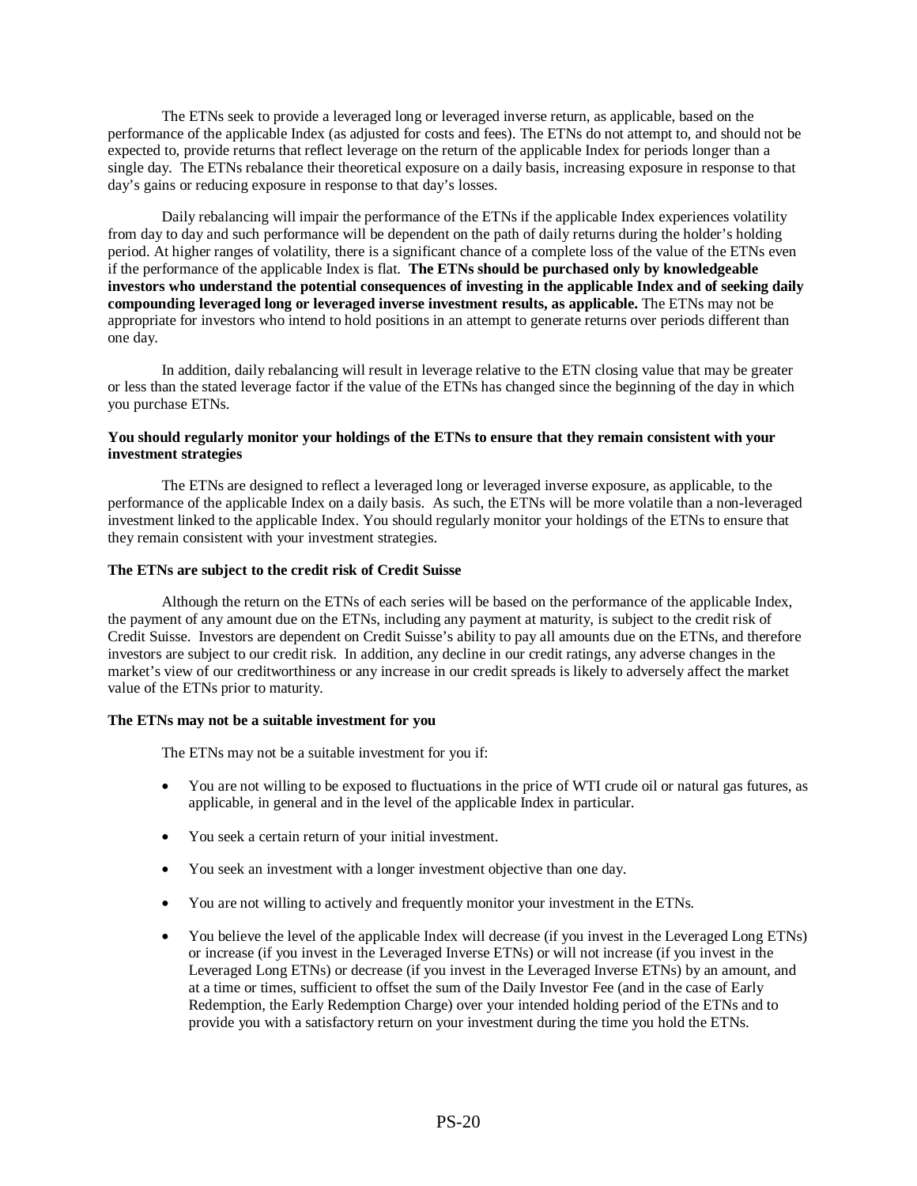The ETNs seek to provide a leveraged long or leveraged inverse return, as applicable, based on the performance of the applicable Index (as adjusted for costs and fees). The ETNs do not attempt to, and should not be expected to, provide returns that reflect leverage on the return of the applicable Index for periods longer than a single day. The ETNs rebalance their theoretical exposure on a daily basis, increasing exposure in response to that day's gains or reducing exposure in response to that day's losses.

Daily rebalancing will impair the performance of the ETNs if the applicable Index experiences volatility from day to day and such performance will be dependent on the path of daily returns during the holder's holding period. At higher ranges of volatility, there is a significant chance of a complete loss of the value of the ETNs even if the performance of the applicable Index is flat. **The ETNs should be purchased only by knowledgeable investors who understand the potential consequences of investing in the applicable Index and of seeking daily compounding leveraged long or leveraged inverse investment results, as applicable.** The ETNs may not be appropriate for investors who intend to hold positions in an attempt to generate returns over periods different than one day.

In addition, daily rebalancing will result in leverage relative to the ETN closing value that may be greater or less than the stated leverage factor if the value of the ETNs has changed since the beginning of the day in which you purchase ETNs.

#### **You should regularly monitor your holdings of the ETNs to ensure that they remain consistent with your investment strategies**

The ETNs are designed to reflect a leveraged long or leveraged inverse exposure, as applicable, to the performance of the applicable Index on a daily basis. As such, the ETNs will be more volatile than a non-leveraged investment linked to the applicable Index. You should regularly monitor your holdings of the ETNs to ensure that they remain consistent with your investment strategies.

#### **The ETNs are subject to the credit risk of Credit Suisse**

Although the return on the ETNs of each series will be based on the performance of the applicable Index, the payment of any amount due on the ETNs, including any payment at maturity, is subject to the credit risk of Credit Suisse. Investors are dependent on Credit Suisse's ability to pay all amounts due on the ETNs, and therefore investors are subject to our credit risk. In addition, any decline in our credit ratings, any adverse changes in the market's view of our creditworthiness or any increase in our credit spreads is likely to adversely affect the market value of the ETNs prior to maturity.

#### **The ETNs may not be a suitable investment for you**

The ETNs may not be a suitable investment for you if:

- You are not willing to be exposed to fluctuations in the price of WTI crude oil or natural gas futures, as applicable, in general and in the level of the applicable Index in particular.
- You seek a certain return of your initial investment.
- You seek an investment with a longer investment objective than one day.
- You are not willing to actively and frequently monitor your investment in the ETNs.
- You believe the level of the applicable Index will decrease (if you invest in the Leveraged Long ETNs) or increase (if you invest in the Leveraged Inverse ETNs) or will not increase (if you invest in the Leveraged Long ETNs) or decrease (if you invest in the Leveraged Inverse ETNs) by an amount, and at a time or times, sufficient to offset the sum of the Daily Investor Fee (and in the case of Early Redemption, the Early Redemption Charge) over your intended holding period of the ETNs and to provide you with a satisfactory return on your investment during the time you hold the ETNs.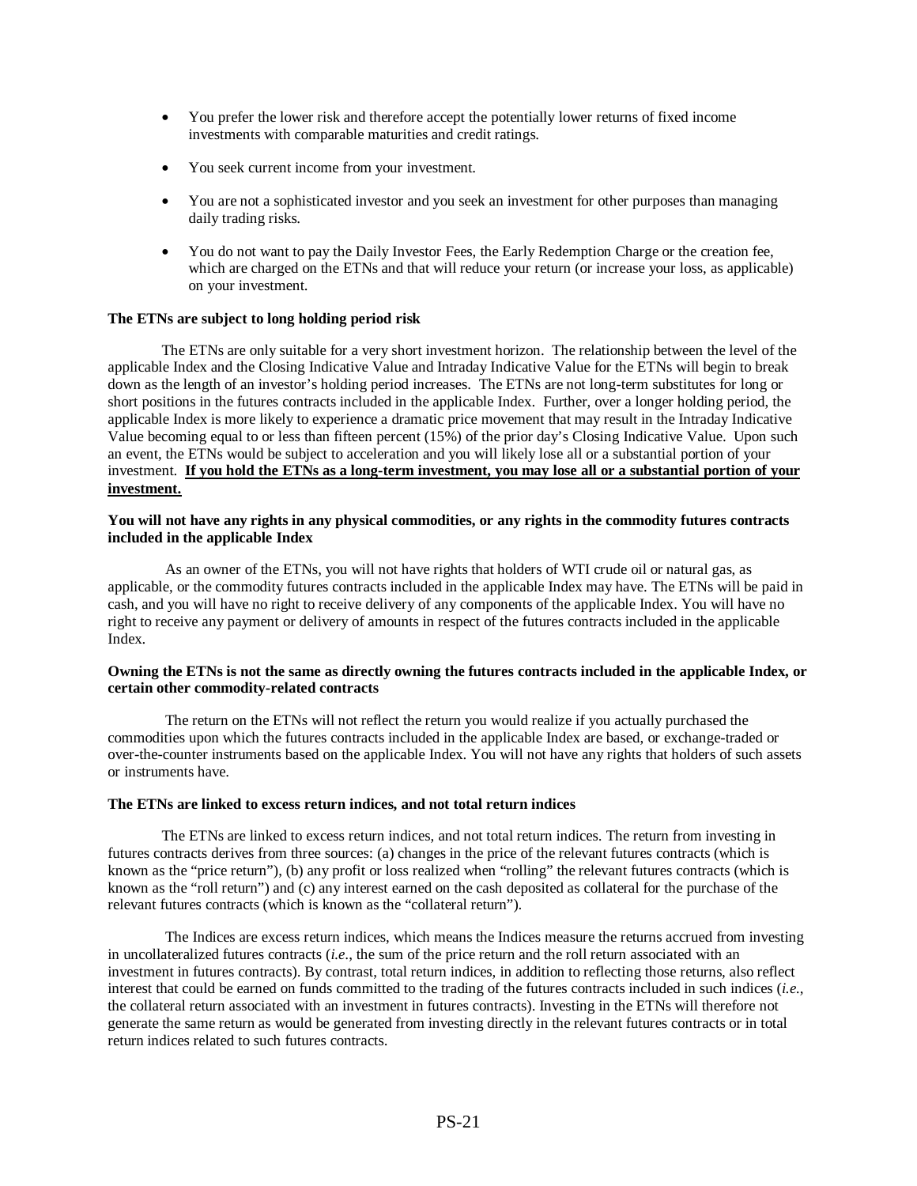- You prefer the lower risk and therefore accept the potentially lower returns of fixed income investments with comparable maturities and credit ratings.
- You seek current income from your investment.
- You are not a sophisticated investor and you seek an investment for other purposes than managing daily trading risks.
- You do not want to pay the Daily Investor Fees, the Early Redemption Charge or the creation fee, which are charged on the ETNs and that will reduce your return (or increase your loss, as applicable) on your investment.

#### **The ETNs are subject to long holding period risk**

The ETNs are only suitable for a very short investment horizon. The relationship between the level of the applicable Index and the Closing Indicative Value and Intraday Indicative Value for the ETNs will begin to break down as the length of an investor's holding period increases. The ETNs are not long-term substitutes for long or short positions in the futures contracts included in the applicable Index. Further, over a longer holding period, the applicable Index is more likely to experience a dramatic price movement that may result in the Intraday Indicative Value becoming equal to or less than fifteen percent (15%) of the prior day's Closing Indicative Value. Upon such an event, the ETNs would be subject to acceleration and you will likely lose all or a substantial portion of your investment. **If you hold the ETNs as a long-term investment, you may lose all or a substantial portion of your investment.** 

#### **You will not have any rights in any physical commodities, or any rights in the commodity futures contracts included in the applicable Index**

As an owner of the ETNs, you will not have rights that holders of WTI crude oil or natural gas, as applicable, or the commodity futures contracts included in the applicable Index may have. The ETNs will be paid in cash, and you will have no right to receive delivery of any components of the applicable Index. You will have no right to receive any payment or delivery of amounts in respect of the futures contracts included in the applicable Index.

#### **Owning the ETNs is not the same as directly owning the futures contracts included in the applicable Index, or certain other commodity-related contracts**

The return on the ETNs will not reflect the return you would realize if you actually purchased the commodities upon which the futures contracts included in the applicable Index are based, or exchange-traded or over-the-counter instruments based on the applicable Index. You will not have any rights that holders of such assets or instruments have.

#### **The ETNs are linked to excess return indices, and not total return indices**

The ETNs are linked to excess return indices, and not total return indices. The return from investing in futures contracts derives from three sources: (a) changes in the price of the relevant futures contracts (which is known as the "price return"), (b) any profit or loss realized when "rolling" the relevant futures contracts (which is known as the "roll return") and (c) any interest earned on the cash deposited as collateral for the purchase of the relevant futures contracts (which is known as the "collateral return").

The Indices are excess return indices, which means the Indices measure the returns accrued from investing in uncollateralized futures contracts (*i.e.*, the sum of the price return and the roll return associated with an investment in futures contracts). By contrast, total return indices, in addition to reflecting those returns, also reflect interest that could be earned on funds committed to the trading of the futures contracts included in such indices (*i.e.*, the collateral return associated with an investment in futures contracts). Investing in the ETNs will therefore not generate the same return as would be generated from investing directly in the relevant futures contracts or in total return indices related to such futures contracts.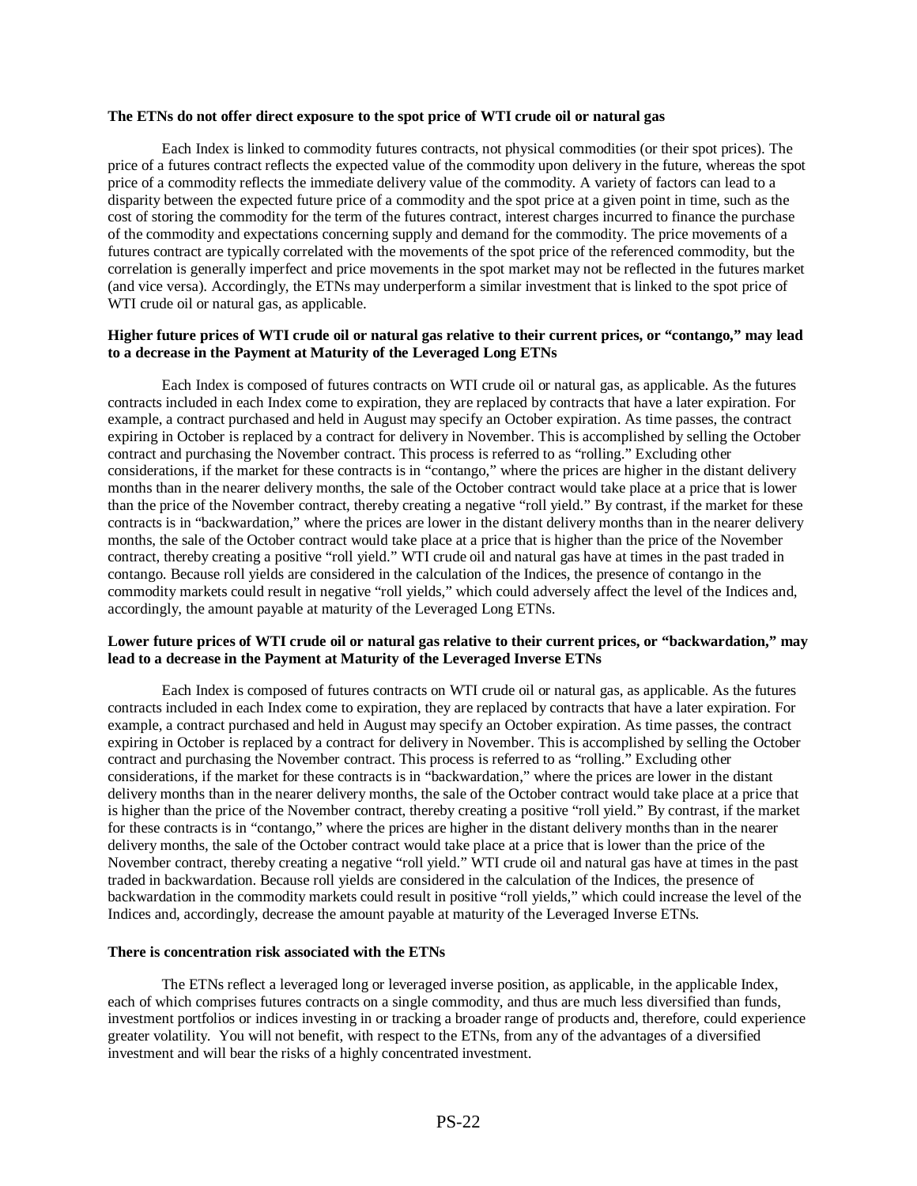#### **The ETNs do not offer direct exposure to the spot price of WTI crude oil or natural gas**

Each Index is linked to commodity futures contracts, not physical commodities (or their spot prices). The price of a futures contract reflects the expected value of the commodity upon delivery in the future, whereas the spot price of a commodity reflects the immediate delivery value of the commodity. A variety of factors can lead to a disparity between the expected future price of a commodity and the spot price at a given point in time, such as the cost of storing the commodity for the term of the futures contract, interest charges incurred to finance the purchase of the commodity and expectations concerning supply and demand for the commodity. The price movements of a futures contract are typically correlated with the movements of the spot price of the referenced commodity, but the correlation is generally imperfect and price movements in the spot market may not be reflected in the futures market (and vice versa). Accordingly, the ETNs may underperform a similar investment that is linked to the spot price of WTI crude oil or natural gas, as applicable.

#### **Higher future prices of WTI crude oil or natural gas relative to their current prices, or "contango," may lead to a decrease in the Payment at Maturity of the Leveraged Long ETNs**

Each Index is composed of futures contracts on WTI crude oil or natural gas, as applicable. As the futures contracts included in each Index come to expiration, they are replaced by contracts that have a later expiration. For example, a contract purchased and held in August may specify an October expiration. As time passes, the contract expiring in October is replaced by a contract for delivery in November. This is accomplished by selling the October contract and purchasing the November contract. This process is referred to as "rolling." Excluding other considerations, if the market for these contracts is in "contango," where the prices are higher in the distant delivery months than in the nearer delivery months, the sale of the October contract would take place at a price that is lower than the price of the November contract, thereby creating a negative "roll yield." By contrast, if the market for these contracts is in "backwardation," where the prices are lower in the distant delivery months than in the nearer delivery months, the sale of the October contract would take place at a price that is higher than the price of the November contract, thereby creating a positive "roll yield." WTI crude oil and natural gas have at times in the past traded in contango. Because roll yields are considered in the calculation of the Indices, the presence of contango in the commodity markets could result in negative "roll yields," which could adversely affect the level of the Indices and, accordingly, the amount payable at maturity of the Leveraged Long ETNs.

# **Lower future prices of WTI crude oil or natural gas relative to their current prices, or "backwardation," may lead to a decrease in the Payment at Maturity of the Leveraged Inverse ETNs**

 Each Index is composed of futures contracts on WTI crude oil or natural gas, as applicable. As the futures contracts included in each Index come to expiration, they are replaced by contracts that have a later expiration. For example, a contract purchased and held in August may specify an October expiration. As time passes, the contract expiring in October is replaced by a contract for delivery in November. This is accomplished by selling the October contract and purchasing the November contract. This process is referred to as "rolling." Excluding other considerations, if the market for these contracts is in "backwardation," where the prices are lower in the distant delivery months than in the nearer delivery months, the sale of the October contract would take place at a price that is higher than the price of the November contract, thereby creating a positive "roll yield." By contrast, if the market for these contracts is in "contango," where the prices are higher in the distant delivery months than in the nearer delivery months, the sale of the October contract would take place at a price that is lower than the price of the November contract, thereby creating a negative "roll yield." WTI crude oil and natural gas have at times in the past traded in backwardation. Because roll yields are considered in the calculation of the Indices, the presence of backwardation in the commodity markets could result in positive "roll yields," which could increase the level of the Indices and, accordingly, decrease the amount payable at maturity of the Leveraged Inverse ETNs.

#### **There is concentration risk associated with the ETNs**

The ETNs reflect a leveraged long or leveraged inverse position, as applicable, in the applicable Index, each of which comprises futures contracts on a single commodity, and thus are much less diversified than funds, investment portfolios or indices investing in or tracking a broader range of products and, therefore, could experience greater volatility. You will not benefit, with respect to the ETNs, from any of the advantages of a diversified investment and will bear the risks of a highly concentrated investment.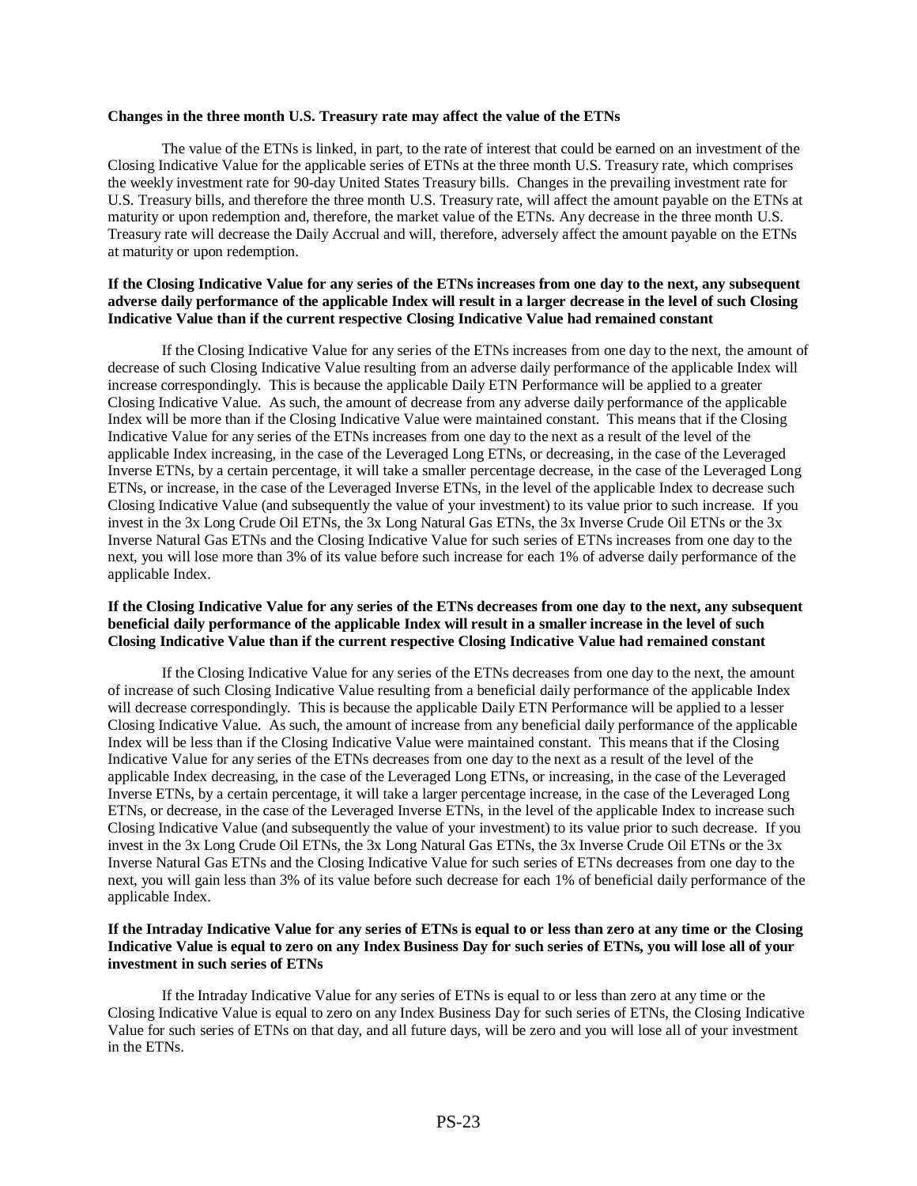#### **Changes in the three month U.S. Treasury rate may affect the value of the ETNs**

The value of the ETNs is linked, in part, to the rate of interest that could be earned on an investment of the Closing Indicative Value for the applicable series of ETNs at the three month U.S. Treasury rate, which comprises the weekly investment rate for 90-day United States Treasury bills. Changes in the prevailing investment rate for U.S. Treasury bills, and therefore the three month U.S. Treasury rate, will affect the amount payable on the ETNs at maturity or upon redemption and, therefore, the market value of the ETNs. Any decrease in the three month U.S. Treasury rate will decrease the Daily Accrual and will, therefore, adversely affect the amount payable on the ETNs at maturity or upon redemption.

#### **If the Closing Indicative Value for any series of the ETNs increases from one day to the next, any subsequent adverse daily performance of the applicable Index will result in a larger decrease in the level of such Closing Indicative Value than if the current respective Closing Indicative Value had remained constant**

If the Closing Indicative Value for any series of the ETNs increases from one day to the next, the amount of decrease of such Closing Indicative Value resulting from an adverse daily performance of the applicable Index will increase correspondingly. This is because the applicable Daily ETN Performance will be applied to a greater Closing Indicative Value. As such, the amount of decrease from any adverse daily performance of the applicable Index will be more than if the Closing Indicative Value were maintained constant. This means that if the Closing Indicative Value for any series of the ETNs increases from one day to the next as a result of the level of the applicable Index increasing, in the case of the Leveraged Long ETNs, or decreasing, in the case of the Leveraged Inverse ETNs, by a certain percentage, it will take a smaller percentage decrease, in the case of the Leveraged Long ETNs, or increase, in the case of the Leveraged Inverse ETNs, in the level of the applicable Index to decrease such Closing Indicative Value (and subsequently the value of your investment) to its value prior to such increase. If you invest in the 3x Long Crude Oil ETNs, the 3x Long Natural Gas ETNs, the 3x Inverse Crude Oil ETNs or the 3x Inverse Natural Gas ETNs and the Closing Indicative Value for such series of ETNs increases from one day to the next, you will lose more than 3% of its value before such increase for each 1% of adverse daily performance of the applicable Index.

#### **If the Closing Indicative Value for any series of the ETNs decreases from one day to the next, any subsequent beneficial daily performance of the applicable Index will result in a smaller increase in the level of such Closing Indicative Value than if the current respective Closing Indicative Value had remained constant**

If the Closing Indicative Value for any series of the ETNs decreases from one day to the next, the amount of increase of such Closing Indicative Value resulting from a beneficial daily performance of the applicable Index will decrease correspondingly. This is because the applicable Daily ETN Performance will be applied to a lesser Closing Indicative Value. As such, the amount of increase from any beneficial daily performance of the applicable Index will be less than if the Closing Indicative Value were maintained constant. This means that if the Closing Indicative Value for any series of the ETNs decreases from one day to the next as a result of the level of the applicable Index decreasing, in the case of the Leveraged Long ETNs, or increasing, in the case of the Leveraged Inverse ETNs, by a certain percentage, it will take a larger percentage increase, in the case of the Leveraged Long ETNs, or decrease, in the case of the Leveraged Inverse ETNs, in the level of the applicable Index to increase such Closing Indicative Value (and subsequently the value of your investment) to its value prior to such decrease. If you invest in the 3x Long Crude Oil ETNs, the 3x Long Natural Gas ETNs, the 3x Inverse Crude Oil ETNs or the 3x Inverse Natural Gas ETNs and the Closing Indicative Value for such series of ETNs decreases from one day to the next, you will gain less than 3% of its value before such decrease for each 1% of beneficial daily performance of the applicable Index.

# **If the Intraday Indicative Value for any series of ETNs is equal to or less than zero at any time or the Closing Indicative Value is equal to zero on any Index Business Day for such series of ETNs, you will lose all of your investment in such series of ETNs**

If the Intraday Indicative Value for any series of ETNs is equal to or less than zero at any time or the Closing Indicative Value is equal to zero on any Index Business Day for such series of ETNs, the Closing Indicative Value for such series of ETNs on that day, and all future days, will be zero and you will lose all of your investment in the ETNs.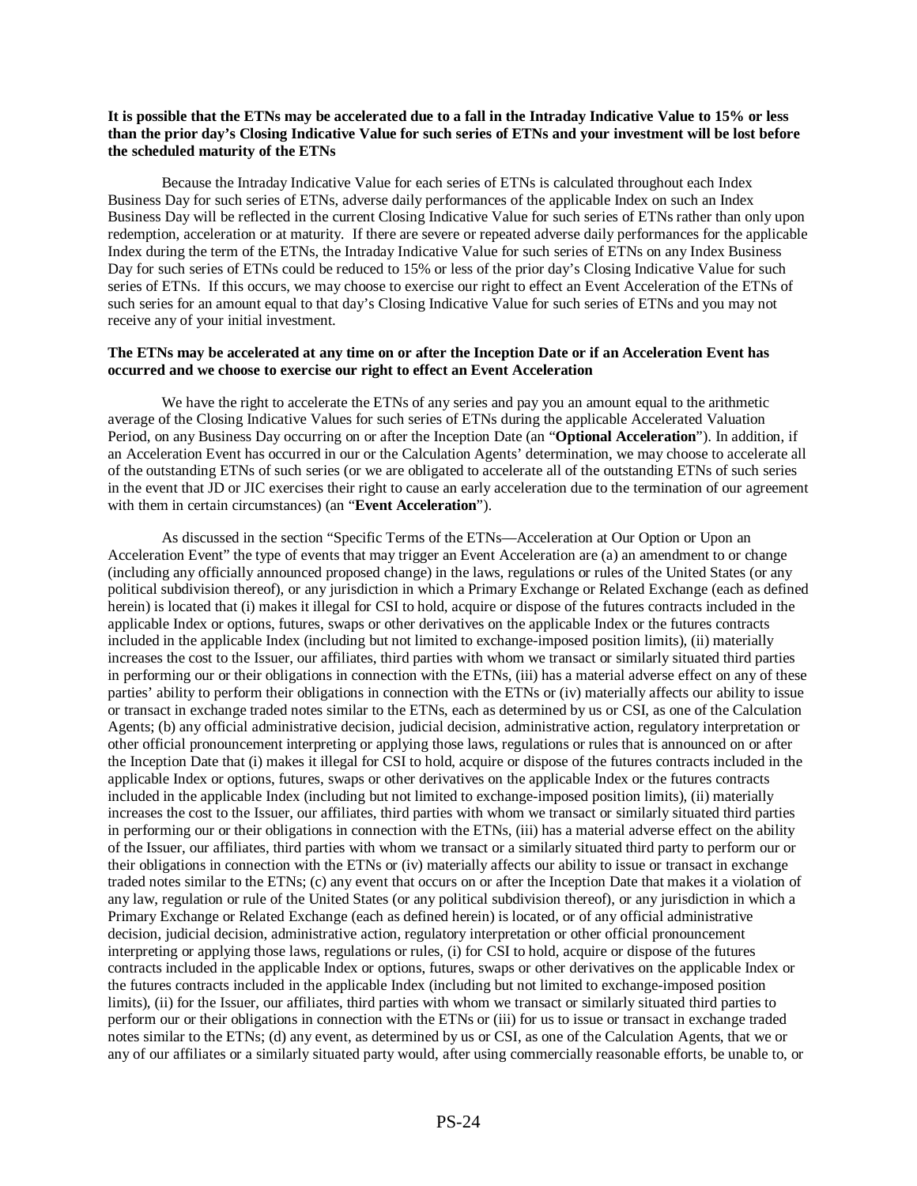## **It is possible that the ETNs may be accelerated due to a fall in the Intraday Indicative Value to 15% or less than the prior day's Closing Indicative Value for such series of ETNs and your investment will be lost before the scheduled maturity of the ETNs**

Because the Intraday Indicative Value for each series of ETNs is calculated throughout each Index Business Day for such series of ETNs, adverse daily performances of the applicable Index on such an Index Business Day will be reflected in the current Closing Indicative Value for such series of ETNs rather than only upon redemption, acceleration or at maturity. If there are severe or repeated adverse daily performances for the applicable Index during the term of the ETNs, the Intraday Indicative Value for such series of ETNs on any Index Business Day for such series of ETNs could be reduced to 15% or less of the prior day's Closing Indicative Value for such series of ETNs. If this occurs, we may choose to exercise our right to effect an Event Acceleration of the ETNs of such series for an amount equal to that day's Closing Indicative Value for such series of ETNs and you may not receive any of your initial investment.

#### **The ETNs may be accelerated at any time on or after the Inception Date or if an Acceleration Event has occurred and we choose to exercise our right to effect an Event Acceleration**

We have the right to accelerate the ETNs of any series and pay you an amount equal to the arithmetic average of the Closing Indicative Values for such series of ETNs during the applicable Accelerated Valuation Period, on any Business Day occurring on or after the Inception Date (an "**Optional Acceleration**"). In addition, if an Acceleration Event has occurred in our or the Calculation Agents' determination, we may choose to accelerate all of the outstanding ETNs of such series (or we are obligated to accelerate all of the outstanding ETNs of such series in the event that JD or JIC exercises their right to cause an early acceleration due to the termination of our agreement with them in certain circumstances) (an "**Event Acceleration**").

As discussed in the section "Specific Terms of the ETNs—Acceleration at Our Option or Upon an Acceleration Event" the type of events that may trigger an Event Acceleration are (a) an amendment to or change (including any officially announced proposed change) in the laws, regulations or rules of the United States (or any political subdivision thereof), or any jurisdiction in which a Primary Exchange or Related Exchange (each as defined herein) is located that (i) makes it illegal for CSI to hold, acquire or dispose of the futures contracts included in the applicable Index or options, futures, swaps or other derivatives on the applicable Index or the futures contracts included in the applicable Index (including but not limited to exchange-imposed position limits), (ii) materially increases the cost to the Issuer, our affiliates, third parties with whom we transact or similarly situated third parties in performing our or their obligations in connection with the ETNs, (iii) has a material adverse effect on any of these parties' ability to perform their obligations in connection with the ETNs or (iv) materially affects our ability to issue or transact in exchange traded notes similar to the ETNs, each as determined by us or CSI, as one of the Calculation Agents; (b) any official administrative decision, judicial decision, administrative action, regulatory interpretation or other official pronouncement interpreting or applying those laws, regulations or rules that is announced on or after the Inception Date that (i) makes it illegal for CSI to hold, acquire or dispose of the futures contracts included in the applicable Index or options, futures, swaps or other derivatives on the applicable Index or the futures contracts included in the applicable Index (including but not limited to exchange-imposed position limits), (ii) materially increases the cost to the Issuer, our affiliates, third parties with whom we transact or similarly situated third parties in performing our or their obligations in connection with the ETNs, (iii) has a material adverse effect on the ability of the Issuer, our affiliates, third parties with whom we transact or a similarly situated third party to perform our or their obligations in connection with the ETNs or (iv) materially affects our ability to issue or transact in exchange traded notes similar to the ETNs; (c) any event that occurs on or after the Inception Date that makes it a violation of any law, regulation or rule of the United States (or any political subdivision thereof), or any jurisdiction in which a Primary Exchange or Related Exchange (each as defined herein) is located, or of any official administrative decision, judicial decision, administrative action, regulatory interpretation or other official pronouncement interpreting or applying those laws, regulations or rules, (i) for CSI to hold, acquire or dispose of the futures contracts included in the applicable Index or options, futures, swaps or other derivatives on the applicable Index or the futures contracts included in the applicable Index (including but not limited to exchange-imposed position limits), (ii) for the Issuer, our affiliates, third parties with whom we transact or similarly situated third parties to perform our or their obligations in connection with the ETNs or (iii) for us to issue or transact in exchange traded notes similar to the ETNs; (d) any event, as determined by us or CSI, as one of the Calculation Agents, that we or any of our affiliates or a similarly situated party would, after using commercially reasonable efforts, be unable to, or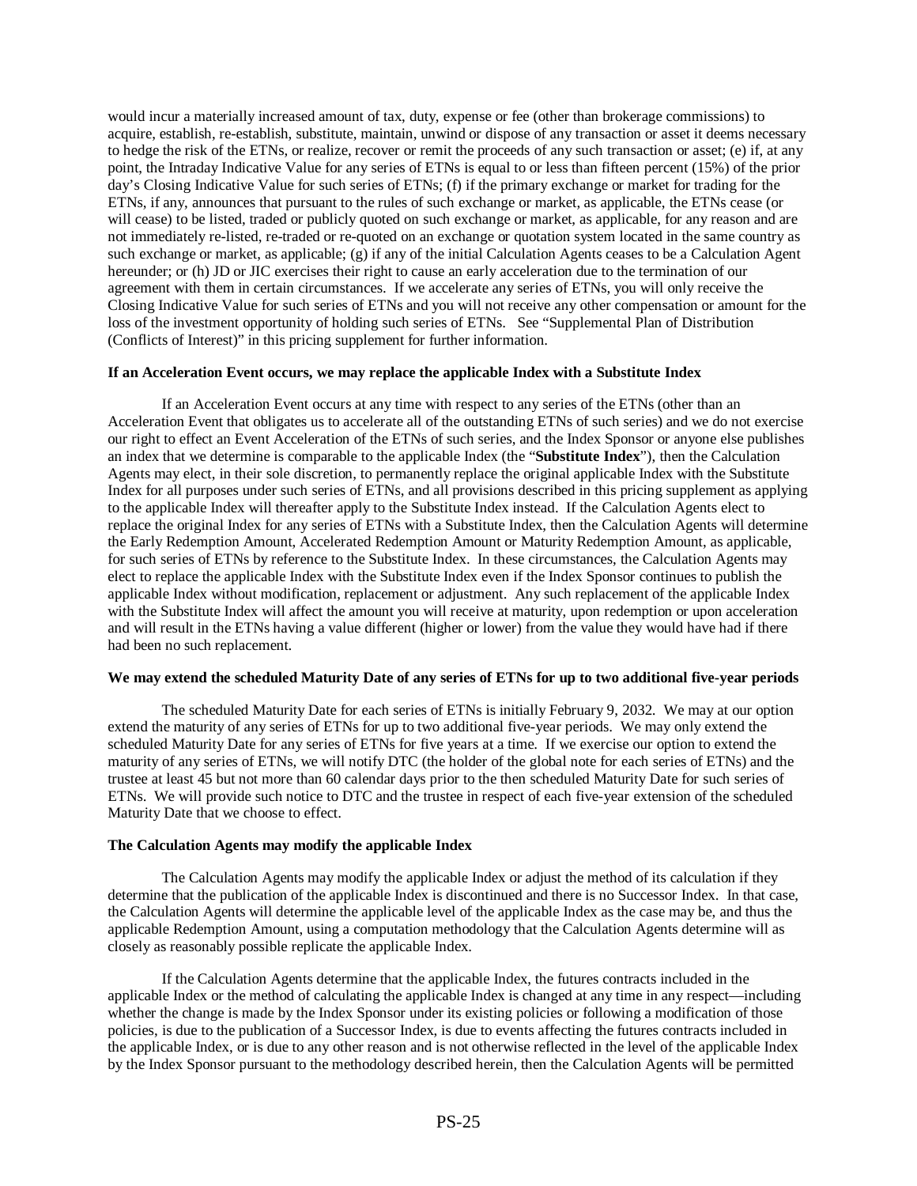would incur a materially increased amount of tax, duty, expense or fee (other than brokerage commissions) to acquire, establish, re-establish, substitute, maintain, unwind or dispose of any transaction or asset it deems necessary to hedge the risk of the ETNs, or realize, recover or remit the proceeds of any such transaction or asset; (e) if, at any point, the Intraday Indicative Value for any series of ETNs is equal to or less than fifteen percent (15%) of the prior day's Closing Indicative Value for such series of ETNs; (f) if the primary exchange or market for trading for the ETNs, if any, announces that pursuant to the rules of such exchange or market, as applicable, the ETNs cease (or will cease) to be listed, traded or publicly quoted on such exchange or market, as applicable, for any reason and are not immediately re-listed, re-traded or re-quoted on an exchange or quotation system located in the same country as such exchange or market, as applicable; (g) if any of the initial Calculation Agents ceases to be a Calculation Agent hereunder; or (h) JD or JIC exercises their right to cause an early acceleration due to the termination of our agreement with them in certain circumstances. If we accelerate any series of ETNs, you will only receive the Closing Indicative Value for such series of ETNs and you will not receive any other compensation or amount for the loss of the investment opportunity of holding such series of ETNs. See "Supplemental Plan of Distribution (Conflicts of Interest)" in this pricing supplement for further information.

#### **If an Acceleration Event occurs, we may replace the applicable Index with a Substitute Index**

If an Acceleration Event occurs at any time with respect to any series of the ETNs (other than an Acceleration Event that obligates us to accelerate all of the outstanding ETNs of such series) and we do not exercise our right to effect an Event Acceleration of the ETNs of such series, and the Index Sponsor or anyone else publishes an index that we determine is comparable to the applicable Index (the "**Substitute Index**"), then the Calculation Agents may elect, in their sole discretion, to permanently replace the original applicable Index with the Substitute Index for all purposes under such series of ETNs, and all provisions described in this pricing supplement as applying to the applicable Index will thereafter apply to the Substitute Index instead. If the Calculation Agents elect to replace the original Index for any series of ETNs with a Substitute Index, then the Calculation Agents will determine the Early Redemption Amount, Accelerated Redemption Amount or Maturity Redemption Amount, as applicable, for such series of ETNs by reference to the Substitute Index. In these circumstances, the Calculation Agents may elect to replace the applicable Index with the Substitute Index even if the Index Sponsor continues to publish the applicable Index without modification, replacement or adjustment. Any such replacement of the applicable Index with the Substitute Index will affect the amount you will receive at maturity, upon redemption or upon acceleration and will result in the ETNs having a value different (higher or lower) from the value they would have had if there had been no such replacement.

## **We may extend the scheduled Maturity Date of any series of ETNs for up to two additional five-year periods**

The scheduled Maturity Date for each series of ETNs is initially February 9, 2032. We may at our option extend the maturity of any series of ETNs for up to two additional five-year periods. We may only extend the scheduled Maturity Date for any series of ETNs for five years at a time. If we exercise our option to extend the maturity of any series of ETNs, we will notify DTC (the holder of the global note for each series of ETNs) and the trustee at least 45 but not more than 60 calendar days prior to the then scheduled Maturity Date for such series of ETNs. We will provide such notice to DTC and the trustee in respect of each five-year extension of the scheduled Maturity Date that we choose to effect.

# **The Calculation Agents may modify the applicable Index**

The Calculation Agents may modify the applicable Index or adjust the method of its calculation if they determine that the publication of the applicable Index is discontinued and there is no Successor Index. In that case, the Calculation Agents will determine the applicable level of the applicable Index as the case may be, and thus the applicable Redemption Amount, using a computation methodology that the Calculation Agents determine will as closely as reasonably possible replicate the applicable Index.

If the Calculation Agents determine that the applicable Index, the futures contracts included in the applicable Index or the method of calculating the applicable Index is changed at any time in any respect—including whether the change is made by the Index Sponsor under its existing policies or following a modification of those policies, is due to the publication of a Successor Index, is due to events affecting the futures contracts included in the applicable Index, or is due to any other reason and is not otherwise reflected in the level of the applicable Index by the Index Sponsor pursuant to the methodology described herein, then the Calculation Agents will be permitted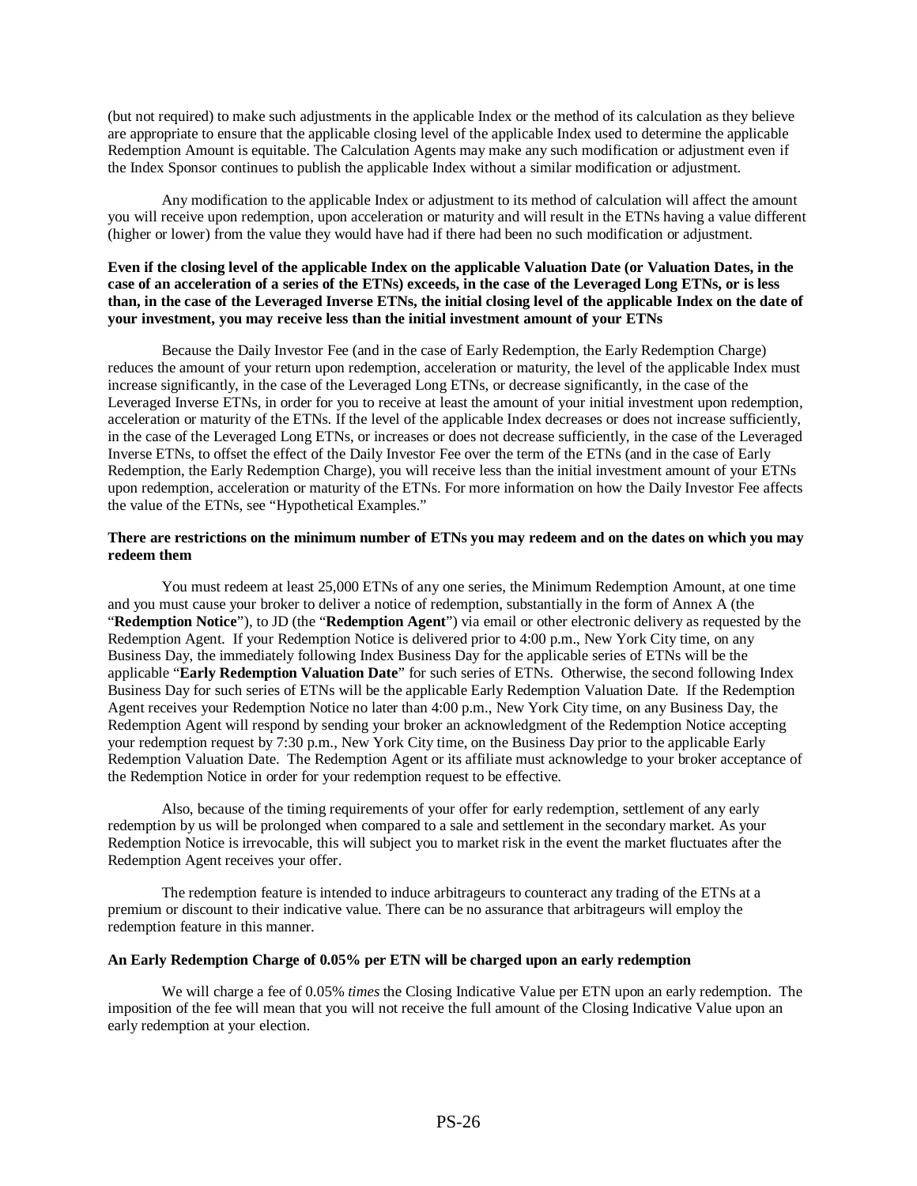(but not required) to make such adjustments in the applicable Index or the method of its calculation as they believe are appropriate to ensure that the applicable closing level of the applicable Index used to determine the applicable Redemption Amount is equitable. The Calculation Agents may make any such modification or adjustment even if the Index Sponsor continues to publish the applicable Index without a similar modification or adjustment.

Any modification to the applicable Index or adjustment to its method of calculation will affect the amount you will receive upon redemption, upon acceleration or maturity and will result in the ETNs having a value different (higher or lower) from the value they would have had if there had been no such modification or adjustment.

# **Even if the closing level of the applicable Index on the applicable Valuation Date (or Valuation Dates, in the case of an acceleration of a series of the ETNs) exceeds, in the case of the Leveraged Long ETNs, or is less than, in the case of the Leveraged Inverse ETNs, the initial closing level of the applicable Index on the date of your investment, you may receive less than the initial investment amount of your ETNs**

Because the Daily Investor Fee (and in the case of Early Redemption, the Early Redemption Charge) reduces the amount of your return upon redemption, acceleration or maturity, the level of the applicable Index must increase significantly, in the case of the Leveraged Long ETNs, or decrease significantly, in the case of the Leveraged Inverse ETNs, in order for you to receive at least the amount of your initial investment upon redemption, acceleration or maturity of the ETNs. If the level of the applicable Index decreases or does not increase sufficiently, in the case of the Leveraged Long ETNs, or increases or does not decrease sufficiently, in the case of the Leveraged Inverse ETNs, to offset the effect of the Daily Investor Fee over the term of the ETNs (and in the case of Early Redemption, the Early Redemption Charge), you will receive less than the initial investment amount of your ETNs upon redemption, acceleration or maturity of the ETNs. For more information on how the Daily Investor Fee affects the value of the ETNs, see "Hypothetical Examples."

#### **There are restrictions on the minimum number of ETNs you may redeem and on the dates on which you may redeem them**

You must redeem at least 25,000 ETNs of any one series, the Minimum Redemption Amount, at one time and you must cause your broker to deliver a notice of redemption, substantially in the form of Annex A (the "**Redemption Notice**"), to JD (the "**Redemption Agent**") via email or other electronic delivery as requested by the Redemption Agent. If your Redemption Notice is delivered prior to 4:00 p.m., New York City time, on any Business Day, the immediately following Index Business Day for the applicable series of ETNs will be the applicable "**Early Redemption Valuation Date**" for such series of ETNs. Otherwise, the second following Index Business Day for such series of ETNs will be the applicable Early Redemption Valuation Date. If the Redemption Agent receives your Redemption Notice no later than 4:00 p.m., New York City time, on any Business Day, the Redemption Agent will respond by sending your broker an acknowledgment of the Redemption Notice accepting your redemption request by 7:30 p.m., New York City time, on the Business Day prior to the applicable Early Redemption Valuation Date. The Redemption Agent or its affiliate must acknowledge to your broker acceptance of the Redemption Notice in order for your redemption request to be effective.

Also, because of the timing requirements of your offer for early redemption, settlement of any early redemption by us will be prolonged when compared to a sale and settlement in the secondary market. As your Redemption Notice is irrevocable, this will subject you to market risk in the event the market fluctuates after the Redemption Agent receives your offer.

The redemption feature is intended to induce arbitrageurs to counteract any trading of the ETNs at a premium or discount to their indicative value. There can be no assurance that arbitrageurs will employ the redemption feature in this manner.

#### **An Early Redemption Charge of 0.05% per ETN will be charged upon an early redemption**

We will charge a fee of 0.05% *times* the Closing Indicative Value per ETN upon an early redemption. The imposition of the fee will mean that you will not receive the full amount of the Closing Indicative Value upon an early redemption at your election.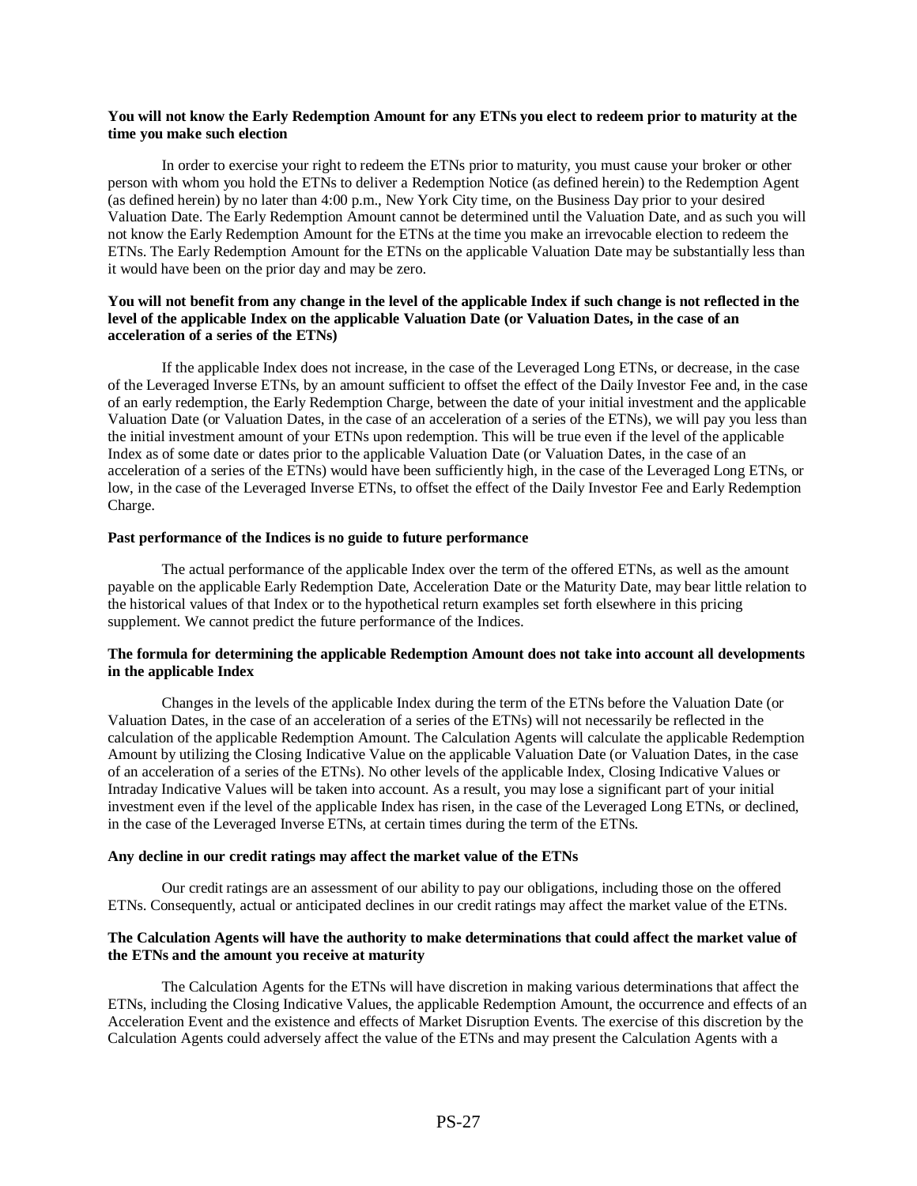#### **You will not know the Early Redemption Amount for any ETNs you elect to redeem prior to maturity at the time you make such election**

In order to exercise your right to redeem the ETNs prior to maturity, you must cause your broker or other person with whom you hold the ETNs to deliver a Redemption Notice (as defined herein) to the Redemption Agent (as defined herein) by no later than 4:00 p.m., New York City time, on the Business Day prior to your desired Valuation Date. The Early Redemption Amount cannot be determined until the Valuation Date, and as such you will not know the Early Redemption Amount for the ETNs at the time you make an irrevocable election to redeem the ETNs. The Early Redemption Amount for the ETNs on the applicable Valuation Date may be substantially less than it would have been on the prior day and may be zero.

#### **You will not benefit from any change in the level of the applicable Index if such change is not reflected in the level of the applicable Index on the applicable Valuation Date (or Valuation Dates, in the case of an acceleration of a series of the ETNs)**

If the applicable Index does not increase, in the case of the Leveraged Long ETNs, or decrease, in the case of the Leveraged Inverse ETNs, by an amount sufficient to offset the effect of the Daily Investor Fee and, in the case of an early redemption, the Early Redemption Charge, between the date of your initial investment and the applicable Valuation Date (or Valuation Dates, in the case of an acceleration of a series of the ETNs), we will pay you less than the initial investment amount of your ETNs upon redemption. This will be true even if the level of the applicable Index as of some date or dates prior to the applicable Valuation Date (or Valuation Dates, in the case of an acceleration of a series of the ETNs) would have been sufficiently high, in the case of the Leveraged Long ETNs, or low, in the case of the Leveraged Inverse ETNs, to offset the effect of the Daily Investor Fee and Early Redemption Charge.

#### **Past performance of the Indices is no guide to future performance**

The actual performance of the applicable Index over the term of the offered ETNs, as well as the amount payable on the applicable Early Redemption Date, Acceleration Date or the Maturity Date, may bear little relation to the historical values of that Index or to the hypothetical return examples set forth elsewhere in this pricing supplement. We cannot predict the future performance of the Indices.

# **The formula for determining the applicable Redemption Amount does not take into account all developments in the applicable Index**

Changes in the levels of the applicable Index during the term of the ETNs before the Valuation Date (or Valuation Dates, in the case of an acceleration of a series of the ETNs) will not necessarily be reflected in the calculation of the applicable Redemption Amount. The Calculation Agents will calculate the applicable Redemption Amount by utilizing the Closing Indicative Value on the applicable Valuation Date (or Valuation Dates, in the case of an acceleration of a series of the ETNs). No other levels of the applicable Index, Closing Indicative Values or Intraday Indicative Values will be taken into account. As a result, you may lose a significant part of your initial investment even if the level of the applicable Index has risen, in the case of the Leveraged Long ETNs, or declined, in the case of the Leveraged Inverse ETNs, at certain times during the term of the ETNs.

#### **Any decline in our credit ratings may affect the market value of the ETNs**

Our credit ratings are an assessment of our ability to pay our obligations, including those on the offered ETNs. Consequently, actual or anticipated declines in our credit ratings may affect the market value of the ETNs.

## **The Calculation Agents will have the authority to make determinations that could affect the market value of the ETNs and the amount you receive at maturity**

The Calculation Agents for the ETNs will have discretion in making various determinations that affect the ETNs, including the Closing Indicative Values, the applicable Redemption Amount, the occurrence and effects of an Acceleration Event and the existence and effects of Market Disruption Events. The exercise of this discretion by the Calculation Agents could adversely affect the value of the ETNs and may present the Calculation Agents with a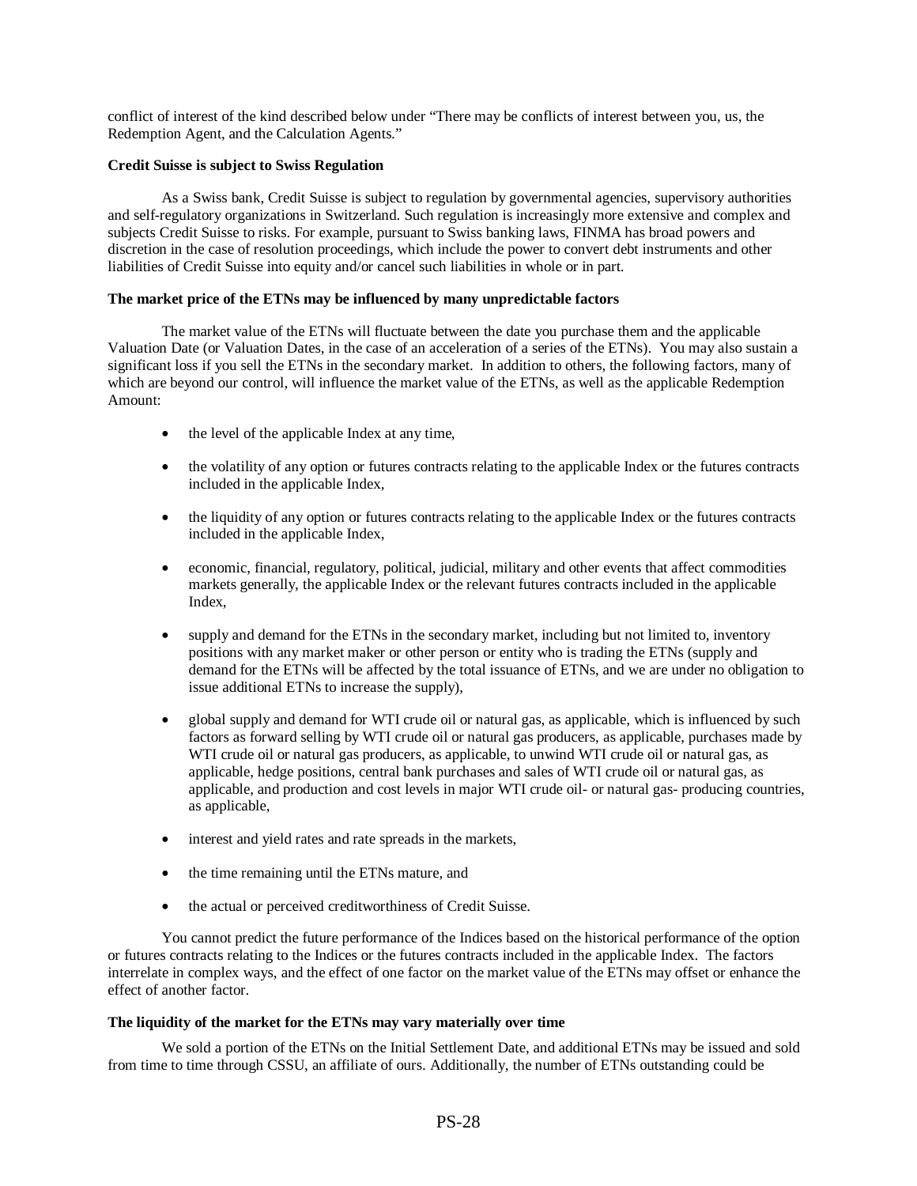conflict of interest of the kind described below under "There may be conflicts of interest between you, us, the Redemption Agent, and the Calculation Agents."

#### **Credit Suisse is subject to Swiss Regulation**

As a Swiss bank, Credit Suisse is subject to regulation by governmental agencies, supervisory authorities and self-regulatory organizations in Switzerland. Such regulation is increasingly more extensive and complex and subjects Credit Suisse to risks. For example, pursuant to Swiss banking laws, FINMA has broad powers and discretion in the case of resolution proceedings, which include the power to convert debt instruments and other liabilities of Credit Suisse into equity and/or cancel such liabilities in whole or in part.

#### **The market price of the ETNs may be influenced by many unpredictable factors**

The market value of the ETNs will fluctuate between the date you purchase them and the applicable Valuation Date (or Valuation Dates, in the case of an acceleration of a series of the ETNs). You may also sustain a significant loss if you sell the ETNs in the secondary market. In addition to others, the following factors, many of which are beyond our control, will influence the market value of the ETNs, as well as the applicable Redemption Amount:

- the level of the applicable Index at any time,
- the volatility of any option or futures contracts relating to the applicable Index or the futures contracts included in the applicable Index,
- the liquidity of any option or futures contracts relating to the applicable Index or the futures contracts included in the applicable Index,
- economic, financial, regulatory, political, judicial, military and other events that affect commodities markets generally, the applicable Index or the relevant futures contracts included in the applicable Index,
- supply and demand for the ETNs in the secondary market, including but not limited to, inventory positions with any market maker or other person or entity who is trading the ETNs (supply and demand for the ETNs will be affected by the total issuance of ETNs, and we are under no obligation to issue additional ETNs to increase the supply),
- global supply and demand for WTI crude oil or natural gas, as applicable, which is influenced by such factors as forward selling by WTI crude oil or natural gas producers, as applicable, purchases made by WTI crude oil or natural gas producers, as applicable, to unwind WTI crude oil or natural gas, as applicable, hedge positions, central bank purchases and sales of WTI crude oil or natural gas, as applicable, and production and cost levels in major WTI crude oil- or natural gas- producing countries, as applicable,
- interest and yield rates and rate spreads in the markets,
- the time remaining until the ETNs mature, and
- the actual or perceived creditworthiness of Credit Suisse.

You cannot predict the future performance of the Indices based on the historical performance of the option or futures contracts relating to the Indices or the futures contracts included in the applicable Index. The factors interrelate in complex ways, and the effect of one factor on the market value of the ETNs may offset or enhance the effect of another factor.

#### **The liquidity of the market for the ETNs may vary materially over time**

We sold a portion of the ETNs on the Initial Settlement Date, and additional ETNs may be issued and sold from time to time through CSSU, an affiliate of ours. Additionally, the number of ETNs outstanding could be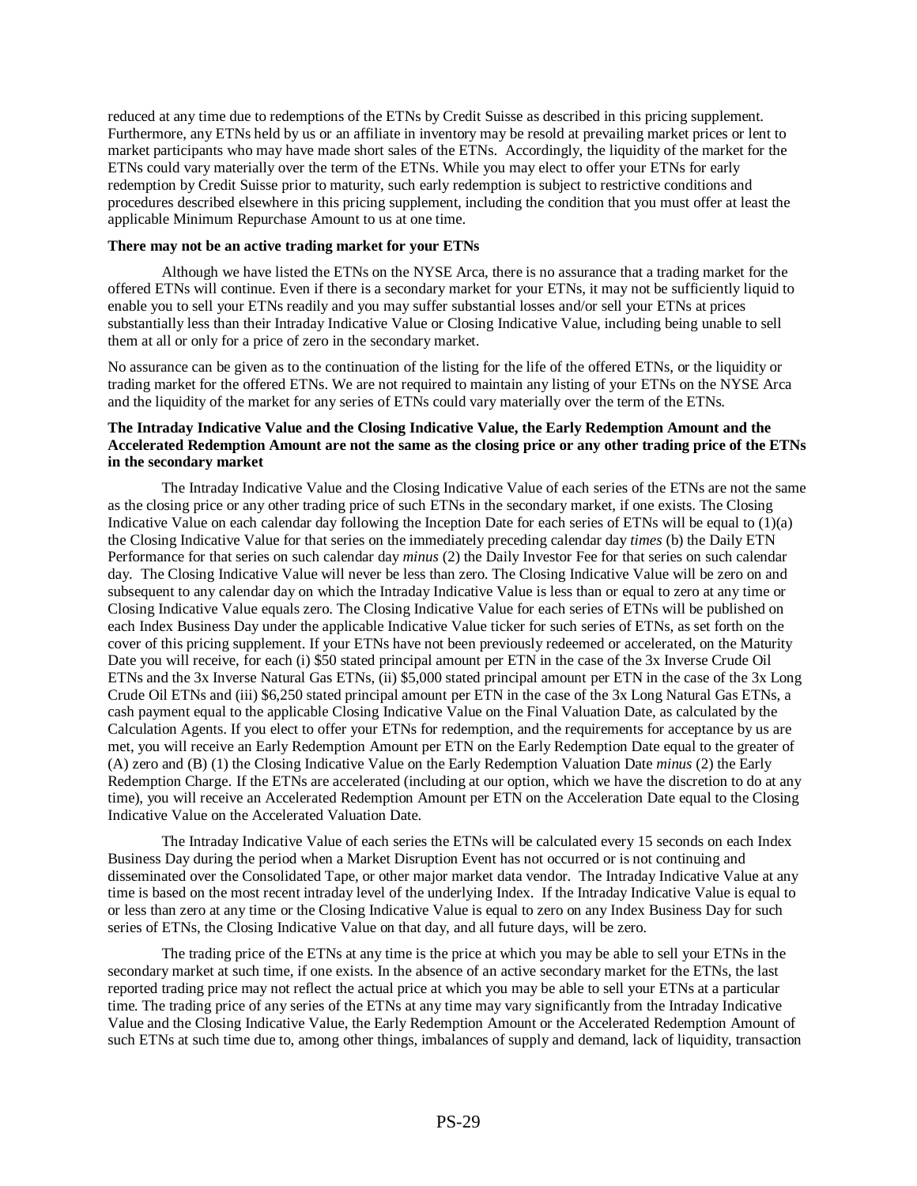reduced at any time due to redemptions of the ETNs by Credit Suisse as described in this pricing supplement. Furthermore, any ETNs held by us or an affiliate in inventory may be resold at prevailing market prices or lent to market participants who may have made short sales of the ETNs. Accordingly, the liquidity of the market for the ETNs could vary materially over the term of the ETNs. While you may elect to offer your ETNs for early redemption by Credit Suisse prior to maturity, such early redemption is subject to restrictive conditions and procedures described elsewhere in this pricing supplement, including the condition that you must offer at least the applicable Minimum Repurchase Amount to us at one time.

#### **There may not be an active trading market for your ETNs**

Although we have listed the ETNs on the NYSE Arca, there is no assurance that a trading market for the offered ETNs will continue. Even if there is a secondary market for your ETNs, it may not be sufficiently liquid to enable you to sell your ETNs readily and you may suffer substantial losses and/or sell your ETNs at prices substantially less than their Intraday Indicative Value or Closing Indicative Value, including being unable to sell them at all or only for a price of zero in the secondary market.

No assurance can be given as to the continuation of the listing for the life of the offered ETNs, or the liquidity or trading market for the offered ETNs. We are not required to maintain any listing of your ETNs on the NYSE Arca and the liquidity of the market for any series of ETNs could vary materially over the term of the ETNs.

# **The Intraday Indicative Value and the Closing Indicative Value, the Early Redemption Amount and the Accelerated Redemption Amount are not the same as the closing price or any other trading price of the ETNs in the secondary market**

The Intraday Indicative Value and the Closing Indicative Value of each series of the ETNs are not the same as the closing price or any other trading price of such ETNs in the secondary market, if one exists. The Closing Indicative Value on each calendar day following the Inception Date for each series of ETNs will be equal to  $(1)(a)$ the Closing Indicative Value for that series on the immediately preceding calendar day *times* (b) the Daily ETN Performance for that series on such calendar day *minus* (2) the Daily Investor Fee for that series on such calendar day. The Closing Indicative Value will never be less than zero. The Closing Indicative Value will be zero on and subsequent to any calendar day on which the Intraday Indicative Value is less than or equal to zero at any time or Closing Indicative Value equals zero. The Closing Indicative Value for each series of ETNs will be published on each Index Business Day under the applicable Indicative Value ticker for such series of ETNs, as set forth on the cover of this pricing supplement. If your ETNs have not been previously redeemed or accelerated, on the Maturity Date you will receive, for each (i) \$50 stated principal amount per ETN in the case of the 3x Inverse Crude Oil ETNs and the 3x Inverse Natural Gas ETNs, (ii) \$5,000 stated principal amount per ETN in the case of the 3x Long Crude Oil ETNs and (iii) \$6,250 stated principal amount per ETN in the case of the 3x Long Natural Gas ETNs, a cash payment equal to the applicable Closing Indicative Value on the Final Valuation Date, as calculated by the Calculation Agents. If you elect to offer your ETNs for redemption, and the requirements for acceptance by us are met, you will receive an Early Redemption Amount per ETN on the Early Redemption Date equal to the greater of (A) zero and (B) (1) the Closing Indicative Value on the Early Redemption Valuation Date *minus* (2) the Early Redemption Charge. If the ETNs are accelerated (including at our option, which we have the discretion to do at any time), you will receive an Accelerated Redemption Amount per ETN on the Acceleration Date equal to the Closing Indicative Value on the Accelerated Valuation Date.

The Intraday Indicative Value of each series the ETNs will be calculated every 15 seconds on each Index Business Day during the period when a Market Disruption Event has not occurred or is not continuing and disseminated over the Consolidated Tape, or other major market data vendor. The Intraday Indicative Value at any time is based on the most recent intraday level of the underlying Index. If the Intraday Indicative Value is equal to or less than zero at any time or the Closing Indicative Value is equal to zero on any Index Business Day for such series of ETNs, the Closing Indicative Value on that day, and all future days, will be zero.

The trading price of the ETNs at any time is the price at which you may be able to sell your ETNs in the secondary market at such time, if one exists. In the absence of an active secondary market for the ETNs, the last reported trading price may not reflect the actual price at which you may be able to sell your ETNs at a particular time. The trading price of any series of the ETNs at any time may vary significantly from the Intraday Indicative Value and the Closing Indicative Value, the Early Redemption Amount or the Accelerated Redemption Amount of such ETNs at such time due to, among other things, imbalances of supply and demand, lack of liquidity, transaction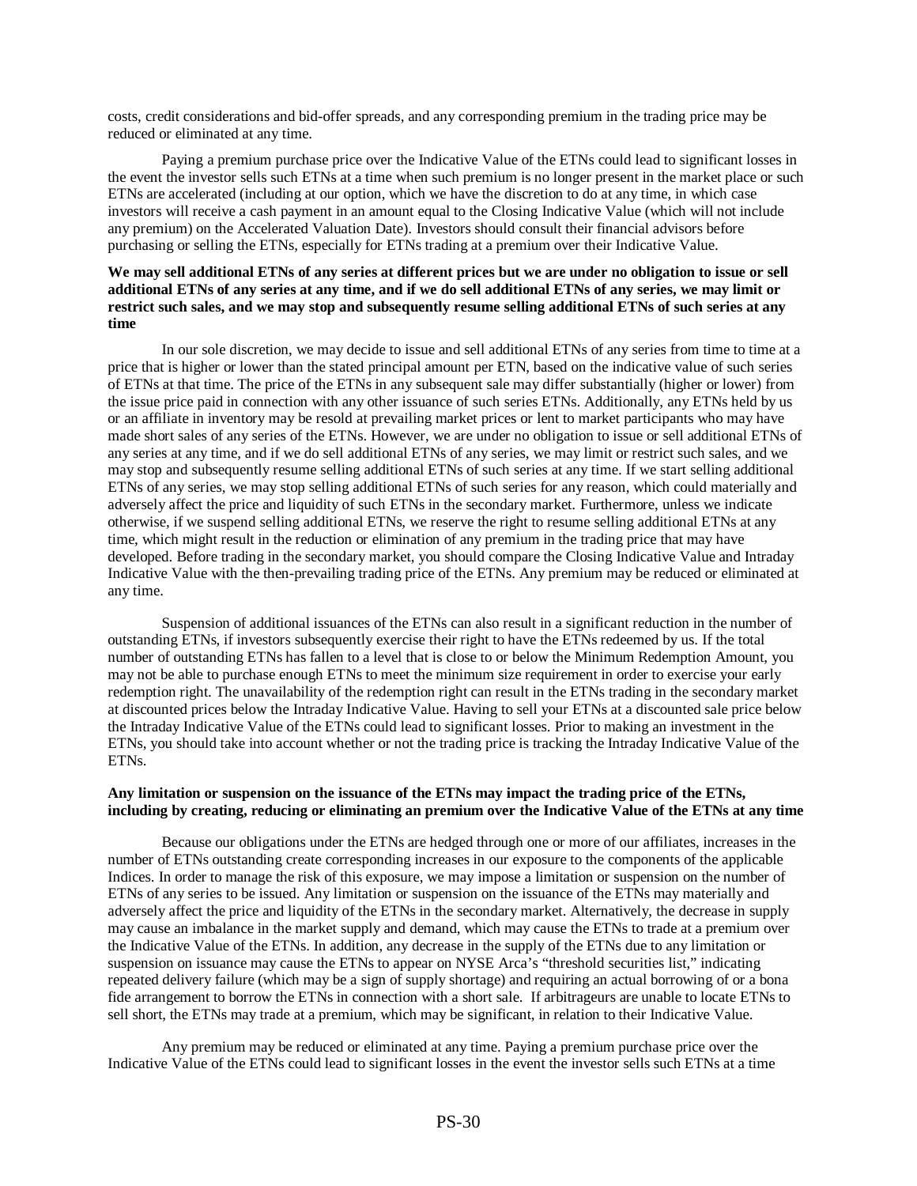costs, credit considerations and bid-offer spreads, and any corresponding premium in the trading price may be reduced or eliminated at any time.

Paying a premium purchase price over the Indicative Value of the ETNs could lead to significant losses in the event the investor sells such ETNs at a time when such premium is no longer present in the market place or such ETNs are accelerated (including at our option, which we have the discretion to do at any time, in which case investors will receive a cash payment in an amount equal to the Closing Indicative Value (which will not include any premium) on the Accelerated Valuation Date). Investors should consult their financial advisors before purchasing or selling the ETNs, especially for ETNs trading at a premium over their Indicative Value.

# **We may sell additional ETNs of any series at different prices but we are under no obligation to issue or sell additional ETNs of any series at any time, and if we do sell additional ETNs of any series, we may limit or restrict such sales, and we may stop and subsequently resume selling additional ETNs of such series at any time**

In our sole discretion, we may decide to issue and sell additional ETNs of any series from time to time at a price that is higher or lower than the stated principal amount per ETN, based on the indicative value of such series of ETNs at that time. The price of the ETNs in any subsequent sale may differ substantially (higher or lower) from the issue price paid in connection with any other issuance of such series ETNs. Additionally, any ETNs held by us or an affiliate in inventory may be resold at prevailing market prices or lent to market participants who may have made short sales of any series of the ETNs. However, we are under no obligation to issue or sell additional ETNs of any series at any time, and if we do sell additional ETNs of any series, we may limit or restrict such sales, and we may stop and subsequently resume selling additional ETNs of such series at any time. If we start selling additional ETNs of any series, we may stop selling additional ETNs of such series for any reason, which could materially and adversely affect the price and liquidity of such ETNs in the secondary market. Furthermore, unless we indicate otherwise, if we suspend selling additional ETNs, we reserve the right to resume selling additional ETNs at any time, which might result in the reduction or elimination of any premium in the trading price that may have developed. Before trading in the secondary market, you should compare the Closing Indicative Value and Intraday Indicative Value with the then-prevailing trading price of the ETNs. Any premium may be reduced or eliminated at any time.

Suspension of additional issuances of the ETNs can also result in a significant reduction in the number of outstanding ETNs, if investors subsequently exercise their right to have the ETNs redeemed by us. If the total number of outstanding ETNs has fallen to a level that is close to or below the Minimum Redemption Amount, you may not be able to purchase enough ETNs to meet the minimum size requirement in order to exercise your early redemption right. The unavailability of the redemption right can result in the ETNs trading in the secondary market at discounted prices below the Intraday Indicative Value. Having to sell your ETNs at a discounted sale price below the Intraday Indicative Value of the ETNs could lead to significant losses. Prior to making an investment in the ETNs, you should take into account whether or not the trading price is tracking the Intraday Indicative Value of the ETNs.

## **Any limitation or suspension on the issuance of the ETNs may impact the trading price of the ETNs, including by creating, reducing or eliminating an premium over the Indicative Value of the ETNs at any time**

Because our obligations under the ETNs are hedged through one or more of our affiliates, increases in the number of ETNs outstanding create corresponding increases in our exposure to the components of the applicable Indices. In order to manage the risk of this exposure, we may impose a limitation or suspension on the number of ETNs of any series to be issued. Any limitation or suspension on the issuance of the ETNs may materially and adversely affect the price and liquidity of the ETNs in the secondary market. Alternatively, the decrease in supply may cause an imbalance in the market supply and demand, which may cause the ETNs to trade at a premium over the Indicative Value of the ETNs. In addition, any decrease in the supply of the ETNs due to any limitation or suspension on issuance may cause the ETNs to appear on NYSE Arca's "threshold securities list," indicating repeated delivery failure (which may be a sign of supply shortage) and requiring an actual borrowing of or a bona fide arrangement to borrow the ETNs in connection with a short sale. If arbitrageurs are unable to locate ETNs to sell short, the ETNs may trade at a premium, which may be significant, in relation to their Indicative Value.

Any premium may be reduced or eliminated at any time. Paying a premium purchase price over the Indicative Value of the ETNs could lead to significant losses in the event the investor sells such ETNs at a time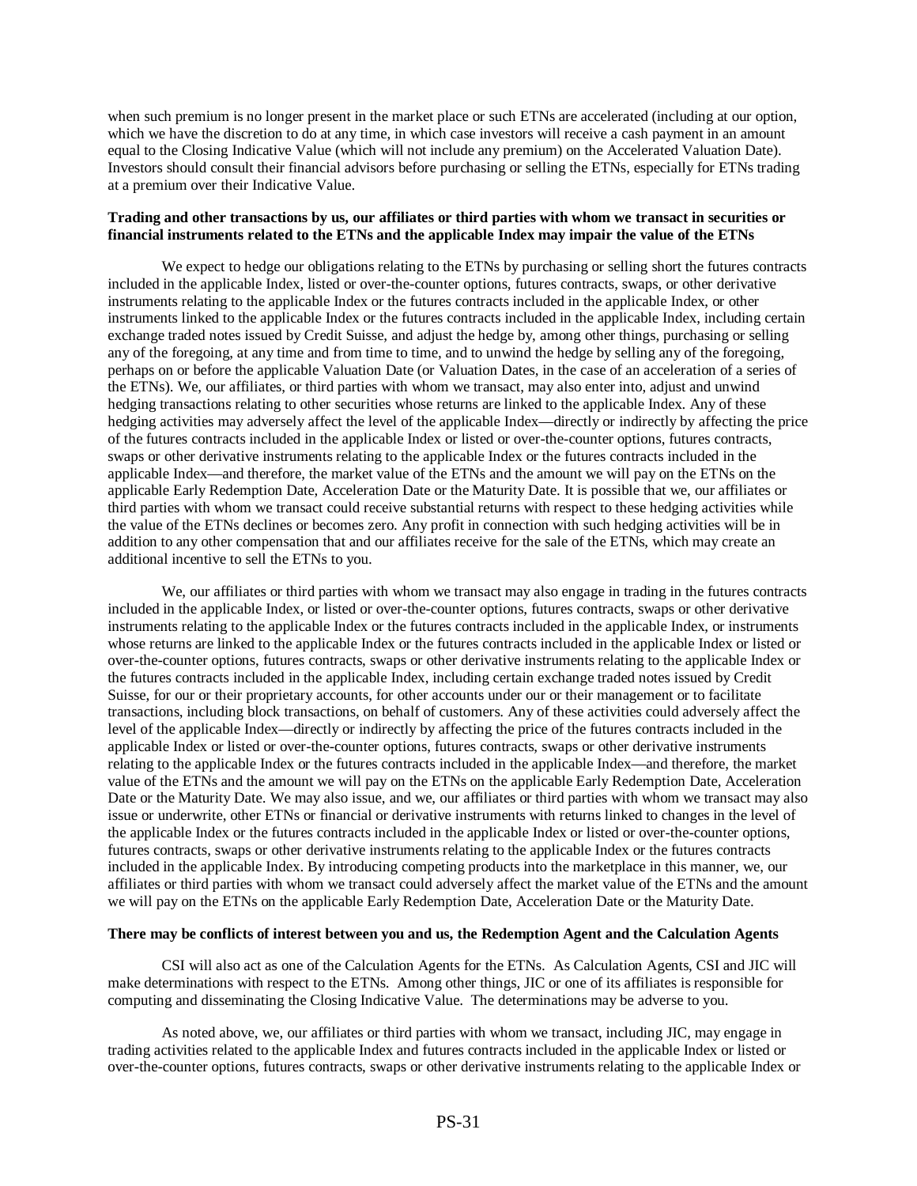when such premium is no longer present in the market place or such ETNs are accelerated (including at our option, which we have the discretion to do at any time, in which case investors will receive a cash payment in an amount equal to the Closing Indicative Value (which will not include any premium) on the Accelerated Valuation Date). Investors should consult their financial advisors before purchasing or selling the ETNs, especially for ETNs trading at a premium over their Indicative Value.

## **Trading and other transactions by us, our affiliates or third parties with whom we transact in securities or financial instruments related to the ETNs and the applicable Index may impair the value of the ETNs**

We expect to hedge our obligations relating to the ETNs by purchasing or selling short the futures contracts included in the applicable Index, listed or over-the-counter options, futures contracts, swaps, or other derivative instruments relating to the applicable Index or the futures contracts included in the applicable Index, or other instruments linked to the applicable Index or the futures contracts included in the applicable Index, including certain exchange traded notes issued by Credit Suisse, and adjust the hedge by, among other things, purchasing or selling any of the foregoing, at any time and from time to time, and to unwind the hedge by selling any of the foregoing, perhaps on or before the applicable Valuation Date (or Valuation Dates, in the case of an acceleration of a series of the ETNs). We, our affiliates, or third parties with whom we transact, may also enter into, adjust and unwind hedging transactions relating to other securities whose returns are linked to the applicable Index. Any of these hedging activities may adversely affect the level of the applicable Index—directly or indirectly by affecting the price of the futures contracts included in the applicable Index or listed or over-the-counter options, futures contracts, swaps or other derivative instruments relating to the applicable Index or the futures contracts included in the applicable Index—and therefore, the market value of the ETNs and the amount we will pay on the ETNs on the applicable Early Redemption Date, Acceleration Date or the Maturity Date. It is possible that we, our affiliates or third parties with whom we transact could receive substantial returns with respect to these hedging activities while the value of the ETNs declines or becomes zero. Any profit in connection with such hedging activities will be in addition to any other compensation that and our affiliates receive for the sale of the ETNs, which may create an additional incentive to sell the ETNs to you.

We, our affiliates or third parties with whom we transact may also engage in trading in the futures contracts included in the applicable Index, or listed or over-the-counter options, futures contracts, swaps or other derivative instruments relating to the applicable Index or the futures contracts included in the applicable Index, or instruments whose returns are linked to the applicable Index or the futures contracts included in the applicable Index or listed or over-the-counter options, futures contracts, swaps or other derivative instruments relating to the applicable Index or the futures contracts included in the applicable Index, including certain exchange traded notes issued by Credit Suisse, for our or their proprietary accounts, for other accounts under our or their management or to facilitate transactions, including block transactions, on behalf of customers. Any of these activities could adversely affect the level of the applicable Index—directly or indirectly by affecting the price of the futures contracts included in the applicable Index or listed or over-the-counter options, futures contracts, swaps or other derivative instruments relating to the applicable Index or the futures contracts included in the applicable Index—and therefore, the market value of the ETNs and the amount we will pay on the ETNs on the applicable Early Redemption Date, Acceleration Date or the Maturity Date. We may also issue, and we, our affiliates or third parties with whom we transact may also issue or underwrite, other ETNs or financial or derivative instruments with returns linked to changes in the level of the applicable Index or the futures contracts included in the applicable Index or listed or over-the-counter options, futures contracts, swaps or other derivative instruments relating to the applicable Index or the futures contracts included in the applicable Index. By introducing competing products into the marketplace in this manner, we, our affiliates or third parties with whom we transact could adversely affect the market value of the ETNs and the amount we will pay on the ETNs on the applicable Early Redemption Date, Acceleration Date or the Maturity Date.

## **There may be conflicts of interest between you and us, the Redemption Agent and the Calculation Agents**

CSI will also act as one of the Calculation Agents for the ETNs. As Calculation Agents, CSI and JIC will make determinations with respect to the ETNs. Among other things, JIC or one of its affiliates is responsible for computing and disseminating the Closing Indicative Value. The determinations may be adverse to you.

As noted above, we, our affiliates or third parties with whom we transact, including JIC, may engage in trading activities related to the applicable Index and futures contracts included in the applicable Index or listed or over-the-counter options, futures contracts, swaps or other derivative instruments relating to the applicable Index or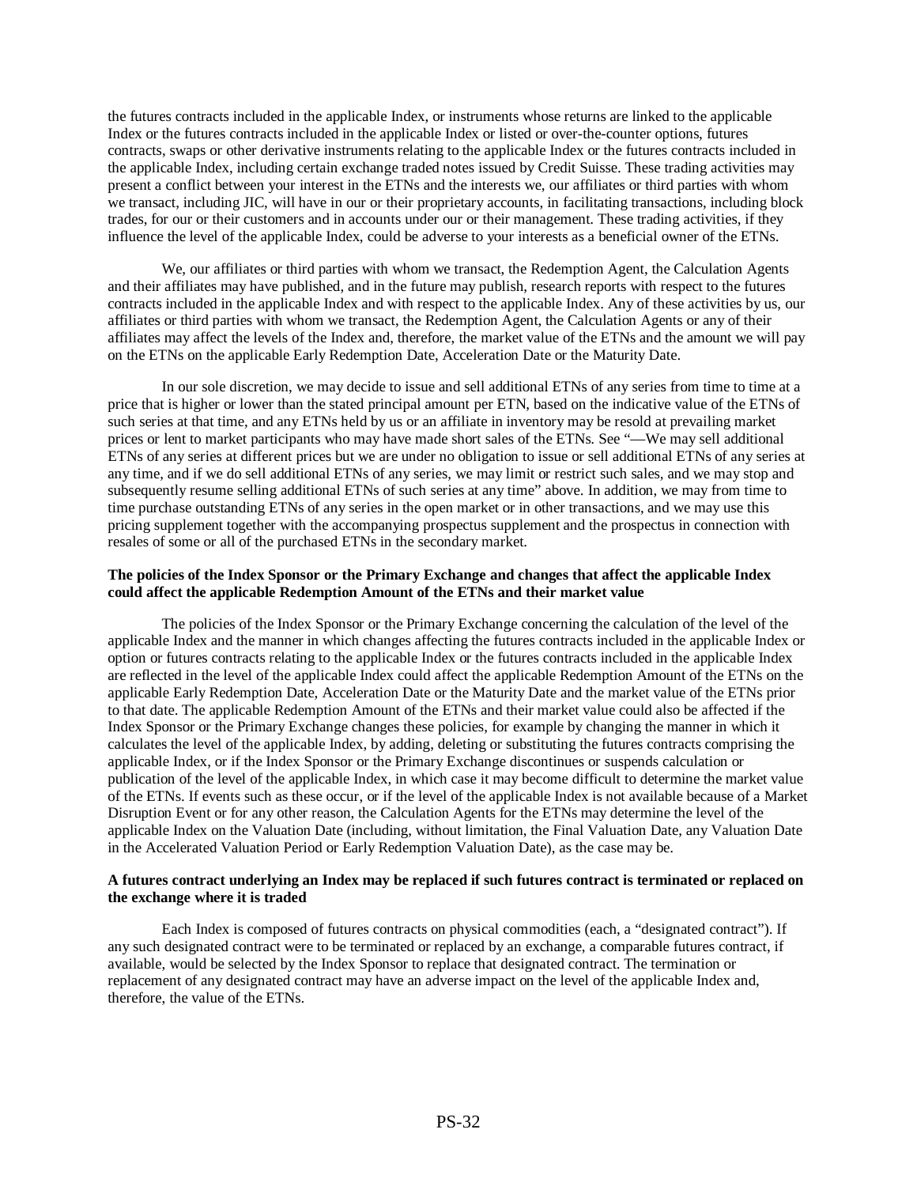the futures contracts included in the applicable Index, or instruments whose returns are linked to the applicable Index or the futures contracts included in the applicable Index or listed or over-the-counter options, futures contracts, swaps or other derivative instruments relating to the applicable Index or the futures contracts included in the applicable Index, including certain exchange traded notes issued by Credit Suisse. These trading activities may present a conflict between your interest in the ETNs and the interests we, our affiliates or third parties with whom we transact, including JIC, will have in our or their proprietary accounts, in facilitating transactions, including block trades, for our or their customers and in accounts under our or their management. These trading activities, if they influence the level of the applicable Index, could be adverse to your interests as a beneficial owner of the ETNs.

We, our affiliates or third parties with whom we transact, the Redemption Agent, the Calculation Agents and their affiliates may have published, and in the future may publish, research reports with respect to the futures contracts included in the applicable Index and with respect to the applicable Index. Any of these activities by us, our affiliates or third parties with whom we transact, the Redemption Agent, the Calculation Agents or any of their affiliates may affect the levels of the Index and, therefore, the market value of the ETNs and the amount we will pay on the ETNs on the applicable Early Redemption Date, Acceleration Date or the Maturity Date.

In our sole discretion, we may decide to issue and sell additional ETNs of any series from time to time at a price that is higher or lower than the stated principal amount per ETN, based on the indicative value of the ETNs of such series at that time, and any ETNs held by us or an affiliate in inventory may be resold at prevailing market prices or lent to market participants who may have made short sales of the ETNs. See "—We may sell additional ETNs of any series at different prices but we are under no obligation to issue or sell additional ETNs of any series at any time, and if we do sell additional ETNs of any series, we may limit or restrict such sales, and we may stop and subsequently resume selling additional ETNs of such series at any time" above. In addition, we may from time to time purchase outstanding ETNs of any series in the open market or in other transactions, and we may use this pricing supplement together with the accompanying prospectus supplement and the prospectus in connection with resales of some or all of the purchased ETNs in the secondary market.

# **The policies of the Index Sponsor or the Primary Exchange and changes that affect the applicable Index could affect the applicable Redemption Amount of the ETNs and their market value**

The policies of the Index Sponsor or the Primary Exchange concerning the calculation of the level of the applicable Index and the manner in which changes affecting the futures contracts included in the applicable Index or option or futures contracts relating to the applicable Index or the futures contracts included in the applicable Index are reflected in the level of the applicable Index could affect the applicable Redemption Amount of the ETNs on the applicable Early Redemption Date, Acceleration Date or the Maturity Date and the market value of the ETNs prior to that date. The applicable Redemption Amount of the ETNs and their market value could also be affected if the Index Sponsor or the Primary Exchange changes these policies, for example by changing the manner in which it calculates the level of the applicable Index, by adding, deleting or substituting the futures contracts comprising the applicable Index, or if the Index Sponsor or the Primary Exchange discontinues or suspends calculation or publication of the level of the applicable Index, in which case it may become difficult to determine the market value of the ETNs. If events such as these occur, or if the level of the applicable Index is not available because of a Market Disruption Event or for any other reason, the Calculation Agents for the ETNs may determine the level of the applicable Index on the Valuation Date (including, without limitation, the Final Valuation Date, any Valuation Date in the Accelerated Valuation Period or Early Redemption Valuation Date), as the case may be.

# **A futures contract underlying an Index may be replaced if such futures contract is terminated or replaced on the exchange where it is traded**

Each Index is composed of futures contracts on physical commodities (each, a "designated contract"). If any such designated contract were to be terminated or replaced by an exchange, a comparable futures contract, if available, would be selected by the Index Sponsor to replace that designated contract. The termination or replacement of any designated contract may have an adverse impact on the level of the applicable Index and, therefore, the value of the ETNs.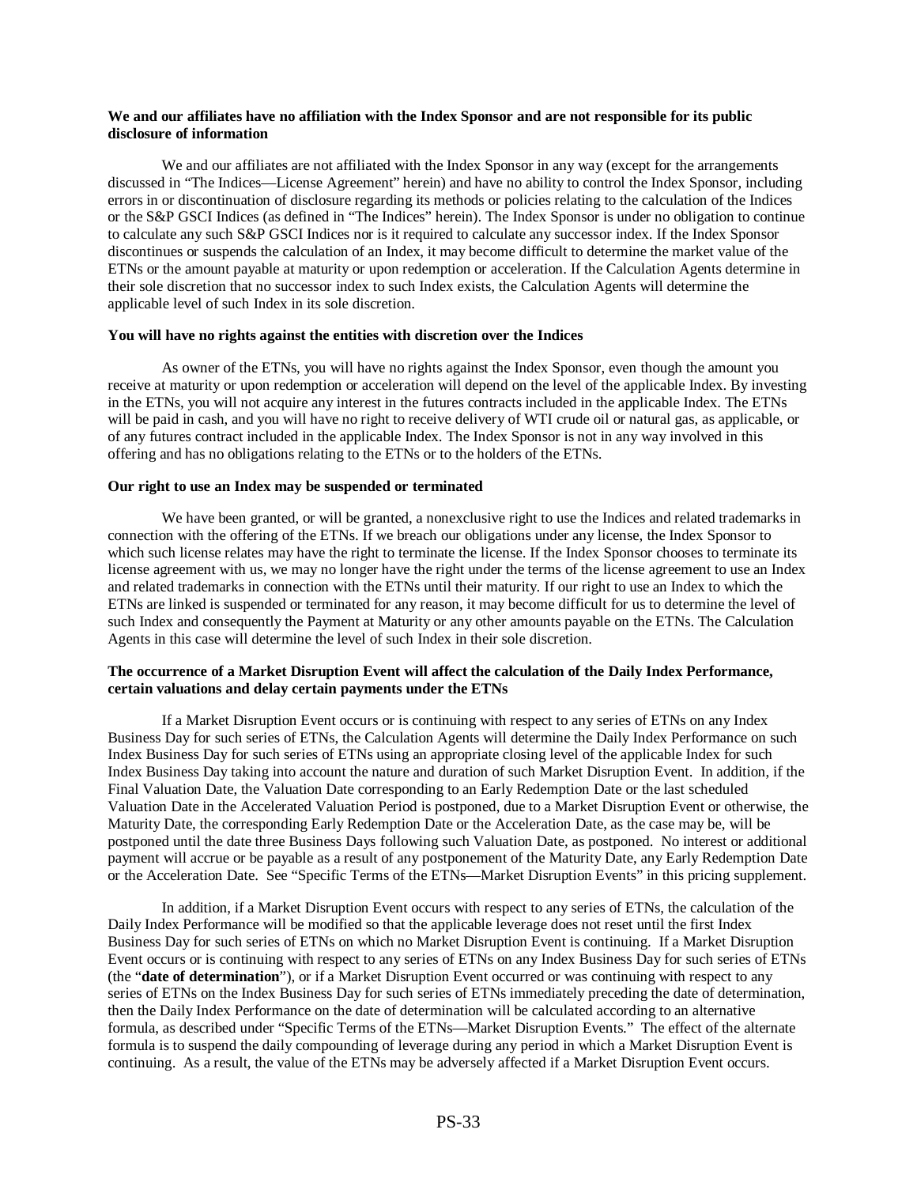# **We and our affiliates have no affiliation with the Index Sponsor and are not responsible for its public disclosure of information**

We and our affiliates are not affiliated with the Index Sponsor in any way (except for the arrangements discussed in "The Indices—License Agreement" herein) and have no ability to control the Index Sponsor, including errors in or discontinuation of disclosure regarding its methods or policies relating to the calculation of the Indices or the S&P GSCI Indices (as defined in "The Indices" herein). The Index Sponsor is under no obligation to continue to calculate any such S&P GSCI Indices nor is it required to calculate any successor index. If the Index Sponsor discontinues or suspends the calculation of an Index, it may become difficult to determine the market value of the ETNs or the amount payable at maturity or upon redemption or acceleration. If the Calculation Agents determine in their sole discretion that no successor index to such Index exists, the Calculation Agents will determine the applicable level of such Index in its sole discretion.

## **You will have no rights against the entities with discretion over the Indices**

As owner of the ETNs, you will have no rights against the Index Sponsor, even though the amount you receive at maturity or upon redemption or acceleration will depend on the level of the applicable Index. By investing in the ETNs, you will not acquire any interest in the futures contracts included in the applicable Index. The ETNs will be paid in cash, and you will have no right to receive delivery of WTI crude oil or natural gas, as applicable, or of any futures contract included in the applicable Index. The Index Sponsor is not in any way involved in this offering and has no obligations relating to the ETNs or to the holders of the ETNs.

# **Our right to use an Index may be suspended or terminated**

We have been granted, or will be granted, a nonexclusive right to use the Indices and related trademarks in connection with the offering of the ETNs. If we breach our obligations under any license, the Index Sponsor to which such license relates may have the right to terminate the license. If the Index Sponsor chooses to terminate its license agreement with us, we may no longer have the right under the terms of the license agreement to use an Index and related trademarks in connection with the ETNs until their maturity. If our right to use an Index to which the ETNs are linked is suspended or terminated for any reason, it may become difficult for us to determine the level of such Index and consequently the Payment at Maturity or any other amounts payable on the ETNs. The Calculation Agents in this case will determine the level of such Index in their sole discretion.

# **The occurrence of a Market Disruption Event will affect the calculation of the Daily Index Performance, certain valuations and delay certain payments under the ETNs**

If a Market Disruption Event occurs or is continuing with respect to any series of ETNs on any Index Business Day for such series of ETNs, the Calculation Agents will determine the Daily Index Performance on such Index Business Day for such series of ETNs using an appropriate closing level of the applicable Index for such Index Business Day taking into account the nature and duration of such Market Disruption Event. In addition, if the Final Valuation Date, the Valuation Date corresponding to an Early Redemption Date or the last scheduled Valuation Date in the Accelerated Valuation Period is postponed, due to a Market Disruption Event or otherwise, the Maturity Date, the corresponding Early Redemption Date or the Acceleration Date, as the case may be, will be postponed until the date three Business Days following such Valuation Date, as postponed. No interest or additional payment will accrue or be payable as a result of any postponement of the Maturity Date, any Early Redemption Date or the Acceleration Date. See "Specific Terms of the ETNs—Market Disruption Events" in this pricing supplement.

In addition, if a Market Disruption Event occurs with respect to any series of ETNs, the calculation of the Daily Index Performance will be modified so that the applicable leverage does not reset until the first Index Business Day for such series of ETNs on which no Market Disruption Event is continuing. If a Market Disruption Event occurs or is continuing with respect to any series of ETNs on any Index Business Day for such series of ETNs (the "**date of determination**"), or if a Market Disruption Event occurred or was continuing with respect to any series of ETNs on the Index Business Day for such series of ETNs immediately preceding the date of determination, then the Daily Index Performance on the date of determination will be calculated according to an alternative formula, as described under "Specific Terms of the ETNs—Market Disruption Events." The effect of the alternate formula is to suspend the daily compounding of leverage during any period in which a Market Disruption Event is continuing. As a result, the value of the ETNs may be adversely affected if a Market Disruption Event occurs.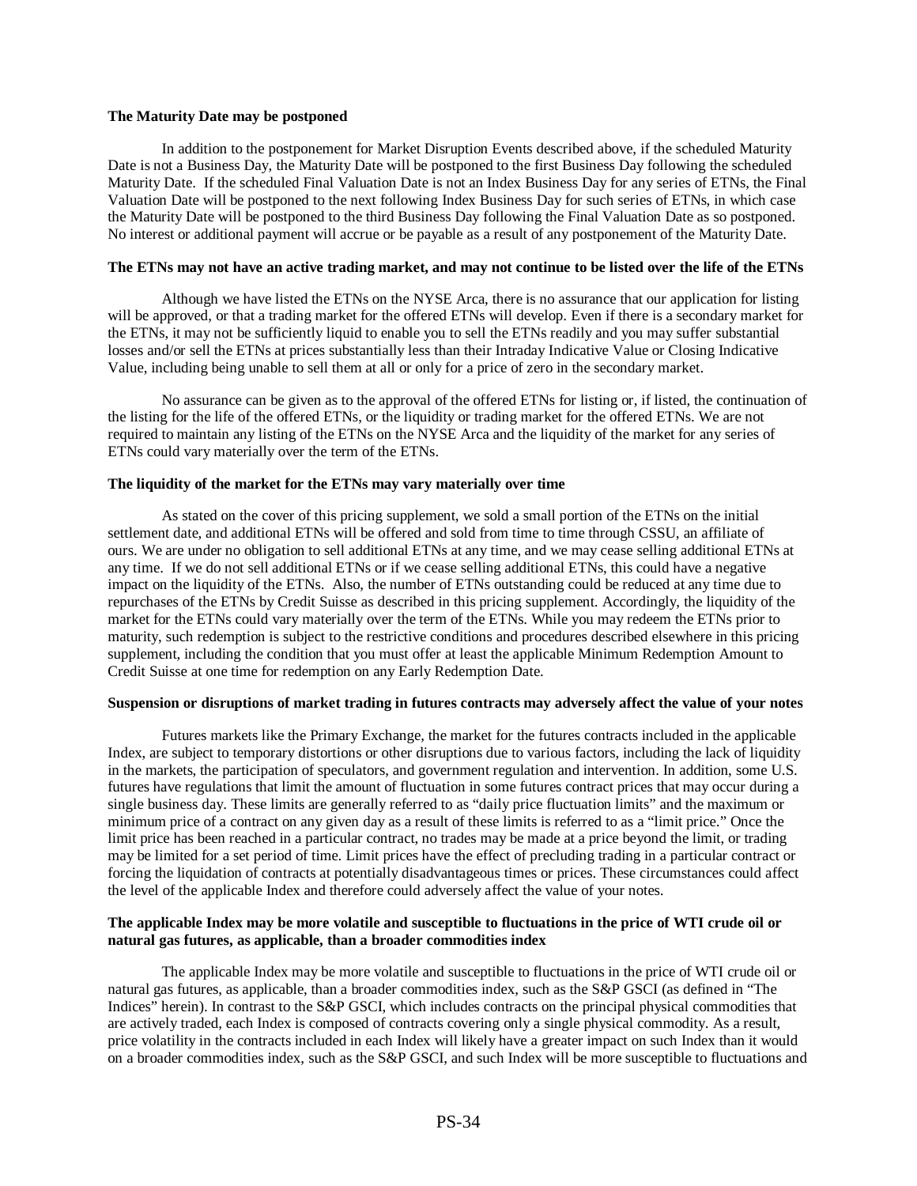## **The Maturity Date may be postponed**

In addition to the postponement for Market Disruption Events described above, if the scheduled Maturity Date is not a Business Day, the Maturity Date will be postponed to the first Business Day following the scheduled Maturity Date. If the scheduled Final Valuation Date is not an Index Business Day for any series of ETNs, the Final Valuation Date will be postponed to the next following Index Business Day for such series of ETNs, in which case the Maturity Date will be postponed to the third Business Day following the Final Valuation Date as so postponed. No interest or additional payment will accrue or be payable as a result of any postponement of the Maturity Date.

## **The ETNs may not have an active trading market, and may not continue to be listed over the life of the ETNs**

Although we have listed the ETNs on the NYSE Arca, there is no assurance that our application for listing will be approved, or that a trading market for the offered ETNs will develop. Even if there is a secondary market for the ETNs, it may not be sufficiently liquid to enable you to sell the ETNs readily and you may suffer substantial losses and/or sell the ETNs at prices substantially less than their Intraday Indicative Value or Closing Indicative Value, including being unable to sell them at all or only for a price of zero in the secondary market.

No assurance can be given as to the approval of the offered ETNs for listing or, if listed, the continuation of the listing for the life of the offered ETNs, or the liquidity or trading market for the offered ETNs. We are not required to maintain any listing of the ETNs on the NYSE Arca and the liquidity of the market for any series of ETNs could vary materially over the term of the ETNs.

## **The liquidity of the market for the ETNs may vary materially over time**

As stated on the cover of this pricing supplement, we sold a small portion of the ETNs on the initial settlement date, and additional ETNs will be offered and sold from time to time through CSSU, an affiliate of ours. We are under no obligation to sell additional ETNs at any time, and we may cease selling additional ETNs at any time. If we do not sell additional ETNs or if we cease selling additional ETNs, this could have a negative impact on the liquidity of the ETNs. Also, the number of ETNs outstanding could be reduced at any time due to repurchases of the ETNs by Credit Suisse as described in this pricing supplement. Accordingly, the liquidity of the market for the ETNs could vary materially over the term of the ETNs. While you may redeem the ETNs prior to maturity, such redemption is subject to the restrictive conditions and procedures described elsewhere in this pricing supplement, including the condition that you must offer at least the applicable Minimum Redemption Amount to Credit Suisse at one time for redemption on any Early Redemption Date.

## **Suspension or disruptions of market trading in futures contracts may adversely affect the value of your notes**

Futures markets like the Primary Exchange, the market for the futures contracts included in the applicable Index, are subject to temporary distortions or other disruptions due to various factors, including the lack of liquidity in the markets, the participation of speculators, and government regulation and intervention. In addition, some U.S. futures have regulations that limit the amount of fluctuation in some futures contract prices that may occur during a single business day. These limits are generally referred to as "daily price fluctuation limits" and the maximum or minimum price of a contract on any given day as a result of these limits is referred to as a "limit price." Once the limit price has been reached in a particular contract, no trades may be made at a price beyond the limit, or trading may be limited for a set period of time. Limit prices have the effect of precluding trading in a particular contract or forcing the liquidation of contracts at potentially disadvantageous times or prices. These circumstances could affect the level of the applicable Index and therefore could adversely affect the value of your notes.

# **The applicable Index may be more volatile and susceptible to fluctuations in the price of WTI crude oil or natural gas futures, as applicable, than a broader commodities index**

The applicable Index may be more volatile and susceptible to fluctuations in the price of WTI crude oil or natural gas futures, as applicable, than a broader commodities index, such as the S&P GSCI (as defined in "The Indices" herein). In contrast to the S&P GSCI, which includes contracts on the principal physical commodities that are actively traded, each Index is composed of contracts covering only a single physical commodity. As a result, price volatility in the contracts included in each Index will likely have a greater impact on such Index than it would on a broader commodities index, such as the S&P GSCI, and such Index will be more susceptible to fluctuations and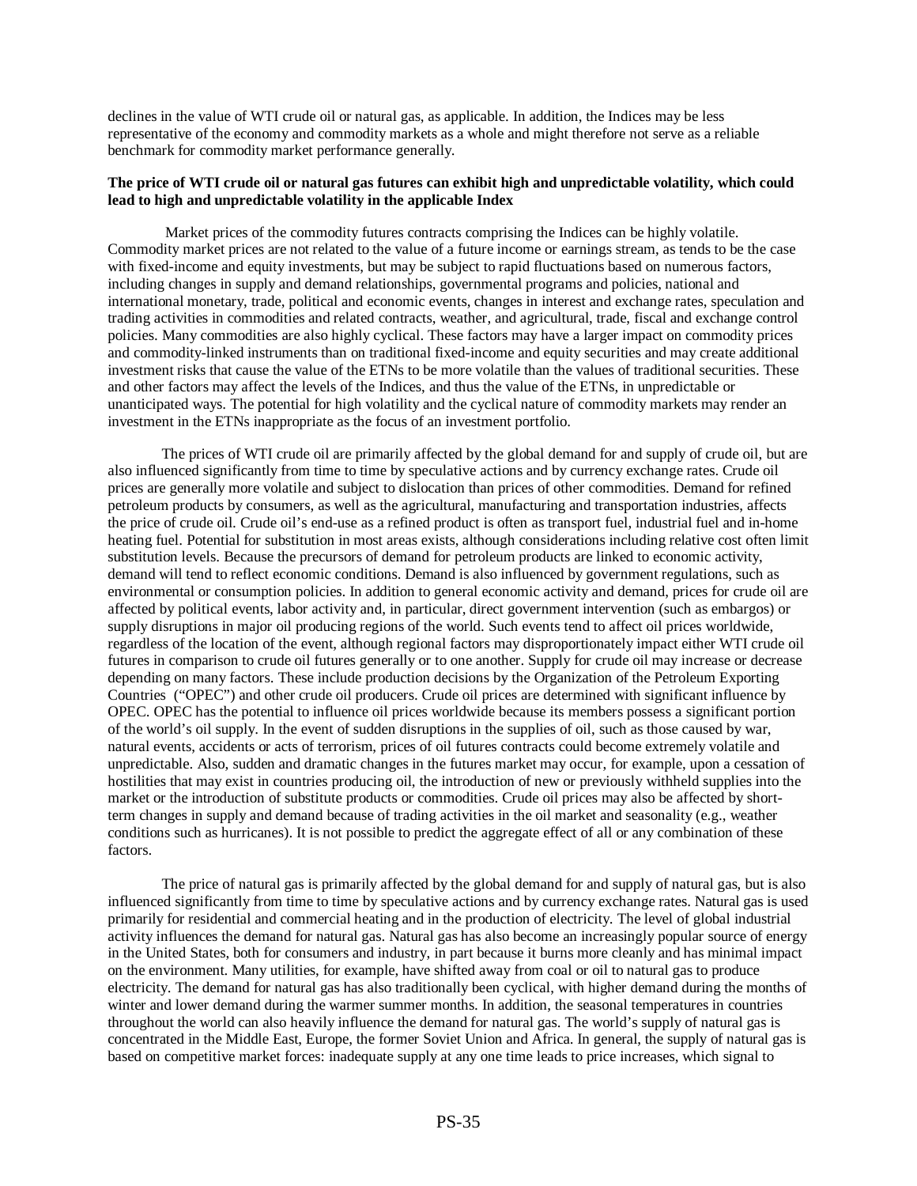declines in the value of WTI crude oil or natural gas, as applicable. In addition, the Indices may be less representative of the economy and commodity markets as a whole and might therefore not serve as a reliable benchmark for commodity market performance generally.

# **The price of WTI crude oil or natural gas futures can exhibit high and unpredictable volatility, which could lead to high and unpredictable volatility in the applicable Index**

Market prices of the commodity futures contracts comprising the Indices can be highly volatile. Commodity market prices are not related to the value of a future income or earnings stream, as tends to be the case with fixed-income and equity investments, but may be subject to rapid fluctuations based on numerous factors, including changes in supply and demand relationships, governmental programs and policies, national and international monetary, trade, political and economic events, changes in interest and exchange rates, speculation and trading activities in commodities and related contracts, weather, and agricultural, trade, fiscal and exchange control policies. Many commodities are also highly cyclical. These factors may have a larger impact on commodity prices and commodity-linked instruments than on traditional fixed-income and equity securities and may create additional investment risks that cause the value of the ETNs to be more volatile than the values of traditional securities. These and other factors may affect the levels of the Indices, and thus the value of the ETNs, in unpredictable or unanticipated ways. The potential for high volatility and the cyclical nature of commodity markets may render an investment in the ETNs inappropriate as the focus of an investment portfolio.

 The prices of WTI crude oil are primarily affected by the global demand for and supply of crude oil, but are also influenced significantly from time to time by speculative actions and by currency exchange rates. Crude oil prices are generally more volatile and subject to dislocation than prices of other commodities. Demand for refined petroleum products by consumers, as well as the agricultural, manufacturing and transportation industries, affects the price of crude oil. Crude oil's end-use as a refined product is often as transport fuel, industrial fuel and in-home heating fuel. Potential for substitution in most areas exists, although considerations including relative cost often limit substitution levels. Because the precursors of demand for petroleum products are linked to economic activity, demand will tend to reflect economic conditions. Demand is also influenced by government regulations, such as environmental or consumption policies. In addition to general economic activity and demand, prices for crude oil are affected by political events, labor activity and, in particular, direct government intervention (such as embargos) or supply disruptions in major oil producing regions of the world. Such events tend to affect oil prices worldwide, regardless of the location of the event, although regional factors may disproportionately impact either WTI crude oil futures in comparison to crude oil futures generally or to one another. Supply for crude oil may increase or decrease depending on many factors. These include production decisions by the Organization of the Petroleum Exporting Countries ("OPEC") and other crude oil producers. Crude oil prices are determined with significant influence by OPEC. OPEC has the potential to influence oil prices worldwide because its members possess a significant portion of the world's oil supply. In the event of sudden disruptions in the supplies of oil, such as those caused by war, natural events, accidents or acts of terrorism, prices of oil futures contracts could become extremely volatile and unpredictable. Also, sudden and dramatic changes in the futures market may occur, for example, upon a cessation of hostilities that may exist in countries producing oil, the introduction of new or previously withheld supplies into the market or the introduction of substitute products or commodities. Crude oil prices may also be affected by shortterm changes in supply and demand because of trading activities in the oil market and seasonality (e.g., weather conditions such as hurricanes). It is not possible to predict the aggregate effect of all or any combination of these factors.

The price of natural gas is primarily affected by the global demand for and supply of natural gas, but is also influenced significantly from time to time by speculative actions and by currency exchange rates. Natural gas is used primarily for residential and commercial heating and in the production of electricity. The level of global industrial activity influences the demand for natural gas. Natural gas has also become an increasingly popular source of energy in the United States, both for consumers and industry, in part because it burns more cleanly and has minimal impact on the environment. Many utilities, for example, have shifted away from coal or oil to natural gas to produce electricity. The demand for natural gas has also traditionally been cyclical, with higher demand during the months of winter and lower demand during the warmer summer months. In addition, the seasonal temperatures in countries throughout the world can also heavily influence the demand for natural gas. The world's supply of natural gas is concentrated in the Middle East, Europe, the former Soviet Union and Africa. In general, the supply of natural gas is based on competitive market forces: inadequate supply at any one time leads to price increases, which signal to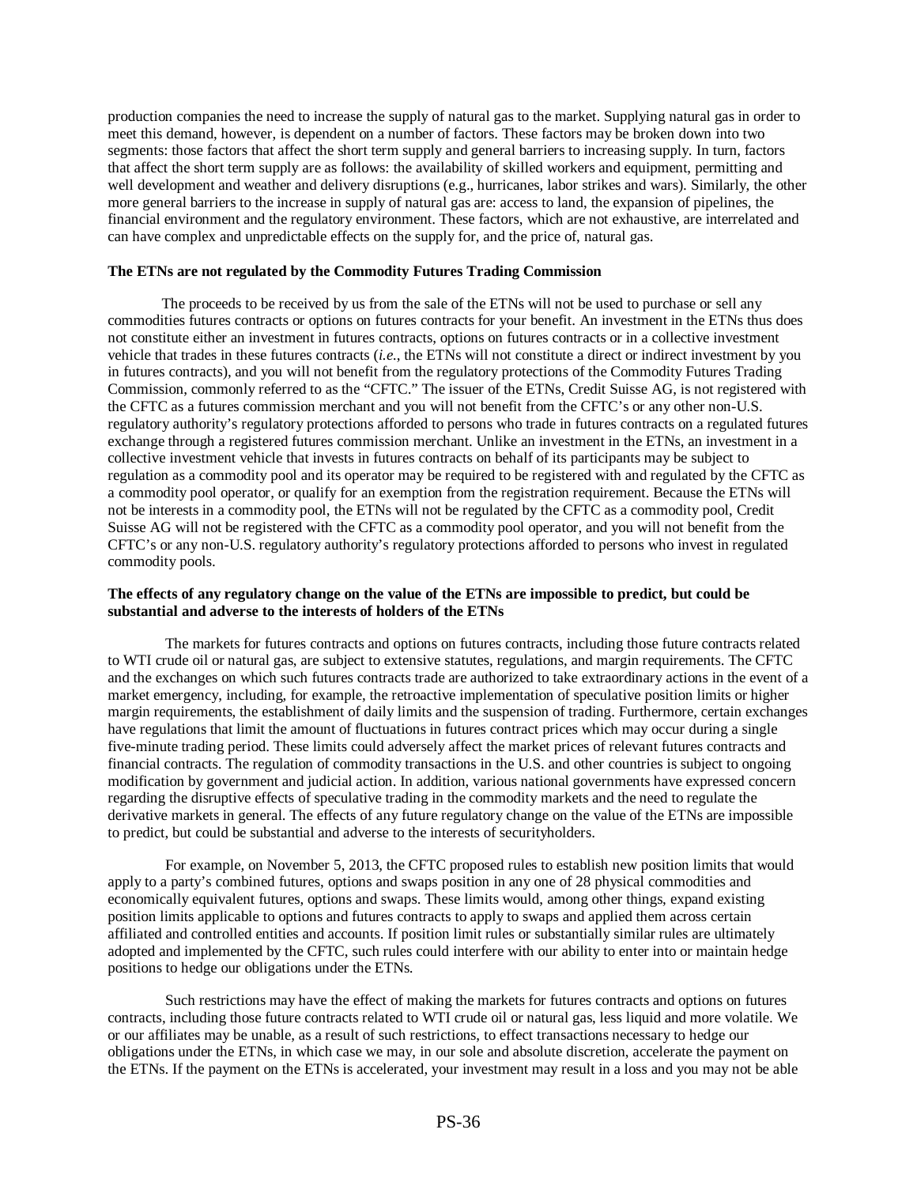production companies the need to increase the supply of natural gas to the market. Supplying natural gas in order to meet this demand, however, is dependent on a number of factors. These factors may be broken down into two segments: those factors that affect the short term supply and general barriers to increasing supply. In turn, factors that affect the short term supply are as follows: the availability of skilled workers and equipment, permitting and well development and weather and delivery disruptions (e.g., hurricanes, labor strikes and wars). Similarly, the other more general barriers to the increase in supply of natural gas are: access to land, the expansion of pipelines, the financial environment and the regulatory environment. These factors, which are not exhaustive, are interrelated and can have complex and unpredictable effects on the supply for, and the price of, natural gas.

# **The ETNs are not regulated by the Commodity Futures Trading Commission**

The proceeds to be received by us from the sale of the ETNs will not be used to purchase or sell any commodities futures contracts or options on futures contracts for your benefit. An investment in the ETNs thus does not constitute either an investment in futures contracts, options on futures contracts or in a collective investment vehicle that trades in these futures contracts (*i.e.*, the ETNs will not constitute a direct or indirect investment by you in futures contracts), and you will not benefit from the regulatory protections of the Commodity Futures Trading Commission, commonly referred to as the "CFTC." The issuer of the ETNs, Credit Suisse AG, is not registered with the CFTC as a futures commission merchant and you will not benefit from the CFTC's or any other non-U.S. regulatory authority's regulatory protections afforded to persons who trade in futures contracts on a regulated futures exchange through a registered futures commission merchant. Unlike an investment in the ETNs, an investment in a collective investment vehicle that invests in futures contracts on behalf of its participants may be subject to regulation as a commodity pool and its operator may be required to be registered with and regulated by the CFTC as a commodity pool operator, or qualify for an exemption from the registration requirement. Because the ETNs will not be interests in a commodity pool, the ETNs will not be regulated by the CFTC as a commodity pool, Credit Suisse AG will not be registered with the CFTC as a commodity pool operator, and you will not benefit from the CFTC's or any non-U.S. regulatory authority's regulatory protections afforded to persons who invest in regulated commodity pools.

# **The effects of any regulatory change on the value of the ETNs are impossible to predict, but could be substantial and adverse to the interests of holders of the ETNs**

The markets for futures contracts and options on futures contracts, including those future contracts related to WTI crude oil or natural gas, are subject to extensive statutes, regulations, and margin requirements. The CFTC and the exchanges on which such futures contracts trade are authorized to take extraordinary actions in the event of a market emergency, including, for example, the retroactive implementation of speculative position limits or higher margin requirements, the establishment of daily limits and the suspension of trading. Furthermore, certain exchanges have regulations that limit the amount of fluctuations in futures contract prices which may occur during a single five-minute trading period. These limits could adversely affect the market prices of relevant futures contracts and financial contracts. The regulation of commodity transactions in the U.S. and other countries is subject to ongoing modification by government and judicial action. In addition, various national governments have expressed concern regarding the disruptive effects of speculative trading in the commodity markets and the need to regulate the derivative markets in general. The effects of any future regulatory change on the value of the ETNs are impossible to predict, but could be substantial and adverse to the interests of securityholders.

For example, on November 5, 2013, the CFTC proposed rules to establish new position limits that would apply to a party's combined futures, options and swaps position in any one of 28 physical commodities and economically equivalent futures, options and swaps. These limits would, among other things, expand existing position limits applicable to options and futures contracts to apply to swaps and applied them across certain affiliated and controlled entities and accounts. If position limit rules or substantially similar rules are ultimately adopted and implemented by the CFTC, such rules could interfere with our ability to enter into or maintain hedge positions to hedge our obligations under the ETNs.

Such restrictions may have the effect of making the markets for futures contracts and options on futures contracts, including those future contracts related to WTI crude oil or natural gas, less liquid and more volatile. We or our affiliates may be unable, as a result of such restrictions, to effect transactions necessary to hedge our obligations under the ETNs, in which case we may, in our sole and absolute discretion, accelerate the payment on the ETNs. If the payment on the ETNs is accelerated, your investment may result in a loss and you may not be able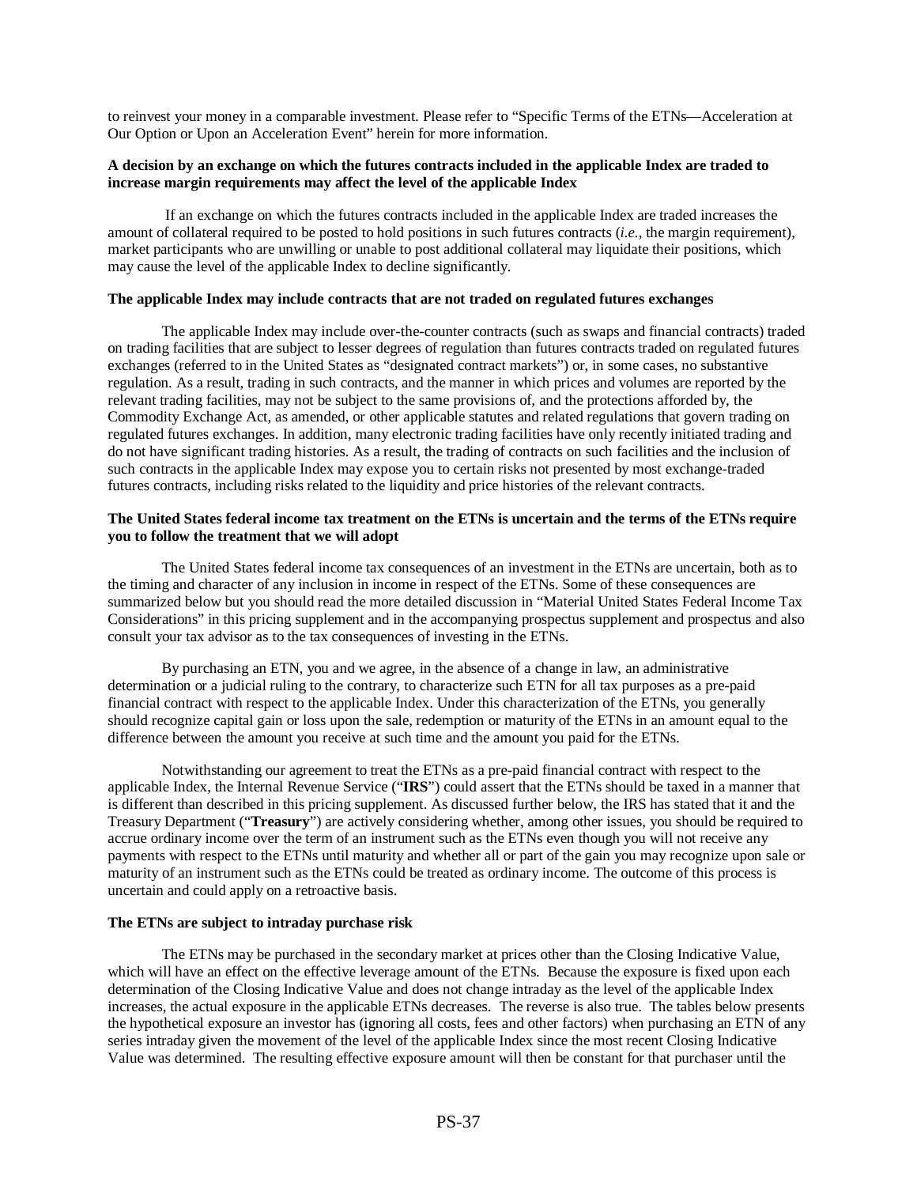to reinvest your money in a comparable investment. Please refer to "Specific Terms of the ETNs—Acceleration at Our Option or Upon an Acceleration Event" herein for more information.

# **A decision by an exchange on which the futures contracts included in the applicable Index are traded to increase margin requirements may affect the level of the applicable Index**

If an exchange on which the futures contracts included in the applicable Index are traded increases the amount of collateral required to be posted to hold positions in such futures contracts (*i.e.,* the margin requirement), market participants who are unwilling or unable to post additional collateral may liquidate their positions, which may cause the level of the applicable Index to decline significantly.

## **The applicable Index may include contracts that are not traded on regulated futures exchanges**

The applicable Index may include over-the-counter contracts (such as swaps and financial contracts) traded on trading facilities that are subject to lesser degrees of regulation than futures contracts traded on regulated futures exchanges (referred to in the United States as "designated contract markets") or, in some cases, no substantive regulation. As a result, trading in such contracts, and the manner in which prices and volumes are reported by the relevant trading facilities, may not be subject to the same provisions of, and the protections afforded by, the Commodity Exchange Act, as amended, or other applicable statutes and related regulations that govern trading on regulated futures exchanges. In addition, many electronic trading facilities have only recently initiated trading and do not have significant trading histories. As a result, the trading of contracts on such facilities and the inclusion of such contracts in the applicable Index may expose you to certain risks not presented by most exchange-traded futures contracts, including risks related to the liquidity and price histories of the relevant contracts.

# **The United States federal income tax treatment on the ETNs is uncertain and the terms of the ETNs require you to follow the treatment that we will adopt**

The United States federal income tax consequences of an investment in the ETNs are uncertain, both as to the timing and character of any inclusion in income in respect of the ETNs. Some of these consequences are summarized below but you should read the more detailed discussion in "Material United States Federal Income Tax Considerations" in this pricing supplement and in the accompanying prospectus supplement and prospectus and also consult your tax advisor as to the tax consequences of investing in the ETNs.

By purchasing an ETN, you and we agree, in the absence of a change in law, an administrative determination or a judicial ruling to the contrary, to characterize such ETN for all tax purposes as a pre-paid financial contract with respect to the applicable Index. Under this characterization of the ETNs, you generally should recognize capital gain or loss upon the sale, redemption or maturity of the ETNs in an amount equal to the difference between the amount you receive at such time and the amount you paid for the ETNs.

Notwithstanding our agreement to treat the ETNs as a pre-paid financial contract with respect to the applicable Index, the Internal Revenue Service ("**IRS**") could assert that the ETNs should be taxed in a manner that is different than described in this pricing supplement. As discussed further below, the IRS has stated that it and the Treasury Department ("**Treasury**") are actively considering whether, among other issues, you should be required to accrue ordinary income over the term of an instrument such as the ETNs even though you will not receive any payments with respect to the ETNs until maturity and whether all or part of the gain you may recognize upon sale or maturity of an instrument such as the ETNs could be treated as ordinary income. The outcome of this process is uncertain and could apply on a retroactive basis.

## **The ETNs are subject to intraday purchase risk**

The ETNs may be purchased in the secondary market at prices other than the Closing Indicative Value, which will have an effect on the effective leverage amount of the ETNs. Because the exposure is fixed upon each determination of the Closing Indicative Value and does not change intraday as the level of the applicable Index increases, the actual exposure in the applicable ETNs decreases. The reverse is also true. The tables below presents the hypothetical exposure an investor has (ignoring all costs, fees and other factors) when purchasing an ETN of any series intraday given the movement of the level of the applicable Index since the most recent Closing Indicative Value was determined. The resulting effective exposure amount will then be constant for that purchaser until the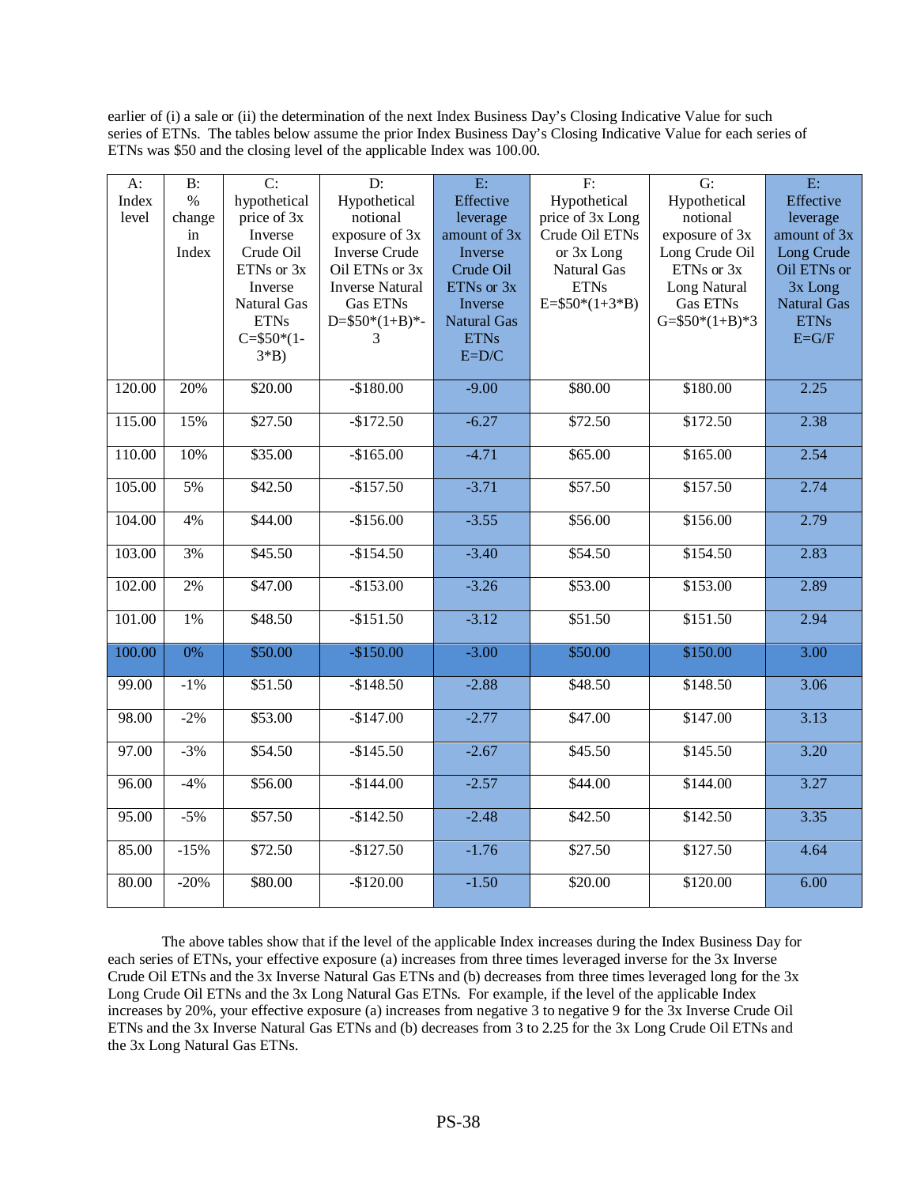earlier of (i) a sale or (ii) the determination of the next Index Business Day's Closing Indicative Value for such series of ETNs. The tables below assume the prior Index Business Day's Closing Indicative Value for each series of ETNs was \$50 and the closing level of the applicable Index was 100.00.

| $A$ :  | $\overline{B}$ : | $\overline{C}$ : | $\overline{D}$ :       | $\overline{E}$ :   | F:                | $\overline{G}$ :  | E:                 |
|--------|------------------|------------------|------------------------|--------------------|-------------------|-------------------|--------------------|
| Index  | $\%$             | hypothetical     | Hypothetical           | Effective          | Hypothetical      | Hypothetical      | Effective          |
| level  | change           | price of 3x      | notional               | leverage           | price of 3x Long  | notional          | leverage           |
|        | in               | Inverse          | exposure of 3x         | amount of 3x       | Crude Oil ETNs    | exposure of 3x    | amount of 3x       |
|        | Index            | Crude Oil        | <b>Inverse Crude</b>   | Inverse            | or 3x Long        | Long Crude Oil    | Long Crude         |
|        |                  | ETNs or 3x       | Oil ETNs or 3x         | Crude Oil          | Natural Gas       | ETNs or 3x        | Oil ETNs or        |
|        |                  | Inverse          | <b>Inverse Natural</b> | ETNs or 3x         | <b>ETNs</b>       | Long Natural      | 3x Long            |
|        |                  | Natural Gas      | <b>Gas ETNs</b>        | Inverse            | $E = $50*(1+3*B)$ | <b>Gas ETNs</b>   | <b>Natural Gas</b> |
|        |                  | <b>ETNs</b>      | D= $$50*(1+B)*-$       | <b>Natural Gas</b> |                   | $G = $50*(1+B)*3$ | <b>ETNs</b>        |
|        |                  | $C = $50*(1 -$   | 3                      | <b>ETNs</b>        |                   |                   | $E = G/F$          |
|        |                  | $3*B$            |                        | $E=D/C$            |                   |                   |                    |
|        |                  |                  |                        |                    |                   |                   |                    |
| 120.00 | 20%              | \$20.00          | $-$180.00$             | $-9.00$            | \$80.00           | \$180.00          | 2.25               |
|        |                  |                  |                        |                    |                   |                   |                    |
| 115.00 | 15%              | \$27.50          | $-$172.50$             | $-6.27$            | \$72.50           | \$172.50          | 2.38               |
| 110.00 | 10%              | \$35.00          | $-$165.00$             | $-4.71$            | \$65.00           | \$165.00          | 2.54               |
|        |                  |                  |                        |                    |                   |                   |                    |
| 105.00 | 5%               | \$42.50          | $-$157.50$             | $-3.71$            | \$57.50           | \$157.50          | 2.74               |
|        |                  |                  |                        |                    |                   |                   |                    |
| 104.00 | 4%               | \$44.00          | $-$156.00$             | $-3.55$            | \$56.00           | \$156.00          | 2.79               |
|        |                  |                  |                        |                    |                   |                   |                    |
| 103.00 | 3%               | \$45.50          | $-$154.50$             | $-3.40$            | \$54.50           | \$154.50          | 2.83               |
| 102.00 | 2%               | \$47.00          | $-$153.00$             | $-3.26$            | \$53.00           | \$153.00          | 2.89               |
|        |                  |                  |                        |                    |                   |                   |                    |
| 101.00 | $1\%$            | \$48.50          | $-$151.50$             | $-3.12$            | \$51.50           | \$151.50          | 2.94               |
|        |                  |                  |                        |                    |                   |                   |                    |
| 100.00 | 0%               | \$50.00          | $-$150.00$             | $-3.00$            | \$50.00           | \$150.00          | 3.00               |
|        |                  |                  |                        |                    |                   |                   |                    |
| 99.00  | $-1\%$           | \$51.50          | $-$148.50$             | $-2.88$            | \$48.50           | \$148.50          | 3.06               |
| 98.00  | $-2%$            | \$53.00          | $-$147.00$             |                    | \$47.00           | \$147.00          |                    |
|        |                  |                  |                        | $-2.77$            |                   |                   | 3.13               |
| 97.00  | $-3%$            | \$54.50          | $-$145.50$             | $-2.67$            | \$45.50           | \$145.50          | 3.20               |
|        |                  |                  |                        |                    |                   |                   |                    |
| 96.00  | $-4%$            | \$56.00          | $-$144.00$             | $-2.57$            | \$44.00           | \$144.00          | 3.27               |
|        |                  |                  |                        |                    |                   |                   |                    |
| 95.00  | $-5%$            | \$57.50          | $-$142.50$             | $-2.48$            | \$42.50           | \$142.50          | 3.35               |
|        |                  |                  |                        |                    |                   |                   |                    |
| 85.00  | $-15%$           | \$72.50          | $-$127.50$             | $-1.76$            | \$27.50           | \$127.50          | 4.64               |
|        |                  |                  |                        |                    |                   |                   |                    |
| 80.00  | $-20%$           | \$80.00          | $-$120.00$             | $-1.50$            | \$20.00           | \$120.00          | 6.00               |

The above tables show that if the level of the applicable Index increases during the Index Business Day for each series of ETNs, your effective exposure (a) increases from three times leveraged inverse for the 3x Inverse Crude Oil ETNs and the 3x Inverse Natural Gas ETNs and (b) decreases from three times leveraged long for the 3x Long Crude Oil ETNs and the 3x Long Natural Gas ETNs. For example, if the level of the applicable Index increases by 20%, your effective exposure (a) increases from negative 3 to negative 9 for the 3x Inverse Crude Oil ETNs and the 3x Inverse Natural Gas ETNs and (b) decreases from 3 to 2.25 for the 3x Long Crude Oil ETNs and the 3x Long Natural Gas ETNs.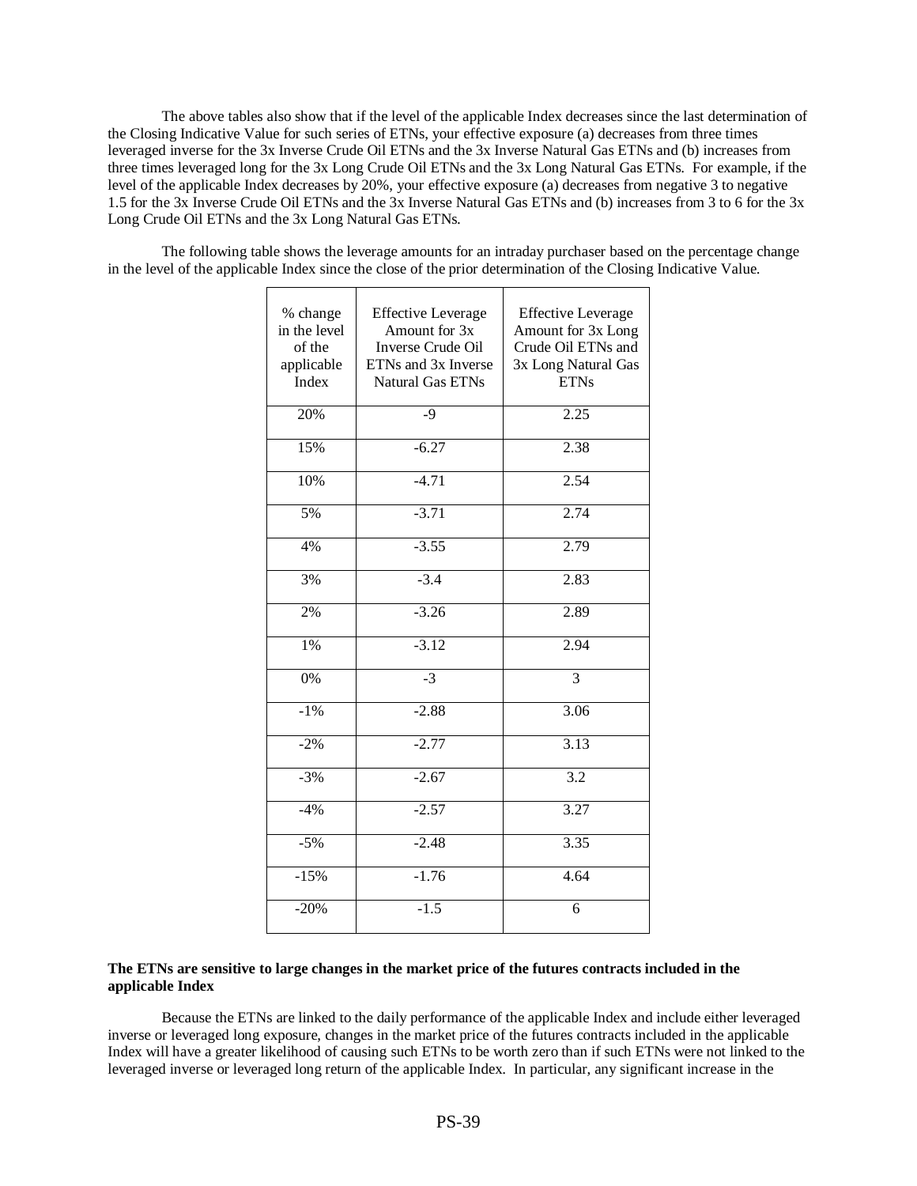The above tables also show that if the level of the applicable Index decreases since the last determination of the Closing Indicative Value for such series of ETNs, your effective exposure (a) decreases from three times leveraged inverse for the 3x Inverse Crude Oil ETNs and the 3x Inverse Natural Gas ETNs and (b) increases from three times leveraged long for the 3x Long Crude Oil ETNs and the 3x Long Natural Gas ETNs. For example, if the level of the applicable Index decreases by 20%, your effective exposure (a) decreases from negative 3 to negative 1.5 for the 3x Inverse Crude Oil ETNs and the 3x Inverse Natural Gas ETNs and (b) increases from 3 to 6 for the 3x Long Crude Oil ETNs and the 3x Long Natural Gas ETNs.

The following table shows the leverage amounts for an intraday purchaser based on the percentage change in the level of the applicable Index since the close of the prior determination of the Closing Indicative Value.

| % change<br>in the level<br>of the<br>applicable<br>Index | <b>Effective Leverage</b><br>Amount for 3x<br>Inverse Crude Oil<br>ETNs and 3x Inverse<br><b>Natural Gas ETNs</b> | <b>Effective Leverage</b><br>Amount for 3x Long<br>Crude Oil ETNs and<br>3x Long Natural Gas<br><b>ETNs</b> |
|-----------------------------------------------------------|-------------------------------------------------------------------------------------------------------------------|-------------------------------------------------------------------------------------------------------------|
| 20%                                                       | $-9$                                                                                                              | 2.25                                                                                                        |
| 15%                                                       | $-6.27$                                                                                                           | 2.38                                                                                                        |
| 10%                                                       | $-4.71$                                                                                                           | 2.54                                                                                                        |
| 5%                                                        | $-3.71$                                                                                                           | 2.74                                                                                                        |
| 4%                                                        | $-3.55$                                                                                                           | 2.79                                                                                                        |
| 3%                                                        | $-3.4$                                                                                                            | 2.83                                                                                                        |
| 2%                                                        | $-3.26$                                                                                                           | 2.89                                                                                                        |
| $1\%$                                                     | $-3.12$                                                                                                           | 2.94                                                                                                        |
| 0%                                                        | $-3$                                                                                                              | $\overline{3}$                                                                                              |
| $-1%$                                                     | $-2.88$                                                                                                           | 3.06                                                                                                        |
| $-2%$                                                     | $-2.77$                                                                                                           | 3.13                                                                                                        |
| $-3%$                                                     | $-2.67$                                                                                                           | $\overline{3.2}$                                                                                            |
| $-4%$                                                     | $-2.57$                                                                                                           | 3.27                                                                                                        |
| $-5%$                                                     | $-2.48$                                                                                                           | 3.35                                                                                                        |
| $-15%$                                                    | $-1.76$                                                                                                           | 4.64                                                                                                        |
| $-20%$                                                    | $\overline{-1.5}$                                                                                                 | 6                                                                                                           |

# **The ETNs are sensitive to large changes in the market price of the futures contracts included in the applicable Index**

Because the ETNs are linked to the daily performance of the applicable Index and include either leveraged inverse or leveraged long exposure, changes in the market price of the futures contracts included in the applicable Index will have a greater likelihood of causing such ETNs to be worth zero than if such ETNs were not linked to the leveraged inverse or leveraged long return of the applicable Index. In particular, any significant increase in the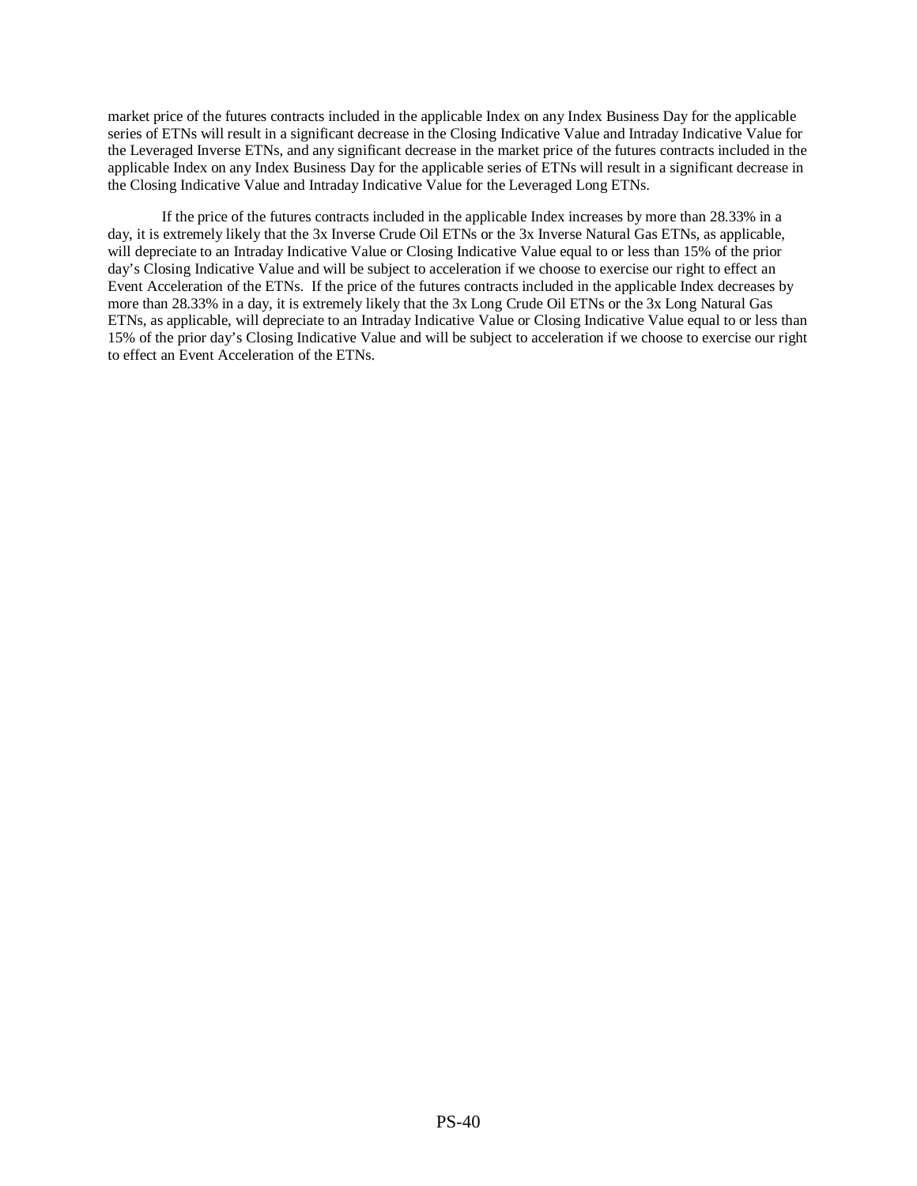market price of the futures contracts included in the applicable Index on any Index Business Day for the applicable series of ETNs will result in a significant decrease in the Closing Indicative Value and Intraday Indicative Value for the Leveraged Inverse ETNs, and any significant decrease in the market price of the futures contracts included in the applicable Index on any Index Business Day for the applicable series of ETNs will result in a significant decrease in the Closing Indicative Value and Intraday Indicative Value for the Leveraged Long ETNs.

If the price of the futures contracts included in the applicable Index increases by more than 28.33% in a day, it is extremely likely that the 3x Inverse Crude Oil ETNs or the 3x Inverse Natural Gas ETNs, as applicable, will depreciate to an Intraday Indicative Value or Closing Indicative Value equal to or less than 15% of the prior day's Closing Indicative Value and will be subject to acceleration if we choose to exercise our right to effect an Event Acceleration of the ETNs. If the price of the futures contracts included in the applicable Index decreases by more than 28.33% in a day, it is extremely likely that the 3x Long Crude Oil ETNs or the 3x Long Natural Gas ETNs, as applicable, will depreciate to an Intraday Indicative Value or Closing Indicative Value equal to or less than 15% of the prior day's Closing Indicative Value and will be subject to acceleration if we choose to exercise our right to effect an Event Acceleration of the ETNs.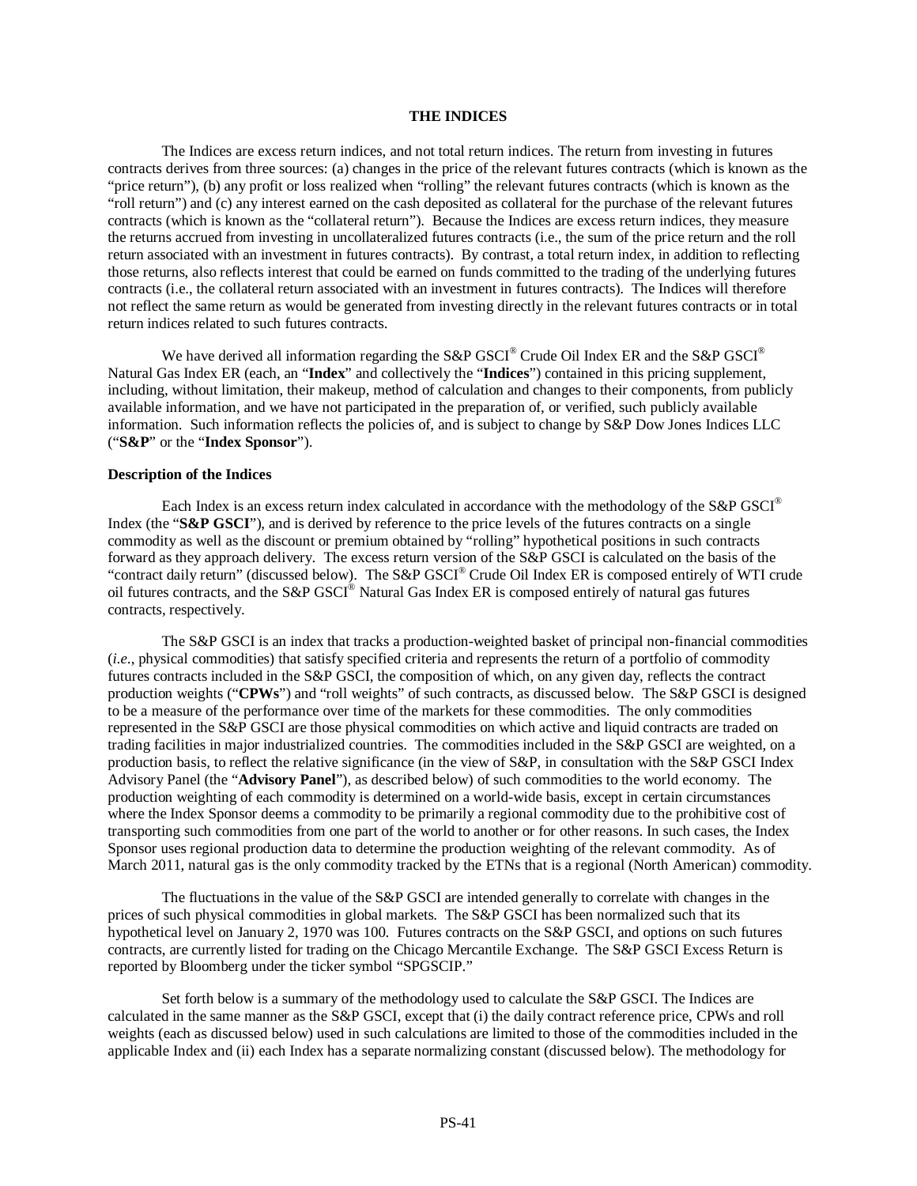## **THE INDICES**

The Indices are excess return indices, and not total return indices. The return from investing in futures contracts derives from three sources: (a) changes in the price of the relevant futures contracts (which is known as the "price return"), (b) any profit or loss realized when "rolling" the relevant futures contracts (which is known as the "roll return") and (c) any interest earned on the cash deposited as collateral for the purchase of the relevant futures contracts (which is known as the "collateral return"). Because the Indices are excess return indices, they measure the returns accrued from investing in uncollateralized futures contracts (i.e., the sum of the price return and the roll return associated with an investment in futures contracts). By contrast, a total return index, in addition to reflecting those returns, also reflects interest that could be earned on funds committed to the trading of the underlying futures contracts (i.e., the collateral return associated with an investment in futures contracts). The Indices will therefore not reflect the same return as would be generated from investing directly in the relevant futures contracts or in total return indices related to such futures contracts.

We have derived all information regarding the S&P GSCI<sup>®</sup> Crude Oil Index ER and the S&P GSCI<sup>®</sup> Natural Gas Index ER (each, an "**Index**" and collectively the "**Indices**") contained in this pricing supplement, including, without limitation, their makeup, method of calculation and changes to their components, from publicly available information, and we have not participated in the preparation of, or verified, such publicly available information. Such information reflects the policies of, and is subject to change by S&P Dow Jones Indices LLC ("**S&P**" or the "**Index Sponsor**").

#### **Description of the Indices**

Each Index is an excess return index calculated in accordance with the methodology of the S&P GSCI<sup>®</sup> Index (the "**S&P GSCI**"), and is derived by reference to the price levels of the futures contracts on a single commodity as well as the discount or premium obtained by "rolling" hypothetical positions in such contracts forward as they approach delivery. The excess return version of the S&P GSCI is calculated on the basis of the "contract daily return" (discussed below). The S&P GSCI® Crude Oil Index ER is composed entirely of WTI crude oil futures contracts, and the S&P GSCI® Natural Gas Index ER is composed entirely of natural gas futures contracts, respectively.

The S&P GSCI is an index that tracks a production-weighted basket of principal non-financial commodities (*i.e.*, physical commodities) that satisfy specified criteria and represents the return of a portfolio of commodity futures contracts included in the S&P GSCI, the composition of which, on any given day, reflects the contract production weights ("**CPWs**") and "roll weights" of such contracts, as discussed below. The S&P GSCI is designed to be a measure of the performance over time of the markets for these commodities. The only commodities represented in the S&P GSCI are those physical commodities on which active and liquid contracts are traded on trading facilities in major industrialized countries. The commodities included in the S&P GSCI are weighted, on a production basis, to reflect the relative significance (in the view of S&P, in consultation with the S&P GSCI Index Advisory Panel (the "**Advisory Panel**"), as described below) of such commodities to the world economy. The production weighting of each commodity is determined on a world-wide basis, except in certain circumstances where the Index Sponsor deems a commodity to be primarily a regional commodity due to the prohibitive cost of transporting such commodities from one part of the world to another or for other reasons. In such cases, the Index Sponsor uses regional production data to determine the production weighting of the relevant commodity. As of March 2011, natural gas is the only commodity tracked by the ETNs that is a regional (North American) commodity.

The fluctuations in the value of the S&P GSCI are intended generally to correlate with changes in the prices of such physical commodities in global markets. The S&P GSCI has been normalized such that its hypothetical level on January 2, 1970 was 100. Futures contracts on the S&P GSCI, and options on such futures contracts, are currently listed for trading on the Chicago Mercantile Exchange. The S&P GSCI Excess Return is reported by Bloomberg under the ticker symbol "SPGSCIP."

Set forth below is a summary of the methodology used to calculate the S&P GSCI. The Indices are calculated in the same manner as the S&P GSCI, except that (i) the daily contract reference price, CPWs and roll weights (each as discussed below) used in such calculations are limited to those of the commodities included in the applicable Index and (ii) each Index has a separate normalizing constant (discussed below). The methodology for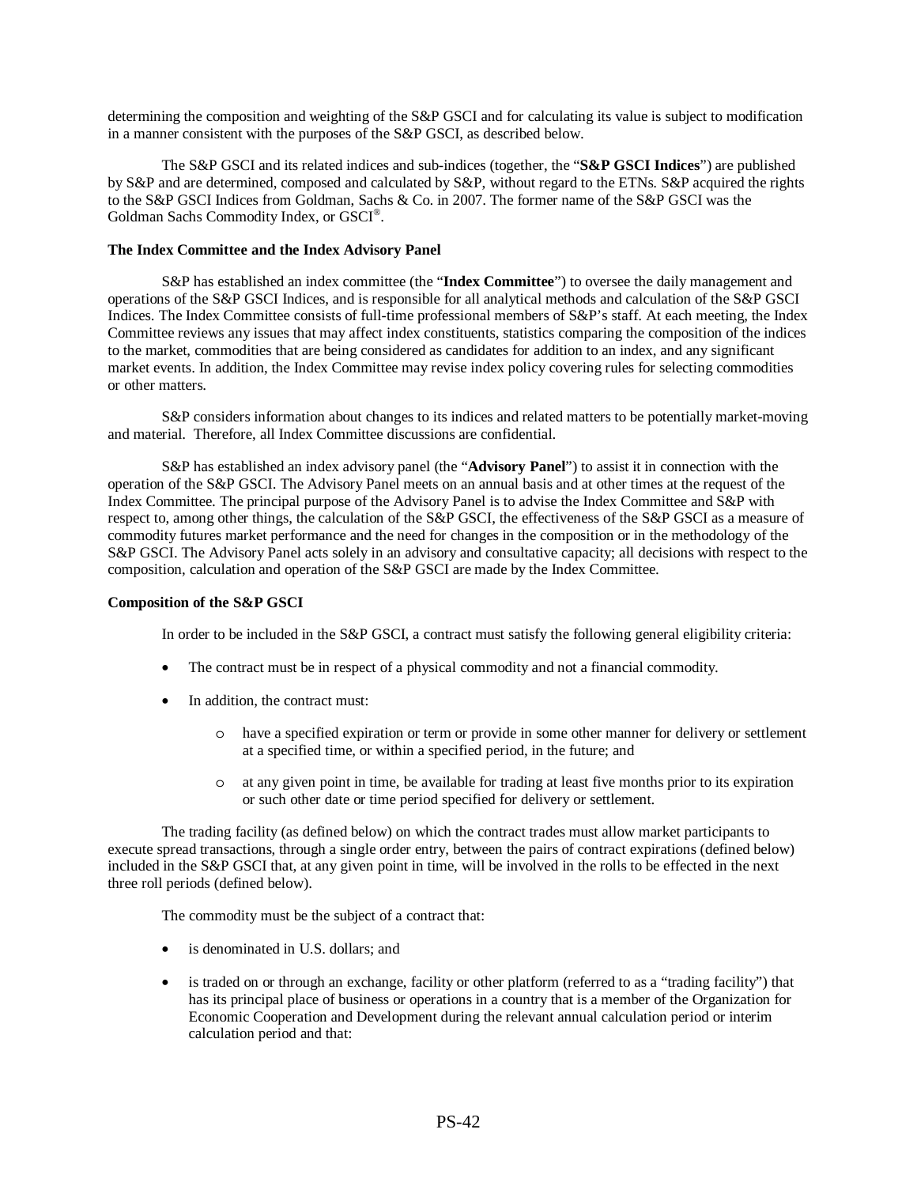determining the composition and weighting of the S&P GSCI and for calculating its value is subject to modification in a manner consistent with the purposes of the S&P GSCI, as described below.

The S&P GSCI and its related indices and sub-indices (together, the "**S&P GSCI Indices**") are published by S&P and are determined, composed and calculated by S&P, without regard to the ETNs. S&P acquired the rights to the S&P GSCI Indices from Goldman, Sachs & Co. in 2007. The former name of the S&P GSCI was the Goldman Sachs Commodity Index, or GSCI®.

# **The Index Committee and the Index Advisory Panel**

S&P has established an index committee (the "**Index Committee**") to oversee the daily management and operations of the S&P GSCI Indices, and is responsible for all analytical methods and calculation of the S&P GSCI Indices. The Index Committee consists of full-time professional members of S&P's staff. At each meeting, the Index Committee reviews any issues that may affect index constituents, statistics comparing the composition of the indices to the market, commodities that are being considered as candidates for addition to an index, and any significant market events. In addition, the Index Committee may revise index policy covering rules for selecting commodities or other matters.

S&P considers information about changes to its indices and related matters to be potentially market-moving and material. Therefore, all Index Committee discussions are confidential.

S&P has established an index advisory panel (the "**Advisory Panel**") to assist it in connection with the operation of the S&P GSCI. The Advisory Panel meets on an annual basis and at other times at the request of the Index Committee. The principal purpose of the Advisory Panel is to advise the Index Committee and S&P with respect to, among other things, the calculation of the S&P GSCI, the effectiveness of the S&P GSCI as a measure of commodity futures market performance and the need for changes in the composition or in the methodology of the S&P GSCI. The Advisory Panel acts solely in an advisory and consultative capacity; all decisions with respect to the composition, calculation and operation of the S&P GSCI are made by the Index Committee.

### **Composition of the S&P GSCI**

In order to be included in the S&P GSCI, a contract must satisfy the following general eligibility criteria:

- The contract must be in respect of a physical commodity and not a financial commodity.
- In addition, the contract must:
	- o have a specified expiration or term or provide in some other manner for delivery or settlement at a specified time, or within a specified period, in the future; and
	- o at any given point in time, be available for trading at least five months prior to its expiration or such other date or time period specified for delivery or settlement.

The trading facility (as defined below) on which the contract trades must allow market participants to execute spread transactions, through a single order entry, between the pairs of contract expirations (defined below) included in the S&P GSCI that, at any given point in time, will be involved in the rolls to be effected in the next three roll periods (defined below).

The commodity must be the subject of a contract that:

- is denominated in U.S. dollars; and
- is traded on or through an exchange, facility or other platform (referred to as a "trading facility") that has its principal place of business or operations in a country that is a member of the Organization for Economic Cooperation and Development during the relevant annual calculation period or interim calculation period and that: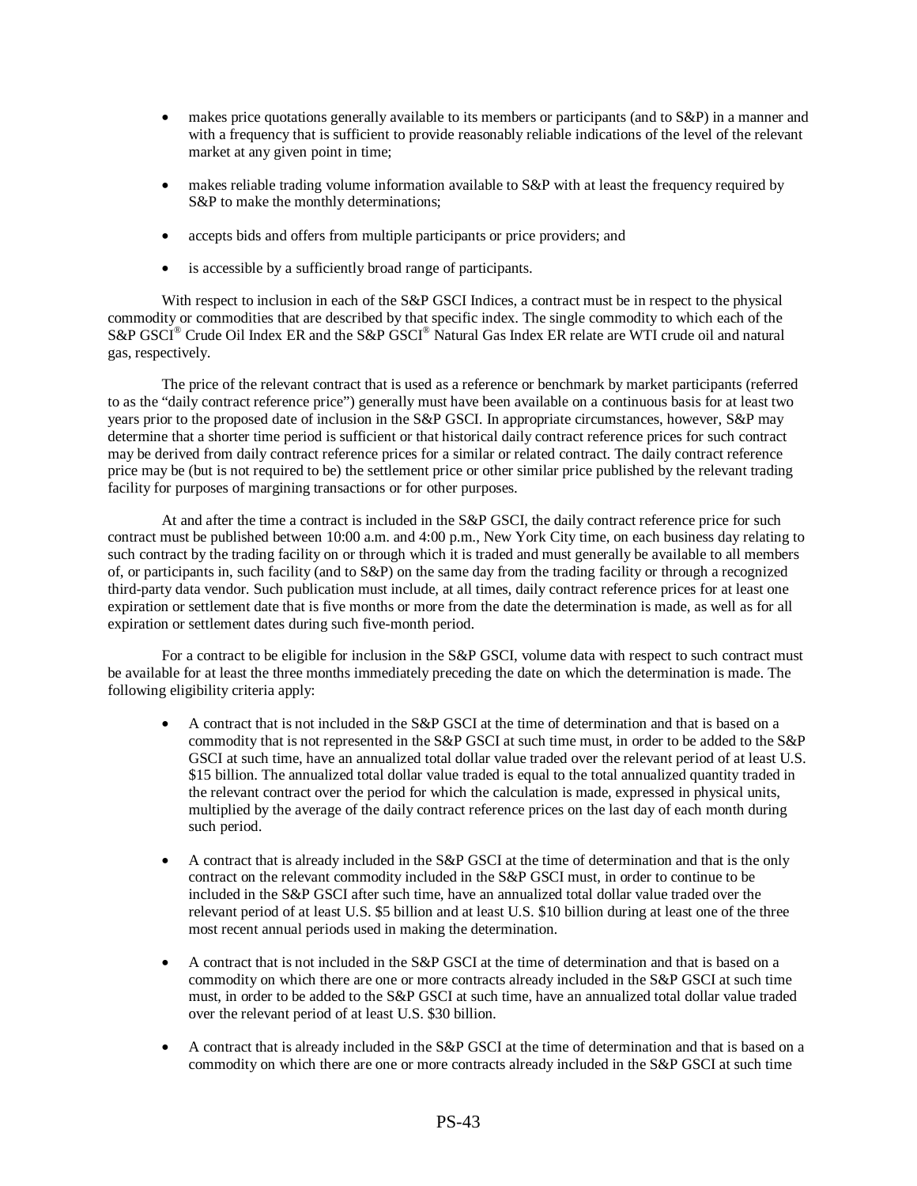- makes price quotations generally available to its members or participants (and to  $S\&P$ ) in a manner and with a frequency that is sufficient to provide reasonably reliable indications of the level of the relevant market at any given point in time;
- makes reliable trading volume information available to S&P with at least the frequency required by S&P to make the monthly determinations;
- accepts bids and offers from multiple participants or price providers; and
- is accessible by a sufficiently broad range of participants.

With respect to inclusion in each of the S&P GSCI Indices, a contract must be in respect to the physical commodity or commodities that are described by that specific index. The single commodity to which each of the S&P GSCI® Crude Oil Index ER and the S&P GSCI® Natural Gas Index ER relate are WTI crude oil and natural gas, respectively.

The price of the relevant contract that is used as a reference or benchmark by market participants (referred to as the "daily contract reference price") generally must have been available on a continuous basis for at least two years prior to the proposed date of inclusion in the S&P GSCI. In appropriate circumstances, however, S&P may determine that a shorter time period is sufficient or that historical daily contract reference prices for such contract may be derived from daily contract reference prices for a similar or related contract. The daily contract reference price may be (but is not required to be) the settlement price or other similar price published by the relevant trading facility for purposes of margining transactions or for other purposes.

At and after the time a contract is included in the S&P GSCI, the daily contract reference price for such contract must be published between 10:00 a.m. and 4:00 p.m., New York City time, on each business day relating to such contract by the trading facility on or through which it is traded and must generally be available to all members of, or participants in, such facility (and to S&P) on the same day from the trading facility or through a recognized third-party data vendor. Such publication must include, at all times, daily contract reference prices for at least one expiration or settlement date that is five months or more from the date the determination is made, as well as for all expiration or settlement dates during such five-month period.

For a contract to be eligible for inclusion in the S&P GSCI, volume data with respect to such contract must be available for at least the three months immediately preceding the date on which the determination is made. The following eligibility criteria apply:

- A contract that is not included in the S&P GSCI at the time of determination and that is based on a commodity that is not represented in the S&P GSCI at such time must, in order to be added to the S&P GSCI at such time, have an annualized total dollar value traded over the relevant period of at least U.S. \$15 billion. The annualized total dollar value traded is equal to the total annualized quantity traded in the relevant contract over the period for which the calculation is made, expressed in physical units, multiplied by the average of the daily contract reference prices on the last day of each month during such period.
- A contract that is already included in the S&P GSCI at the time of determination and that is the only contract on the relevant commodity included in the S&P GSCI must, in order to continue to be included in the S&P GSCI after such time, have an annualized total dollar value traded over the relevant period of at least U.S. \$5 billion and at least U.S. \$10 billion during at least one of the three most recent annual periods used in making the determination.
- A contract that is not included in the S&P GSCI at the time of determination and that is based on a commodity on which there are one or more contracts already included in the S&P GSCI at such time must, in order to be added to the S&P GSCI at such time, have an annualized total dollar value traded over the relevant period of at least U.S. \$30 billion.
- A contract that is already included in the S&P GSCI at the time of determination and that is based on a commodity on which there are one or more contracts already included in the S&P GSCI at such time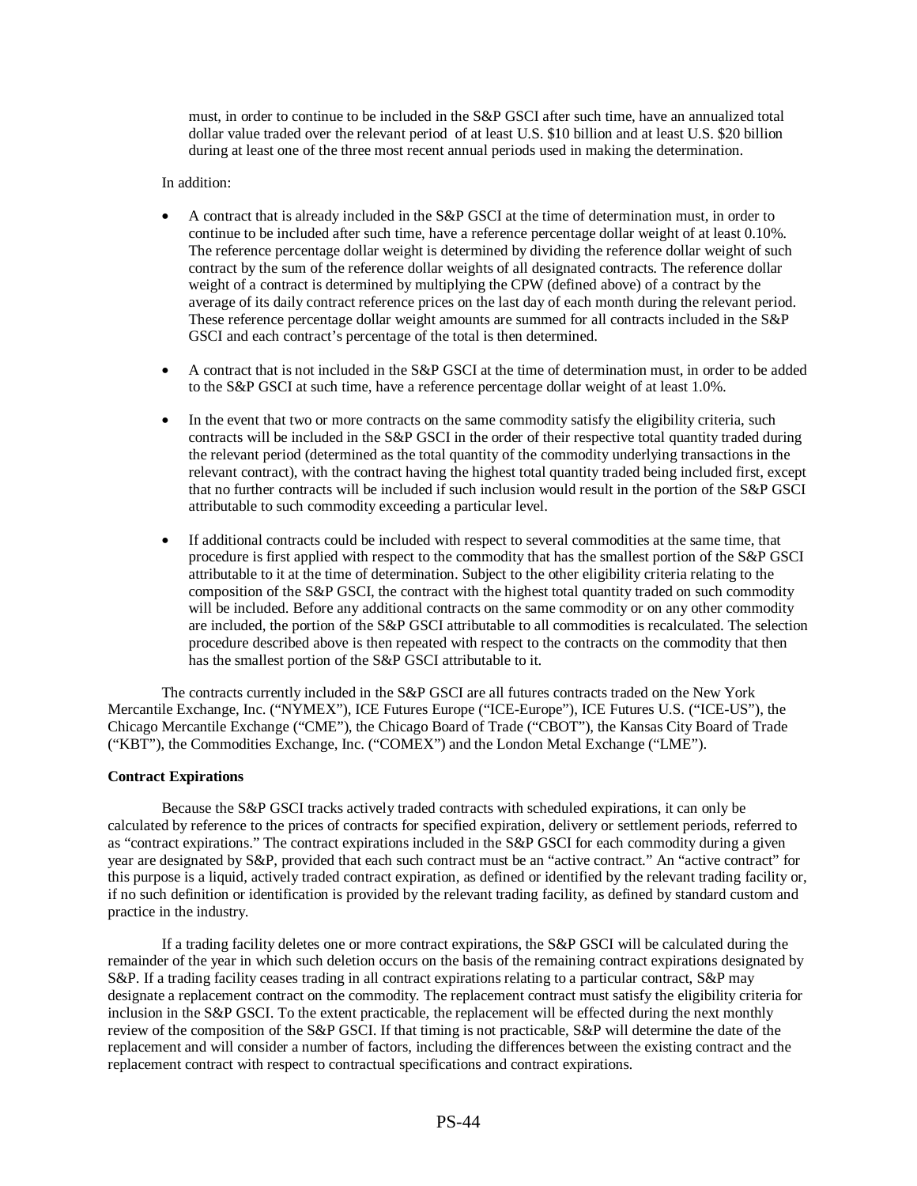must, in order to continue to be included in the S&P GSCI after such time, have an annualized total dollar value traded over the relevant period of at least U.S. \$10 billion and at least U.S. \$20 billion during at least one of the three most recent annual periods used in making the determination.

# In addition:

- A contract that is already included in the S&P GSCI at the time of determination must, in order to continue to be included after such time, have a reference percentage dollar weight of at least 0.10%. The reference percentage dollar weight is determined by dividing the reference dollar weight of such contract by the sum of the reference dollar weights of all designated contracts. The reference dollar weight of a contract is determined by multiplying the CPW (defined above) of a contract by the average of its daily contract reference prices on the last day of each month during the relevant period. These reference percentage dollar weight amounts are summed for all contracts included in the S&P GSCI and each contract's percentage of the total is then determined.
- A contract that is not included in the S&P GSCI at the time of determination must, in order to be added to the S&P GSCI at such time, have a reference percentage dollar weight of at least 1.0%.
- In the event that two or more contracts on the same commodity satisfy the eligibility criteria, such contracts will be included in the S&P GSCI in the order of their respective total quantity traded during the relevant period (determined as the total quantity of the commodity underlying transactions in the relevant contract), with the contract having the highest total quantity traded being included first, except that no further contracts will be included if such inclusion would result in the portion of the S&P GSCI attributable to such commodity exceeding a particular level.
- If additional contracts could be included with respect to several commodities at the same time, that procedure is first applied with respect to the commodity that has the smallest portion of the S&P GSCI attributable to it at the time of determination. Subject to the other eligibility criteria relating to the composition of the S&P GSCI, the contract with the highest total quantity traded on such commodity will be included. Before any additional contracts on the same commodity or on any other commodity are included, the portion of the S&P GSCI attributable to all commodities is recalculated. The selection procedure described above is then repeated with respect to the contracts on the commodity that then has the smallest portion of the S&P GSCI attributable to it.

The contracts currently included in the S&P GSCI are all futures contracts traded on the New York Mercantile Exchange, Inc. ("NYMEX"), ICE Futures Europe ("ICE-Europe"), ICE Futures U.S. ("ICE-US"), the Chicago Mercantile Exchange ("CME"), the Chicago Board of Trade ("CBOT"), the Kansas City Board of Trade ("KBT"), the Commodities Exchange, Inc. ("COMEX") and the London Metal Exchange ("LME").

# **Contract Expirations**

Because the S&P GSCI tracks actively traded contracts with scheduled expirations, it can only be calculated by reference to the prices of contracts for specified expiration, delivery or settlement periods, referred to as "contract expirations." The contract expirations included in the S&P GSCI for each commodity during a given year are designated by S&P, provided that each such contract must be an "active contract." An "active contract" for this purpose is a liquid, actively traded contract expiration, as defined or identified by the relevant trading facility or, if no such definition or identification is provided by the relevant trading facility, as defined by standard custom and practice in the industry.

If a trading facility deletes one or more contract expirations, the S&P GSCI will be calculated during the remainder of the year in which such deletion occurs on the basis of the remaining contract expirations designated by S&P. If a trading facility ceases trading in all contract expirations relating to a particular contract, S&P may designate a replacement contract on the commodity. The replacement contract must satisfy the eligibility criteria for inclusion in the S&P GSCI. To the extent practicable, the replacement will be effected during the next monthly review of the composition of the S&P GSCI. If that timing is not practicable, S&P will determine the date of the replacement and will consider a number of factors, including the differences between the existing contract and the replacement contract with respect to contractual specifications and contract expirations.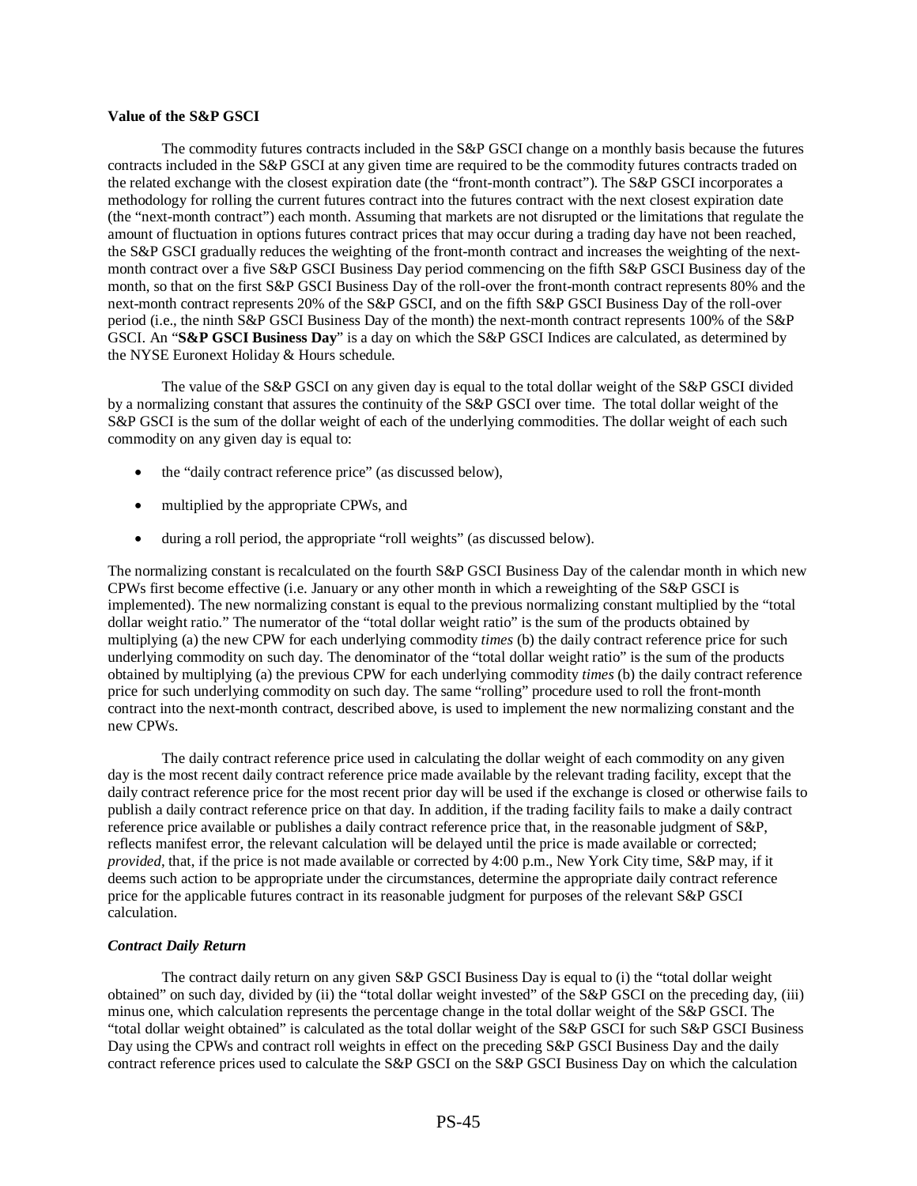## **Value of the S&P GSCI**

The commodity futures contracts included in the S&P GSCI change on a monthly basis because the futures contracts included in the S&P GSCI at any given time are required to be the commodity futures contracts traded on the related exchange with the closest expiration date (the "front-month contract"). The S&P GSCI incorporates a methodology for rolling the current futures contract into the futures contract with the next closest expiration date (the "next-month contract") each month. Assuming that markets are not disrupted or the limitations that regulate the amount of fluctuation in options futures contract prices that may occur during a trading day have not been reached, the S&P GSCI gradually reduces the weighting of the front-month contract and increases the weighting of the nextmonth contract over a five S&P GSCI Business Day period commencing on the fifth S&P GSCI Business day of the month, so that on the first S&P GSCI Business Day of the roll-over the front-month contract represents 80% and the next-month contract represents 20% of the S&P GSCI, and on the fifth S&P GSCI Business Day of the roll-over period (i.e., the ninth S&P GSCI Business Day of the month) the next-month contract represents 100% of the S&P GSCI. An "**S&P GSCI Business Day**" is a day on which the S&P GSCI Indices are calculated, as determined by the NYSE Euronext Holiday & Hours schedule.

The value of the S&P GSCI on any given day is equal to the total dollar weight of the S&P GSCI divided by a normalizing constant that assures the continuity of the S&P GSCI over time. The total dollar weight of the S&P GSCI is the sum of the dollar weight of each of the underlying commodities. The dollar weight of each such commodity on any given day is equal to:

- the "daily contract reference price" (as discussed below),
- multiplied by the appropriate CPWs, and
- during a roll period, the appropriate "roll weights" (as discussed below).

The normalizing constant is recalculated on the fourth S&P GSCI Business Day of the calendar month in which new CPWs first become effective (i.e. January or any other month in which a reweighting of the S&P GSCI is implemented). The new normalizing constant is equal to the previous normalizing constant multiplied by the "total dollar weight ratio." The numerator of the "total dollar weight ratio" is the sum of the products obtained by multiplying (a) the new CPW for each underlying commodity *times* (b) the daily contract reference price for such underlying commodity on such day. The denominator of the "total dollar weight ratio" is the sum of the products obtained by multiplying (a) the previous CPW for each underlying commodity *times* (b) the daily contract reference price for such underlying commodity on such day. The same "rolling" procedure used to roll the front-month contract into the next-month contract, described above, is used to implement the new normalizing constant and the new CPWs.

The daily contract reference price used in calculating the dollar weight of each commodity on any given day is the most recent daily contract reference price made available by the relevant trading facility, except that the daily contract reference price for the most recent prior day will be used if the exchange is closed or otherwise fails to publish a daily contract reference price on that day. In addition, if the trading facility fails to make a daily contract reference price available or publishes a daily contract reference price that, in the reasonable judgment of S&P, reflects manifest error, the relevant calculation will be delayed until the price is made available or corrected; *provided*, that, if the price is not made available or corrected by 4:00 p.m., New York City time, S&P may, if it deems such action to be appropriate under the circumstances, determine the appropriate daily contract reference price for the applicable futures contract in its reasonable judgment for purposes of the relevant S&P GSCI calculation.

## *Contract Daily Return*

The contract daily return on any given S&P GSCI Business Day is equal to (i) the "total dollar weight obtained" on such day, divided by (ii) the "total dollar weight invested" of the S&P GSCI on the preceding day, (iii) minus one, which calculation represents the percentage change in the total dollar weight of the S&P GSCI. The "total dollar weight obtained" is calculated as the total dollar weight of the S&P GSCI for such S&P GSCI Business Day using the CPWs and contract roll weights in effect on the preceding S&P GSCI Business Day and the daily contract reference prices used to calculate the S&P GSCI on the S&P GSCI Business Day on which the calculation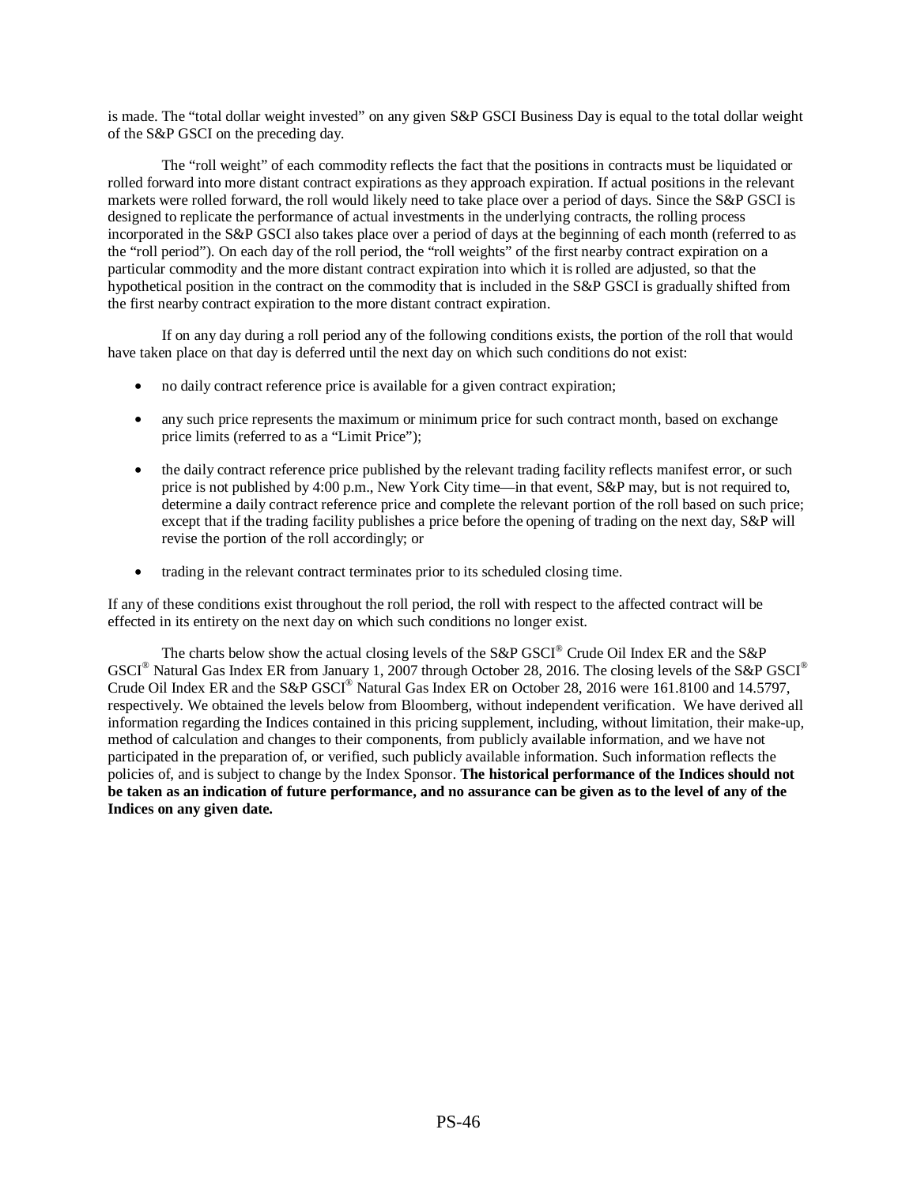is made. The "total dollar weight invested" on any given S&P GSCI Business Day is equal to the total dollar weight of the S&P GSCI on the preceding day.

The "roll weight" of each commodity reflects the fact that the positions in contracts must be liquidated or rolled forward into more distant contract expirations as they approach expiration. If actual positions in the relevant markets were rolled forward, the roll would likely need to take place over a period of days. Since the S&P GSCI is designed to replicate the performance of actual investments in the underlying contracts, the rolling process incorporated in the S&P GSCI also takes place over a period of days at the beginning of each month (referred to as the "roll period"). On each day of the roll period, the "roll weights" of the first nearby contract expiration on a particular commodity and the more distant contract expiration into which it is rolled are adjusted, so that the hypothetical position in the contract on the commodity that is included in the S&P GSCI is gradually shifted from the first nearby contract expiration to the more distant contract expiration.

If on any day during a roll period any of the following conditions exists, the portion of the roll that would have taken place on that day is deferred until the next day on which such conditions do not exist:

- no daily contract reference price is available for a given contract expiration;
- any such price represents the maximum or minimum price for such contract month, based on exchange price limits (referred to as a "Limit Price");
- the daily contract reference price published by the relevant trading facility reflects manifest error, or such price is not published by 4:00 p.m., New York City time—in that event, S&P may, but is not required to, determine a daily contract reference price and complete the relevant portion of the roll based on such price; except that if the trading facility publishes a price before the opening of trading on the next day, S&P will revise the portion of the roll accordingly; or
- trading in the relevant contract terminates prior to its scheduled closing time.

If any of these conditions exist throughout the roll period, the roll with respect to the affected contract will be effected in its entirety on the next day on which such conditions no longer exist.

The charts below show the actual closing levels of the  $S\&P$  GSCI<sup>®</sup> Crude Oil Index ER and the  $S\&P$ GSCI® Natural Gas Index ER from January 1, 2007 through October 28, 2016. The closing levels of the S&P GSCI® Crude Oil Index ER and the S&P GSCI® Natural Gas Index ER on October 28, 2016 were 161.8100 and 14.5797, respectively. We obtained the levels below from Bloomberg, without independent verification. We have derived all information regarding the Indices contained in this pricing supplement, including, without limitation, their make-up, method of calculation and changes to their components, from publicly available information, and we have not participated in the preparation of, or verified, such publicly available information. Such information reflects the policies of, and is subject to change by the Index Sponsor. **The historical performance of the Indices should not be taken as an indication of future performance, and no assurance can be given as to the level of any of the Indices on any given date.**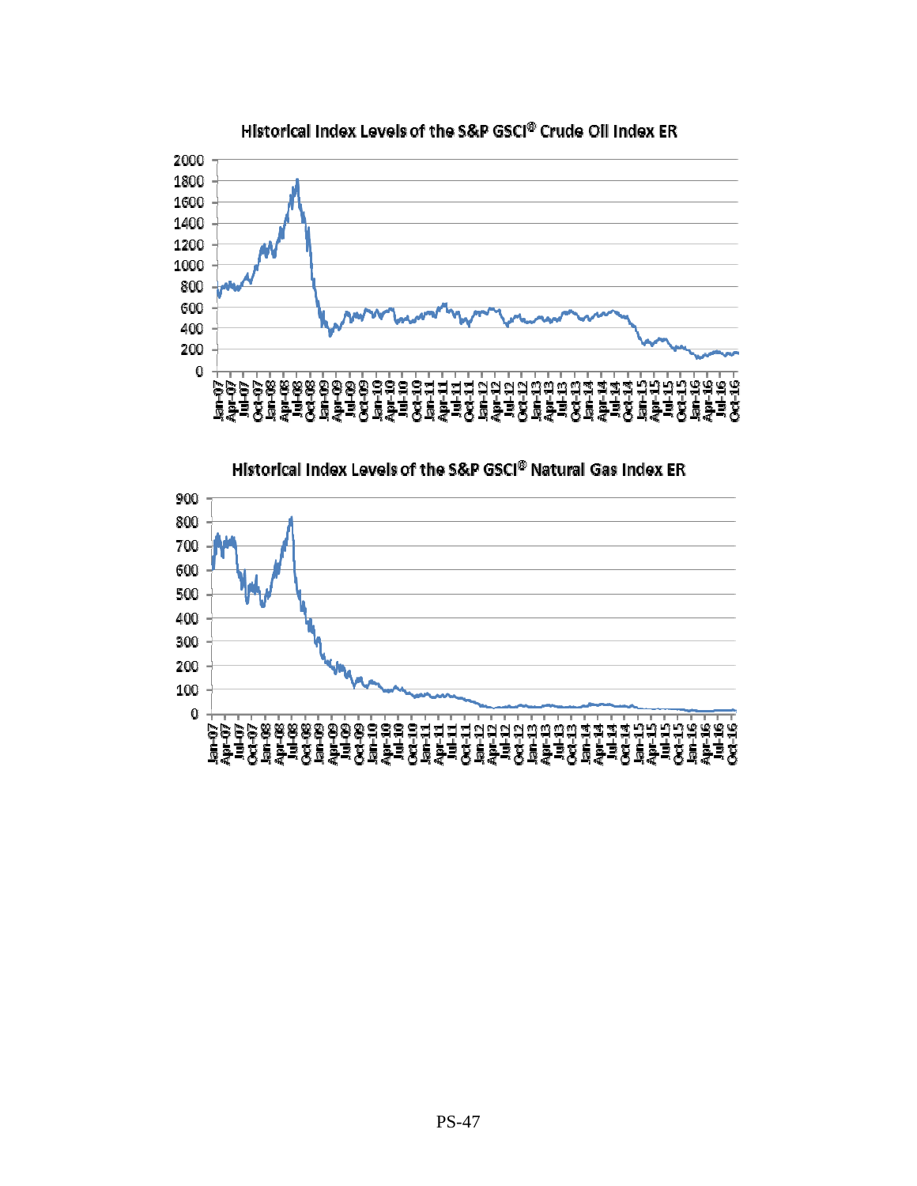

Historical Index Levels of the S&P GSCI® Crude Oil Index ER

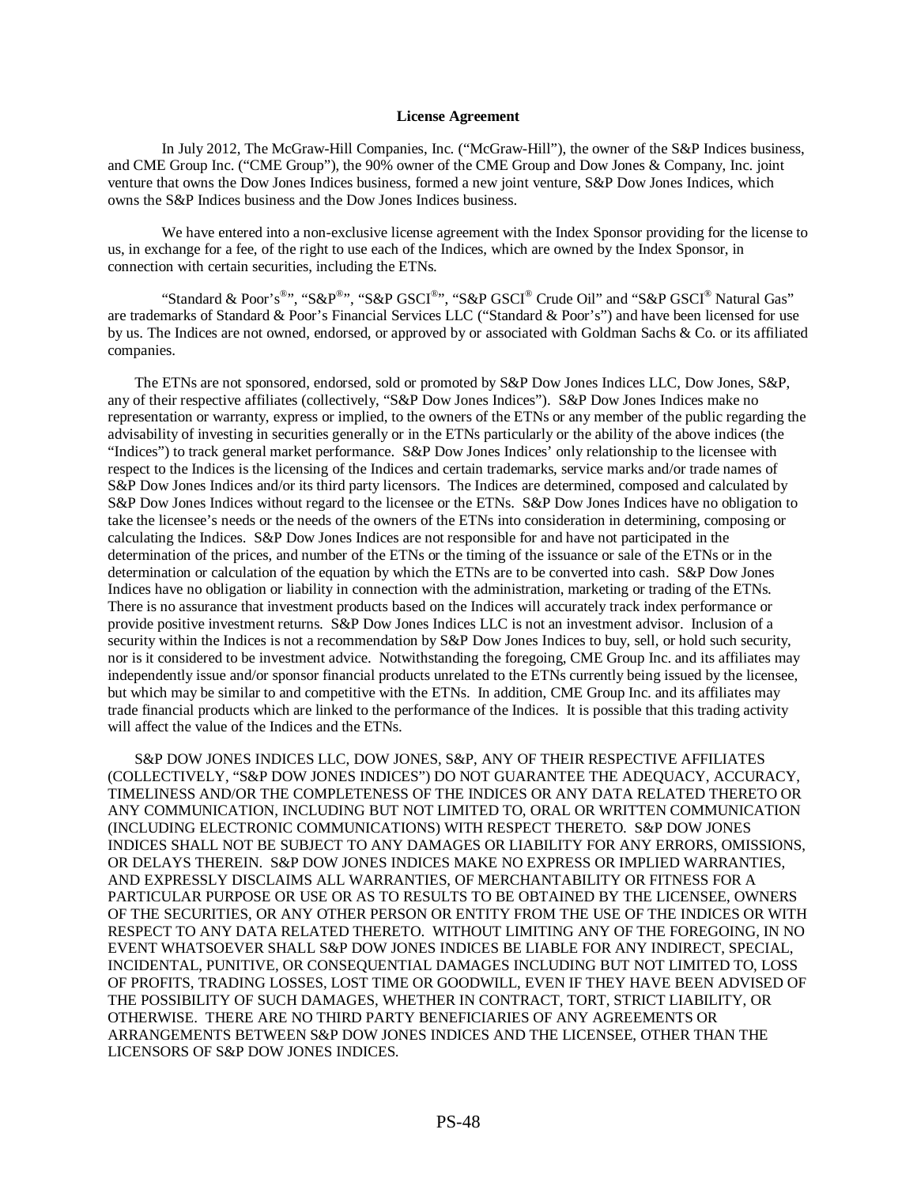#### **License Agreement**

In July 2012, The McGraw-Hill Companies, Inc. ("McGraw-Hill"), the owner of the S&P Indices business, and CME Group Inc. ("CME Group"), the 90% owner of the CME Group and Dow Jones & Company, Inc. joint venture that owns the Dow Jones Indices business, formed a new joint venture, S&P Dow Jones Indices, which owns the S&P Indices business and the Dow Jones Indices business.

We have entered into a non-exclusive license agreement with the Index Sponsor providing for the license to us, in exchange for a fee, of the right to use each of the Indices, which are owned by the Index Sponsor, in connection with certain securities, including the ETNs.

"Standard & Poor's®", "S&P®", "S&P GSCI®", "S&P GSCI® Crude Oil" and "S&P GSCI® Natural Gas" are trademarks of Standard & Poor's Financial Services LLC ("Standard & Poor's") and have been licensed for use by us. The Indices are not owned, endorsed, or approved by or associated with Goldman Sachs & Co. or its affiliated companies.

The ETNs are not sponsored, endorsed, sold or promoted by S&P Dow Jones Indices LLC, Dow Jones, S&P, any of their respective affiliates (collectively, "S&P Dow Jones Indices"). S&P Dow Jones Indices make no representation or warranty, express or implied, to the owners of the ETNs or any member of the public regarding the advisability of investing in securities generally or in the ETNs particularly or the ability of the above indices (the "Indices") to track general market performance. S&P Dow Jones Indices' only relationship to the licensee with respect to the Indices is the licensing of the Indices and certain trademarks, service marks and/or trade names of S&P Dow Jones Indices and/or its third party licensors. The Indices are determined, composed and calculated by S&P Dow Jones Indices without regard to the licensee or the ETNs. S&P Dow Jones Indices have no obligation to take the licensee's needs or the needs of the owners of the ETNs into consideration in determining, composing or calculating the Indices. S&P Dow Jones Indices are not responsible for and have not participated in the determination of the prices, and number of the ETNs or the timing of the issuance or sale of the ETNs or in the determination or calculation of the equation by which the ETNs are to be converted into cash. S&P Dow Jones Indices have no obligation or liability in connection with the administration, marketing or trading of the ETNs. There is no assurance that investment products based on the Indices will accurately track index performance or provide positive investment returns. S&P Dow Jones Indices LLC is not an investment advisor. Inclusion of a security within the Indices is not a recommendation by S&P Dow Jones Indices to buy, sell, or hold such security, nor is it considered to be investment advice. Notwithstanding the foregoing, CME Group Inc. and its affiliates may independently issue and/or sponsor financial products unrelated to the ETNs currently being issued by the licensee, but which may be similar to and competitive with the ETNs. In addition, CME Group Inc. and its affiliates may trade financial products which are linked to the performance of the Indices. It is possible that this trading activity will affect the value of the Indices and the ETNs.

S&P DOW JONES INDICES LLC, DOW JONES, S&P, ANY OF THEIR RESPECTIVE AFFILIATES (COLLECTIVELY, "S&P DOW JONES INDICES") DO NOT GUARANTEE THE ADEQUACY, ACCURACY, TIMELINESS AND/OR THE COMPLETENESS OF THE INDICES OR ANY DATA RELATED THERETO OR ANY COMMUNICATION, INCLUDING BUT NOT LIMITED TO, ORAL OR WRITTEN COMMUNICATION (INCLUDING ELECTRONIC COMMUNICATIONS) WITH RESPECT THERETO. S&P DOW JONES INDICES SHALL NOT BE SUBJECT TO ANY DAMAGES OR LIABILITY FOR ANY ERRORS, OMISSIONS, OR DELAYS THEREIN. S&P DOW JONES INDICES MAKE NO EXPRESS OR IMPLIED WARRANTIES, AND EXPRESSLY DISCLAIMS ALL WARRANTIES, OF MERCHANTABILITY OR FITNESS FOR A PARTICULAR PURPOSE OR USE OR AS TO RESULTS TO BE OBTAINED BY THE LICENSEE, OWNERS OF THE SECURITIES, OR ANY OTHER PERSON OR ENTITY FROM THE USE OF THE INDICES OR WITH RESPECT TO ANY DATA RELATED THERETO. WITHOUT LIMITING ANY OF THE FOREGOING, IN NO EVENT WHATSOEVER SHALL S&P DOW JONES INDICES BE LIABLE FOR ANY INDIRECT, SPECIAL, INCIDENTAL, PUNITIVE, OR CONSEQUENTIAL DAMAGES INCLUDING BUT NOT LIMITED TO, LOSS OF PROFITS, TRADING LOSSES, LOST TIME OR GOODWILL, EVEN IF THEY HAVE BEEN ADVISED OF THE POSSIBILITY OF SUCH DAMAGES, WHETHER IN CONTRACT, TORT, STRICT LIABILITY, OR OTHERWISE. THERE ARE NO THIRD PARTY BENEFICIARIES OF ANY AGREEMENTS OR ARRANGEMENTS BETWEEN S&P DOW JONES INDICES AND THE LICENSEE, OTHER THAN THE LICENSORS OF S&P DOW JONES INDICES.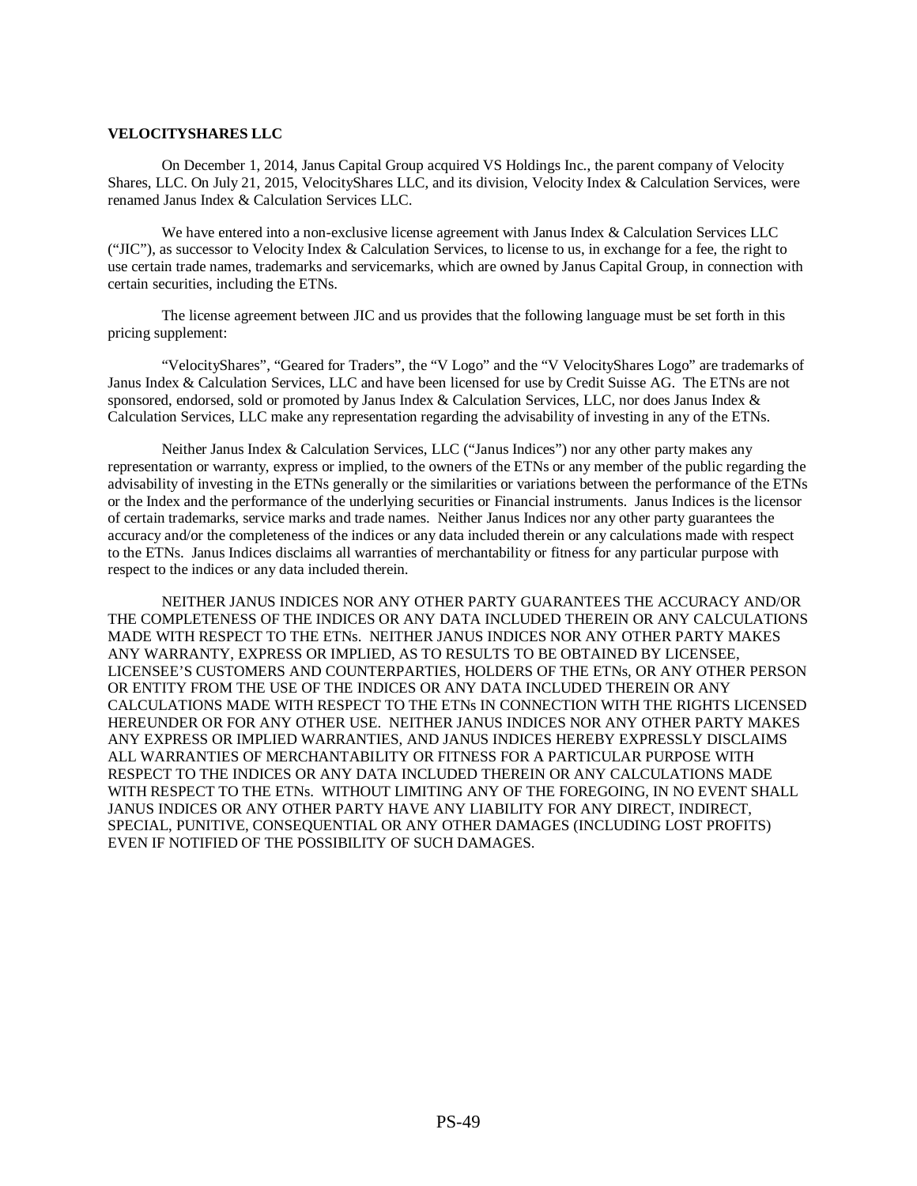## **VELOCITYSHARES LLC**

 On December 1, 2014, Janus Capital Group acquired VS Holdings Inc., the parent company of Velocity Shares, LLC. On July 21, 2015, VelocityShares LLC, and its division, Velocity Index & Calculation Services, were renamed Janus Index & Calculation Services LLC.

We have entered into a non-exclusive license agreement with Janus Index & Calculation Services LLC ("JIC"), as successor to Velocity Index & Calculation Services, to license to us, in exchange for a fee, the right to use certain trade names, trademarks and servicemarks, which are owned by Janus Capital Group, in connection with certain securities, including the ETNs.

The license agreement between JIC and us provides that the following language must be set forth in this pricing supplement:

"VelocityShares", "Geared for Traders", the "V Logo" and the "V VelocityShares Logo" are trademarks of Janus Index & Calculation Services, LLC and have been licensed for use by Credit Suisse AG. The ETNs are not sponsored, endorsed, sold or promoted by Janus Index & Calculation Services, LLC, nor does Janus Index & Calculation Services, LLC make any representation regarding the advisability of investing in any of the ETNs.

Neither Janus Index & Calculation Services, LLC ("Janus Indices") nor any other party makes any representation or warranty, express or implied, to the owners of the ETNs or any member of the public regarding the advisability of investing in the ETNs generally or the similarities or variations between the performance of the ETNs or the Index and the performance of the underlying securities or Financial instruments. Janus Indices is the licensor of certain trademarks, service marks and trade names. Neither Janus Indices nor any other party guarantees the accuracy and/or the completeness of the indices or any data included therein or any calculations made with respect to the ETNs. Janus Indices disclaims all warranties of merchantability or fitness for any particular purpose with respect to the indices or any data included therein.

NEITHER JANUS INDICES NOR ANY OTHER PARTY GUARANTEES THE ACCURACY AND/OR THE COMPLETENESS OF THE INDICES OR ANY DATA INCLUDED THEREIN OR ANY CALCULATIONS MADE WITH RESPECT TO THE ETNs. NEITHER JANUS INDICES NOR ANY OTHER PARTY MAKES ANY WARRANTY, EXPRESS OR IMPLIED, AS TO RESULTS TO BE OBTAINED BY LICENSEE, LICENSEE'S CUSTOMERS AND COUNTERPARTIES, HOLDERS OF THE ETNs, OR ANY OTHER PERSON OR ENTITY FROM THE USE OF THE INDICES OR ANY DATA INCLUDED THEREIN OR ANY CALCULATIONS MADE WITH RESPECT TO THE ETNs IN CONNECTION WITH THE RIGHTS LICENSED HEREUNDER OR FOR ANY OTHER USE. NEITHER JANUS INDICES NOR ANY OTHER PARTY MAKES ANY EXPRESS OR IMPLIED WARRANTIES, AND JANUS INDICES HEREBY EXPRESSLY DISCLAIMS ALL WARRANTIES OF MERCHANTABILITY OR FITNESS FOR A PARTICULAR PURPOSE WITH RESPECT TO THE INDICES OR ANY DATA INCLUDED THEREIN OR ANY CALCULATIONS MADE WITH RESPECT TO THE ETNs. WITHOUT LIMITING ANY OF THE FOREGOING, IN NO EVENT SHALL JANUS INDICES OR ANY OTHER PARTY HAVE ANY LIABILITY FOR ANY DIRECT, INDIRECT, SPECIAL, PUNITIVE, CONSEQUENTIAL OR ANY OTHER DAMAGES (INCLUDING LOST PROFITS) EVEN IF NOTIFIED OF THE POSSIBILITY OF SUCH DAMAGES.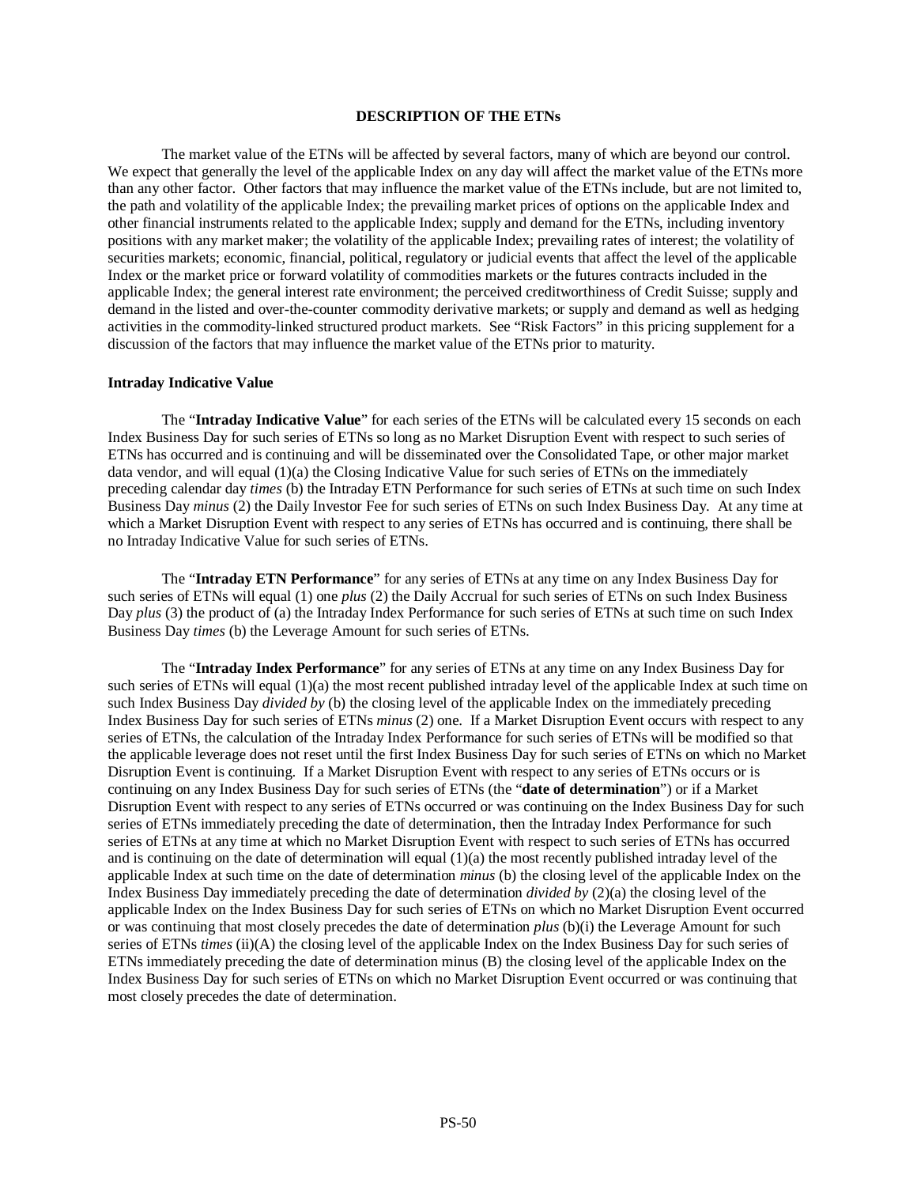# **DESCRIPTION OF THE ETNs**

The market value of the ETNs will be affected by several factors, many of which are beyond our control. We expect that generally the level of the applicable Index on any day will affect the market value of the ETNs more than any other factor. Other factors that may influence the market value of the ETNs include, but are not limited to, the path and volatility of the applicable Index; the prevailing market prices of options on the applicable Index and other financial instruments related to the applicable Index; supply and demand for the ETNs, including inventory positions with any market maker; the volatility of the applicable Index; prevailing rates of interest; the volatility of securities markets; economic, financial, political, regulatory or judicial events that affect the level of the applicable Index or the market price or forward volatility of commodities markets or the futures contracts included in the applicable Index; the general interest rate environment; the perceived creditworthiness of Credit Suisse; supply and demand in the listed and over-the-counter commodity derivative markets; or supply and demand as well as hedging activities in the commodity-linked structured product markets. See "Risk Factors" in this pricing supplement for a discussion of the factors that may influence the market value of the ETNs prior to maturity.

#### **Intraday Indicative Value**

The "**Intraday Indicative Value**" for each series of the ETNs will be calculated every 15 seconds on each Index Business Day for such series of ETNs so long as no Market Disruption Event with respect to such series of ETNs has occurred and is continuing and will be disseminated over the Consolidated Tape, or other major market data vendor, and will equal (1)(a) the Closing Indicative Value for such series of ETNs on the immediately preceding calendar day *times* (b) the Intraday ETN Performance for such series of ETNs at such time on such Index Business Day *minus* (2) the Daily Investor Fee for such series of ETNs on such Index Business Day. At any time at which a Market Disruption Event with respect to any series of ETNs has occurred and is continuing, there shall be no Intraday Indicative Value for such series of ETNs.

The "**Intraday ETN Performance**" for any series of ETNs at any time on any Index Business Day for such series of ETNs will equal (1) one *plus* (2) the Daily Accrual for such series of ETNs on such Index Business Day *plus* (3) the product of (a) the Intraday Index Performance for such series of ETNs at such time on such Index Business Day *times* (b) the Leverage Amount for such series of ETNs.

The "**Intraday Index Performance**" for any series of ETNs at any time on any Index Business Day for such series of ETNs will equal (1)(a) the most recent published intraday level of the applicable Index at such time on such Index Business Day *divided by* (b) the closing level of the applicable Index on the immediately preceding Index Business Day for such series of ETNs *minus* (2) one. If a Market Disruption Event occurs with respect to any series of ETNs, the calculation of the Intraday Index Performance for such series of ETNs will be modified so that the applicable leverage does not reset until the first Index Business Day for such series of ETNs on which no Market Disruption Event is continuing. If a Market Disruption Event with respect to any series of ETNs occurs or is continuing on any Index Business Day for such series of ETNs (the "**date of determination**") or if a Market Disruption Event with respect to any series of ETNs occurred or was continuing on the Index Business Day for such series of ETNs immediately preceding the date of determination, then the Intraday Index Performance for such series of ETNs at any time at which no Market Disruption Event with respect to such series of ETNs has occurred and is continuing on the date of determination will equal (1)(a) the most recently published intraday level of the applicable Index at such time on the date of determination *minus* (b) the closing level of the applicable Index on the Index Business Day immediately preceding the date of determination *divided by* (2)(a) the closing level of the applicable Index on the Index Business Day for such series of ETNs on which no Market Disruption Event occurred or was continuing that most closely precedes the date of determination *plus* (b)(i) the Leverage Amount for such series of ETNs *times* (ii)(A) the closing level of the applicable Index on the Index Business Day for such series of ETNs immediately preceding the date of determination minus (B) the closing level of the applicable Index on the Index Business Day for such series of ETNs on which no Market Disruption Event occurred or was continuing that most closely precedes the date of determination.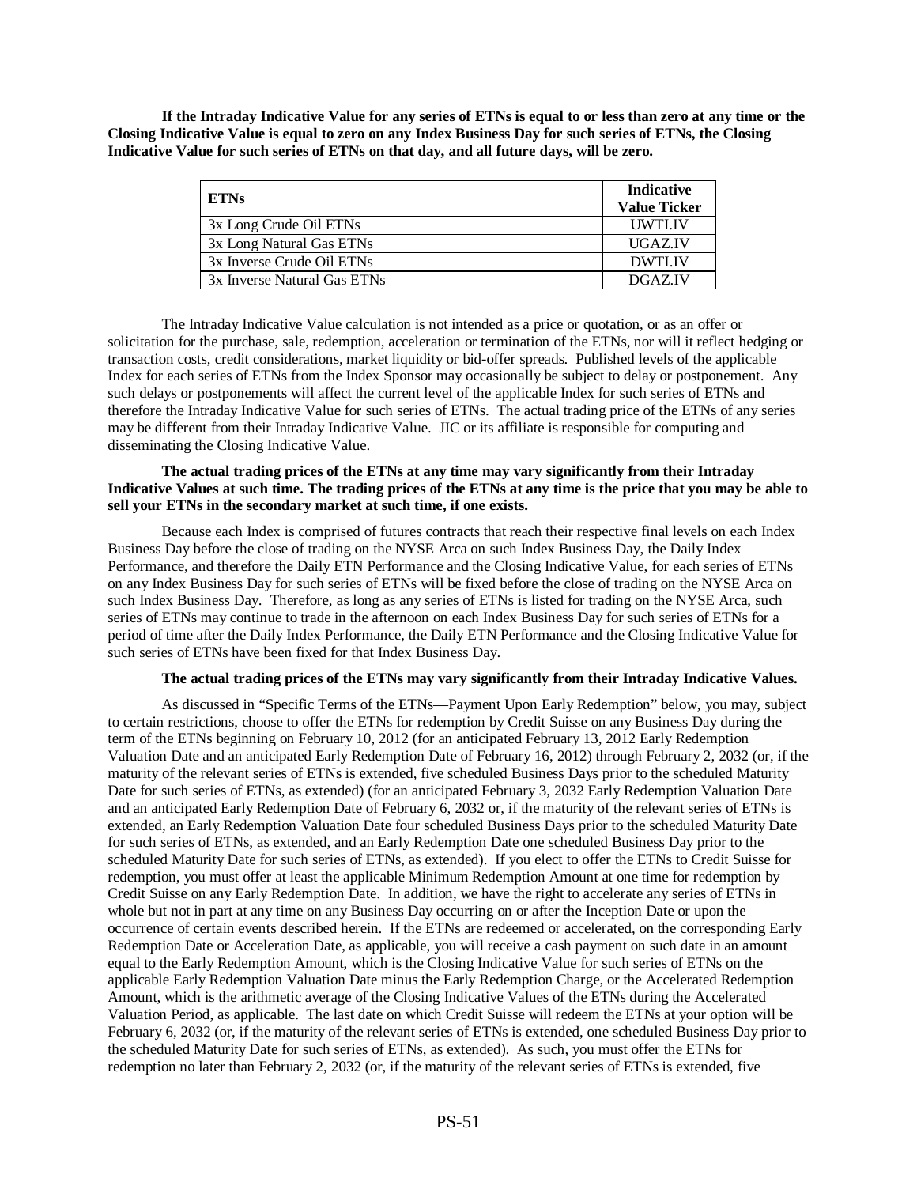**If the Intraday Indicative Value for any series of ETNs is equal to or less than zero at any time or the Closing Indicative Value is equal to zero on any Index Business Day for such series of ETNs, the Closing Indicative Value for such series of ETNs on that day, and all future days, will be zero.**

| <b>ETNs</b>                 | Indicative<br><b>Value Ticker</b> |
|-----------------------------|-----------------------------------|
| 3x Long Crude Oil ETNs      | UWTLIV                            |
| 3x Long Natural Gas ETNs    | UGAZ.IV                           |
| 3x Inverse Crude Oil ETNs   | <b>DWTLIV</b>                     |
| 3x Inverse Natural Gas ETNs | DGAZ.IV                           |

The Intraday Indicative Value calculation is not intended as a price or quotation, or as an offer or solicitation for the purchase, sale, redemption, acceleration or termination of the ETNs, nor will it reflect hedging or transaction costs, credit considerations, market liquidity or bid-offer spreads. Published levels of the applicable Index for each series of ETNs from the Index Sponsor may occasionally be subject to delay or postponement. Any such delays or postponements will affect the current level of the applicable Index for such series of ETNs and therefore the Intraday Indicative Value for such series of ETNs. The actual trading price of the ETNs of any series may be different from their Intraday Indicative Value. JIC or its affiliate is responsible for computing and disseminating the Closing Indicative Value.

## **The actual trading prices of the ETNs at any time may vary significantly from their Intraday Indicative Values at such time. The trading prices of the ETNs at any time is the price that you may be able to sell your ETNs in the secondary market at such time, if one exists.**

Because each Index is comprised of futures contracts that reach their respective final levels on each Index Business Day before the close of trading on the NYSE Arca on such Index Business Day, the Daily Index Performance, and therefore the Daily ETN Performance and the Closing Indicative Value, for each series of ETNs on any Index Business Day for such series of ETNs will be fixed before the close of trading on the NYSE Arca on such Index Business Day. Therefore, as long as any series of ETNs is listed for trading on the NYSE Arca, such series of ETNs may continue to trade in the afternoon on each Index Business Day for such series of ETNs for a period of time after the Daily Index Performance, the Daily ETN Performance and the Closing Indicative Value for such series of ETNs have been fixed for that Index Business Day.

# **The actual trading prices of the ETNs may vary significantly from their Intraday Indicative Values.**

As discussed in "Specific Terms of the ETNs—Payment Upon Early Redemption" below, you may, subject to certain restrictions, choose to offer the ETNs for redemption by Credit Suisse on any Business Day during the term of the ETNs beginning on February 10, 2012 (for an anticipated February 13, 2012 Early Redemption Valuation Date and an anticipated Early Redemption Date of February 16, 2012) through February 2, 2032 (or, if the maturity of the relevant series of ETNs is extended, five scheduled Business Days prior to the scheduled Maturity Date for such series of ETNs, as extended) (for an anticipated February 3, 2032 Early Redemption Valuation Date and an anticipated Early Redemption Date of February 6, 2032 or, if the maturity of the relevant series of ETNs is extended, an Early Redemption Valuation Date four scheduled Business Days prior to the scheduled Maturity Date for such series of ETNs, as extended, and an Early Redemption Date one scheduled Business Day prior to the scheduled Maturity Date for such series of ETNs, as extended). If you elect to offer the ETNs to Credit Suisse for redemption, you must offer at least the applicable Minimum Redemption Amount at one time for redemption by Credit Suisse on any Early Redemption Date. In addition, we have the right to accelerate any series of ETNs in whole but not in part at any time on any Business Day occurring on or after the Inception Date or upon the occurrence of certain events described herein. If the ETNs are redeemed or accelerated, on the corresponding Early Redemption Date or Acceleration Date, as applicable, you will receive a cash payment on such date in an amount equal to the Early Redemption Amount, which is the Closing Indicative Value for such series of ETNs on the applicable Early Redemption Valuation Date minus the Early Redemption Charge, or the Accelerated Redemption Amount, which is the arithmetic average of the Closing Indicative Values of the ETNs during the Accelerated Valuation Period, as applicable. The last date on which Credit Suisse will redeem the ETNs at your option will be February 6, 2032 (or, if the maturity of the relevant series of ETNs is extended, one scheduled Business Day prior to the scheduled Maturity Date for such series of ETNs, as extended). As such, you must offer the ETNs for redemption no later than February 2, 2032 (or, if the maturity of the relevant series of ETNs is extended, five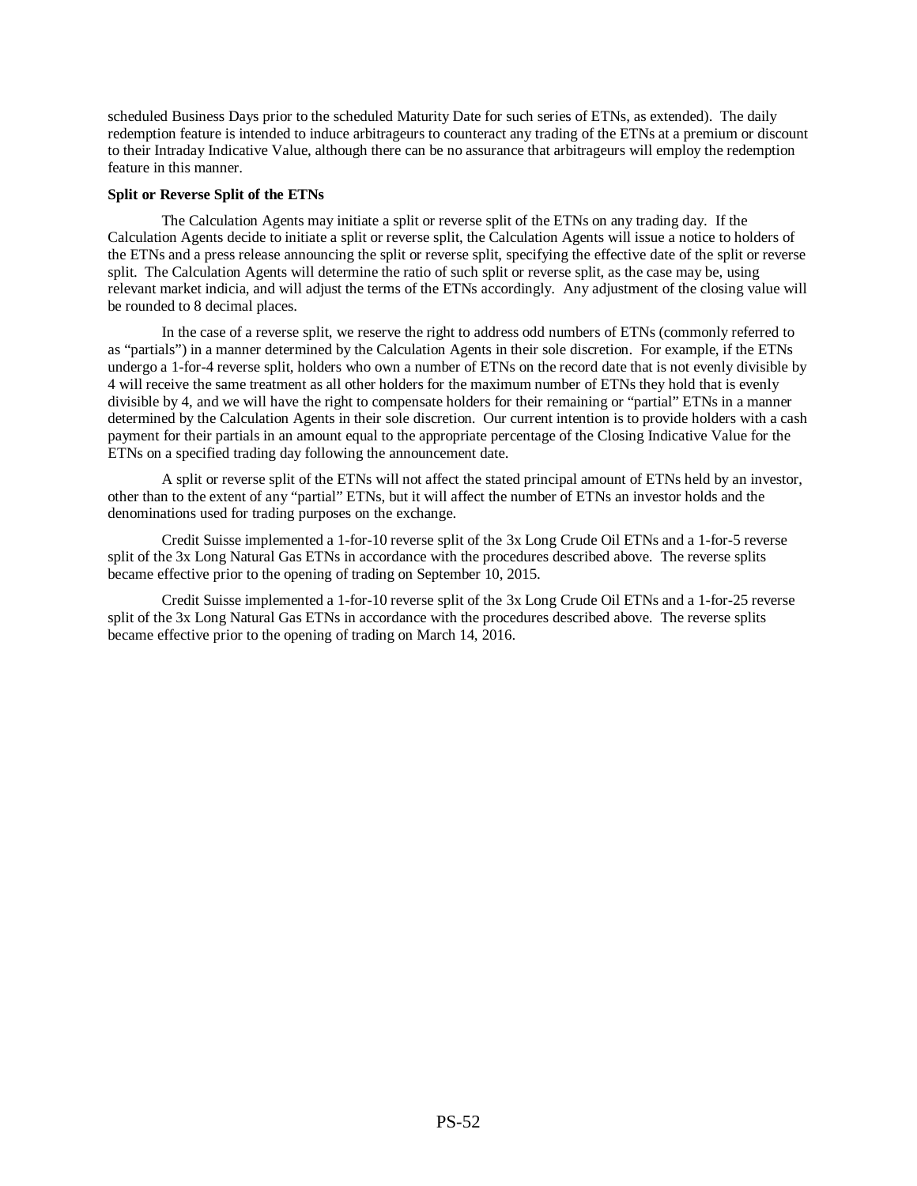scheduled Business Days prior to the scheduled Maturity Date for such series of ETNs, as extended). The daily redemption feature is intended to induce arbitrageurs to counteract any trading of the ETNs at a premium or discount to their Intraday Indicative Value, although there can be no assurance that arbitrageurs will employ the redemption feature in this manner.

# **Split or Reverse Split of the ETNs**

The Calculation Agents may initiate a split or reverse split of the ETNs on any trading day. If the Calculation Agents decide to initiate a split or reverse split, the Calculation Agents will issue a notice to holders of the ETNs and a press release announcing the split or reverse split, specifying the effective date of the split or reverse split. The Calculation Agents will determine the ratio of such split or reverse split, as the case may be, using relevant market indicia, and will adjust the terms of the ETNs accordingly. Any adjustment of the closing value will be rounded to 8 decimal places.

In the case of a reverse split, we reserve the right to address odd numbers of ETNs (commonly referred to as "partials") in a manner determined by the Calculation Agents in their sole discretion. For example, if the ETNs undergo a 1-for-4 reverse split, holders who own a number of ETNs on the record date that is not evenly divisible by 4 will receive the same treatment as all other holders for the maximum number of ETNs they hold that is evenly divisible by 4, and we will have the right to compensate holders for their remaining or "partial" ETNs in a manner determined by the Calculation Agents in their sole discretion. Our current intention is to provide holders with a cash payment for their partials in an amount equal to the appropriate percentage of the Closing Indicative Value for the ETNs on a specified trading day following the announcement date.

A split or reverse split of the ETNs will not affect the stated principal amount of ETNs held by an investor, other than to the extent of any "partial" ETNs, but it will affect the number of ETNs an investor holds and the denominations used for trading purposes on the exchange.

Credit Suisse implemented a 1-for-10 reverse split of the 3x Long Crude Oil ETNs and a 1-for-5 reverse split of the 3x Long Natural Gas ETNs in accordance with the procedures described above. The reverse splits became effective prior to the opening of trading on September 10, 2015.

Credit Suisse implemented a 1-for-10 reverse split of the 3x Long Crude Oil ETNs and a 1-for-25 reverse split of the 3x Long Natural Gas ETNs in accordance with the procedures described above. The reverse splits became effective prior to the opening of trading on March 14, 2016.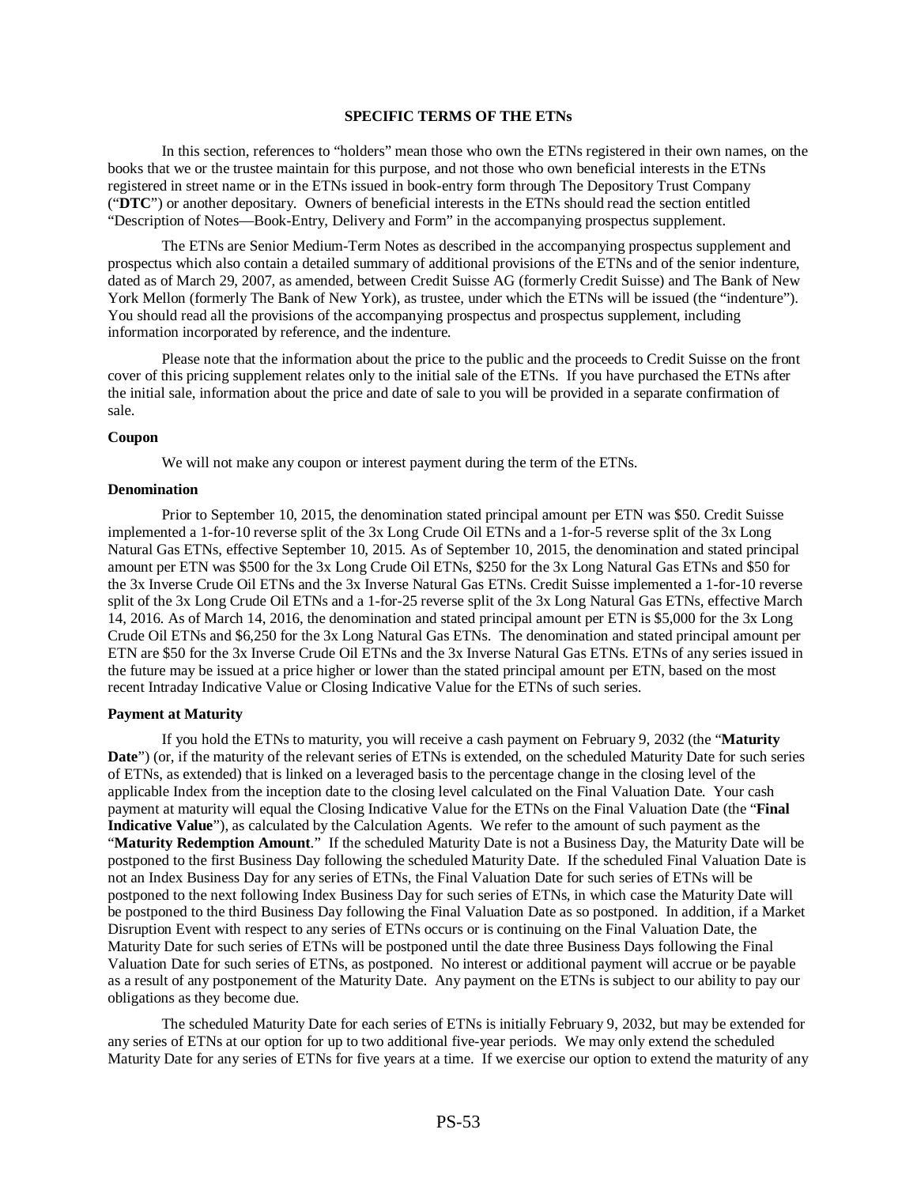## **SPECIFIC TERMS OF THE ETNs**

In this section, references to "holders" mean those who own the ETNs registered in their own names, on the books that we or the trustee maintain for this purpose, and not those who own beneficial interests in the ETNs registered in street name or in the ETNs issued in book-entry form through The Depository Trust Company ("**DTC**") or another depositary. Owners of beneficial interests in the ETNs should read the section entitled "Description of Notes—Book-Entry, Delivery and Form" in the accompanying prospectus supplement.

The ETNs are Senior Medium-Term Notes as described in the accompanying prospectus supplement and prospectus which also contain a detailed summary of additional provisions of the ETNs and of the senior indenture, dated as of March 29, 2007, as amended, between Credit Suisse AG (formerly Credit Suisse) and The Bank of New York Mellon (formerly The Bank of New York), as trustee, under which the ETNs will be issued (the "indenture"). You should read all the provisions of the accompanying prospectus and prospectus supplement, including information incorporated by reference, and the indenture.

Please note that the information about the price to the public and the proceeds to Credit Suisse on the front cover of this pricing supplement relates only to the initial sale of the ETNs. If you have purchased the ETNs after the initial sale, information about the price and date of sale to you will be provided in a separate confirmation of sale.

#### **Coupon**

We will not make any coupon or interest payment during the term of the ETNs.

#### **Denomination**

Prior to September 10, 2015, the denomination stated principal amount per ETN was \$50. Credit Suisse implemented a 1-for-10 reverse split of the 3x Long Crude Oil ETNs and a 1-for-5 reverse split of the 3x Long Natural Gas ETNs, effective September 10, 2015. As of September 10, 2015, the denomination and stated principal amount per ETN was \$500 for the 3x Long Crude Oil ETNs, \$250 for the 3x Long Natural Gas ETNs and \$50 for the 3x Inverse Crude Oil ETNs and the 3x Inverse Natural Gas ETNs. Credit Suisse implemented a 1-for-10 reverse split of the 3x Long Crude Oil ETNs and a 1-for-25 reverse split of the 3x Long Natural Gas ETNs, effective March 14, 2016. As of March 14, 2016, the denomination and stated principal amount per ETN is \$5,000 for the 3x Long Crude Oil ETNs and \$6,250 for the 3x Long Natural Gas ETNs. The denomination and stated principal amount per ETN are \$50 for the 3x Inverse Crude Oil ETNs and the 3x Inverse Natural Gas ETNs. ETNs of any series issued in the future may be issued at a price higher or lower than the stated principal amount per ETN, based on the most recent Intraday Indicative Value or Closing Indicative Value for the ETNs of such series.

### **Payment at Maturity**

If you hold the ETNs to maturity, you will receive a cash payment on February 9, 2032 (the "**Maturity Date**") (or, if the maturity of the relevant series of ETNs is extended, on the scheduled Maturity Date for such series of ETNs, as extended) that is linked on a leveraged basis to the percentage change in the closing level of the applicable Index from the inception date to the closing level calculated on the Final Valuation Date. Your cash payment at maturity will equal the Closing Indicative Value for the ETNs on the Final Valuation Date (the "**Final Indicative Value**"), as calculated by the Calculation Agents. We refer to the amount of such payment as the "**Maturity Redemption Amount**." If the scheduled Maturity Date is not a Business Day, the Maturity Date will be postponed to the first Business Day following the scheduled Maturity Date. If the scheduled Final Valuation Date is not an Index Business Day for any series of ETNs, the Final Valuation Date for such series of ETNs will be postponed to the next following Index Business Day for such series of ETNs, in which case the Maturity Date will be postponed to the third Business Day following the Final Valuation Date as so postponed. In addition, if a Market Disruption Event with respect to any series of ETNs occurs or is continuing on the Final Valuation Date, the Maturity Date for such series of ETNs will be postponed until the date three Business Days following the Final Valuation Date for such series of ETNs, as postponed. No interest or additional payment will accrue or be payable as a result of any postponement of the Maturity Date. Any payment on the ETNs is subject to our ability to pay our obligations as they become due.

The scheduled Maturity Date for each series of ETNs is initially February 9, 2032, but may be extended for any series of ETNs at our option for up to two additional five-year periods. We may only extend the scheduled Maturity Date for any series of ETNs for five years at a time. If we exercise our option to extend the maturity of any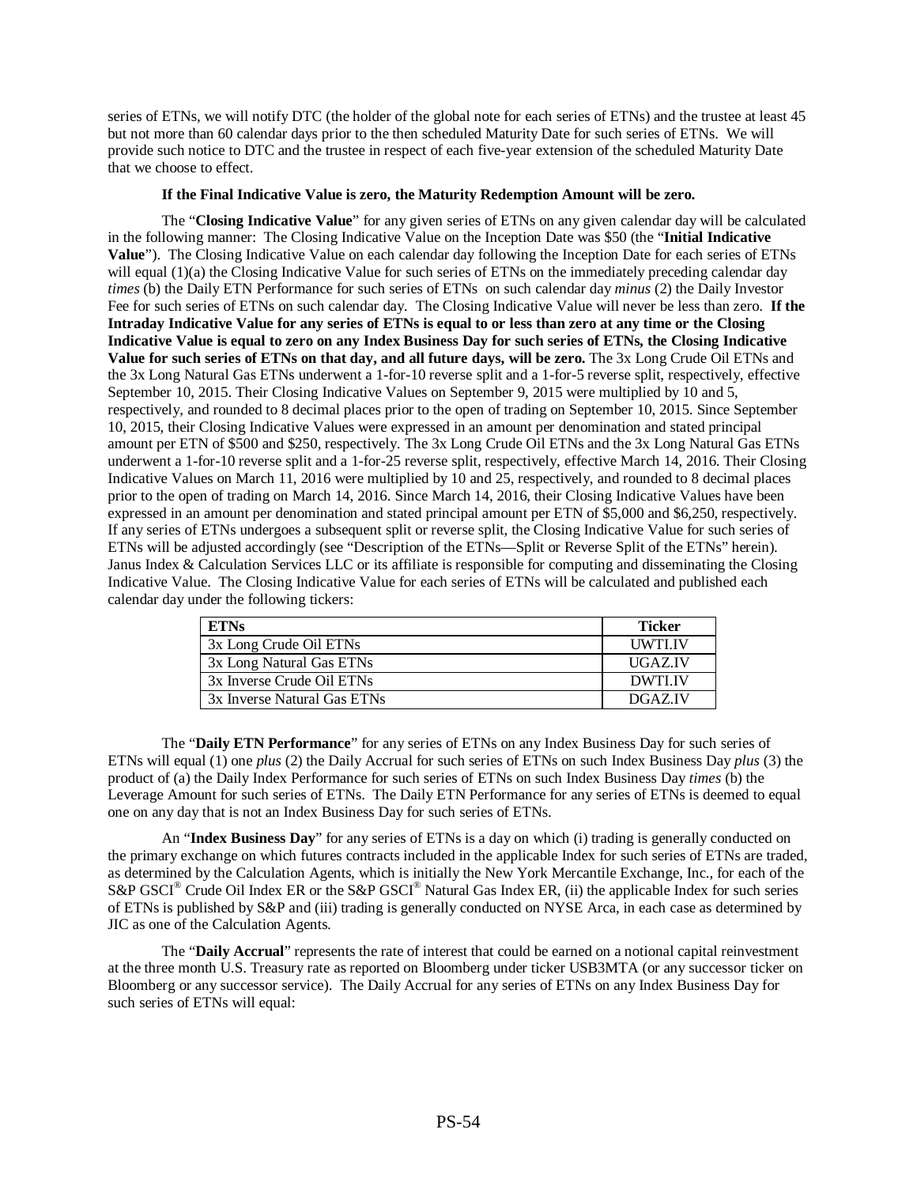series of ETNs, we will notify DTC (the holder of the global note for each series of ETNs) and the trustee at least 45 but not more than 60 calendar days prior to the then scheduled Maturity Date for such series of ETNs. We will provide such notice to DTC and the trustee in respect of each five-year extension of the scheduled Maturity Date that we choose to effect.

# **If the Final Indicative Value is zero, the Maturity Redemption Amount will be zero.**

The "**Closing Indicative Value**" for any given series of ETNs on any given calendar day will be calculated in the following manner: The Closing Indicative Value on the Inception Date was \$50 (the "**Initial Indicative Value**"). The Closing Indicative Value on each calendar day following the Inception Date for each series of ETNs will equal (1)(a) the Closing Indicative Value for such series of ETNs on the immediately preceding calendar day *times* (b) the Daily ETN Performance for such series of ETNs on such calendar day *minus* (2) the Daily Investor Fee for such series of ETNs on such calendar day. The Closing Indicative Value will never be less than zero. **If the Intraday Indicative Value for any series of ETNs is equal to or less than zero at any time or the Closing Indicative Value is equal to zero on any Index Business Day for such series of ETNs, the Closing Indicative Value for such series of ETNs on that day, and all future days, will be zero.** The 3x Long Crude Oil ETNs and the 3x Long Natural Gas ETNs underwent a 1-for-10 reverse split and a 1-for-5 reverse split, respectively, effective September 10, 2015. Their Closing Indicative Values on September 9, 2015 were multiplied by 10 and 5, respectively, and rounded to 8 decimal places prior to the open of trading on September 10, 2015. Since September 10, 2015, their Closing Indicative Values were expressed in an amount per denomination and stated principal amount per ETN of \$500 and \$250, respectively. The 3x Long Crude Oil ETNs and the 3x Long Natural Gas ETNs underwent a 1-for-10 reverse split and a 1-for-25 reverse split, respectively, effective March 14, 2016. Their Closing Indicative Values on March 11, 2016 were multiplied by 10 and 25, respectively, and rounded to 8 decimal places prior to the open of trading on March 14, 2016. Since March 14, 2016, their Closing Indicative Values have been expressed in an amount per denomination and stated principal amount per ETN of \$5,000 and \$6,250, respectively. If any series of ETNs undergoes a subsequent split or reverse split, the Closing Indicative Value for such series of ETNs will be adjusted accordingly (see "Description of the ETNs—Split or Reverse Split of the ETNs" herein). Janus Index & Calculation Services LLC or its affiliate is responsible for computing and disseminating the Closing Indicative Value. The Closing Indicative Value for each series of ETNs will be calculated and published each calendar day under the following tickers:

| <b>ETNs</b>                 | Ticker        |
|-----------------------------|---------------|
| 3x Long Crude Oil ETNs      | <b>UWTLIV</b> |
| 3x Long Natural Gas ETNs    | UGAZ IV       |
| 3x Inverse Crude Oil ETNs   | <b>DWTLIV</b> |
| 3x Inverse Natural Gas ETNs | DGAZ IV       |

The "**Daily ETN Performance**" for any series of ETNs on any Index Business Day for such series of ETNs will equal (1) one *plus* (2) the Daily Accrual for such series of ETNs on such Index Business Day *plus* (3) the product of (a) the Daily Index Performance for such series of ETNs on such Index Business Day *times* (b) the Leverage Amount for such series of ETNs. The Daily ETN Performance for any series of ETNs is deemed to equal one on any day that is not an Index Business Day for such series of ETNs.

An "**Index Business Day**" for any series of ETNs is a day on which (i) trading is generally conducted on the primary exchange on which futures contracts included in the applicable Index for such series of ETNs are traded, as determined by the Calculation Agents, which is initially the New York Mercantile Exchange, Inc., for each of the S&P GSCI® Crude Oil Index ER or the S&P GSCI® Natural Gas Index ER, (ii) the applicable Index for such series of ETNs is published by S&P and (iii) trading is generally conducted on NYSE Arca, in each case as determined by JIC as one of the Calculation Agents.

The "**Daily Accrual**" represents the rate of interest that could be earned on a notional capital reinvestment at the three month U.S. Treasury rate as reported on Bloomberg under ticker USB3MTA (or any successor ticker on Bloomberg or any successor service). The Daily Accrual for any series of ETNs on any Index Business Day for such series of ETNs will equal: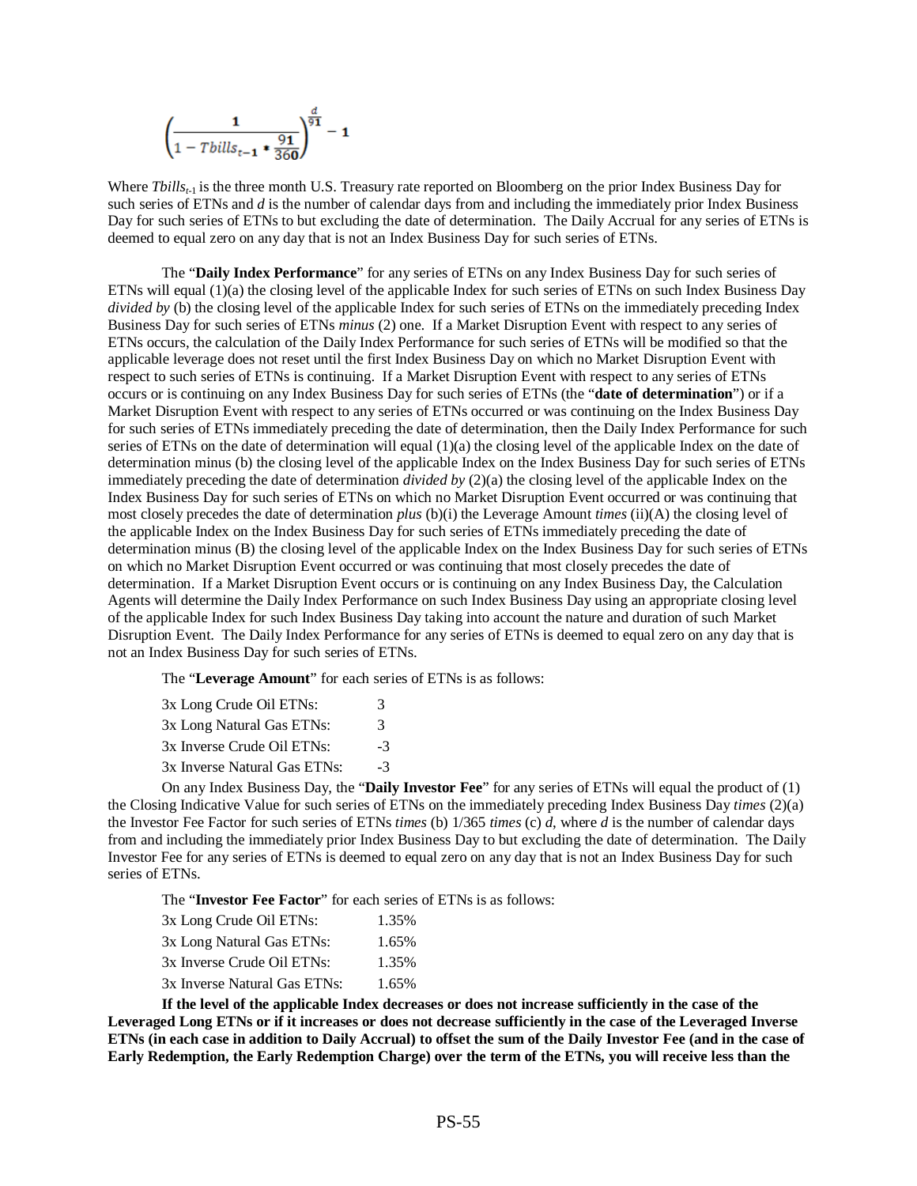$$
\left(\frac{1}{1 - \text{Tbills}_{t-1} \cdot \frac{91}{360}}\right)^{\frac{d}{91}} - 1
$$

Where *Tbills*<sub>t-1</sub> is the three month U.S. Treasury rate reported on Bloomberg on the prior Index Business Day for such series of ETNs and *d* is the number of calendar days from and including the immediately prior Index Business Day for such series of ETNs to but excluding the date of determination. The Daily Accrual for any series of ETNs is deemed to equal zero on any day that is not an Index Business Day for such series of ETNs.

The "**Daily Index Performance**" for any series of ETNs on any Index Business Day for such series of ETNs will equal (1)(a) the closing level of the applicable Index for such series of ETNs on such Index Business Day *divided by* (b) the closing level of the applicable Index for such series of ETNs on the immediately preceding Index Business Day for such series of ETNs *minus* (2) one. If a Market Disruption Event with respect to any series of ETNs occurs, the calculation of the Daily Index Performance for such series of ETNs will be modified so that the applicable leverage does not reset until the first Index Business Day on which no Market Disruption Event with respect to such series of ETNs is continuing. If a Market Disruption Event with respect to any series of ETNs occurs or is continuing on any Index Business Day for such series of ETNs (the "**date of determination**") or if a Market Disruption Event with respect to any series of ETNs occurred or was continuing on the Index Business Day for such series of ETNs immediately preceding the date of determination, then the Daily Index Performance for such series of ETNs on the date of determination will equal (1)(a) the closing level of the applicable Index on the date of determination minus (b) the closing level of the applicable Index on the Index Business Day for such series of ETNs immediately preceding the date of determination *divided by* (2)(a) the closing level of the applicable Index on the Index Business Day for such series of ETNs on which no Market Disruption Event occurred or was continuing that most closely precedes the date of determination *plus* (b)(i) the Leverage Amount *times* (ii)(A) the closing level of the applicable Index on the Index Business Day for such series of ETNs immediately preceding the date of determination minus (B) the closing level of the applicable Index on the Index Business Day for such series of ETNs on which no Market Disruption Event occurred or was continuing that most closely precedes the date of determination. If a Market Disruption Event occurs or is continuing on any Index Business Day, the Calculation Agents will determine the Daily Index Performance on such Index Business Day using an appropriate closing level of the applicable Index for such Index Business Day taking into account the nature and duration of such Market Disruption Event. The Daily Index Performance for any series of ETNs is deemed to equal zero on any day that is not an Index Business Day for such series of ETNs.

The "**Leverage Amount**" for each series of ETNs is as follows:

| 3x Long Crude Oil ETNs:      | 3    |
|------------------------------|------|
| 3x Long Natural Gas ETNs:    | 3    |
| 3x Inverse Crude Oil ETNs:   | -3   |
| 3x Inverse Natural Gas ETNs: | $-3$ |

On any Index Business Day, the "**Daily Investor Fee**" for any series of ETNs will equal the product of (1) the Closing Indicative Value for such series of ETNs on the immediately preceding Index Business Day *times* (2)(a) the Investor Fee Factor for such series of ETNs *times* (b) 1/365 *times* (c) *d*, where *d* is the number of calendar days from and including the immediately prior Index Business Day to but excluding the date of determination. The Daily Investor Fee for any series of ETNs is deemed to equal zero on any day that is not an Index Business Day for such series of ETNs.

The "**Investor Fee Factor**" for each series of ETNs is as follows:

| 3x Long Crude Oil ETNs:      | 1.35% |
|------------------------------|-------|
| 3x Long Natural Gas ETNs:    | 1.65% |
| 3x Inverse Crude Oil ETNs:   | 1.35% |
| 3x Inverse Natural Gas ETNs: | 1.65% |

**If the level of the applicable Index decreases or does not increase sufficiently in the case of the Leveraged Long ETNs or if it increases or does not decrease sufficiently in the case of the Leveraged Inverse ETNs (in each case in addition to Daily Accrual) to offset the sum of the Daily Investor Fee (and in the case of Early Redemption, the Early Redemption Charge) over the term of the ETNs, you will receive less than the**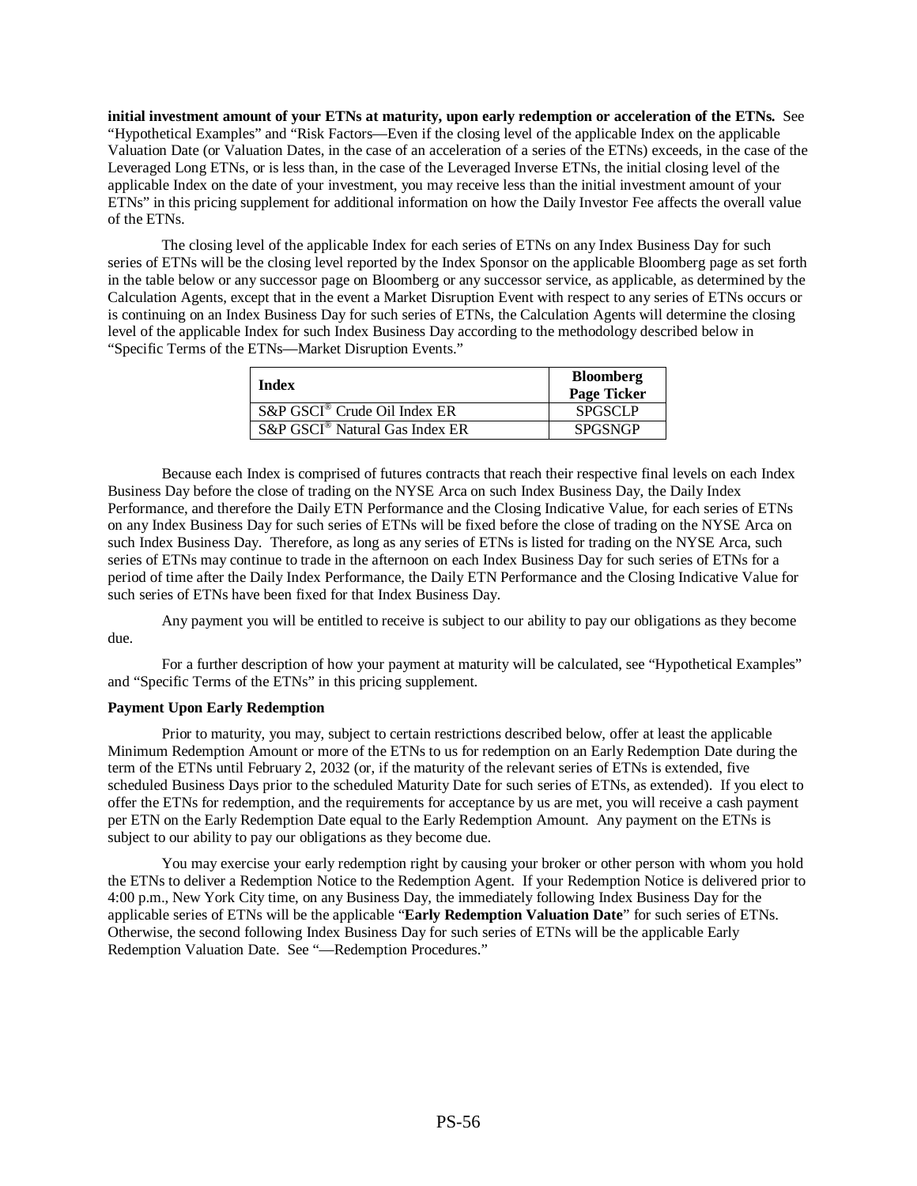**initial investment amount of your ETNs at maturity, upon early redemption or acceleration of the ETNs.** See "Hypothetical Examples" and "Risk Factors—Even if the closing level of the applicable Index on the applicable Valuation Date (or Valuation Dates, in the case of an acceleration of a series of the ETNs) exceeds, in the case of the Leveraged Long ETNs, or is less than, in the case of the Leveraged Inverse ETNs, the initial closing level of the applicable Index on the date of your investment, you may receive less than the initial investment amount of your ETNs" in this pricing supplement for additional information on how the Daily Investor Fee affects the overall value of the ETNs.

The closing level of the applicable Index for each series of ETNs on any Index Business Day for such series of ETNs will be the closing level reported by the Index Sponsor on the applicable Bloomberg page as set forth in the table below or any successor page on Bloomberg or any successor service, as applicable, as determined by the Calculation Agents, except that in the event a Market Disruption Event with respect to any series of ETNs occurs or is continuing on an Index Business Day for such series of ETNs, the Calculation Agents will determine the closing level of the applicable Index for such Index Business Day according to the methodology described below in "Specific Terms of the ETNs—Market Disruption Events."

| Index                                      | <b>Bloomberg</b><br><b>Page Ticker</b> |
|--------------------------------------------|----------------------------------------|
| S&P GSCI <sup>®</sup> Crude Oil Index ER   | <b>SPGSCLP</b>                         |
| S&P GSCI <sup>®</sup> Natural Gas Index ER | <b>SPGSNGP</b>                         |

Because each Index is comprised of futures contracts that reach their respective final levels on each Index Business Day before the close of trading on the NYSE Arca on such Index Business Day, the Daily Index Performance, and therefore the Daily ETN Performance and the Closing Indicative Value, for each series of ETNs on any Index Business Day for such series of ETNs will be fixed before the close of trading on the NYSE Arca on such Index Business Day. Therefore, as long as any series of ETNs is listed for trading on the NYSE Arca, such series of ETNs may continue to trade in the afternoon on each Index Business Day for such series of ETNs for a period of time after the Daily Index Performance, the Daily ETN Performance and the Closing Indicative Value for such series of ETNs have been fixed for that Index Business Day.

Any payment you will be entitled to receive is subject to our ability to pay our obligations as they become due.

For a further description of how your payment at maturity will be calculated, see "Hypothetical Examples" and "Specific Terms of the ETNs" in this pricing supplement.

# **Payment Upon Early Redemption**

Prior to maturity, you may, subject to certain restrictions described below, offer at least the applicable Minimum Redemption Amount or more of the ETNs to us for redemption on an Early Redemption Date during the term of the ETNs until February 2, 2032 (or, if the maturity of the relevant series of ETNs is extended, five scheduled Business Days prior to the scheduled Maturity Date for such series of ETNs, as extended). If you elect to offer the ETNs for redemption, and the requirements for acceptance by us are met, you will receive a cash payment per ETN on the Early Redemption Date equal to the Early Redemption Amount. Any payment on the ETNs is subject to our ability to pay our obligations as they become due.

You may exercise your early redemption right by causing your broker or other person with whom you hold the ETNs to deliver a Redemption Notice to the Redemption Agent. If your Redemption Notice is delivered prior to 4:00 p.m., New York City time, on any Business Day, the immediately following Index Business Day for the applicable series of ETNs will be the applicable "**Early Redemption Valuation Date**" for such series of ETNs. Otherwise, the second following Index Business Day for such series of ETNs will be the applicable Early Redemption Valuation Date. See "—Redemption Procedures."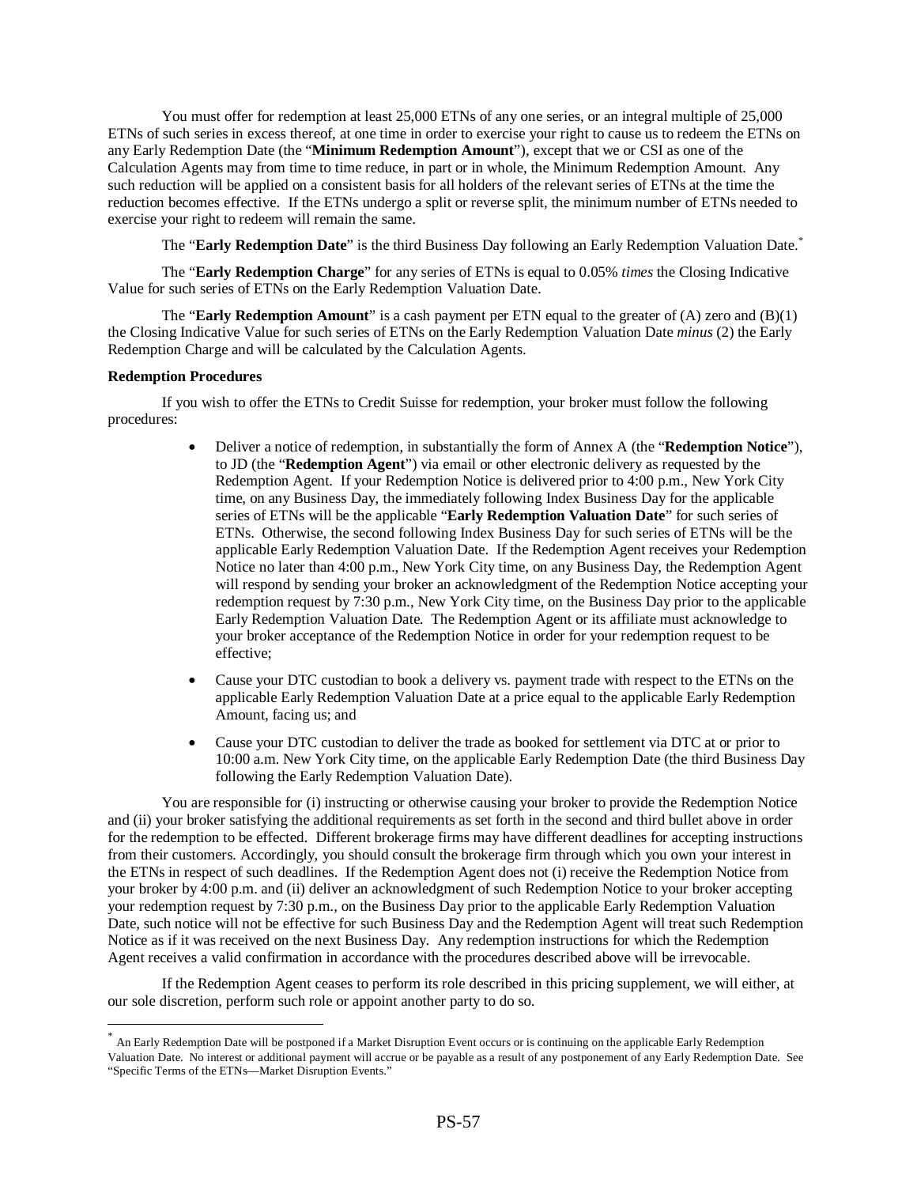You must offer for redemption at least 25,000 ETNs of any one series, or an integral multiple of 25,000 ETNs of such series in excess thereof, at one time in order to exercise your right to cause us to redeem the ETNs on any Early Redemption Date (the "**Minimum Redemption Amount**"), except that we or CSI as one of the Calculation Agents may from time to time reduce, in part or in whole, the Minimum Redemption Amount. Any such reduction will be applied on a consistent basis for all holders of the relevant series of ETNs at the time the reduction becomes effective. If the ETNs undergo a split or reverse split, the minimum number of ETNs needed to exercise your right to redeem will remain the same.

The "**Early Redemption Date**" is the third Business Day following an Early Redemption Valuation Date.\*

The "**Early Redemption Charge**" for any series of ETNs is equal to 0.05% *times* the Closing Indicative Value for such series of ETNs on the Early Redemption Valuation Date.

The "**Early Redemption Amount**" is a cash payment per ETN equal to the greater of  $(A)$  zero and  $(B)(1)$ the Closing Indicative Value for such series of ETNs on the Early Redemption Valuation Date *minus* (2) the Early Redemption Charge and will be calculated by the Calculation Agents.

## **Redemption Procedures**

 $\overline{a}$ 

If you wish to offer the ETNs to Credit Suisse for redemption, your broker must follow the following procedures:

- Deliver a notice of redemption, in substantially the form of Annex A (the "**Redemption Notice**"), to JD (the "**Redemption Agent**") via email or other electronic delivery as requested by the Redemption Agent. If your Redemption Notice is delivered prior to 4:00 p.m., New York City time, on any Business Day, the immediately following Index Business Day for the applicable series of ETNs will be the applicable "**Early Redemption Valuation Date**" for such series of ETNs. Otherwise, the second following Index Business Day for such series of ETNs will be the applicable Early Redemption Valuation Date. If the Redemption Agent receives your Redemption Notice no later than 4:00 p.m., New York City time, on any Business Day, the Redemption Agent will respond by sending your broker an acknowledgment of the Redemption Notice accepting your redemption request by 7:30 p.m., New York City time, on the Business Day prior to the applicable Early Redemption Valuation Date. The Redemption Agent or its affiliate must acknowledge to your broker acceptance of the Redemption Notice in order for your redemption request to be effective;
- Cause your DTC custodian to book a delivery vs. payment trade with respect to the ETNs on the applicable Early Redemption Valuation Date at a price equal to the applicable Early Redemption Amount, facing us; and
- Cause your DTC custodian to deliver the trade as booked for settlement via DTC at or prior to 10:00 a.m. New York City time, on the applicable Early Redemption Date (the third Business Day following the Early Redemption Valuation Date).

You are responsible for (i) instructing or otherwise causing your broker to provide the Redemption Notice and (ii) your broker satisfying the additional requirements as set forth in the second and third bullet above in order for the redemption to be effected. Different brokerage firms may have different deadlines for accepting instructions from their customers. Accordingly, you should consult the brokerage firm through which you own your interest in the ETNs in respect of such deadlines. If the Redemption Agent does not (i) receive the Redemption Notice from your broker by 4:00 p.m. and (ii) deliver an acknowledgment of such Redemption Notice to your broker accepting your redemption request by 7:30 p.m., on the Business Day prior to the applicable Early Redemption Valuation Date, such notice will not be effective for such Business Day and the Redemption Agent will treat such Redemption Notice as if it was received on the next Business Day. Any redemption instructions for which the Redemption Agent receives a valid confirmation in accordance with the procedures described above will be irrevocable.

If the Redemption Agent ceases to perform its role described in this pricing supplement, we will either, at our sole discretion, perform such role or appoint another party to do so.

An Early Redemption Date will be postponed if a Market Disruption Event occurs or is continuing on the applicable Early Redemption Valuation Date. No interest or additional payment will accrue or be payable as a result of any postponement of any Early Redemption Date. See "Specific Terms of the ETNs—Market Disruption Events."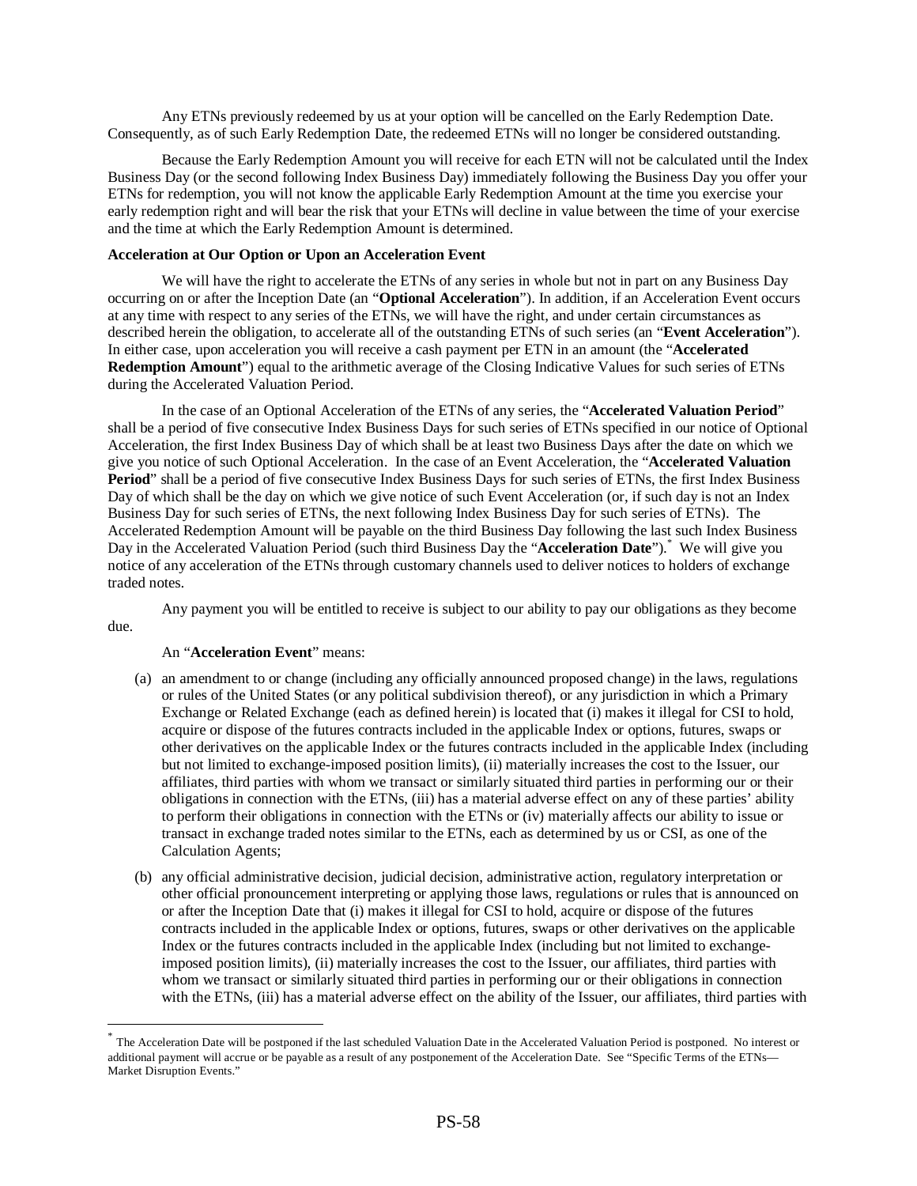Any ETNs previously redeemed by us at your option will be cancelled on the Early Redemption Date. Consequently, as of such Early Redemption Date, the redeemed ETNs will no longer be considered outstanding.

Because the Early Redemption Amount you will receive for each ETN will not be calculated until the Index Business Day (or the second following Index Business Day) immediately following the Business Day you offer your ETNs for redemption, you will not know the applicable Early Redemption Amount at the time you exercise your early redemption right and will bear the risk that your ETNs will decline in value between the time of your exercise and the time at which the Early Redemption Amount is determined.

# **Acceleration at Our Option or Upon an Acceleration Event**

We will have the right to accelerate the ETNs of any series in whole but not in part on any Business Day occurring on or after the Inception Date (an "**Optional Acceleration**"). In addition, if an Acceleration Event occurs at any time with respect to any series of the ETNs, we will have the right, and under certain circumstances as described herein the obligation, to accelerate all of the outstanding ETNs of such series (an "**Event Acceleration**"). In either case, upon acceleration you will receive a cash payment per ETN in an amount (the "**Accelerated Redemption Amount**") equal to the arithmetic average of the Closing Indicative Values for such series of ETNs during the Accelerated Valuation Period.

In the case of an Optional Acceleration of the ETNs of any series, the "**Accelerated Valuation Period**" shall be a period of five consecutive Index Business Days for such series of ETNs specified in our notice of Optional Acceleration, the first Index Business Day of which shall be at least two Business Days after the date on which we give you notice of such Optional Acceleration. In the case of an Event Acceleration, the "**Accelerated Valuation Period**" shall be a period of five consecutive Index Business Days for such series of ETNs, the first Index Business Day of which shall be the day on which we give notice of such Event Acceleration (or, if such day is not an Index Business Day for such series of ETNs, the next following Index Business Day for such series of ETNs). The Accelerated Redemption Amount will be payable on the third Business Day following the last such Index Business Day in the Accelerated Valuation Period (such third Business Day the "**Acceleration Date**").\* We will give you notice of any acceleration of the ETNs through customary channels used to deliver notices to holders of exchange traded notes.

Any payment you will be entitled to receive is subject to our ability to pay our obligations as they become

## An "**Acceleration Event**" means:

due.

 $\overline{a}$ 

- (a) an amendment to or change (including any officially announced proposed change) in the laws, regulations or rules of the United States (or any political subdivision thereof), or any jurisdiction in which a Primary Exchange or Related Exchange (each as defined herein) is located that (i) makes it illegal for CSI to hold, acquire or dispose of the futures contracts included in the applicable Index or options, futures, swaps or other derivatives on the applicable Index or the futures contracts included in the applicable Index (including but not limited to exchange-imposed position limits), (ii) materially increases the cost to the Issuer, our affiliates, third parties with whom we transact or similarly situated third parties in performing our or their obligations in connection with the ETNs, (iii) has a material adverse effect on any of these parties' ability to perform their obligations in connection with the ETNs or (iv) materially affects our ability to issue or transact in exchange traded notes similar to the ETNs, each as determined by us or CSI, as one of the Calculation Agents;
- (b) any official administrative decision, judicial decision, administrative action, regulatory interpretation or other official pronouncement interpreting or applying those laws, regulations or rules that is announced on or after the Inception Date that (i) makes it illegal for CSI to hold, acquire or dispose of the futures contracts included in the applicable Index or options, futures, swaps or other derivatives on the applicable Index or the futures contracts included in the applicable Index (including but not limited to exchangeimposed position limits), (ii) materially increases the cost to the Issuer, our affiliates, third parties with whom we transact or similarly situated third parties in performing our or their obligations in connection with the ETNs, (iii) has a material adverse effect on the ability of the Issuer, our affiliates, third parties with

The Acceleration Date will be postponed if the last scheduled Valuation Date in the Accelerated Valuation Period is postponed. No interest or additional payment will accrue or be payable as a result of any postponement of the Acceleration Date. See "Specific Terms of the ETNs— Market Disruption Events."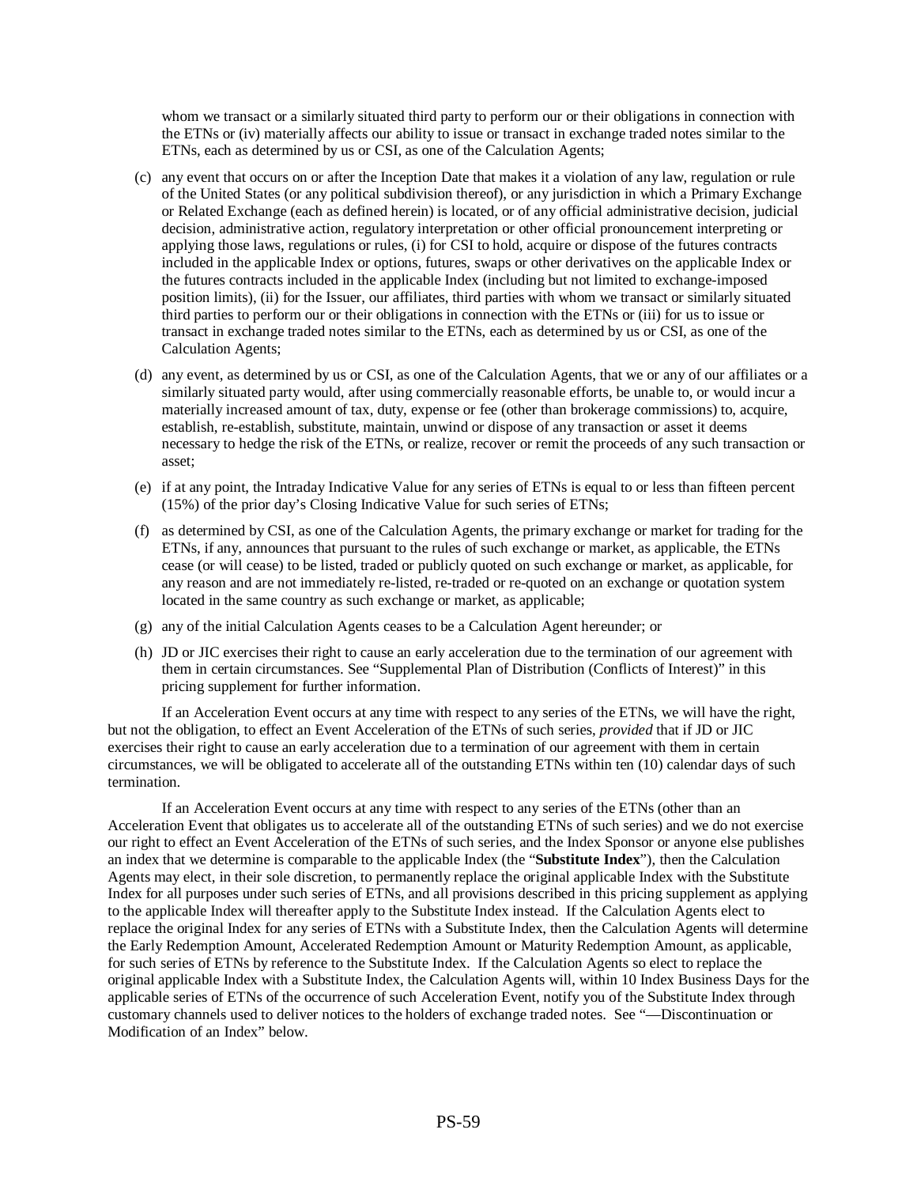whom we transact or a similarly situated third party to perform our or their obligations in connection with the ETNs or (iv) materially affects our ability to issue or transact in exchange traded notes similar to the ETNs, each as determined by us or CSI, as one of the Calculation Agents;

- (c) any event that occurs on or after the Inception Date that makes it a violation of any law, regulation or rule of the United States (or any political subdivision thereof), or any jurisdiction in which a Primary Exchange or Related Exchange (each as defined herein) is located, or of any official administrative decision, judicial decision, administrative action, regulatory interpretation or other official pronouncement interpreting or applying those laws, regulations or rules, (i) for CSI to hold, acquire or dispose of the futures contracts included in the applicable Index or options, futures, swaps or other derivatives on the applicable Index or the futures contracts included in the applicable Index (including but not limited to exchange-imposed position limits), (ii) for the Issuer, our affiliates, third parties with whom we transact or similarly situated third parties to perform our or their obligations in connection with the ETNs or (iii) for us to issue or transact in exchange traded notes similar to the ETNs, each as determined by us or CSI, as one of the Calculation Agents;
- (d) any event, as determined by us or CSI, as one of the Calculation Agents, that we or any of our affiliates or a similarly situated party would, after using commercially reasonable efforts, be unable to, or would incur a materially increased amount of tax, duty, expense or fee (other than brokerage commissions) to, acquire, establish, re-establish, substitute, maintain, unwind or dispose of any transaction or asset it deems necessary to hedge the risk of the ETNs, or realize, recover or remit the proceeds of any such transaction or asset;
- (e) if at any point, the Intraday Indicative Value for any series of ETNs is equal to or less than fifteen percent (15%) of the prior day's Closing Indicative Value for such series of ETNs;
- (f) as determined by CSI, as one of the Calculation Agents, the primary exchange or market for trading for the ETNs, if any, announces that pursuant to the rules of such exchange or market, as applicable, the ETNs cease (or will cease) to be listed, traded or publicly quoted on such exchange or market, as applicable, for any reason and are not immediately re-listed, re-traded or re-quoted on an exchange or quotation system located in the same country as such exchange or market, as applicable;
- (g) any of the initial Calculation Agents ceases to be a Calculation Agent hereunder; or
- (h) JD or JIC exercises their right to cause an early acceleration due to the termination of our agreement with them in certain circumstances. See "Supplemental Plan of Distribution (Conflicts of Interest)" in this pricing supplement for further information.

If an Acceleration Event occurs at any time with respect to any series of the ETNs, we will have the right, but not the obligation, to effect an Event Acceleration of the ETNs of such series, *provided* that if JD or JIC exercises their right to cause an early acceleration due to a termination of our agreement with them in certain circumstances, we will be obligated to accelerate all of the outstanding ETNs within ten (10) calendar days of such termination.

If an Acceleration Event occurs at any time with respect to any series of the ETNs (other than an Acceleration Event that obligates us to accelerate all of the outstanding ETNs of such series) and we do not exercise our right to effect an Event Acceleration of the ETNs of such series, and the Index Sponsor or anyone else publishes an index that we determine is comparable to the applicable Index (the "**Substitute Index**"), then the Calculation Agents may elect, in their sole discretion, to permanently replace the original applicable Index with the Substitute Index for all purposes under such series of ETNs, and all provisions described in this pricing supplement as applying to the applicable Index will thereafter apply to the Substitute Index instead. If the Calculation Agents elect to replace the original Index for any series of ETNs with a Substitute Index, then the Calculation Agents will determine the Early Redemption Amount, Accelerated Redemption Amount or Maturity Redemption Amount, as applicable, for such series of ETNs by reference to the Substitute Index. If the Calculation Agents so elect to replace the original applicable Index with a Substitute Index, the Calculation Agents will, within 10 Index Business Days for the applicable series of ETNs of the occurrence of such Acceleration Event, notify you of the Substitute Index through customary channels used to deliver notices to the holders of exchange traded notes. See "—Discontinuation or Modification of an Index" below.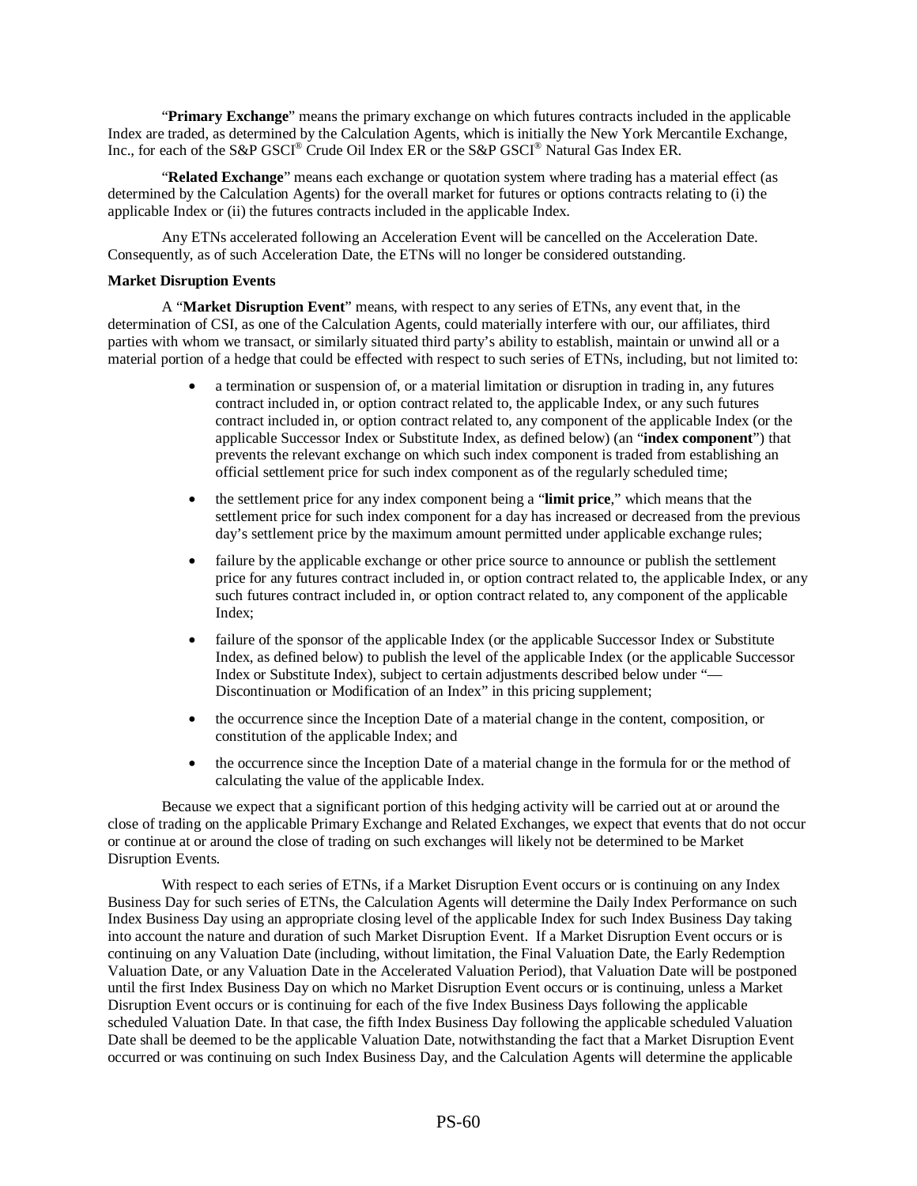"**Primary Exchange**" means the primary exchange on which futures contracts included in the applicable Index are traded, as determined by the Calculation Agents, which is initially the New York Mercantile Exchange, Inc., for each of the S&P GSCI<sup>®</sup> Crude Oil Index ER or the S&P GSCI<sup>®</sup> Natural Gas Index ER.

"**Related Exchange**" means each exchange or quotation system where trading has a material effect (as determined by the Calculation Agents) for the overall market for futures or options contracts relating to (i) the applicable Index or (ii) the futures contracts included in the applicable Index.

Any ETNs accelerated following an Acceleration Event will be cancelled on the Acceleration Date. Consequently, as of such Acceleration Date, the ETNs will no longer be considered outstanding.

## **Market Disruption Events**

A "**Market Disruption Event**" means, with respect to any series of ETNs, any event that, in the determination of CSI, as one of the Calculation Agents, could materially interfere with our, our affiliates, third parties with whom we transact, or similarly situated third party's ability to establish, maintain or unwind all or a material portion of a hedge that could be effected with respect to such series of ETNs, including, but not limited to:

- a termination or suspension of, or a material limitation or disruption in trading in, any futures contract included in, or option contract related to, the applicable Index, or any such futures contract included in, or option contract related to, any component of the applicable Index (or the applicable Successor Index or Substitute Index, as defined below) (an "**index component**") that prevents the relevant exchange on which such index component is traded from establishing an official settlement price for such index component as of the regularly scheduled time;
- the settlement price for any index component being a "**limit price**," which means that the settlement price for such index component for a day has increased or decreased from the previous day's settlement price by the maximum amount permitted under applicable exchange rules;
- failure by the applicable exchange or other price source to announce or publish the settlement price for any futures contract included in, or option contract related to, the applicable Index, or any such futures contract included in, or option contract related to, any component of the applicable Index;
- failure of the sponsor of the applicable Index (or the applicable Successor Index or Substitute Index, as defined below) to publish the level of the applicable Index (or the applicable Successor Index or Substitute Index), subject to certain adjustments described below under "— Discontinuation or Modification of an Index" in this pricing supplement;
- the occurrence since the Inception Date of a material change in the content, composition, or constitution of the applicable Index; and
- the occurrence since the Inception Date of a material change in the formula for or the method of calculating the value of the applicable Index.

Because we expect that a significant portion of this hedging activity will be carried out at or around the close of trading on the applicable Primary Exchange and Related Exchanges, we expect that events that do not occur or continue at or around the close of trading on such exchanges will likely not be determined to be Market Disruption Events.

With respect to each series of ETNs, if a Market Disruption Event occurs or is continuing on any Index Business Day for such series of ETNs, the Calculation Agents will determine the Daily Index Performance on such Index Business Day using an appropriate closing level of the applicable Index for such Index Business Day taking into account the nature and duration of such Market Disruption Event. If a Market Disruption Event occurs or is continuing on any Valuation Date (including, without limitation, the Final Valuation Date, the Early Redemption Valuation Date, or any Valuation Date in the Accelerated Valuation Period), that Valuation Date will be postponed until the first Index Business Day on which no Market Disruption Event occurs or is continuing, unless a Market Disruption Event occurs or is continuing for each of the five Index Business Days following the applicable scheduled Valuation Date. In that case, the fifth Index Business Day following the applicable scheduled Valuation Date shall be deemed to be the applicable Valuation Date, notwithstanding the fact that a Market Disruption Event occurred or was continuing on such Index Business Day, and the Calculation Agents will determine the applicable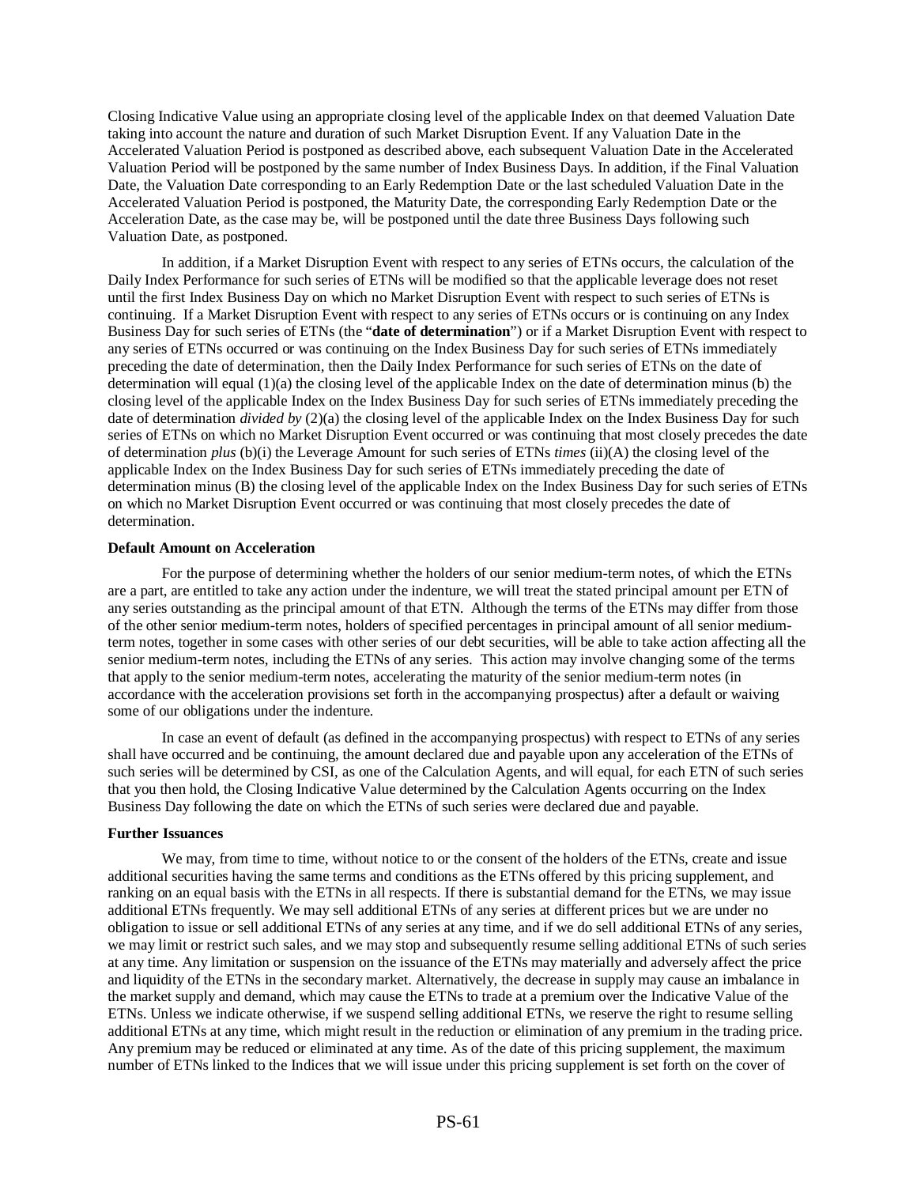Closing Indicative Value using an appropriate closing level of the applicable Index on that deemed Valuation Date taking into account the nature and duration of such Market Disruption Event. If any Valuation Date in the Accelerated Valuation Period is postponed as described above, each subsequent Valuation Date in the Accelerated Valuation Period will be postponed by the same number of Index Business Days. In addition, if the Final Valuation Date, the Valuation Date corresponding to an Early Redemption Date or the last scheduled Valuation Date in the Accelerated Valuation Period is postponed, the Maturity Date, the corresponding Early Redemption Date or the Acceleration Date, as the case may be, will be postponed until the date three Business Days following such Valuation Date, as postponed.

In addition, if a Market Disruption Event with respect to any series of ETNs occurs, the calculation of the Daily Index Performance for such series of ETNs will be modified so that the applicable leverage does not reset until the first Index Business Day on which no Market Disruption Event with respect to such series of ETNs is continuing. If a Market Disruption Event with respect to any series of ETNs occurs or is continuing on any Index Business Day for such series of ETNs (the "**date of determination**") or if a Market Disruption Event with respect to any series of ETNs occurred or was continuing on the Index Business Day for such series of ETNs immediately preceding the date of determination, then the Daily Index Performance for such series of ETNs on the date of determination will equal (1)(a) the closing level of the applicable Index on the date of determination minus (b) the closing level of the applicable Index on the Index Business Day for such series of ETNs immediately preceding the date of determination *divided by* (2)(a) the closing level of the applicable Index on the Index Business Day for such series of ETNs on which no Market Disruption Event occurred or was continuing that most closely precedes the date of determination *plus* (b)(i) the Leverage Amount for such series of ETNs *times* (ii)(A) the closing level of the applicable Index on the Index Business Day for such series of ETNs immediately preceding the date of determination minus (B) the closing level of the applicable Index on the Index Business Day for such series of ETNs on which no Market Disruption Event occurred or was continuing that most closely precedes the date of determination.

## **Default Amount on Acceleration**

For the purpose of determining whether the holders of our senior medium-term notes, of which the ETNs are a part, are entitled to take any action under the indenture, we will treat the stated principal amount per ETN of any series outstanding as the principal amount of that ETN. Although the terms of the ETNs may differ from those of the other senior medium-term notes, holders of specified percentages in principal amount of all senior mediumterm notes, together in some cases with other series of our debt securities, will be able to take action affecting all the senior medium-term notes, including the ETNs of any series. This action may involve changing some of the terms that apply to the senior medium-term notes, accelerating the maturity of the senior medium-term notes (in accordance with the acceleration provisions set forth in the accompanying prospectus) after a default or waiving some of our obligations under the indenture.

In case an event of default (as defined in the accompanying prospectus) with respect to ETNs of any series shall have occurred and be continuing, the amount declared due and payable upon any acceleration of the ETNs of such series will be determined by CSI, as one of the Calculation Agents, and will equal, for each ETN of such series that you then hold, the Closing Indicative Value determined by the Calculation Agents occurring on the Index Business Day following the date on which the ETNs of such series were declared due and payable.

#### **Further Issuances**

We may, from time to time, without notice to or the consent of the holders of the ETNs, create and issue additional securities having the same terms and conditions as the ETNs offered by this pricing supplement, and ranking on an equal basis with the ETNs in all respects. If there is substantial demand for the ETNs, we may issue additional ETNs frequently. We may sell additional ETNs of any series at different prices but we are under no obligation to issue or sell additional ETNs of any series at any time, and if we do sell additional ETNs of any series, we may limit or restrict such sales, and we may stop and subsequently resume selling additional ETNs of such series at any time. Any limitation or suspension on the issuance of the ETNs may materially and adversely affect the price and liquidity of the ETNs in the secondary market. Alternatively, the decrease in supply may cause an imbalance in the market supply and demand, which may cause the ETNs to trade at a premium over the Indicative Value of the ETNs. Unless we indicate otherwise, if we suspend selling additional ETNs, we reserve the right to resume selling additional ETNs at any time, which might result in the reduction or elimination of any premium in the trading price. Any premium may be reduced or eliminated at any time. As of the date of this pricing supplement, the maximum number of ETNs linked to the Indices that we will issue under this pricing supplement is set forth on the cover of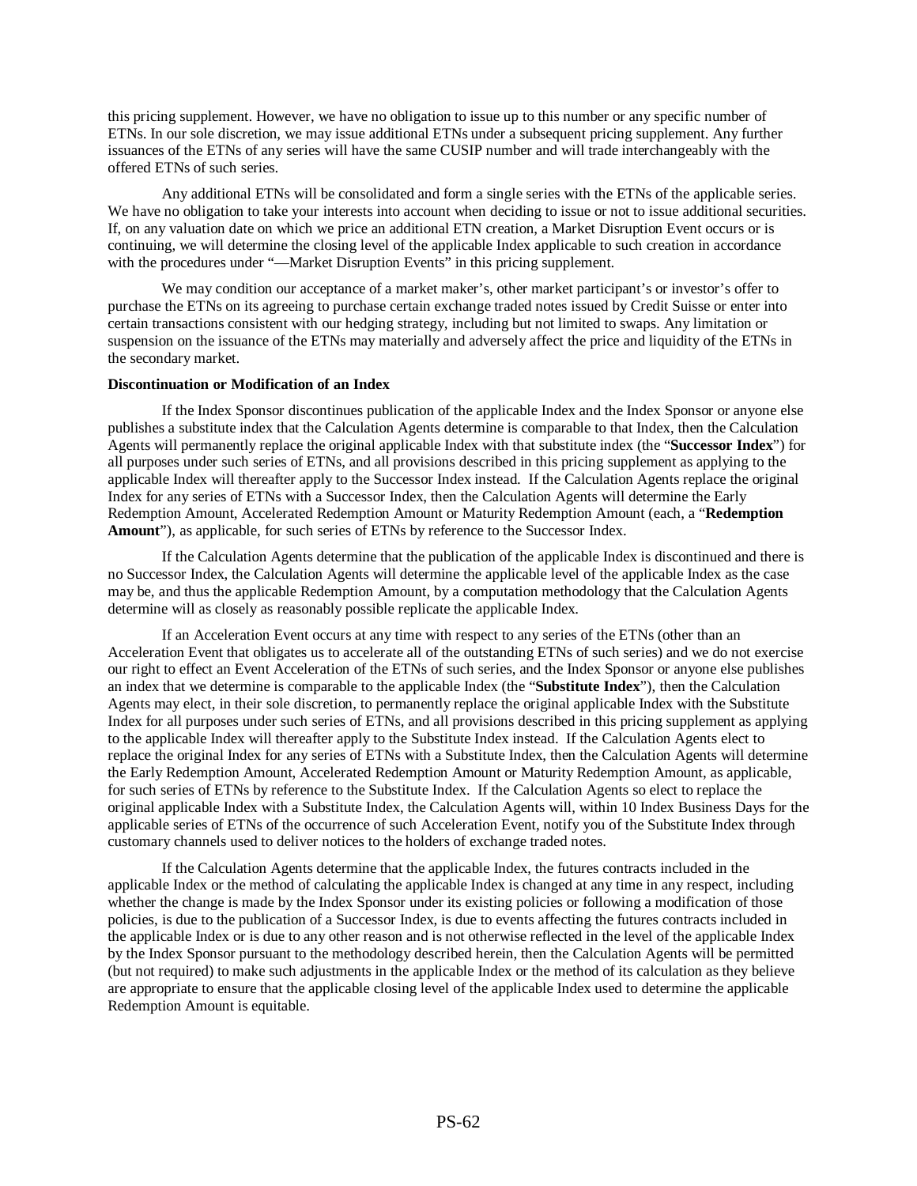this pricing supplement. However, we have no obligation to issue up to this number or any specific number of ETNs. In our sole discretion, we may issue additional ETNs under a subsequent pricing supplement. Any further issuances of the ETNs of any series will have the same CUSIP number and will trade interchangeably with the offered ETNs of such series.

Any additional ETNs will be consolidated and form a single series with the ETNs of the applicable series. We have no obligation to take your interests into account when deciding to issue or not to issue additional securities. If, on any valuation date on which we price an additional ETN creation, a Market Disruption Event occurs or is continuing, we will determine the closing level of the applicable Index applicable to such creation in accordance with the procedures under "—Market Disruption Events" in this pricing supplement.

We may condition our acceptance of a market maker's, other market participant's or investor's offer to purchase the ETNs on its agreeing to purchase certain exchange traded notes issued by Credit Suisse or enter into certain transactions consistent with our hedging strategy, including but not limited to swaps. Any limitation or suspension on the issuance of the ETNs may materially and adversely affect the price and liquidity of the ETNs in the secondary market.

## **Discontinuation or Modification of an Index**

If the Index Sponsor discontinues publication of the applicable Index and the Index Sponsor or anyone else publishes a substitute index that the Calculation Agents determine is comparable to that Index, then the Calculation Agents will permanently replace the original applicable Index with that substitute index (the "**Successor Index**") for all purposes under such series of ETNs, and all provisions described in this pricing supplement as applying to the applicable Index will thereafter apply to the Successor Index instead. If the Calculation Agents replace the original Index for any series of ETNs with a Successor Index, then the Calculation Agents will determine the Early Redemption Amount, Accelerated Redemption Amount or Maturity Redemption Amount (each, a "**Redemption Amount**"), as applicable, for such series of ETNs by reference to the Successor Index.

If the Calculation Agents determine that the publication of the applicable Index is discontinued and there is no Successor Index, the Calculation Agents will determine the applicable level of the applicable Index as the case may be, and thus the applicable Redemption Amount, by a computation methodology that the Calculation Agents determine will as closely as reasonably possible replicate the applicable Index.

If an Acceleration Event occurs at any time with respect to any series of the ETNs (other than an Acceleration Event that obligates us to accelerate all of the outstanding ETNs of such series) and we do not exercise our right to effect an Event Acceleration of the ETNs of such series, and the Index Sponsor or anyone else publishes an index that we determine is comparable to the applicable Index (the "**Substitute Index**"), then the Calculation Agents may elect, in their sole discretion, to permanently replace the original applicable Index with the Substitute Index for all purposes under such series of ETNs, and all provisions described in this pricing supplement as applying to the applicable Index will thereafter apply to the Substitute Index instead. If the Calculation Agents elect to replace the original Index for any series of ETNs with a Substitute Index, then the Calculation Agents will determine the Early Redemption Amount, Accelerated Redemption Amount or Maturity Redemption Amount, as applicable, for such series of ETNs by reference to the Substitute Index. If the Calculation Agents so elect to replace the original applicable Index with a Substitute Index, the Calculation Agents will, within 10 Index Business Days for the applicable series of ETNs of the occurrence of such Acceleration Event, notify you of the Substitute Index through customary channels used to deliver notices to the holders of exchange traded notes.

If the Calculation Agents determine that the applicable Index, the futures contracts included in the applicable Index or the method of calculating the applicable Index is changed at any time in any respect, including whether the change is made by the Index Sponsor under its existing policies or following a modification of those policies, is due to the publication of a Successor Index, is due to events affecting the futures contracts included in the applicable Index or is due to any other reason and is not otherwise reflected in the level of the applicable Index by the Index Sponsor pursuant to the methodology described herein, then the Calculation Agents will be permitted (but not required) to make such adjustments in the applicable Index or the method of its calculation as they believe are appropriate to ensure that the applicable closing level of the applicable Index used to determine the applicable Redemption Amount is equitable.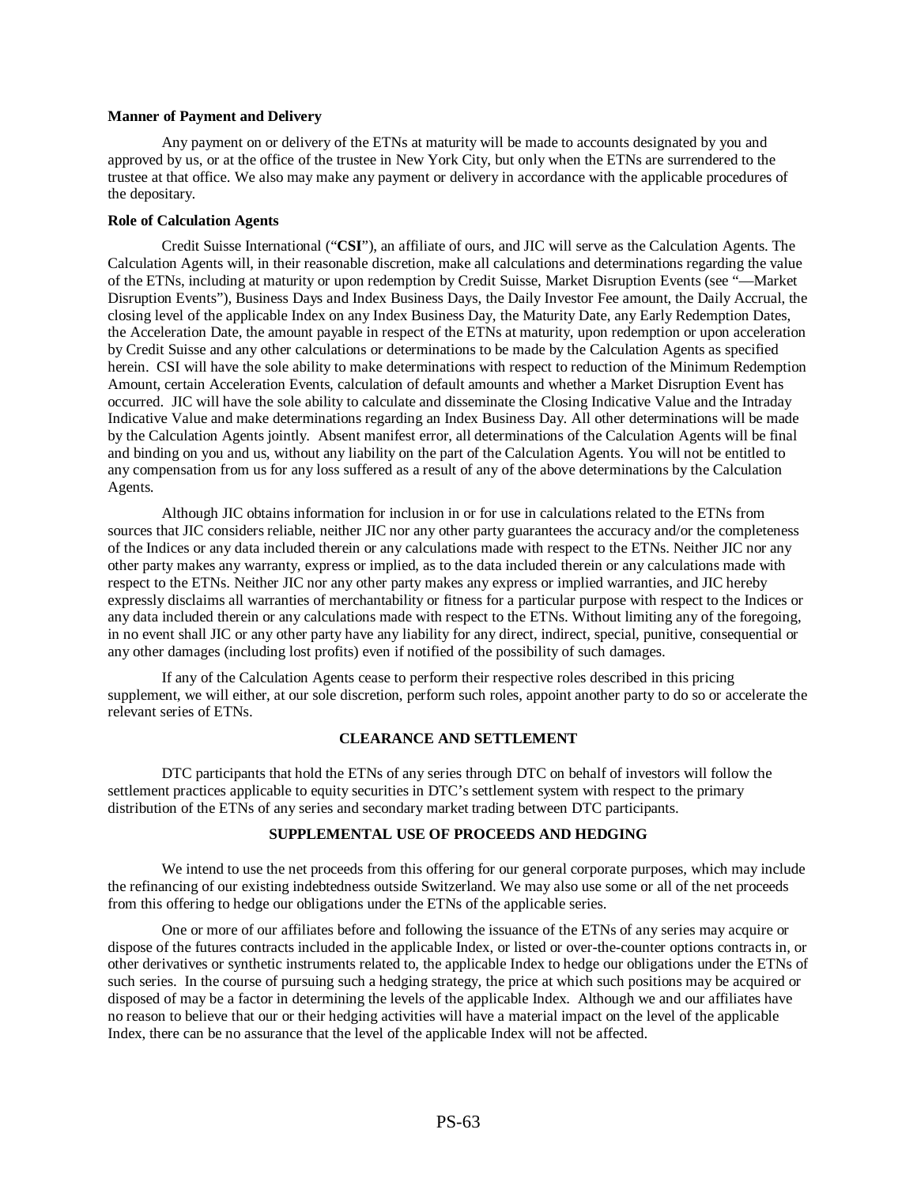## **Manner of Payment and Delivery**

Any payment on or delivery of the ETNs at maturity will be made to accounts designated by you and approved by us, or at the office of the trustee in New York City, but only when the ETNs are surrendered to the trustee at that office. We also may make any payment or delivery in accordance with the applicable procedures of the depositary.

### **Role of Calculation Agents**

Credit Suisse International ("**CSI**"), an affiliate of ours, and JIC will serve as the Calculation Agents. The Calculation Agents will, in their reasonable discretion, make all calculations and determinations regarding the value of the ETNs, including at maturity or upon redemption by Credit Suisse, Market Disruption Events (see "—Market Disruption Events"), Business Days and Index Business Days, the Daily Investor Fee amount, the Daily Accrual, the closing level of the applicable Index on any Index Business Day, the Maturity Date, any Early Redemption Dates, the Acceleration Date, the amount payable in respect of the ETNs at maturity, upon redemption or upon acceleration by Credit Suisse and any other calculations or determinations to be made by the Calculation Agents as specified herein. CSI will have the sole ability to make determinations with respect to reduction of the Minimum Redemption Amount, certain Acceleration Events, calculation of default amounts and whether a Market Disruption Event has occurred. JIC will have the sole ability to calculate and disseminate the Closing Indicative Value and the Intraday Indicative Value and make determinations regarding an Index Business Day. All other determinations will be made by the Calculation Agents jointly. Absent manifest error, all determinations of the Calculation Agents will be final and binding on you and us, without any liability on the part of the Calculation Agents. You will not be entitled to any compensation from us for any loss suffered as a result of any of the above determinations by the Calculation Agents.

Although JIC obtains information for inclusion in or for use in calculations related to the ETNs from sources that JIC considers reliable, neither JIC nor any other party guarantees the accuracy and/or the completeness of the Indices or any data included therein or any calculations made with respect to the ETNs. Neither JIC nor any other party makes any warranty, express or implied, as to the data included therein or any calculations made with respect to the ETNs. Neither JIC nor any other party makes any express or implied warranties, and JIC hereby expressly disclaims all warranties of merchantability or fitness for a particular purpose with respect to the Indices or any data included therein or any calculations made with respect to the ETNs. Without limiting any of the foregoing, in no event shall JIC or any other party have any liability for any direct, indirect, special, punitive, consequential or any other damages (including lost profits) even if notified of the possibility of such damages.

If any of the Calculation Agents cease to perform their respective roles described in this pricing supplement, we will either, at our sole discretion, perform such roles, appoint another party to do so or accelerate the relevant series of ETNs.

## **CLEARANCE AND SETTLEMENT**

DTC participants that hold the ETNs of any series through DTC on behalf of investors will follow the settlement practices applicable to equity securities in DTC's settlement system with respect to the primary distribution of the ETNs of any series and secondary market trading between DTC participants.

### **SUPPLEMENTAL USE OF PROCEEDS AND HEDGING**

We intend to use the net proceeds from this offering for our general corporate purposes, which may include the refinancing of our existing indebtedness outside Switzerland. We may also use some or all of the net proceeds from this offering to hedge our obligations under the ETNs of the applicable series.

One or more of our affiliates before and following the issuance of the ETNs of any series may acquire or dispose of the futures contracts included in the applicable Index, or listed or over-the-counter options contracts in, or other derivatives or synthetic instruments related to, the applicable Index to hedge our obligations under the ETNs of such series. In the course of pursuing such a hedging strategy, the price at which such positions may be acquired or disposed of may be a factor in determining the levels of the applicable Index. Although we and our affiliates have no reason to believe that our or their hedging activities will have a material impact on the level of the applicable Index, there can be no assurance that the level of the applicable Index will not be affected.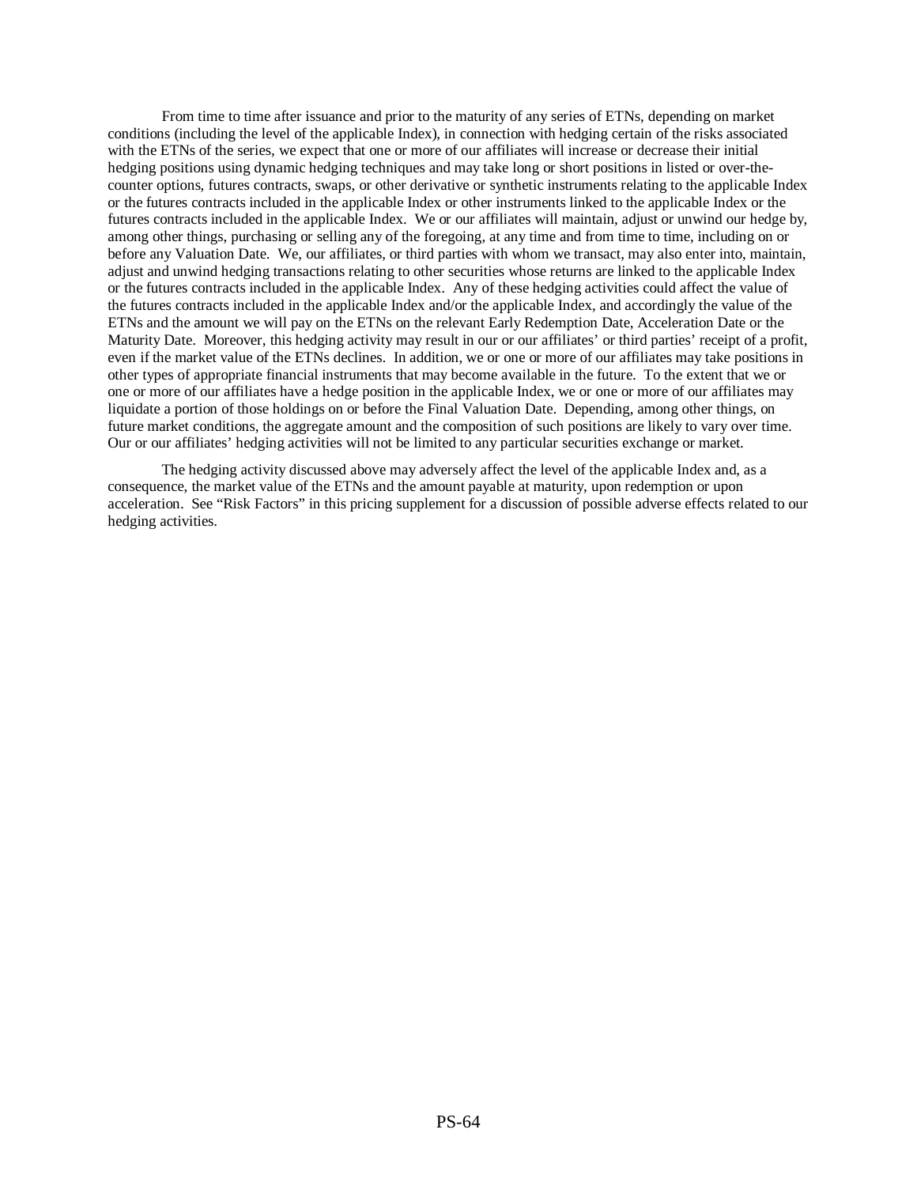From time to time after issuance and prior to the maturity of any series of ETNs, depending on market conditions (including the level of the applicable Index), in connection with hedging certain of the risks associated with the ETNs of the series, we expect that one or more of our affiliates will increase or decrease their initial hedging positions using dynamic hedging techniques and may take long or short positions in listed or over-thecounter options, futures contracts, swaps, or other derivative or synthetic instruments relating to the applicable Index or the futures contracts included in the applicable Index or other instruments linked to the applicable Index or the futures contracts included in the applicable Index. We or our affiliates will maintain, adjust or unwind our hedge by, among other things, purchasing or selling any of the foregoing, at any time and from time to time, including on or before any Valuation Date. We, our affiliates, or third parties with whom we transact, may also enter into, maintain, adjust and unwind hedging transactions relating to other securities whose returns are linked to the applicable Index or the futures contracts included in the applicable Index. Any of these hedging activities could affect the value of the futures contracts included in the applicable Index and/or the applicable Index, and accordingly the value of the ETNs and the amount we will pay on the ETNs on the relevant Early Redemption Date, Acceleration Date or the Maturity Date. Moreover, this hedging activity may result in our or our affiliates' or third parties' receipt of a profit, even if the market value of the ETNs declines. In addition, we or one or more of our affiliates may take positions in other types of appropriate financial instruments that may become available in the future. To the extent that we or one or more of our affiliates have a hedge position in the applicable Index, we or one or more of our affiliates may liquidate a portion of those holdings on or before the Final Valuation Date. Depending, among other things, on future market conditions, the aggregate amount and the composition of such positions are likely to vary over time. Our or our affiliates' hedging activities will not be limited to any particular securities exchange or market.

The hedging activity discussed above may adversely affect the level of the applicable Index and, as a consequence, the market value of the ETNs and the amount payable at maturity, upon redemption or upon acceleration. See "Risk Factors" in this pricing supplement for a discussion of possible adverse effects related to our hedging activities.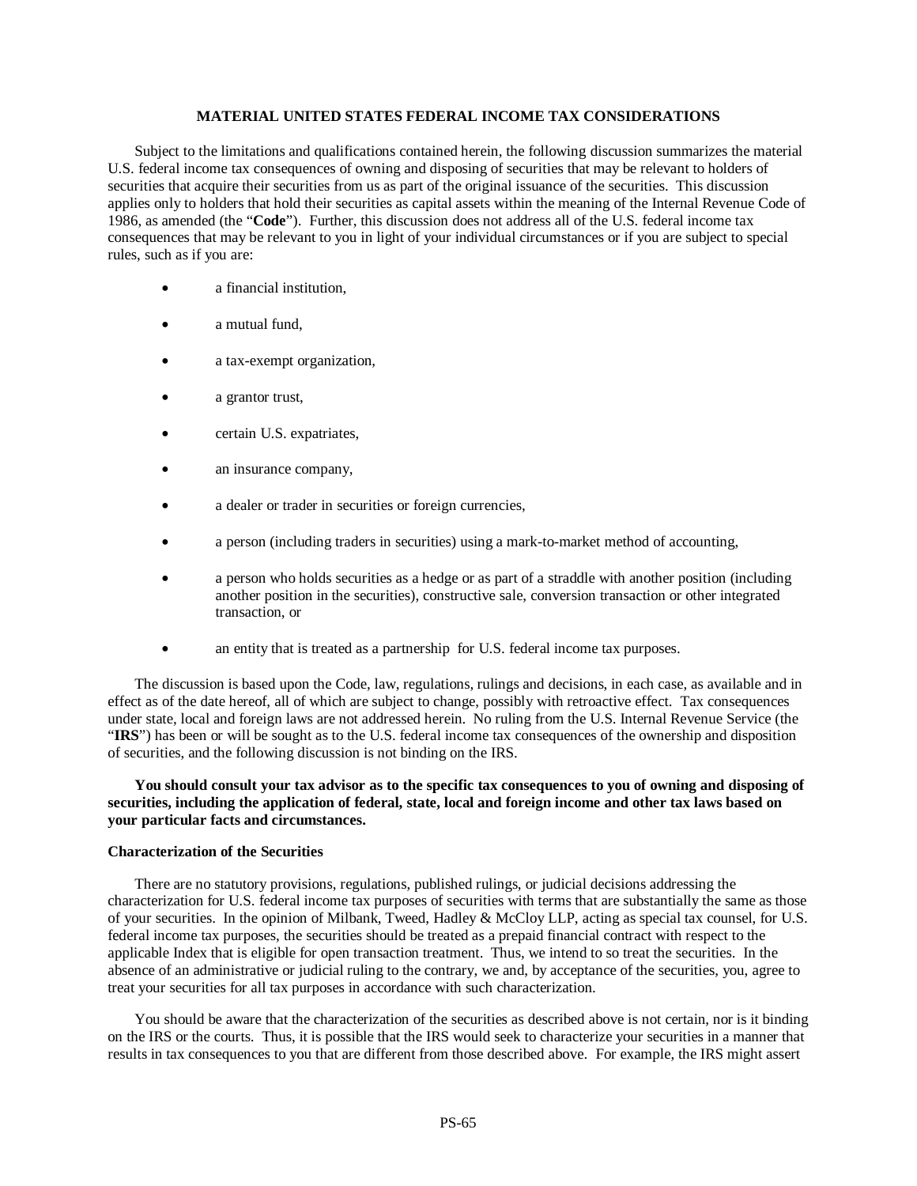# **MATERIAL UNITED STATES FEDERAL INCOME TAX CONSIDERATIONS**

Subject to the limitations and qualifications contained herein, the following discussion summarizes the material U.S. federal income tax consequences of owning and disposing of securities that may be relevant to holders of securities that acquire their securities from us as part of the original issuance of the securities. This discussion applies only to holders that hold their securities as capital assets within the meaning of the Internal Revenue Code of 1986, as amended (the "**Code**"). Further, this discussion does not address all of the U.S. federal income tax consequences that may be relevant to you in light of your individual circumstances or if you are subject to special rules, such as if you are:

- a financial institution,
- a mutual fund.
- a tax-exempt organization,
- a grantor trust,
- certain U.S. expatriates,
- an insurance company,
- a dealer or trader in securities or foreign currencies,
- a person (including traders in securities) using a mark-to-market method of accounting,
- a person who holds securities as a hedge or as part of a straddle with another position (including another position in the securities), constructive sale, conversion transaction or other integrated transaction, or
- an entity that is treated as a partnership for U.S. federal income tax purposes.

The discussion is based upon the Code, law, regulations, rulings and decisions, in each case, as available and in effect as of the date hereof, all of which are subject to change, possibly with retroactive effect. Tax consequences under state, local and foreign laws are not addressed herein. No ruling from the U.S. Internal Revenue Service (the "**IRS**") has been or will be sought as to the U.S. federal income tax consequences of the ownership and disposition of securities, and the following discussion is not binding on the IRS.

## **You should consult your tax advisor as to the specific tax consequences to you of owning and disposing of securities, including the application of federal, state, local and foreign income and other tax laws based on your particular facts and circumstances.**

### **Characterization of the Securities**

There are no statutory provisions, regulations, published rulings, or judicial decisions addressing the characterization for U.S. federal income tax purposes of securities with terms that are substantially the same as those of your securities. In the opinion of Milbank, Tweed, Hadley & McCloy LLP, acting as special tax counsel, for U.S. federal income tax purposes, the securities should be treated as a prepaid financial contract with respect to the applicable Index that is eligible for open transaction treatment. Thus, we intend to so treat the securities. In the absence of an administrative or judicial ruling to the contrary, we and, by acceptance of the securities, you, agree to treat your securities for all tax purposes in accordance with such characterization.

You should be aware that the characterization of the securities as described above is not certain, nor is it binding on the IRS or the courts. Thus, it is possible that the IRS would seek to characterize your securities in a manner that results in tax consequences to you that are different from those described above. For example, the IRS might assert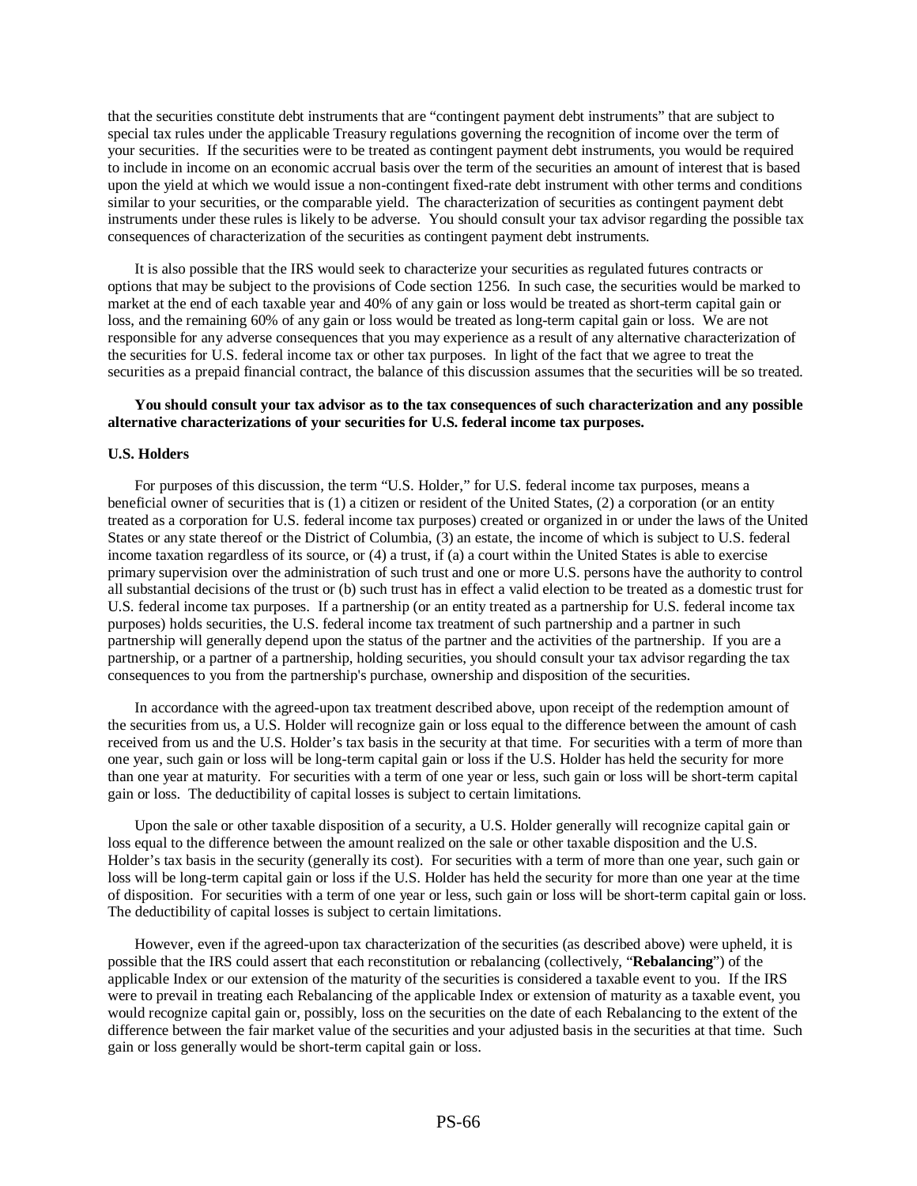that the securities constitute debt instruments that are "contingent payment debt instruments" that are subject to special tax rules under the applicable Treasury regulations governing the recognition of income over the term of your securities. If the securities were to be treated as contingent payment debt instruments, you would be required to include in income on an economic accrual basis over the term of the securities an amount of interest that is based upon the yield at which we would issue a non-contingent fixed-rate debt instrument with other terms and conditions similar to your securities, or the comparable yield. The characterization of securities as contingent payment debt instruments under these rules is likely to be adverse. You should consult your tax advisor regarding the possible tax consequences of characterization of the securities as contingent payment debt instruments.

It is also possible that the IRS would seek to characterize your securities as regulated futures contracts or options that may be subject to the provisions of Code section 1256. In such case, the securities would be marked to market at the end of each taxable year and 40% of any gain or loss would be treated as short-term capital gain or loss, and the remaining 60% of any gain or loss would be treated as long-term capital gain or loss. We are not responsible for any adverse consequences that you may experience as a result of any alternative characterization of the securities for U.S. federal income tax or other tax purposes. In light of the fact that we agree to treat the securities as a prepaid financial contract, the balance of this discussion assumes that the securities will be so treated.

# **You should consult your tax advisor as to the tax consequences of such characterization and any possible alternative characterizations of your securities for U.S. federal income tax purposes.**

#### **U.S. Holders**

For purposes of this discussion, the term "U.S. Holder," for U.S. federal income tax purposes, means a beneficial owner of securities that is (1) a citizen or resident of the United States, (2) a corporation (or an entity treated as a corporation for U.S. federal income tax purposes) created or organized in or under the laws of the United States or any state thereof or the District of Columbia, (3) an estate, the income of which is subject to U.S. federal income taxation regardless of its source, or (4) a trust, if (a) a court within the United States is able to exercise primary supervision over the administration of such trust and one or more U.S. persons have the authority to control all substantial decisions of the trust or (b) such trust has in effect a valid election to be treated as a domestic trust for U.S. federal income tax purposes. If a partnership (or an entity treated as a partnership for U.S. federal income tax purposes) holds securities, the U.S. federal income tax treatment of such partnership and a partner in such partnership will generally depend upon the status of the partner and the activities of the partnership. If you are a partnership, or a partner of a partnership, holding securities, you should consult your tax advisor regarding the tax consequences to you from the partnership's purchase, ownership and disposition of the securities.

In accordance with the agreed-upon tax treatment described above, upon receipt of the redemption amount of the securities from us, a U.S. Holder will recognize gain or loss equal to the difference between the amount of cash received from us and the U.S. Holder's tax basis in the security at that time. For securities with a term of more than one year, such gain or loss will be long-term capital gain or loss if the U.S. Holder has held the security for more than one year at maturity. For securities with a term of one year or less, such gain or loss will be short-term capital gain or loss. The deductibility of capital losses is subject to certain limitations.

Upon the sale or other taxable disposition of a security, a U.S. Holder generally will recognize capital gain or loss equal to the difference between the amount realized on the sale or other taxable disposition and the U.S. Holder's tax basis in the security (generally its cost). For securities with a term of more than one year, such gain or loss will be long-term capital gain or loss if the U.S. Holder has held the security for more than one year at the time of disposition. For securities with a term of one year or less, such gain or loss will be short-term capital gain or loss. The deductibility of capital losses is subject to certain limitations.

However, even if the agreed-upon tax characterization of the securities (as described above) were upheld, it is possible that the IRS could assert that each reconstitution or rebalancing (collectively, "**Rebalancing**") of the applicable Index or our extension of the maturity of the securities is considered a taxable event to you. If the IRS were to prevail in treating each Rebalancing of the applicable Index or extension of maturity as a taxable event, you would recognize capital gain or, possibly, loss on the securities on the date of each Rebalancing to the extent of the difference between the fair market value of the securities and your adjusted basis in the securities at that time. Such gain or loss generally would be short-term capital gain or loss.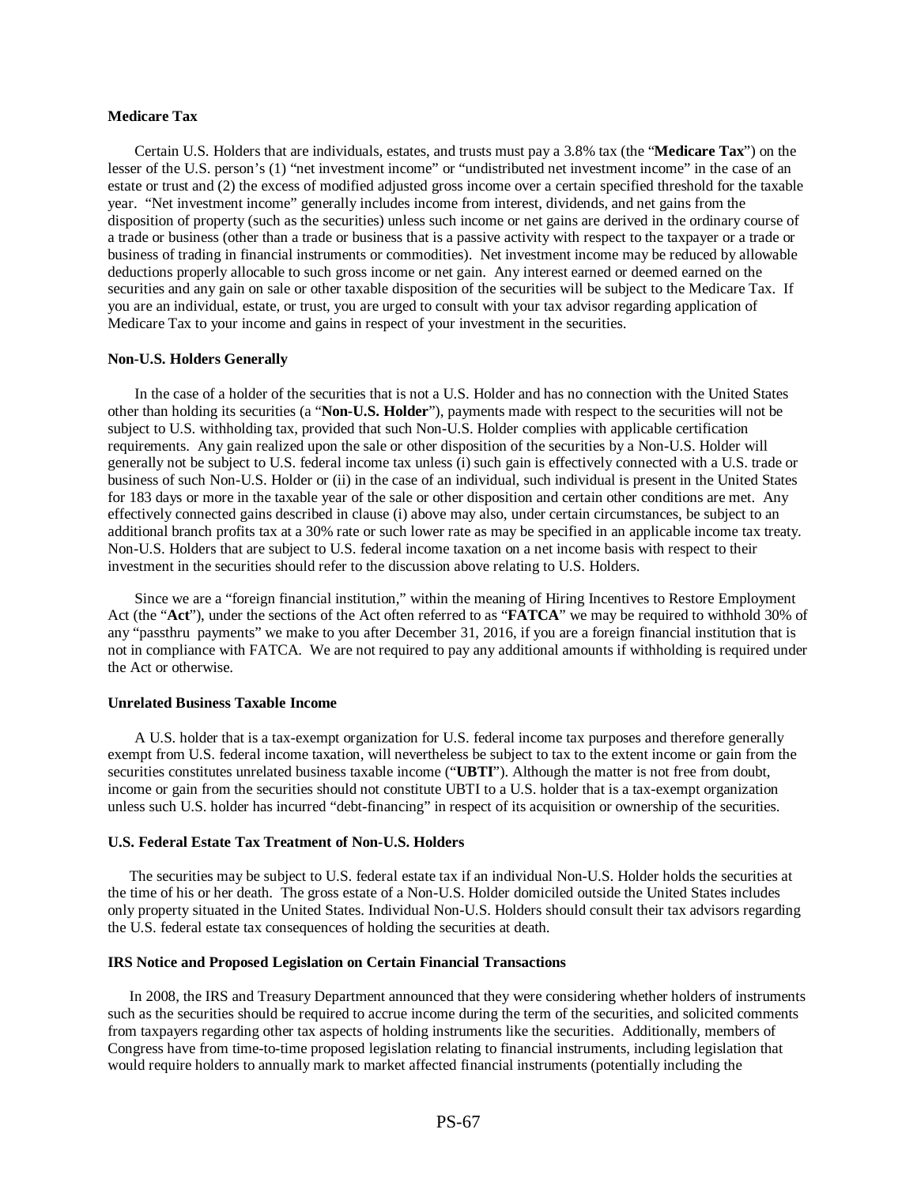## **Medicare Tax**

Certain U.S. Holders that are individuals, estates, and trusts must pay a 3.8% tax (the "**Medicare Tax**") on the lesser of the U.S. person's (1) "net investment income" or "undistributed net investment income" in the case of an estate or trust and (2) the excess of modified adjusted gross income over a certain specified threshold for the taxable year. "Net investment income" generally includes income from interest, dividends, and net gains from the disposition of property (such as the securities) unless such income or net gains are derived in the ordinary course of a trade or business (other than a trade or business that is a passive activity with respect to the taxpayer or a trade or business of trading in financial instruments or commodities). Net investment income may be reduced by allowable deductions properly allocable to such gross income or net gain. Any interest earned or deemed earned on the securities and any gain on sale or other taxable disposition of the securities will be subject to the Medicare Tax. If you are an individual, estate, or trust, you are urged to consult with your tax advisor regarding application of Medicare Tax to your income and gains in respect of your investment in the securities.

#### **Non-U.S. Holders Generally**

In the case of a holder of the securities that is not a U.S. Holder and has no connection with the United States other than holding its securities (a "**Non-U.S. Holder**"), payments made with respect to the securities will not be subject to U.S. withholding tax, provided that such Non-U.S. Holder complies with applicable certification requirements. Any gain realized upon the sale or other disposition of the securities by a Non-U.S. Holder will generally not be subject to U.S. federal income tax unless (i) such gain is effectively connected with a U.S. trade or business of such Non-U.S. Holder or (ii) in the case of an individual, such individual is present in the United States for 183 days or more in the taxable year of the sale or other disposition and certain other conditions are met. Any effectively connected gains described in clause (i) above may also, under certain circumstances, be subject to an additional branch profits tax at a 30% rate or such lower rate as may be specified in an applicable income tax treaty. Non-U.S. Holders that are subject to U.S. federal income taxation on a net income basis with respect to their investment in the securities should refer to the discussion above relating to U.S. Holders.

Since we are a "foreign financial institution," within the meaning of Hiring Incentives to Restore Employment Act (the "**Act**"), under the sections of the Act often referred to as "**FATCA**" we may be required to withhold 30% of any "passthru payments" we make to you after December 31, 2016, if you are a foreign financial institution that is not in compliance with FATCA. We are not required to pay any additional amounts if withholding is required under the Act or otherwise.

### **Unrelated Business Taxable Income**

A U.S. holder that is a tax-exempt organization for U.S. federal income tax purposes and therefore generally exempt from U.S. federal income taxation, will nevertheless be subject to tax to the extent income or gain from the securities constitutes unrelated business taxable income ("**UBTI**"). Although the matter is not free from doubt, income or gain from the securities should not constitute UBTI to a U.S. holder that is a tax-exempt organization unless such U.S. holder has incurred "debt-financing" in respect of its acquisition or ownership of the securities.

#### **U.S. Federal Estate Tax Treatment of Non-U.S. Holders**

The securities may be subject to U.S. federal estate tax if an individual Non-U.S. Holder holds the securities at the time of his or her death. The gross estate of a Non-U.S. Holder domiciled outside the United States includes only property situated in the United States. Individual Non-U.S. Holders should consult their tax advisors regarding the U.S. federal estate tax consequences of holding the securities at death.

### **IRS Notice and Proposed Legislation on Certain Financial Transactions**

In 2008, the IRS and Treasury Department announced that they were considering whether holders of instruments such as the securities should be required to accrue income during the term of the securities, and solicited comments from taxpayers regarding other tax aspects of holding instruments like the securities. Additionally, members of Congress have from time-to-time proposed legislation relating to financial instruments, including legislation that would require holders to annually mark to market affected financial instruments (potentially including the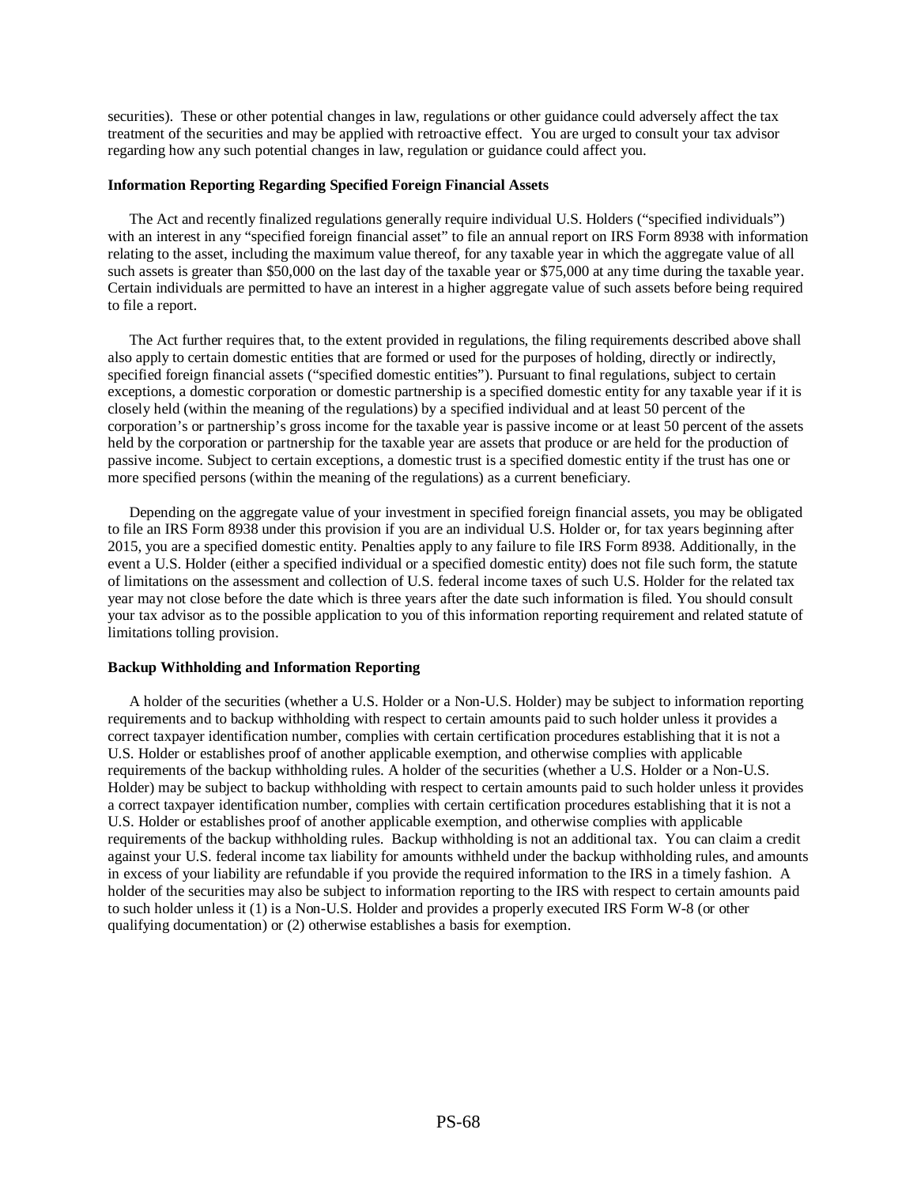securities). These or other potential changes in law, regulations or other guidance could adversely affect the tax treatment of the securities and may be applied with retroactive effect. You are urged to consult your tax advisor regarding how any such potential changes in law, regulation or guidance could affect you.

### **Information Reporting Regarding Specified Foreign Financial Assets**

The Act and recently finalized regulations generally require individual U.S. Holders ("specified individuals") with an interest in any "specified foreign financial asset" to file an annual report on IRS Form 8938 with information relating to the asset, including the maximum value thereof, for any taxable year in which the aggregate value of all such assets is greater than \$50,000 on the last day of the taxable year or \$75,000 at any time during the taxable year. Certain individuals are permitted to have an interest in a higher aggregate value of such assets before being required to file a report.

The Act further requires that, to the extent provided in regulations, the filing requirements described above shall also apply to certain domestic entities that are formed or used for the purposes of holding, directly or indirectly, specified foreign financial assets ("specified domestic entities"). Pursuant to final regulations, subject to certain exceptions, a domestic corporation or domestic partnership is a specified domestic entity for any taxable year if it is closely held (within the meaning of the regulations) by a specified individual and at least 50 percent of the corporation's or partnership's gross income for the taxable year is passive income or at least 50 percent of the assets held by the corporation or partnership for the taxable year are assets that produce or are held for the production of passive income. Subject to certain exceptions, a domestic trust is a specified domestic entity if the trust has one or more specified persons (within the meaning of the regulations) as a current beneficiary.

Depending on the aggregate value of your investment in specified foreign financial assets, you may be obligated to file an IRS Form 8938 under this provision if you are an individual U.S. Holder or, for tax years beginning after 2015, you are a specified domestic entity. Penalties apply to any failure to file IRS Form 8938. Additionally, in the event a U.S. Holder (either a specified individual or a specified domestic entity) does not file such form, the statute of limitations on the assessment and collection of U.S. federal income taxes of such U.S. Holder for the related tax year may not close before the date which is three years after the date such information is filed. You should consult your tax advisor as to the possible application to you of this information reporting requirement and related statute of limitations tolling provision.

### **Backup Withholding and Information Reporting**

A holder of the securities (whether a U.S. Holder or a Non-U.S. Holder) may be subject to information reporting requirements and to backup withholding with respect to certain amounts paid to such holder unless it provides a correct taxpayer identification number, complies with certain certification procedures establishing that it is not a U.S. Holder or establishes proof of another applicable exemption, and otherwise complies with applicable requirements of the backup withholding rules. A holder of the securities (whether a U.S. Holder or a Non-U.S. Holder) may be subject to backup withholding with respect to certain amounts paid to such holder unless it provides a correct taxpayer identification number, complies with certain certification procedures establishing that it is not a U.S. Holder or establishes proof of another applicable exemption, and otherwise complies with applicable requirements of the backup withholding rules. Backup withholding is not an additional tax. You can claim a credit against your U.S. federal income tax liability for amounts withheld under the backup withholding rules, and amounts in excess of your liability are refundable if you provide the required information to the IRS in a timely fashion. A holder of the securities may also be subject to information reporting to the IRS with respect to certain amounts paid to such holder unless it (1) is a Non-U.S. Holder and provides a properly executed IRS Form W-8 (or other qualifying documentation) or (2) otherwise establishes a basis for exemption.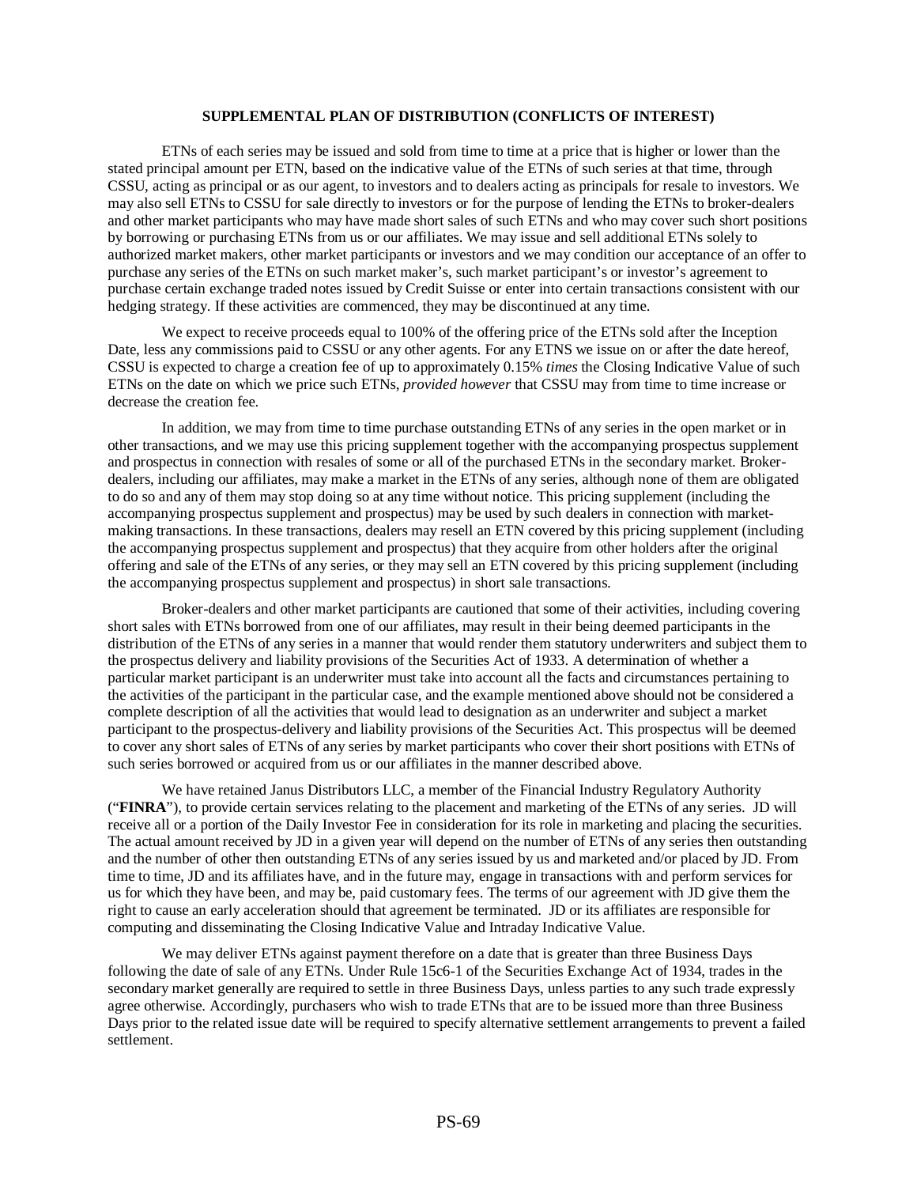# **SUPPLEMENTAL PLAN OF DISTRIBUTION (CONFLICTS OF INTEREST)**

ETNs of each series may be issued and sold from time to time at a price that is higher or lower than the stated principal amount per ETN, based on the indicative value of the ETNs of such series at that time, through CSSU, acting as principal or as our agent, to investors and to dealers acting as principals for resale to investors. We may also sell ETNs to CSSU for sale directly to investors or for the purpose of lending the ETNs to broker-dealers and other market participants who may have made short sales of such ETNs and who may cover such short positions by borrowing or purchasing ETNs from us or our affiliates. We may issue and sell additional ETNs solely to authorized market makers, other market participants or investors and we may condition our acceptance of an offer to purchase any series of the ETNs on such market maker's, such market participant's or investor's agreement to purchase certain exchange traded notes issued by Credit Suisse or enter into certain transactions consistent with our hedging strategy. If these activities are commenced, they may be discontinued at any time.

We expect to receive proceeds equal to 100% of the offering price of the ETNs sold after the Inception Date, less any commissions paid to CSSU or any other agents. For any ETNS we issue on or after the date hereof, CSSU is expected to charge a creation fee of up to approximately 0.15% *times* the Closing Indicative Value of such ETNs on the date on which we price such ETNs, *provided however* that CSSU may from time to time increase or decrease the creation fee.

In addition, we may from time to time purchase outstanding ETNs of any series in the open market or in other transactions, and we may use this pricing supplement together with the accompanying prospectus supplement and prospectus in connection with resales of some or all of the purchased ETNs in the secondary market. Brokerdealers, including our affiliates, may make a market in the ETNs of any series, although none of them are obligated to do so and any of them may stop doing so at any time without notice. This pricing supplement (including the accompanying prospectus supplement and prospectus) may be used by such dealers in connection with marketmaking transactions. In these transactions, dealers may resell an ETN covered by this pricing supplement (including the accompanying prospectus supplement and prospectus) that they acquire from other holders after the original offering and sale of the ETNs of any series, or they may sell an ETN covered by this pricing supplement (including the accompanying prospectus supplement and prospectus) in short sale transactions.

Broker-dealers and other market participants are cautioned that some of their activities, including covering short sales with ETNs borrowed from one of our affiliates, may result in their being deemed participants in the distribution of the ETNs of any series in a manner that would render them statutory underwriters and subject them to the prospectus delivery and liability provisions of the Securities Act of 1933. A determination of whether a particular market participant is an underwriter must take into account all the facts and circumstances pertaining to the activities of the participant in the particular case, and the example mentioned above should not be considered a complete description of all the activities that would lead to designation as an underwriter and subject a market participant to the prospectus-delivery and liability provisions of the Securities Act. This prospectus will be deemed to cover any short sales of ETNs of any series by market participants who cover their short positions with ETNs of such series borrowed or acquired from us or our affiliates in the manner described above.

We have retained Janus Distributors LLC, a member of the Financial Industry Regulatory Authority ("**FINRA**"), to provide certain services relating to the placement and marketing of the ETNs of any series. JD will receive all or a portion of the Daily Investor Fee in consideration for its role in marketing and placing the securities. The actual amount received by JD in a given year will depend on the number of ETNs of any series then outstanding and the number of other then outstanding ETNs of any series issued by us and marketed and/or placed by JD. From time to time, JD and its affiliates have, and in the future may, engage in transactions with and perform services for us for which they have been, and may be, paid customary fees. The terms of our agreement with JD give them the right to cause an early acceleration should that agreement be terminated. JD or its affiliates are responsible for computing and disseminating the Closing Indicative Value and Intraday Indicative Value.

We may deliver ETNs against payment therefore on a date that is greater than three Business Days following the date of sale of any ETNs. Under Rule 15c6-1 of the Securities Exchange Act of 1934, trades in the secondary market generally are required to settle in three Business Days, unless parties to any such trade expressly agree otherwise. Accordingly, purchasers who wish to trade ETNs that are to be issued more than three Business Days prior to the related issue date will be required to specify alternative settlement arrangements to prevent a failed settlement.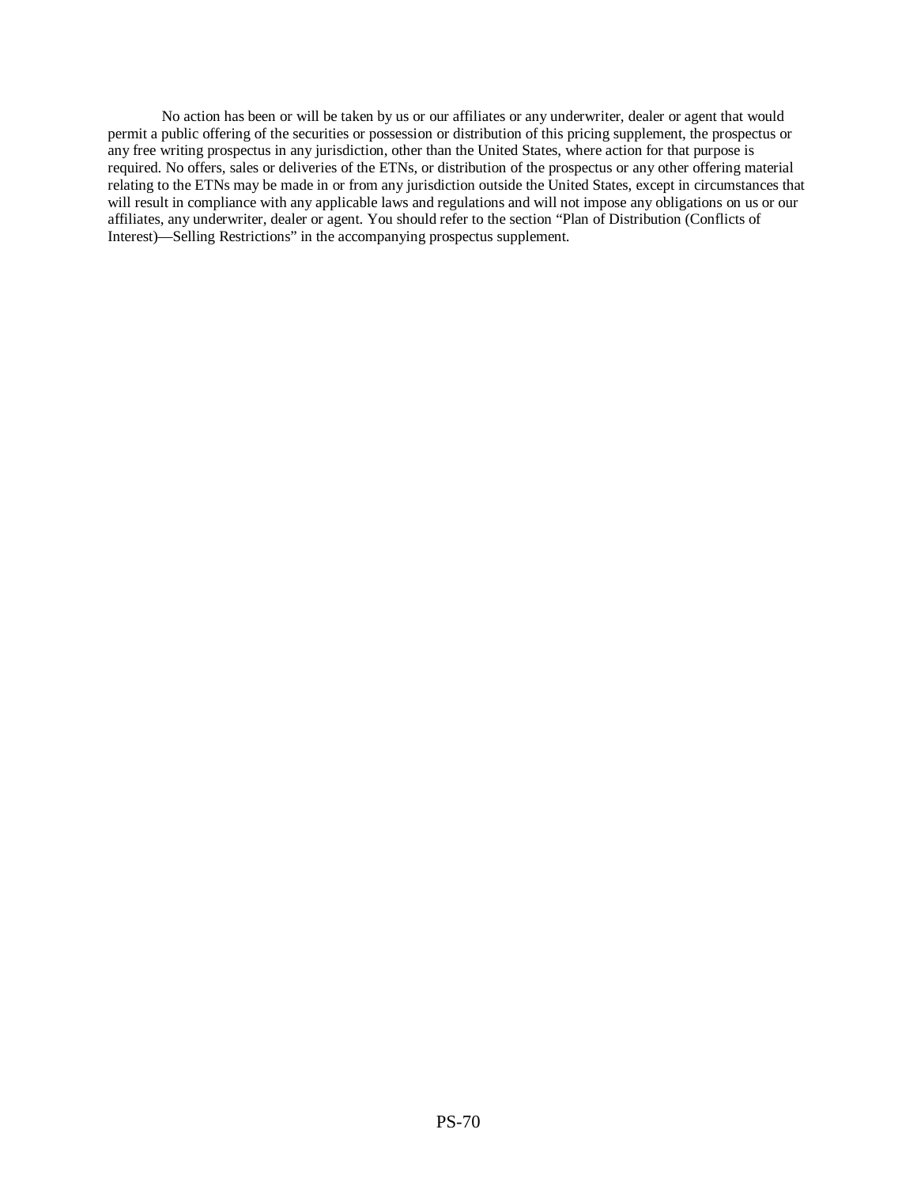No action has been or will be taken by us or our affiliates or any underwriter, dealer or agent that would permit a public offering of the securities or possession or distribution of this pricing supplement, the prospectus or any free writing prospectus in any jurisdiction, other than the United States, where action for that purpose is required. No offers, sales or deliveries of the ETNs, or distribution of the prospectus or any other offering material relating to the ETNs may be made in or from any jurisdiction outside the United States, except in circumstances that will result in compliance with any applicable laws and regulations and will not impose any obligations on us or our affiliates, any underwriter, dealer or agent. You should refer to the section "Plan of Distribution (Conflicts of Interest)—Selling Restrictions" in the accompanying prospectus supplement.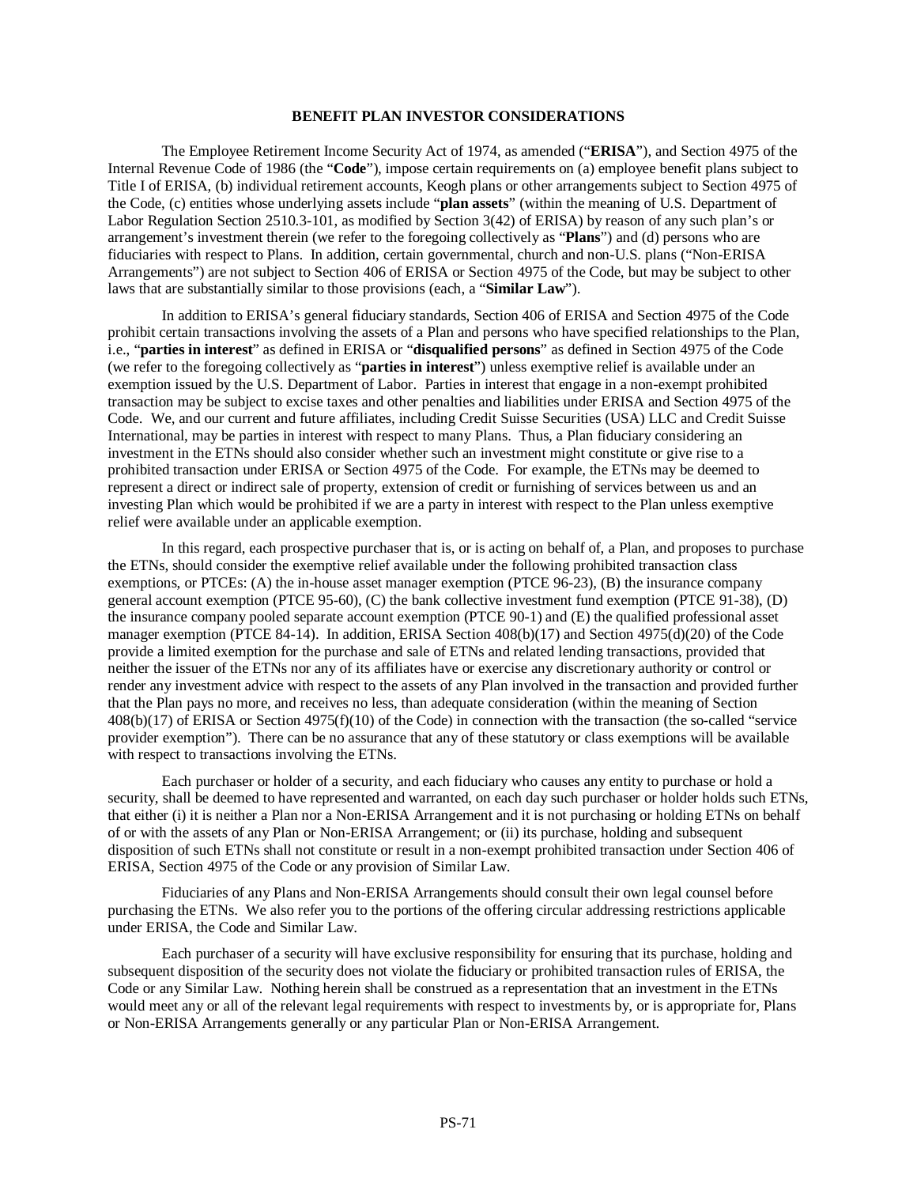# **BENEFIT PLAN INVESTOR CONSIDERATIONS**

The Employee Retirement Income Security Act of 1974, as amended ("**ERISA**"), and Section 4975 of the Internal Revenue Code of 1986 (the "**Code**"), impose certain requirements on (a) employee benefit plans subject to Title I of ERISA, (b) individual retirement accounts, Keogh plans or other arrangements subject to Section 4975 of the Code, (c) entities whose underlying assets include "**plan assets**" (within the meaning of U.S. Department of Labor Regulation Section 2510.3-101, as modified by Section 3(42) of ERISA) by reason of any such plan's or arrangement's investment therein (we refer to the foregoing collectively as "**Plans**") and (d) persons who are fiduciaries with respect to Plans. In addition, certain governmental, church and non-U.S. plans ("Non-ERISA Arrangements") are not subject to Section 406 of ERISA or Section 4975 of the Code, but may be subject to other laws that are substantially similar to those provisions (each, a "**Similar Law**").

In addition to ERISA's general fiduciary standards, Section 406 of ERISA and Section 4975 of the Code prohibit certain transactions involving the assets of a Plan and persons who have specified relationships to the Plan, i.e., "**parties in interest**" as defined in ERISA or "**disqualified persons**" as defined in Section 4975 of the Code (we refer to the foregoing collectively as "**parties in interest**") unless exemptive relief is available under an exemption issued by the U.S. Department of Labor. Parties in interest that engage in a non-exempt prohibited transaction may be subject to excise taxes and other penalties and liabilities under ERISA and Section 4975 of the Code. We, and our current and future affiliates, including Credit Suisse Securities (USA) LLC and Credit Suisse International, may be parties in interest with respect to many Plans. Thus, a Plan fiduciary considering an investment in the ETNs should also consider whether such an investment might constitute or give rise to a prohibited transaction under ERISA or Section 4975 of the Code. For example, the ETNs may be deemed to represent a direct or indirect sale of property, extension of credit or furnishing of services between us and an investing Plan which would be prohibited if we are a party in interest with respect to the Plan unless exemptive relief were available under an applicable exemption.

In this regard, each prospective purchaser that is, or is acting on behalf of, a Plan, and proposes to purchase the ETNs, should consider the exemptive relief available under the following prohibited transaction class exemptions, or PTCEs: (A) the in-house asset manager exemption (PTCE 96-23), (B) the insurance company general account exemption (PTCE 95-60), (C) the bank collective investment fund exemption (PTCE 91-38), (D) the insurance company pooled separate account exemption (PTCE 90-1) and (E) the qualified professional asset manager exemption (PTCE 84-14). In addition, ERISA Section 408(b)(17) and Section 4975(d)(20) of the Code provide a limited exemption for the purchase and sale of ETNs and related lending transactions, provided that neither the issuer of the ETNs nor any of its affiliates have or exercise any discretionary authority or control or render any investment advice with respect to the assets of any Plan involved in the transaction and provided further that the Plan pays no more, and receives no less, than adequate consideration (within the meaning of Section 408(b)(17) of ERISA or Section 4975(f)(10) of the Code) in connection with the transaction (the so-called "service provider exemption"). There can be no assurance that any of these statutory or class exemptions will be available with respect to transactions involving the ETNs.

Each purchaser or holder of a security, and each fiduciary who causes any entity to purchase or hold a security, shall be deemed to have represented and warranted, on each day such purchaser or holder holds such ETNs, that either (i) it is neither a Plan nor a Non-ERISA Arrangement and it is not purchasing or holding ETNs on behalf of or with the assets of any Plan or Non-ERISA Arrangement; or (ii) its purchase, holding and subsequent disposition of such ETNs shall not constitute or result in a non-exempt prohibited transaction under Section 406 of ERISA, Section 4975 of the Code or any provision of Similar Law.

Fiduciaries of any Plans and Non-ERISA Arrangements should consult their own legal counsel before purchasing the ETNs. We also refer you to the portions of the offering circular addressing restrictions applicable under ERISA, the Code and Similar Law.

Each purchaser of a security will have exclusive responsibility for ensuring that its purchase, holding and subsequent disposition of the security does not violate the fiduciary or prohibited transaction rules of ERISA, the Code or any Similar Law. Nothing herein shall be construed as a representation that an investment in the ETNs would meet any or all of the relevant legal requirements with respect to investments by, or is appropriate for, Plans or Non-ERISA Arrangements generally or any particular Plan or Non-ERISA Arrangement.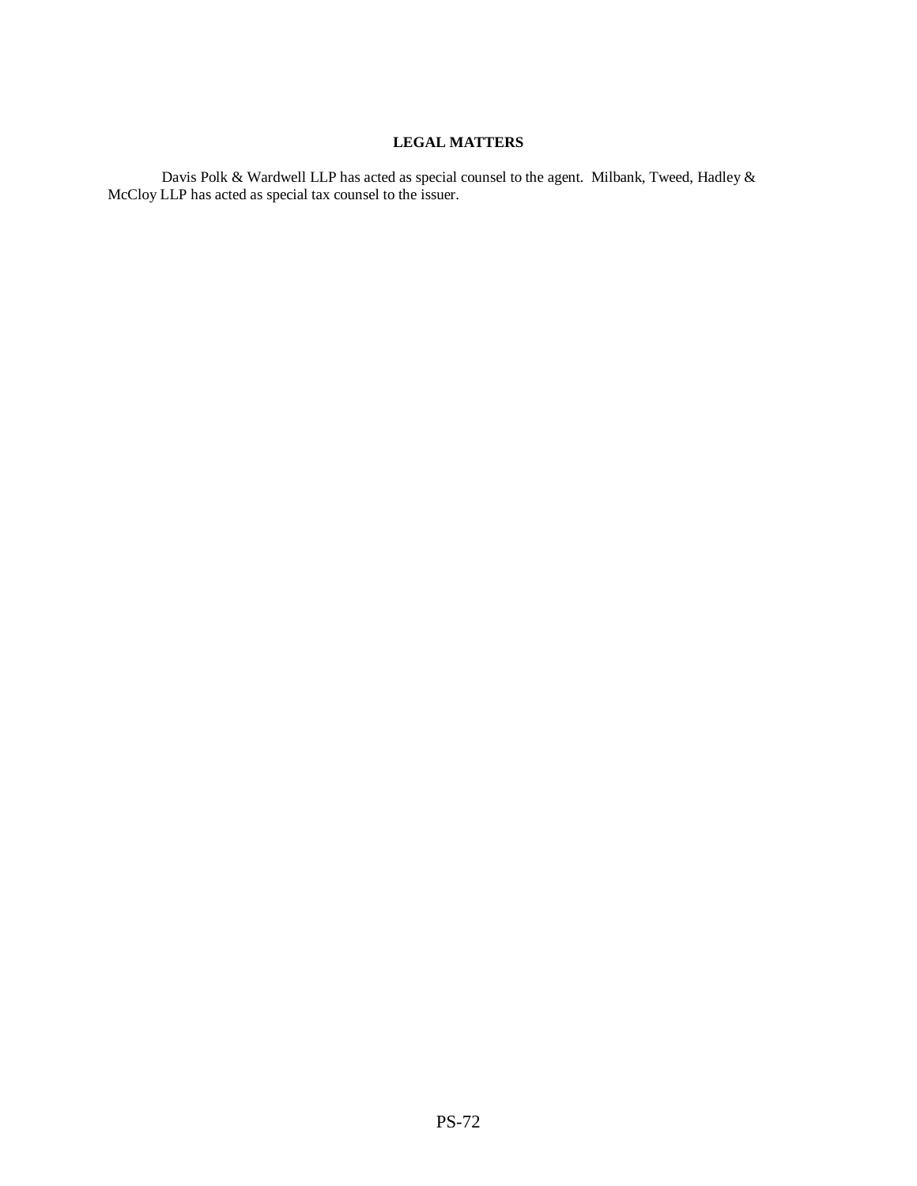# **LEGAL MATTERS**

Davis Polk & Wardwell LLP has acted as special counsel to the agent. Milbank, Tweed, Hadley & McCloy LLP has acted as special tax counsel to the issuer.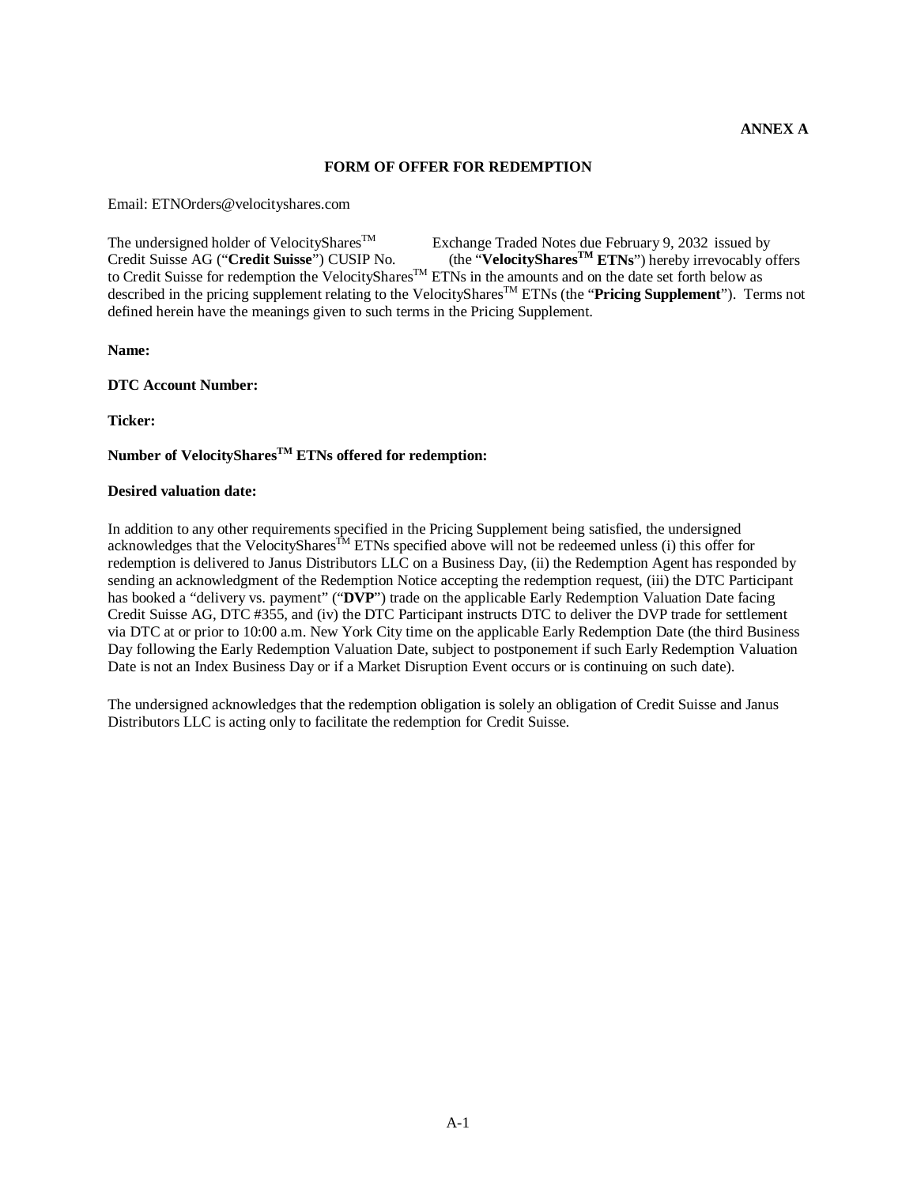### **FORM OF OFFER FOR REDEMPTION**

Email: ETNOrders@velocityshares.com

The undersigned holder of VelocityShares<sup>TM</sup> Exchange Traded Notes due February 9, 2032 issued by Credit Suisse AG ("Credit Suisse") CUSIP No. (the "**VelocityShares<sup>TM</sup> ETNs**") hereby irrevocably offers to Credit Suisse for redemption the VelocityShares<sup>TM</sup> ETNs in the amounts and on the date set forth below as described in the pricing supplement relating to the VelocityShares<sup>TM</sup> ETNs (the "**Pricing Supplement**"). Terms not defined herein have the meanings given to such terms in the Pricing Supplement.

**Name:** 

**DTC Account Number:** 

**Ticker:** 

# Number of VelocityShares<sup>™</sup> ETNs offered for redemption:

#### **Desired valuation date:**

In addition to any other requirements specified in the Pricing Supplement being satisfied, the undersigned acknowledges that the VelocityShares<sup>TM</sup> ETNs specified above will not be redeemed unless (i) this offer for redemption is delivered to Janus Distributors LLC on a Business Day, (ii) the Redemption Agent has responded by sending an acknowledgment of the Redemption Notice accepting the redemption request, (iii) the DTC Participant has booked a "delivery vs. payment" ("**DVP**") trade on the applicable Early Redemption Valuation Date facing Credit Suisse AG, DTC #355, and (iv) the DTC Participant instructs DTC to deliver the DVP trade for settlement via DTC at or prior to 10:00 a.m. New York City time on the applicable Early Redemption Date (the third Business Day following the Early Redemption Valuation Date, subject to postponement if such Early Redemption Valuation Date is not an Index Business Day or if a Market Disruption Event occurs or is continuing on such date).

The undersigned acknowledges that the redemption obligation is solely an obligation of Credit Suisse and Janus Distributors LLC is acting only to facilitate the redemption for Credit Suisse.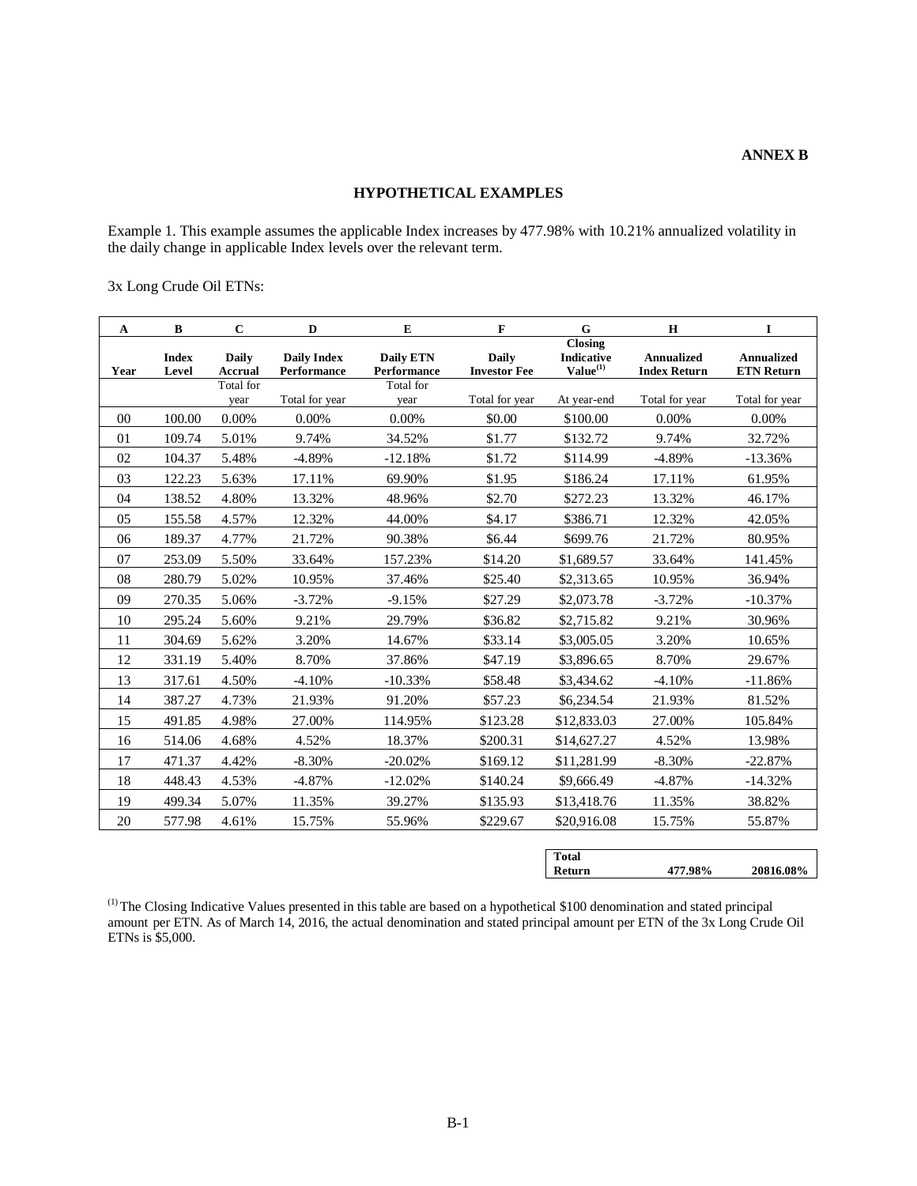# **HYPOTHETICAL EXAMPLES**

Example 1. This example assumes the applicable Index increases by 477.98% with 10.21% annualized volatility in the daily change in applicable Index levels over the relevant term.

3x Long Crude Oil ETNs:

| $\mathbf A$ | $\bf{B}$              | $\mathbf C$                    | D                                        | $\bf{E}$                        | $\mathbf{F}$                        | G                                                    | $\bf H$                                  | $\mathbf I$                            |
|-------------|-----------------------|--------------------------------|------------------------------------------|---------------------------------|-------------------------------------|------------------------------------------------------|------------------------------------------|----------------------------------------|
| Year        | <b>Index</b><br>Level | <b>Daily</b><br><b>Accrual</b> | <b>Daily Index</b><br><b>Performance</b> | <b>Daily ETN</b><br>Performance | <b>Daily</b><br><b>Investor Fee</b> | <b>Closing</b><br><b>Indicative</b><br>$Value^{(1)}$ | <b>Annualized</b><br><b>Index Return</b> | <b>Annualized</b><br><b>ETN Return</b> |
|             |                       | Total for<br>year              | Total for year                           | Total for<br>year               | Total for year                      | At year-end                                          | Total for year                           | Total for year                         |
| 00          | 100.00                | 0.00%                          | 0.00%                                    | 0.00%                           | \$0.00                              | \$100.00                                             | 0.00%                                    | 0.00%                                  |
| 01          | 109.74                | 5.01%                          | 9.74%                                    | 34.52%                          | \$1.77                              | \$132.72                                             | 9.74%                                    | 32.72%                                 |
| 02          | 104.37                | 5.48%                          | $-4.89%$                                 | $-12.18%$                       | \$1.72                              | \$114.99                                             | $-4.89%$                                 | $-13.36%$                              |
| 03          | 122.23                | 5.63%                          | 17.11%                                   | 69.90%                          | \$1.95                              | \$186.24                                             | 17.11%                                   | 61.95%                                 |
| 04          | 138.52                | 4.80%                          | 13.32%                                   | 48.96%                          | \$2.70                              | \$272.23                                             | 13.32%                                   | 46.17%                                 |
| 05          | 155.58                | 4.57%                          | 12.32%                                   | 44.00%                          | \$4.17                              | \$386.71                                             | 12.32%                                   | 42.05%                                 |
| 06          | 189.37                | 4.77%                          | 21.72%                                   | 90.38%                          | \$6.44                              | \$699.76                                             | 21.72%                                   | 80.95%                                 |
| 07          | 253.09                | 5.50%                          | 33.64%                                   | 157.23%                         | \$14.20                             | \$1,689.57                                           | 33.64%                                   | 141.45%                                |
| 08          | 280.79                | 5.02%                          | 10.95%                                   | 37.46%                          | \$25.40                             | \$2,313.65                                           | 10.95%                                   | 36.94%                                 |
| 09          | 270.35                | 5.06%                          | $-3.72%$                                 | $-9.15%$                        | \$27.29                             | \$2,073.78                                           | $-3.72%$                                 | $-10.37%$                              |
| 10          | 295.24                | 5.60%                          | 9.21%                                    | 29.79%                          | \$36.82                             | \$2,715.82                                           | 9.21%                                    | 30.96%                                 |
| 11          | 304.69                | 5.62%                          | 3.20%                                    | 14.67%                          | \$33.14                             | \$3,005.05                                           | 3.20%                                    | 10.65%                                 |
| 12          | 331.19                | 5.40%                          | 8.70%                                    | 37.86%                          | \$47.19                             | \$3,896.65                                           | 8.70%                                    | 29.67%                                 |
| 13          | 317.61                | 4.50%                          | $-4.10%$                                 | $-10.33%$                       | \$58.48                             | \$3,434.62                                           | $-4.10%$                                 | $-11.86%$                              |
| 14          | 387.27                | 4.73%                          | 21.93%                                   | 91.20%                          | \$57.23                             | \$6,234.54                                           | 21.93%                                   | 81.52%                                 |
| 15          | 491.85                | 4.98%                          | 27.00%                                   | 114.95%                         | \$123.28                            | \$12,833.03                                          | 27.00%                                   | 105.84%                                |
| 16          | 514.06                | 4.68%                          | 4.52%                                    | 18.37%                          | \$200.31                            | \$14,627.27                                          | 4.52%                                    | 13.98%                                 |
| 17          | 471.37                | 4.42%                          | $-8.30%$                                 | $-20.02%$                       | \$169.12                            | \$11,281.99                                          | $-8.30%$                                 | $-22.87%$                              |
| 18          | 448.43                | 4.53%                          | $-4.87%$                                 | $-12.02%$                       | \$140.24                            | \$9,666.49                                           | $-4.87%$                                 | $-14.32%$                              |
| 19          | 499.34                | 5.07%                          | 11.35%                                   | 39.27%                          | \$135.93                            | \$13,418.76                                          | 11.35%                                   | 38.82%                                 |
| 20          | 577.98                | 4.61%                          | 15.75%                                   | 55.96%                          | \$229.67                            | \$20,916.08                                          | 15.75%                                   | 55.87%                                 |

| 477.98% | 20816.08% |
|---------|-----------|
|         |           |

(1) The Closing Indicative Values presented in this table are based on a hypothetical \$100 denomination and stated principal amount per ETN. As of March 14, 2016, the actual denomination and stated principal amount per ETN of the 3x Long Crude Oil ETNs is \$5,000.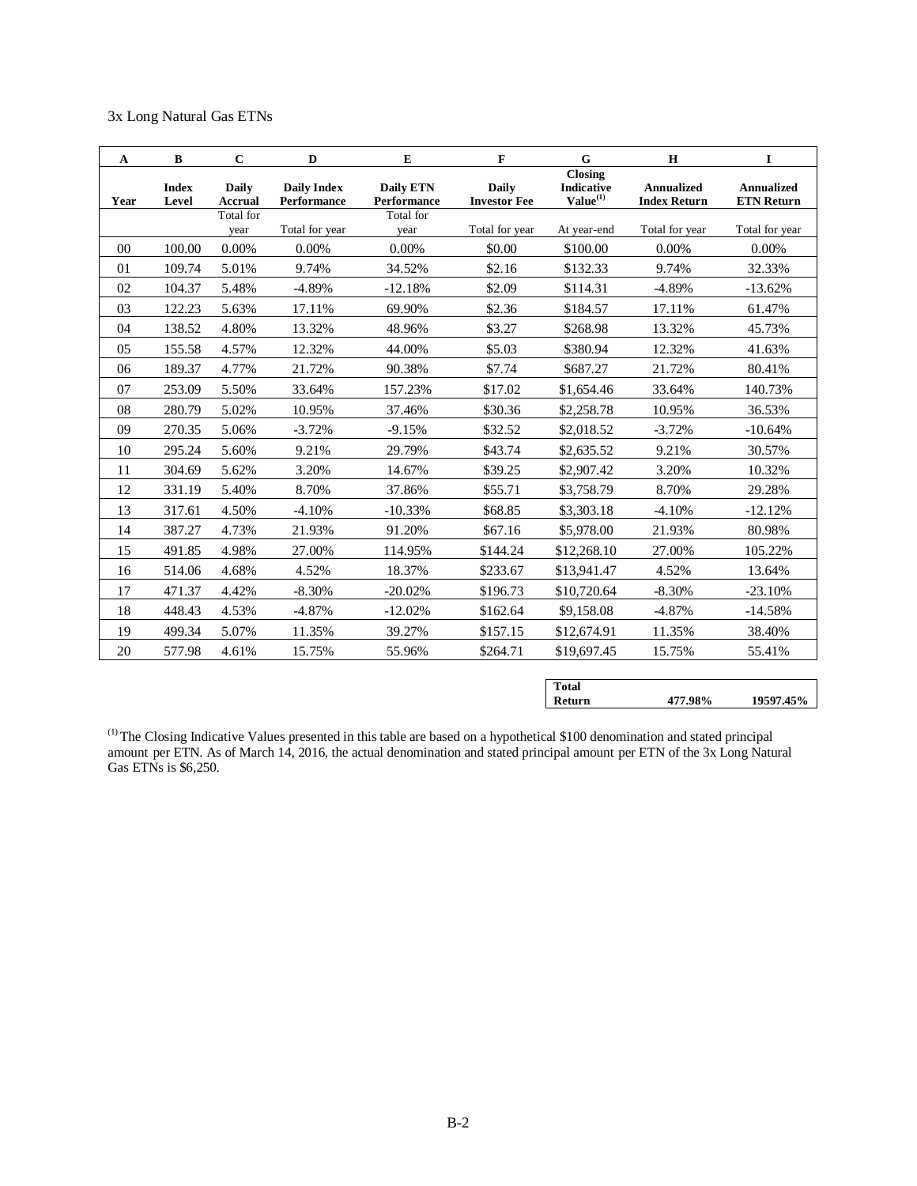# 3x Long Natural Gas ETNs

| A    | $\bf{B}$              | $\mathbf C$                    | D                                        | $\bf{E}$                               | $\mathbf F$                         | G                                                    | $\mathbf H$                              | I                                      |
|------|-----------------------|--------------------------------|------------------------------------------|----------------------------------------|-------------------------------------|------------------------------------------------------|------------------------------------------|----------------------------------------|
| Year | <b>Index</b><br>Level | <b>Daily</b><br><b>Accrual</b> | <b>Daily Index</b><br><b>Performance</b> | <b>Daily ETN</b><br><b>Performance</b> | <b>Daily</b><br><b>Investor Fee</b> | <b>Closing</b><br><b>Indicative</b><br>$Value^{(1)}$ | <b>Annualized</b><br><b>Index Return</b> | <b>Annualized</b><br><b>ETN Return</b> |
|      |                       | Total for<br>year              | Total for year                           | Total for<br>year                      | Total for year                      | At year-end                                          | Total for year                           | Total for year                         |
| 00   | 100.00                | 0.00%                          | $0.00\%$                                 | 0.00%                                  | \$0.00                              | \$100.00                                             | 0.00%                                    | 0.00%                                  |
| 01   | 109.74                | 5.01%                          | 9.74%                                    | 34.52%                                 | \$2.16                              | \$132.33                                             | 9.74%                                    | 32.33%                                 |
| 02   | 104.37                | 5.48%                          | -4.89%                                   | $-12.18%$                              | \$2.09                              | \$114.31                                             | $-4.89%$                                 | $-13.62%$                              |
| 03   | 122.23                | 5.63%                          | 17.11%                                   | 69.90%                                 | \$2.36                              | \$184.57                                             | 17.11%                                   | 61.47%                                 |
| 04   | 138.52                | 4.80%                          | 13.32%                                   | 48.96%                                 | \$3.27                              | \$268.98                                             | 13.32%                                   | 45.73%                                 |
| 05   | 155.58                | 4.57%                          | 12.32%                                   | 44.00%                                 | \$5.03                              | \$380.94                                             | 12.32%                                   | 41.63%                                 |
| 06   | 189.37                | 4.77%                          | 21.72%                                   | 90.38%                                 | \$7.74                              | \$687.27                                             | 21.72%                                   | 80.41%                                 |
| 07   | 253.09                | 5.50%                          | 33.64%                                   | 157.23%                                | \$17.02                             | \$1,654.46                                           | 33.64%                                   | 140.73%                                |
| 08   | 280.79                | 5.02%                          | 10.95%                                   | 37.46%                                 | \$30.36                             | \$2,258.78                                           | 10.95%                                   | 36.53%                                 |
| 09   | 270.35                | 5.06%                          | $-3.72%$                                 | $-9.15%$                               | \$32.52                             | \$2,018.52                                           | $-3.72%$                                 | $-10.64%$                              |
| 10   | 295.24                | 5.60%                          | 9.21%                                    | 29.79%                                 | \$43.74                             | \$2,635.52                                           | 9.21%                                    | 30.57%                                 |
| 11   | 304.69                | 5.62%                          | 3.20%                                    | 14.67%                                 | \$39.25                             | \$2,907.42                                           | 3.20%                                    | 10.32%                                 |
| 12   | 331.19                | 5.40%                          | 8.70%                                    | 37.86%                                 | \$55.71                             | \$3,758.79                                           | 8.70%                                    | 29.28%                                 |
| 13   | 317.61                | 4.50%                          | $-4.10%$                                 | $-10.33%$                              | \$68.85                             | \$3,303.18                                           | $-4.10%$                                 | $-12.12%$                              |
| 14   | 387.27                | 4.73%                          | 21.93%                                   | 91.20%                                 | \$67.16                             | \$5,978.00                                           | 21.93%                                   | 80.98%                                 |
| 15   | 491.85                | 4.98%                          | 27.00%                                   | 114.95%                                | \$144.24                            | \$12,268.10                                          | 27.00%                                   | 105.22%                                |
| 16   | 514.06                | 4.68%                          | 4.52%                                    | 18.37%                                 | \$233.67                            | \$13,941.47                                          | 4.52%                                    | 13.64%                                 |
| 17   | 471.37                | 4.42%                          | $-8.30%$                                 | $-20.02%$                              | \$196.73                            | \$10,720.64                                          | $-8.30%$                                 | $-23.10%$                              |
| 18   | 448.43                | 4.53%                          | $-4.87%$                                 | $-12.02%$                              | \$162.64                            | \$9,158.08                                           | $-4.87%$                                 | $-14.58%$                              |
| 19   | 499.34                | 5.07%                          | 11.35%                                   | 39.27%                                 | \$157.15                            | \$12,674.91                                          | 11.35%                                   | 38.40%                                 |
| 20   | 577.98                | 4.61%                          | 15.75%                                   | 55.96%                                 | \$264.71                            | \$19,697.45                                          | 15.75%                                   | 55.41%                                 |

| <b>Total</b>  |         |           |
|---------------|---------|-----------|
| <b>Return</b> | 477.98% | 19597.45% |
|               |         |           |

 $<sup>(1)</sup>$  The Closing Indicative Values presented in this table are based on a hypothetical \$100 denomination and stated principal</sup> amount per ETN. As of March 14, 2016, the actual denomination and stated principal amount per ETN of the 3x Long Natural Gas ETNs is \$6,250.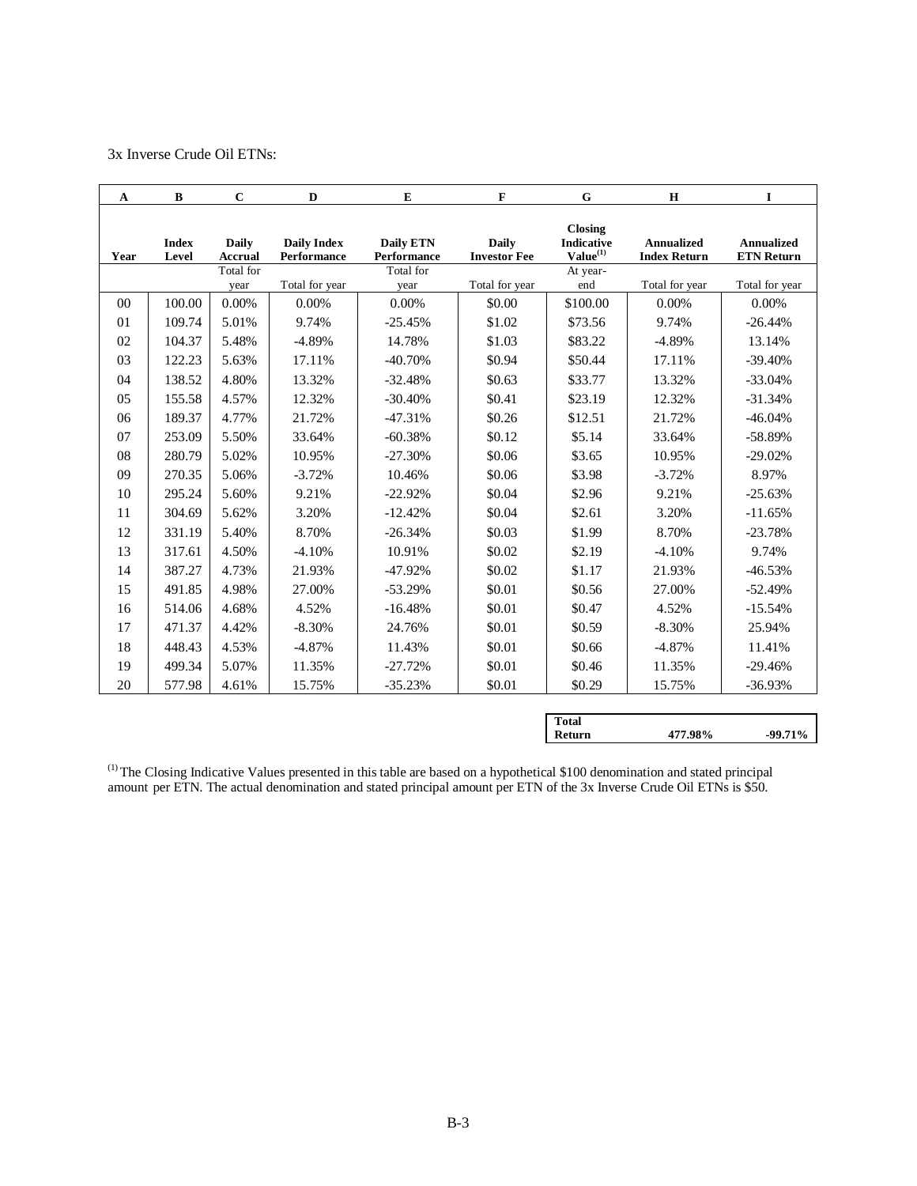### 3x Inverse Crude Oil ETNs:

| $\mathbf{A}$ | B                     | $\mathbf C$                    | D                                 | E                               | $\mathbf F$                         | G                                             | $\mathbf H$                              | $\mathbf I$                            |
|--------------|-----------------------|--------------------------------|-----------------------------------|---------------------------------|-------------------------------------|-----------------------------------------------|------------------------------------------|----------------------------------------|
| Year         | <b>Index</b><br>Level | <b>Daily</b><br><b>Accrual</b> | <b>Daily Index</b><br>Performance | Daily ETN<br><b>Performance</b> | <b>Daily</b><br><b>Investor Fee</b> | Closing<br><b>Indicative</b><br>$Value^{(1)}$ | <b>Annualized</b><br><b>Index Return</b> | <b>Annualized</b><br><b>ETN Return</b> |
|              |                       | Total for                      |                                   | Total for                       |                                     | At year-                                      |                                          |                                        |
|              |                       | year                           | Total for year                    | year                            | Total for year                      | end                                           | Total for year                           | Total for year                         |
| 00           | 100.00                | 0.00%                          | 0.00%                             | 0.00%                           | \$0.00                              | \$100.00                                      | 0.00%                                    | 0.00%                                  |
| 01           | 109.74                | 5.01%                          | 9.74%                             | $-25.45%$                       | \$1.02                              | \$73.56                                       | 9.74%                                    | $-26.44%$                              |
| 02           | 104.37                | 5.48%                          | $-4.89%$                          | 14.78%                          | \$1.03                              | \$83.22                                       | $-4.89%$                                 | 13.14%                                 |
| 03           | 122.23                | 5.63%                          | 17.11%                            | $-40.70%$                       | \$0.94                              | \$50.44                                       | 17.11%                                   | $-39.40%$                              |
| 04           | 138.52                | 4.80%                          | 13.32%                            | $-32.48%$                       | \$0.63                              | \$33.77                                       | 13.32%                                   | $-33.04%$                              |
| 05           | 155.58                | 4.57%                          | 12.32%                            | $-30.40%$                       | \$0.41                              | \$23.19                                       | 12.32%                                   | $-31.34%$                              |
| 06           | 189.37                | 4.77%                          | 21.72%                            | $-47.31%$                       | \$0.26                              | \$12.51                                       | 21.72%                                   | $-46.04%$                              |
| 07           | 253.09                | 5.50%                          | 33.64%                            | $-60.38%$                       | \$0.12                              | \$5.14                                        | 33.64%                                   | $-58.89%$                              |
| 08           | 280.79                | 5.02%                          | 10.95%                            | $-27.30%$                       | \$0.06                              | \$3.65                                        | 10.95%                                   | $-29.02%$                              |
| 09           | 270.35                | 5.06%                          | $-3.72%$                          | 10.46%                          | \$0.06                              | \$3.98                                        | $-3.72%$                                 | 8.97%                                  |
| 10           | 295.24                | 5.60%                          | 9.21%                             | $-22.92%$                       | \$0.04                              | \$2.96                                        | 9.21%                                    | $-25.63%$                              |
| 11           | 304.69                | 5.62%                          | 3.20%                             | $-12.42%$                       | \$0.04                              | \$2.61                                        | 3.20%                                    | $-11.65%$                              |
| 12           | 331.19                | 5.40%                          | 8.70%                             | $-26.34%$                       | \$0.03                              | \$1.99                                        | 8.70%                                    | $-23.78%$                              |
| 13           | 317.61                | 4.50%                          | $-4.10%$                          | 10.91%                          | \$0.02                              | \$2.19                                        | $-4.10%$                                 | 9.74%                                  |
| 14           | 387.27                | 4.73%                          | 21.93%                            | $-47.92%$                       | \$0.02                              | \$1.17                                        | 21.93%                                   | $-46.53%$                              |
| 15           | 491.85                | 4.98%                          | 27.00%                            | $-53.29%$                       | \$0.01                              | \$0.56                                        | 27.00%                                   | $-52.49%$                              |
| 16           | 514.06                | 4.68%                          | 4.52%                             | $-16.48%$                       | \$0.01                              | \$0.47                                        | 4.52%                                    | $-15.54%$                              |
| 17           | 471.37                | 4.42%                          | $-8.30%$                          | 24.76%                          | \$0.01                              | \$0.59                                        | $-8.30%$                                 | 25.94%                                 |
| 18           | 448.43                | 4.53%                          | $-4.87%$                          | 11.43%                          | \$0.01                              | \$0.66                                        | $-4.87%$                                 | 11.41%                                 |
| 19           | 499.34                | 5.07%                          | 11.35%                            | $-27.72%$                       | \$0.01                              | \$0.46                                        | 11.35%                                   | $-29.46%$                              |
| 20           | 577.98                | 4.61%                          | 15.75%                            | $-35.23%$                       | \$0.01                              | \$0.29                                        | 15.75%                                   | $-36.93%$                              |
|              |                       |                                |                                   |                                 |                                     |                                               |                                          |                                        |

| Return  | 477.98% | $-99.71\%$ |
|---------|---------|------------|
| l Total |         |            |

 $<sup>(1)</sup>$  The Closing Indicative Values presented in this table are based on a hypothetical \$100 denomination and stated principal</sup> amount per ETN. The actual denomination and stated principal amount per ETN of the 3x Inverse Crude Oil ETNs is \$50.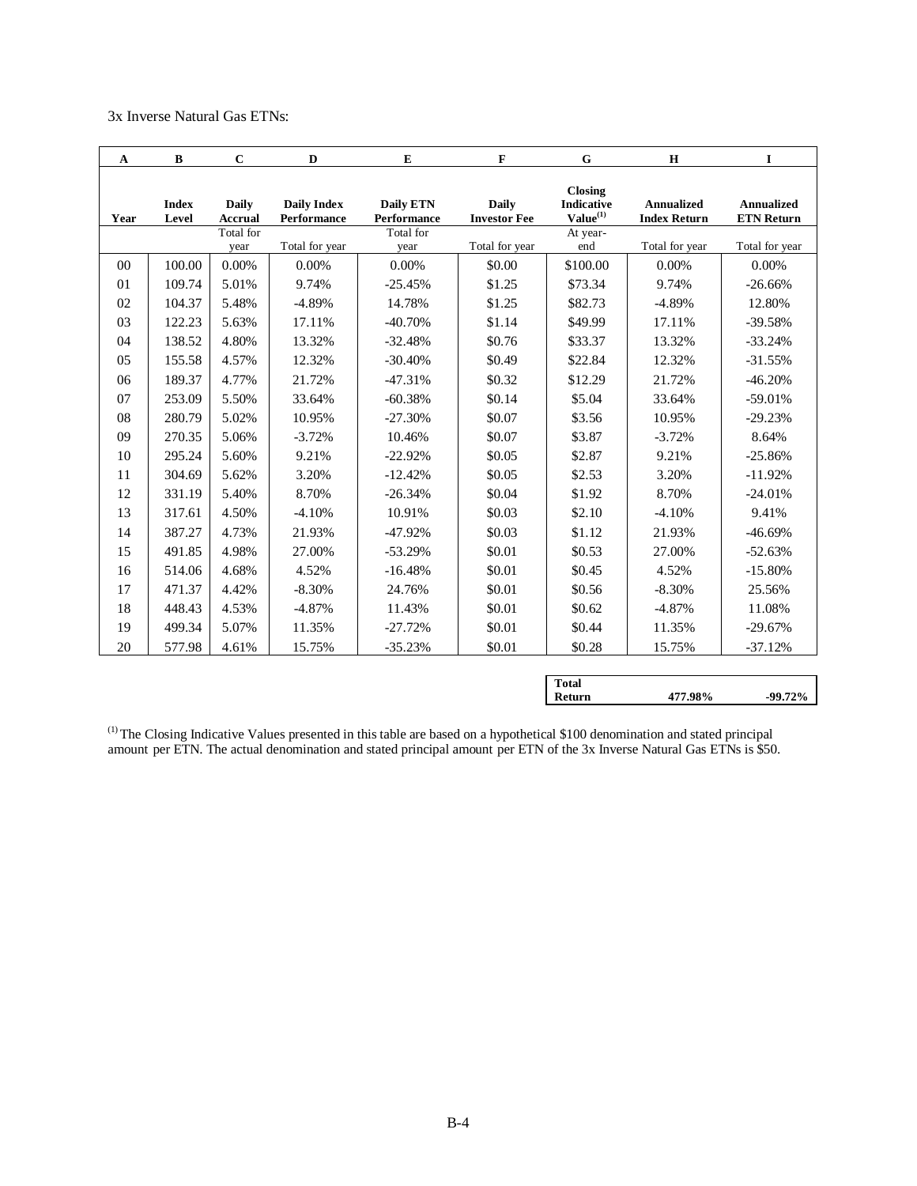3x Inverse Natural Gas ETNs:

|      |                       |                                             | D                                        | E                                                   | $\mathbf F$                         | G                                                                | $\mathbf H$                              | $\bf{I}$                               |
|------|-----------------------|---------------------------------------------|------------------------------------------|-----------------------------------------------------|-------------------------------------|------------------------------------------------------------------|------------------------------------------|----------------------------------------|
| Year | <b>Index</b><br>Level | <b>Daily</b><br><b>Accrual</b><br>Total for | <b>Daily Index</b><br><b>Performance</b> | <b>Daily ETN</b><br><b>Performance</b><br>Total for | <b>Daily</b><br><b>Investor Fee</b> | <b>Closing</b><br>Indicative<br>Value <sup>(1)</sup><br>At year- | <b>Annualized</b><br><b>Index Return</b> | <b>Annualized</b><br><b>ETN Return</b> |
|      |                       | year                                        | Total for year                           | year                                                | Total for year                      | end                                                              | Total for year                           | Total for year                         |
| 00   | 100.00                | 0.00%                                       | 0.00%                                    | 0.00%                                               | \$0.00                              | \$100.00                                                         | 0.00%                                    | $0.00\%$                               |
| 01   | 109.74                | 5.01%                                       | 9.74%                                    | $-25.45%$                                           | \$1.25                              | \$73.34                                                          | 9.74%                                    | $-26.66%$                              |
| 02   | 104.37                | 5.48%                                       | $-4.89%$                                 | 14.78%                                              | \$1.25                              | \$82.73                                                          | $-4.89%$                                 | 12.80%                                 |
| 03   | 122.23                | 5.63%                                       | 17.11%                                   | $-40.70%$                                           | \$1.14                              | \$49.99                                                          | 17.11%                                   | $-39.58%$                              |
| 04   | 138.52                | 4.80%                                       | 13.32%                                   | $-32.48%$                                           | \$0.76                              | \$33.37                                                          | 13.32%                                   | $-33.24%$                              |
| 05   | 155.58                | 4.57%                                       | 12.32%                                   | $-30.40%$                                           | \$0.49                              | \$22.84                                                          | 12.32%                                   | $-31.55%$                              |
| 06   | 189.37                | 4.77%                                       | 21.72%                                   | $-47.31%$                                           | \$0.32                              | \$12.29                                                          | 21.72%                                   | $-46.20%$                              |
| 07   | 253.09                | 5.50%                                       | 33.64%                                   | $-60.38%$                                           | \$0.14                              | \$5.04                                                           | 33.64%                                   | $-59.01%$                              |
| 08   | 280.79                | 5.02%                                       | 10.95%                                   | $-27.30%$                                           | \$0.07                              | \$3.56                                                           | 10.95%                                   | $-29.23%$                              |
| 09   | 270.35                | 5.06%                                       | $-3.72%$                                 | 10.46%                                              | \$0.07                              | \$3.87                                                           | $-3.72%$                                 | 8.64%                                  |
| 10   | 295.24                | 5.60%                                       | 9.21%                                    | $-22.92%$                                           | \$0.05                              | \$2.87                                                           | 9.21%                                    | $-25.86%$                              |
| 11   | 304.69                | 5.62%                                       | 3.20%                                    | $-12.42%$                                           | \$0.05                              | \$2.53                                                           | 3.20%                                    | $-11.92%$                              |
| 12   | 331.19                | 5.40%                                       | 8.70%                                    | $-26.34%$                                           | \$0.04                              | \$1.92                                                           | 8.70%                                    | $-24.01%$                              |
| 13   | 317.61                | 4.50%                                       | $-4.10%$                                 | 10.91%                                              | \$0.03                              | \$2.10                                                           | $-4.10%$                                 | 9.41%                                  |
| 14   | 387.27                | 4.73%                                       | 21.93%                                   | $-47.92%$                                           | \$0.03                              | \$1.12                                                           | 21.93%                                   | $-46.69%$                              |
| 15   | 491.85                | 4.98%                                       | 27.00%                                   | $-53.29%$                                           | \$0.01                              | \$0.53                                                           | 27.00%                                   | $-52.63%$                              |
| 16   | 514.06                | 4.68%                                       | 4.52%                                    | $-16.48%$                                           | \$0.01                              | \$0.45                                                           | 4.52%                                    | $-15.80%$                              |
| 17   | 471.37                | 4.42%                                       | $-8.30%$                                 | 24.76%                                              | \$0.01                              | \$0.56                                                           | $-8.30%$                                 | 25.56%                                 |
| 18   | 448.43                | 4.53%                                       | $-4.87%$                                 | 11.43%                                              | \$0.01                              | \$0.62                                                           | $-4.87%$                                 | 11.08%                                 |
| 19   | 499.34                | 5.07%                                       | 11.35%                                   | $-27.72%$                                           | \$0.01                              | \$0.44                                                           | 11.35%                                   | $-29.67%$                              |
| 20   | 577.98                | 4.61%                                       | 15.75%                                   | $-35.23%$                                           | \$0.01                              | \$0.28                                                           | 15.75%                                   | $-37.12%$                              |

| Total  |         |            |
|--------|---------|------------|
| Return | 477.98% | $-99.72\%$ |
|        |         |            |

 $<sup>(1)</sup>$  The Closing Indicative Values presented in this table are based on a hypothetical \$100 denomination and stated principal</sup> amount per ETN. The actual denomination and stated principal amount per ETN of the 3x Inverse Natural Gas ETNs is \$50.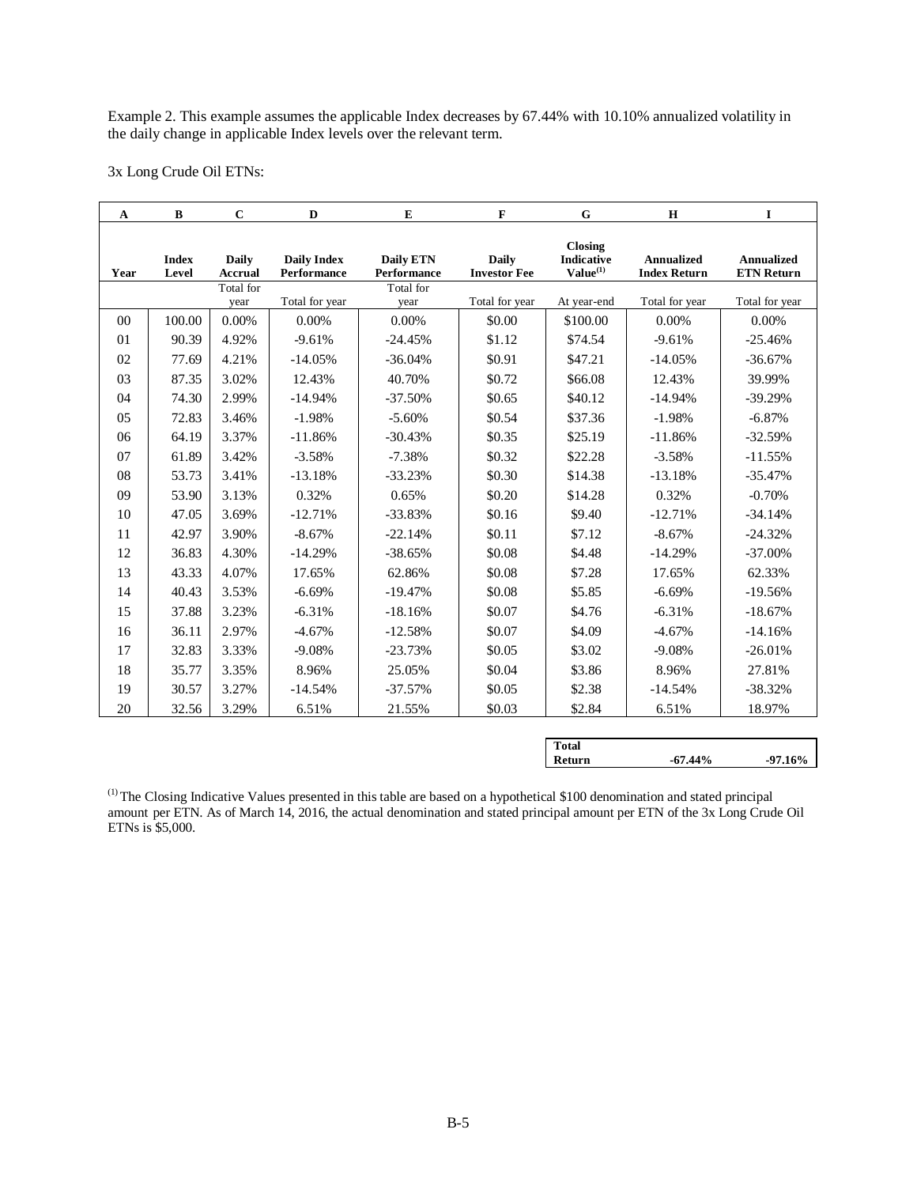Example 2. This example assumes the applicable Index decreases by 67.44% with 10.10% annualized volatility in the daily change in applicable Index levels over the relevant term.

3x Long Crude Oil ETNs:

| $\mathbf A$ | $\bf{B}$              | $\mathbf C$                    | D                                 | E                               | $\mathbf F$                  | G                                                           | $\mathbf H$                              | $\mathbf I$                            |
|-------------|-----------------------|--------------------------------|-----------------------------------|---------------------------------|------------------------------|-------------------------------------------------------------|------------------------------------------|----------------------------------------|
| Year        | <b>Index</b><br>Level | <b>Daily</b><br><b>Accrual</b> | <b>Daily Index</b><br>Performance | <b>Daily ETN</b><br>Performance | Daily<br><b>Investor Fee</b> | <b>Closing</b><br><b>Indicative</b><br>Value <sup>(1)</sup> | <b>Annualized</b><br><b>Index Return</b> | <b>Annualized</b><br><b>ETN Return</b> |
|             |                       | Total for<br>year              | Total for year                    | Total for<br>year               | Total for year               | At year-end                                                 | Total for year                           | Total for year                         |
| 00          | 100.00                | 0.00%                          | 0.00%                             | 0.00%                           | \$0.00                       | \$100.00                                                    | 0.00%                                    | 0.00%                                  |
| 01          | 90.39                 | 4.92%                          | $-9.61%$                          | $-24.45%$                       | \$1.12                       | \$74.54                                                     | $-9.61%$                                 | $-25.46%$                              |
| 02          | 77.69                 | 4.21%                          | $-14.05%$                         | $-36.04%$                       | \$0.91                       | \$47.21                                                     | $-14.05%$                                | $-36.67%$                              |
| 03          | 87.35                 | 3.02%                          | 12.43%                            | 40.70%                          | \$0.72                       | \$66.08                                                     | 12.43%                                   | 39.99%                                 |
| 04          | 74.30                 | 2.99%                          | $-14.94%$                         | $-37.50%$                       | \$0.65                       | \$40.12                                                     | $-14.94%$                                | $-39.29%$                              |
| 05          | 72.83                 | 3.46%                          | $-1.98%$                          | $-5.60%$                        | \$0.54                       | \$37.36                                                     | $-1.98%$                                 | $-6.87%$                               |
| 06          | 64.19                 | 3.37%                          | $-11.86%$                         | $-30.43%$                       | \$0.35                       | \$25.19                                                     | $-11.86%$                                | $-32.59%$                              |
| 07          | 61.89                 | 3.42%                          | $-3.58%$                          | $-7.38%$                        | \$0.32                       | \$22.28                                                     | $-3.58%$                                 | $-11.55%$                              |
| 08          | 53.73                 | 3.41%                          | $-13.18%$                         | $-33.23%$                       | \$0.30                       | \$14.38                                                     | $-13.18%$                                | $-35.47%$                              |
| 09          | 53.90                 | 3.13%                          | 0.32%                             | 0.65%                           | \$0.20                       | \$14.28                                                     | 0.32%                                    | $-0.70%$                               |
| 10          | 47.05                 | 3.69%                          | $-12.71%$                         | $-33.83%$                       | \$0.16                       | \$9.40                                                      | $-12.71%$                                | $-34.14%$                              |
| 11          | 42.97                 | 3.90%                          | $-8.67%$                          | $-22.14%$                       | \$0.11                       | \$7.12                                                      | $-8.67%$                                 | $-24.32%$                              |
| 12          | 36.83                 | 4.30%                          | $-14.29%$                         | $-38.65%$                       | \$0.08                       | \$4.48                                                      | $-14.29%$                                | $-37.00%$                              |
| 13          | 43.33                 | 4.07%                          | 17.65%                            | 62.86%                          | \$0.08                       | \$7.28                                                      | 17.65%                                   | 62.33%                                 |
| 14          | 40.43                 | 3.53%                          | $-6.69%$                          | $-19.47%$                       | \$0.08                       | \$5.85                                                      | $-6.69%$                                 | $-19.56%$                              |
| 15          | 37.88                 | 3.23%                          | $-6.31%$                          | $-18.16%$                       | \$0.07                       | \$4.76                                                      | $-6.31%$                                 | $-18.67%$                              |
| 16          | 36.11                 | 2.97%                          | $-4.67%$                          | $-12.58%$                       | \$0.07                       | \$4.09                                                      | $-4.67%$                                 | $-14.16%$                              |
| 17          | 32.83                 | 3.33%                          | $-9.08%$                          | $-23.73%$                       | \$0.05                       | \$3.02                                                      | $-9.08%$                                 | $-26.01%$                              |
| 18          | 35.77                 | 3.35%                          | 8.96%                             | 25.05%                          | \$0.04                       | \$3.86                                                      | 8.96%                                    | 27.81%                                 |
| 19          | 30.57                 | 3.27%                          | $-14.54%$                         | $-37.57%$                       | \$0.05                       | \$2.38                                                      | $-14.54%$                                | $-38.32%$                              |
| 20          | 32.56                 | 3.29%                          | 6.51%                             | 21.55%                          | \$0.03                       | \$2.84                                                      | 6.51%                                    | 18.97%                                 |
|             |                       |                                |                                   |                                 |                              | Total                                                       |                                          |                                        |

| -Total |           |           |
|--------|-----------|-----------|
| Return | $-67.44%$ | $-97.16%$ |

(1) The Closing Indicative Values presented in this table are based on a hypothetical \$100 denomination and stated principal amount per ETN. As of March 14, 2016, the actual denomination and stated principal amount per ETN of the 3x Long Crude Oil ETNs is \$5,000.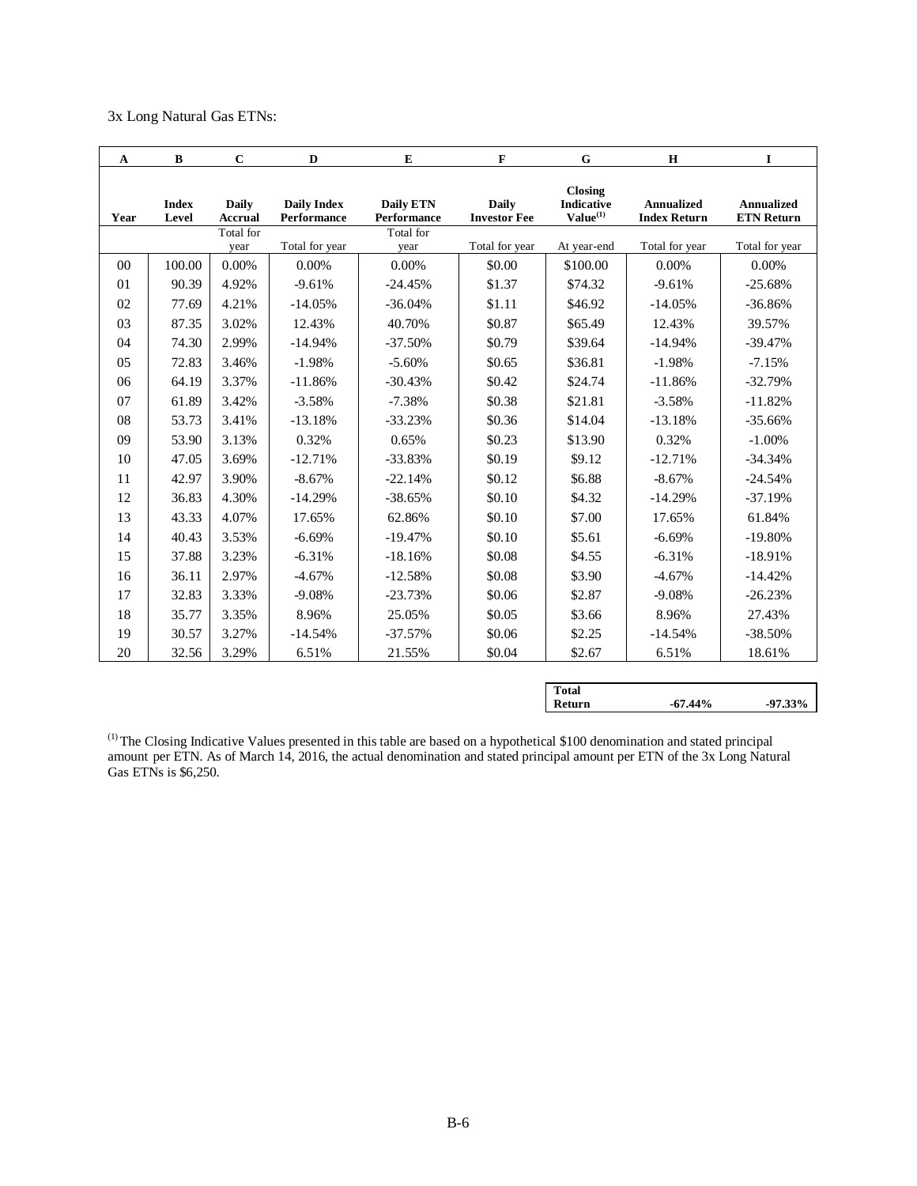# 3x Long Natural Gas ETNs:

| A    | B                     | $\mathbf C$                                 | D                                 | E                                            | $\mathbf F$                         | G                                                    | $\mathbf H$                              | 1                                      |
|------|-----------------------|---------------------------------------------|-----------------------------------|----------------------------------------------|-------------------------------------|------------------------------------------------------|------------------------------------------|----------------------------------------|
| Year | <b>Index</b><br>Level | <b>Daily</b><br><b>Accrual</b><br>Total for | <b>Daily Index</b><br>Performance | <b>Daily ETN</b><br>Performance<br>Total for | <b>Daily</b><br><b>Investor Fee</b> | <b>Closing</b><br><b>Indicative</b><br>$Value^{(1)}$ | <b>Annualized</b><br><b>Index Return</b> | <b>Annualized</b><br><b>ETN Return</b> |
|      |                       | year                                        | Total for year                    | year                                         | Total for year                      | At year-end                                          | Total for year                           | Total for year                         |
| 00   | 100.00                | 0.00%                                       | $0.00\%$                          | 0.00%                                        | \$0.00                              | \$100.00                                             | 0.00%                                    | $0.00\%$                               |
| 01   | 90.39                 | 4.92%                                       | $-9.61%$                          | $-24.45%$                                    | \$1.37                              | \$74.32                                              | $-9.61%$                                 | $-25.68%$                              |
| 02   | 77.69                 | 4.21%                                       | $-14.05%$                         | $-36.04%$                                    | \$1.11                              | \$46.92                                              | $-14.05%$                                | $-36.86%$                              |
| 03   | 87.35                 | 3.02%                                       | 12.43%                            | 40.70%                                       | \$0.87                              | \$65.49                                              | 12.43%                                   | 39.57%                                 |
| 04   | 74.30                 | 2.99%                                       | $-14.94%$                         | $-37.50%$                                    | \$0.79                              | \$39.64                                              | $-14.94%$                                | $-39.47%$                              |
| 05   | 72.83                 | 3.46%                                       | $-1.98%$                          | $-5.60%$                                     | \$0.65                              | \$36.81                                              | $-1.98%$                                 | $-7.15%$                               |
| 06   | 64.19                 | 3.37%                                       | $-11.86%$                         | $-30.43%$                                    | \$0.42                              | \$24.74                                              | $-11.86%$                                | $-32.79%$                              |
| 07   | 61.89                 | 3.42%                                       | $-3.58%$                          | $-7.38%$                                     | \$0.38                              | \$21.81                                              | $-3.58%$                                 | $-11.82%$                              |
| 08   | 53.73                 | 3.41%                                       | $-13.18%$                         | $-33.23%$                                    | \$0.36                              | \$14.04                                              | $-13.18%$                                | $-35.66%$                              |
| 09   | 53.90                 | 3.13%                                       | 0.32%                             | 0.65%                                        | \$0.23                              | \$13.90                                              | 0.32%                                    | $-1.00%$                               |
| 10   | 47.05                 | 3.69%                                       | $-12.71%$                         | $-33.83%$                                    | \$0.19                              | \$9.12                                               | $-12.71%$                                | $-34.34%$                              |
| 11   | 42.97                 | 3.90%                                       | $-8.67%$                          | $-22.14%$                                    | \$0.12                              | \$6.88                                               | $-8.67%$                                 | $-24.54%$                              |
| 12   | 36.83                 | 4.30%                                       | $-14.29%$                         | $-38.65%$                                    | \$0.10                              | \$4.32                                               | $-14.29%$                                | $-37.19%$                              |
| 13   | 43.33                 | 4.07%                                       | 17.65%                            | 62.86%                                       | \$0.10                              | \$7.00                                               | 17.65%                                   | 61.84%                                 |
| 14   | 40.43                 | 3.53%                                       | $-6.69%$                          | $-19.47%$                                    | \$0.10                              | \$5.61                                               | $-6.69%$                                 | $-19.80%$                              |
| 15   | 37.88                 | 3.23%                                       | $-6.31%$                          | $-18.16%$                                    | \$0.08                              | \$4.55                                               | $-6.31%$                                 | $-18.91%$                              |
| 16   | 36.11                 | 2.97%                                       | $-4.67%$                          | $-12.58%$                                    | \$0.08                              | \$3.90                                               | $-4.67%$                                 | $-14.42%$                              |
| 17   | 32.83                 | 3.33%                                       | $-9.08%$                          | $-23.73%$                                    | \$0.06                              | \$2.87                                               | $-9.08%$                                 | $-26.23%$                              |
| 18   | 35.77                 | 3.35%                                       | 8.96%                             | 25.05%                                       | \$0.05                              | \$3.66                                               | 8.96%                                    | 27.43%                                 |
| 19   | 30.57                 | 3.27%                                       | $-14.54%$                         | $-37.57%$                                    | \$0.06                              | \$2.25                                               | $-14.54%$                                | $-38.50%$                              |
| 20   | 32.56                 | 3.29%                                       | 6.51%                             | 21.55%                                       | \$0.04                              | \$2.67                                               | 6.51%                                    | 18.61%                                 |

| Return       | $-67.44%$ | $-97.33\%$ |
|--------------|-----------|------------|
| <b>Total</b> |           |            |

 $<sup>(1)</sup>$  The Closing Indicative Values presented in this table are based on a hypothetical \$100 denomination and stated principal</sup> amount per ETN. As of March 14, 2016, the actual denomination and stated principal amount per ETN of the 3x Long Natural Gas ETNs is \$6,250.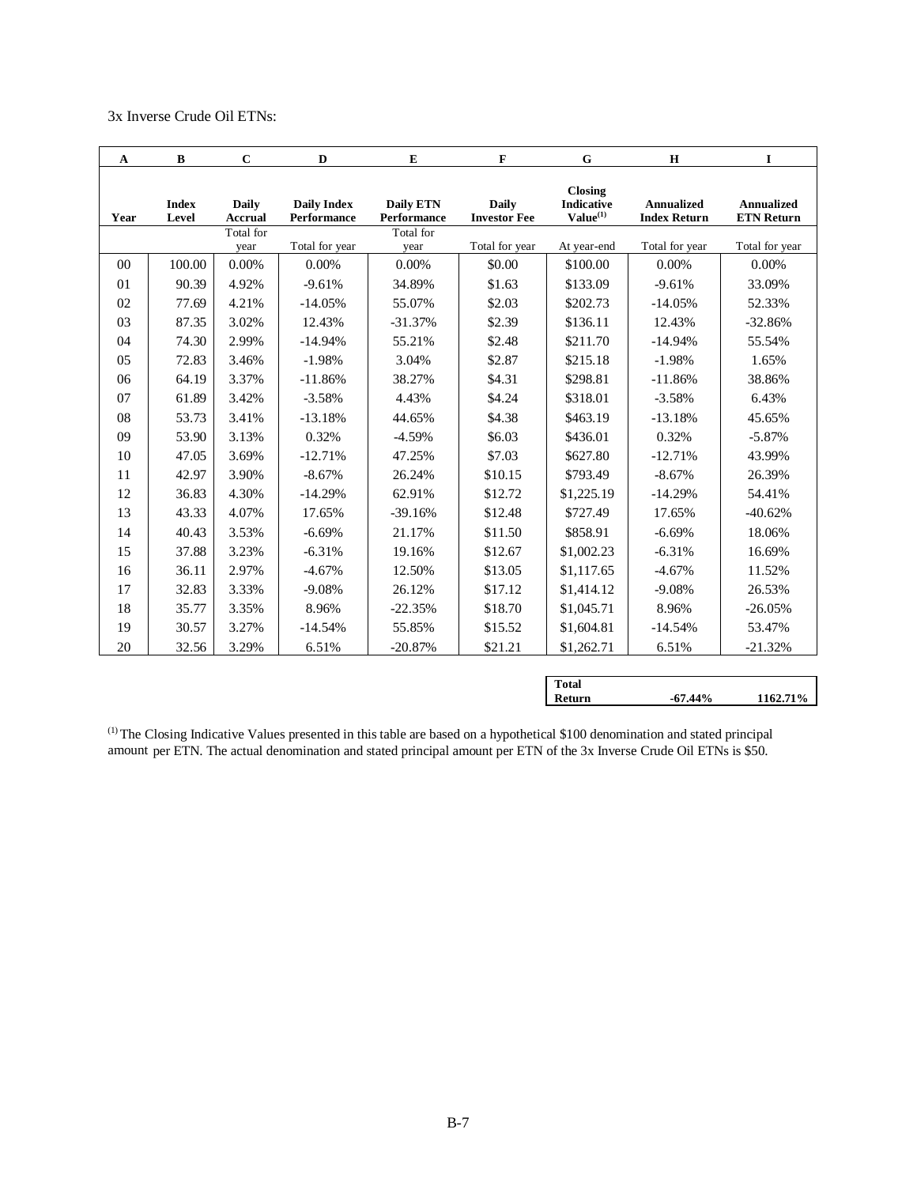# 3x Inverse Crude Oil ETNs:

| A              | B                     | $\mathbf C$                                 | D                                        | E                                                   | $\bf{F}$                            | G                                                           | Н                                        | 1                                      |
|----------------|-----------------------|---------------------------------------------|------------------------------------------|-----------------------------------------------------|-------------------------------------|-------------------------------------------------------------|------------------------------------------|----------------------------------------|
| Year           | <b>Index</b><br>Level | <b>Daily</b><br><b>Accrual</b><br>Total for | <b>Daily Index</b><br><b>Performance</b> | <b>Daily ETN</b><br><b>Performance</b><br>Total for | <b>Daily</b><br><b>Investor Fee</b> | <b>Closing</b><br><b>Indicative</b><br>Value <sup>(1)</sup> | <b>Annualized</b><br><b>Index Return</b> | <b>Annualized</b><br><b>ETN Return</b> |
|                |                       | year                                        | Total for year                           | year                                                | Total for year                      | At year-end                                                 | Total for year                           | Total for year                         |
| 0 <sub>0</sub> | 100.00                | 0.00%                                       | 0.00%                                    | 0.00%                                               | \$0.00                              | \$100.00                                                    | 0.00%                                    | 0.00%                                  |
| 01             | 90.39                 | 4.92%                                       | $-9.61%$                                 | 34.89%                                              | \$1.63                              | \$133.09                                                    | $-9.61%$                                 | 33.09%                                 |
| 02             | 77.69                 | 4.21%                                       | $-14.05%$                                | 55.07%                                              | \$2.03                              | \$202.73                                                    | $-14.05%$                                | 52.33%                                 |
| 03             | 87.35                 | 3.02%                                       | 12.43%                                   | $-31.37%$                                           | \$2.39                              | \$136.11                                                    | 12.43%                                   | $-32.86%$                              |
| 04             | 74.30                 | 2.99%                                       | $-14.94%$                                | 55.21%                                              | \$2.48                              | \$211.70                                                    | $-14.94%$                                | 55.54%                                 |
| 05             | 72.83                 | 3.46%                                       | $-1.98%$                                 | 3.04%                                               | \$2.87                              | \$215.18                                                    | $-1.98%$                                 | 1.65%                                  |
| 06             | 64.19                 | 3.37%                                       | $-11.86%$                                | 38.27%                                              | \$4.31                              | \$298.81                                                    | $-11.86%$                                | 38.86%                                 |
| 07             | 61.89                 | 3.42%                                       | $-3.58%$                                 | 4.43%                                               | \$4.24                              | \$318.01                                                    | $-3.58%$                                 | 6.43%                                  |
| 08             | 53.73                 | 3.41%                                       | $-13.18%$                                | 44.65%                                              | \$4.38                              | \$463.19                                                    | $-13.18%$                                | 45.65%                                 |
| 09             | 53.90                 | 3.13%                                       | 0.32%                                    | $-4.59%$                                            | \$6.03                              | \$436.01                                                    | 0.32%                                    | $-5.87%$                               |
| 10             | 47.05                 | 3.69%                                       | $-12.71%$                                | 47.25%                                              | \$7.03                              | \$627.80                                                    | $-12.71%$                                | 43.99%                                 |
| 11             | 42.97                 | 3.90%                                       | $-8.67%$                                 | 26.24%                                              | \$10.15                             | \$793.49                                                    | $-8.67%$                                 | 26.39%                                 |
| 12             | 36.83                 | 4.30%                                       | $-14.29%$                                | 62.91%                                              | \$12.72                             | \$1,225.19                                                  | $-14.29%$                                | 54.41%                                 |
| 13             | 43.33                 | 4.07%                                       | 17.65%                                   | $-39.16%$                                           | \$12.48                             | \$727.49                                                    | 17.65%                                   | $-40.62%$                              |
| 14             | 40.43                 | 3.53%                                       | $-6.69%$                                 | 21.17%                                              | \$11.50                             | \$858.91                                                    | $-6.69%$                                 | 18.06%                                 |
| 15             | 37.88                 | 3.23%                                       | $-6.31%$                                 | 19.16%                                              | \$12.67                             | \$1,002.23                                                  | $-6.31%$                                 | 16.69%                                 |
| 16             | 36.11                 | 2.97%                                       | $-4.67%$                                 | 12.50%                                              | \$13.05                             | \$1,117.65                                                  | $-4.67%$                                 | 11.52%                                 |
| 17             | 32.83                 | 3.33%                                       | $-9.08%$                                 | 26.12%                                              | \$17.12                             | \$1,414.12                                                  | $-9.08%$                                 | 26.53%                                 |
| 18             | 35.77                 | 3.35%                                       | 8.96%                                    | $-22.35%$                                           | \$18.70                             | \$1,045.71                                                  | 8.96%                                    | $-26.05%$                              |
| 19             | 30.57                 | 3.27%                                       | $-14.54%$                                | 55.85%                                              | \$15.52                             | \$1,604.81                                                  | $-14.54%$                                | 53.47%                                 |
| 20             | 32.56                 | 3.29%                                       | 6.51%                                    | $-20.87%$                                           | \$21.21                             | \$1,262.71                                                  | 6.51%                                    | $-21.32%$                              |

**Total Return -67.44% 1162.71%** 

 $<sup>(1)</sup>$  The Closing Indicative Values presented in this table are based on a hypothetical \$100 denomination and stated principal</sup> amount per ETN. The actual denomination and stated principal amount per ETN of the 3x Inverse Crude Oil ETNs is \$50.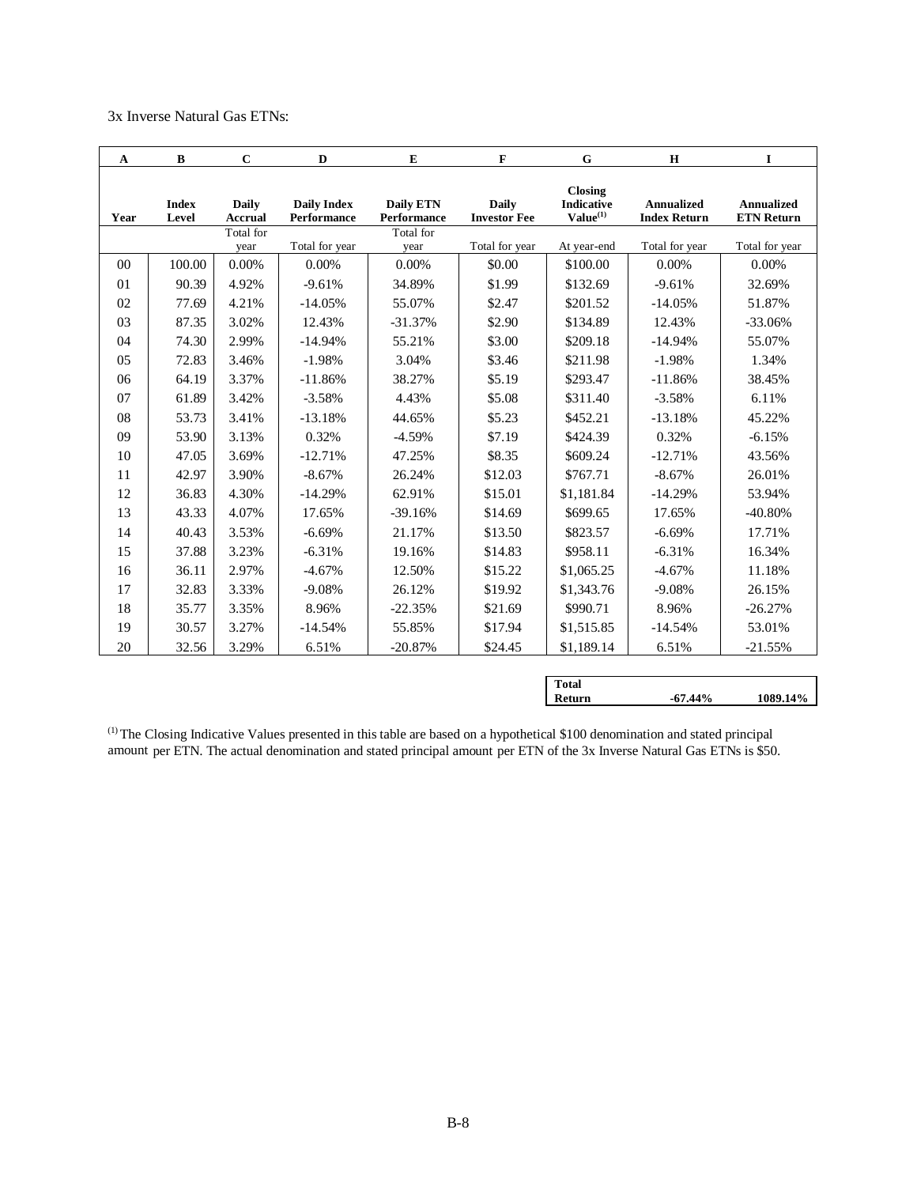3x Inverse Natural Gas ETNs:

| <b>Closing</b><br><b>Index</b><br><b>Annualized</b><br><b>Daily</b><br><b>Daily Index</b><br>Daily ETN<br><b>Daily</b><br><b>Indicative</b><br>$Value^{(1)}$<br><b>Accrual</b><br><b>Performance</b><br>Level<br>Performance<br><b>Investor Fee</b><br><b>Index Return</b><br>Year<br>Total for<br>Total for<br>Total for year<br>Total for year<br>Total for year<br>At year-end<br>year<br>year<br>0 <sub>0</sub><br>100.00<br>0.00%<br>$0.00\%$<br>0.00%<br>\$0.00<br>0.00%<br>\$100.00<br>01<br>90.39<br>4.92%<br>34.89%<br>\$1.99<br>\$132.69<br>$-9.61%$<br>$-9.61%$<br>02<br>77.69<br>55.07%<br>\$2.47<br>\$201.52<br>4.21%<br>$-14.05%$<br>$-14.05%$<br>03<br>87.35<br>\$134.89<br>3.02%<br>12.43%<br>$-31.37%$<br>\$2.90<br>12.43%<br>04<br>74.30<br>55.21%<br>\$3.00<br>\$209.18<br>$-14.94%$<br>2.99%<br>$-14.94%$<br>05<br>72.83<br>3.04%<br>\$3.46<br>3.46%<br>$-1.98%$<br>\$211.98<br>$-1.98%$<br>06<br>64.19<br>3.37%<br>38.27%<br>\$5.19<br>\$293.47<br>$-11.86%$<br>$-11.86%$<br>07<br>61.89<br>4.43%<br>\$5.08<br>\$311.40<br>3.42%<br>$-3.58%$<br>$-3.58%$<br>08<br>53.73<br>3.41%<br>$-13.18%$<br>44.65%<br>\$5.23<br>\$452.21<br>$-13.18%$<br>09<br>53.90<br>0.32%<br>\$7.19<br>\$424.39<br>0.32%<br>3.13%<br>$-4.59%$ | <b>Annualized</b> |
|---------------------------------------------------------------------------------------------------------------------------------------------------------------------------------------------------------------------------------------------------------------------------------------------------------------------------------------------------------------------------------------------------------------------------------------------------------------------------------------------------------------------------------------------------------------------------------------------------------------------------------------------------------------------------------------------------------------------------------------------------------------------------------------------------------------------------------------------------------------------------------------------------------------------------------------------------------------------------------------------------------------------------------------------------------------------------------------------------------------------------------------------------------------------------------------------------------------------------------------------|-------------------|
|                                                                                                                                                                                                                                                                                                                                                                                                                                                                                                                                                                                                                                                                                                                                                                                                                                                                                                                                                                                                                                                                                                                                                                                                                                             | <b>ETN Return</b> |
|                                                                                                                                                                                                                                                                                                                                                                                                                                                                                                                                                                                                                                                                                                                                                                                                                                                                                                                                                                                                                                                                                                                                                                                                                                             | Total for year    |
|                                                                                                                                                                                                                                                                                                                                                                                                                                                                                                                                                                                                                                                                                                                                                                                                                                                                                                                                                                                                                                                                                                                                                                                                                                             | $0.00\%$          |
|                                                                                                                                                                                                                                                                                                                                                                                                                                                                                                                                                                                                                                                                                                                                                                                                                                                                                                                                                                                                                                                                                                                                                                                                                                             | 32.69%            |
|                                                                                                                                                                                                                                                                                                                                                                                                                                                                                                                                                                                                                                                                                                                                                                                                                                                                                                                                                                                                                                                                                                                                                                                                                                             | 51.87%            |
|                                                                                                                                                                                                                                                                                                                                                                                                                                                                                                                                                                                                                                                                                                                                                                                                                                                                                                                                                                                                                                                                                                                                                                                                                                             | $-33.06%$         |
|                                                                                                                                                                                                                                                                                                                                                                                                                                                                                                                                                                                                                                                                                                                                                                                                                                                                                                                                                                                                                                                                                                                                                                                                                                             | 55.07%            |
|                                                                                                                                                                                                                                                                                                                                                                                                                                                                                                                                                                                                                                                                                                                                                                                                                                                                                                                                                                                                                                                                                                                                                                                                                                             | 1.34%             |
|                                                                                                                                                                                                                                                                                                                                                                                                                                                                                                                                                                                                                                                                                                                                                                                                                                                                                                                                                                                                                                                                                                                                                                                                                                             | 38.45%            |
|                                                                                                                                                                                                                                                                                                                                                                                                                                                                                                                                                                                                                                                                                                                                                                                                                                                                                                                                                                                                                                                                                                                                                                                                                                             | 6.11%             |
|                                                                                                                                                                                                                                                                                                                                                                                                                                                                                                                                                                                                                                                                                                                                                                                                                                                                                                                                                                                                                                                                                                                                                                                                                                             | 45.22%            |
|                                                                                                                                                                                                                                                                                                                                                                                                                                                                                                                                                                                                                                                                                                                                                                                                                                                                                                                                                                                                                                                                                                                                                                                                                                             | $-6.15%$          |
| \$8.35<br>10<br>47.05<br>3.69%<br>$-12.71%$<br>47.25%<br>\$609.24<br>$-12.71%$                                                                                                                                                                                                                                                                                                                                                                                                                                                                                                                                                                                                                                                                                                                                                                                                                                                                                                                                                                                                                                                                                                                                                              | 43.56%            |
| 11<br>42.97<br>$-8.67%$<br>26.24%<br>\$12.03<br>\$767.71<br>3.90%<br>$-8.67\%$                                                                                                                                                                                                                                                                                                                                                                                                                                                                                                                                                                                                                                                                                                                                                                                                                                                                                                                                                                                                                                                                                                                                                              | 26.01%            |
| 12<br>36.83<br>\$15.01<br>4.30%<br>$-14.29%$<br>62.91%<br>\$1,181.84<br>$-14.29%$                                                                                                                                                                                                                                                                                                                                                                                                                                                                                                                                                                                                                                                                                                                                                                                                                                                                                                                                                                                                                                                                                                                                                           | 53.94%            |
| 13<br>43.33<br>4.07%<br>17.65%<br>$-39.16%$<br>\$14.69<br>\$699.65<br>17.65%                                                                                                                                                                                                                                                                                                                                                                                                                                                                                                                                                                                                                                                                                                                                                                                                                                                                                                                                                                                                                                                                                                                                                                | $-40.80%$         |
| 14<br>\$13.50<br>40.43<br>3.53%<br>$-6.69%$<br>21.17%<br>\$823.57<br>$-6.69%$                                                                                                                                                                                                                                                                                                                                                                                                                                                                                                                                                                                                                                                                                                                                                                                                                                                                                                                                                                                                                                                                                                                                                               | 17.71%            |
| 15<br>37.88<br>3.23%<br>19.16%<br>\$14.83<br>\$958.11<br>$-6.31%$<br>$-6.31%$                                                                                                                                                                                                                                                                                                                                                                                                                                                                                                                                                                                                                                                                                                                                                                                                                                                                                                                                                                                                                                                                                                                                                               | 16.34%            |
| 16<br>\$15.22<br>36.11<br>2.97%<br>$-4.67%$<br>12.50%<br>\$1,065.25<br>$-4.67%$                                                                                                                                                                                                                                                                                                                                                                                                                                                                                                                                                                                                                                                                                                                                                                                                                                                                                                                                                                                                                                                                                                                                                             | 11.18%            |
| 17<br>32.83<br>26.12%<br>\$19.92<br>3.33%<br>$-9.08%$<br>\$1,343.76<br>$-9.08%$                                                                                                                                                                                                                                                                                                                                                                                                                                                                                                                                                                                                                                                                                                                                                                                                                                                                                                                                                                                                                                                                                                                                                             | 26.15%            |
| 18<br>35.77<br>3.35%<br>8.96%<br>$-22.35%$<br>\$21.69<br>\$990.71<br>8.96%                                                                                                                                                                                                                                                                                                                                                                                                                                                                                                                                                                                                                                                                                                                                                                                                                                                                                                                                                                                                                                                                                                                                                                  | $-26.27%$         |
| 19<br>30.57<br>3.27%<br>55.85%<br>\$17.94<br>\$1,515.85<br>$-14.54%$<br>$-14.54%$                                                                                                                                                                                                                                                                                                                                                                                                                                                                                                                                                                                                                                                                                                                                                                                                                                                                                                                                                                                                                                                                                                                                                           | 53.01%            |
| 20<br>32.56<br>3.29%<br>6.51%<br>$-20.87%$<br>\$1,189.14<br>6.51%<br>\$24.45                                                                                                                                                                                                                                                                                                                                                                                                                                                                                                                                                                                                                                                                                                                                                                                                                                                                                                                                                                                                                                                                                                                                                                | $-21.55%$         |

| <b>Total</b>  |            |          |
|---------------|------------|----------|
| <b>Return</b> | $-67.44\%$ | 1089.14% |
|               |            |          |

 $<sup>(1)</sup>$  The Closing Indicative Values presented in this table are based on a hypothetical \$100 denomination and stated principal</sup> amount per ETN. The actual denomination and stated principal amount per ETN of the 3x Inverse Natural Gas ETNs is \$50.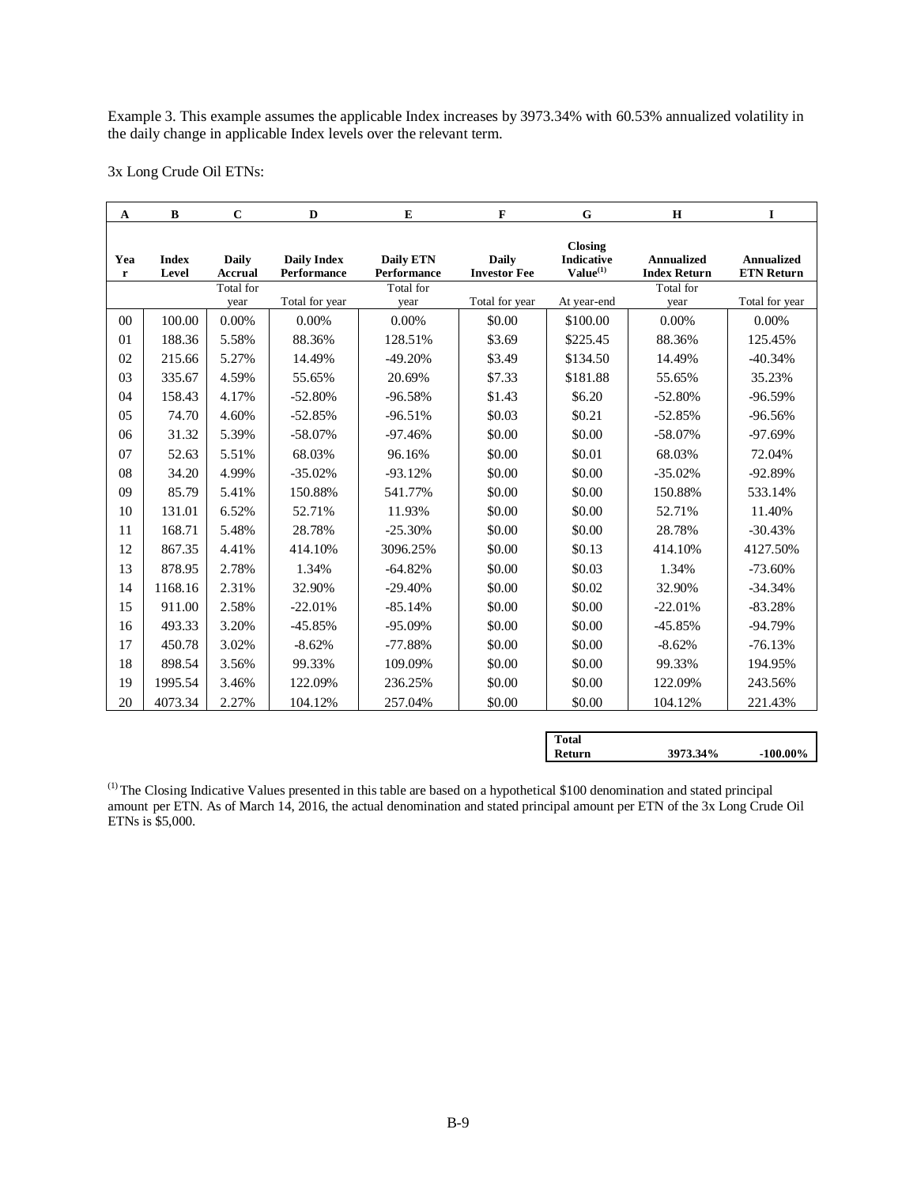Example 3. This example assumes the applicable Index increases by 3973.34% with 60.53% annualized volatility in the daily change in applicable Index levels over the relevant term.

3x Long Crude Oil ETNs:

| A        | $\bf{B}$              | $\mathbf C$                    | D                                 | E                               | F                                   | G                                                    | H                                        | L                                      |
|----------|-----------------------|--------------------------------|-----------------------------------|---------------------------------|-------------------------------------|------------------------------------------------------|------------------------------------------|----------------------------------------|
| Yea<br>r | <b>Index</b><br>Level | <b>Daily</b><br><b>Accrual</b> | <b>Daily Index</b><br>Performance | Daily ETN<br><b>Performance</b> | <b>Daily</b><br><b>Investor Fee</b> | <b>Closing</b><br><b>Indicative</b><br>$Value^{(1)}$ | <b>Annualized</b><br><b>Index Return</b> | <b>Annualized</b><br><b>ETN Return</b> |
|          |                       | Total for                      | Total for year                    | Total for                       | Total for year                      |                                                      | Total for                                |                                        |
| 00       | 100.00                | year<br>0.00%                  | 0.00%                             | year<br>0.00%                   | \$0.00                              | At year-end<br>\$100.00                              | year<br>0.00%                            | Total for year<br>0.00%                |
|          |                       |                                |                                   |                                 |                                     |                                                      |                                          |                                        |
| 01       | 188.36                | 5.58%                          | 88.36%                            | 128.51%                         | \$3.69                              | \$225.45                                             | 88.36%                                   | 125.45%                                |
| 02       | 215.66                | 5.27%                          | 14.49%                            | $-49.20%$                       | \$3.49                              | \$134.50                                             | 14.49%                                   | $-40.34%$                              |
| 03       | 335.67                | 4.59%                          | 55.65%                            | 20.69%                          | \$7.33                              | \$181.88                                             | 55.65%                                   | 35.23%                                 |
| 04       | 158.43                | 4.17%                          | $-52.80%$                         | $-96.58%$                       | \$1.43                              | \$6.20                                               | $-52.80%$                                | $-96.59%$                              |
| 05       | 74.70                 | 4.60%                          | $-52.85%$                         | $-96.51%$                       | \$0.03                              | \$0.21                                               | $-52.85%$                                | $-96.56%$                              |
| 06       | 31.32                 | 5.39%                          | $-58.07\%$                        | $-97.46%$                       | \$0.00                              | \$0.00                                               | $-58.07%$                                | $-97.69%$                              |
| 07       | 52.63                 | 5.51%                          | 68.03%                            | 96.16%                          | \$0.00                              | \$0.01                                               | 68.03%                                   | 72.04%                                 |
| 08       | 34.20                 | 4.99%                          | $-35.02%$                         | $-93.12%$                       | \$0.00                              | \$0.00                                               | $-35.02%$                                | $-92.89%$                              |
| 09       | 85.79                 | 5.41%                          | 150.88%                           | 541.77%                         | \$0.00                              | \$0.00                                               | 150.88%                                  | 533.14%                                |
| 10       | 131.01                | 6.52%                          | 52.71%                            | 11.93%                          | \$0.00                              | \$0.00                                               | 52.71%                                   | 11.40%                                 |
| 11       | 168.71                | 5.48%                          | 28.78%                            | $-25.30%$                       | \$0.00                              | \$0.00                                               | 28.78%                                   | $-30.43%$                              |
| 12       | 867.35                | 4.41%                          | 414.10%                           | 3096.25%                        | \$0.00                              | \$0.13                                               | 414.10%                                  | 4127.50%                               |
| 13       | 878.95                | 2.78%                          | 1.34%                             | $-64.82%$                       | \$0.00                              | \$0.03                                               | 1.34%                                    | $-73.60%$                              |
| 14       | 1168.16               | 2.31%                          | 32.90%                            | $-29.40%$                       | \$0.00                              | \$0.02                                               | 32.90%                                   | $-34.34%$                              |
| 15       | 911.00                | 2.58%                          | $-22.01%$                         | $-85.14%$                       | \$0.00                              | \$0.00                                               | $-22.01%$                                | $-83.28%$                              |
| 16       | 493.33                | 3.20%                          | $-45.85%$                         | -95.09%                         | \$0.00                              | \$0.00                                               | $-45.85%$                                | $-94.79%$                              |
| 17       | 450.78                | 3.02%                          | $-8.62%$                          | $-77.88%$                       | \$0.00                              | \$0.00                                               | $-8.62%$                                 | $-76.13%$                              |
| 18       | 898.54                | 3.56%                          | 99.33%                            | 109.09%                         | \$0.00                              | \$0.00                                               | 99.33%                                   | 194.95%                                |
| 19       | 1995.54               | 3.46%                          | 122.09%                           | 236.25%                         | \$0.00                              | \$0.00                                               | 122.09%                                  | 243.56%                                |
|          |                       |                                |                                   |                                 |                                     |                                                      |                                          |                                        |
| 20       | 4073.34               | 2.27%                          | 104.12%                           | 257.04%                         | \$0.00                              | \$0.00                                               | 104.12%                                  | 221.43%                                |

| <b>Total</b> |          |             |
|--------------|----------|-------------|
| Return       | 3973.34% | $-100.00\%$ |

 $<sup>(1)</sup>$  The Closing Indicative Values presented in this table are based on a hypothetical \$100 denomination and stated principal</sup> amount per ETN. As of March 14, 2016, the actual denomination and stated principal amount per ETN of the 3x Long Crude Oil ETNs is \$5,000.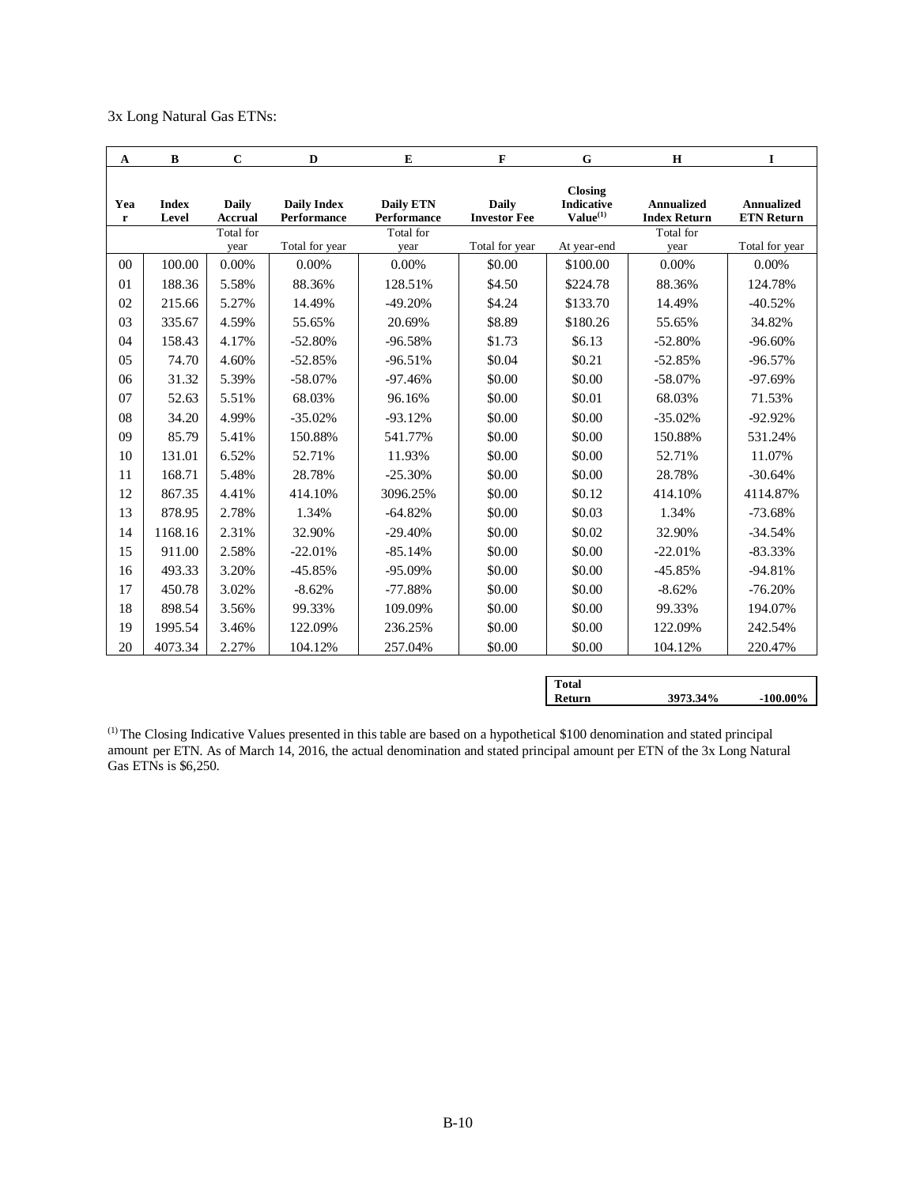# 3x Long Natural Gas ETNs:

| A        | $\bf{B}$              | $\mathbf C$                    | D                                 | ${\bf E}$                | $\mathbf F$                         | G                                                      | $\mathbf H$                              | 1                                      |
|----------|-----------------------|--------------------------------|-----------------------------------|--------------------------|-------------------------------------|--------------------------------------------------------|------------------------------------------|----------------------------------------|
| Yea<br>r | <b>Index</b><br>Level | <b>Daily</b><br><b>Accrual</b> | <b>Daily Index</b><br>Performance | Daily ETN<br>Performance | <b>Daily</b><br><b>Investor Fee</b> | <b>Closing</b><br>Indicative<br>$\mathbf{Value}^{(1)}$ | <b>Annualized</b><br><b>Index Return</b> | <b>Annualized</b><br><b>ETN Return</b> |
|          |                       | Total for<br>year              | Total for year                    | Total for<br>year        | Total for year                      | At year-end                                            | Total for<br>year                        | Total for year                         |
| 00       | 100.00                | 0.00%                          | $0.00\%$                          | 0.00%                    | \$0.00                              | \$100.00                                               | 0.00%                                    | 0.00%                                  |
| 01       | 188.36                | 5.58%                          | 88.36%                            | 128.51%                  | \$4.50                              | \$224.78                                               | 88.36%                                   | 124.78%                                |
| 02       | 215.66                | 5.27%                          | 14.49%                            | $-49.20%$                | \$4.24                              | \$133.70                                               | 14.49%                                   | $-40.52%$                              |
| 03       | 335.67                | 4.59%                          | 55.65%                            | 20.69%                   | \$8.89                              | \$180.26                                               | 55.65%                                   | 34.82%                                 |
| 04       | 158.43                | 4.17%                          | $-52.80%$                         | $-96.58%$                | \$1.73                              | \$6.13                                                 | $-52.80%$                                | $-96.60%$                              |
| 05       | 74.70                 | 4.60%                          | $-52.85%$                         | $-96.51%$                | \$0.04                              | \$0.21                                                 | $-52.85%$                                | $-96.57%$                              |
| 06       | 31.32                 | 5.39%                          | $-58.07\%$                        | $-97.46%$                | \$0.00                              | \$0.00                                                 | $-58.07\%$                               | $-97.69%$                              |
| 07       | 52.63                 | 5.51%                          | 68.03%                            | 96.16%                   | \$0.00                              | \$0.01                                                 | 68.03%                                   | 71.53%                                 |
| 08       | 34.20                 | 4.99%                          | $-35.02%$                         | $-93.12%$                | \$0.00                              | \$0.00                                                 | $-35.02%$                                | $-92.92%$                              |
| 09       | 85.79                 | 5.41%                          | 150.88%                           | 541.77%                  | \$0.00                              | \$0.00                                                 | 150.88%                                  | 531.24%                                |
| 10       | 131.01                | 6.52%                          | 52.71%                            | 11.93%                   | \$0.00                              | \$0.00                                                 | 52.71%                                   | 11.07%                                 |
| 11       | 168.71                | 5.48%                          | 28.78%                            | $-25.30%$                | \$0.00                              | \$0.00                                                 | 28.78%                                   | $-30.64%$                              |
| 12       | 867.35                | 4.41%                          | 414.10%                           | 3096.25%                 | \$0.00                              | \$0.12                                                 | 414.10%                                  | 4114.87%                               |
| 13       | 878.95                | 2.78%                          | 1.34%                             | $-64.82%$                | \$0.00                              | \$0.03                                                 | 1.34%                                    | $-73.68%$                              |
| 14       | 1168.16               | 2.31%                          | 32.90%                            | $-29.40%$                | \$0.00                              | \$0.02                                                 | 32.90%                                   | $-34.54%$                              |
| 15       | 911.00                | 2.58%                          | $-22.01%$                         | $-85.14%$                | \$0.00                              | \$0.00                                                 | $-22.01%$                                | $-83.33%$                              |
| 16       | 493.33                | 3.20%                          | $-45.85%$                         | $-95.09%$                | \$0.00                              | \$0.00                                                 | $-45.85%$                                | $-94.81%$                              |
| 17       | 450.78                | 3.02%                          | $-8.62%$                          | $-77.88%$                | \$0.00                              | \$0.00                                                 | $-8.62%$                                 | $-76.20%$                              |
| 18       | 898.54                | 3.56%                          | 99.33%                            | 109.09%                  | \$0.00                              | \$0.00                                                 | 99.33%                                   | 194.07%                                |
| 19       | 1995.54               | 3.46%                          | 122.09%                           | 236.25%                  | \$0.00                              | \$0.00                                                 | 122.09%                                  | 242.54%                                |
| 20       | 4073.34               | 2.27%                          | 104.12%                           | 257.04%                  | \$0.00                              | \$0.00                                                 | 104.12%                                  | 220.47%                                |

| Total  |          |             |
|--------|----------|-------------|
| Return | 3973.34% | $-100.00\%$ |

 $<sup>(1)</sup>$  The Closing Indicative Values presented in this table are based on a hypothetical \$100 denomination and stated principal</sup> amount per ETN. As of March 14, 2016, the actual denomination and stated principal amount per ETN of the 3x Long Natural Gas ETNs is \$6,250.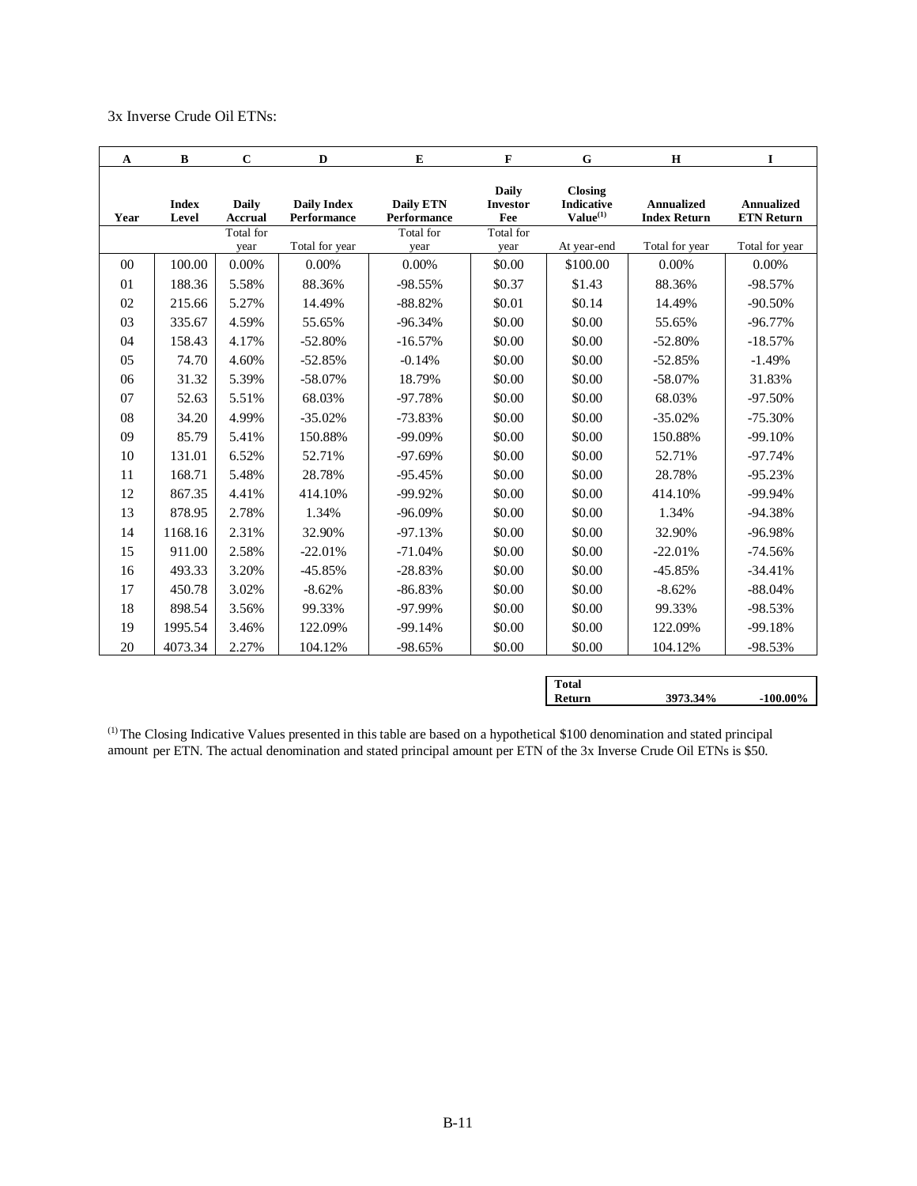# 3x Inverse Crude Oil ETNs:

| A              | B                     | $\mathbf C$                   | D                                 | ${\bf E}$                                           | F                                                   | G                                                           | $\mathbf H$                              | L                                      |
|----------------|-----------------------|-------------------------------|-----------------------------------|-----------------------------------------------------|-----------------------------------------------------|-------------------------------------------------------------|------------------------------------------|----------------------------------------|
| Year           | <b>Index</b><br>Level | Daily<br>Accrual<br>Total for | <b>Daily Index</b><br>Performance | <b>Daily ETN</b><br><b>Performance</b><br>Total for | <b>Daily</b><br><b>Investor</b><br>Fee<br>Total for | <b>Closing</b><br><b>Indicative</b><br>Value <sup>(1)</sup> | <b>Annualized</b><br><b>Index Return</b> | <b>Annualized</b><br><b>ETN Return</b> |
|                |                       | year                          | Total for year                    | year                                                | year                                                | At year-end                                                 | Total for year                           | Total for year                         |
| 0 <sub>0</sub> | 100.00                | 0.00%                         | 0.00%                             | 0.00%                                               | \$0.00                                              | \$100.00                                                    | 0.00%                                    | $0.00\%$                               |
| 01             | 188.36                | 5.58%                         | 88.36%                            | $-98.55%$                                           | \$0.37                                              | \$1.43                                                      | 88.36%                                   | $-98.57%$                              |
| 02             | 215.66                | 5.27%                         | 14.49%                            | $-88.82%$                                           | \$0.01                                              | \$0.14                                                      | 14.49%                                   | $-90.50%$                              |
| 03             | 335.67                | 4.59%                         | 55.65%                            | $-96.34%$                                           | \$0.00                                              | \$0.00                                                      | 55.65%                                   | $-96.77%$                              |
| 04             | 158.43                | 4.17%                         | $-52.80%$                         | $-16.57%$                                           | \$0.00                                              | \$0.00                                                      | $-52.80%$                                | $-18.57%$                              |
| 05             | 74.70                 | 4.60%                         | $-52.85%$                         | $-0.14%$                                            | \$0.00                                              | \$0.00                                                      | $-52.85%$                                | $-1.49%$                               |
| 06             | 31.32                 | 5.39%                         | $-58.07\%$                        | 18.79%                                              | \$0.00                                              | \$0.00                                                      | $-58.07%$                                | 31.83%                                 |
| 07             | 52.63                 | 5.51%                         | 68.03%                            | $-97.78%$                                           | \$0.00                                              | \$0.00                                                      | 68.03%                                   | $-97.50%$                              |
| 08             | 34.20                 | 4.99%                         | $-35.02%$                         | $-73.83%$                                           | \$0.00                                              | \$0.00                                                      | $-35.02%$                                | $-75.30%$                              |
| 09             | 85.79                 | 5.41%                         | 150.88%                           | $-99.09%$                                           | \$0.00                                              | \$0.00                                                      | 150.88%                                  | $-99.10%$                              |
| 10             | 131.01                | 6.52%                         | 52.71%                            | $-97.69%$                                           | \$0.00                                              | \$0.00                                                      | 52.71%                                   | $-97.74%$                              |
| 11             | 168.71                | 5.48%                         | 28.78%                            | $-95.45%$                                           | \$0.00                                              | \$0.00                                                      | 28.78%                                   | $-95.23%$                              |
| 12             | 867.35                | 4.41%                         | 414.10%                           | $-99.92%$                                           | \$0.00                                              | \$0.00                                                      | 414.10%                                  | $-99.94%$                              |
| 13             | 878.95                | 2.78%                         | 1.34%                             | $-96.09%$                                           | \$0.00                                              | \$0.00                                                      | 1.34%                                    | $-94.38%$                              |
| 14             | 1168.16               | 2.31%                         | 32.90%                            | $-97.13%$                                           | \$0.00                                              | \$0.00                                                      | 32.90%                                   | $-96.98%$                              |
| 15             | 911.00                | 2.58%                         | $-22.01%$                         | $-71.04%$                                           | \$0.00                                              | \$0.00                                                      | $-22.01%$                                | $-74.56%$                              |
| 16             | 493.33                | 3.20%                         | $-45.85%$                         | $-28.83%$                                           | \$0.00                                              | \$0.00                                                      | $-45.85%$                                | $-34.41%$                              |
| 17             | 450.78                | 3.02%                         | $-8.62%$                          | $-86.83%$                                           | \$0.00                                              | \$0.00                                                      | $-8.62%$                                 | $-88.04%$                              |
| 18             | 898.54                | 3.56%                         | 99.33%                            | $-97.99%$                                           | \$0.00                                              | \$0.00                                                      | 99.33%                                   | -98.53%                                |
| 19             | 1995.54               | 3.46%                         | 122.09%                           | $-99.14%$                                           | \$0.00                                              | \$0.00                                                      | 122.09%                                  | $-99.18%$                              |
| 20             | 4073.34               | 2.27%                         | 104.12%                           | $-98.65%$                                           | \$0.00                                              | \$0.00                                                      | 104.12%                                  | -98.53%                                |

**Total Return 3973.34% -100.00%** 

 $<sup>(1)</sup>$  The Closing Indicative Values presented in this table are based on a hypothetical \$100 denomination and stated principal</sup> amount per ETN. The actual denomination and stated principal amount per ETN of the 3x Inverse Crude Oil ETNs is \$50.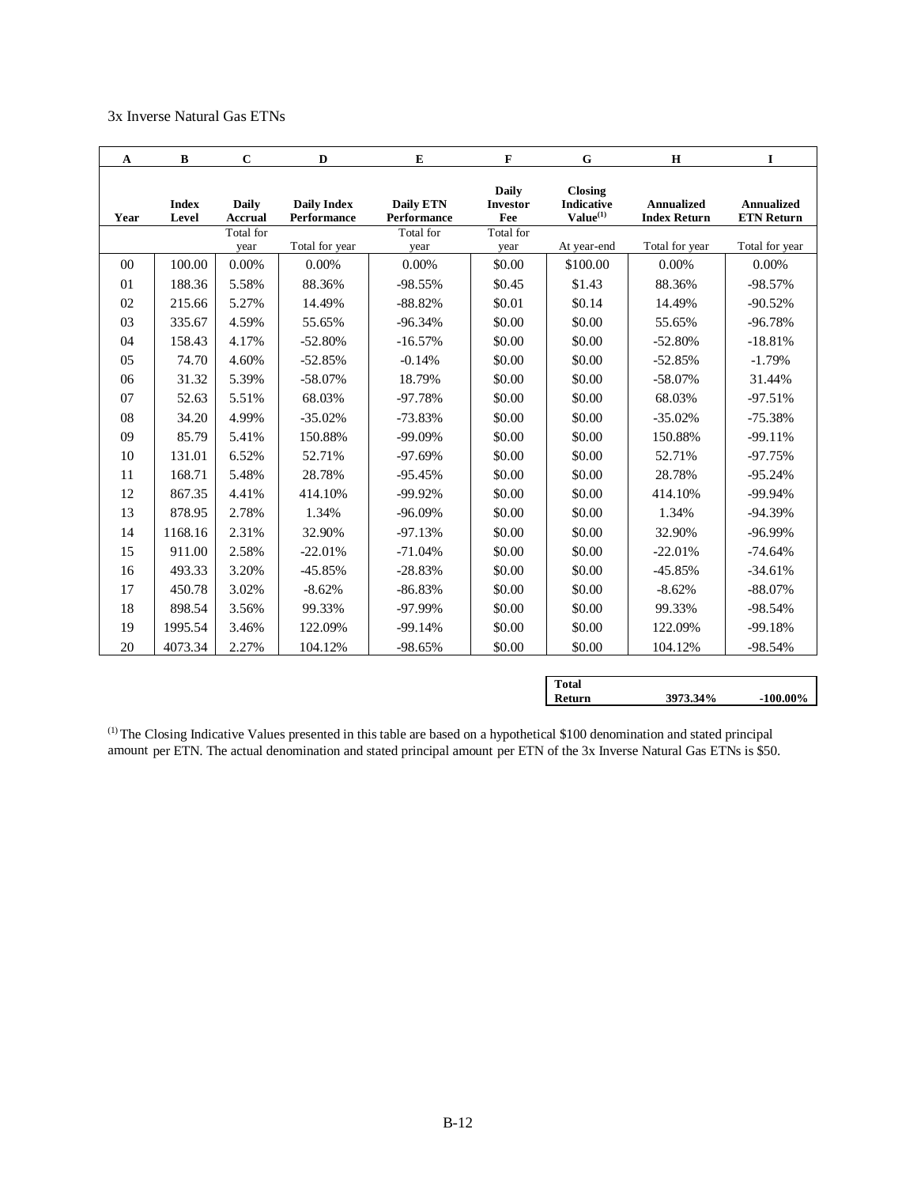# 3x Inverse Natural Gas ETNs

| Daily<br><b>Closing</b><br><b>Index</b><br><b>Daily ETN</b><br><b>Investor</b><br><b>Indicative</b><br><b>Annualized</b><br><b>Daily</b><br><b>Daily Index</b><br>$Value^{(1)}$<br>Performance<br>Performance<br>Fee<br><b>Index Return</b><br>Year<br><b>Accrual</b><br>Level<br>Total for<br>Total for<br>Total for<br>Total for year<br>Total for year<br>At year-end<br>year<br>year<br>year<br>100.00<br>0.00%<br>\$0.00<br>00<br>$0.00\%$<br>$0.00\%$<br>\$100.00<br>0.00%<br>01<br>188.36<br>5.58%<br>88.36%<br>88.36%<br>$-98.55%$<br>\$0.45<br>\$1.43<br>02<br>\$0.14<br>215.66<br>5.27%<br>\$0.01<br>14.49%<br>$-88.82%$<br>14.49% | <b>Annualized</b><br><b>ETN Return</b><br>Total for year<br>$0.00\%$<br>$-98.57%$<br>$-90.52%$<br>$-96.78%$ |
|----------------------------------------------------------------------------------------------------------------------------------------------------------------------------------------------------------------------------------------------------------------------------------------------------------------------------------------------------------------------------------------------------------------------------------------------------------------------------------------------------------------------------------------------------------------------------------------------------------------------------------------------|-------------------------------------------------------------------------------------------------------------|
|                                                                                                                                                                                                                                                                                                                                                                                                                                                                                                                                                                                                                                              |                                                                                                             |
|                                                                                                                                                                                                                                                                                                                                                                                                                                                                                                                                                                                                                                              |                                                                                                             |
|                                                                                                                                                                                                                                                                                                                                                                                                                                                                                                                                                                                                                                              |                                                                                                             |
|                                                                                                                                                                                                                                                                                                                                                                                                                                                                                                                                                                                                                                              |                                                                                                             |
|                                                                                                                                                                                                                                                                                                                                                                                                                                                                                                                                                                                                                                              |                                                                                                             |
| 03<br>\$0.00<br>\$0.00<br>335.67<br>4.59%<br>$-96.34%$<br>55.65%<br>55.65%                                                                                                                                                                                                                                                                                                                                                                                                                                                                                                                                                                   |                                                                                                             |
| 04<br>$-52.80%$<br>\$0.00<br>\$0.00<br>158.43<br>4.17%<br>$-16.57%$<br>$-52.80%$                                                                                                                                                                                                                                                                                                                                                                                                                                                                                                                                                             | $-18.81%$                                                                                                   |
| 05<br>\$0.00<br>\$0.00<br>74.70<br>4.60%<br>$-52.85%$<br>$-0.14%$<br>$-52.85%$                                                                                                                                                                                                                                                                                                                                                                                                                                                                                                                                                               | $-1.79%$                                                                                                    |
| \$0.00<br>06<br>31.32<br>5.39%<br>$-58.07\%$<br>18.79%<br>\$0.00<br>$-58.07%$                                                                                                                                                                                                                                                                                                                                                                                                                                                                                                                                                                | 31.44%                                                                                                      |
| 07<br>68.03%<br>$-97.78%$<br>\$0.00<br>\$0.00<br>68.03%<br>52.63<br>5.51%                                                                                                                                                                                                                                                                                                                                                                                                                                                                                                                                                                    | $-97.51%$                                                                                                   |
| 08<br>34.20<br>4.99%<br>$-35.02%$<br>$-73.83%$<br>\$0.00<br>\$0.00<br>$-35.02%$                                                                                                                                                                                                                                                                                                                                                                                                                                                                                                                                                              | $-75.38%$                                                                                                   |
| 09<br>85.79<br>150.88%<br>\$0.00<br>\$0.00<br>150.88%<br>5.41%<br>-99.09%                                                                                                                                                                                                                                                                                                                                                                                                                                                                                                                                                                    | $-99.11%$                                                                                                   |
| 10<br>\$0.00<br>\$0.00<br>131.01<br>6.52%<br>52.71%<br>$-97.69%$<br>52.71%                                                                                                                                                                                                                                                                                                                                                                                                                                                                                                                                                                   | $-97.75%$                                                                                                   |
| 11<br>168.71<br>5.48%<br>28.78%<br>\$0.00<br>\$0.00<br>28.78%<br>$-95.45%$                                                                                                                                                                                                                                                                                                                                                                                                                                                                                                                                                                   | $-95.24%$                                                                                                   |
| 12<br>\$0.00<br>\$0.00<br>867.35<br>4.41%<br>414.10%<br>$-99.92%$<br>414.10%                                                                                                                                                                                                                                                                                                                                                                                                                                                                                                                                                                 | $-99.94%$                                                                                                   |
| 13<br>2.78%<br>\$0.00<br>878.95<br>1.34%<br>$-96.09%$<br>\$0.00<br>1.34%                                                                                                                                                                                                                                                                                                                                                                                                                                                                                                                                                                     | $-94.39%$                                                                                                   |
| 14<br>1168.16<br>2.31%<br>$-97.13%$<br>\$0.00<br>\$0.00<br>32.90%<br>32.90%                                                                                                                                                                                                                                                                                                                                                                                                                                                                                                                                                                  | $-96.99%$                                                                                                   |
| 15<br>\$0.00<br>911.00<br>2.58%<br>$-22.01%$<br>$-71.04%$<br>\$0.00<br>$-22.01%$                                                                                                                                                                                                                                                                                                                                                                                                                                                                                                                                                             | $-74.64%$                                                                                                   |
| 16<br>493.33<br>3.20%<br>\$0.00<br>\$0.00<br>$-45.85%$<br>$-28.83%$<br>$-45.85%$                                                                                                                                                                                                                                                                                                                                                                                                                                                                                                                                                             | $-34.61%$                                                                                                   |
| 17<br>\$0.00<br>\$0.00<br>450.78<br>3.02%<br>$-8.62%$<br>$-86.83%$<br>$-8.62%$                                                                                                                                                                                                                                                                                                                                                                                                                                                                                                                                                               | $-88.07\%$                                                                                                  |
| 18<br>898.54<br>99.33%<br>\$0.00<br>\$0.00<br>99.33%<br>3.56%<br>$-97.99%$                                                                                                                                                                                                                                                                                                                                                                                                                                                                                                                                                                   | $-98.54%$                                                                                                   |
| 19<br>\$0.00<br>\$0.00<br>122.09%<br>1995.54<br>3.46%<br>122.09%<br>$-99.14%$                                                                                                                                                                                                                                                                                                                                                                                                                                                                                                                                                                | $-99.18%$                                                                                                   |
| 20<br>2.27%<br>\$0.00<br>4073.34<br>104.12%<br>$-98.65%$<br>\$0.00<br>104.12%                                                                                                                                                                                                                                                                                                                                                                                                                                                                                                                                                                | $-98.54%$                                                                                                   |

**Total Return 3973.34% -100.00%** 

 $<sup>(1)</sup>$  The Closing Indicative Values presented in this table are based on a hypothetical \$100 denomination and stated principal</sup> amount per ETN. The actual denomination and stated principal amount per ETN of the 3x Inverse Natural Gas ETNs is \$50.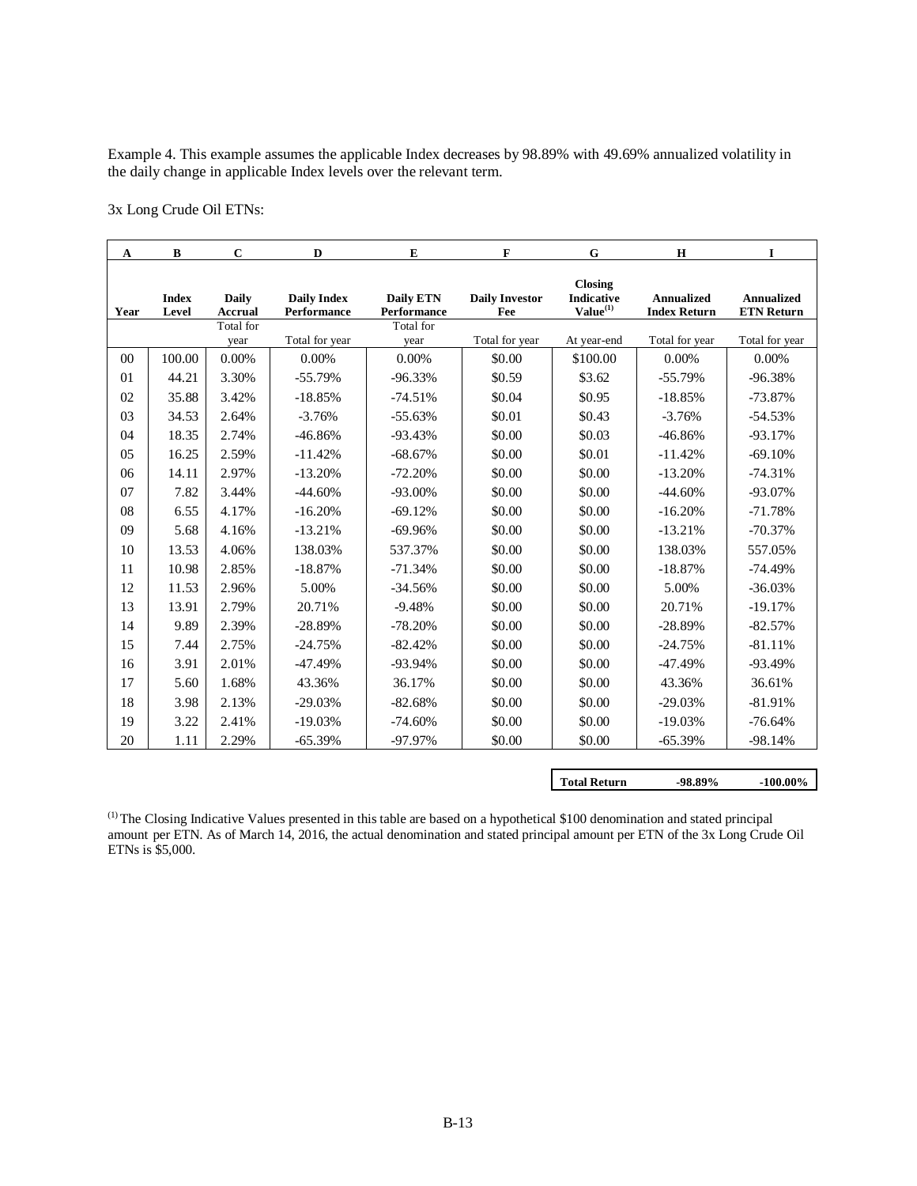Example 4. This example assumes the applicable Index decreases by 98.89% with 49.69% annualized volatility in the daily change in applicable Index levels over the relevant term.

3x Long Crude Oil ETNs:

| A              | B                     | $\mathbf C$                    | D                                        | E                               | $\bf{F}$                     | G                                                           | $\mathbf H$                              | $\mathbf I$                            |
|----------------|-----------------------|--------------------------------|------------------------------------------|---------------------------------|------------------------------|-------------------------------------------------------------|------------------------------------------|----------------------------------------|
| Year           | <b>Index</b><br>Level | <b>Daily</b><br><b>Accrual</b> | <b>Daily Index</b><br><b>Performance</b> | Daily ETN<br><b>Performance</b> | <b>Daily Investor</b><br>Fee | <b>Closing</b><br><b>Indicative</b><br>Value <sup>(1)</sup> | <b>Annualized</b><br><b>Index Return</b> | <b>Annualized</b><br><b>ETN Return</b> |
|                |                       | Total for<br>year              | Total for year                           | Total for<br>year               | Total for year               | At year-end                                                 | Total for year                           | Total for year                         |
| $00\,$         | 100.00                | 0.00%                          | 0.00%                                    | 0.00%                           | \$0.00                       | \$100.00                                                    | 0.00%                                    | 0.00%                                  |
| 01             | 44.21                 | 3.30%                          | $-55.79%$                                | $-96.33%$                       | \$0.59                       | \$3.62                                                      | $-55.79%$                                | $-96.38%$                              |
| 02             | 35.88                 | 3.42%                          | $-18.85%$                                | $-74.51%$                       | \$0.04                       | \$0.95                                                      | $-18.85%$                                | $-73.87%$                              |
| 03             | 34.53                 | 2.64%                          | $-3.76%$                                 | $-55.63%$                       | \$0.01                       | \$0.43                                                      | $-3.76%$                                 | $-54.53%$                              |
| 04             | 18.35                 | 2.74%                          | $-46.86%$                                | $-93.43%$                       | \$0.00                       | \$0.03                                                      | $-46.86%$                                | $-93.17%$                              |
| 0 <sub>5</sub> | 16.25                 | 2.59%                          | $-11.42%$                                | $-68.67%$                       | \$0.00                       | \$0.01                                                      | $-11.42%$                                | $-69.10%$                              |
| 06             | 14.11                 | 2.97%                          | $-13.20%$                                | $-72.20%$                       | \$0.00                       | \$0.00                                                      | $-13.20%$                                | $-74.31%$                              |
| 07             | 7.82                  | 3.44%                          | $-44.60%$                                | $-93.00\%$                      | \$0.00                       | \$0.00                                                      | $-44.60%$                                | $-93.07\%$                             |
| 08             | 6.55                  | 4.17%                          | $-16.20%$                                | $-69.12%$                       | \$0.00                       | \$0.00                                                      | $-16.20%$                                | $-71.78%$                              |
| 09             | 5.68                  | 4.16%                          | $-13.21%$                                | $-69.96%$                       | \$0.00                       | \$0.00                                                      | $-13.21%$                                | $-70.37%$                              |
| 10             | 13.53                 | 4.06%                          | 138.03%                                  | 537.37%                         | \$0.00                       | \$0.00                                                      | 138.03%                                  | 557.05%                                |
| 11             | 10.98                 | 2.85%                          | $-18.87%$                                | $-71.34%$                       | \$0.00                       | \$0.00                                                      | $-18.87%$                                | $-74.49%$                              |
| 12             | 11.53                 | 2.96%                          | 5.00%                                    | $-34.56%$                       | \$0.00                       | \$0.00                                                      | 5.00%                                    | $-36.03%$                              |
| 13             | 13.91                 | 2.79%                          | 20.71%                                   | $-9.48%$                        | \$0.00                       | \$0.00                                                      | 20.71%                                   | $-19.17%$                              |
| 14             | 9.89                  | 2.39%                          | $-28.89%$                                | $-78.20%$                       | \$0.00                       | \$0.00                                                      | $-28.89%$                                | $-82.57%$                              |
| 15             | 7.44                  | 2.75%                          | $-24.75%$                                | $-82.42%$                       | \$0.00                       | \$0.00                                                      | $-24.75%$                                | $-81.11%$                              |
| 16             | 3.91                  | 2.01%                          | $-47.49%$                                | $-93.94%$                       | \$0.00                       | \$0.00                                                      | $-47.49%$                                | $-93.49%$                              |
| 17             | 5.60                  | 1.68%                          | 43.36%                                   | 36.17%                          | \$0.00                       | \$0.00                                                      | 43.36%                                   | 36.61%                                 |
| 18             | 3.98                  | 2.13%                          | $-29.03%$                                | $-82.68%$                       | \$0.00                       | \$0.00                                                      | $-29.03%$                                | $-81.91%$                              |
| 19             | 3.22                  | 2.41%                          | $-19.03%$                                | $-74.60%$                       | \$0.00                       | \$0.00                                                      | $-19.03%$                                | $-76.64%$                              |
| 20             | 1.11                  | 2.29%                          | $-65.39%$                                | $-97.97\%$                      | \$0.00                       | \$0.00                                                      | $-65.39%$                                | $-98.14%$                              |

| $-98.89\%$<br><b>Total Return</b> | -100.00% |
|-----------------------------------|----------|
|-----------------------------------|----------|

(1) The Closing Indicative Values presented in this table are based on a hypothetical \$100 denomination and stated principal amount per ETN. As of March 14, 2016, the actual denomination and stated principal amount per ETN of the 3x Long Crude Oil ETNs is \$5,000.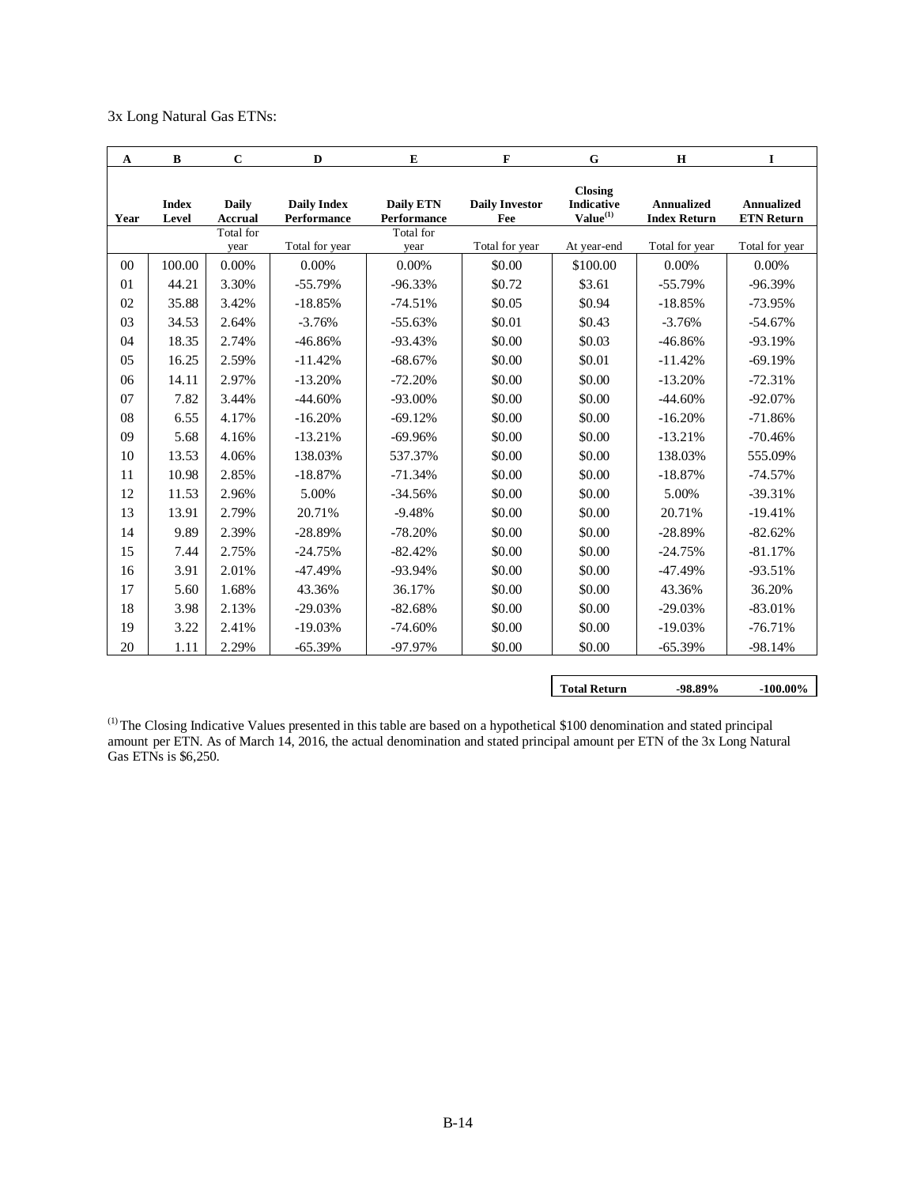# 3x Long Natural Gas ETNs:

| A    | B                     | $\mathbf C$                                 | D                                 | ${\bf E}$                             | $\mathbf F$                  | G                                                    | H                                        | 1                                      |
|------|-----------------------|---------------------------------------------|-----------------------------------|---------------------------------------|------------------------------|------------------------------------------------------|------------------------------------------|----------------------------------------|
| Year | <b>Index</b><br>Level | <b>Daily</b><br><b>Accrual</b><br>Total for | <b>Daily Index</b><br>Performance | Daily ETN<br>Performance<br>Total for | <b>Daily Investor</b><br>Fee | <b>Closing</b><br><b>Indicative</b><br>$Value^{(1)}$ | <b>Annualized</b><br><b>Index Return</b> | <b>Annualized</b><br><b>ETN Return</b> |
|      |                       | year                                        | Total for year                    | year                                  | Total for year               | At year-end                                          | Total for year                           | Total for year                         |
| 00   | 100.00                | 0.00%                                       | 0.00%                             | $0.00\%$                              | \$0.00                       | \$100.00                                             | 0.00%                                    | 0.00%                                  |
| 01   | 44.21                 | 3.30%                                       | $-55.79%$                         | $-96.33%$                             | \$0.72                       | \$3.61                                               | $-55.79%$                                | $-96.39%$                              |
| 02   | 35.88                 | 3.42%                                       | $-18.85%$                         | $-74.51%$                             | \$0.05                       | \$0.94                                               | $-18.85%$                                | $-73.95%$                              |
| 03   | 34.53                 | 2.64%                                       | $-3.76%$                          | $-55.63%$                             | \$0.01                       | \$0.43                                               | $-3.76%$                                 | $-54.67%$                              |
| 04   | 18.35                 | 2.74%                                       | $-46.86%$                         | $-93.43%$                             | \$0.00                       | \$0.03                                               | $-46.86%$                                | $-93.19%$                              |
| 05   | 16.25                 | 2.59%                                       | $-11.42%$                         | $-68.67%$                             | \$0.00                       | \$0.01                                               | $-11.42%$                                | $-69.19%$                              |
| 06   | 14.11                 | 2.97%                                       | $-13.20%$                         | $-72.20%$                             | \$0.00                       | \$0.00                                               | $-13.20%$                                | $-72.31%$                              |
| 07   | 7.82                  | 3.44%                                       | $-44.60%$                         | $-93.00\%$                            | \$0.00                       | \$0.00                                               | $-44.60%$                                | $-92.07%$                              |
| 08   | 6.55                  | 4.17%                                       | $-16.20%$                         | $-69.12%$                             | \$0.00                       | \$0.00                                               | $-16.20%$                                | $-71.86%$                              |
| 09   | 5.68                  | 4.16%                                       | $-13.21%$                         | $-69.96%$                             | \$0.00                       | \$0.00                                               | $-13.21%$                                | $-70.46%$                              |
| 10   | 13.53                 | 4.06%                                       | 138.03%                           | 537.37%                               | \$0.00                       | \$0.00                                               | 138.03%                                  | 555.09%                                |
| 11   | 10.98                 | 2.85%                                       | $-18.87%$                         | $-71.34%$                             | \$0.00                       | \$0.00                                               | $-18.87%$                                | $-74.57%$                              |
| 12   | 11.53                 | 2.96%                                       | 5.00%                             | $-34.56%$                             | \$0.00                       | \$0.00                                               | 5.00%                                    | $-39.31%$                              |
| 13   | 13.91                 | 2.79%                                       | 20.71%                            | $-9.48%$                              | \$0.00                       | \$0.00                                               | 20.71%                                   | $-19.41%$                              |
| 14   | 9.89                  | 2.39%                                       | $-28.89%$                         | $-78.20%$                             | \$0.00                       | \$0.00                                               | $-28.89%$                                | $-82.62%$                              |
| 15   | 7.44                  | 2.75%                                       | $-24.75%$                         | $-82.42%$                             | \$0.00                       | \$0.00                                               | $-24.75%$                                | $-81.17%$                              |
| 16   | 3.91                  | 2.01%                                       | $-47.49%$                         | $-93.94%$                             | \$0.00                       | \$0.00                                               | $-47.49%$                                | $-93.51%$                              |
| 17   | 5.60                  | 1.68%                                       | 43.36%                            | 36.17%                                | \$0.00                       | \$0.00                                               | 43.36%                                   | 36.20%                                 |
| 18   | 3.98                  | 2.13%                                       | $-29.03%$                         | $-82.68%$                             | \$0.00                       | \$0.00                                               | $-29.03%$                                | $-83.01%$                              |
| 19   | 3.22                  | 2.41%                                       | $-19.03%$                         | $-74.60%$                             | \$0.00                       | \$0.00                                               | $-19.03%$                                | $-76.71%$                              |
| 20   | 1.11                  | 2.29%                                       | $-65.39%$                         | $-97.97\%$                            | \$0.00                       | \$0.00                                               | $-65.39%$                                | $-98.14%$                              |

**Total Return -98.89% -100.00%** 

 $<sup>(1)</sup>$  The Closing Indicative Values presented in this table are based on a hypothetical \$100 denomination and stated principal</sup> amount per ETN. As of March 14, 2016, the actual denomination and stated principal amount per ETN of the 3x Long Natural Gas ETNs is \$6,250.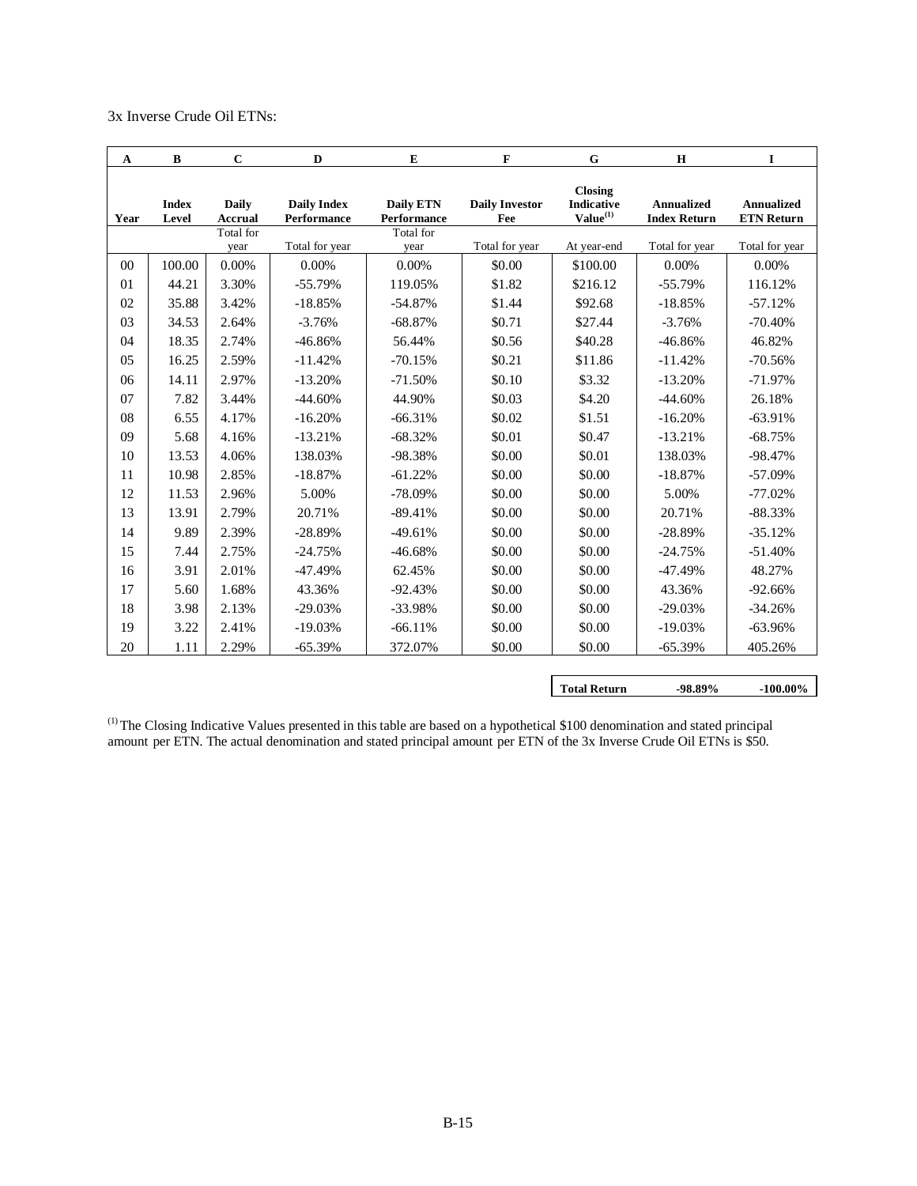3x Inverse Crude Oil ETNs:

| A      | B                     | $\mathbf{C}$                   | D                                        | E                               | F                            | G                                             | H                                        | 1                                      |
|--------|-----------------------|--------------------------------|------------------------------------------|---------------------------------|------------------------------|-----------------------------------------------|------------------------------------------|----------------------------------------|
| Year   | <b>Index</b><br>Level | <b>Daily</b><br><b>Accrual</b> | <b>Daily Index</b><br><b>Performance</b> | Daily ETN<br><b>Performance</b> | <b>Daily Investor</b><br>Fee | Closing<br><b>Indicative</b><br>$Value^{(1)}$ | <b>Annualized</b><br><b>Index Return</b> | <b>Annualized</b><br><b>ETN Return</b> |
|        |                       | Total for<br>year              | Total for year                           | Total for<br>year               | Total for year               | At year-end                                   | Total for year                           | Total for year                         |
| $00\,$ | 100.00                | 0.00%                          | 0.00%                                    | 0.00%                           | \$0.00                       | \$100.00                                      | 0.00%                                    | 0.00%                                  |
| 01     | 44.21                 | 3.30%                          | $-55.79%$                                | 119.05%                         | \$1.82                       | \$216.12                                      | $-55.79%$                                | 116.12%                                |
| 02     | 35.88                 | 3.42%                          | $-18.85%$                                | $-54.87%$                       | \$1.44                       | \$92.68                                       | $-18.85%$                                | $-57.12%$                              |
| 03     | 34.53                 | 2.64%                          | $-3.76%$                                 | $-68.87%$                       | \$0.71                       | \$27.44                                       | $-3.76%$                                 | $-70.40%$                              |
| 04     | 18.35                 | 2.74%                          | $-46.86%$                                | 56.44%                          | \$0.56                       | \$40.28                                       | $-46.86%$                                | 46.82%                                 |
| 05     | 16.25                 | 2.59%                          | $-11.42%$                                | $-70.15%$                       | \$0.21                       | \$11.86                                       | $-11.42%$                                | $-70.56%$                              |
| 06     | 14.11                 | 2.97%                          | $-13.20%$                                | $-71.50%$                       | \$0.10                       | \$3.32                                        | $-13.20%$                                | $-71.97%$                              |
| 07     | 7.82                  | 3.44%                          | $-44.60%$                                | 44.90%                          | \$0.03                       | \$4.20                                        | $-44.60%$                                | 26.18%                                 |
| 08     | 6.55                  | 4.17%                          | $-16.20%$                                | $-66.31%$                       | \$0.02                       | \$1.51                                        | $-16.20%$                                | $-63.91%$                              |
| 09     | 5.68                  | 4.16%                          | $-13.21%$                                | $-68.32%$                       | \$0.01                       | \$0.47                                        | $-13.21%$                                | $-68.75%$                              |
| 10     | 13.53                 | 4.06%                          | 138.03%                                  | $-98.38%$                       | \$0.00                       | \$0.01                                        | 138.03%                                  | $-98.47%$                              |
| 11     | 10.98                 | 2.85%                          | $-18.87%$                                | $-61.22%$                       | \$0.00                       | \$0.00                                        | $-18.87%$                                | $-57.09%$                              |
| 12     | 11.53                 | 2.96%                          | 5.00%                                    | $-78.09%$                       | \$0.00                       | \$0.00                                        | 5.00%                                    | $-77.02%$                              |
| 13     | 13.91                 | 2.79%                          | 20.71%                                   | $-89.41%$                       | \$0.00                       | \$0.00                                        | 20.71%                                   | $-88.33%$                              |
| 14     | 9.89                  | 2.39%                          | $-28.89%$                                | $-49.61%$                       | \$0.00                       | \$0.00                                        | $-28.89%$                                | $-35.12%$                              |
| 15     | 7.44                  | 2.75%                          | $-24.75%$                                | $-46.68%$                       | \$0.00                       | \$0.00                                        | $-24.75%$                                | $-51.40%$                              |
| 16     | 3.91                  | 2.01%                          | $-47.49%$                                | 62.45%                          | \$0.00                       | \$0.00                                        | $-47.49%$                                | 48.27%                                 |
| 17     | 5.60                  | 1.68%                          | 43.36%                                   | $-92.43%$                       | \$0.00                       | \$0.00                                        | 43.36%                                   | $-92.66%$                              |
| 18     | 3.98                  | 2.13%                          | $-29.03%$                                | $-33.98%$                       | \$0.00                       | \$0.00                                        | $-29.03%$                                | $-34.26%$                              |
| 19     | 3.22                  | 2.41%                          | $-19.03%$                                | $-66.11%$                       | \$0.00                       | \$0.00                                        | $-19.03%$                                | $-63.96%$                              |
| 20     | 1.11                  | 2.29%                          | $-65.39%$                                | 372.07%                         | \$0.00                       | \$0.00                                        | $-65.39%$                                | 405.26%                                |

**Total Return -98.89% -100.00%** 

 $<sup>(1)</sup>$  The Closing Indicative Values presented in this table are based on a hypothetical \$100 denomination and stated principal</sup> amount per ETN. The actual denomination and stated principal amount per ETN of the 3x Inverse Crude Oil ETNs is \$50.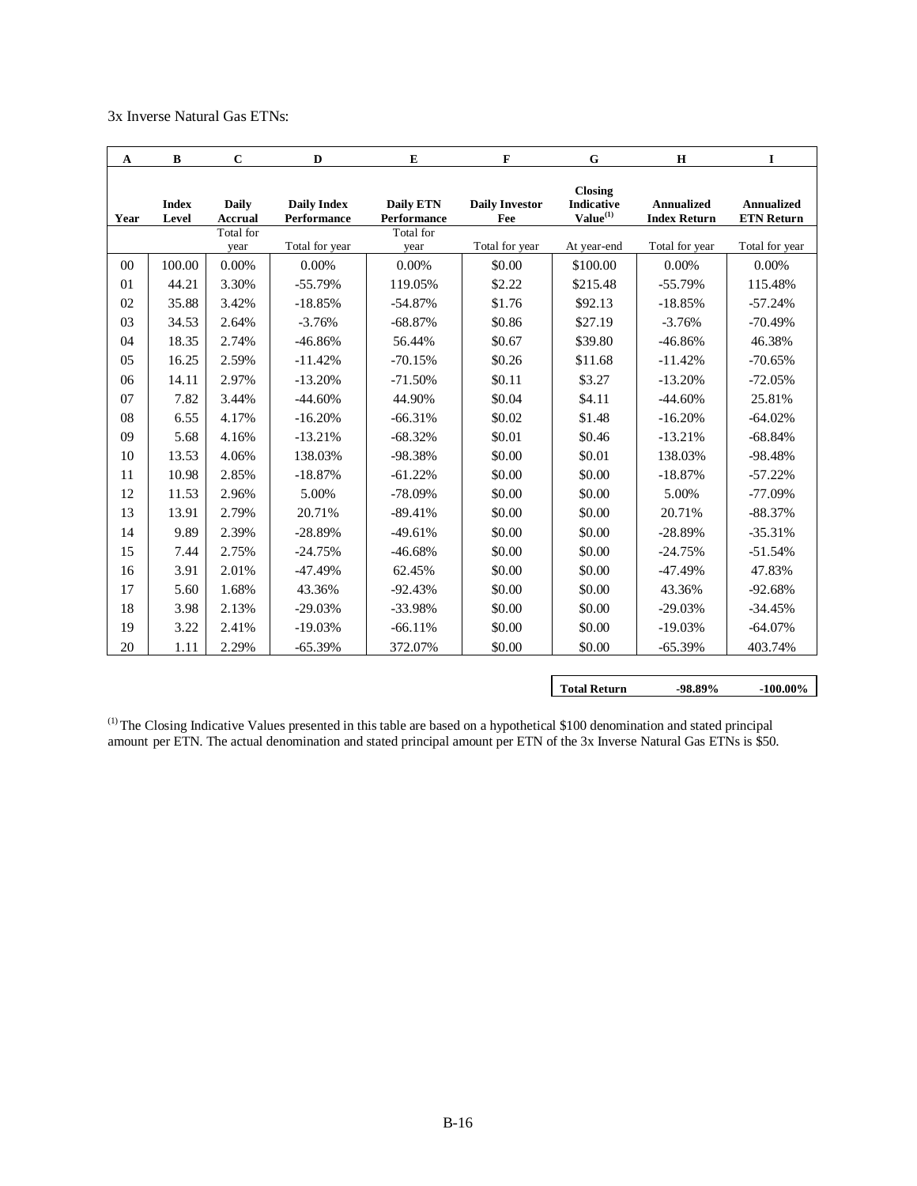3x Inverse Natural Gas ETNs:

| A      | B                     | $\mathbf{C}$                   | D                                        | E                               | F                            | G                                             | H                                        | 1                                      |
|--------|-----------------------|--------------------------------|------------------------------------------|---------------------------------|------------------------------|-----------------------------------------------|------------------------------------------|----------------------------------------|
| Year   | <b>Index</b><br>Level | <b>Daily</b><br><b>Accrual</b> | <b>Daily Index</b><br><b>Performance</b> | Daily ETN<br><b>Performance</b> | <b>Daily Investor</b><br>Fee | Closing<br><b>Indicative</b><br>$Value^{(1)}$ | <b>Annualized</b><br><b>Index Return</b> | <b>Annualized</b><br><b>ETN Return</b> |
|        |                       | Total for<br>year              | Total for year                           | Total for<br>year               | Total for year               | At year-end                                   | Total for year                           | Total for year                         |
| $00\,$ | 100.00                | 0.00%                          | 0.00%                                    | 0.00%                           | \$0.00                       | \$100.00                                      | 0.00%                                    | 0.00%                                  |
| 01     | 44.21                 | 3.30%                          | $-55.79%$                                | 119.05%                         | \$2.22                       | \$215.48                                      | $-55.79%$                                | 115.48%                                |
| 02     | 35.88                 | 3.42%                          | $-18.85%$                                | $-54.87%$                       | \$1.76                       | \$92.13                                       | $-18.85%$                                | $-57.24%$                              |
| 03     | 34.53                 | 2.64%                          | $-3.76%$                                 | $-68.87%$                       | \$0.86                       | \$27.19                                       | $-3.76%$                                 | $-70.49%$                              |
| 04     | 18.35                 | 2.74%                          | $-46.86%$                                | 56.44%                          | \$0.67                       | \$39.80                                       | $-46.86%$                                | 46.38%                                 |
| 05     | 16.25                 | 2.59%                          | $-11.42%$                                | $-70.15%$                       | \$0.26                       | \$11.68                                       | $-11.42%$                                | $-70.65%$                              |
| 06     | 14.11                 | 2.97%                          | $-13.20%$                                | $-71.50%$                       | \$0.11                       | \$3.27                                        | $-13.20%$                                | $-72.05%$                              |
| 07     | 7.82                  | 3.44%                          | $-44.60%$                                | 44.90%                          | \$0.04                       | \$4.11                                        | $-44.60%$                                | 25.81%                                 |
| 08     | 6.55                  | 4.17%                          | $-16.20%$                                | $-66.31%$                       | \$0.02                       | \$1.48                                        | $-16.20%$                                | $-64.02%$                              |
| 09     | 5.68                  | 4.16%                          | $-13.21%$                                | $-68.32%$                       | \$0.01                       | \$0.46                                        | $-13.21%$                                | $-68.84%$                              |
| 10     | 13.53                 | 4.06%                          | 138.03%                                  | $-98.38%$                       | \$0.00                       | \$0.01                                        | 138.03%                                  | $-98.48%$                              |
| 11     | 10.98                 | 2.85%                          | $-18.87%$                                | $-61.22%$                       | \$0.00                       | \$0.00                                        | $-18.87%$                                | $-57.22%$                              |
| 12     | 11.53                 | 2.96%                          | 5.00%                                    | $-78.09%$                       | \$0.00                       | \$0.00                                        | 5.00%                                    | $-77.09%$                              |
| 13     | 13.91                 | 2.79%                          | 20.71%                                   | $-89.41%$                       | \$0.00                       | \$0.00                                        | 20.71%                                   | $-88.37%$                              |
| 14     | 9.89                  | 2.39%                          | $-28.89%$                                | $-49.61%$                       | \$0.00                       | \$0.00                                        | $-28.89%$                                | $-35.31%$                              |
| 15     | 7.44                  | 2.75%                          | $-24.75%$                                | $-46.68%$                       | \$0.00                       | \$0.00                                        | $-24.75%$                                | $-51.54%$                              |
| 16     | 3.91                  | 2.01%                          | $-47.49%$                                | 62.45%                          | \$0.00                       | \$0.00                                        | $-47.49%$                                | 47.83%                                 |
| 17     | 5.60                  | 1.68%                          | 43.36%                                   | $-92.43%$                       | \$0.00                       | \$0.00                                        | 43.36%                                   | $-92.68%$                              |
| 18     | 3.98                  | 2.13%                          | $-29.03%$                                | $-33.98%$                       | \$0.00                       | \$0.00                                        | $-29.03%$                                | $-34.45%$                              |
| 19     | 3.22                  | 2.41%                          | $-19.03%$                                | $-66.11%$                       | \$0.00                       | \$0.00                                        | $-19.03%$                                | $-64.07%$                              |
| 20     | 1.11                  | 2.29%                          | $-65.39%$                                | 372.07%                         | \$0.00                       | \$0.00                                        | $-65.39%$                                | 403.74%                                |

**Total Return -98.89% -100.00%** 

 $<sup>(1)</sup>$  The Closing Indicative Values presented in this table are based on a hypothetical \$100 denomination and stated principal</sup> amount per ETN. The actual denomination and stated principal amount per ETN of the 3x Inverse Natural Gas ETNs is \$50.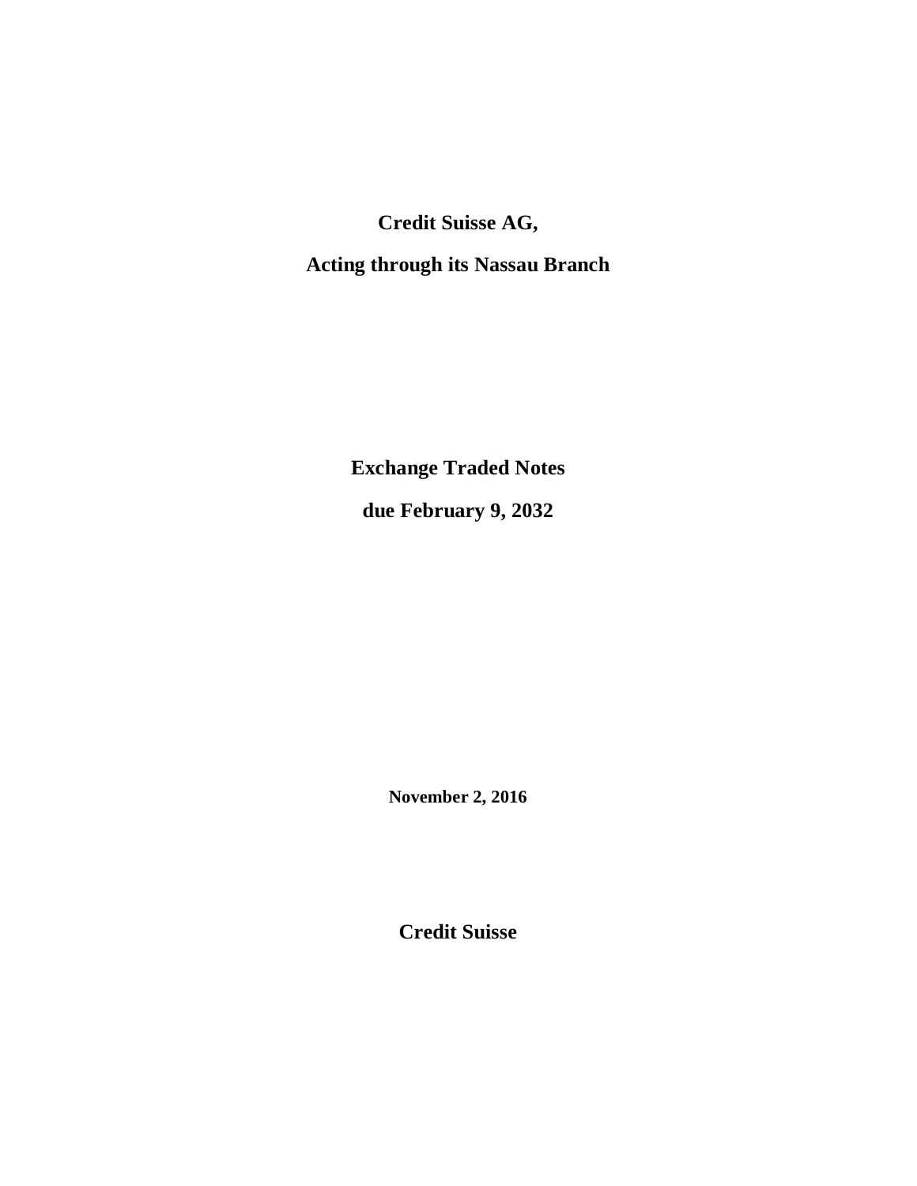**Credit Suisse AG,** 

**Acting through its Nassau Branch** 

**Exchange Traded Notes due February 9, 2032** 

**November 2, 2016**

**Credit Suisse**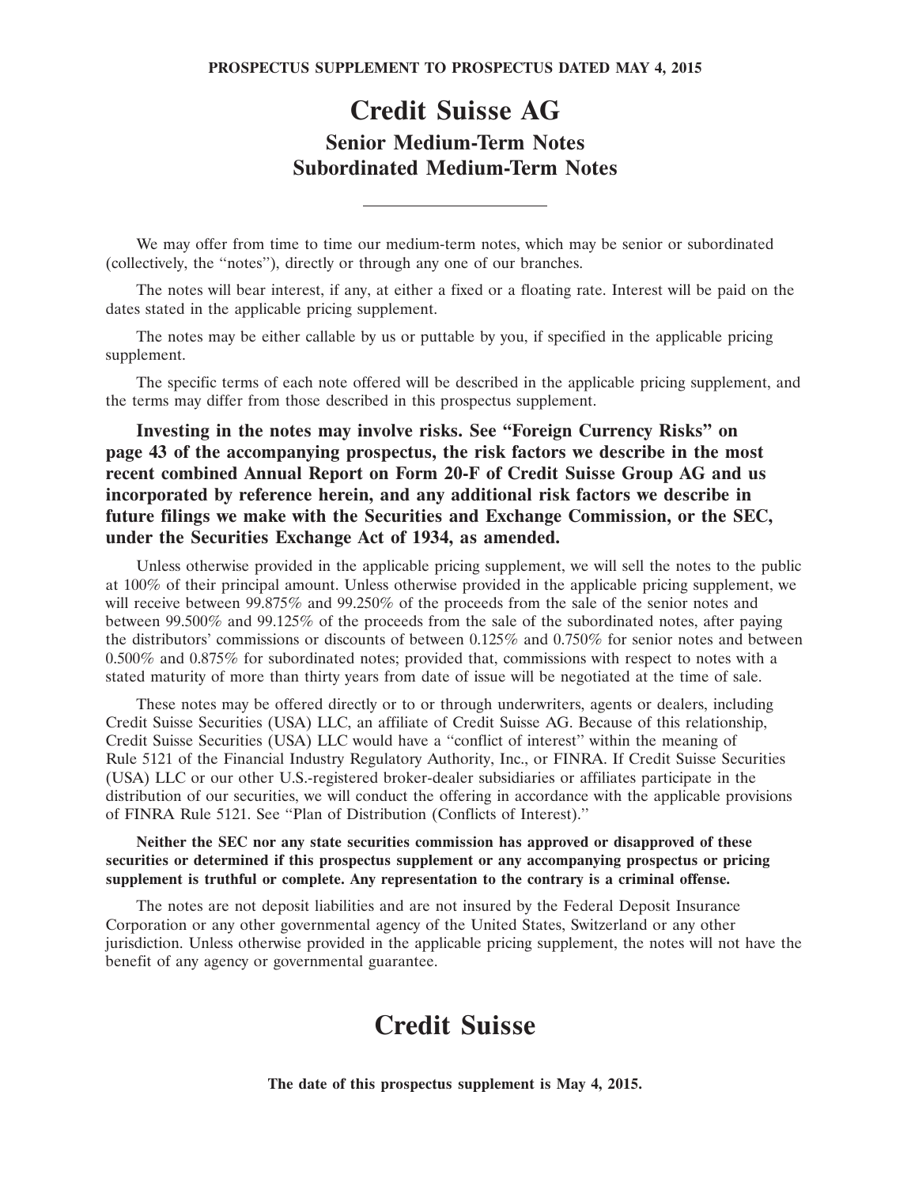# **Credit Suisse AG Senior Medium-Term Notes Subordinated Medium-Term Notes**

We may offer from time to time our medium-term notes, which may be senior or subordinated (collectively, the ''notes''), directly or through any one of our branches.

The notes will bear interest, if any, at either a fixed or a floating rate. Interest will be paid on the dates stated in the applicable pricing supplement.

The notes may be either callable by us or puttable by you, if specified in the applicable pricing supplement.

The specific terms of each note offered will be described in the applicable pricing supplement, and the terms may differ from those described in this prospectus supplement.

# **Investing in the notes may involve risks. See ''Foreign Currency Risks'' on page 43 of the accompanying prospectus, the risk factors we describe in the most recent combined Annual Report on Form 20-F of Credit Suisse Group AG and us incorporated by reference herein, and any additional risk factors we describe in future filings we make with the Securities and Exchange Commission, or the SEC, under the Securities Exchange Act of 1934, as amended.**

Unless otherwise provided in the applicable pricing supplement, we will sell the notes to the public at 100% of their principal amount. Unless otherwise provided in the applicable pricing supplement, we will receive between 99.875% and 99.250% of the proceeds from the sale of the senior notes and between 99.500% and 99.125% of the proceeds from the sale of the subordinated notes, after paying the distributors' commissions or discounts of between 0.125% and 0.750% for senior notes and between 0.500% and 0.875% for subordinated notes; provided that, commissions with respect to notes with a stated maturity of more than thirty years from date of issue will be negotiated at the time of sale.

These notes may be offered directly or to or through underwriters, agents or dealers, including Credit Suisse Securities (USA) LLC, an affiliate of Credit Suisse AG. Because of this relationship, Credit Suisse Securities (USA) LLC would have a ''conflict of interest'' within the meaning of Rule 5121 of the Financial Industry Regulatory Authority, Inc., or FINRA. If Credit Suisse Securities (USA) LLC or our other U.S.-registered broker-dealer subsidiaries or affiliates participate in the distribution of our securities, we will conduct the offering in accordance with the applicable provisions of FINRA Rule 5121. See ''Plan of Distribution (Conflicts of Interest).''

**Neither the SEC nor any state securities commission has approved or disapproved of these securities or determined if this prospectus supplement or any accompanying prospectus or pricing supplement is truthful or complete. Any representation to the contrary is a criminal offense.**

The notes are not deposit liabilities and are not insured by the Federal Deposit Insurance Corporation or any other governmental agency of the United States, Switzerland or any other jurisdiction. Unless otherwise provided in the applicable pricing supplement, the notes will not have the benefit of any agency or governmental guarantee.

# **Credit Suisse**

**The date of this prospectus supplement is May 4, 2015.**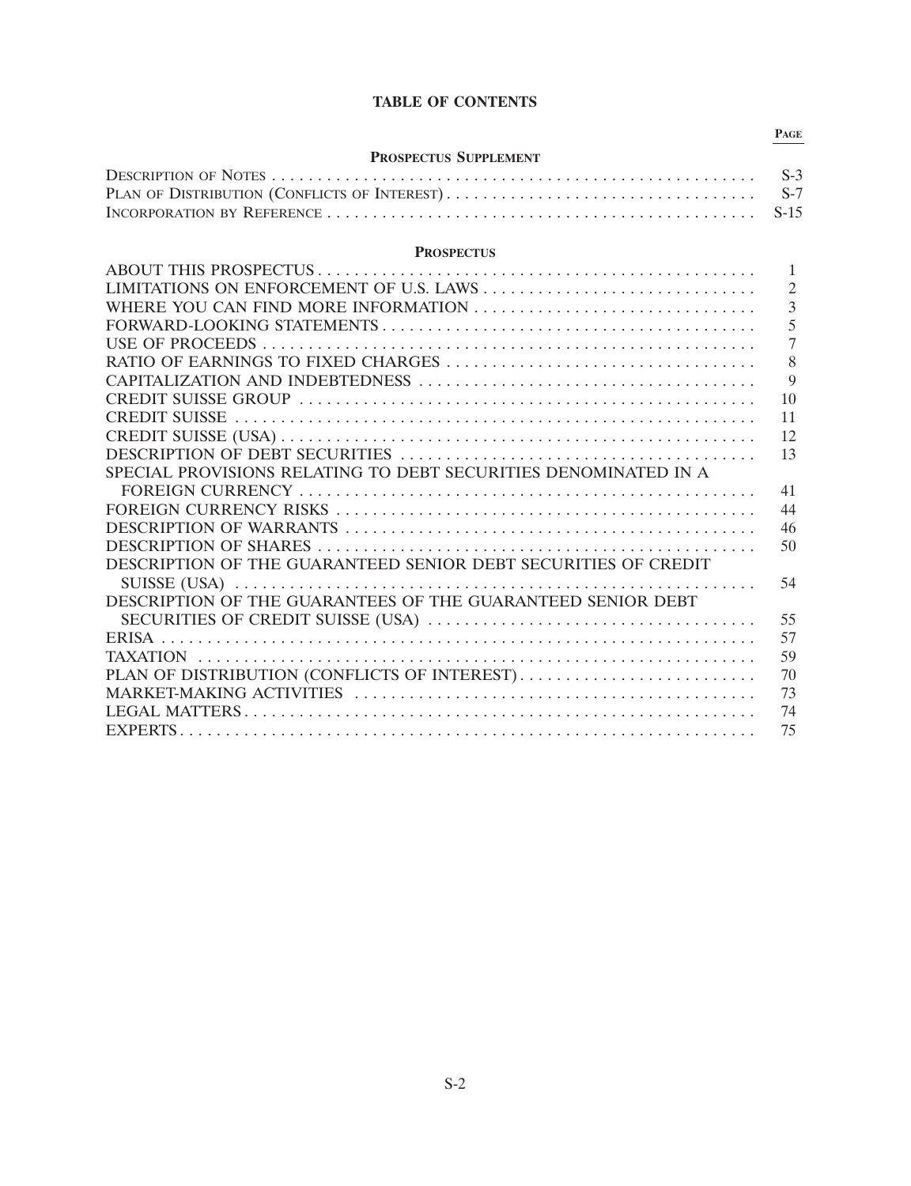# **TABLE OF CONTENTS**

#### **PAGE**

# **PROSPECTUS SUPPLEMENT**

### **PROSPECTUS**

|                                                                 | 1              |
|-----------------------------------------------------------------|----------------|
|                                                                 | $\overline{2}$ |
| WHERE YOU CAN FIND MORE INFORMATION                             | 3              |
|                                                                 | 5              |
|                                                                 |                |
|                                                                 | 8              |
|                                                                 | $\mathbf Q$    |
|                                                                 | 10             |
|                                                                 | 11             |
|                                                                 | 12             |
|                                                                 | 13             |
| SPECIAL PROVISIONS RELATING TO DEBT SECURITIES DENOMINATED IN A |                |
|                                                                 | 41             |
|                                                                 | 44             |
|                                                                 | 46             |
|                                                                 | 50             |
| DESCRIPTION OF THE GUARANTEED SENIOR DEBT SECURITIES OF CREDIT  |                |
|                                                                 | 54             |
| DESCRIPTION OF THE GUARANTEES OF THE GUARANTEED SENIOR DEBT     |                |
|                                                                 | 55             |
|                                                                 | 57             |
|                                                                 | 59             |
| PLAN OF DISTRIBUTION (CONFLICTS OF INTEREST)                    | 70             |
|                                                                 | 73             |
|                                                                 | 74             |
|                                                                 | 75             |
|                                                                 |                |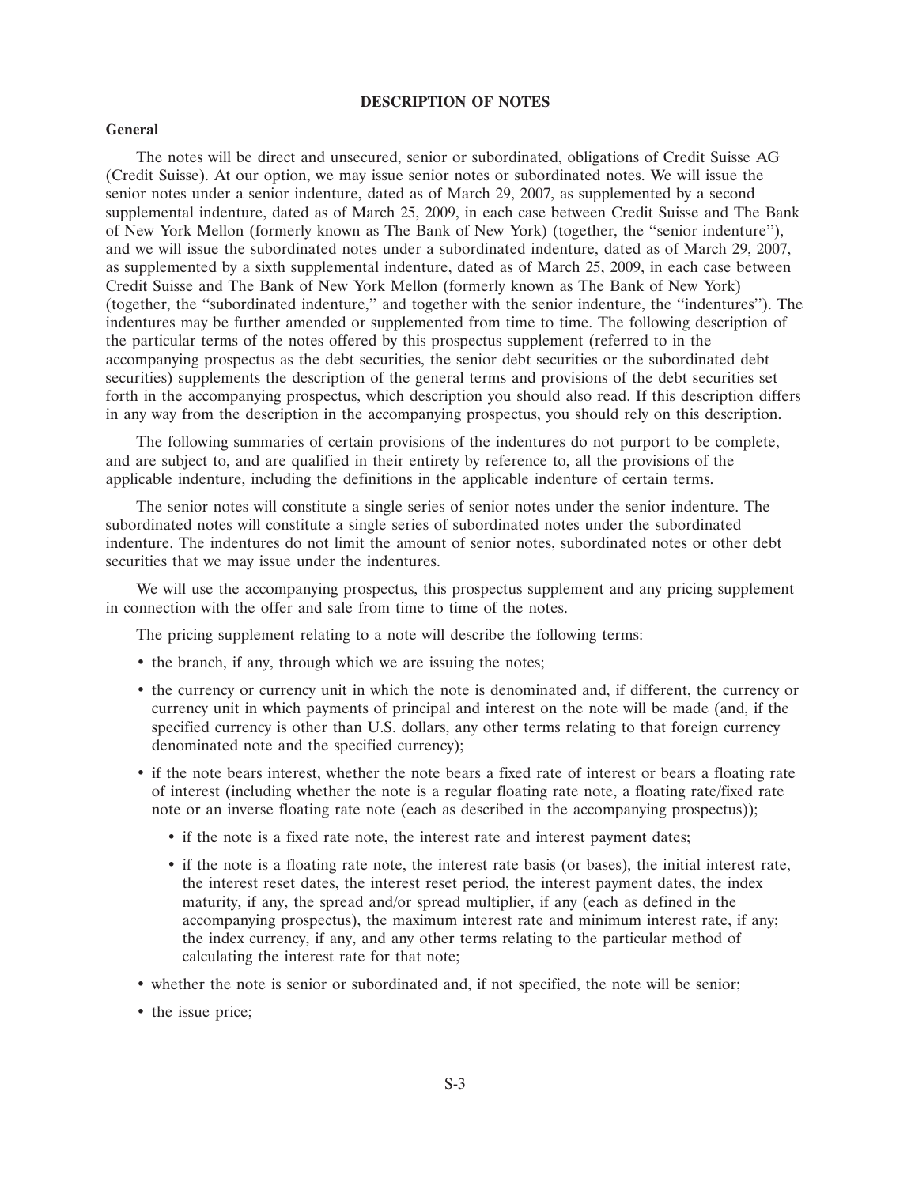#### **DESCRIPTION OF NOTES**

#### **General**

The notes will be direct and unsecured, senior or subordinated, obligations of Credit Suisse AG (Credit Suisse). At our option, we may issue senior notes or subordinated notes. We will issue the senior notes under a senior indenture, dated as of March 29, 2007, as supplemented by a second supplemental indenture, dated as of March 25, 2009, in each case between Credit Suisse and The Bank of New York Mellon (formerly known as The Bank of New York) (together, the ''senior indenture''), and we will issue the subordinated notes under a subordinated indenture, dated as of March 29, 2007, as supplemented by a sixth supplemental indenture, dated as of March 25, 2009, in each case between Credit Suisse and The Bank of New York Mellon (formerly known as The Bank of New York) (together, the ''subordinated indenture,'' and together with the senior indenture, the ''indentures''). The indentures may be further amended or supplemented from time to time. The following description of the particular terms of the notes offered by this prospectus supplement (referred to in the accompanying prospectus as the debt securities, the senior debt securities or the subordinated debt securities) supplements the description of the general terms and provisions of the debt securities set forth in the accompanying prospectus, which description you should also read. If this description differs in any way from the description in the accompanying prospectus, you should rely on this description.

The following summaries of certain provisions of the indentures do not purport to be complete, and are subject to, and are qualified in their entirety by reference to, all the provisions of the applicable indenture, including the definitions in the applicable indenture of certain terms.

The senior notes will constitute a single series of senior notes under the senior indenture. The subordinated notes will constitute a single series of subordinated notes under the subordinated indenture. The indentures do not limit the amount of senior notes, subordinated notes or other debt securities that we may issue under the indentures.

We will use the accompanying prospectus, this prospectus supplement and any pricing supplement in connection with the offer and sale from time to time of the notes.

The pricing supplement relating to a note will describe the following terms:

- the branch, if any, through which we are issuing the notes;
- the currency or currency unit in which the note is denominated and, if different, the currency or currency unit in which payments of principal and interest on the note will be made (and, if the specified currency is other than U.S. dollars, any other terms relating to that foreign currency denominated note and the specified currency);
- if the note bears interest, whether the note bears a fixed rate of interest or bears a floating rate of interest (including whether the note is a regular floating rate note, a floating rate/fixed rate note or an inverse floating rate note (each as described in the accompanying prospectus));
	- if the note is a fixed rate note, the interest rate and interest payment dates;
	- if the note is a floating rate note, the interest rate basis (or bases), the initial interest rate, the interest reset dates, the interest reset period, the interest payment dates, the index maturity, if any, the spread and/or spread multiplier, if any (each as defined in the accompanying prospectus), the maximum interest rate and minimum interest rate, if any; the index currency, if any, and any other terms relating to the particular method of calculating the interest rate for that note;
- whether the note is senior or subordinated and, if not specified, the note will be senior;
- the issue price;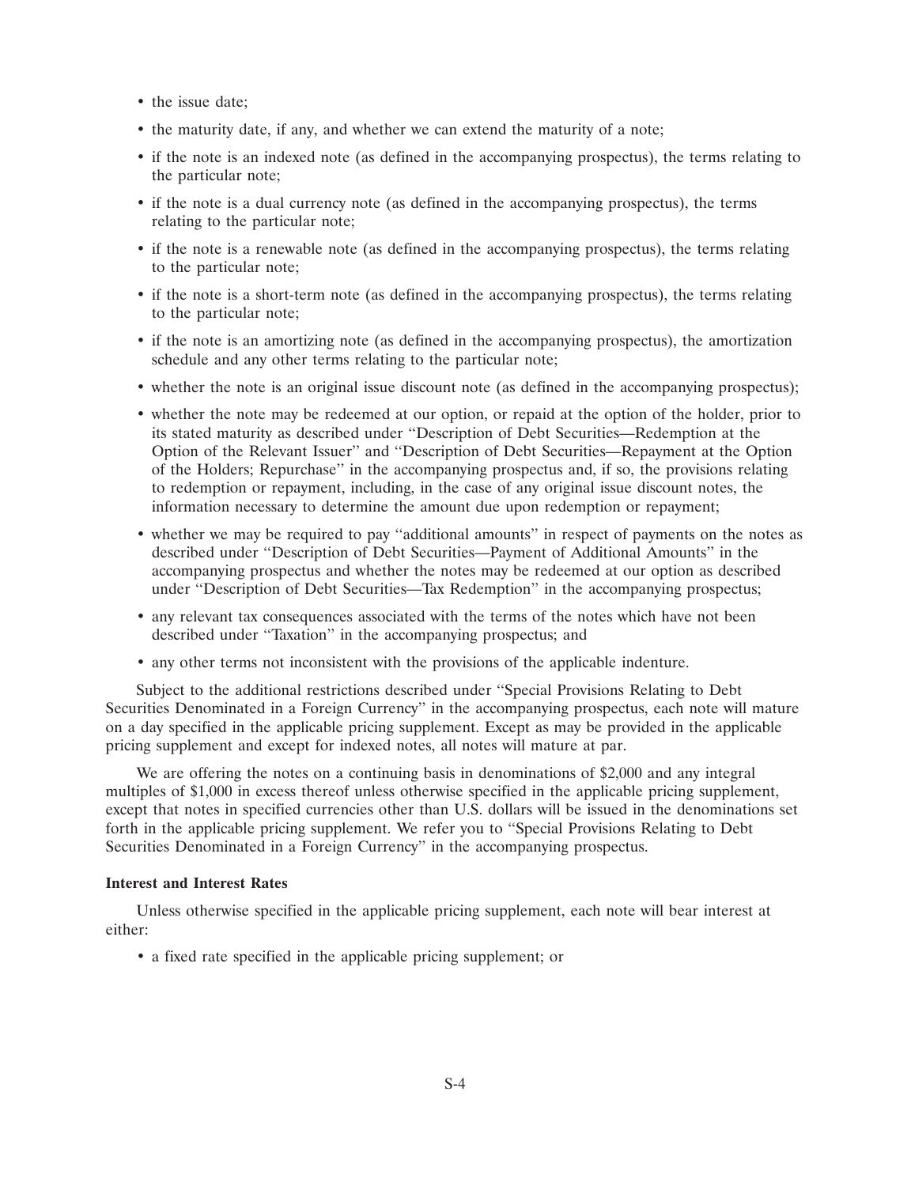- the issue date:
- the maturity date, if any, and whether we can extend the maturity of a note;
- if the note is an indexed note (as defined in the accompanying prospectus), the terms relating to the particular note;
- if the note is a dual currency note (as defined in the accompanying prospectus), the terms relating to the particular note;
- if the note is a renewable note (as defined in the accompanying prospectus), the terms relating to the particular note;
- if the note is a short-term note (as defined in the accompanying prospectus), the terms relating to the particular note;
- if the note is an amortizing note (as defined in the accompanying prospectus), the amortization schedule and any other terms relating to the particular note;
- whether the note is an original issue discount note (as defined in the accompanying prospectus);
- whether the note may be redeemed at our option, or repaid at the option of the holder, prior to its stated maturity as described under ''Description of Debt Securities—Redemption at the Option of the Relevant Issuer'' and ''Description of Debt Securities—Repayment at the Option of the Holders; Repurchase'' in the accompanying prospectus and, if so, the provisions relating to redemption or repayment, including, in the case of any original issue discount notes, the information necessary to determine the amount due upon redemption or repayment;
- whether we may be required to pay ''additional amounts'' in respect of payments on the notes as described under ''Description of Debt Securities—Payment of Additional Amounts'' in the accompanying prospectus and whether the notes may be redeemed at our option as described under ''Description of Debt Securities—Tax Redemption'' in the accompanying prospectus;
- any relevant tax consequences associated with the terms of the notes which have not been described under ''Taxation'' in the accompanying prospectus; and
- any other terms not inconsistent with the provisions of the applicable indenture.

Subject to the additional restrictions described under ''Special Provisions Relating to Debt Securities Denominated in a Foreign Currency" in the accompanying prospectus, each note will mature on a day specified in the applicable pricing supplement. Except as may be provided in the applicable pricing supplement and except for indexed notes, all notes will mature at par.

We are offering the notes on a continuing basis in denominations of \$2,000 and any integral multiples of \$1,000 in excess thereof unless otherwise specified in the applicable pricing supplement, except that notes in specified currencies other than U.S. dollars will be issued in the denominations set forth in the applicable pricing supplement. We refer you to ''Special Provisions Relating to Debt Securities Denominated in a Foreign Currency'' in the accompanying prospectus.

# **Interest and Interest Rates**

Unless otherwise specified in the applicable pricing supplement, each note will bear interest at either:

• a fixed rate specified in the applicable pricing supplement; or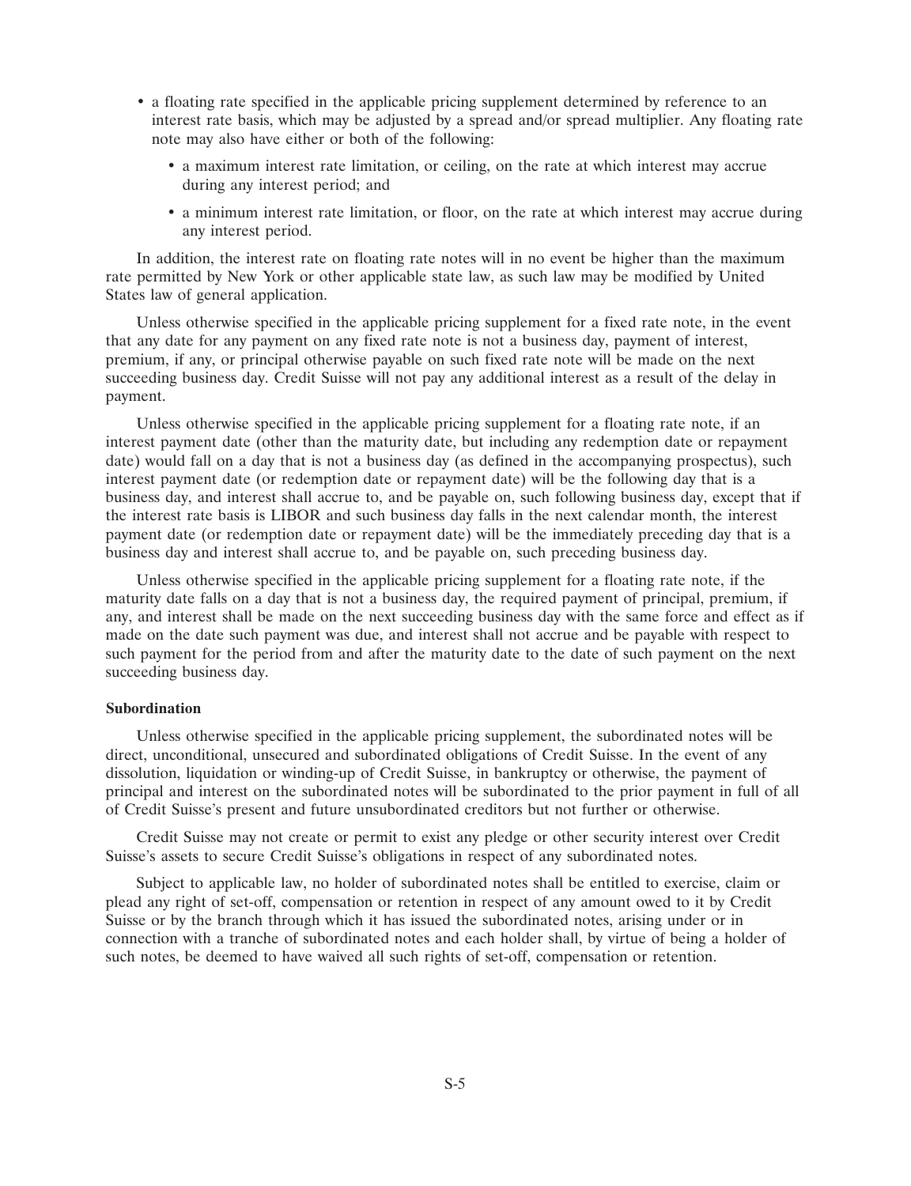- a floating rate specified in the applicable pricing supplement determined by reference to an interest rate basis, which may be adjusted by a spread and/or spread multiplier. Any floating rate note may also have either or both of the following:
	- a maximum interest rate limitation, or ceiling, on the rate at which interest may accrue during any interest period; and
	- a minimum interest rate limitation, or floor, on the rate at which interest may accrue during any interest period.

In addition, the interest rate on floating rate notes will in no event be higher than the maximum rate permitted by New York or other applicable state law, as such law may be modified by United States law of general application.

Unless otherwise specified in the applicable pricing supplement for a fixed rate note, in the event that any date for any payment on any fixed rate note is not a business day, payment of interest, premium, if any, or principal otherwise payable on such fixed rate note will be made on the next succeeding business day. Credit Suisse will not pay any additional interest as a result of the delay in payment.

Unless otherwise specified in the applicable pricing supplement for a floating rate note, if an interest payment date (other than the maturity date, but including any redemption date or repayment date) would fall on a day that is not a business day (as defined in the accompanying prospectus), such interest payment date (or redemption date or repayment date) will be the following day that is a business day, and interest shall accrue to, and be payable on, such following business day, except that if the interest rate basis is LIBOR and such business day falls in the next calendar month, the interest payment date (or redemption date or repayment date) will be the immediately preceding day that is a business day and interest shall accrue to, and be payable on, such preceding business day.

Unless otherwise specified in the applicable pricing supplement for a floating rate note, if the maturity date falls on a day that is not a business day, the required payment of principal, premium, if any, and interest shall be made on the next succeeding business day with the same force and effect as if made on the date such payment was due, and interest shall not accrue and be payable with respect to such payment for the period from and after the maturity date to the date of such payment on the next succeeding business day.

## **Subordination**

Unless otherwise specified in the applicable pricing supplement, the subordinated notes will be direct, unconditional, unsecured and subordinated obligations of Credit Suisse. In the event of any dissolution, liquidation or winding-up of Credit Suisse, in bankruptcy or otherwise, the payment of principal and interest on the subordinated notes will be subordinated to the prior payment in full of all of Credit Suisse's present and future unsubordinated creditors but not further or otherwise.

Credit Suisse may not create or permit to exist any pledge or other security interest over Credit Suisse's assets to secure Credit Suisse's obligations in respect of any subordinated notes.

Subject to applicable law, no holder of subordinated notes shall be entitled to exercise, claim or plead any right of set-off, compensation or retention in respect of any amount owed to it by Credit Suisse or by the branch through which it has issued the subordinated notes, arising under or in connection with a tranche of subordinated notes and each holder shall, by virtue of being a holder of such notes, be deemed to have waived all such rights of set-off, compensation or retention.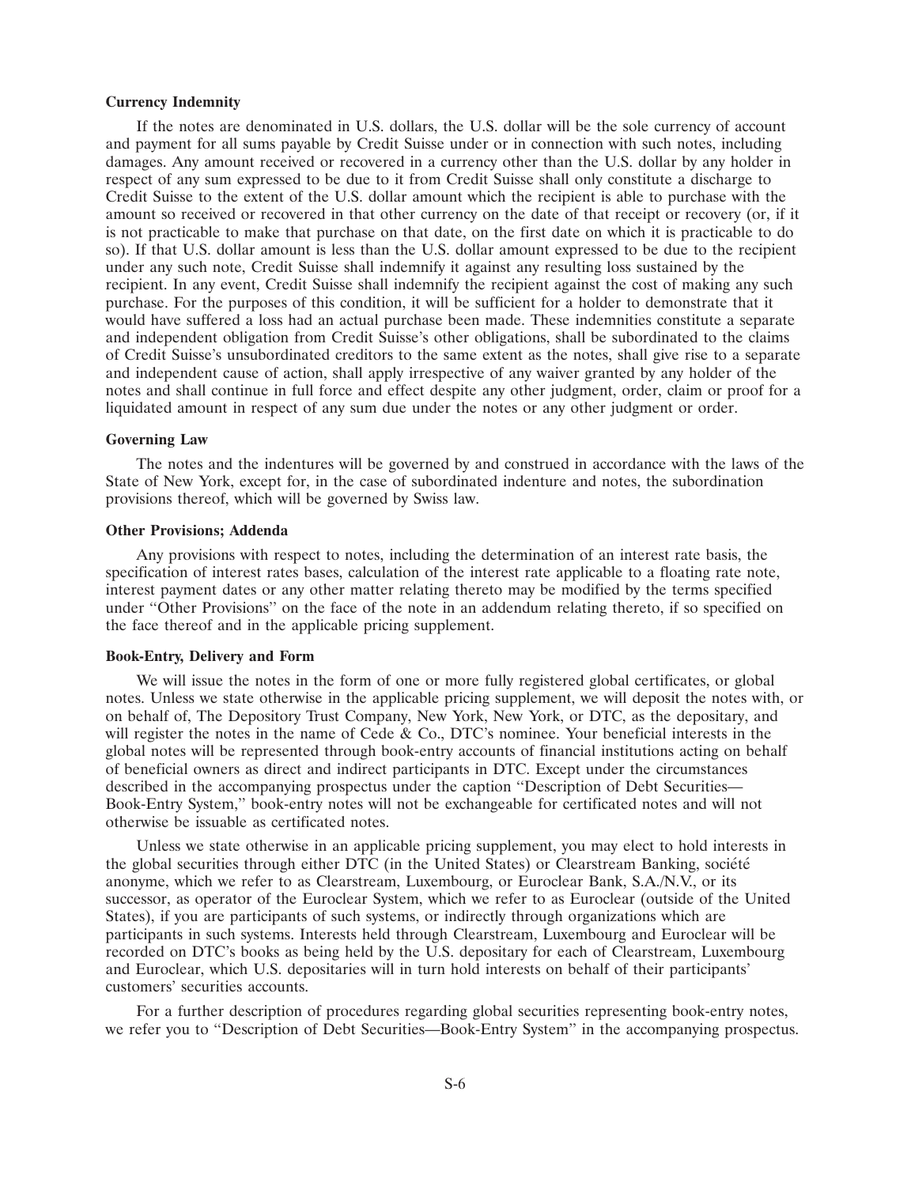#### **Currency Indemnity**

If the notes are denominated in U.S. dollars, the U.S. dollar will be the sole currency of account and payment for all sums payable by Credit Suisse under or in connection with such notes, including damages. Any amount received or recovered in a currency other than the U.S. dollar by any holder in respect of any sum expressed to be due to it from Credit Suisse shall only constitute a discharge to Credit Suisse to the extent of the U.S. dollar amount which the recipient is able to purchase with the amount so received or recovered in that other currency on the date of that receipt or recovery (or, if it is not practicable to make that purchase on that date, on the first date on which it is practicable to do so). If that U.S. dollar amount is less than the U.S. dollar amount expressed to be due to the recipient under any such note, Credit Suisse shall indemnify it against any resulting loss sustained by the recipient. In any event, Credit Suisse shall indemnify the recipient against the cost of making any such purchase. For the purposes of this condition, it will be sufficient for a holder to demonstrate that it would have suffered a loss had an actual purchase been made. These indemnities constitute a separate and independent obligation from Credit Suisse's other obligations, shall be subordinated to the claims of Credit Suisse's unsubordinated creditors to the same extent as the notes, shall give rise to a separate and independent cause of action, shall apply irrespective of any waiver granted by any holder of the notes and shall continue in full force and effect despite any other judgment, order, claim or proof for a liquidated amount in respect of any sum due under the notes or any other judgment or order.

#### **Governing Law**

The notes and the indentures will be governed by and construed in accordance with the laws of the State of New York, except for, in the case of subordinated indenture and notes, the subordination provisions thereof, which will be governed by Swiss law.

### **Other Provisions; Addenda**

Any provisions with respect to notes, including the determination of an interest rate basis, the specification of interest rates bases, calculation of the interest rate applicable to a floating rate note, interest payment dates or any other matter relating thereto may be modified by the terms specified under ''Other Provisions'' on the face of the note in an addendum relating thereto, if so specified on the face thereof and in the applicable pricing supplement.

### **Book-Entry, Delivery and Form**

We will issue the notes in the form of one or more fully registered global certificates, or global notes. Unless we state otherwise in the applicable pricing supplement, we will deposit the notes with, or on behalf of, The Depository Trust Company, New York, New York, or DTC, as the depositary, and will register the notes in the name of Cede & Co., DTC's nominee. Your beneficial interests in the global notes will be represented through book-entry accounts of financial institutions acting on behalf of beneficial owners as direct and indirect participants in DTC. Except under the circumstances described in the accompanying prospectus under the caption ''Description of Debt Securities— Book-Entry System,'' book-entry notes will not be exchangeable for certificated notes and will not otherwise be issuable as certificated notes.

Unless we state otherwise in an applicable pricing supplement, you may elect to hold interests in the global securities through either DTC (in the United States) or Clearstream Banking, société anonyme, which we refer to as Clearstream, Luxembourg, or Euroclear Bank, S.A./N.V., or its successor, as operator of the Euroclear System, which we refer to as Euroclear (outside of the United States), if you are participants of such systems, or indirectly through organizations which are participants in such systems. Interests held through Clearstream, Luxembourg and Euroclear will be recorded on DTC's books as being held by the U.S. depositary for each of Clearstream, Luxembourg and Euroclear, which U.S. depositaries will in turn hold interests on behalf of their participants' customers' securities accounts.

For a further description of procedures regarding global securities representing book-entry notes, we refer you to "Description of Debt Securities—Book-Entry System" in the accompanying prospectus.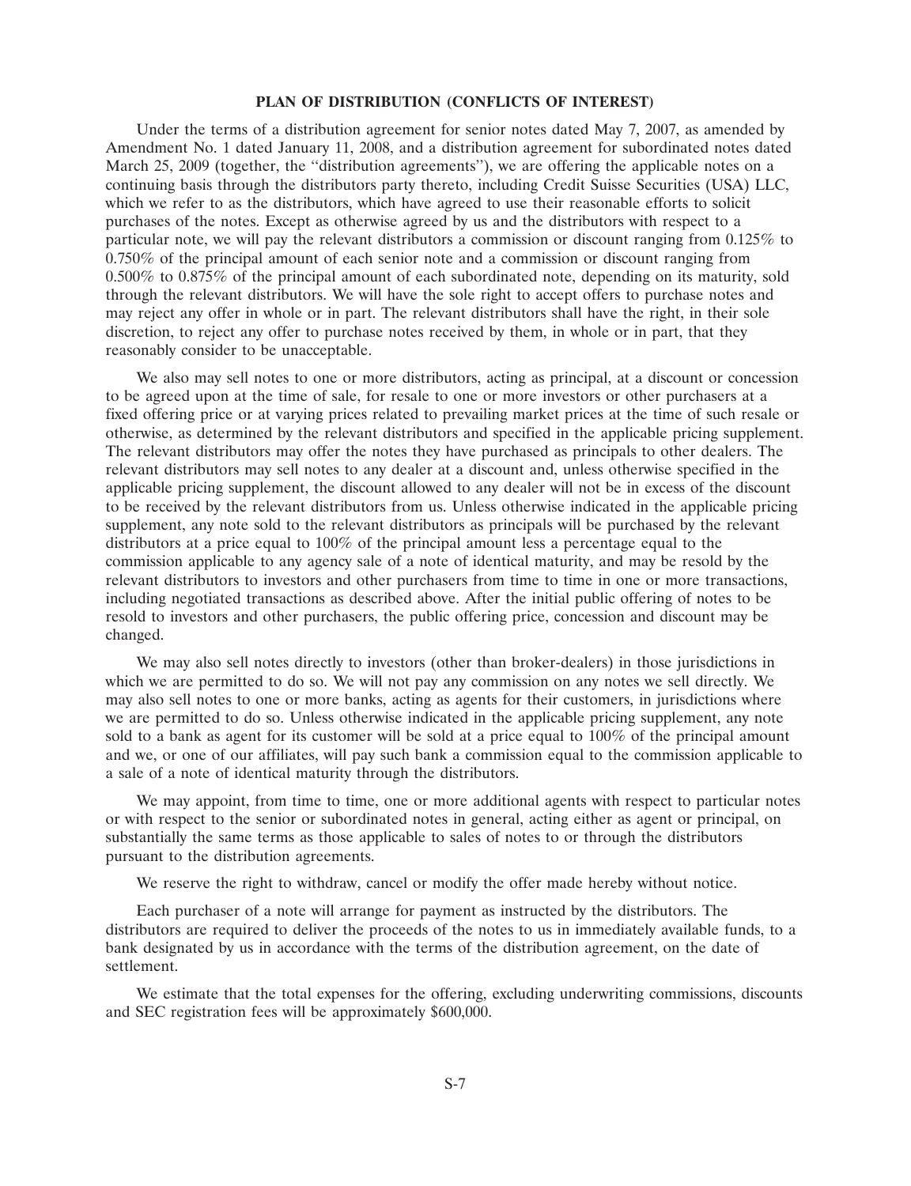#### **PLAN OF DISTRIBUTION (CONFLICTS OF INTEREST)**

Under the terms of a distribution agreement for senior notes dated May 7, 2007, as amended by Amendment No. 1 dated January 11, 2008, and a distribution agreement for subordinated notes dated March 25, 2009 (together, the ''distribution agreements''), we are offering the applicable notes on a continuing basis through the distributors party thereto, including Credit Suisse Securities (USA) LLC, which we refer to as the distributors, which have agreed to use their reasonable efforts to solicit purchases of the notes. Except as otherwise agreed by us and the distributors with respect to a particular note, we will pay the relevant distributors a commission or discount ranging from 0.125% to 0.750% of the principal amount of each senior note and a commission or discount ranging from 0.500% to 0.875% of the principal amount of each subordinated note, depending on its maturity, sold through the relevant distributors. We will have the sole right to accept offers to purchase notes and may reject any offer in whole or in part. The relevant distributors shall have the right, in their sole discretion, to reject any offer to purchase notes received by them, in whole or in part, that they reasonably consider to be unacceptable.

We also may sell notes to one or more distributors, acting as principal, at a discount or concession to be agreed upon at the time of sale, for resale to one or more investors or other purchasers at a fixed offering price or at varying prices related to prevailing market prices at the time of such resale or otherwise, as determined by the relevant distributors and specified in the applicable pricing supplement. The relevant distributors may offer the notes they have purchased as principals to other dealers. The relevant distributors may sell notes to any dealer at a discount and, unless otherwise specified in the applicable pricing supplement, the discount allowed to any dealer will not be in excess of the discount to be received by the relevant distributors from us. Unless otherwise indicated in the applicable pricing supplement, any note sold to the relevant distributors as principals will be purchased by the relevant distributors at a price equal to 100% of the principal amount less a percentage equal to the commission applicable to any agency sale of a note of identical maturity, and may be resold by the relevant distributors to investors and other purchasers from time to time in one or more transactions, including negotiated transactions as described above. After the initial public offering of notes to be resold to investors and other purchasers, the public offering price, concession and discount may be changed.

We may also sell notes directly to investors (other than broker-dealers) in those jurisdictions in which we are permitted to do so. We will not pay any commission on any notes we sell directly. We may also sell notes to one or more banks, acting as agents for their customers, in jurisdictions where we are permitted to do so. Unless otherwise indicated in the applicable pricing supplement, any note sold to a bank as agent for its customer will be sold at a price equal to 100% of the principal amount and we, or one of our affiliates, will pay such bank a commission equal to the commission applicable to a sale of a note of identical maturity through the distributors.

We may appoint, from time to time, one or more additional agents with respect to particular notes or with respect to the senior or subordinated notes in general, acting either as agent or principal, on substantially the same terms as those applicable to sales of notes to or through the distributors pursuant to the distribution agreements.

We reserve the right to withdraw, cancel or modify the offer made hereby without notice.

Each purchaser of a note will arrange for payment as instructed by the distributors. The distributors are required to deliver the proceeds of the notes to us in immediately available funds, to a bank designated by us in accordance with the terms of the distribution agreement, on the date of settlement.

We estimate that the total expenses for the offering, excluding underwriting commissions, discounts and SEC registration fees will be approximately \$600,000.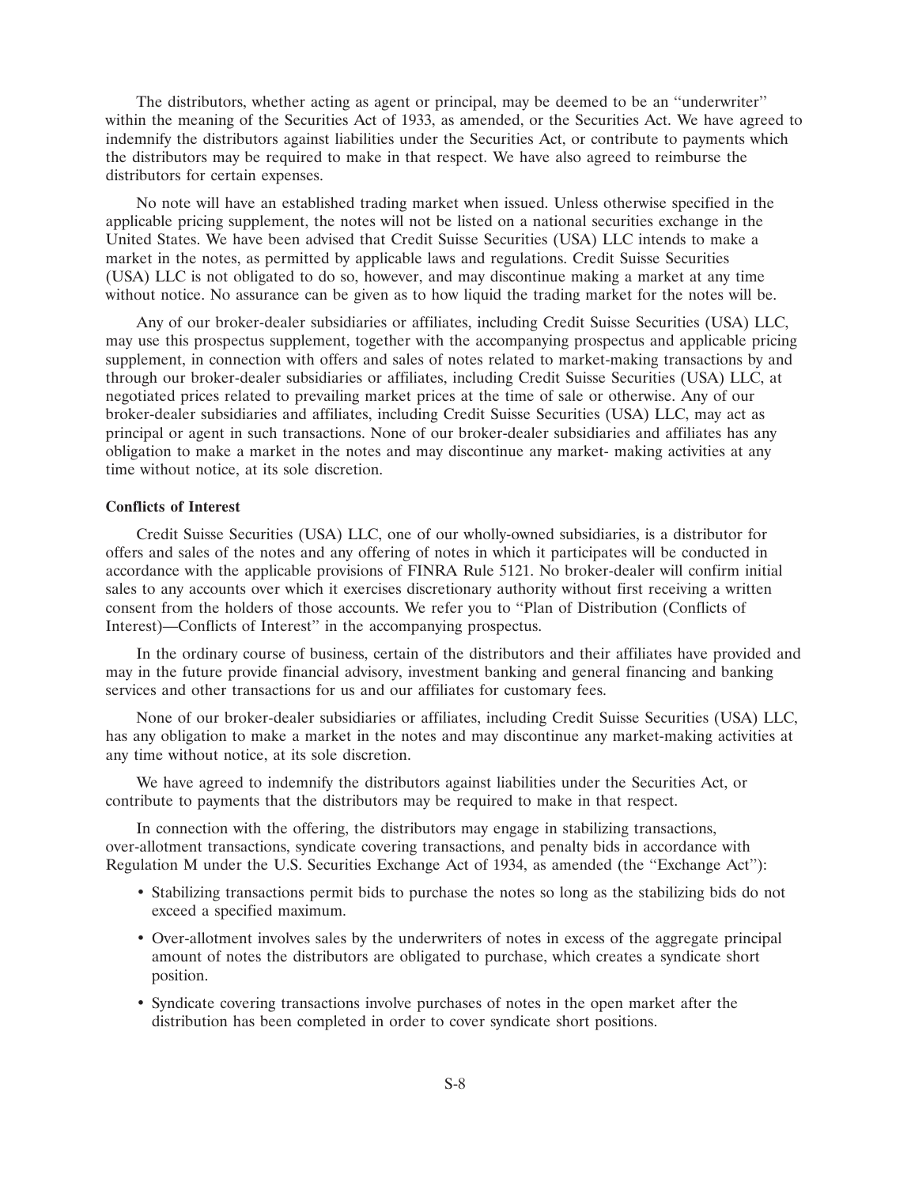The distributors, whether acting as agent or principal, may be deemed to be an ''underwriter'' within the meaning of the Securities Act of 1933, as amended, or the Securities Act. We have agreed to indemnify the distributors against liabilities under the Securities Act, or contribute to payments which the distributors may be required to make in that respect. We have also agreed to reimburse the distributors for certain expenses.

No note will have an established trading market when issued. Unless otherwise specified in the applicable pricing supplement, the notes will not be listed on a national securities exchange in the United States. We have been advised that Credit Suisse Securities (USA) LLC intends to make a market in the notes, as permitted by applicable laws and regulations. Credit Suisse Securities (USA) LLC is not obligated to do so, however, and may discontinue making a market at any time without notice. No assurance can be given as to how liquid the trading market for the notes will be.

Any of our broker-dealer subsidiaries or affiliates, including Credit Suisse Securities (USA) LLC, may use this prospectus supplement, together with the accompanying prospectus and applicable pricing supplement, in connection with offers and sales of notes related to market-making transactions by and through our broker-dealer subsidiaries or affiliates, including Credit Suisse Securities (USA) LLC, at negotiated prices related to prevailing market prices at the time of sale or otherwise. Any of our broker-dealer subsidiaries and affiliates, including Credit Suisse Securities (USA) LLC, may act as principal or agent in such transactions. None of our broker-dealer subsidiaries and affiliates has any obligation to make a market in the notes and may discontinue any market- making activities at any time without notice, at its sole discretion.

#### **Conflicts of Interest**

Credit Suisse Securities (USA) LLC, one of our wholly-owned subsidiaries, is a distributor for offers and sales of the notes and any offering of notes in which it participates will be conducted in accordance with the applicable provisions of FINRA Rule 5121. No broker-dealer will confirm initial sales to any accounts over which it exercises discretionary authority without first receiving a written consent from the holders of those accounts. We refer you to ''Plan of Distribution (Conflicts of Interest)—Conflicts of Interest'' in the accompanying prospectus.

In the ordinary course of business, certain of the distributors and their affiliates have provided and may in the future provide financial advisory, investment banking and general financing and banking services and other transactions for us and our affiliates for customary fees.

None of our broker-dealer subsidiaries or affiliates, including Credit Suisse Securities (USA) LLC, has any obligation to make a market in the notes and may discontinue any market-making activities at any time without notice, at its sole discretion.

We have agreed to indemnify the distributors against liabilities under the Securities Act, or contribute to payments that the distributors may be required to make in that respect.

In connection with the offering, the distributors may engage in stabilizing transactions, over-allotment transactions, syndicate covering transactions, and penalty bids in accordance with Regulation M under the U.S. Securities Exchange Act of 1934, as amended (the ''Exchange Act''):

- Stabilizing transactions permit bids to purchase the notes so long as the stabilizing bids do not exceed a specified maximum.
- Over-allotment involves sales by the underwriters of notes in excess of the aggregate principal amount of notes the distributors are obligated to purchase, which creates a syndicate short position.
- Syndicate covering transactions involve purchases of notes in the open market after the distribution has been completed in order to cover syndicate short positions.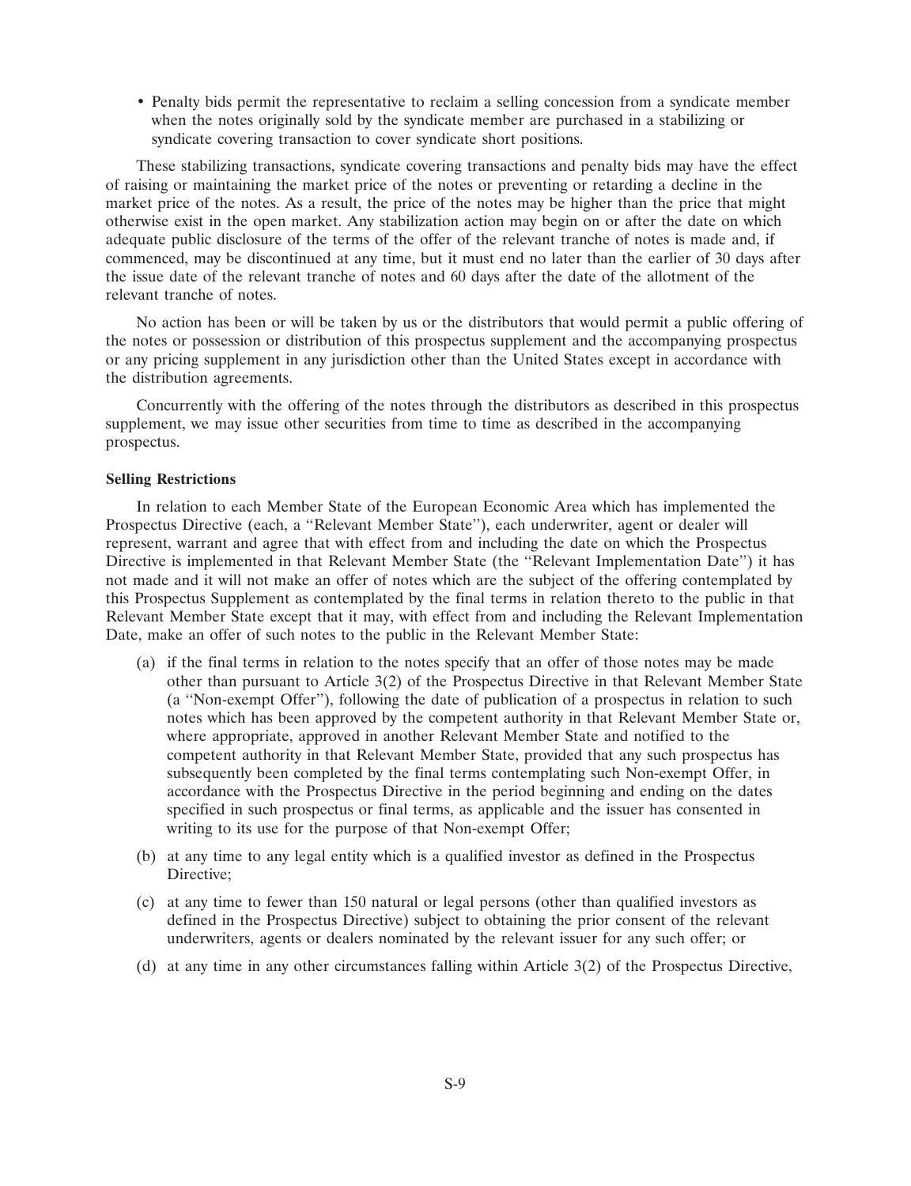• Penalty bids permit the representative to reclaim a selling concession from a syndicate member when the notes originally sold by the syndicate member are purchased in a stabilizing or syndicate covering transaction to cover syndicate short positions.

These stabilizing transactions, syndicate covering transactions and penalty bids may have the effect of raising or maintaining the market price of the notes or preventing or retarding a decline in the market price of the notes. As a result, the price of the notes may be higher than the price that might otherwise exist in the open market. Any stabilization action may begin on or after the date on which adequate public disclosure of the terms of the offer of the relevant tranche of notes is made and, if commenced, may be discontinued at any time, but it must end no later than the earlier of 30 days after the issue date of the relevant tranche of notes and 60 days after the date of the allotment of the relevant tranche of notes.

No action has been or will be taken by us or the distributors that would permit a public offering of the notes or possession or distribution of this prospectus supplement and the accompanying prospectus or any pricing supplement in any jurisdiction other than the United States except in accordance with the distribution agreements.

Concurrently with the offering of the notes through the distributors as described in this prospectus supplement, we may issue other securities from time to time as described in the accompanying prospectus.

### **Selling Restrictions**

In relation to each Member State of the European Economic Area which has implemented the Prospectus Directive (each, a ''Relevant Member State''), each underwriter, agent or dealer will represent, warrant and agree that with effect from and including the date on which the Prospectus Directive is implemented in that Relevant Member State (the "Relevant Implementation Date") it has not made and it will not make an offer of notes which are the subject of the offering contemplated by this Prospectus Supplement as contemplated by the final terms in relation thereto to the public in that Relevant Member State except that it may, with effect from and including the Relevant Implementation Date, make an offer of such notes to the public in the Relevant Member State:

- (a) if the final terms in relation to the notes specify that an offer of those notes may be made other than pursuant to Article 3(2) of the Prospectus Directive in that Relevant Member State (a ''Non-exempt Offer''), following the date of publication of a prospectus in relation to such notes which has been approved by the competent authority in that Relevant Member State or, where appropriate, approved in another Relevant Member State and notified to the competent authority in that Relevant Member State, provided that any such prospectus has subsequently been completed by the final terms contemplating such Non-exempt Offer, in accordance with the Prospectus Directive in the period beginning and ending on the dates specified in such prospectus or final terms, as applicable and the issuer has consented in writing to its use for the purpose of that Non-exempt Offer;
- (b) at any time to any legal entity which is a qualified investor as defined in the Prospectus Directive;
- (c) at any time to fewer than 150 natural or legal persons (other than qualified investors as defined in the Prospectus Directive) subject to obtaining the prior consent of the relevant underwriters, agents or dealers nominated by the relevant issuer for any such offer; or
- (d) at any time in any other circumstances falling within Article 3(2) of the Prospectus Directive,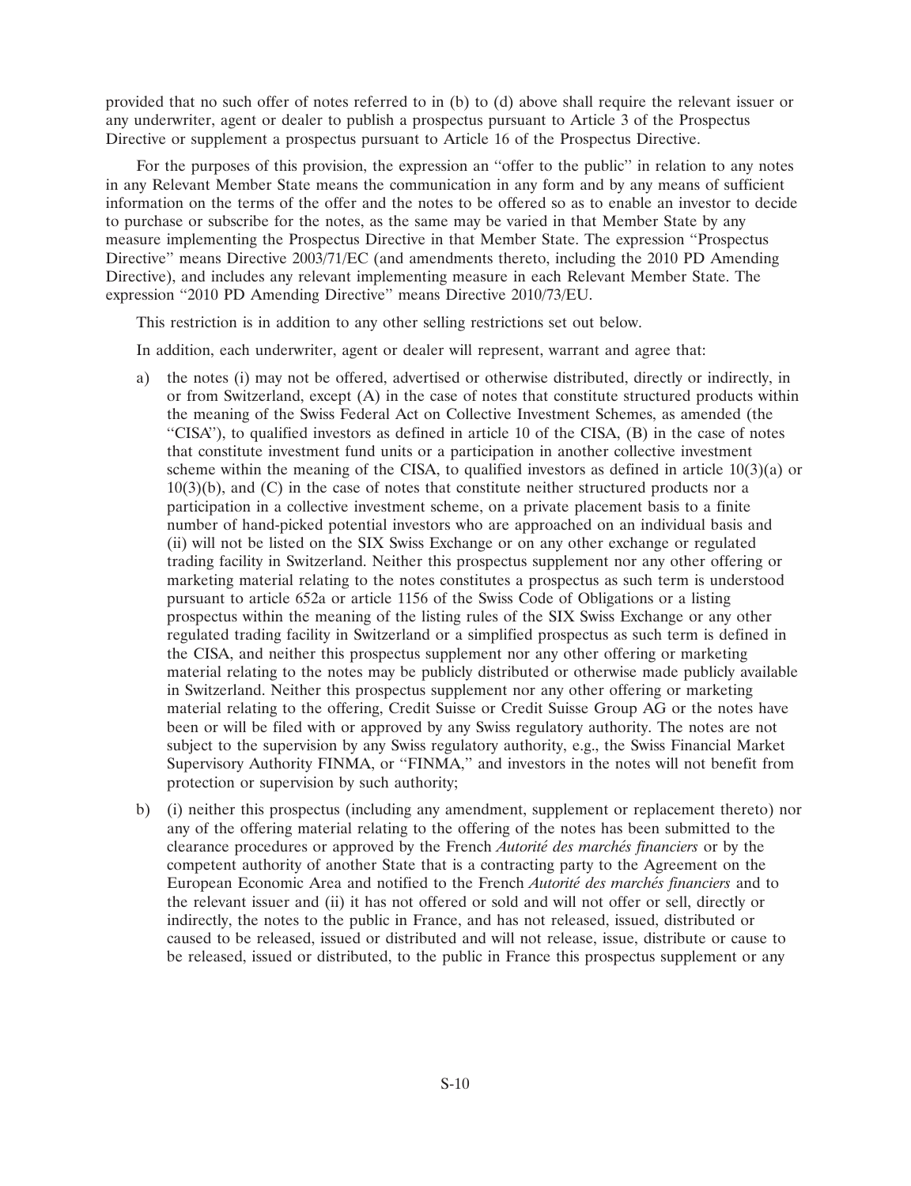provided that no such offer of notes referred to in (b) to (d) above shall require the relevant issuer or any underwriter, agent or dealer to publish a prospectus pursuant to Article 3 of the Prospectus Directive or supplement a prospectus pursuant to Article 16 of the Prospectus Directive.

For the purposes of this provision, the expression an ''offer to the public'' in relation to any notes in any Relevant Member State means the communication in any form and by any means of sufficient information on the terms of the offer and the notes to be offered so as to enable an investor to decide to purchase or subscribe for the notes, as the same may be varied in that Member State by any measure implementing the Prospectus Directive in that Member State. The expression ''Prospectus Directive'' means Directive 2003/71/EC (and amendments thereto, including the 2010 PD Amending Directive), and includes any relevant implementing measure in each Relevant Member State. The expression ''2010 PD Amending Directive'' means Directive 2010/73/EU.

This restriction is in addition to any other selling restrictions set out below.

In addition, each underwriter, agent or dealer will represent, warrant and agree that:

- a) the notes (i) may not be offered, advertised or otherwise distributed, directly or indirectly, in or from Switzerland, except (A) in the case of notes that constitute structured products within the meaning of the Swiss Federal Act on Collective Investment Schemes, as amended (the ''CISA''), to qualified investors as defined in article 10 of the CISA, (B) in the case of notes that constitute investment fund units or a participation in another collective investment scheme within the meaning of the CISA, to qualified investors as defined in article 10(3)(a) or 10(3)(b), and (C) in the case of notes that constitute neither structured products nor a participation in a collective investment scheme, on a private placement basis to a finite number of hand-picked potential investors who are approached on an individual basis and (ii) will not be listed on the SIX Swiss Exchange or on any other exchange or regulated trading facility in Switzerland. Neither this prospectus supplement nor any other offering or marketing material relating to the notes constitutes a prospectus as such term is understood pursuant to article 652a or article 1156 of the Swiss Code of Obligations or a listing prospectus within the meaning of the listing rules of the SIX Swiss Exchange or any other regulated trading facility in Switzerland or a simplified prospectus as such term is defined in the CISA, and neither this prospectus supplement nor any other offering or marketing material relating to the notes may be publicly distributed or otherwise made publicly available in Switzerland. Neither this prospectus supplement nor any other offering or marketing material relating to the offering, Credit Suisse or Credit Suisse Group AG or the notes have been or will be filed with or approved by any Swiss regulatory authority. The notes are not subject to the supervision by any Swiss regulatory authority, e.g., the Swiss Financial Market Supervisory Authority FINMA, or "FINMA," and investors in the notes will not benefit from protection or supervision by such authority;
- b) (i) neither this prospectus (including any amendment, supplement or replacement thereto) nor any of the offering material relating to the offering of the notes has been submitted to the clearance procedures or approved by the French *Autorité des marchés financiers* or by the competent authority of another State that is a contracting party to the Agreement on the European Economic Area and notified to the French *Autorité des marchés financiers* and to the relevant issuer and (ii) it has not offered or sold and will not offer or sell, directly or indirectly, the notes to the public in France, and has not released, issued, distributed or caused to be released, issued or distributed and will not release, issue, distribute or cause to be released, issued or distributed, to the public in France this prospectus supplement or any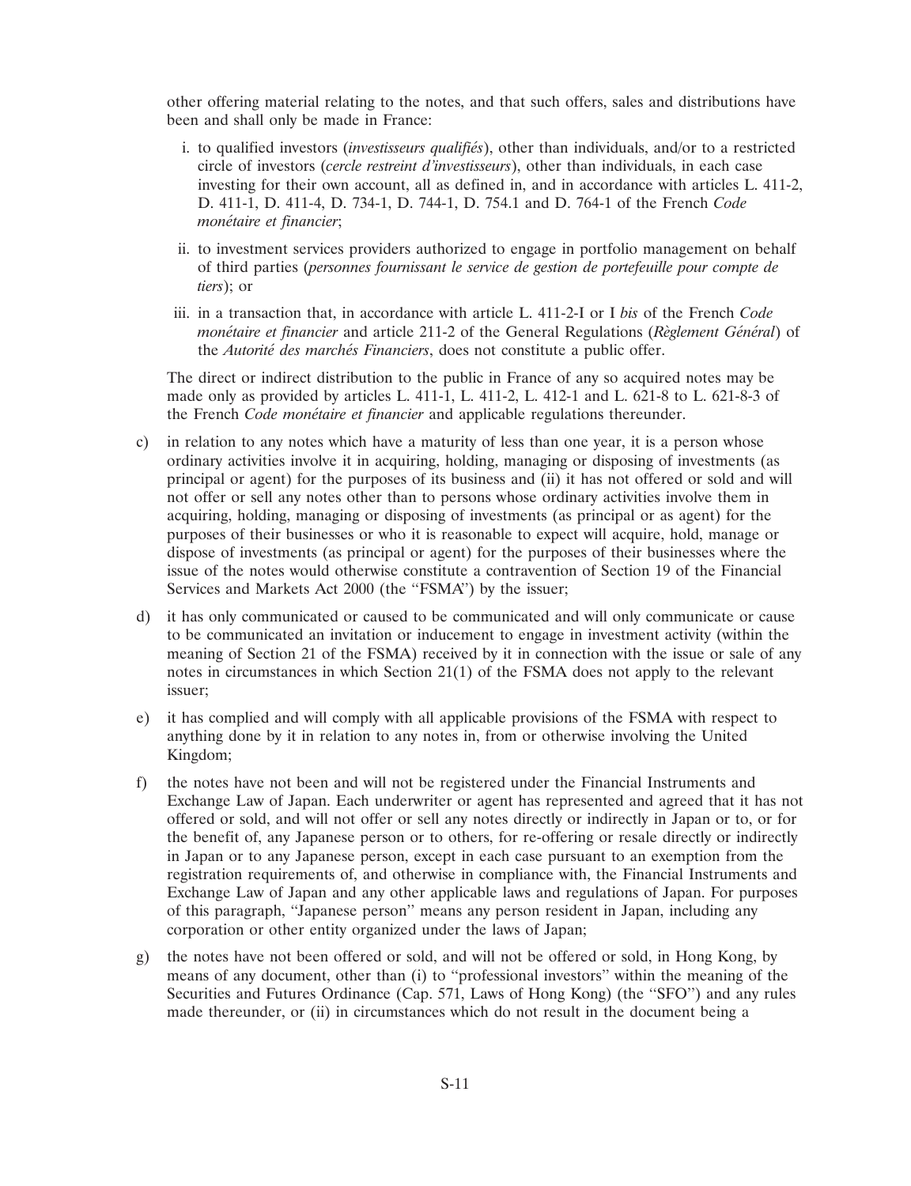other offering material relating to the notes, and that such offers, sales and distributions have been and shall only be made in France:

- i. to qualified investors *(investisseurs qualifiés*), other than individuals, and/or to a restricted circle of investors (*cercle restreint d'investisseurs*), other than individuals, in each case investing for their own account, all as defined in, and in accordance with articles L. 411-2, D. 411-1, D. 411-4, D. 734-1, D. 744-1, D. 754.1 and D. 764-1 of the French *Code mon´etaire et financier*;
- ii. to investment services providers authorized to engage in portfolio management on behalf of third parties (*personnes fournissant le service de gestion de portefeuille pour compte de tiers*); or
- iii. in a transaction that, in accordance with article L. 411-2-I or I *bis* of the French *Code monétaire et financier* and article 211-2 of the General Regulations (*Règlement Général*) of the *Autorité des marchés Financiers*, does not constitute a public offer.

The direct or indirect distribution to the public in France of any so acquired notes may be made only as provided by articles L.  $411-1$ , L.  $411-2$ , L.  $412-1$  and L.  $621-8$  to L.  $621-8-3$  of the French *Code monétaire et financier* and applicable regulations thereunder.

- c) in relation to any notes which have a maturity of less than one year, it is a person whose ordinary activities involve it in acquiring, holding, managing or disposing of investments (as principal or agent) for the purposes of its business and (ii) it has not offered or sold and will not offer or sell any notes other than to persons whose ordinary activities involve them in acquiring, holding, managing or disposing of investments (as principal or as agent) for the purposes of their businesses or who it is reasonable to expect will acquire, hold, manage or dispose of investments (as principal or agent) for the purposes of their businesses where the issue of the notes would otherwise constitute a contravention of Section 19 of the Financial Services and Markets Act 2000 (the "FSMA") by the issuer;
- d) it has only communicated or caused to be communicated and will only communicate or cause to be communicated an invitation or inducement to engage in investment activity (within the meaning of Section 21 of the FSMA) received by it in connection with the issue or sale of any notes in circumstances in which Section 21(1) of the FSMA does not apply to the relevant issuer;
- e) it has complied and will comply with all applicable provisions of the FSMA with respect to anything done by it in relation to any notes in, from or otherwise involving the United Kingdom;
- f) the notes have not been and will not be registered under the Financial Instruments and Exchange Law of Japan. Each underwriter or agent has represented and agreed that it has not offered or sold, and will not offer or sell any notes directly or indirectly in Japan or to, or for the benefit of, any Japanese person or to others, for re-offering or resale directly or indirectly in Japan or to any Japanese person, except in each case pursuant to an exemption from the registration requirements of, and otherwise in compliance with, the Financial Instruments and Exchange Law of Japan and any other applicable laws and regulations of Japan. For purposes of this paragraph, ''Japanese person'' means any person resident in Japan, including any corporation or other entity organized under the laws of Japan;
- g) the notes have not been offered or sold, and will not be offered or sold, in Hong Kong, by means of any document, other than (i) to ''professional investors'' within the meaning of the Securities and Futures Ordinance (Cap. 571, Laws of Hong Kong) (the "SFO") and any rules made thereunder, or (ii) in circumstances which do not result in the document being a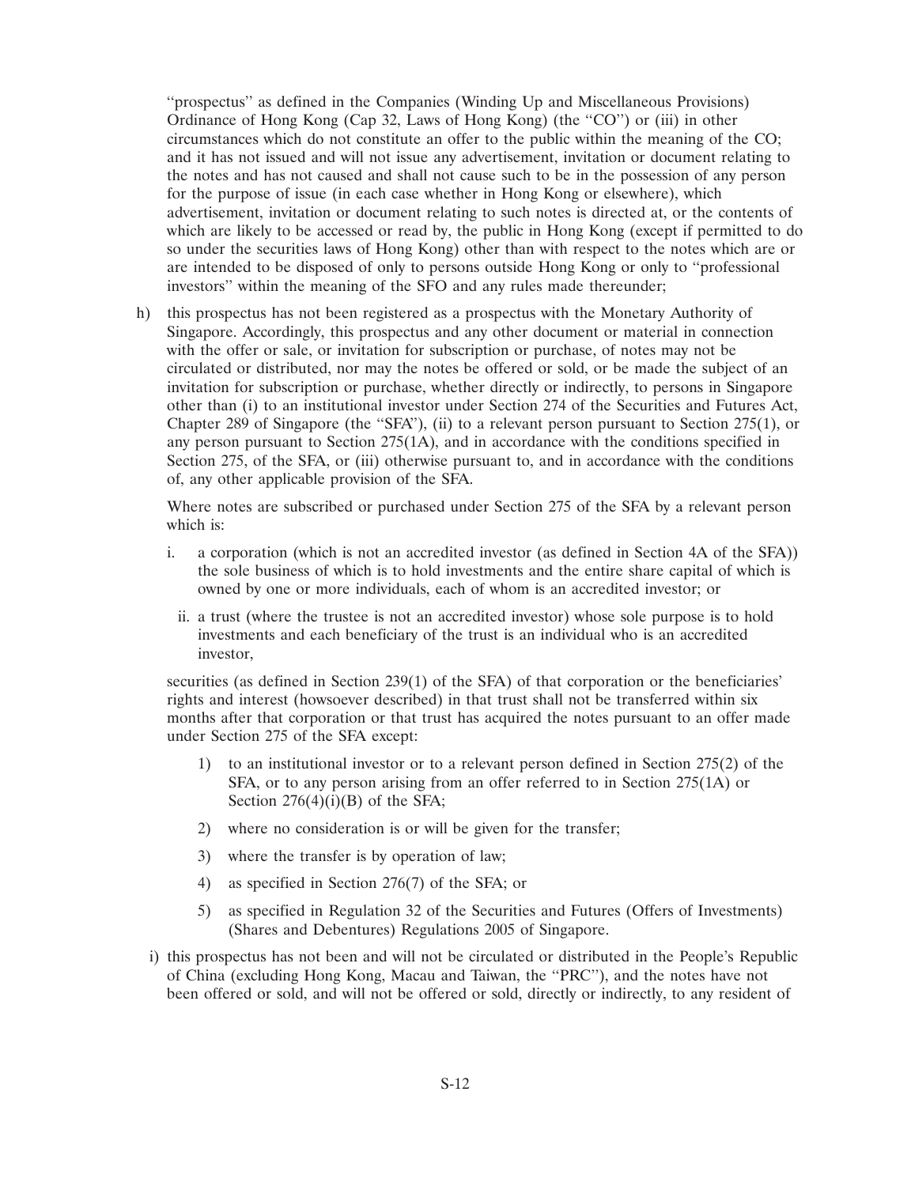''prospectus'' as defined in the Companies (Winding Up and Miscellaneous Provisions) Ordinance of Hong Kong (Cap 32, Laws of Hong Kong) (the ''CO'') or (iii) in other circumstances which do not constitute an offer to the public within the meaning of the CO; and it has not issued and will not issue any advertisement, invitation or document relating to the notes and has not caused and shall not cause such to be in the possession of any person for the purpose of issue (in each case whether in Hong Kong or elsewhere), which advertisement, invitation or document relating to such notes is directed at, or the contents of which are likely to be accessed or read by, the public in Hong Kong (except if permitted to do so under the securities laws of Hong Kong) other than with respect to the notes which are or are intended to be disposed of only to persons outside Hong Kong or only to ''professional investors'' within the meaning of the SFO and any rules made thereunder;

h) this prospectus has not been registered as a prospectus with the Monetary Authority of Singapore. Accordingly, this prospectus and any other document or material in connection with the offer or sale, or invitation for subscription or purchase, of notes may not be circulated or distributed, nor may the notes be offered or sold, or be made the subject of an invitation for subscription or purchase, whether directly or indirectly, to persons in Singapore other than (i) to an institutional investor under Section 274 of the Securities and Futures Act, Chapter 289 of Singapore (the ''SFA''), (ii) to a relevant person pursuant to Section 275(1), or any person pursuant to Section 275(1A), and in accordance with the conditions specified in Section 275, of the SFA, or (iii) otherwise pursuant to, and in accordance with the conditions of, any other applicable provision of the SFA.

Where notes are subscribed or purchased under Section 275 of the SFA by a relevant person which is:

- i. a corporation (which is not an accredited investor (as defined in Section 4A of the SFA)) the sole business of which is to hold investments and the entire share capital of which is owned by one or more individuals, each of whom is an accredited investor; or
	- ii. a trust (where the trustee is not an accredited investor) whose sole purpose is to hold investments and each beneficiary of the trust is an individual who is an accredited investor,

securities (as defined in Section 239(1) of the SFA) of that corporation or the beneficiaries' rights and interest (howsoever described) in that trust shall not be transferred within six months after that corporation or that trust has acquired the notes pursuant to an offer made under Section 275 of the SFA except:

- 1) to an institutional investor or to a relevant person defined in Section 275(2) of the SFA, or to any person arising from an offer referred to in Section 275(1A) or Section  $276(4)(i)(B)$  of the SFA;
- 2) where no consideration is or will be given for the transfer;
- 3) where the transfer is by operation of law;
- 4) as specified in Section 276(7) of the SFA; or
- 5) as specified in Regulation 32 of the Securities and Futures (Offers of Investments) (Shares and Debentures) Regulations 2005 of Singapore.
- i) this prospectus has not been and will not be circulated or distributed in the People's Republic of China (excluding Hong Kong, Macau and Taiwan, the ''PRC''), and the notes have not been offered or sold, and will not be offered or sold, directly or indirectly, to any resident of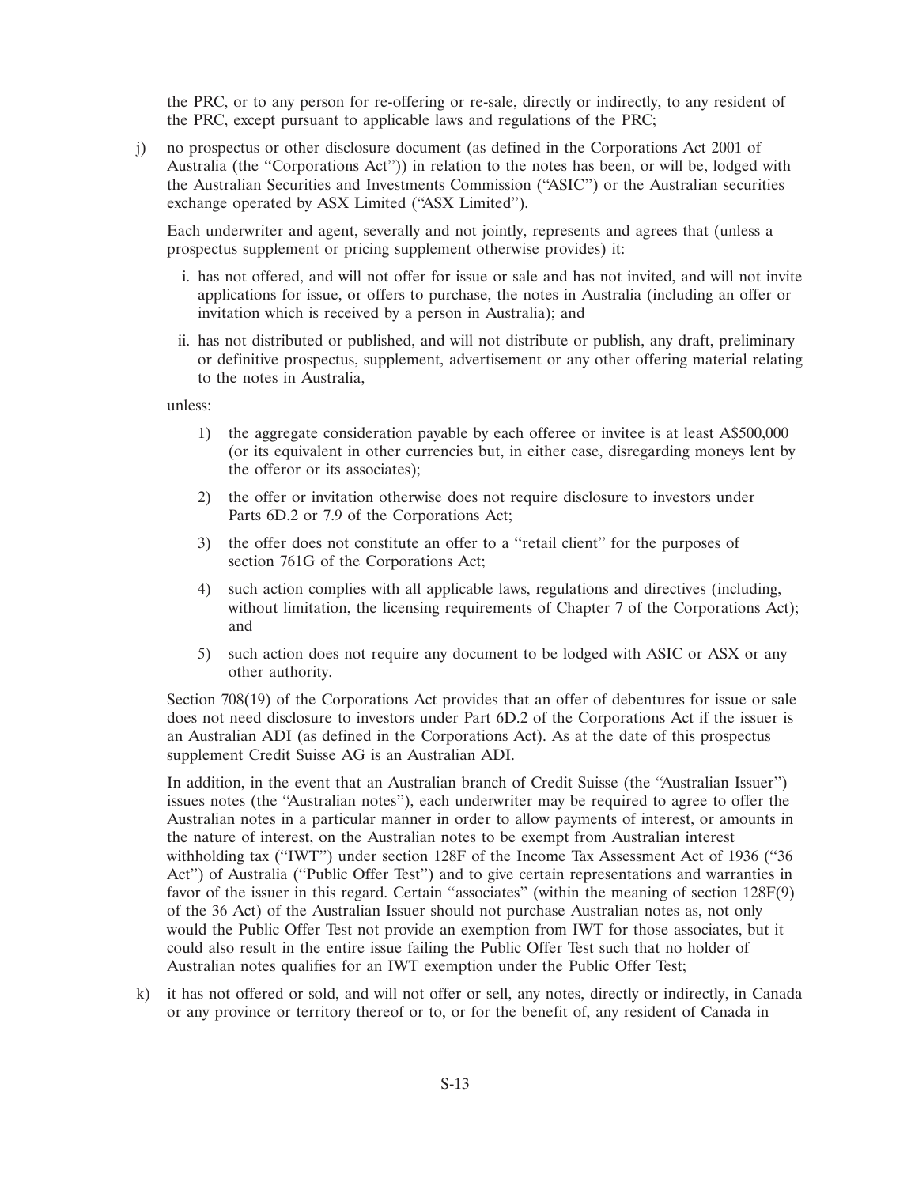the PRC, or to any person for re-offering or re-sale, directly or indirectly, to any resident of the PRC, except pursuant to applicable laws and regulations of the PRC;

j) no prospectus or other disclosure document (as defined in the Corporations Act 2001 of Australia (the ''Corporations Act'')) in relation to the notes has been, or will be, lodged with the Australian Securities and Investments Commission (''ASIC'') or the Australian securities exchange operated by ASX Limited ("ASX Limited").

Each underwriter and agent, severally and not jointly, represents and agrees that (unless a prospectus supplement or pricing supplement otherwise provides) it:

- i. has not offered, and will not offer for issue or sale and has not invited, and will not invite applications for issue, or offers to purchase, the notes in Australia (including an offer or invitation which is received by a person in Australia); and
- ii. has not distributed or published, and will not distribute or publish, any draft, preliminary or definitive prospectus, supplement, advertisement or any other offering material relating to the notes in Australia,

unless:

- 1) the aggregate consideration payable by each offeree or invitee is at least A\$500,000 (or its equivalent in other currencies but, in either case, disregarding moneys lent by the offeror or its associates);
- 2) the offer or invitation otherwise does not require disclosure to investors under Parts 6D.2 or 7.9 of the Corporations Act;
- 3) the offer does not constitute an offer to a ''retail client'' for the purposes of section 761G of the Corporations Act;
- 4) such action complies with all applicable laws, regulations and directives (including, without limitation, the licensing requirements of Chapter 7 of the Corporations Act); and
- 5) such action does not require any document to be lodged with ASIC or ASX or any other authority.

Section 708(19) of the Corporations Act provides that an offer of debentures for issue or sale does not need disclosure to investors under Part 6D.2 of the Corporations Act if the issuer is an Australian ADI (as defined in the Corporations Act). As at the date of this prospectus supplement Credit Suisse AG is an Australian ADI.

In addition, in the event that an Australian branch of Credit Suisse (the ''Australian Issuer'') issues notes (the ''Australian notes''), each underwriter may be required to agree to offer the Australian notes in a particular manner in order to allow payments of interest, or amounts in the nature of interest, on the Australian notes to be exempt from Australian interest withholding tax (''IWT'') under section 128F of the Income Tax Assessment Act of 1936 (''36 Act'') of Australia (''Public Offer Test'') and to give certain representations and warranties in favor of the issuer in this regard. Certain "associates" (within the meaning of section 128F(9) of the 36 Act) of the Australian Issuer should not purchase Australian notes as, not only would the Public Offer Test not provide an exemption from IWT for those associates, but it could also result in the entire issue failing the Public Offer Test such that no holder of Australian notes qualifies for an IWT exemption under the Public Offer Test;

k) it has not offered or sold, and will not offer or sell, any notes, directly or indirectly, in Canada or any province or territory thereof or to, or for the benefit of, any resident of Canada in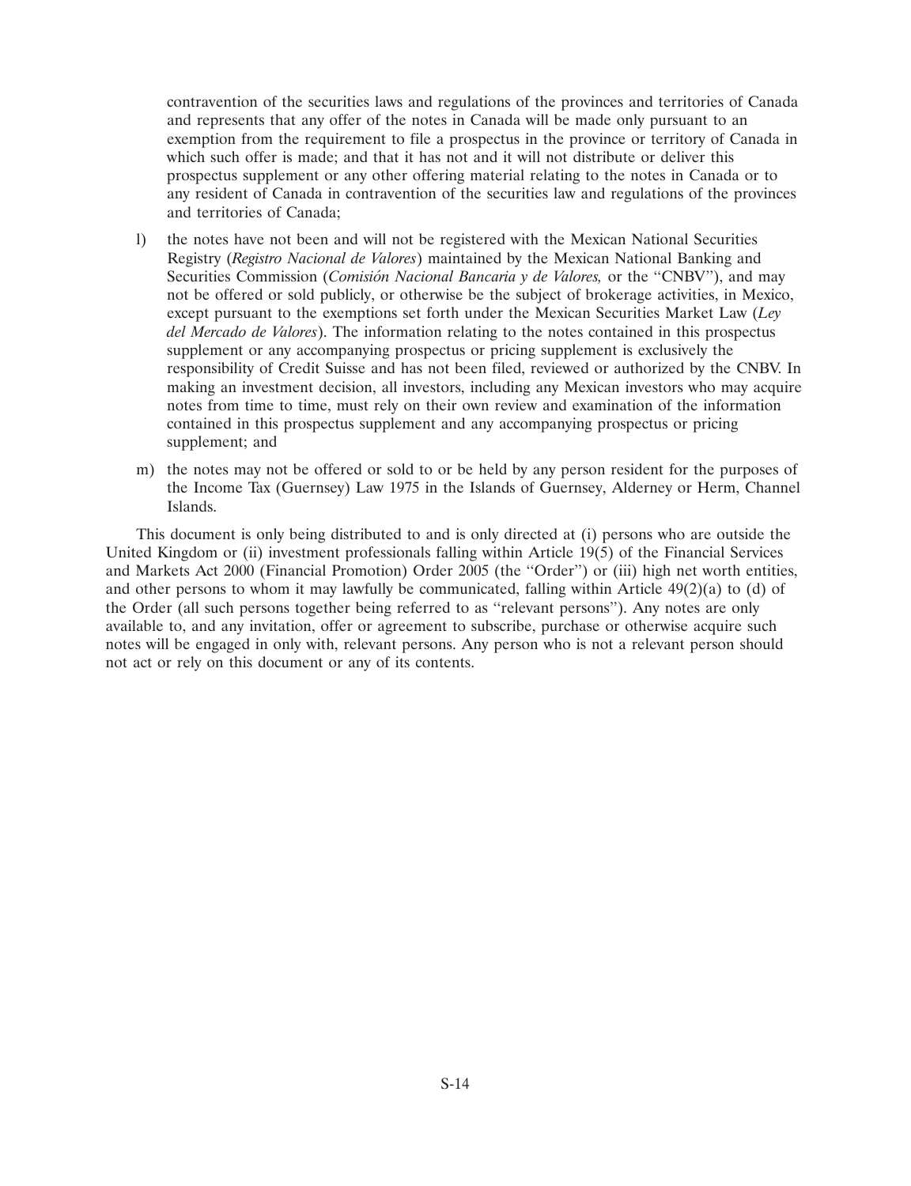contravention of the securities laws and regulations of the provinces and territories of Canada and represents that any offer of the notes in Canada will be made only pursuant to an exemption from the requirement to file a prospectus in the province or territory of Canada in which such offer is made; and that it has not and it will not distribute or deliver this prospectus supplement or any other offering material relating to the notes in Canada or to any resident of Canada in contravention of the securities law and regulations of the provinces and territories of Canada;

- l) the notes have not been and will not be registered with the Mexican National Securities Registry (*Registro Nacional de Valores*) maintained by the Mexican National Banking and Securities Commission (*Comisión Nacional Bancaria y de Valores*, or the "CNBV"), and may not be offered or sold publicly, or otherwise be the subject of brokerage activities, in Mexico, except pursuant to the exemptions set forth under the Mexican Securities Market Law (*Ley del Mercado de Valores*). The information relating to the notes contained in this prospectus supplement or any accompanying prospectus or pricing supplement is exclusively the responsibility of Credit Suisse and has not been filed, reviewed or authorized by the CNBV. In making an investment decision, all investors, including any Mexican investors who may acquire notes from time to time, must rely on their own review and examination of the information contained in this prospectus supplement and any accompanying prospectus or pricing supplement; and
- m) the notes may not be offered or sold to or be held by any person resident for the purposes of the Income Tax (Guernsey) Law 1975 in the Islands of Guernsey, Alderney or Herm, Channel Islands.

This document is only being distributed to and is only directed at (i) persons who are outside the United Kingdom or (ii) investment professionals falling within Article 19(5) of the Financial Services and Markets Act 2000 (Financial Promotion) Order 2005 (the ''Order'') or (iii) high net worth entities, and other persons to whom it may lawfully be communicated, falling within Article 49(2)(a) to (d) of the Order (all such persons together being referred to as ''relevant persons''). Any notes are only available to, and any invitation, offer or agreement to subscribe, purchase or otherwise acquire such notes will be engaged in only with, relevant persons. Any person who is not a relevant person should not act or rely on this document or any of its contents.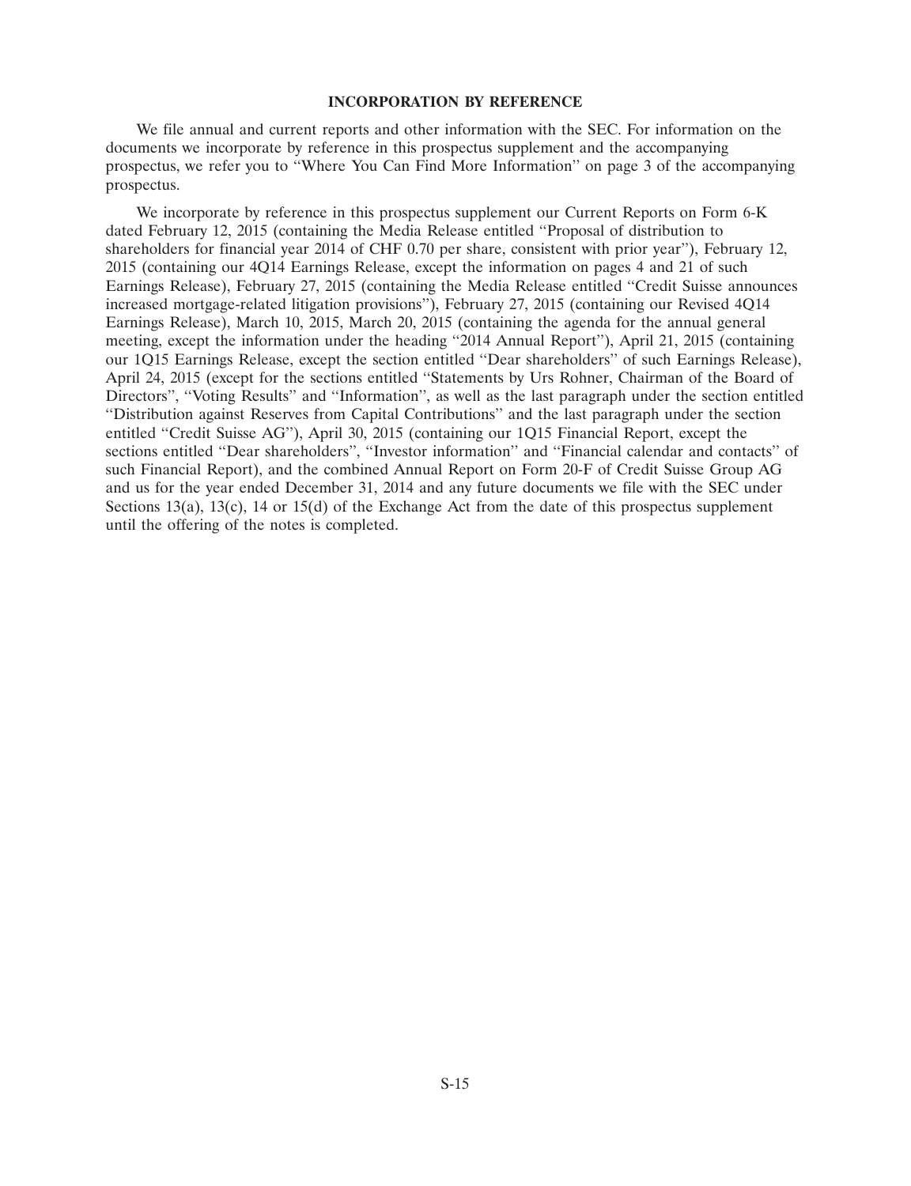#### **INCORPORATION BY REFERENCE**

We file annual and current reports and other information with the SEC. For information on the documents we incorporate by reference in this prospectus supplement and the accompanying prospectus, we refer you to ''Where You Can Find More Information'' on page 3 of the accompanying prospectus.

We incorporate by reference in this prospectus supplement our Current Reports on Form 6-K dated February 12, 2015 (containing the Media Release entitled ''Proposal of distribution to shareholders for financial year 2014 of CHF 0.70 per share, consistent with prior year''), February 12, 2015 (containing our 4Q14 Earnings Release, except the information on pages 4 and 21 of such Earnings Release), February 27, 2015 (containing the Media Release entitled ''Credit Suisse announces increased mortgage-related litigation provisions''), February 27, 2015 (containing our Revised 4Q14 Earnings Release), March 10, 2015, March 20, 2015 (containing the agenda for the annual general meeting, except the information under the heading ''2014 Annual Report''), April 21, 2015 (containing our 1Q15 Earnings Release, except the section entitled ''Dear shareholders'' of such Earnings Release), April 24, 2015 (except for the sections entitled ''Statements by Urs Rohner, Chairman of the Board of Directors", "Voting Results" and "Information", as well as the last paragraph under the section entitled ''Distribution against Reserves from Capital Contributions'' and the last paragraph under the section entitled "Credit Suisse AG"), April 30, 2015 (containing our 1O15 Financial Report, except the sections entitled "Dear shareholders", "Investor information" and "Financial calendar and contacts" of such Financial Report), and the combined Annual Report on Form 20-F of Credit Suisse Group AG and us for the year ended December 31, 2014 and any future documents we file with the SEC under Sections 13(a), 13(c), 14 or 15(d) of the Exchange Act from the date of this prospectus supplement until the offering of the notes is completed.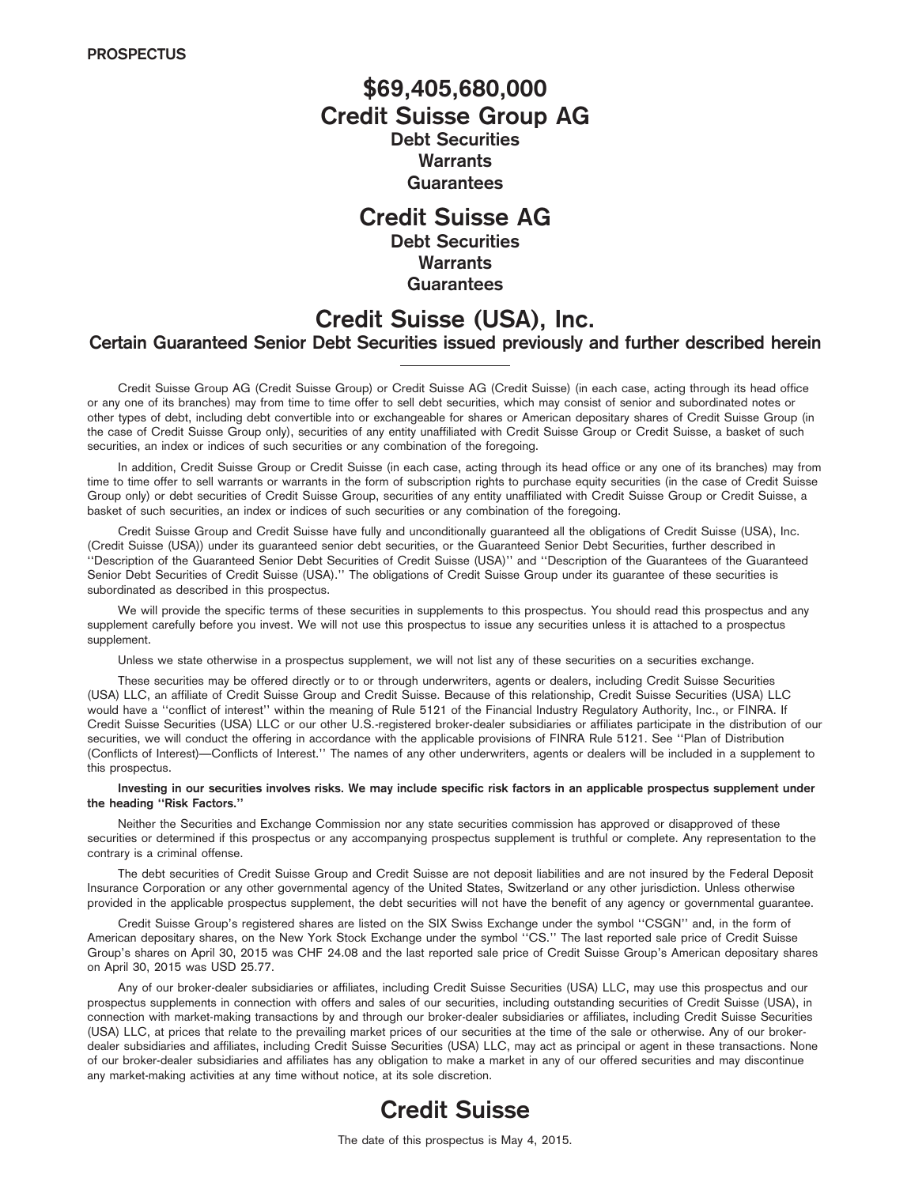# **\$69,405,680,000 Credit Suisse Group AG Debt Securities Warrants Guarantees**

# **Credit Suisse AG Debt Securities Warrants Guarantees**

# **Credit Suisse (USA), Inc.**

**Certain Guaranteed Senior Debt Securities issued previously and further described herein**

Credit Suisse Group AG (Credit Suisse Group) or Credit Suisse AG (Credit Suisse) (in each case, acting through its head office or any one of its branches) may from time to time offer to sell debt securities, which may consist of senior and subordinated notes or other types of debt, including debt convertible into or exchangeable for shares or American depositary shares of Credit Suisse Group (in the case of Credit Suisse Group only), securities of any entity unaffiliated with Credit Suisse Group or Credit Suisse, a basket of such securities, an index or indices of such securities or any combination of the foregoing.

In addition, Credit Suisse Group or Credit Suisse (in each case, acting through its head office or any one of its branches) may from time to time offer to sell warrants or warrants in the form of subscription rights to purchase equity securities (in the case of Credit Suisse Group only) or debt securities of Credit Suisse Group, securities of any entity unaffiliated with Credit Suisse Group or Credit Suisse, a basket of such securities, an index or indices of such securities or any combination of the foregoing.

Credit Suisse Group and Credit Suisse have fully and unconditionally guaranteed all the obligations of Credit Suisse (USA), Inc. (Credit Suisse (USA)) under its guaranteed senior debt securities, or the Guaranteed Senior Debt Securities, further described in ''Description of the Guaranteed Senior Debt Securities of Credit Suisse (USA)'' and ''Description of the Guarantees of the Guaranteed Senior Debt Securities of Credit Suisse (USA)." The obligations of Credit Suisse Group under its guarantee of these securities is subordinated as described in this prospectus.

We will provide the specific terms of these securities in supplements to this prospectus. You should read this prospectus and any supplement carefully before you invest. We will not use this prospectus to issue any securities unless it is attached to a prospectus supplement.

Unless we state otherwise in a prospectus supplement, we will not list any of these securities on a securities exchange.

These securities may be offered directly or to or through underwriters, agents or dealers, including Credit Suisse Securities (USA) LLC, an affiliate of Credit Suisse Group and Credit Suisse. Because of this relationship, Credit Suisse Securities (USA) LLC would have a ''conflict of interest'' within the meaning of Rule 5121 of the Financial Industry Regulatory Authority, Inc., or FINRA. If Credit Suisse Securities (USA) LLC or our other U.S.-registered broker-dealer subsidiaries or affiliates participate in the distribution of our securities, we will conduct the offering in accordance with the applicable provisions of FINRA Rule 5121. See ''Plan of Distribution (Conflicts of Interest)—Conflicts of Interest.'' The names of any other underwriters, agents or dealers will be included in a supplement to this prospectus.

**Investing in our securities involves risks. We may include specific risk factors in an applicable prospectus supplement under the heading ''Risk Factors.''**

Neither the Securities and Exchange Commission nor any state securities commission has approved or disapproved of these securities or determined if this prospectus or any accompanying prospectus supplement is truthful or complete. Any representation to the contrary is a criminal offense.

The debt securities of Credit Suisse Group and Credit Suisse are not deposit liabilities and are not insured by the Federal Deposit Insurance Corporation or any other governmental agency of the United States, Switzerland or any other jurisdiction. Unless otherwise provided in the applicable prospectus supplement, the debt securities will not have the benefit of any agency or governmental guarantee.

Credit Suisse Group's registered shares are listed on the SIX Swiss Exchange under the symbol ''CSGN'' and, in the form of American depositary shares, on the New York Stock Exchange under the symbol ''CS.'' The last reported sale price of Credit Suisse Group's shares on April 30, 2015 was CHF 24.08 and the last reported sale price of Credit Suisse Group's American depositary shares on April 30, 2015 was USD 25.77.

Any of our broker-dealer subsidiaries or affiliates, including Credit Suisse Securities (USA) LLC, may use this prospectus and our prospectus supplements in connection with offers and sales of our securities, including outstanding securities of Credit Suisse (USA), in connection with market-making transactions by and through our broker-dealer subsidiaries or affiliates, including Credit Suisse Securities (USA) LLC, at prices that relate to the prevailing market prices of our securities at the time of the sale or otherwise. Any of our brokerdealer subsidiaries and affiliates, including Credit Suisse Securities (USA) LLC, may act as principal or agent in these transactions. None of our broker-dealer subsidiaries and affiliates has any obligation to make a market in any of our offered securities and may discontinue any market-making activities at any time without notice, at its sole discretion.

# **Credit Suisse**

The date of this prospectus is May 4, 2015.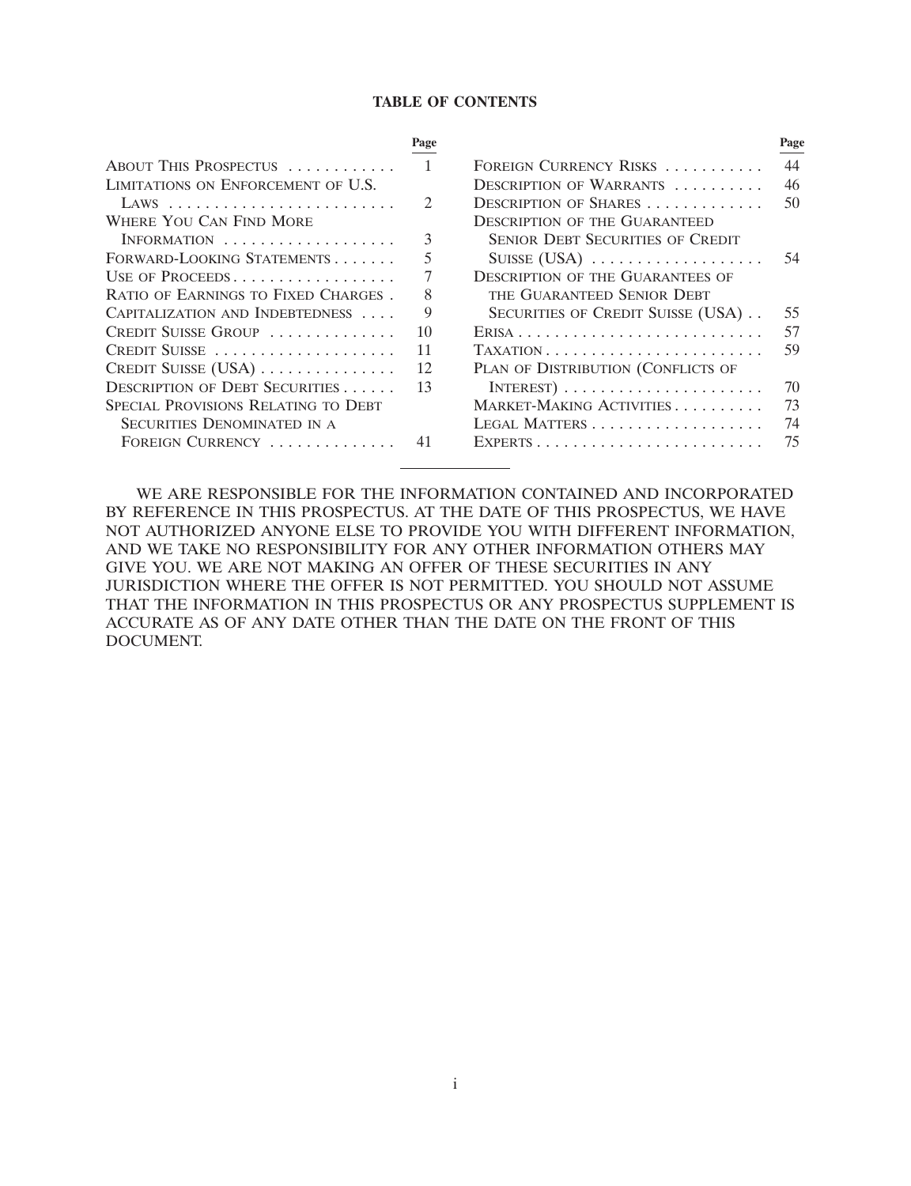## **TABLE OF CONTENTS**

|                                            | Page         |                                         | Page |
|--------------------------------------------|--------------|-----------------------------------------|------|
| ABOUT THIS PROSPECTUS                      | $\mathbf{1}$ | FOREIGN CURRENCY RISKS                  | 44   |
| LIMITATIONS ON ENFORCEMENT OF U.S.         |              | DESCRIPTION OF WARRANTS                 | 46   |
|                                            | 2            | DESCRIPTION OF SHARES                   | 50   |
| WHERE YOU CAN FIND MORE                    |              | <b>DESCRIPTION OF THE GUARANTEED</b>    |      |
| INFORMATION                                | 3            | <b>SENIOR DEBT SECURITIES OF CREDIT</b> |      |
| FORWARD-LOOKING STATEMENTS                 | 5            |                                         | 54   |
| USE OF PROCEEDS                            |              | <b>DESCRIPTION OF THE GUARANTEES OF</b> |      |
| RATIO OF EARNINGS TO FIXED CHARGES.        | 8            | THE GUARANTEED SENIOR DEBT              |      |
| CAPITALIZATION AND INDEBTEDNESS            | 9            | SECURITIES OF CREDIT SUISSE (USA)       | 55   |
| CREDIT SUISSE GROUP                        | 10           | $ERISA$                                 | 57   |
| CREDIT SUISSE                              | 11           |                                         | 59   |
| CREDIT SUISSE (USA)                        | 12           | PLAN OF DISTRIBUTION (CONFLICTS OF      |      |
| DESCRIPTION OF DEBT SECURITIES             | 13           |                                         | 70   |
| <b>SPECIAL PROVISIONS RELATING TO DEBT</b> |              | MARKET-MAKING ACTIVITIES                | 73   |
| SECURITIES DENOMINATED IN A                |              |                                         | 74   |
| FOREIGN CURRENCY                           | 41           |                                         | 75   |

WE ARE RESPONSIBLE FOR THE INFORMATION CONTAINED AND INCORPORATED BY REFERENCE IN THIS PROSPECTUS. AT THE DATE OF THIS PROSPECTUS, WE HAVE NOT AUTHORIZED ANYONE ELSE TO PROVIDE YOU WITH DIFFERENT INFORMATION, AND WE TAKE NO RESPONSIBILITY FOR ANY OTHER INFORMATION OTHERS MAY GIVE YOU. WE ARE NOT MAKING AN OFFER OF THESE SECURITIES IN ANY JURISDICTION WHERE THE OFFER IS NOT PERMITTED. YOU SHOULD NOT ASSUME THAT THE INFORMATION IN THIS PROSPECTUS OR ANY PROSPECTUS SUPPLEMENT IS ACCURATE AS OF ANY DATE OTHER THAN THE DATE ON THE FRONT OF THIS DOCUMENT.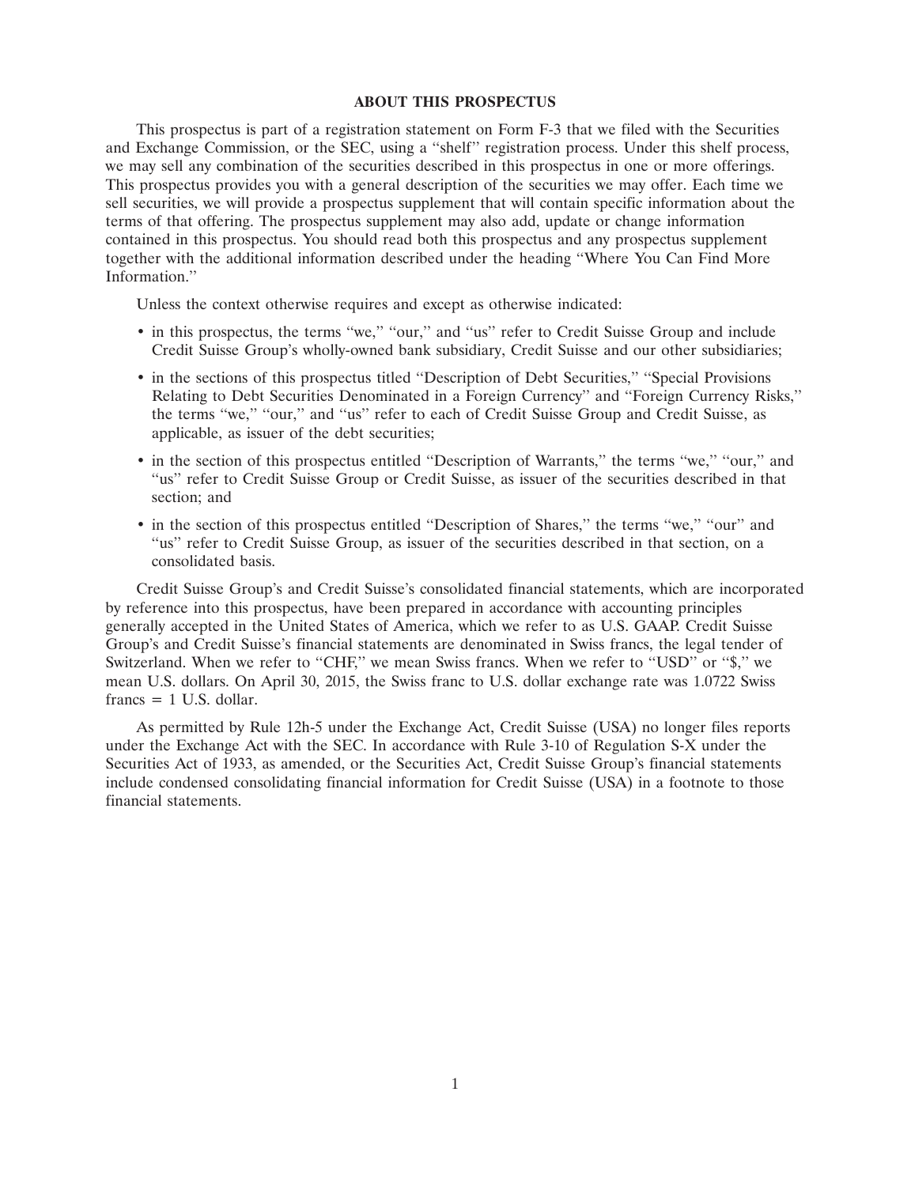## **ABOUT THIS PROSPECTUS**

This prospectus is part of a registration statement on Form F-3 that we filed with the Securities and Exchange Commission, or the SEC, using a ''shelf'' registration process. Under this shelf process, we may sell any combination of the securities described in this prospectus in one or more offerings. This prospectus provides you with a general description of the securities we may offer. Each time we sell securities, we will provide a prospectus supplement that will contain specific information about the terms of that offering. The prospectus supplement may also add, update or change information contained in this prospectus. You should read both this prospectus and any prospectus supplement together with the additional information described under the heading ''Where You Can Find More Information.''

Unless the context otherwise requires and except as otherwise indicated:

- in this prospectus, the terms "we," "our," and "us" refer to Credit Suisse Group and include Credit Suisse Group's wholly-owned bank subsidiary, Credit Suisse and our other subsidiaries;
- in the sections of this prospectus titled "Description of Debt Securities," "Special Provisions" Relating to Debt Securities Denominated in a Foreign Currency'' and ''Foreign Currency Risks,'' the terms ''we,'' ''our,'' and ''us'' refer to each of Credit Suisse Group and Credit Suisse, as applicable, as issuer of the debt securities;
- in the section of this prospectus entitled "Description of Warrants," the terms "we," "our," and ''us'' refer to Credit Suisse Group or Credit Suisse, as issuer of the securities described in that section; and
- in the section of this prospectus entitled "Description of Shares," the terms "we," "our" and ''us'' refer to Credit Suisse Group, as issuer of the securities described in that section, on a consolidated basis.

Credit Suisse Group's and Credit Suisse's consolidated financial statements, which are incorporated by reference into this prospectus, have been prepared in accordance with accounting principles generally accepted in the United States of America, which we refer to as U.S. GAAP. Credit Suisse Group's and Credit Suisse's financial statements are denominated in Swiss francs, the legal tender of Switzerland. When we refer to "CHF," we mean Swiss francs. When we refer to "USD" or "\$," we mean U.S. dollars. On April 30, 2015, the Swiss franc to U.S. dollar exchange rate was 1.0722 Swiss francs  $= 1$  U.S. dollar.

As permitted by Rule 12h-5 under the Exchange Act, Credit Suisse (USA) no longer files reports under the Exchange Act with the SEC. In accordance with Rule 3-10 of Regulation S-X under the Securities Act of 1933, as amended, or the Securities Act, Credit Suisse Group's financial statements include condensed consolidating financial information for Credit Suisse (USA) in a footnote to those financial statements.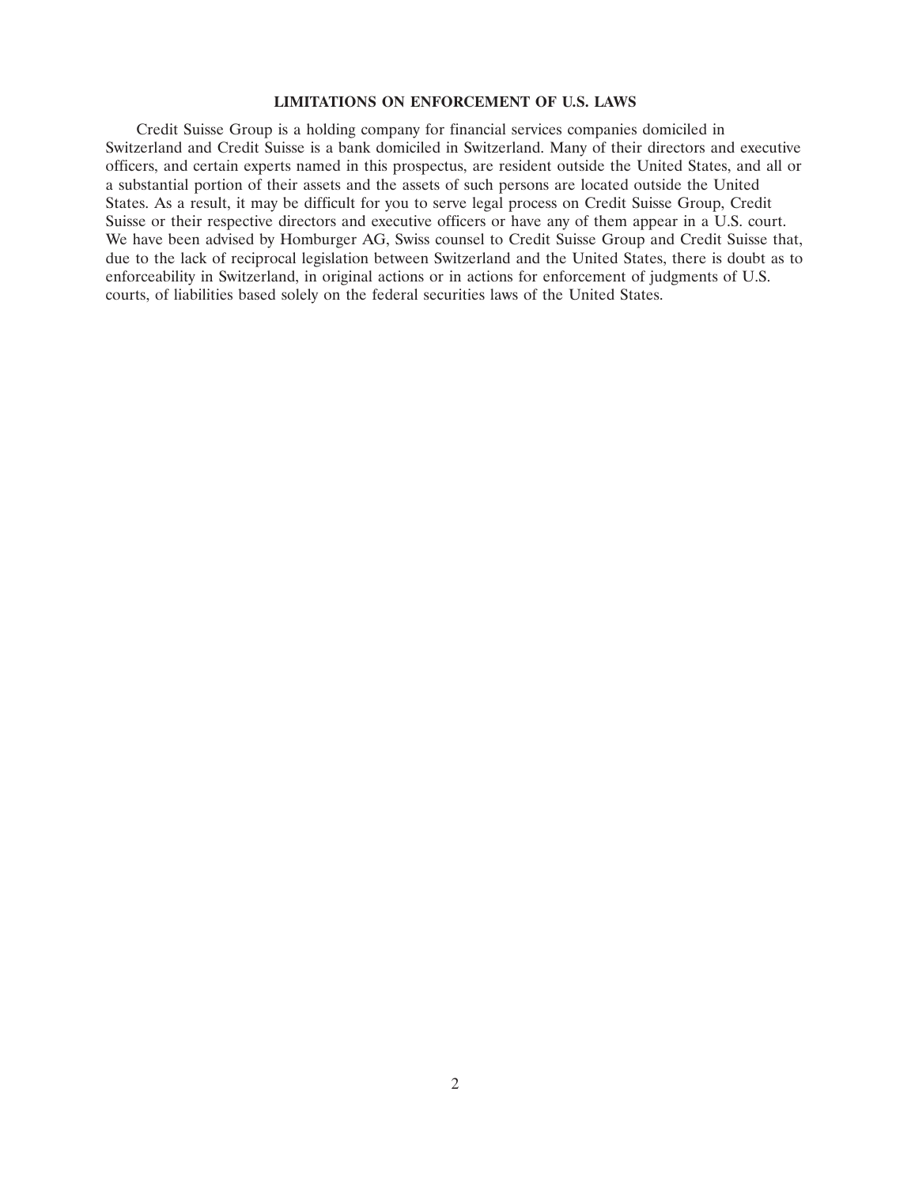### **LIMITATIONS ON ENFORCEMENT OF U.S. LAWS**

Credit Suisse Group is a holding company for financial services companies domiciled in Switzerland and Credit Suisse is a bank domiciled in Switzerland. Many of their directors and executive officers, and certain experts named in this prospectus, are resident outside the United States, and all or a substantial portion of their assets and the assets of such persons are located outside the United States. As a result, it may be difficult for you to serve legal process on Credit Suisse Group, Credit Suisse or their respective directors and executive officers or have any of them appear in a U.S. court. We have been advised by Homburger AG, Swiss counsel to Credit Suisse Group and Credit Suisse that, due to the lack of reciprocal legislation between Switzerland and the United States, there is doubt as to enforceability in Switzerland, in original actions or in actions for enforcement of judgments of U.S. courts, of liabilities based solely on the federal securities laws of the United States.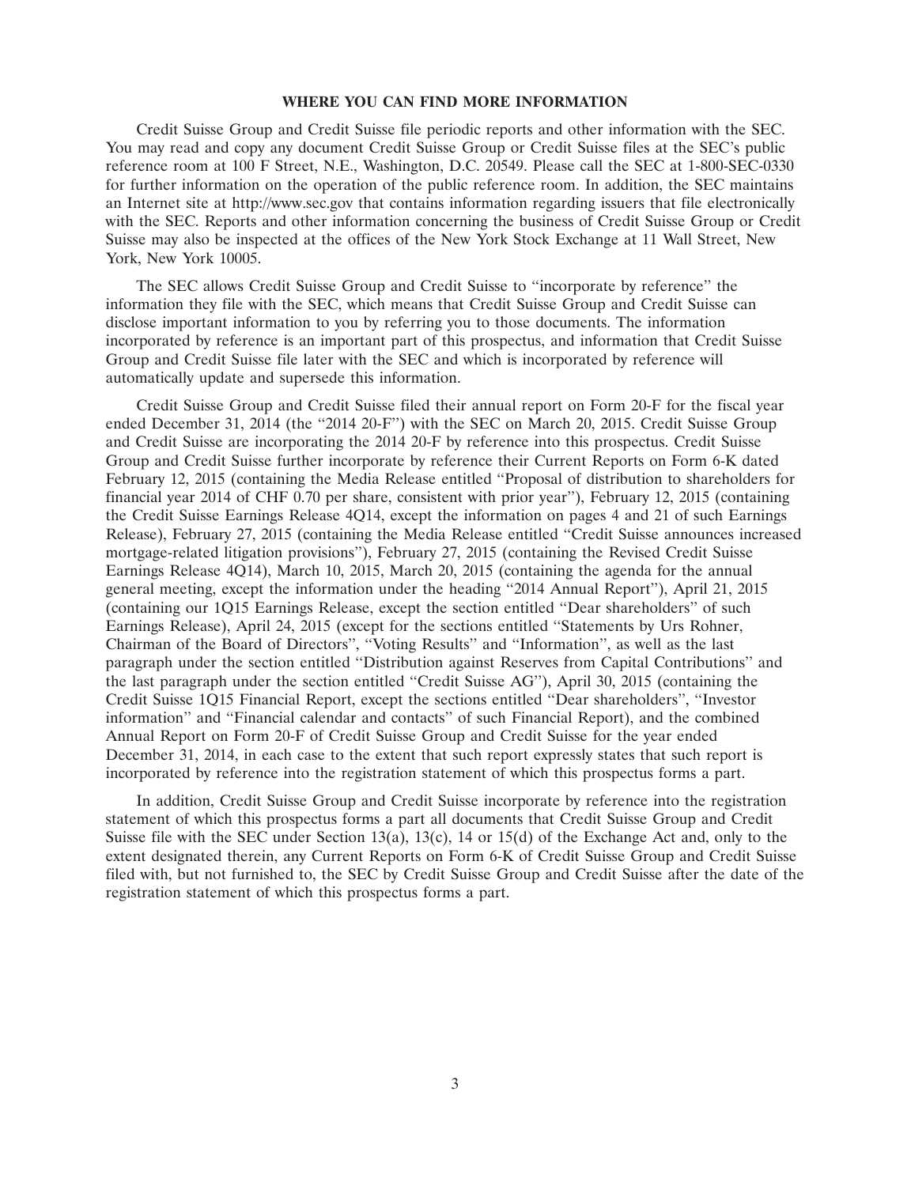#### **WHERE YOU CAN FIND MORE INFORMATION**

Credit Suisse Group and Credit Suisse file periodic reports and other information with the SEC. You may read and copy any document Credit Suisse Group or Credit Suisse files at the SEC's public reference room at 100 F Street, N.E., Washington, D.C. 20549. Please call the SEC at 1-800-SEC-0330 for further information on the operation of the public reference room. In addition, the SEC maintains an Internet site at http://www.sec.gov that contains information regarding issuers that file electronically with the SEC. Reports and other information concerning the business of Credit Suisse Group or Credit Suisse may also be inspected at the offices of the New York Stock Exchange at 11 Wall Street, New York, New York 10005.

The SEC allows Credit Suisse Group and Credit Suisse to ''incorporate by reference'' the information they file with the SEC, which means that Credit Suisse Group and Credit Suisse can disclose important information to you by referring you to those documents. The information incorporated by reference is an important part of this prospectus, and information that Credit Suisse Group and Credit Suisse file later with the SEC and which is incorporated by reference will automatically update and supersede this information.

Credit Suisse Group and Credit Suisse filed their annual report on Form 20-F for the fiscal year ended December 31, 2014 (the "2014 20-F") with the SEC on March 20, 2015. Credit Suisse Group and Credit Suisse are incorporating the 2014 20-F by reference into this prospectus. Credit Suisse Group and Credit Suisse further incorporate by reference their Current Reports on Form 6-K dated February 12, 2015 (containing the Media Release entitled ''Proposal of distribution to shareholders for financial year 2014 of CHF 0.70 per share, consistent with prior year''), February 12, 2015 (containing the Credit Suisse Earnings Release 4Q14, except the information on pages 4 and 21 of such Earnings Release), February 27, 2015 (containing the Media Release entitled ''Credit Suisse announces increased mortgage-related litigation provisions''), February 27, 2015 (containing the Revised Credit Suisse Earnings Release 4Q14), March 10, 2015, March 20, 2015 (containing the agenda for the annual general meeting, except the information under the heading ''2014 Annual Report''), April 21, 2015 (containing our 1Q15 Earnings Release, except the section entitled ''Dear shareholders'' of such Earnings Release), April 24, 2015 (except for the sections entitled ''Statements by Urs Rohner, Chairman of the Board of Directors'', ''Voting Results'' and ''Information'', as well as the last paragraph under the section entitled ''Distribution against Reserves from Capital Contributions'' and the last paragraph under the section entitled ''Credit Suisse AG''), April 30, 2015 (containing the Credit Suisse 1Q15 Financial Report, except the sections entitled ''Dear shareholders'', ''Investor information'' and ''Financial calendar and contacts'' of such Financial Report), and the combined Annual Report on Form 20-F of Credit Suisse Group and Credit Suisse for the year ended December 31, 2014, in each case to the extent that such report expressly states that such report is incorporated by reference into the registration statement of which this prospectus forms a part.

In addition, Credit Suisse Group and Credit Suisse incorporate by reference into the registration statement of which this prospectus forms a part all documents that Credit Suisse Group and Credit Suisse file with the SEC under Section 13(a), 13(c), 14 or 15(d) of the Exchange Act and, only to the extent designated therein, any Current Reports on Form 6-K of Credit Suisse Group and Credit Suisse filed with, but not furnished to, the SEC by Credit Suisse Group and Credit Suisse after the date of the registration statement of which this prospectus forms a part.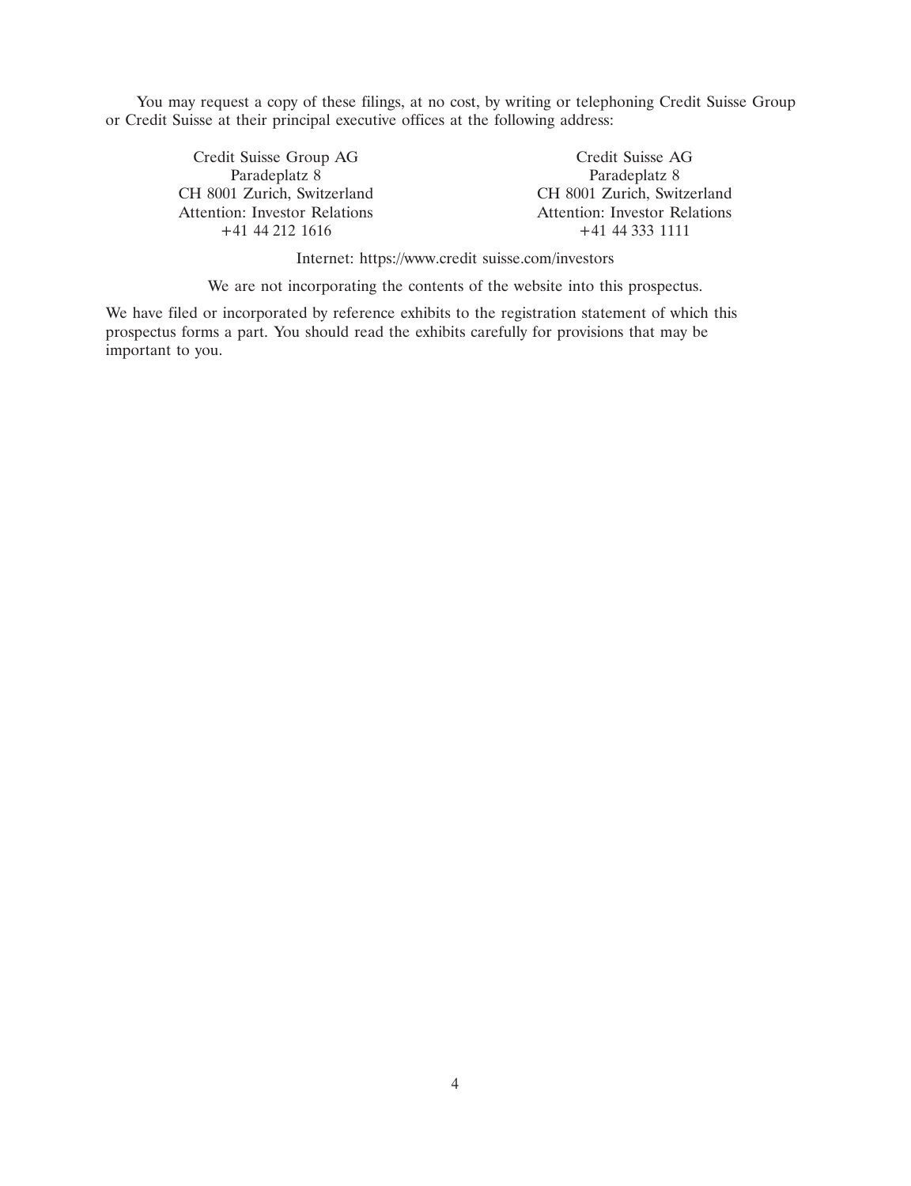You may request a copy of these filings, at no cost, by writing or telephoning Credit Suisse Group or Credit Suisse at their principal executive offices at the following address:

> Credit Suisse Group AG Credit Suisse AG CH 8001 Zurich, Switzerland<br>
> CH 8001 Zurich, Switzerland<br>
> Attention: Investor Relations<br>
> Attention: Investor Relations Attention: Investor Relations  $+41$  44 212 1616  $+41$  44 333 1111

Paradeplatz 8<br>
1 Zurich, Switzerland<br>
2 CH 8001 Zurich, Switzerland<br>
2 CH 8001 Zurich, Switzerland

Internet: https://www.credit suisse.com/investors

We are not incorporating the contents of the website into this prospectus.

We have filed or incorporated by reference exhibits to the registration statement of which this prospectus forms a part. You should read the exhibits carefully for provisions that may be important to you.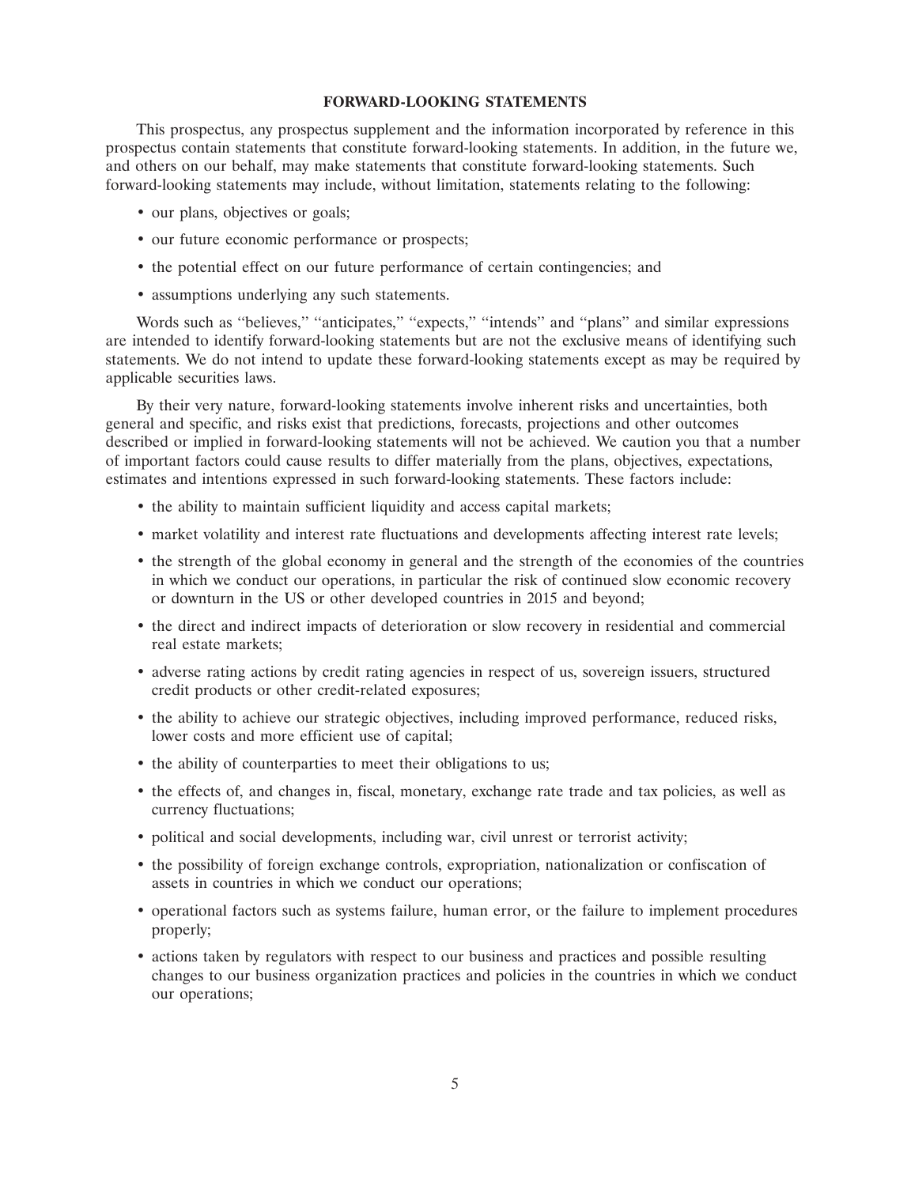## **FORWARD-LOOKING STATEMENTS**

This prospectus, any prospectus supplement and the information incorporated by reference in this prospectus contain statements that constitute forward-looking statements. In addition, in the future we, and others on our behalf, may make statements that constitute forward-looking statements. Such forward-looking statements may include, without limitation, statements relating to the following:

- our plans, objectives or goals;
- our future economic performance or prospects;
- the potential effect on our future performance of certain contingencies; and
- assumptions underlying any such statements.

Words such as "believes," "anticipates," "expects," "intends" and "plans" and similar expressions are intended to identify forward-looking statements but are not the exclusive means of identifying such statements. We do not intend to update these forward-looking statements except as may be required by applicable securities laws.

By their very nature, forward-looking statements involve inherent risks and uncertainties, both general and specific, and risks exist that predictions, forecasts, projections and other outcomes described or implied in forward-looking statements will not be achieved. We caution you that a number of important factors could cause results to differ materially from the plans, objectives, expectations, estimates and intentions expressed in such forward-looking statements. These factors include:

- the ability to maintain sufficient liquidity and access capital markets;
- market volatility and interest rate fluctuations and developments affecting interest rate levels;
- the strength of the global economy in general and the strength of the economies of the countries in which we conduct our operations, in particular the risk of continued slow economic recovery or downturn in the US or other developed countries in 2015 and beyond;
- the direct and indirect impacts of deterioration or slow recovery in residential and commercial real estate markets;
- adverse rating actions by credit rating agencies in respect of us, sovereign issuers, structured credit products or other credit-related exposures;
- the ability to achieve our strategic objectives, including improved performance, reduced risks, lower costs and more efficient use of capital;
- the ability of counterparties to meet their obligations to us;
- the effects of, and changes in, fiscal, monetary, exchange rate trade and tax policies, as well as currency fluctuations;
- political and social developments, including war, civil unrest or terrorist activity;
- the possibility of foreign exchange controls, expropriation, nationalization or confiscation of assets in countries in which we conduct our operations;
- operational factors such as systems failure, human error, or the failure to implement procedures properly;
- actions taken by regulators with respect to our business and practices and possible resulting changes to our business organization practices and policies in the countries in which we conduct our operations;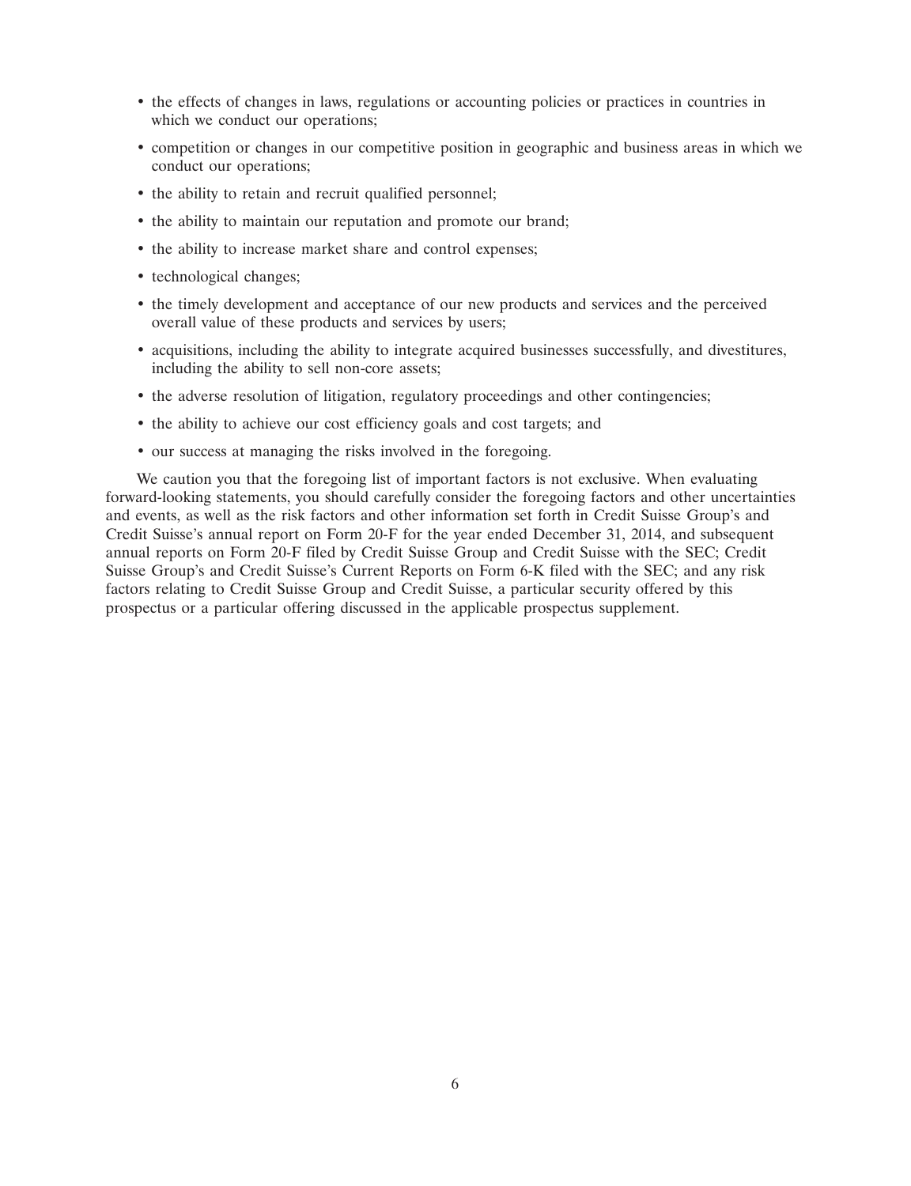- the effects of changes in laws, regulations or accounting policies or practices in countries in which we conduct our operations;
- competition or changes in our competitive position in geographic and business areas in which we conduct our operations;
- the ability to retain and recruit qualified personnel;
- the ability to maintain our reputation and promote our brand;
- the ability to increase market share and control expenses;
- technological changes;
- the timely development and acceptance of our new products and services and the perceived overall value of these products and services by users;
- acquisitions, including the ability to integrate acquired businesses successfully, and divestitures, including the ability to sell non-core assets;
- the adverse resolution of litigation, regulatory proceedings and other contingencies;
- the ability to achieve our cost efficiency goals and cost targets; and
- our success at managing the risks involved in the foregoing.

We caution you that the foregoing list of important factors is not exclusive. When evaluating forward-looking statements, you should carefully consider the foregoing factors and other uncertainties and events, as well as the risk factors and other information set forth in Credit Suisse Group's and Credit Suisse's annual report on Form 20-F for the year ended December 31, 2014, and subsequent annual reports on Form 20-F filed by Credit Suisse Group and Credit Suisse with the SEC; Credit Suisse Group's and Credit Suisse's Current Reports on Form 6-K filed with the SEC; and any risk factors relating to Credit Suisse Group and Credit Suisse, a particular security offered by this prospectus or a particular offering discussed in the applicable prospectus supplement.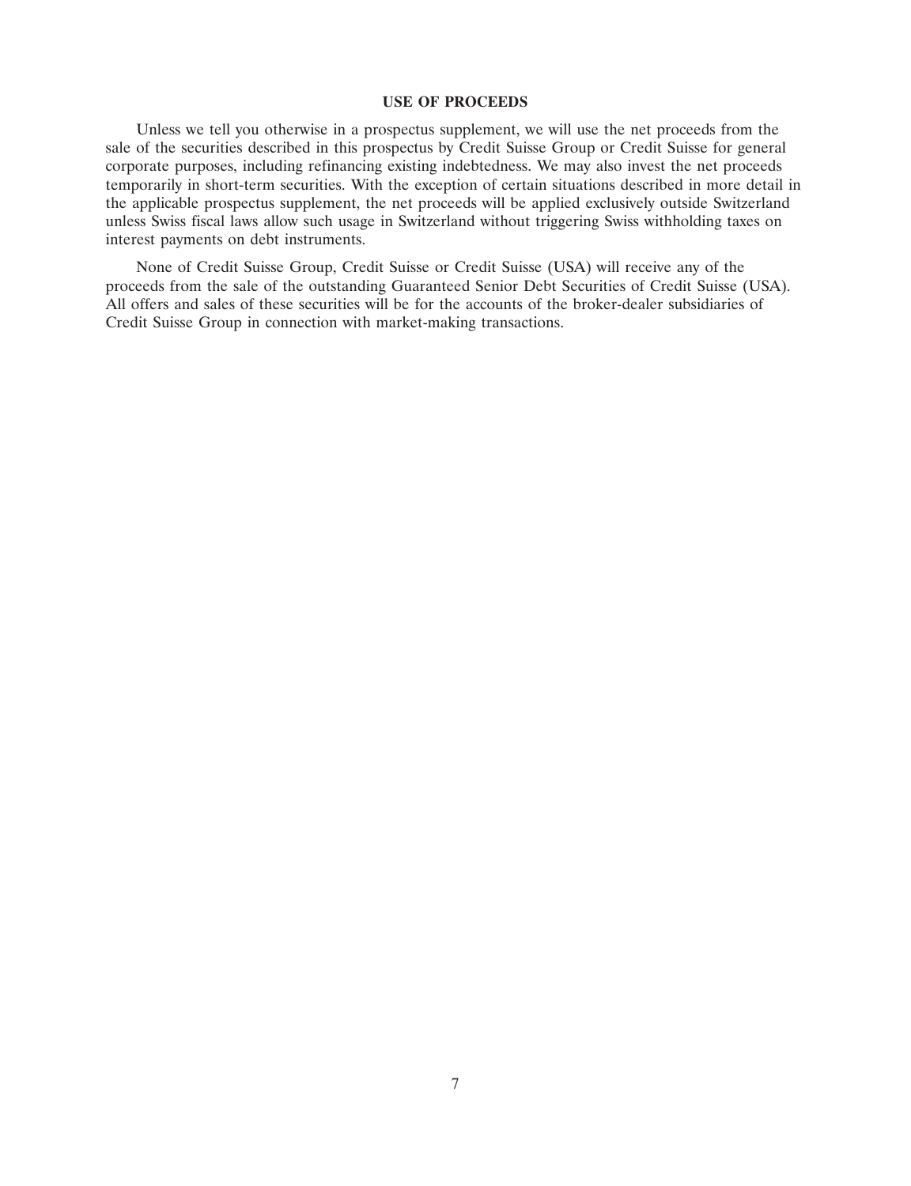## **USE OF PROCEEDS**

Unless we tell you otherwise in a prospectus supplement, we will use the net proceeds from the sale of the securities described in this prospectus by Credit Suisse Group or Credit Suisse for general corporate purposes, including refinancing existing indebtedness. We may also invest the net proceeds temporarily in short-term securities. With the exception of certain situations described in more detail in the applicable prospectus supplement, the net proceeds will be applied exclusively outside Switzerland unless Swiss fiscal laws allow such usage in Switzerland without triggering Swiss withholding taxes on interest payments on debt instruments.

None of Credit Suisse Group, Credit Suisse or Credit Suisse (USA) will receive any of the proceeds from the sale of the outstanding Guaranteed Senior Debt Securities of Credit Suisse (USA). All offers and sales of these securities will be for the accounts of the broker-dealer subsidiaries of Credit Suisse Group in connection with market-making transactions.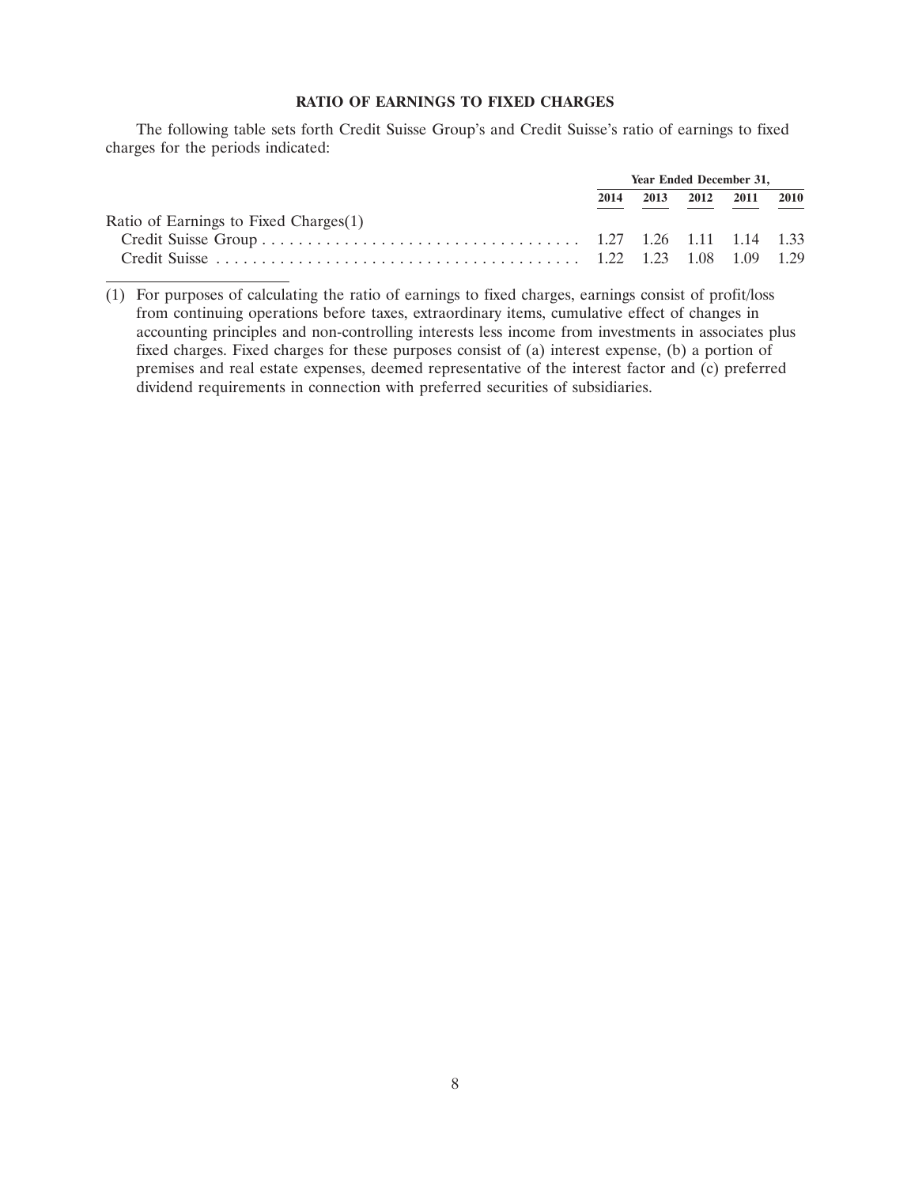# **RATIO OF EARNINGS TO FIXED CHARGES**

The following table sets forth Credit Suisse Group's and Credit Suisse's ratio of earnings to fixed charges for the periods indicated:

|                                       | Year Ended December 31, |  |                     |  |  |
|---------------------------------------|-------------------------|--|---------------------|--|--|
|                                       | 2014                    |  | 2013 2012 2011 2010 |  |  |
| Ratio of Earnings to Fixed Charges(1) |                         |  |                     |  |  |
|                                       |                         |  |                     |  |  |
|                                       |                         |  |                     |  |  |

(1) For purposes of calculating the ratio of earnings to fixed charges, earnings consist of profit/loss from continuing operations before taxes, extraordinary items, cumulative effect of changes in accounting principles and non-controlling interests less income from investments in associates plus fixed charges. Fixed charges for these purposes consist of (a) interest expense, (b) a portion of premises and real estate expenses, deemed representative of the interest factor and (c) preferred dividend requirements in connection with preferred securities of subsidiaries.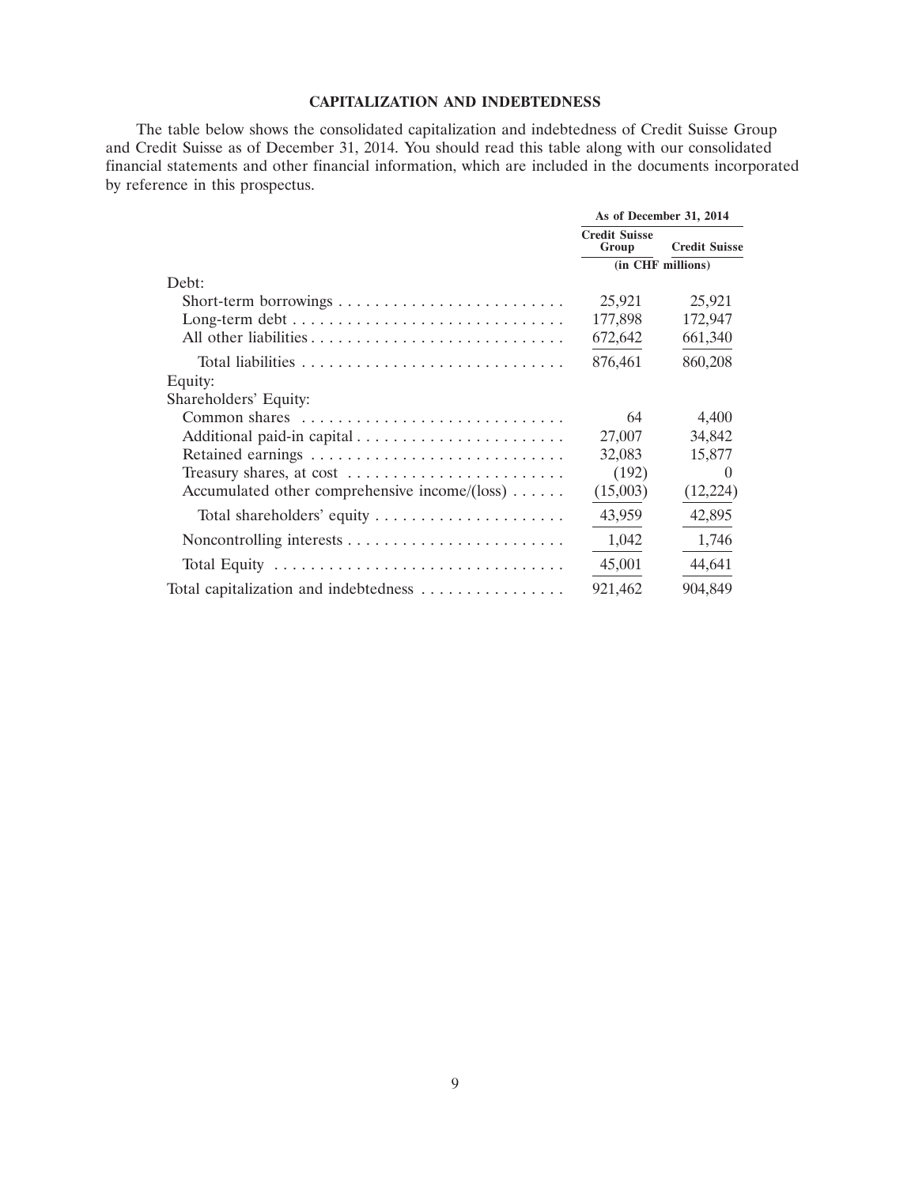# **CAPITALIZATION AND INDEBTEDNESS**

The table below shows the consolidated capitalization and indebtedness of Credit Suisse Group and Credit Suisse as of December 31, 2014. You should read this table along with our consolidated financial statements and other financial information, which are included in the documents incorporated by reference in this prospectus.

|                                                                              | As of December 31, 2014       |                      |  |
|------------------------------------------------------------------------------|-------------------------------|----------------------|--|
|                                                                              | <b>Credit Suisse</b><br>Group | <b>Credit Suisse</b> |  |
|                                                                              | (in CHF millions)             |                      |  |
| Debt:                                                                        |                               |                      |  |
|                                                                              | 25,921                        | 25,921               |  |
| Long-term debt $\dots \dots \dots \dots \dots \dots \dots \dots \dots \dots$ | 177,898                       | 172,947              |  |
|                                                                              | 672,642                       | 661,340              |  |
|                                                                              | 876,461                       | 860,208              |  |
| Equity:                                                                      |                               |                      |  |
| Shareholders' Equity:                                                        |                               |                      |  |
|                                                                              | 64                            | 4,400                |  |
|                                                                              | 27,007                        | 34,842               |  |
|                                                                              | 32,083                        | 15,877               |  |
| Treasury shares, at cost                                                     | (192)                         | $\Omega$             |  |
| Accumulated other comprehensive income/(loss) $\dots \dots$                  | (15,003)                      | (12, 224)            |  |
| Total shareholders' equity                                                   | 43,959                        | 42,895               |  |
|                                                                              | 1,042                         | 1,746                |  |
|                                                                              | 45,001                        | 44,641               |  |
| Total capitalization and indebtedness                                        | 921,462                       | 904,849              |  |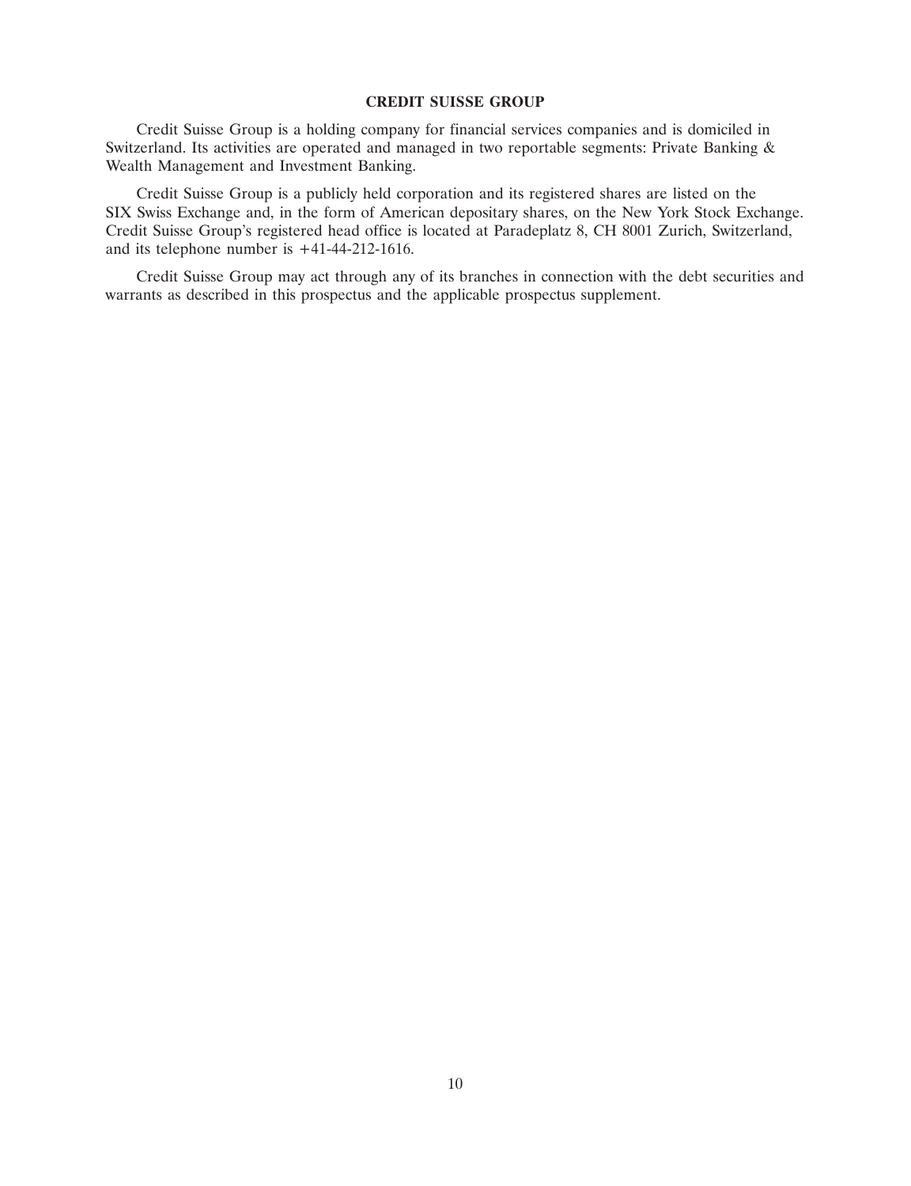# **CREDIT SUISSE GROUP**

Credit Suisse Group is a holding company for financial services companies and is domiciled in Switzerland. Its activities are operated and managed in two reportable segments: Private Banking & Wealth Management and Investment Banking.

Credit Suisse Group is a publicly held corporation and its registered shares are listed on the SIX Swiss Exchange and, in the form of American depositary shares, on the New York Stock Exchange. Credit Suisse Group's registered head office is located at Paradeplatz 8, CH 8001 Zurich, Switzerland, and its telephone number is  $+41-44-212-1616$ .

Credit Suisse Group may act through any of its branches in connection with the debt securities and warrants as described in this prospectus and the applicable prospectus supplement.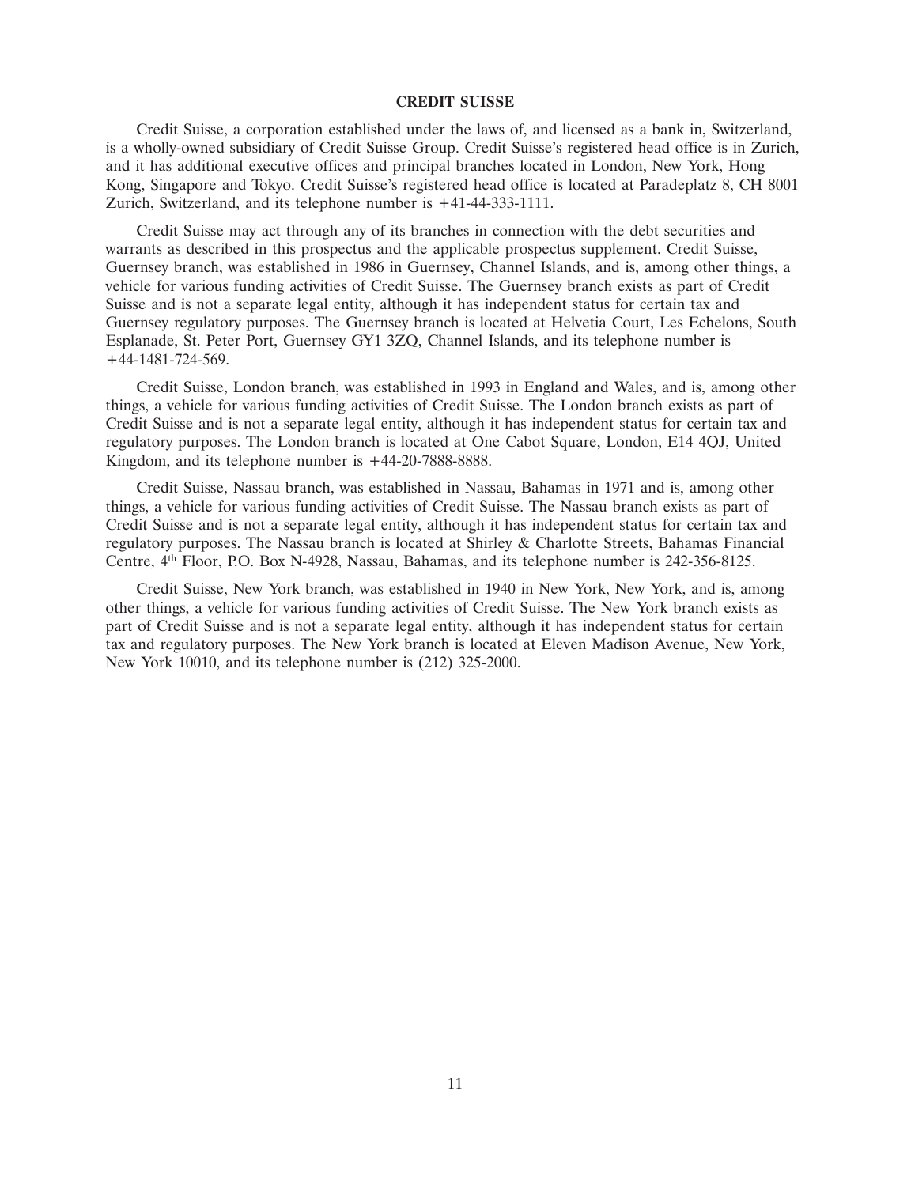## **CREDIT SUISSE**

Credit Suisse, a corporation established under the laws of, and licensed as a bank in, Switzerland, is a wholly-owned subsidiary of Credit Suisse Group. Credit Suisse's registered head office is in Zurich, and it has additional executive offices and principal branches located in London, New York, Hong Kong, Singapore and Tokyo. Credit Suisse's registered head office is located at Paradeplatz 8, CH 8001 Zurich, Switzerland, and its telephone number is +41-44-333-1111.

Credit Suisse may act through any of its branches in connection with the debt securities and warrants as described in this prospectus and the applicable prospectus supplement. Credit Suisse, Guernsey branch, was established in 1986 in Guernsey, Channel Islands, and is, among other things, a vehicle for various funding activities of Credit Suisse. The Guernsey branch exists as part of Credit Suisse and is not a separate legal entity, although it has independent status for certain tax and Guernsey regulatory purposes. The Guernsey branch is located at Helvetia Court, Les Echelons, South Esplanade, St. Peter Port, Guernsey GY1 3ZQ, Channel Islands, and its telephone number is +44-1481-724-569.

Credit Suisse, London branch, was established in 1993 in England and Wales, and is, among other things, a vehicle for various funding activities of Credit Suisse. The London branch exists as part of Credit Suisse and is not a separate legal entity, although it has independent status for certain tax and regulatory purposes. The London branch is located at One Cabot Square, London, E14 4QJ, United Kingdom, and its telephone number is +44-20-7888-8888.

Credit Suisse, Nassau branch, was established in Nassau, Bahamas in 1971 and is, among other things, a vehicle for various funding activities of Credit Suisse. The Nassau branch exists as part of Credit Suisse and is not a separate legal entity, although it has independent status for certain tax and regulatory purposes. The Nassau branch is located at Shirley & Charlotte Streets, Bahamas Financial Centre, 4th Floor, P.O. Box N-4928, Nassau, Bahamas, and its telephone number is 242-356-8125.

Credit Suisse, New York branch, was established in 1940 in New York, New York, and is, among other things, a vehicle for various funding activities of Credit Suisse. The New York branch exists as part of Credit Suisse and is not a separate legal entity, although it has independent status for certain tax and regulatory purposes. The New York branch is located at Eleven Madison Avenue, New York, New York 10010, and its telephone number is (212) 325-2000.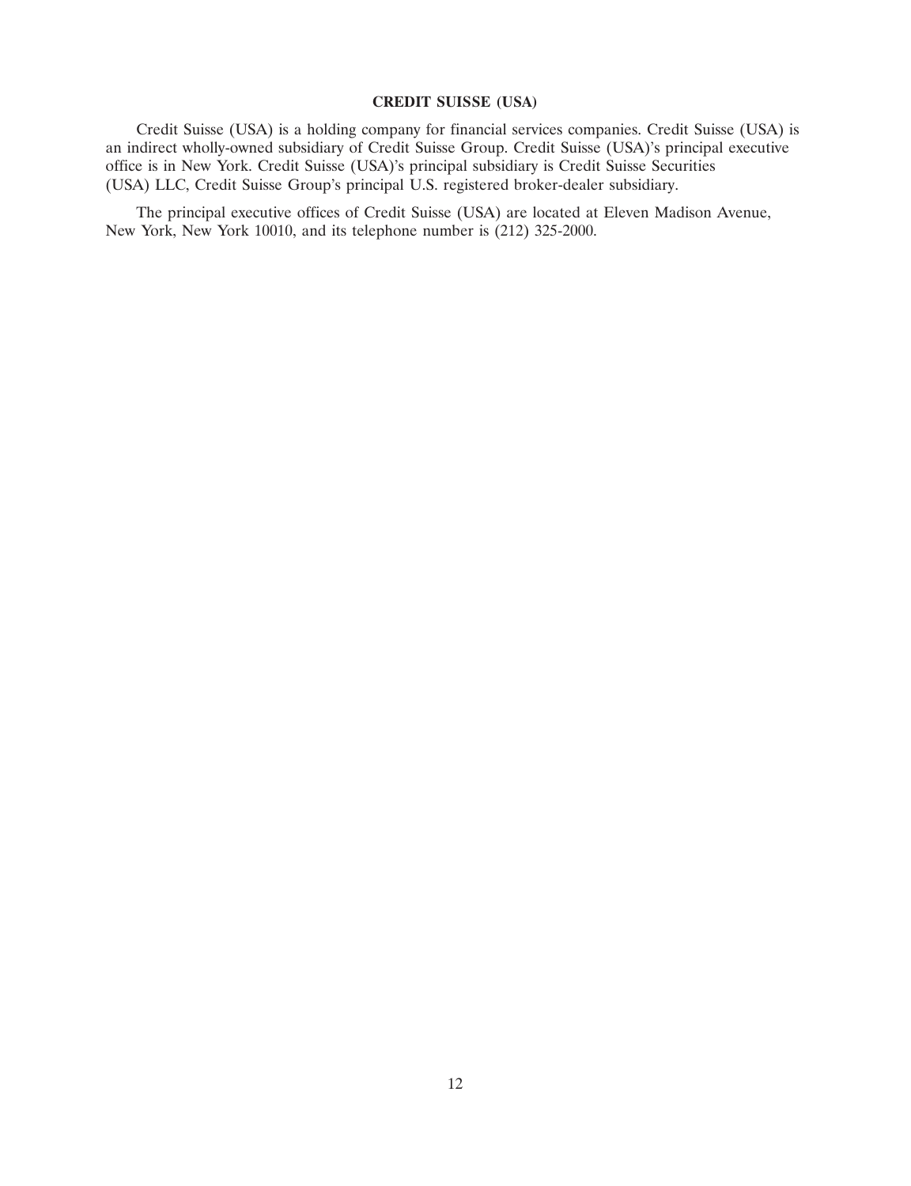## **CREDIT SUISSE (USA)**

Credit Suisse (USA) is a holding company for financial services companies. Credit Suisse (USA) is an indirect wholly-owned subsidiary of Credit Suisse Group. Credit Suisse (USA)'s principal executive office is in New York. Credit Suisse (USA)'s principal subsidiary is Credit Suisse Securities (USA) LLC, Credit Suisse Group's principal U.S. registered broker-dealer subsidiary.

The principal executive offices of Credit Suisse (USA) are located at Eleven Madison Avenue, New York, New York 10010, and its telephone number is (212) 325-2000.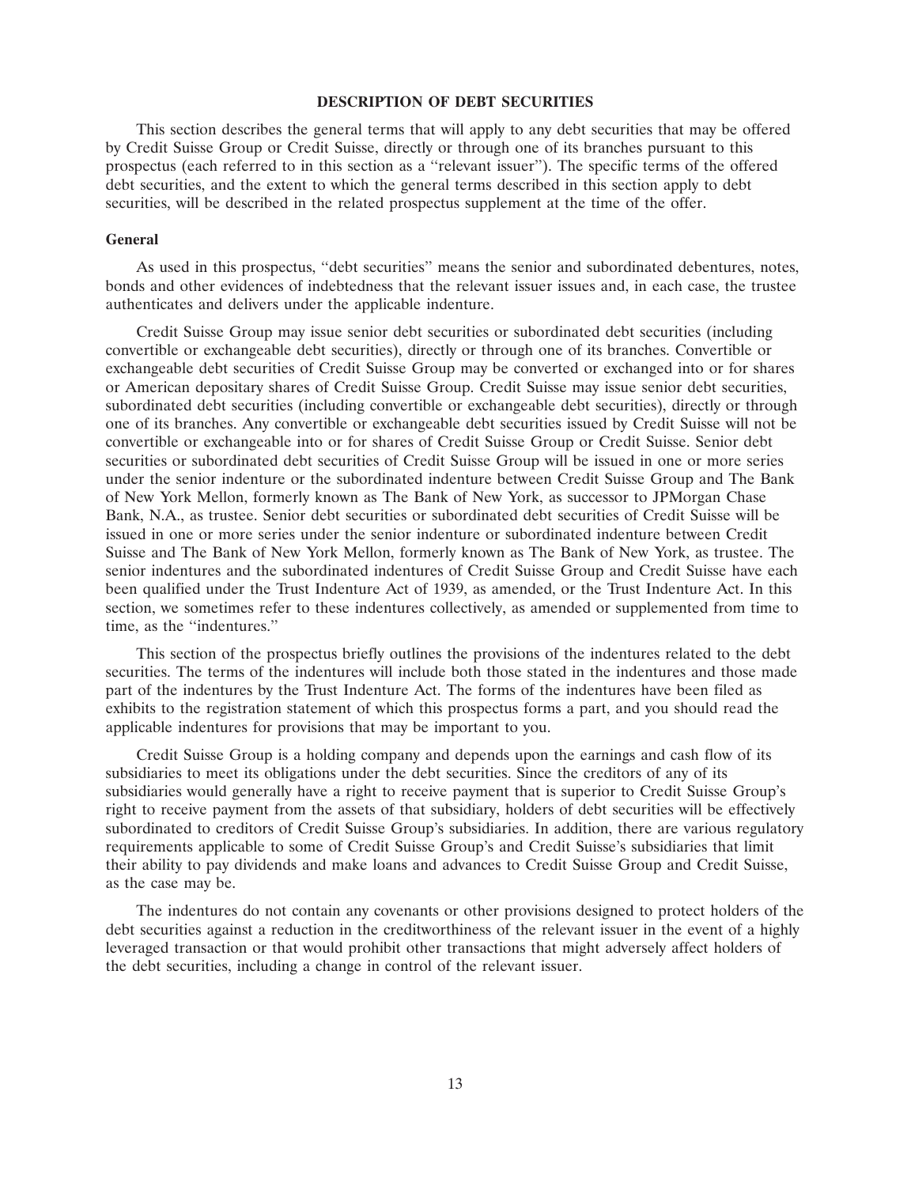### **DESCRIPTION OF DEBT SECURITIES**

This section describes the general terms that will apply to any debt securities that may be offered by Credit Suisse Group or Credit Suisse, directly or through one of its branches pursuant to this prospectus (each referred to in this section as a ''relevant issuer''). The specific terms of the offered debt securities, and the extent to which the general terms described in this section apply to debt securities, will be described in the related prospectus supplement at the time of the offer.

### **General**

As used in this prospectus, ''debt securities'' means the senior and subordinated debentures, notes, bonds and other evidences of indebtedness that the relevant issuer issues and, in each case, the trustee authenticates and delivers under the applicable indenture.

Credit Suisse Group may issue senior debt securities or subordinated debt securities (including convertible or exchangeable debt securities), directly or through one of its branches. Convertible or exchangeable debt securities of Credit Suisse Group may be converted or exchanged into or for shares or American depositary shares of Credit Suisse Group. Credit Suisse may issue senior debt securities, subordinated debt securities (including convertible or exchangeable debt securities), directly or through one of its branches. Any convertible or exchangeable debt securities issued by Credit Suisse will not be convertible or exchangeable into or for shares of Credit Suisse Group or Credit Suisse. Senior debt securities or subordinated debt securities of Credit Suisse Group will be issued in one or more series under the senior indenture or the subordinated indenture between Credit Suisse Group and The Bank of New York Mellon, formerly known as The Bank of New York, as successor to JPMorgan Chase Bank, N.A., as trustee. Senior debt securities or subordinated debt securities of Credit Suisse will be issued in one or more series under the senior indenture or subordinated indenture between Credit Suisse and The Bank of New York Mellon, formerly known as The Bank of New York, as trustee. The senior indentures and the subordinated indentures of Credit Suisse Group and Credit Suisse have each been qualified under the Trust Indenture Act of 1939, as amended, or the Trust Indenture Act. In this section, we sometimes refer to these indentures collectively, as amended or supplemented from time to time, as the ''indentures.''

This section of the prospectus briefly outlines the provisions of the indentures related to the debt securities. The terms of the indentures will include both those stated in the indentures and those made part of the indentures by the Trust Indenture Act. The forms of the indentures have been filed as exhibits to the registration statement of which this prospectus forms a part, and you should read the applicable indentures for provisions that may be important to you.

Credit Suisse Group is a holding company and depends upon the earnings and cash flow of its subsidiaries to meet its obligations under the debt securities. Since the creditors of any of its subsidiaries would generally have a right to receive payment that is superior to Credit Suisse Group's right to receive payment from the assets of that subsidiary, holders of debt securities will be effectively subordinated to creditors of Credit Suisse Group's subsidiaries. In addition, there are various regulatory requirements applicable to some of Credit Suisse Group's and Credit Suisse's subsidiaries that limit their ability to pay dividends and make loans and advances to Credit Suisse Group and Credit Suisse, as the case may be.

The indentures do not contain any covenants or other provisions designed to protect holders of the debt securities against a reduction in the creditworthiness of the relevant issuer in the event of a highly leveraged transaction or that would prohibit other transactions that might adversely affect holders of the debt securities, including a change in control of the relevant issuer.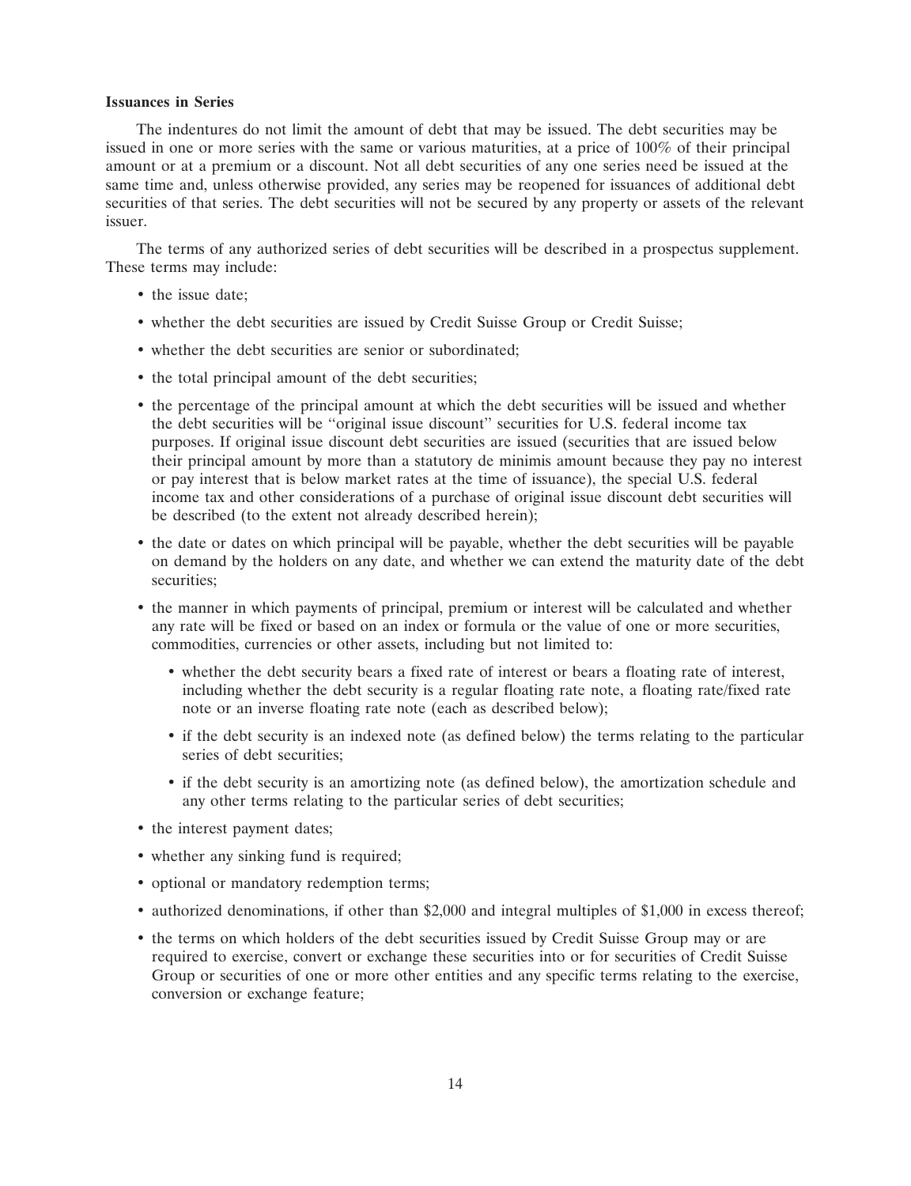#### **Issuances in Series**

The indentures do not limit the amount of debt that may be issued. The debt securities may be issued in one or more series with the same or various maturities, at a price of 100% of their principal amount or at a premium or a discount. Not all debt securities of any one series need be issued at the same time and, unless otherwise provided, any series may be reopened for issuances of additional debt securities of that series. The debt securities will not be secured by any property or assets of the relevant issuer.

The terms of any authorized series of debt securities will be described in a prospectus supplement. These terms may include:

- the issue date;
- whether the debt securities are issued by Credit Suisse Group or Credit Suisse;
- whether the debt securities are senior or subordinated;
- the total principal amount of the debt securities;
- the percentage of the principal amount at which the debt securities will be issued and whether the debt securities will be ''original issue discount'' securities for U.S. federal income tax purposes. If original issue discount debt securities are issued (securities that are issued below their principal amount by more than a statutory de minimis amount because they pay no interest or pay interest that is below market rates at the time of issuance), the special U.S. federal income tax and other considerations of a purchase of original issue discount debt securities will be described (to the extent not already described herein);
- the date or dates on which principal will be payable, whether the debt securities will be payable on demand by the holders on any date, and whether we can extend the maturity date of the debt securities;
- the manner in which payments of principal, premium or interest will be calculated and whether any rate will be fixed or based on an index or formula or the value of one or more securities, commodities, currencies or other assets, including but not limited to:
	- whether the debt security bears a fixed rate of interest or bears a floating rate of interest, including whether the debt security is a regular floating rate note, a floating rate/fixed rate note or an inverse floating rate note (each as described below);
	- if the debt security is an indexed note (as defined below) the terms relating to the particular series of debt securities;
	- if the debt security is an amortizing note (as defined below), the amortization schedule and any other terms relating to the particular series of debt securities;
- the interest payment dates;
- whether any sinking fund is required;
- optional or mandatory redemption terms;
- authorized denominations, if other than \$2,000 and integral multiples of \$1,000 in excess thereof;
- the terms on which holders of the debt securities issued by Credit Suisse Group may or are required to exercise, convert or exchange these securities into or for securities of Credit Suisse Group or securities of one or more other entities and any specific terms relating to the exercise, conversion or exchange feature;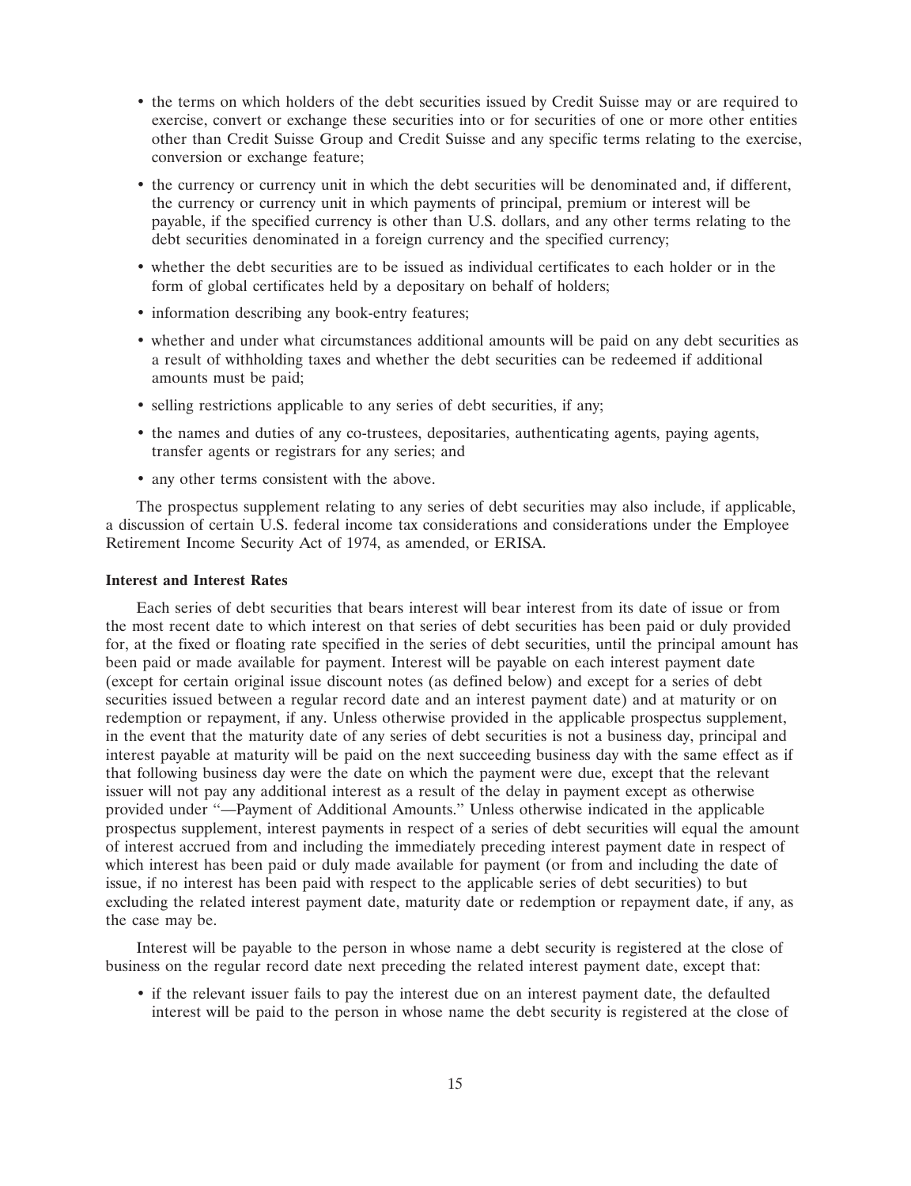- the terms on which holders of the debt securities issued by Credit Suisse may or are required to exercise, convert or exchange these securities into or for securities of one or more other entities other than Credit Suisse Group and Credit Suisse and any specific terms relating to the exercise, conversion or exchange feature;
- the currency or currency unit in which the debt securities will be denominated and, if different, the currency or currency unit in which payments of principal, premium or interest will be payable, if the specified currency is other than U.S. dollars, and any other terms relating to the debt securities denominated in a foreign currency and the specified currency;
- whether the debt securities are to be issued as individual certificates to each holder or in the form of global certificates held by a depositary on behalf of holders;
- information describing any book-entry features;
- whether and under what circumstances additional amounts will be paid on any debt securities as a result of withholding taxes and whether the debt securities can be redeemed if additional amounts must be paid;
- selling restrictions applicable to any series of debt securities, if any;
- the names and duties of any co-trustees, depositaries, authenticating agents, paying agents, transfer agents or registrars for any series; and
- any other terms consistent with the above.

The prospectus supplement relating to any series of debt securities may also include, if applicable, a discussion of certain U.S. federal income tax considerations and considerations under the Employee Retirement Income Security Act of 1974, as amended, or ERISA.

## **Interest and Interest Rates**

Each series of debt securities that bears interest will bear interest from its date of issue or from the most recent date to which interest on that series of debt securities has been paid or duly provided for, at the fixed or floating rate specified in the series of debt securities, until the principal amount has been paid or made available for payment. Interest will be payable on each interest payment date (except for certain original issue discount notes (as defined below) and except for a series of debt securities issued between a regular record date and an interest payment date) and at maturity or on redemption or repayment, if any. Unless otherwise provided in the applicable prospectus supplement, in the event that the maturity date of any series of debt securities is not a business day, principal and interest payable at maturity will be paid on the next succeeding business day with the same effect as if that following business day were the date on which the payment were due, except that the relevant issuer will not pay any additional interest as a result of the delay in payment except as otherwise provided under ''—Payment of Additional Amounts.'' Unless otherwise indicated in the applicable prospectus supplement, interest payments in respect of a series of debt securities will equal the amount of interest accrued from and including the immediately preceding interest payment date in respect of which interest has been paid or duly made available for payment (or from and including the date of issue, if no interest has been paid with respect to the applicable series of debt securities) to but excluding the related interest payment date, maturity date or redemption or repayment date, if any, as the case may be.

Interest will be payable to the person in whose name a debt security is registered at the close of business on the regular record date next preceding the related interest payment date, except that:

• if the relevant issuer fails to pay the interest due on an interest payment date, the defaulted interest will be paid to the person in whose name the debt security is registered at the close of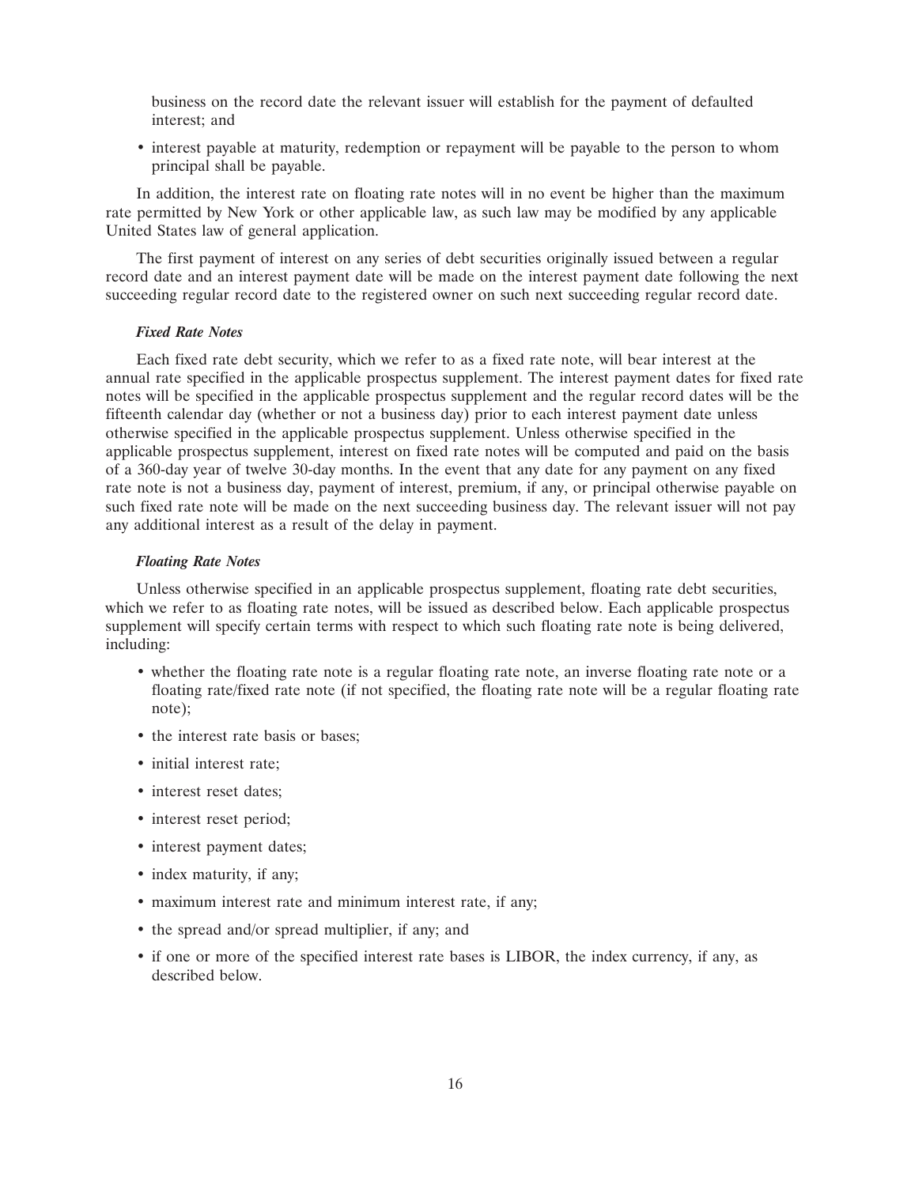business on the record date the relevant issuer will establish for the payment of defaulted interest; and

• interest payable at maturity, redemption or repayment will be payable to the person to whom principal shall be payable.

In addition, the interest rate on floating rate notes will in no event be higher than the maximum rate permitted by New York or other applicable law, as such law may be modified by any applicable United States law of general application.

The first payment of interest on any series of debt securities originally issued between a regular record date and an interest payment date will be made on the interest payment date following the next succeeding regular record date to the registered owner on such next succeeding regular record date.

### *Fixed Rate Notes*

Each fixed rate debt security, which we refer to as a fixed rate note, will bear interest at the annual rate specified in the applicable prospectus supplement. The interest payment dates for fixed rate notes will be specified in the applicable prospectus supplement and the regular record dates will be the fifteenth calendar day (whether or not a business day) prior to each interest payment date unless otherwise specified in the applicable prospectus supplement. Unless otherwise specified in the applicable prospectus supplement, interest on fixed rate notes will be computed and paid on the basis of a 360-day year of twelve 30-day months. In the event that any date for any payment on any fixed rate note is not a business day, payment of interest, premium, if any, or principal otherwise payable on such fixed rate note will be made on the next succeeding business day. The relevant issuer will not pay any additional interest as a result of the delay in payment.

#### *Floating Rate Notes*

Unless otherwise specified in an applicable prospectus supplement, floating rate debt securities, which we refer to as floating rate notes, will be issued as described below. Each applicable prospectus supplement will specify certain terms with respect to which such floating rate note is being delivered, including:

- whether the floating rate note is a regular floating rate note, an inverse floating rate note or a floating rate/fixed rate note (if not specified, the floating rate note will be a regular floating rate note);
- the interest rate basis or bases:
- initial interest rate:
- interest reset dates:
- interest reset period;
- interest payment dates;
- index maturity, if any;
- maximum interest rate and minimum interest rate, if any;
- the spread and/or spread multiplier, if any; and
- if one or more of the specified interest rate bases is LIBOR, the index currency, if any, as described below.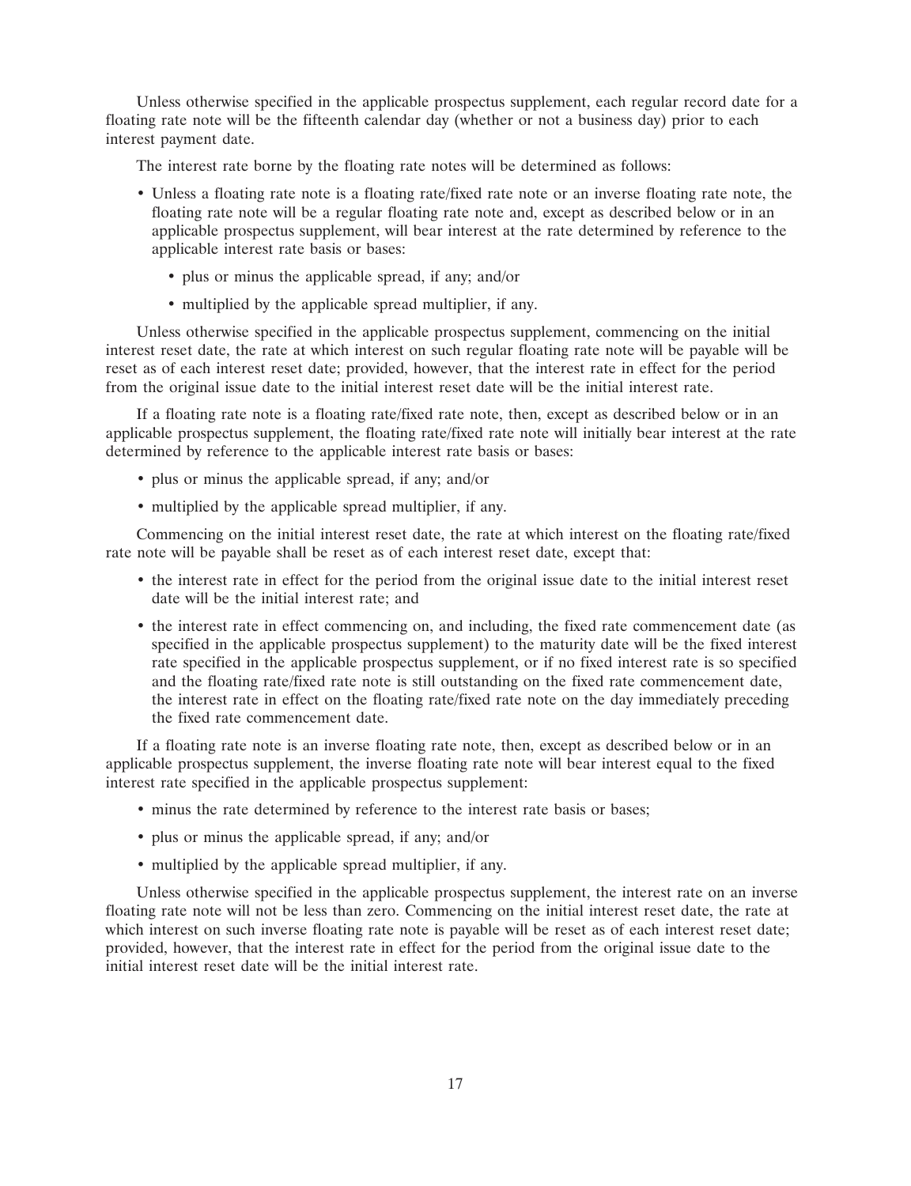Unless otherwise specified in the applicable prospectus supplement, each regular record date for a floating rate note will be the fifteenth calendar day (whether or not a business day) prior to each interest payment date.

The interest rate borne by the floating rate notes will be determined as follows:

- Unless a floating rate note is a floating rate/fixed rate note or an inverse floating rate note, the floating rate note will be a regular floating rate note and, except as described below or in an applicable prospectus supplement, will bear interest at the rate determined by reference to the applicable interest rate basis or bases:
	- plus or minus the applicable spread, if any; and/or
	- multiplied by the applicable spread multiplier, if any.

Unless otherwise specified in the applicable prospectus supplement, commencing on the initial interest reset date, the rate at which interest on such regular floating rate note will be payable will be reset as of each interest reset date; provided, however, that the interest rate in effect for the period from the original issue date to the initial interest reset date will be the initial interest rate.

If a floating rate note is a floating rate/fixed rate note, then, except as described below or in an applicable prospectus supplement, the floating rate/fixed rate note will initially bear interest at the rate determined by reference to the applicable interest rate basis or bases:

- plus or minus the applicable spread, if any; and/or
- multiplied by the applicable spread multiplier, if any.

Commencing on the initial interest reset date, the rate at which interest on the floating rate/fixed rate note will be payable shall be reset as of each interest reset date, except that:

- the interest rate in effect for the period from the original issue date to the initial interest reset date will be the initial interest rate; and
- the interest rate in effect commencing on, and including, the fixed rate commencement date (as specified in the applicable prospectus supplement) to the maturity date will be the fixed interest rate specified in the applicable prospectus supplement, or if no fixed interest rate is so specified and the floating rate/fixed rate note is still outstanding on the fixed rate commencement date, the interest rate in effect on the floating rate/fixed rate note on the day immediately preceding the fixed rate commencement date.

If a floating rate note is an inverse floating rate note, then, except as described below or in an applicable prospectus supplement, the inverse floating rate note will bear interest equal to the fixed interest rate specified in the applicable prospectus supplement:

- minus the rate determined by reference to the interest rate basis or bases;
- plus or minus the applicable spread, if any; and/or
- multiplied by the applicable spread multiplier, if any.

Unless otherwise specified in the applicable prospectus supplement, the interest rate on an inverse floating rate note will not be less than zero. Commencing on the initial interest reset date, the rate at which interest on such inverse floating rate note is payable will be reset as of each interest reset date; provided, however, that the interest rate in effect for the period from the original issue date to the initial interest reset date will be the initial interest rate.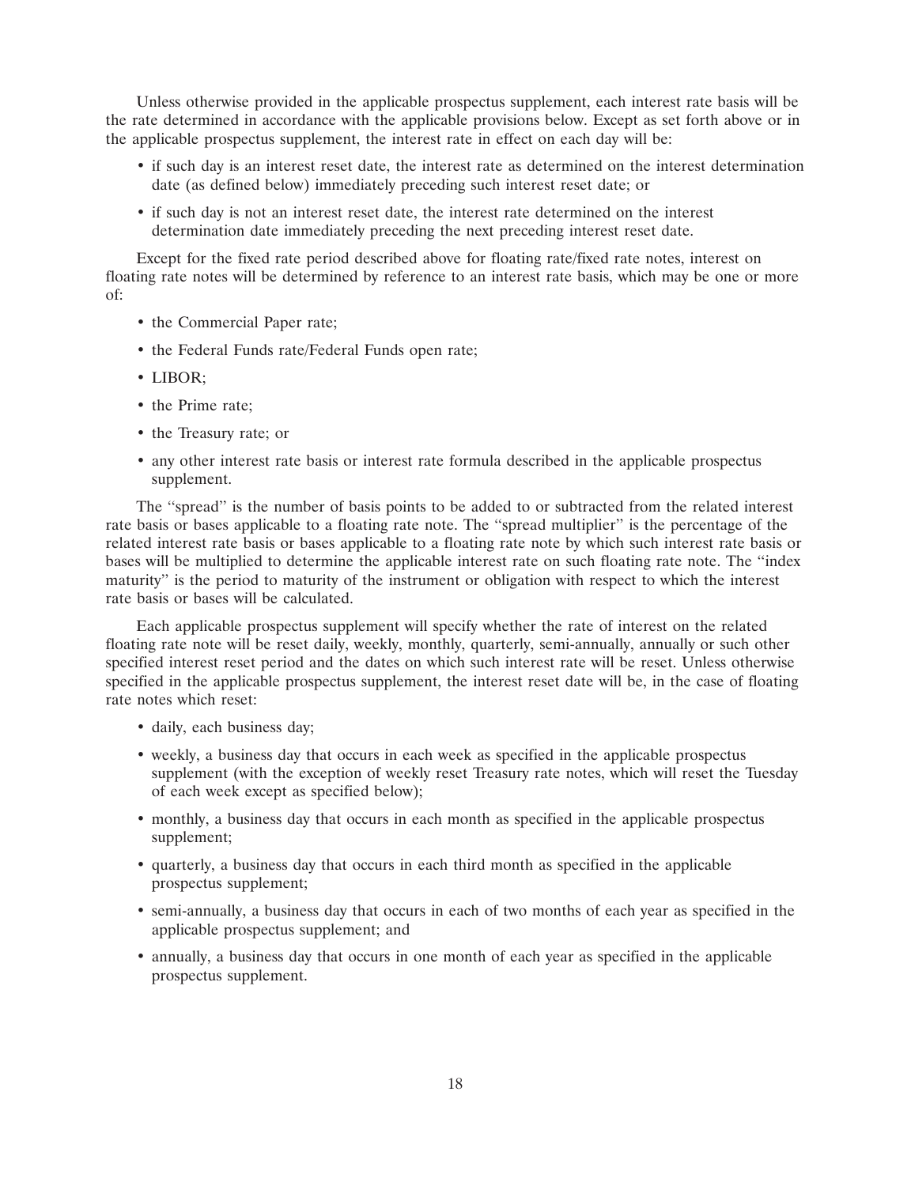Unless otherwise provided in the applicable prospectus supplement, each interest rate basis will be the rate determined in accordance with the applicable provisions below. Except as set forth above or in the applicable prospectus supplement, the interest rate in effect on each day will be:

- if such day is an interest reset date, the interest rate as determined on the interest determination date (as defined below) immediately preceding such interest reset date; or
- if such day is not an interest reset date, the interest rate determined on the interest determination date immediately preceding the next preceding interest reset date.

Except for the fixed rate period described above for floating rate/fixed rate notes, interest on floating rate notes will be determined by reference to an interest rate basis, which may be one or more of:

- the Commercial Paper rate;
- the Federal Funds rate/Federal Funds open rate;
- LIBOR;
- the Prime rate:
- the Treasury rate; or
- any other interest rate basis or interest rate formula described in the applicable prospectus supplement.

The ''spread'' is the number of basis points to be added to or subtracted from the related interest rate basis or bases applicable to a floating rate note. The ''spread multiplier'' is the percentage of the related interest rate basis or bases applicable to a floating rate note by which such interest rate basis or bases will be multiplied to determine the applicable interest rate on such floating rate note. The ''index maturity'' is the period to maturity of the instrument or obligation with respect to which the interest rate basis or bases will be calculated.

Each applicable prospectus supplement will specify whether the rate of interest on the related floating rate note will be reset daily, weekly, monthly, quarterly, semi-annually, annually or such other specified interest reset period and the dates on which such interest rate will be reset. Unless otherwise specified in the applicable prospectus supplement, the interest reset date will be, in the case of floating rate notes which reset:

- daily, each business day;
- weekly, a business day that occurs in each week as specified in the applicable prospectus supplement (with the exception of weekly reset Treasury rate notes, which will reset the Tuesday of each week except as specified below);
- monthly, a business day that occurs in each month as specified in the applicable prospectus supplement;
- quarterly, a business day that occurs in each third month as specified in the applicable prospectus supplement;
- semi-annually, a business day that occurs in each of two months of each year as specified in the applicable prospectus supplement; and
- annually, a business day that occurs in one month of each year as specified in the applicable prospectus supplement.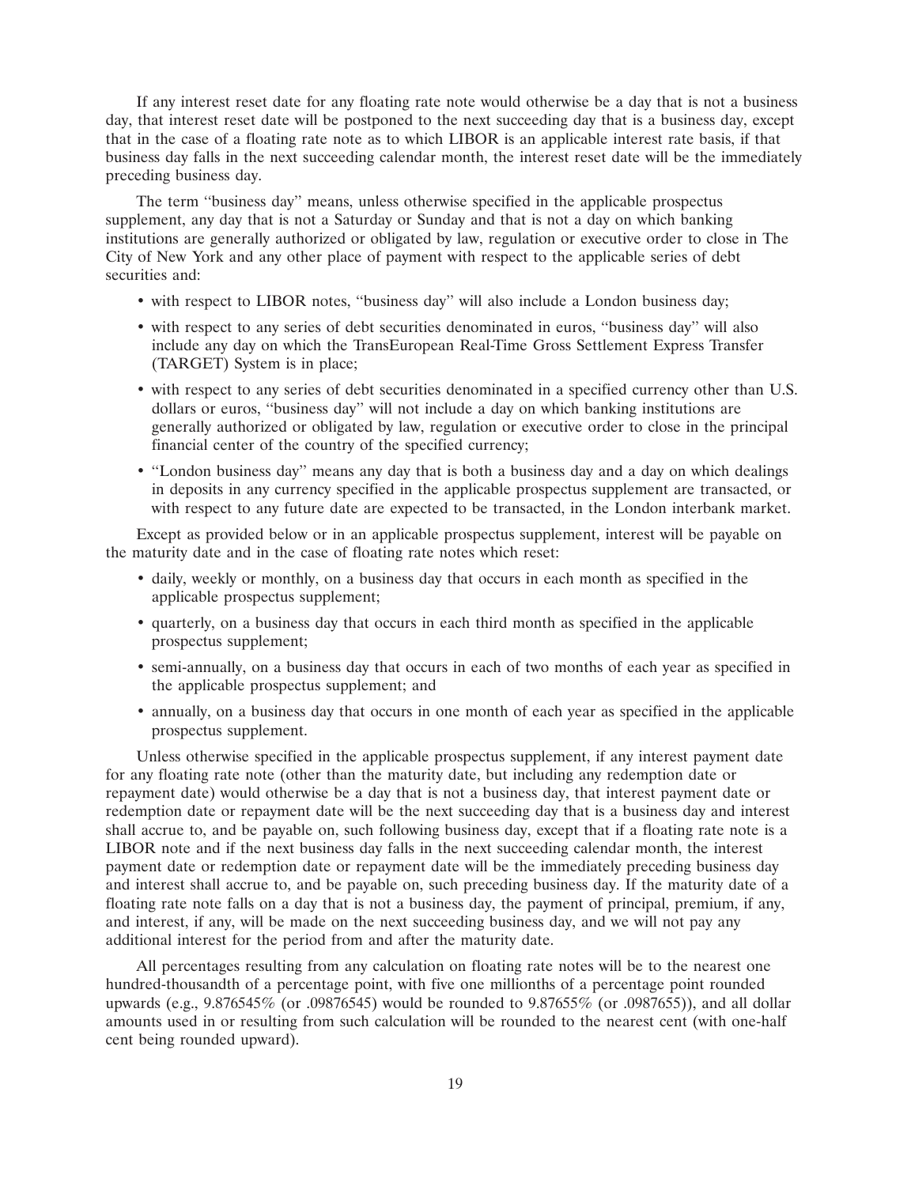If any interest reset date for any floating rate note would otherwise be a day that is not a business day, that interest reset date will be postponed to the next succeeding day that is a business day, except that in the case of a floating rate note as to which LIBOR is an applicable interest rate basis, if that business day falls in the next succeeding calendar month, the interest reset date will be the immediately preceding business day.

The term ''business day'' means, unless otherwise specified in the applicable prospectus supplement, any day that is not a Saturday or Sunday and that is not a day on which banking institutions are generally authorized or obligated by law, regulation or executive order to close in The City of New York and any other place of payment with respect to the applicable series of debt securities and:

- with respect to LIBOR notes, ''business day'' will also include a London business day;
- with respect to any series of debt securities denominated in euros, "business day" will also include any day on which the TransEuropean Real-Time Gross Settlement Express Transfer (TARGET) System is in place;
- with respect to any series of debt securities denominated in a specified currency other than U.S. dollars or euros, ''business day'' will not include a day on which banking institutions are generally authorized or obligated by law, regulation or executive order to close in the principal financial center of the country of the specified currency;
- ''London business day'' means any day that is both a business day and a day on which dealings in deposits in any currency specified in the applicable prospectus supplement are transacted, or with respect to any future date are expected to be transacted, in the London interbank market.

Except as provided below or in an applicable prospectus supplement, interest will be payable on the maturity date and in the case of floating rate notes which reset:

- daily, weekly or monthly, on a business day that occurs in each month as specified in the applicable prospectus supplement;
- quarterly, on a business day that occurs in each third month as specified in the applicable prospectus supplement;
- semi-annually, on a business day that occurs in each of two months of each year as specified in the applicable prospectus supplement; and
- annually, on a business day that occurs in one month of each year as specified in the applicable prospectus supplement.

Unless otherwise specified in the applicable prospectus supplement, if any interest payment date for any floating rate note (other than the maturity date, but including any redemption date or repayment date) would otherwise be a day that is not a business day, that interest payment date or redemption date or repayment date will be the next succeeding day that is a business day and interest shall accrue to, and be payable on, such following business day, except that if a floating rate note is a LIBOR note and if the next business day falls in the next succeeding calendar month, the interest payment date or redemption date or repayment date will be the immediately preceding business day and interest shall accrue to, and be payable on, such preceding business day. If the maturity date of a floating rate note falls on a day that is not a business day, the payment of principal, premium, if any, and interest, if any, will be made on the next succeeding business day, and we will not pay any additional interest for the period from and after the maturity date.

All percentages resulting from any calculation on floating rate notes will be to the nearest one hundred-thousandth of a percentage point, with five one millionths of a percentage point rounded upwards (e.g.,  $9.876545\%$  (or .09876545) would be rounded to  $9.87655\%$  (or .0987655)), and all dollar amounts used in or resulting from such calculation will be rounded to the nearest cent (with one-half cent being rounded upward).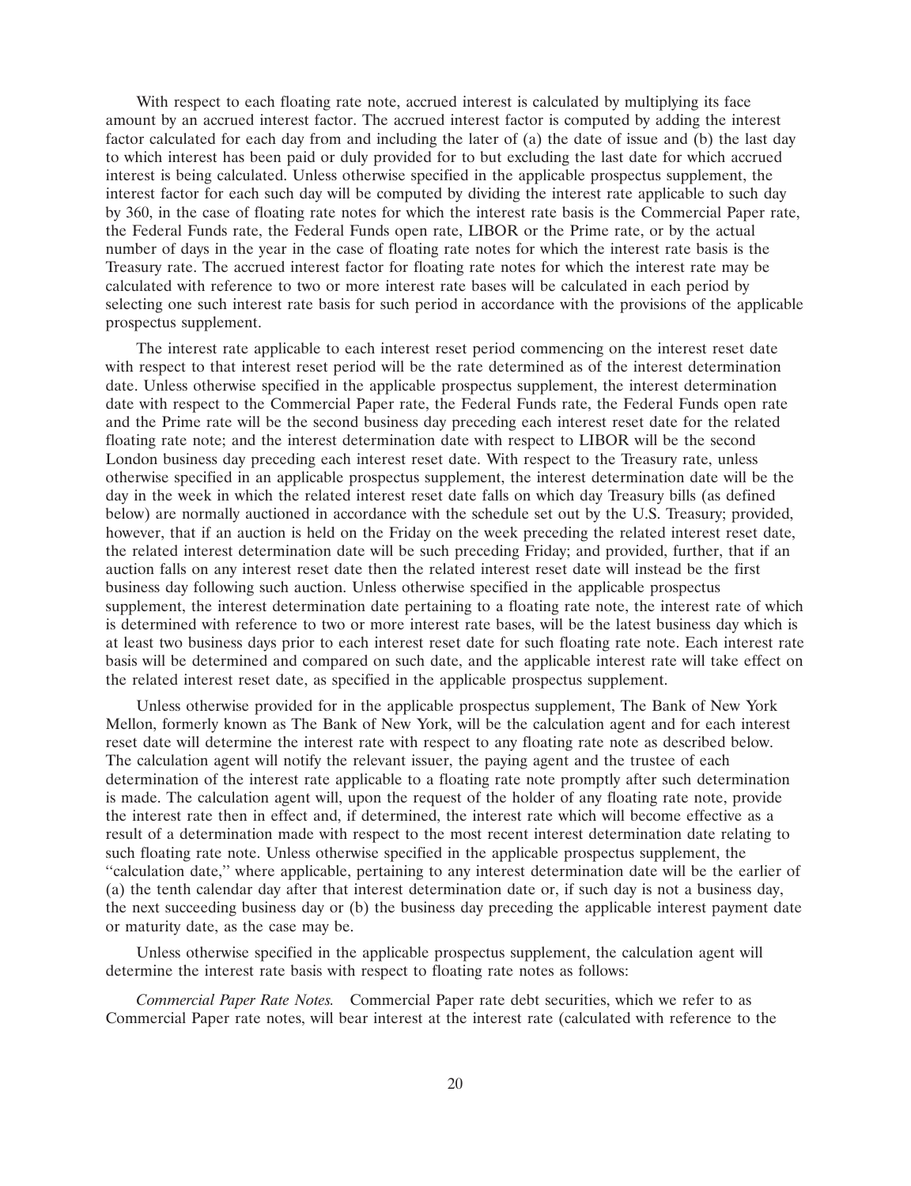With respect to each floating rate note, accrued interest is calculated by multiplying its face amount by an accrued interest factor. The accrued interest factor is computed by adding the interest factor calculated for each day from and including the later of (a) the date of issue and (b) the last day to which interest has been paid or duly provided for to but excluding the last date for which accrued interest is being calculated. Unless otherwise specified in the applicable prospectus supplement, the interest factor for each such day will be computed by dividing the interest rate applicable to such day by 360, in the case of floating rate notes for which the interest rate basis is the Commercial Paper rate, the Federal Funds rate, the Federal Funds open rate, LIBOR or the Prime rate, or by the actual number of days in the year in the case of floating rate notes for which the interest rate basis is the Treasury rate. The accrued interest factor for floating rate notes for which the interest rate may be calculated with reference to two or more interest rate bases will be calculated in each period by selecting one such interest rate basis for such period in accordance with the provisions of the applicable prospectus supplement.

The interest rate applicable to each interest reset period commencing on the interest reset date with respect to that interest reset period will be the rate determined as of the interest determination date. Unless otherwise specified in the applicable prospectus supplement, the interest determination date with respect to the Commercial Paper rate, the Federal Funds rate, the Federal Funds open rate and the Prime rate will be the second business day preceding each interest reset date for the related floating rate note; and the interest determination date with respect to LIBOR will be the second London business day preceding each interest reset date. With respect to the Treasury rate, unless otherwise specified in an applicable prospectus supplement, the interest determination date will be the day in the week in which the related interest reset date falls on which day Treasury bills (as defined below) are normally auctioned in accordance with the schedule set out by the U.S. Treasury; provided, however, that if an auction is held on the Friday on the week preceding the related interest reset date, the related interest determination date will be such preceding Friday; and provided, further, that if an auction falls on any interest reset date then the related interest reset date will instead be the first business day following such auction. Unless otherwise specified in the applicable prospectus supplement, the interest determination date pertaining to a floating rate note, the interest rate of which is determined with reference to two or more interest rate bases, will be the latest business day which is at least two business days prior to each interest reset date for such floating rate note. Each interest rate basis will be determined and compared on such date, and the applicable interest rate will take effect on the related interest reset date, as specified in the applicable prospectus supplement.

Unless otherwise provided for in the applicable prospectus supplement, The Bank of New York Mellon, formerly known as The Bank of New York, will be the calculation agent and for each interest reset date will determine the interest rate with respect to any floating rate note as described below. The calculation agent will notify the relevant issuer, the paying agent and the trustee of each determination of the interest rate applicable to a floating rate note promptly after such determination is made. The calculation agent will, upon the request of the holder of any floating rate note, provide the interest rate then in effect and, if determined, the interest rate which will become effective as a result of a determination made with respect to the most recent interest determination date relating to such floating rate note. Unless otherwise specified in the applicable prospectus supplement, the "calculation date," where applicable, pertaining to any interest determination date will be the earlier of (a) the tenth calendar day after that interest determination date or, if such day is not a business day, the next succeeding business day or (b) the business day preceding the applicable interest payment date or maturity date, as the case may be.

Unless otherwise specified in the applicable prospectus supplement, the calculation agent will determine the interest rate basis with respect to floating rate notes as follows:

*Commercial Paper Rate Notes.* Commercial Paper rate debt securities, which we refer to as Commercial Paper rate notes, will bear interest at the interest rate (calculated with reference to the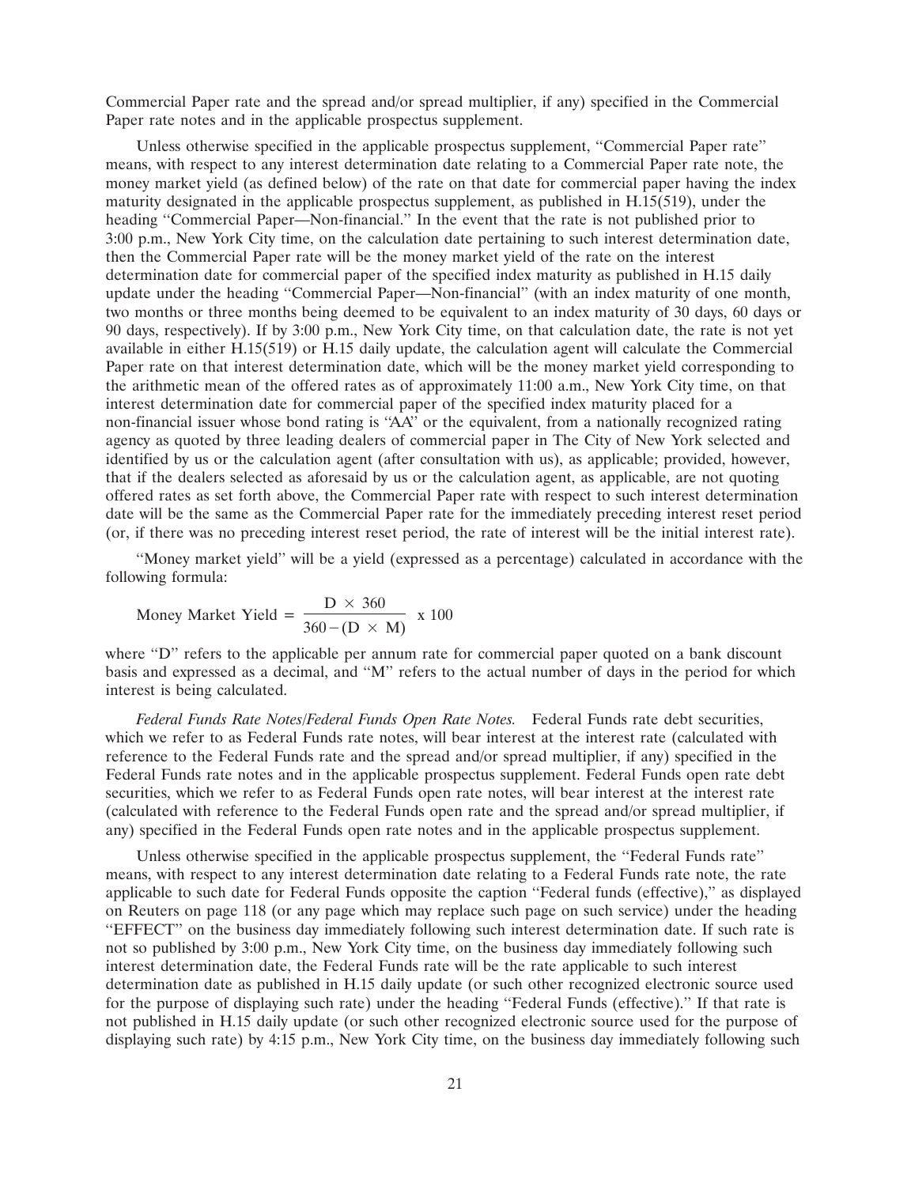Commercial Paper rate and the spread and/or spread multiplier, if any) specified in the Commercial Paper rate notes and in the applicable prospectus supplement.

Unless otherwise specified in the applicable prospectus supplement, ''Commercial Paper rate'' means, with respect to any interest determination date relating to a Commercial Paper rate note, the money market yield (as defined below) of the rate on that date for commercial paper having the index maturity designated in the applicable prospectus supplement, as published in H.15(519), under the heading ''Commercial Paper—Non-financial.'' In the event that the rate is not published prior to 3:00 p.m., New York City time, on the calculation date pertaining to such interest determination date, then the Commercial Paper rate will be the money market yield of the rate on the interest determination date for commercial paper of the specified index maturity as published in H.15 daily update under the heading ''Commercial Paper—Non-financial'' (with an index maturity of one month, two months or three months being deemed to be equivalent to an index maturity of 30 days, 60 days or 90 days, respectively). If by 3:00 p.m., New York City time, on that calculation date, the rate is not yet available in either H.15(519) or H.15 daily update, the calculation agent will calculate the Commercial Paper rate on that interest determination date, which will be the money market yield corresponding to the arithmetic mean of the offered rates as of approximately 11:00 a.m., New York City time, on that interest determination date for commercial paper of the specified index maturity placed for a non-financial issuer whose bond rating is "AA" or the equivalent, from a nationally recognized rating agency as quoted by three leading dealers of commercial paper in The City of New York selected and identified by us or the calculation agent (after consultation with us), as applicable; provided, however, that if the dealers selected as aforesaid by us or the calculation agent, as applicable, are not quoting offered rates as set forth above, the Commercial Paper rate with respect to such interest determination date will be the same as the Commercial Paper rate for the immediately preceding interest reset period (or, if there was no preceding interest reset period, the rate of interest will be the initial interest rate).

''Money market yield'' will be a yield (expressed as a percentage) calculated in accordance with the following formula:

$$
ext{Money Market Yield} = \frac{D \times 360}{360 - (D \times M)} \times 100
$$

where "D" refers to the applicable per annum rate for commercial paper quoted on a bank discount basis and expressed as a decimal, and ''M'' refers to the actual number of days in the period for which interest is being calculated.

*Federal Funds Rate Notes/Federal Funds Open Rate Notes.* Federal Funds rate debt securities, which we refer to as Federal Funds rate notes, will bear interest at the interest rate (calculated with reference to the Federal Funds rate and the spread and/or spread multiplier, if any) specified in the Federal Funds rate notes and in the applicable prospectus supplement. Federal Funds open rate debt securities, which we refer to as Federal Funds open rate notes, will bear interest at the interest rate (calculated with reference to the Federal Funds open rate and the spread and/or spread multiplier, if any) specified in the Federal Funds open rate notes and in the applicable prospectus supplement.

Unless otherwise specified in the applicable prospectus supplement, the ''Federal Funds rate'' means, with respect to any interest determination date relating to a Federal Funds rate note, the rate applicable to such date for Federal Funds opposite the caption ''Federal funds (effective),'' as displayed on Reuters on page 118 (or any page which may replace such page on such service) under the heading ''EFFECT'' on the business day immediately following such interest determination date. If such rate is not so published by 3:00 p.m., New York City time, on the business day immediately following such interest determination date, the Federal Funds rate will be the rate applicable to such interest determination date as published in H.15 daily update (or such other recognized electronic source used for the purpose of displaying such rate) under the heading ''Federal Funds (effective).'' If that rate is not published in H.15 daily update (or such other recognized electronic source used for the purpose of displaying such rate) by 4:15 p.m., New York City time, on the business day immediately following such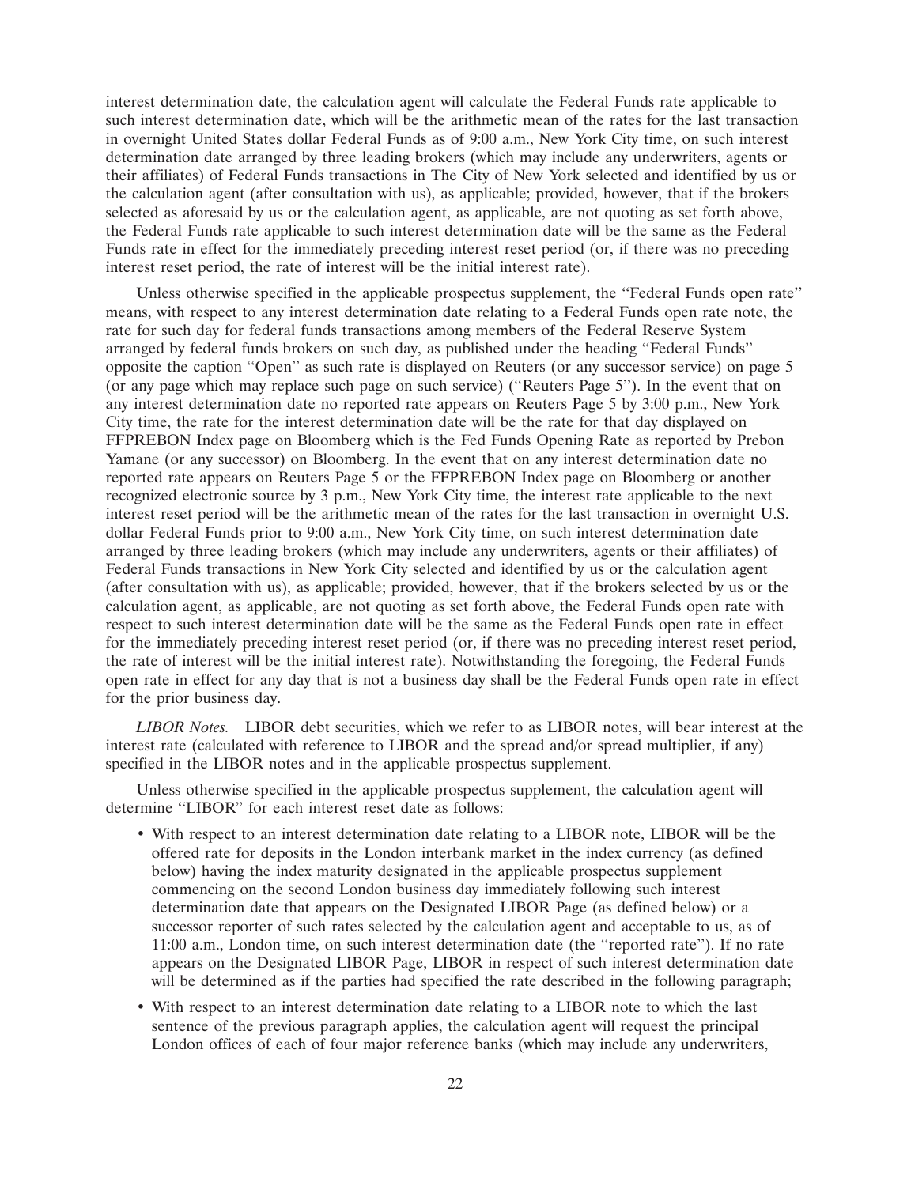interest determination date, the calculation agent will calculate the Federal Funds rate applicable to such interest determination date, which will be the arithmetic mean of the rates for the last transaction in overnight United States dollar Federal Funds as of 9:00 a.m., New York City time, on such interest determination date arranged by three leading brokers (which may include any underwriters, agents or their affiliates) of Federal Funds transactions in The City of New York selected and identified by us or the calculation agent (after consultation with us), as applicable; provided, however, that if the brokers selected as aforesaid by us or the calculation agent, as applicable, are not quoting as set forth above, the Federal Funds rate applicable to such interest determination date will be the same as the Federal Funds rate in effect for the immediately preceding interest reset period (or, if there was no preceding interest reset period, the rate of interest will be the initial interest rate).

Unless otherwise specified in the applicable prospectus supplement, the ''Federal Funds open rate'' means, with respect to any interest determination date relating to a Federal Funds open rate note, the rate for such day for federal funds transactions among members of the Federal Reserve System arranged by federal funds brokers on such day, as published under the heading ''Federal Funds'' opposite the caption ''Open'' as such rate is displayed on Reuters (or any successor service) on page 5 (or any page which may replace such page on such service) (''Reuters Page 5''). In the event that on any interest determination date no reported rate appears on Reuters Page 5 by 3:00 p.m., New York City time, the rate for the interest determination date will be the rate for that day displayed on FFPREBON Index page on Bloomberg which is the Fed Funds Opening Rate as reported by Prebon Yamane (or any successor) on Bloomberg. In the event that on any interest determination date no reported rate appears on Reuters Page 5 or the FFPREBON Index page on Bloomberg or another recognized electronic source by 3 p.m., New York City time, the interest rate applicable to the next interest reset period will be the arithmetic mean of the rates for the last transaction in overnight U.S. dollar Federal Funds prior to 9:00 a.m., New York City time, on such interest determination date arranged by three leading brokers (which may include any underwriters, agents or their affiliates) of Federal Funds transactions in New York City selected and identified by us or the calculation agent (after consultation with us), as applicable; provided, however, that if the brokers selected by us or the calculation agent, as applicable, are not quoting as set forth above, the Federal Funds open rate with respect to such interest determination date will be the same as the Federal Funds open rate in effect for the immediately preceding interest reset period (or, if there was no preceding interest reset period, the rate of interest will be the initial interest rate). Notwithstanding the foregoing, the Federal Funds open rate in effect for any day that is not a business day shall be the Federal Funds open rate in effect for the prior business day.

*LIBOR Notes.* LIBOR debt securities, which we refer to as LIBOR notes, will bear interest at the interest rate (calculated with reference to LIBOR and the spread and/or spread multiplier, if any) specified in the LIBOR notes and in the applicable prospectus supplement.

Unless otherwise specified in the applicable prospectus supplement, the calculation agent will determine ''LIBOR'' for each interest reset date as follows:

- With respect to an interest determination date relating to a LIBOR note, LIBOR will be the offered rate for deposits in the London interbank market in the index currency (as defined below) having the index maturity designated in the applicable prospectus supplement commencing on the second London business day immediately following such interest determination date that appears on the Designated LIBOR Page (as defined below) or a successor reporter of such rates selected by the calculation agent and acceptable to us, as of 11:00 a.m., London time, on such interest determination date (the ''reported rate''). If no rate appears on the Designated LIBOR Page, LIBOR in respect of such interest determination date will be determined as if the parties had specified the rate described in the following paragraph;
- With respect to an interest determination date relating to a LIBOR note to which the last sentence of the previous paragraph applies, the calculation agent will request the principal London offices of each of four major reference banks (which may include any underwriters,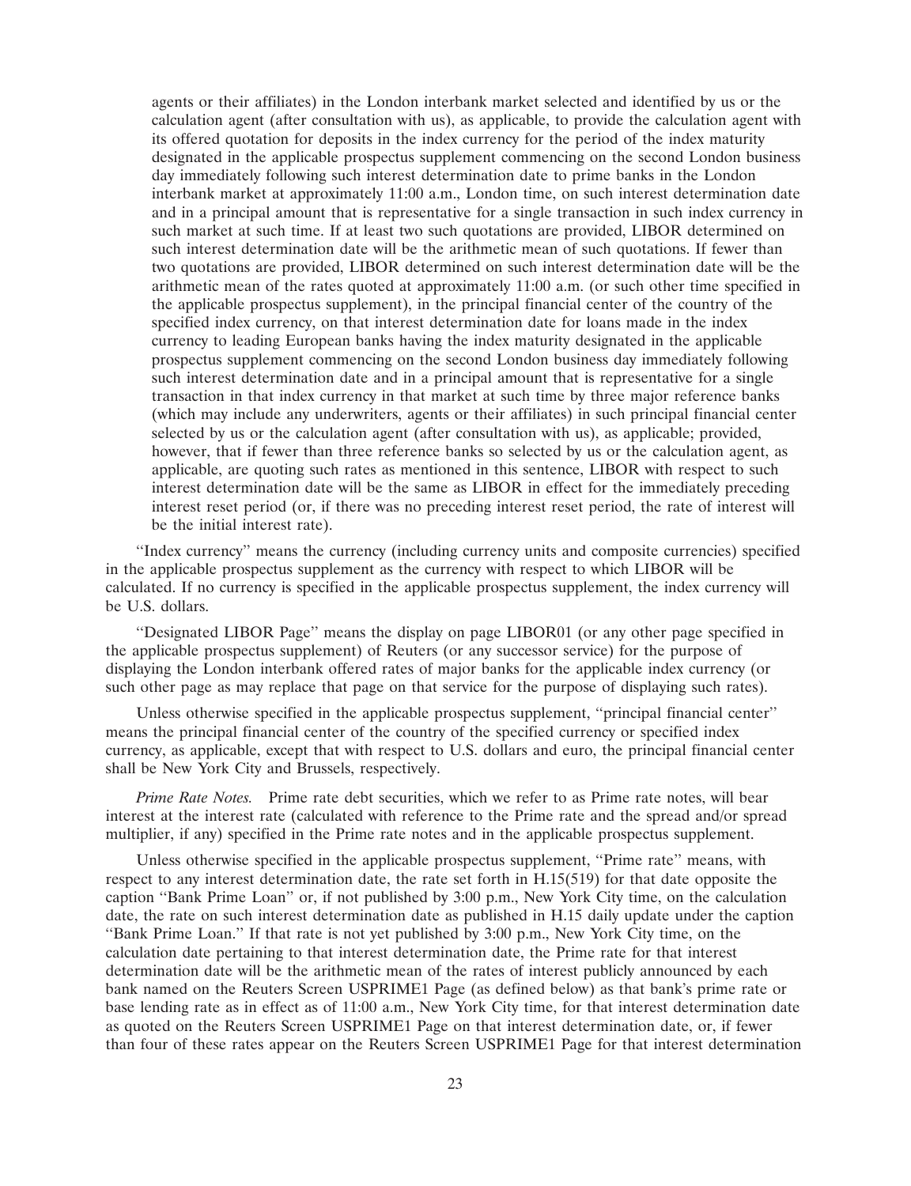agents or their affiliates) in the London interbank market selected and identified by us or the calculation agent (after consultation with us), as applicable, to provide the calculation agent with its offered quotation for deposits in the index currency for the period of the index maturity designated in the applicable prospectus supplement commencing on the second London business day immediately following such interest determination date to prime banks in the London interbank market at approximately 11:00 a.m., London time, on such interest determination date and in a principal amount that is representative for a single transaction in such index currency in such market at such time. If at least two such quotations are provided, LIBOR determined on such interest determination date will be the arithmetic mean of such quotations. If fewer than two quotations are provided, LIBOR determined on such interest determination date will be the arithmetic mean of the rates quoted at approximately 11:00 a.m. (or such other time specified in the applicable prospectus supplement), in the principal financial center of the country of the specified index currency, on that interest determination date for loans made in the index currency to leading European banks having the index maturity designated in the applicable prospectus supplement commencing on the second London business day immediately following such interest determination date and in a principal amount that is representative for a single transaction in that index currency in that market at such time by three major reference banks (which may include any underwriters, agents or their affiliates) in such principal financial center selected by us or the calculation agent (after consultation with us), as applicable; provided, however, that if fewer than three reference banks so selected by us or the calculation agent, as applicable, are quoting such rates as mentioned in this sentence, LIBOR with respect to such interest determination date will be the same as LIBOR in effect for the immediately preceding interest reset period (or, if there was no preceding interest reset period, the rate of interest will be the initial interest rate).

''Index currency'' means the currency (including currency units and composite currencies) specified in the applicable prospectus supplement as the currency with respect to which LIBOR will be calculated. If no currency is specified in the applicable prospectus supplement, the index currency will be U.S. dollars.

''Designated LIBOR Page'' means the display on page LIBOR01 (or any other page specified in the applicable prospectus supplement) of Reuters (or any successor service) for the purpose of displaying the London interbank offered rates of major banks for the applicable index currency (or such other page as may replace that page on that service for the purpose of displaying such rates).

Unless otherwise specified in the applicable prospectus supplement, ''principal financial center'' means the principal financial center of the country of the specified currency or specified index currency, as applicable, except that with respect to U.S. dollars and euro, the principal financial center shall be New York City and Brussels, respectively.

*Prime Rate Notes.* Prime rate debt securities, which we refer to as Prime rate notes, will bear interest at the interest rate (calculated with reference to the Prime rate and the spread and/or spread multiplier, if any) specified in the Prime rate notes and in the applicable prospectus supplement.

Unless otherwise specified in the applicable prospectus supplement, ''Prime rate'' means, with respect to any interest determination date, the rate set forth in H.15(519) for that date opposite the caption ''Bank Prime Loan'' or, if not published by 3:00 p.m., New York City time, on the calculation date, the rate on such interest determination date as published in H.15 daily update under the caption ''Bank Prime Loan.'' If that rate is not yet published by 3:00 p.m., New York City time, on the calculation date pertaining to that interest determination date, the Prime rate for that interest determination date will be the arithmetic mean of the rates of interest publicly announced by each bank named on the Reuters Screen USPRIME1 Page (as defined below) as that bank's prime rate or base lending rate as in effect as of 11:00 a.m., New York City time, for that interest determination date as quoted on the Reuters Screen USPRIME1 Page on that interest determination date, or, if fewer than four of these rates appear on the Reuters Screen USPRIME1 Page for that interest determination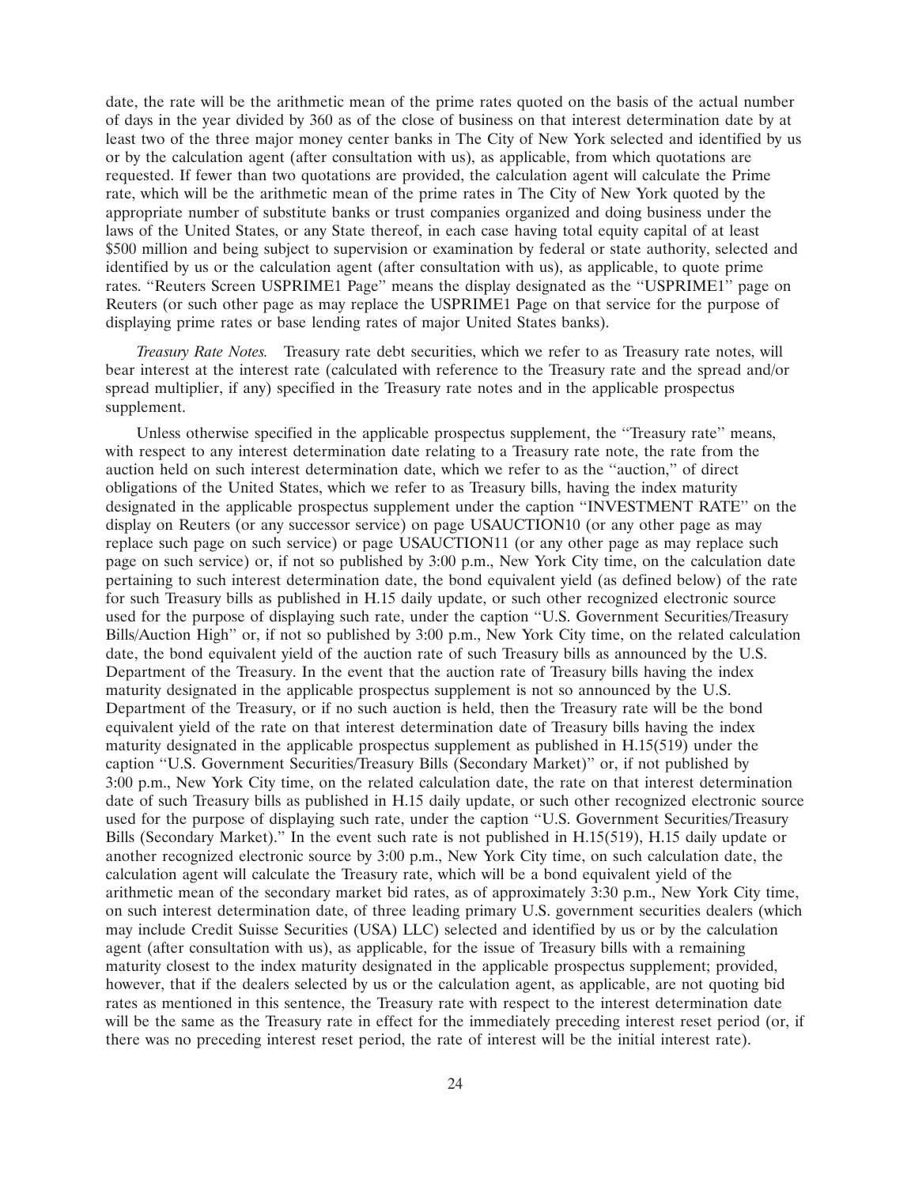date, the rate will be the arithmetic mean of the prime rates quoted on the basis of the actual number of days in the year divided by 360 as of the close of business on that interest determination date by at least two of the three major money center banks in The City of New York selected and identified by us or by the calculation agent (after consultation with us), as applicable, from which quotations are requested. If fewer than two quotations are provided, the calculation agent will calculate the Prime rate, which will be the arithmetic mean of the prime rates in The City of New York quoted by the appropriate number of substitute banks or trust companies organized and doing business under the laws of the United States, or any State thereof, in each case having total equity capital of at least \$500 million and being subject to supervision or examination by federal or state authority, selected and identified by us or the calculation agent (after consultation with us), as applicable, to quote prime rates. "Reuters Screen USPRIME1 Page" means the display designated as the "USPRIME1" page on Reuters (or such other page as may replace the USPRIME1 Page on that service for the purpose of displaying prime rates or base lending rates of major United States banks).

*Treasury Rate Notes.* Treasury rate debt securities, which we refer to as Treasury rate notes, will bear interest at the interest rate (calculated with reference to the Treasury rate and the spread and/or spread multiplier, if any) specified in the Treasury rate notes and in the applicable prospectus supplement.

Unless otherwise specified in the applicable prospectus supplement, the ''Treasury rate'' means, with respect to any interest determination date relating to a Treasury rate note, the rate from the auction held on such interest determination date, which we refer to as the ''auction,'' of direct obligations of the United States, which we refer to as Treasury bills, having the index maturity designated in the applicable prospectus supplement under the caption ''INVESTMENT RATE'' on the display on Reuters (or any successor service) on page USAUCTION10 (or any other page as may replace such page on such service) or page USAUCTION11 (or any other page as may replace such page on such service) or, if not so published by 3:00 p.m., New York City time, on the calculation date pertaining to such interest determination date, the bond equivalent yield (as defined below) of the rate for such Treasury bills as published in H.15 daily update, or such other recognized electronic source used for the purpose of displaying such rate, under the caption ''U.S. Government Securities/Treasury Bills/Auction High'' or, if not so published by 3:00 p.m., New York City time, on the related calculation date, the bond equivalent yield of the auction rate of such Treasury bills as announced by the U.S. Department of the Treasury. In the event that the auction rate of Treasury bills having the index maturity designated in the applicable prospectus supplement is not so announced by the U.S. Department of the Treasury, or if no such auction is held, then the Treasury rate will be the bond equivalent yield of the rate on that interest determination date of Treasury bills having the index maturity designated in the applicable prospectus supplement as published in H.15(519) under the caption ''U.S. Government Securities/Treasury Bills (Secondary Market)'' or, if not published by 3:00 p.m., New York City time, on the related calculation date, the rate on that interest determination date of such Treasury bills as published in H.15 daily update, or such other recognized electronic source used for the purpose of displaying such rate, under the caption ''U.S. Government Securities/Treasury Bills (Secondary Market)." In the event such rate is not published in H.15(519), H.15 daily update or another recognized electronic source by 3:00 p.m., New York City time, on such calculation date, the calculation agent will calculate the Treasury rate, which will be a bond equivalent yield of the arithmetic mean of the secondary market bid rates, as of approximately  $3:30$  p.m., New York City time, on such interest determination date, of three leading primary U.S. government securities dealers (which may include Credit Suisse Securities (USA) LLC) selected and identified by us or by the calculation agent (after consultation with us), as applicable, for the issue of Treasury bills with a remaining maturity closest to the index maturity designated in the applicable prospectus supplement; provided, however, that if the dealers selected by us or the calculation agent, as applicable, are not quoting bid rates as mentioned in this sentence, the Treasury rate with respect to the interest determination date will be the same as the Treasury rate in effect for the immediately preceding interest reset period (or, if there was no preceding interest reset period, the rate of interest will be the initial interest rate).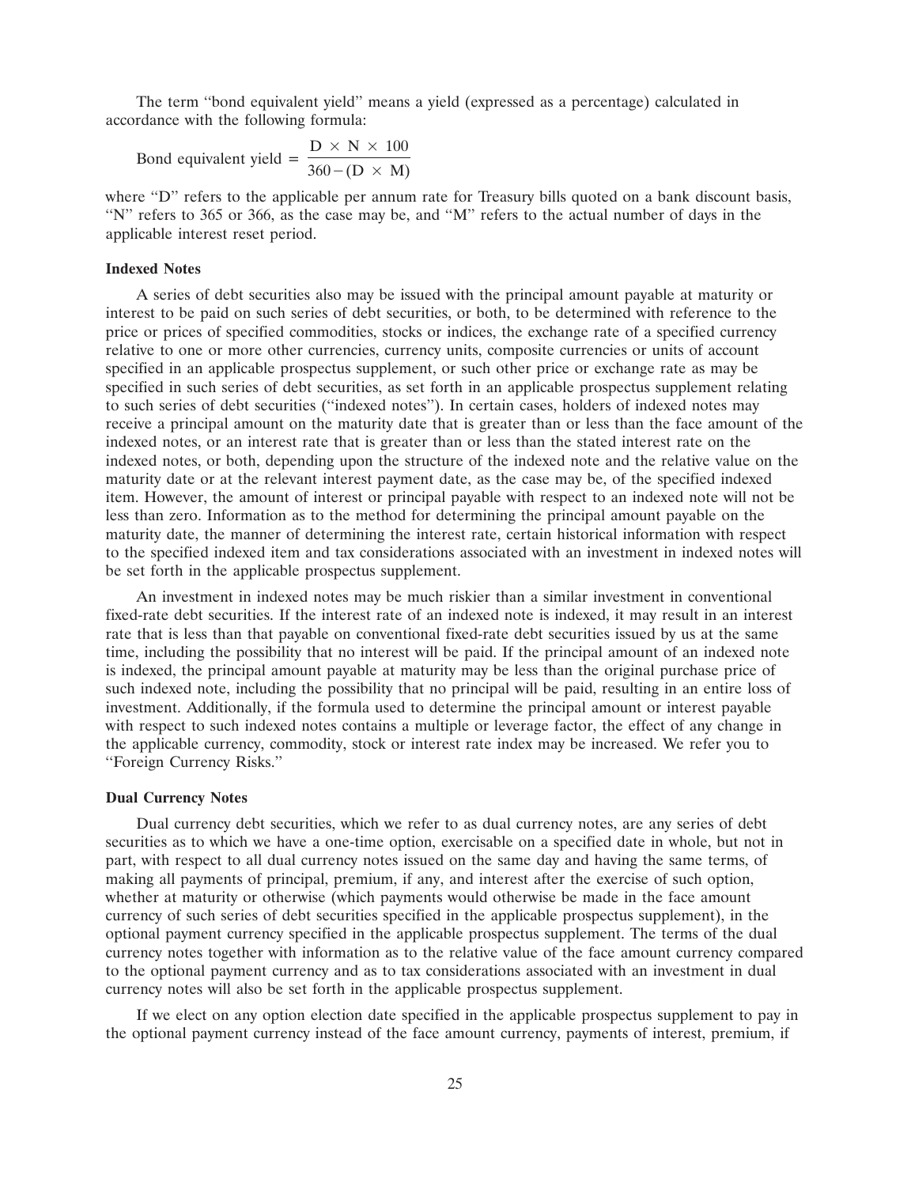The term ''bond equivalent yield'' means a yield (expressed as a percentage) calculated in accordance with the following formula:

Bond equivalent yield = 
$$
\frac{D \times N \times 100}{360 - (D \times M)}
$$

where "D" refers to the applicable per annum rate for Treasury bills quoted on a bank discount basis, "N" refers to 365 or 366, as the case may be, and "M" refers to the actual number of days in the applicable interest reset period.

## **Indexed Notes**

A series of debt securities also may be issued with the principal amount payable at maturity or interest to be paid on such series of debt securities, or both, to be determined with reference to the price or prices of specified commodities, stocks or indices, the exchange rate of a specified currency relative to one or more other currencies, currency units, composite currencies or units of account specified in an applicable prospectus supplement, or such other price or exchange rate as may be specified in such series of debt securities, as set forth in an applicable prospectus supplement relating to such series of debt securities (''indexed notes''). In certain cases, holders of indexed notes may receive a principal amount on the maturity date that is greater than or less than the face amount of the indexed notes, or an interest rate that is greater than or less than the stated interest rate on the indexed notes, or both, depending upon the structure of the indexed note and the relative value on the maturity date or at the relevant interest payment date, as the case may be, of the specified indexed item. However, the amount of interest or principal payable with respect to an indexed note will not be less than zero. Information as to the method for determining the principal amount payable on the maturity date, the manner of determining the interest rate, certain historical information with respect to the specified indexed item and tax considerations associated with an investment in indexed notes will be set forth in the applicable prospectus supplement.

An investment in indexed notes may be much riskier than a similar investment in conventional fixed-rate debt securities. If the interest rate of an indexed note is indexed, it may result in an interest rate that is less than that payable on conventional fixed-rate debt securities issued by us at the same time, including the possibility that no interest will be paid. If the principal amount of an indexed note is indexed, the principal amount payable at maturity may be less than the original purchase price of such indexed note, including the possibility that no principal will be paid, resulting in an entire loss of investment. Additionally, if the formula used to determine the principal amount or interest payable with respect to such indexed notes contains a multiple or leverage factor, the effect of any change in the applicable currency, commodity, stock or interest rate index may be increased. We refer you to ''Foreign Currency Risks.''

#### **Dual Currency Notes**

Dual currency debt securities, which we refer to as dual currency notes, are any series of debt securities as to which we have a one-time option, exercisable on a specified date in whole, but not in part, with respect to all dual currency notes issued on the same day and having the same terms, of making all payments of principal, premium, if any, and interest after the exercise of such option, whether at maturity or otherwise (which payments would otherwise be made in the face amount currency of such series of debt securities specified in the applicable prospectus supplement), in the optional payment currency specified in the applicable prospectus supplement. The terms of the dual currency notes together with information as to the relative value of the face amount currency compared to the optional payment currency and as to tax considerations associated with an investment in dual currency notes will also be set forth in the applicable prospectus supplement.

If we elect on any option election date specified in the applicable prospectus supplement to pay in the optional payment currency instead of the face amount currency, payments of interest, premium, if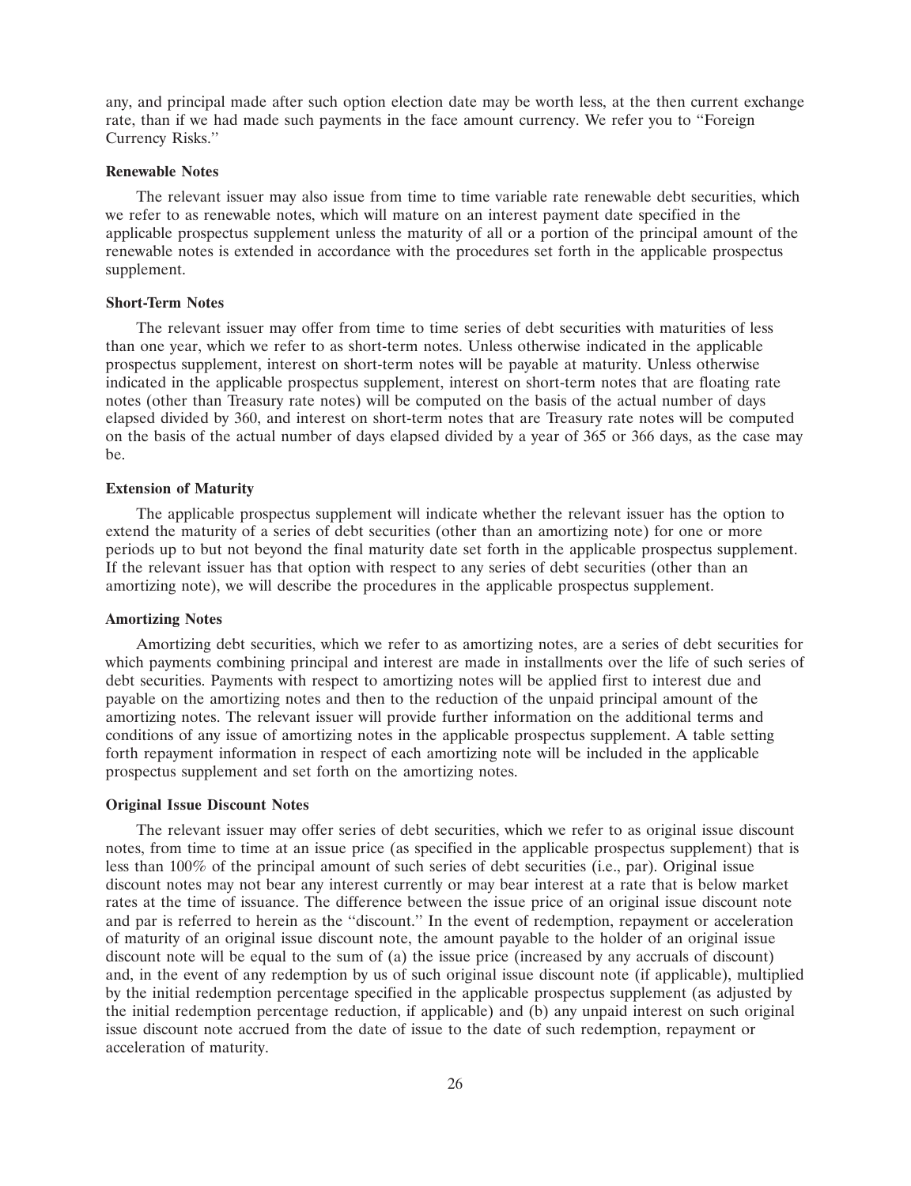any, and principal made after such option election date may be worth less, at the then current exchange rate, than if we had made such payments in the face amount currency. We refer you to ''Foreign Currency Risks.''

## **Renewable Notes**

The relevant issuer may also issue from time to time variable rate renewable debt securities, which we refer to as renewable notes, which will mature on an interest payment date specified in the applicable prospectus supplement unless the maturity of all or a portion of the principal amount of the renewable notes is extended in accordance with the procedures set forth in the applicable prospectus supplement.

#### **Short-Term Notes**

The relevant issuer may offer from time to time series of debt securities with maturities of less than one year, which we refer to as short-term notes. Unless otherwise indicated in the applicable prospectus supplement, interest on short-term notes will be payable at maturity. Unless otherwise indicated in the applicable prospectus supplement, interest on short-term notes that are floating rate notes (other than Treasury rate notes) will be computed on the basis of the actual number of days elapsed divided by 360, and interest on short-term notes that are Treasury rate notes will be computed on the basis of the actual number of days elapsed divided by a year of 365 or 366 days, as the case may be.

#### **Extension of Maturity**

The applicable prospectus supplement will indicate whether the relevant issuer has the option to extend the maturity of a series of debt securities (other than an amortizing note) for one or more periods up to but not beyond the final maturity date set forth in the applicable prospectus supplement. If the relevant issuer has that option with respect to any series of debt securities (other than an amortizing note), we will describe the procedures in the applicable prospectus supplement.

#### **Amortizing Notes**

Amortizing debt securities, which we refer to as amortizing notes, are a series of debt securities for which payments combining principal and interest are made in installments over the life of such series of debt securities. Payments with respect to amortizing notes will be applied first to interest due and payable on the amortizing notes and then to the reduction of the unpaid principal amount of the amortizing notes. The relevant issuer will provide further information on the additional terms and conditions of any issue of amortizing notes in the applicable prospectus supplement. A table setting forth repayment information in respect of each amortizing note will be included in the applicable prospectus supplement and set forth on the amortizing notes.

## **Original Issue Discount Notes**

The relevant issuer may offer series of debt securities, which we refer to as original issue discount notes, from time to time at an issue price (as specified in the applicable prospectus supplement) that is less than 100% of the principal amount of such series of debt securities (i.e., par). Original issue discount notes may not bear any interest currently or may bear interest at a rate that is below market rates at the time of issuance. The difference between the issue price of an original issue discount note and par is referred to herein as the ''discount.'' In the event of redemption, repayment or acceleration of maturity of an original issue discount note, the amount payable to the holder of an original issue discount note will be equal to the sum of (a) the issue price (increased by any accruals of discount) and, in the event of any redemption by us of such original issue discount note (if applicable), multiplied by the initial redemption percentage specified in the applicable prospectus supplement (as adjusted by the initial redemption percentage reduction, if applicable) and (b) any unpaid interest on such original issue discount note accrued from the date of issue to the date of such redemption, repayment or acceleration of maturity.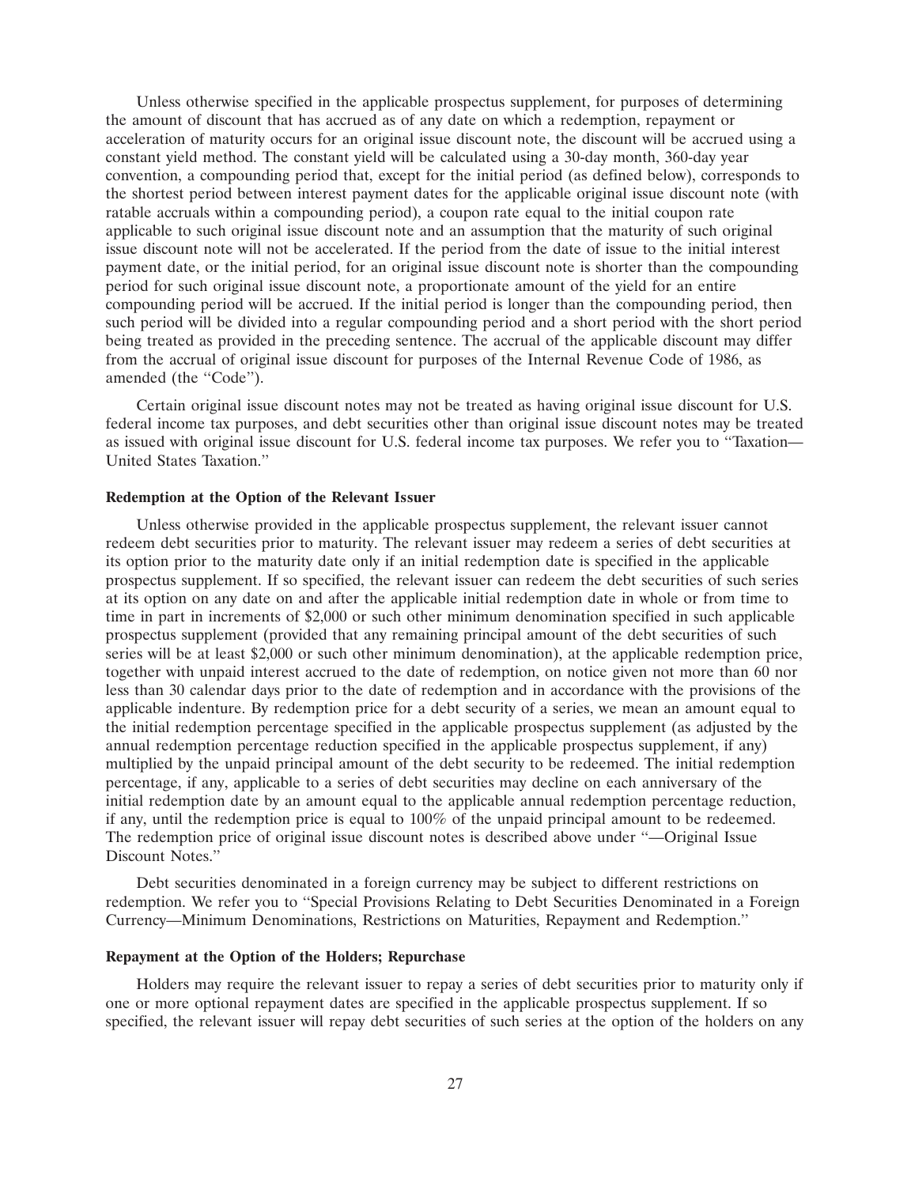Unless otherwise specified in the applicable prospectus supplement, for purposes of determining the amount of discount that has accrued as of any date on which a redemption, repayment or acceleration of maturity occurs for an original issue discount note, the discount will be accrued using a constant yield method. The constant yield will be calculated using a 30-day month, 360-day year convention, a compounding period that, except for the initial period (as defined below), corresponds to the shortest period between interest payment dates for the applicable original issue discount note (with ratable accruals within a compounding period), a coupon rate equal to the initial coupon rate applicable to such original issue discount note and an assumption that the maturity of such original issue discount note will not be accelerated. If the period from the date of issue to the initial interest payment date, or the initial period, for an original issue discount note is shorter than the compounding period for such original issue discount note, a proportionate amount of the yield for an entire compounding period will be accrued. If the initial period is longer than the compounding period, then such period will be divided into a regular compounding period and a short period with the short period being treated as provided in the preceding sentence. The accrual of the applicable discount may differ from the accrual of original issue discount for purposes of the Internal Revenue Code of 1986, as amended (the "Code").

Certain original issue discount notes may not be treated as having original issue discount for U.S. federal income tax purposes, and debt securities other than original issue discount notes may be treated as issued with original issue discount for U.S. federal income tax purposes. We refer you to ''Taxation— United States Taxation.''

#### **Redemption at the Option of the Relevant Issuer**

Unless otherwise provided in the applicable prospectus supplement, the relevant issuer cannot redeem debt securities prior to maturity. The relevant issuer may redeem a series of debt securities at its option prior to the maturity date only if an initial redemption date is specified in the applicable prospectus supplement. If so specified, the relevant issuer can redeem the debt securities of such series at its option on any date on and after the applicable initial redemption date in whole or from time to time in part in increments of \$2,000 or such other minimum denomination specified in such applicable prospectus supplement (provided that any remaining principal amount of the debt securities of such series will be at least \$2,000 or such other minimum denomination), at the applicable redemption price, together with unpaid interest accrued to the date of redemption, on notice given not more than 60 nor less than 30 calendar days prior to the date of redemption and in accordance with the provisions of the applicable indenture. By redemption price for a debt security of a series, we mean an amount equal to the initial redemption percentage specified in the applicable prospectus supplement (as adjusted by the annual redemption percentage reduction specified in the applicable prospectus supplement, if any) multiplied by the unpaid principal amount of the debt security to be redeemed. The initial redemption percentage, if any, applicable to a series of debt securities may decline on each anniversary of the initial redemption date by an amount equal to the applicable annual redemption percentage reduction, if any, until the redemption price is equal to 100% of the unpaid principal amount to be redeemed. The redemption price of original issue discount notes is described above under ''—Original Issue Discount Notes."

Debt securities denominated in a foreign currency may be subject to different restrictions on redemption. We refer you to ''Special Provisions Relating to Debt Securities Denominated in a Foreign Currency—Minimum Denominations, Restrictions on Maturities, Repayment and Redemption.''

## **Repayment at the Option of the Holders; Repurchase**

Holders may require the relevant issuer to repay a series of debt securities prior to maturity only if one or more optional repayment dates are specified in the applicable prospectus supplement. If so specified, the relevant issuer will repay debt securities of such series at the option of the holders on any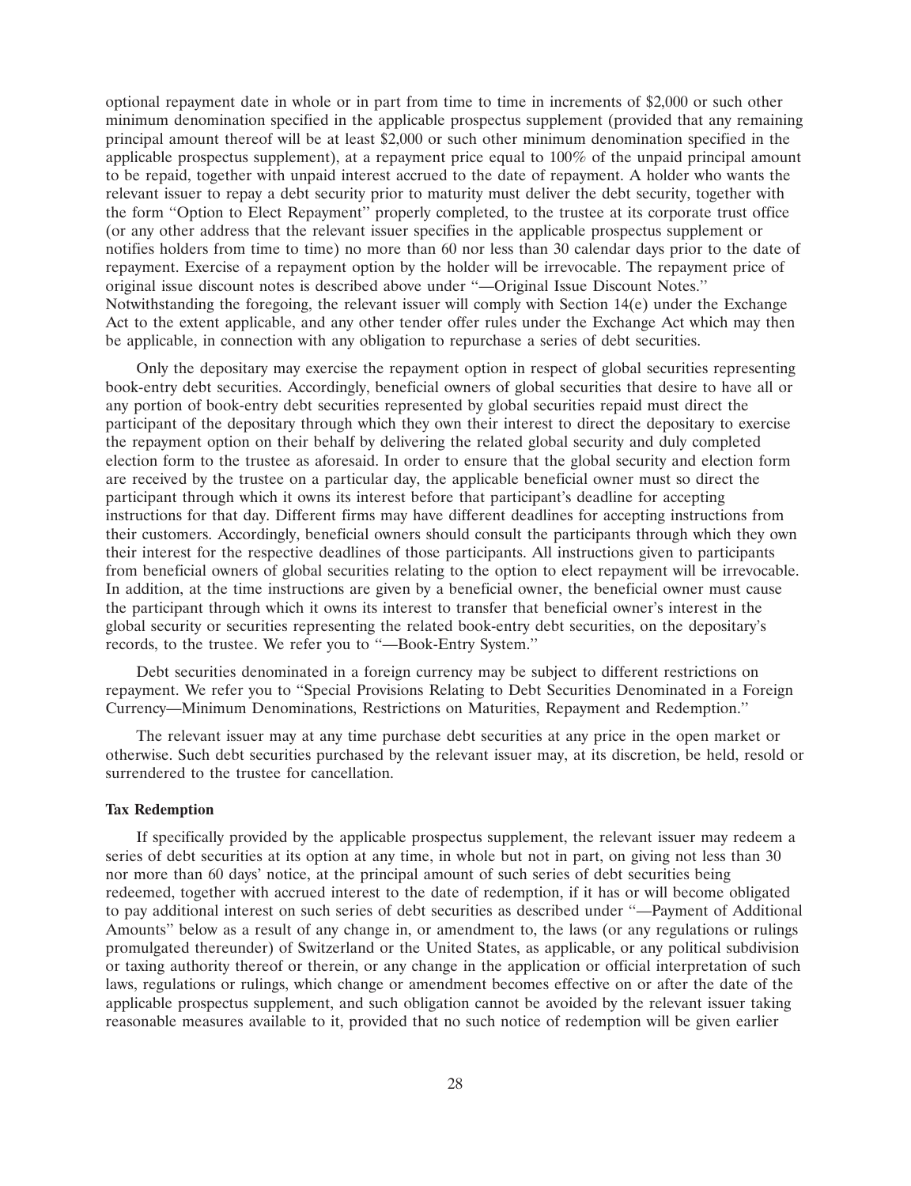optional repayment date in whole or in part from time to time in increments of \$2,000 or such other minimum denomination specified in the applicable prospectus supplement (provided that any remaining principal amount thereof will be at least \$2,000 or such other minimum denomination specified in the applicable prospectus supplement), at a repayment price equal to  $100\%$  of the unpaid principal amount to be repaid, together with unpaid interest accrued to the date of repayment. A holder who wants the relevant issuer to repay a debt security prior to maturity must deliver the debt security, together with the form ''Option to Elect Repayment'' properly completed, to the trustee at its corporate trust office (or any other address that the relevant issuer specifies in the applicable prospectus supplement or notifies holders from time to time) no more than 60 nor less than 30 calendar days prior to the date of repayment. Exercise of a repayment option by the holder will be irrevocable. The repayment price of original issue discount notes is described above under ''—Original Issue Discount Notes.'' Notwithstanding the foregoing, the relevant issuer will comply with Section 14(e) under the Exchange Act to the extent applicable, and any other tender offer rules under the Exchange Act which may then be applicable, in connection with any obligation to repurchase a series of debt securities.

Only the depositary may exercise the repayment option in respect of global securities representing book-entry debt securities. Accordingly, beneficial owners of global securities that desire to have all or any portion of book-entry debt securities represented by global securities repaid must direct the participant of the depositary through which they own their interest to direct the depositary to exercise the repayment option on their behalf by delivering the related global security and duly completed election form to the trustee as aforesaid. In order to ensure that the global security and election form are received by the trustee on a particular day, the applicable beneficial owner must so direct the participant through which it owns its interest before that participant's deadline for accepting instructions for that day. Different firms may have different deadlines for accepting instructions from their customers. Accordingly, beneficial owners should consult the participants through which they own their interest for the respective deadlines of those participants. All instructions given to participants from beneficial owners of global securities relating to the option to elect repayment will be irrevocable. In addition, at the time instructions are given by a beneficial owner, the beneficial owner must cause the participant through which it owns its interest to transfer that beneficial owner's interest in the global security or securities representing the related book-entry debt securities, on the depositary's records, to the trustee. We refer you to ''—Book-Entry System.''

Debt securities denominated in a foreign currency may be subject to different restrictions on repayment. We refer you to ''Special Provisions Relating to Debt Securities Denominated in a Foreign Currency—Minimum Denominations, Restrictions on Maturities, Repayment and Redemption.''

The relevant issuer may at any time purchase debt securities at any price in the open market or otherwise. Such debt securities purchased by the relevant issuer may, at its discretion, be held, resold or surrendered to the trustee for cancellation.

#### **Tax Redemption**

If specifically provided by the applicable prospectus supplement, the relevant issuer may redeem a series of debt securities at its option at any time, in whole but not in part, on giving not less than 30 nor more than 60 days' notice, at the principal amount of such series of debt securities being redeemed, together with accrued interest to the date of redemption, if it has or will become obligated to pay additional interest on such series of debt securities as described under ''—Payment of Additional Amounts'' below as a result of any change in, or amendment to, the laws (or any regulations or rulings promulgated thereunder) of Switzerland or the United States, as applicable, or any political subdivision or taxing authority thereof or therein, or any change in the application or official interpretation of such laws, regulations or rulings, which change or amendment becomes effective on or after the date of the applicable prospectus supplement, and such obligation cannot be avoided by the relevant issuer taking reasonable measures available to it, provided that no such notice of redemption will be given earlier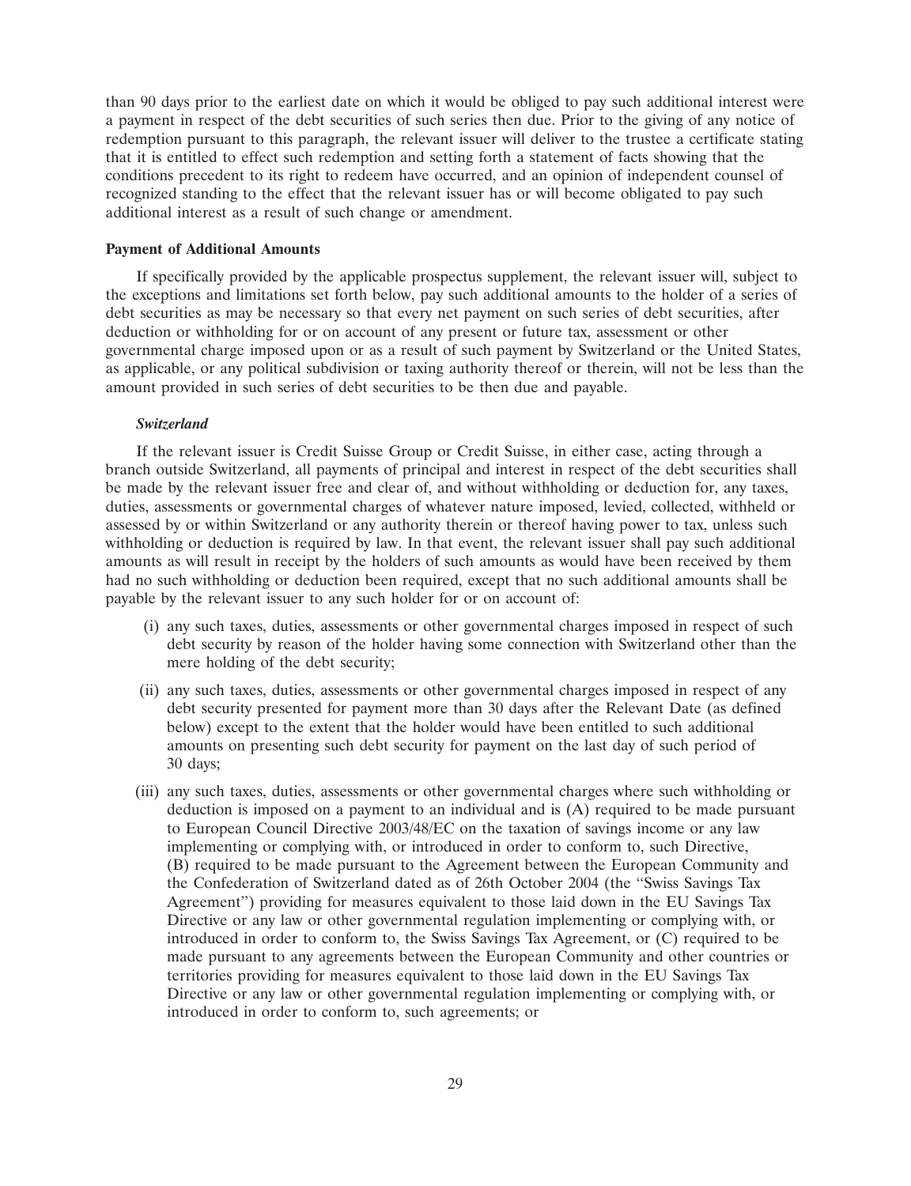than 90 days prior to the earliest date on which it would be obliged to pay such additional interest were a payment in respect of the debt securities of such series then due. Prior to the giving of any notice of redemption pursuant to this paragraph, the relevant issuer will deliver to the trustee a certificate stating that it is entitled to effect such redemption and setting forth a statement of facts showing that the conditions precedent to its right to redeem have occurred, and an opinion of independent counsel of recognized standing to the effect that the relevant issuer has or will become obligated to pay such additional interest as a result of such change or amendment.

#### **Payment of Additional Amounts**

If specifically provided by the applicable prospectus supplement, the relevant issuer will, subject to the exceptions and limitations set forth below, pay such additional amounts to the holder of a series of debt securities as may be necessary so that every net payment on such series of debt securities, after deduction or withholding for or on account of any present or future tax, assessment or other governmental charge imposed upon or as a result of such payment by Switzerland or the United States, as applicable, or any political subdivision or taxing authority thereof or therein, will not be less than the amount provided in such series of debt securities to be then due and payable.

## *Switzerland*

If the relevant issuer is Credit Suisse Group or Credit Suisse, in either case, acting through a branch outside Switzerland, all payments of principal and interest in respect of the debt securities shall be made by the relevant issuer free and clear of, and without withholding or deduction for, any taxes, duties, assessments or governmental charges of whatever nature imposed, levied, collected, withheld or assessed by or within Switzerland or any authority therein or thereof having power to tax, unless such withholding or deduction is required by law. In that event, the relevant issuer shall pay such additional amounts as will result in receipt by the holders of such amounts as would have been received by them had no such withholding or deduction been required, except that no such additional amounts shall be payable by the relevant issuer to any such holder for or on account of:

- (i) any such taxes, duties, assessments or other governmental charges imposed in respect of such debt security by reason of the holder having some connection with Switzerland other than the mere holding of the debt security;
- (ii) any such taxes, duties, assessments or other governmental charges imposed in respect of any debt security presented for payment more than 30 days after the Relevant Date (as defined below) except to the extent that the holder would have been entitled to such additional amounts on presenting such debt security for payment on the last day of such period of 30 days;
- (iii) any such taxes, duties, assessments or other governmental charges where such withholding or deduction is imposed on a payment to an individual and is  $(A)$  required to be made pursuant to European Council Directive 2003/48/EC on the taxation of savings income or any law implementing or complying with, or introduced in order to conform to, such Directive, (B) required to be made pursuant to the Agreement between the European Community and the Confederation of Switzerland dated as of 26th October 2004 (the ''Swiss Savings Tax Agreement'') providing for measures equivalent to those laid down in the EU Savings Tax Directive or any law or other governmental regulation implementing or complying with, or introduced in order to conform to, the Swiss Savings Tax Agreement, or (C) required to be made pursuant to any agreements between the European Community and other countries or territories providing for measures equivalent to those laid down in the EU Savings Tax Directive or any law or other governmental regulation implementing or complying with, or introduced in order to conform to, such agreements; or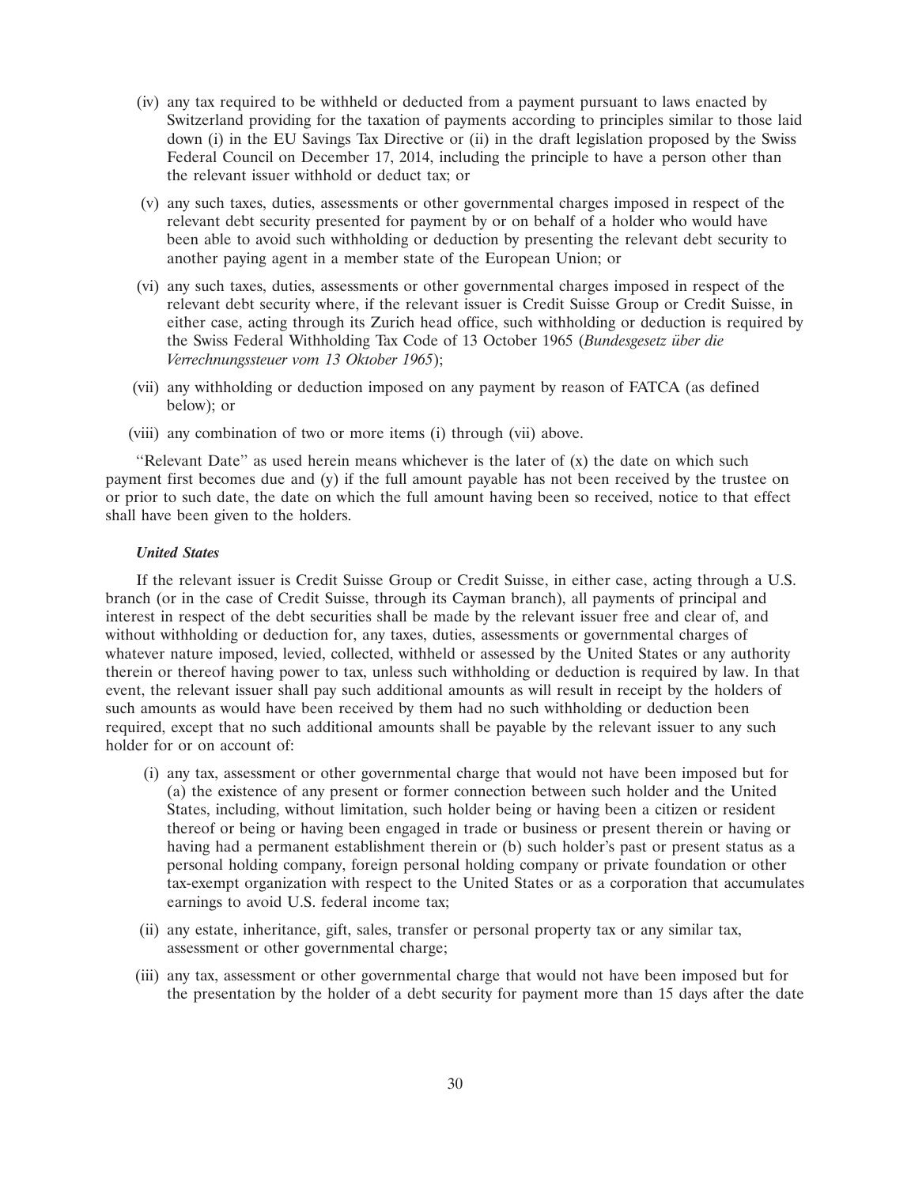- (iv) any tax required to be withheld or deducted from a payment pursuant to laws enacted by Switzerland providing for the taxation of payments according to principles similar to those laid down (i) in the EU Savings Tax Directive or (ii) in the draft legislation proposed by the Swiss Federal Council on December 17, 2014, including the principle to have a person other than the relevant issuer withhold or deduct tax; or
- (v) any such taxes, duties, assessments or other governmental charges imposed in respect of the relevant debt security presented for payment by or on behalf of a holder who would have been able to avoid such withholding or deduction by presenting the relevant debt security to another paying agent in a member state of the European Union; or
- (vi) any such taxes, duties, assessments or other governmental charges imposed in respect of the relevant debt security where, if the relevant issuer is Credit Suisse Group or Credit Suisse, in either case, acting through its Zurich head office, such withholding or deduction is required by the Swiss Federal Withholding Tax Code of 13 October 1965 (*Bundesgesetz über die Verrechnungssteuer vom 13 Oktober 1965*);
- (vii) any withholding or deduction imposed on any payment by reason of FATCA (as defined below); or
- (viii) any combination of two or more items (i) through (vii) above.

"Relevant Date" as used herein means whichever is the later of  $(x)$  the date on which such payment first becomes due and (y) if the full amount payable has not been received by the trustee on or prior to such date, the date on which the full amount having been so received, notice to that effect shall have been given to the holders.

# *United States*

If the relevant issuer is Credit Suisse Group or Credit Suisse, in either case, acting through a U.S. branch (or in the case of Credit Suisse, through its Cayman branch), all payments of principal and interest in respect of the debt securities shall be made by the relevant issuer free and clear of, and without withholding or deduction for, any taxes, duties, assessments or governmental charges of whatever nature imposed, levied, collected, withheld or assessed by the United States or any authority therein or thereof having power to tax, unless such withholding or deduction is required by law. In that event, the relevant issuer shall pay such additional amounts as will result in receipt by the holders of such amounts as would have been received by them had no such withholding or deduction been required, except that no such additional amounts shall be payable by the relevant issuer to any such holder for or on account of:

- (i) any tax, assessment or other governmental charge that would not have been imposed but for (a) the existence of any present or former connection between such holder and the United States, including, without limitation, such holder being or having been a citizen or resident thereof or being or having been engaged in trade or business or present therein or having or having had a permanent establishment therein or (b) such holder's past or present status as a personal holding company, foreign personal holding company or private foundation or other tax-exempt organization with respect to the United States or as a corporation that accumulates earnings to avoid U.S. federal income tax;
- (ii) any estate, inheritance, gift, sales, transfer or personal property tax or any similar tax, assessment or other governmental charge;
- (iii) any tax, assessment or other governmental charge that would not have been imposed but for the presentation by the holder of a debt security for payment more than 15 days after the date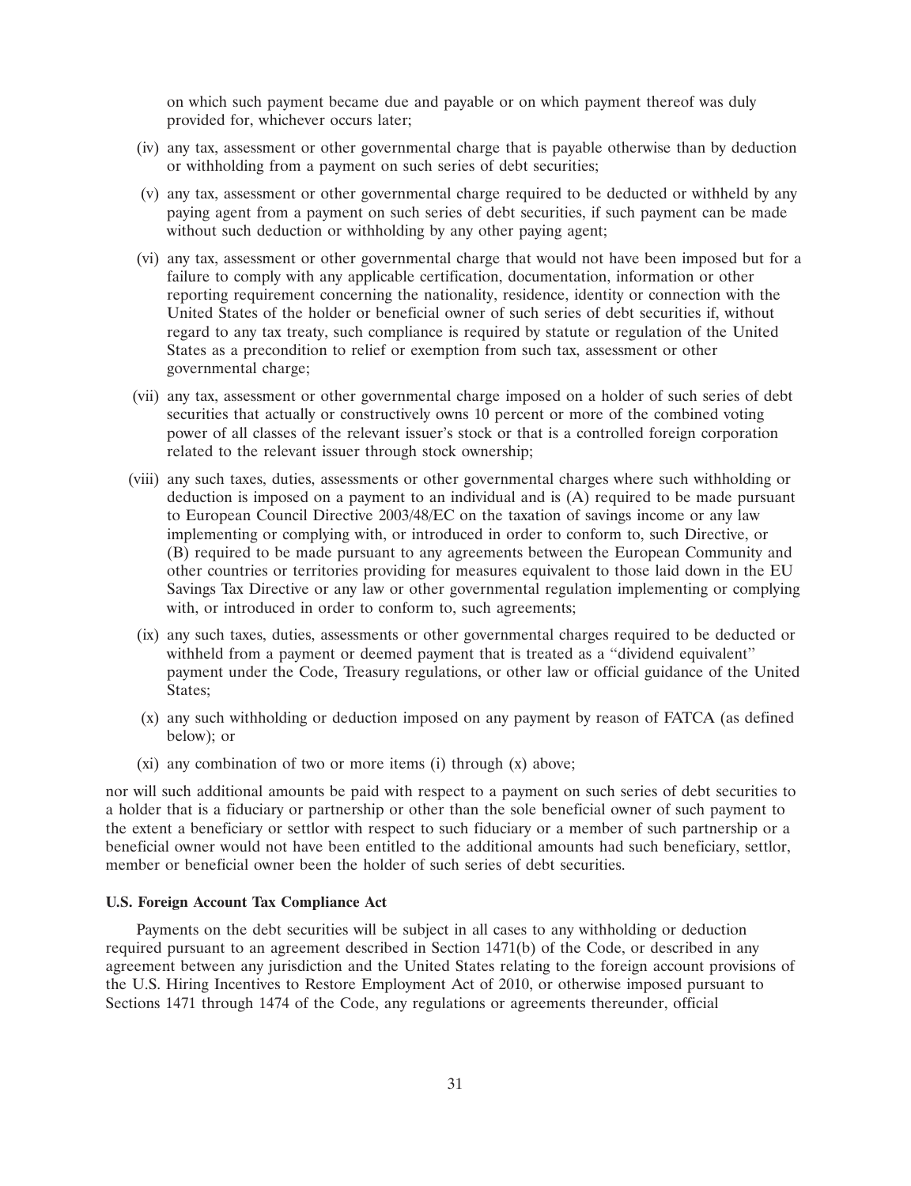on which such payment became due and payable or on which payment thereof was duly provided for, whichever occurs later;

- (iv) any tax, assessment or other governmental charge that is payable otherwise than by deduction or withholding from a payment on such series of debt securities;
- (v) any tax, assessment or other governmental charge required to be deducted or withheld by any paying agent from a payment on such series of debt securities, if such payment can be made without such deduction or withholding by any other paying agent;
- (vi) any tax, assessment or other governmental charge that would not have been imposed but for a failure to comply with any applicable certification, documentation, information or other reporting requirement concerning the nationality, residence, identity or connection with the United States of the holder or beneficial owner of such series of debt securities if, without regard to any tax treaty, such compliance is required by statute or regulation of the United States as a precondition to relief or exemption from such tax, assessment or other governmental charge;
- (vii) any tax, assessment or other governmental charge imposed on a holder of such series of debt securities that actually or constructively owns 10 percent or more of the combined voting power of all classes of the relevant issuer's stock or that is a controlled foreign corporation related to the relevant issuer through stock ownership;
- (viii) any such taxes, duties, assessments or other governmental charges where such withholding or deduction is imposed on a payment to an individual and is (A) required to be made pursuant to European Council Directive 2003/48/EC on the taxation of savings income or any law implementing or complying with, or introduced in order to conform to, such Directive, or (B) required to be made pursuant to any agreements between the European Community and other countries or territories providing for measures equivalent to those laid down in the EU Savings Tax Directive or any law or other governmental regulation implementing or complying with, or introduced in order to conform to, such agreements;
- (ix) any such taxes, duties, assessments or other governmental charges required to be deducted or withheld from a payment or deemed payment that is treated as a ''dividend equivalent'' payment under the Code, Treasury regulations, or other law or official guidance of the United States;
- (x) any such withholding or deduction imposed on any payment by reason of FATCA (as defined below); or
- (xi) any combination of two or more items (i) through (x) above;

nor will such additional amounts be paid with respect to a payment on such series of debt securities to a holder that is a fiduciary or partnership or other than the sole beneficial owner of such payment to the extent a beneficiary or settlor with respect to such fiduciary or a member of such partnership or a beneficial owner would not have been entitled to the additional amounts had such beneficiary, settlor, member or beneficial owner been the holder of such series of debt securities.

### **U.S. Foreign Account Tax Compliance Act**

Payments on the debt securities will be subject in all cases to any withholding or deduction required pursuant to an agreement described in Section 1471(b) of the Code, or described in any agreement between any jurisdiction and the United States relating to the foreign account provisions of the U.S. Hiring Incentives to Restore Employment Act of 2010, or otherwise imposed pursuant to Sections 1471 through 1474 of the Code, any regulations or agreements thereunder, official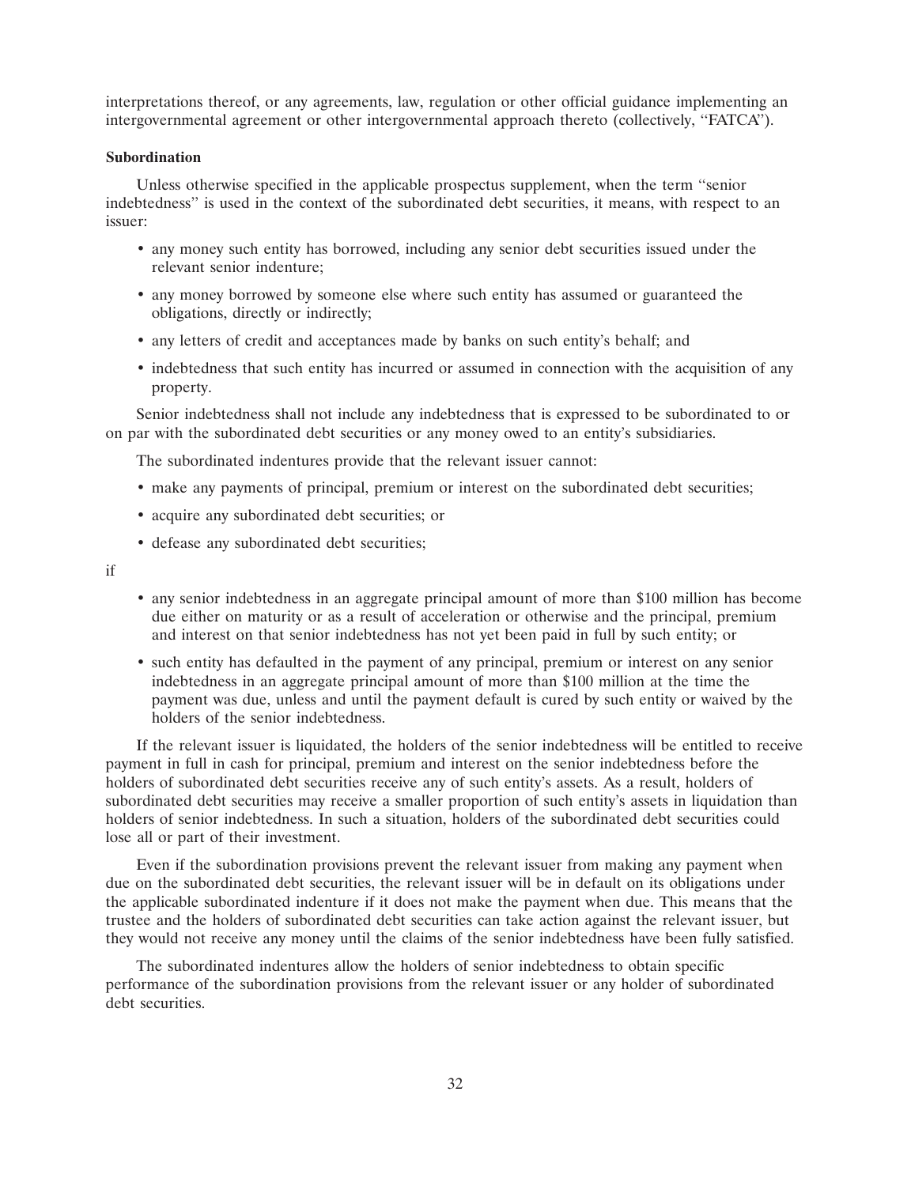interpretations thereof, or any agreements, law, regulation or other official guidance implementing an intergovernmental agreement or other intergovernmental approach thereto (collectively, ''FATCA'').

## **Subordination**

Unless otherwise specified in the applicable prospectus supplement, when the term ''senior indebtedness'' is used in the context of the subordinated debt securities, it means, with respect to an issuer:

- any money such entity has borrowed, including any senior debt securities issued under the relevant senior indenture;
- any money borrowed by someone else where such entity has assumed or guaranteed the obligations, directly or indirectly;
- any letters of credit and acceptances made by banks on such entity's behalf; and
- indebtedness that such entity has incurred or assumed in connection with the acquisition of any property.

Senior indebtedness shall not include any indebtedness that is expressed to be subordinated to or on par with the subordinated debt securities or any money owed to an entity's subsidiaries.

The subordinated indentures provide that the relevant issuer cannot:

- make any payments of principal, premium or interest on the subordinated debt securities;
- acquire any subordinated debt securities; or
- defease any subordinated debt securities;
- if
- any senior indebtedness in an aggregate principal amount of more than \$100 million has become due either on maturity or as a result of acceleration or otherwise and the principal, premium and interest on that senior indebtedness has not yet been paid in full by such entity; or
- such entity has defaulted in the payment of any principal, premium or interest on any senior indebtedness in an aggregate principal amount of more than \$100 million at the time the payment was due, unless and until the payment default is cured by such entity or waived by the holders of the senior indebtedness.

If the relevant issuer is liquidated, the holders of the senior indebtedness will be entitled to receive payment in full in cash for principal, premium and interest on the senior indebtedness before the holders of subordinated debt securities receive any of such entity's assets. As a result, holders of subordinated debt securities may receive a smaller proportion of such entity's assets in liquidation than holders of senior indebtedness. In such a situation, holders of the subordinated debt securities could lose all or part of their investment.

Even if the subordination provisions prevent the relevant issuer from making any payment when due on the subordinated debt securities, the relevant issuer will be in default on its obligations under the applicable subordinated indenture if it does not make the payment when due. This means that the trustee and the holders of subordinated debt securities can take action against the relevant issuer, but they would not receive any money until the claims of the senior indebtedness have been fully satisfied.

The subordinated indentures allow the holders of senior indebtedness to obtain specific performance of the subordination provisions from the relevant issuer or any holder of subordinated debt securities.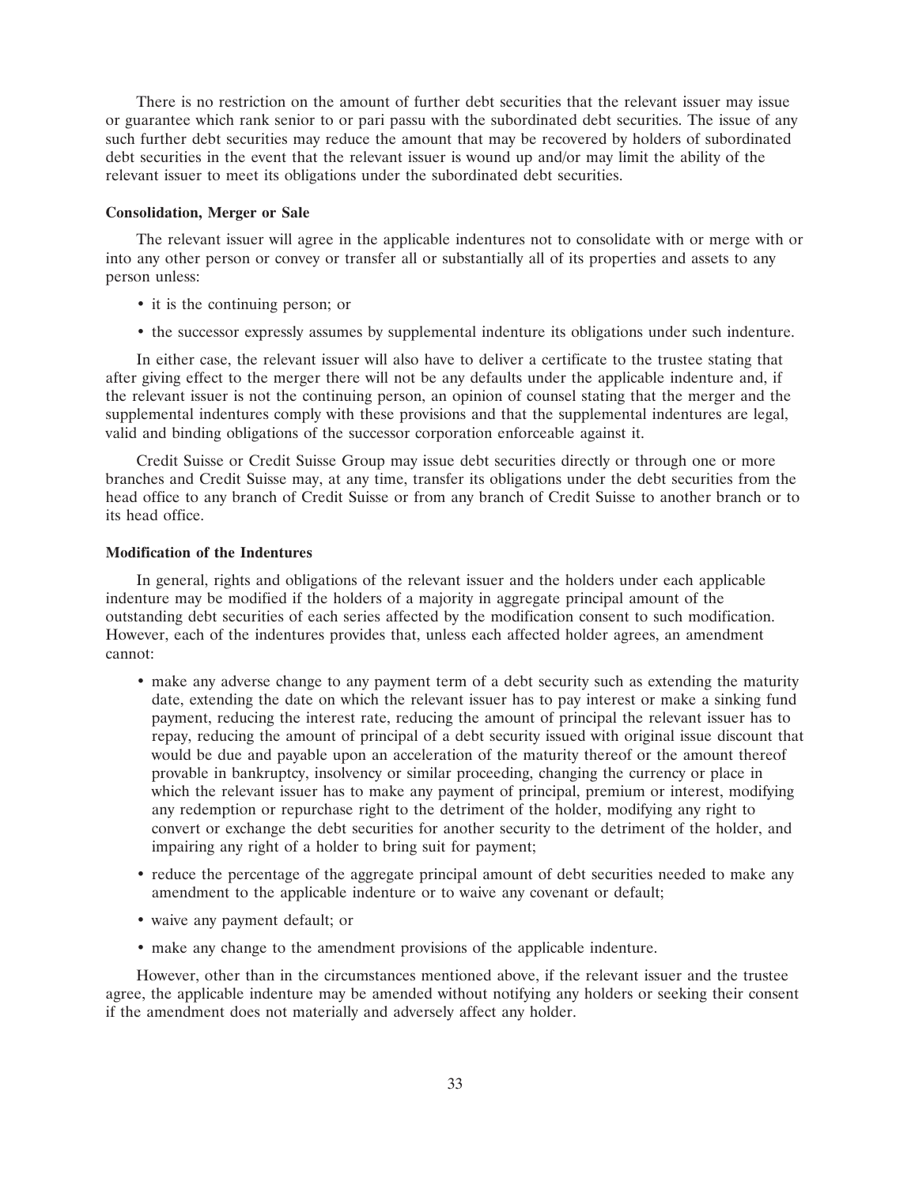There is no restriction on the amount of further debt securities that the relevant issuer may issue or guarantee which rank senior to or pari passu with the subordinated debt securities. The issue of any such further debt securities may reduce the amount that may be recovered by holders of subordinated debt securities in the event that the relevant issuer is wound up and/or may limit the ability of the relevant issuer to meet its obligations under the subordinated debt securities.

## **Consolidation, Merger or Sale**

The relevant issuer will agree in the applicable indentures not to consolidate with or merge with or into any other person or convey or transfer all or substantially all of its properties and assets to any person unless:

- it is the continuing person; or
- the successor expressly assumes by supplemental indenture its obligations under such indenture.

In either case, the relevant issuer will also have to deliver a certificate to the trustee stating that after giving effect to the merger there will not be any defaults under the applicable indenture and, if the relevant issuer is not the continuing person, an opinion of counsel stating that the merger and the supplemental indentures comply with these provisions and that the supplemental indentures are legal, valid and binding obligations of the successor corporation enforceable against it.

Credit Suisse or Credit Suisse Group may issue debt securities directly or through one or more branches and Credit Suisse may, at any time, transfer its obligations under the debt securities from the head office to any branch of Credit Suisse or from any branch of Credit Suisse to another branch or to its head office.

## **Modification of the Indentures**

In general, rights and obligations of the relevant issuer and the holders under each applicable indenture may be modified if the holders of a majority in aggregate principal amount of the outstanding debt securities of each series affected by the modification consent to such modification. However, each of the indentures provides that, unless each affected holder agrees, an amendment cannot:

- make any adverse change to any payment term of a debt security such as extending the maturity date, extending the date on which the relevant issuer has to pay interest or make a sinking fund payment, reducing the interest rate, reducing the amount of principal the relevant issuer has to repay, reducing the amount of principal of a debt security issued with original issue discount that would be due and payable upon an acceleration of the maturity thereof or the amount thereof provable in bankruptcy, insolvency or similar proceeding, changing the currency or place in which the relevant issuer has to make any payment of principal, premium or interest, modifying any redemption or repurchase right to the detriment of the holder, modifying any right to convert or exchange the debt securities for another security to the detriment of the holder, and impairing any right of a holder to bring suit for payment;
- reduce the percentage of the aggregate principal amount of debt securities needed to make any amendment to the applicable indenture or to waive any covenant or default;
- waive any payment default; or
- make any change to the amendment provisions of the applicable indenture.

However, other than in the circumstances mentioned above, if the relevant issuer and the trustee agree, the applicable indenture may be amended without notifying any holders or seeking their consent if the amendment does not materially and adversely affect any holder.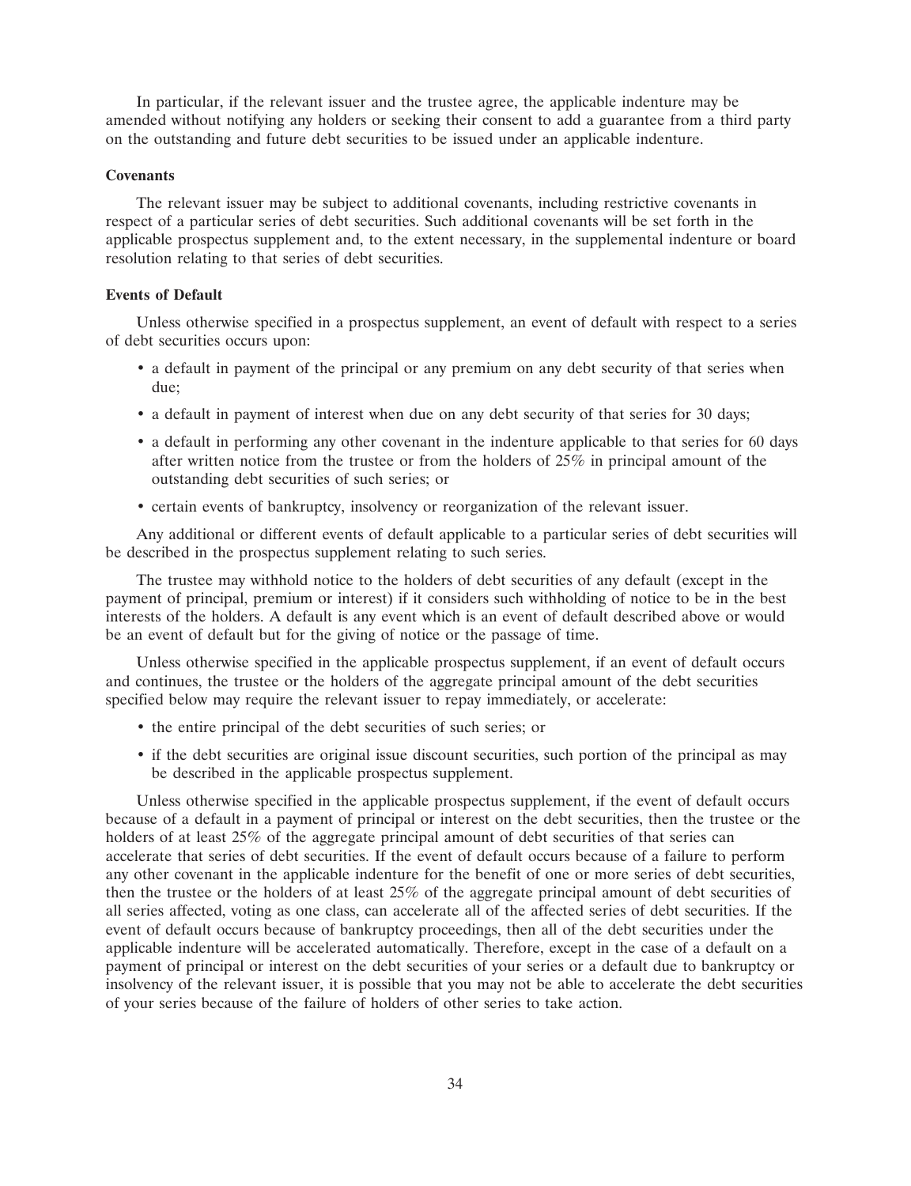In particular, if the relevant issuer and the trustee agree, the applicable indenture may be amended without notifying any holders or seeking their consent to add a guarantee from a third party on the outstanding and future debt securities to be issued under an applicable indenture.

## **Covenants**

The relevant issuer may be subject to additional covenants, including restrictive covenants in respect of a particular series of debt securities. Such additional covenants will be set forth in the applicable prospectus supplement and, to the extent necessary, in the supplemental indenture or board resolution relating to that series of debt securities.

### **Events of Default**

Unless otherwise specified in a prospectus supplement, an event of default with respect to a series of debt securities occurs upon:

- a default in payment of the principal or any premium on any debt security of that series when due;
- a default in payment of interest when due on any debt security of that series for 30 days;
- a default in performing any other covenant in the indenture applicable to that series for 60 days after written notice from the trustee or from the holders of  $25\%$  in principal amount of the outstanding debt securities of such series; or
- certain events of bankruptcy, insolvency or reorganization of the relevant issuer.

Any additional or different events of default applicable to a particular series of debt securities will be described in the prospectus supplement relating to such series.

The trustee may withhold notice to the holders of debt securities of any default (except in the payment of principal, premium or interest) if it considers such withholding of notice to be in the best interests of the holders. A default is any event which is an event of default described above or would be an event of default but for the giving of notice or the passage of time.

Unless otherwise specified in the applicable prospectus supplement, if an event of default occurs and continues, the trustee or the holders of the aggregate principal amount of the debt securities specified below may require the relevant issuer to repay immediately, or accelerate:

- the entire principal of the debt securities of such series; or
- if the debt securities are original issue discount securities, such portion of the principal as may be described in the applicable prospectus supplement.

Unless otherwise specified in the applicable prospectus supplement, if the event of default occurs because of a default in a payment of principal or interest on the debt securities, then the trustee or the holders of at least 25% of the aggregate principal amount of debt securities of that series can accelerate that series of debt securities. If the event of default occurs because of a failure to perform any other covenant in the applicable indenture for the benefit of one or more series of debt securities, then the trustee or the holders of at least 25% of the aggregate principal amount of debt securities of all series affected, voting as one class, can accelerate all of the affected series of debt securities. If the event of default occurs because of bankruptcy proceedings, then all of the debt securities under the applicable indenture will be accelerated automatically. Therefore, except in the case of a default on a payment of principal or interest on the debt securities of your series or a default due to bankruptcy or insolvency of the relevant issuer, it is possible that you may not be able to accelerate the debt securities of your series because of the failure of holders of other series to take action.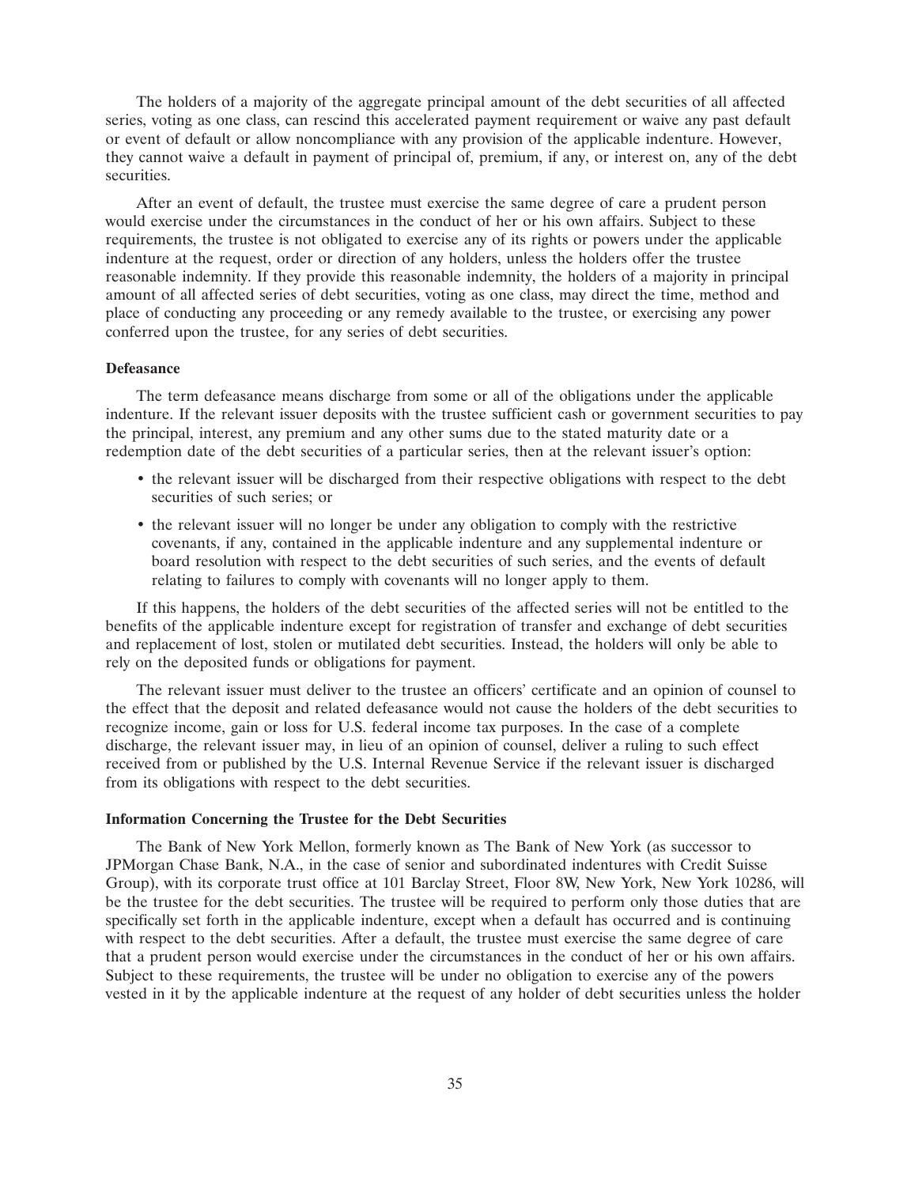The holders of a majority of the aggregate principal amount of the debt securities of all affected series, voting as one class, can rescind this accelerated payment requirement or waive any past default or event of default or allow noncompliance with any provision of the applicable indenture. However, they cannot waive a default in payment of principal of, premium, if any, or interest on, any of the debt securities.

After an event of default, the trustee must exercise the same degree of care a prudent person would exercise under the circumstances in the conduct of her or his own affairs. Subject to these requirements, the trustee is not obligated to exercise any of its rights or powers under the applicable indenture at the request, order or direction of any holders, unless the holders offer the trustee reasonable indemnity. If they provide this reasonable indemnity, the holders of a majority in principal amount of all affected series of debt securities, voting as one class, may direct the time, method and place of conducting any proceeding or any remedy available to the trustee, or exercising any power conferred upon the trustee, for any series of debt securities.

## **Defeasance**

The term defeasance means discharge from some or all of the obligations under the applicable indenture. If the relevant issuer deposits with the trustee sufficient cash or government securities to pay the principal, interest, any premium and any other sums due to the stated maturity date or a redemption date of the debt securities of a particular series, then at the relevant issuer's option:

- the relevant issuer will be discharged from their respective obligations with respect to the debt securities of such series; or
- the relevant issuer will no longer be under any obligation to comply with the restrictive covenants, if any, contained in the applicable indenture and any supplemental indenture or board resolution with respect to the debt securities of such series, and the events of default relating to failures to comply with covenants will no longer apply to them.

If this happens, the holders of the debt securities of the affected series will not be entitled to the benefits of the applicable indenture except for registration of transfer and exchange of debt securities and replacement of lost, stolen or mutilated debt securities. Instead, the holders will only be able to rely on the deposited funds or obligations for payment.

The relevant issuer must deliver to the trustee an officers' certificate and an opinion of counsel to the effect that the deposit and related defeasance would not cause the holders of the debt securities to recognize income, gain or loss for U.S. federal income tax purposes. In the case of a complete discharge, the relevant issuer may, in lieu of an opinion of counsel, deliver a ruling to such effect received from or published by the U.S. Internal Revenue Service if the relevant issuer is discharged from its obligations with respect to the debt securities.

## **Information Concerning the Trustee for the Debt Securities**

The Bank of New York Mellon, formerly known as The Bank of New York (as successor to JPMorgan Chase Bank, N.A., in the case of senior and subordinated indentures with Credit Suisse Group), with its corporate trust office at 101 Barclay Street, Floor 8W, New York, New York 10286, will be the trustee for the debt securities. The trustee will be required to perform only those duties that are specifically set forth in the applicable indenture, except when a default has occurred and is continuing with respect to the debt securities. After a default, the trustee must exercise the same degree of care that a prudent person would exercise under the circumstances in the conduct of her or his own affairs. Subject to these requirements, the trustee will be under no obligation to exercise any of the powers vested in it by the applicable indenture at the request of any holder of debt securities unless the holder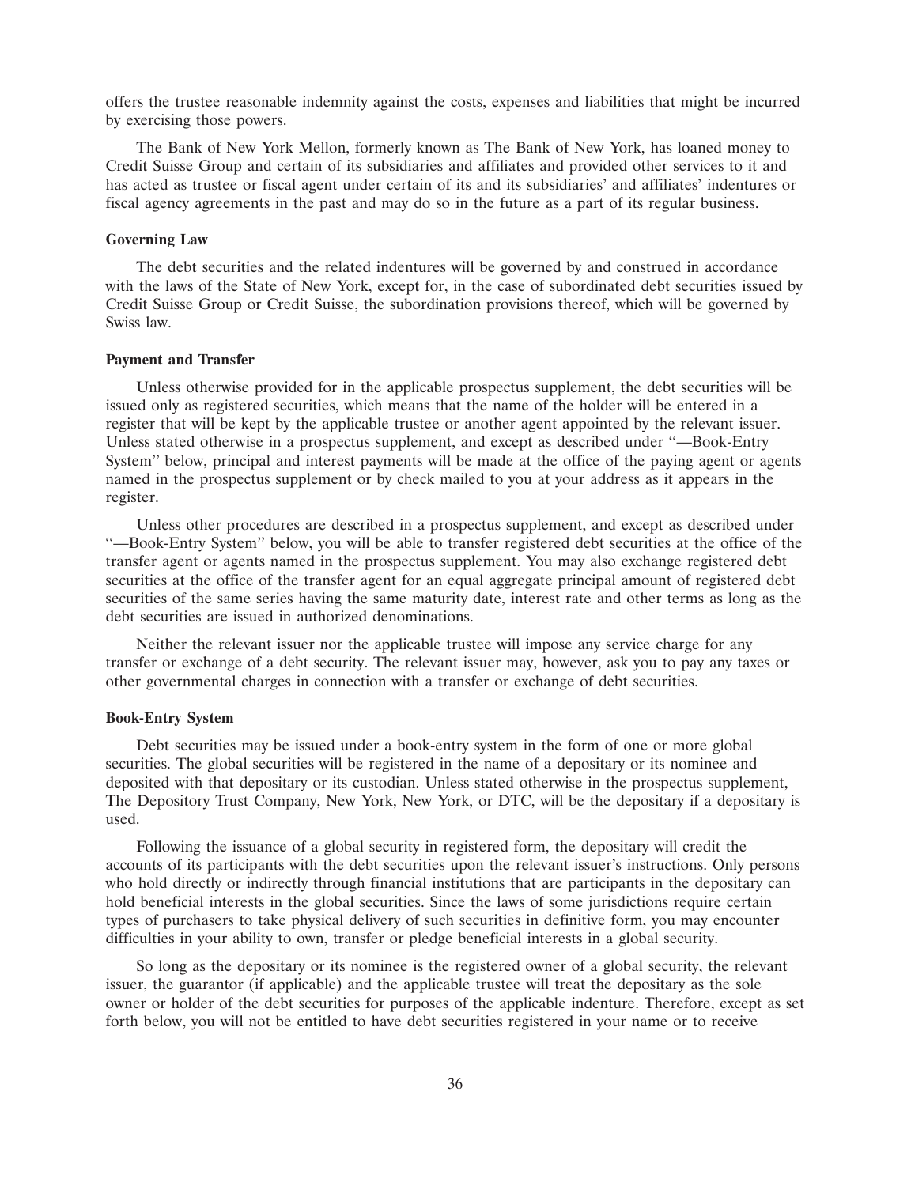offers the trustee reasonable indemnity against the costs, expenses and liabilities that might be incurred by exercising those powers.

The Bank of New York Mellon, formerly known as The Bank of New York, has loaned money to Credit Suisse Group and certain of its subsidiaries and affiliates and provided other services to it and has acted as trustee or fiscal agent under certain of its and its subsidiaries' and affiliates' indentures or fiscal agency agreements in the past and may do so in the future as a part of its regular business.

## **Governing Law**

The debt securities and the related indentures will be governed by and construed in accordance with the laws of the State of New York, except for, in the case of subordinated debt securities issued by Credit Suisse Group or Credit Suisse, the subordination provisions thereof, which will be governed by Swiss law.

#### **Payment and Transfer**

Unless otherwise provided for in the applicable prospectus supplement, the debt securities will be issued only as registered securities, which means that the name of the holder will be entered in a register that will be kept by the applicable trustee or another agent appointed by the relevant issuer. Unless stated otherwise in a prospectus supplement, and except as described under ''—Book-Entry System'' below, principal and interest payments will be made at the office of the paying agent or agents named in the prospectus supplement or by check mailed to you at your address as it appears in the register.

Unless other procedures are described in a prospectus supplement, and except as described under ''—Book-Entry System'' below, you will be able to transfer registered debt securities at the office of the transfer agent or agents named in the prospectus supplement. You may also exchange registered debt securities at the office of the transfer agent for an equal aggregate principal amount of registered debt securities of the same series having the same maturity date, interest rate and other terms as long as the debt securities are issued in authorized denominations.

Neither the relevant issuer nor the applicable trustee will impose any service charge for any transfer or exchange of a debt security. The relevant issuer may, however, ask you to pay any taxes or other governmental charges in connection with a transfer or exchange of debt securities.

### **Book-Entry System**

Debt securities may be issued under a book-entry system in the form of one or more global securities. The global securities will be registered in the name of a depositary or its nominee and deposited with that depositary or its custodian. Unless stated otherwise in the prospectus supplement, The Depository Trust Company, New York, New York, or DTC, will be the depositary if a depositary is used.

Following the issuance of a global security in registered form, the depositary will credit the accounts of its participants with the debt securities upon the relevant issuer's instructions. Only persons who hold directly or indirectly through financial institutions that are participants in the depositary can hold beneficial interests in the global securities. Since the laws of some jurisdictions require certain types of purchasers to take physical delivery of such securities in definitive form, you may encounter difficulties in your ability to own, transfer or pledge beneficial interests in a global security.

So long as the depositary or its nominee is the registered owner of a global security, the relevant issuer, the guarantor (if applicable) and the applicable trustee will treat the depositary as the sole owner or holder of the debt securities for purposes of the applicable indenture. Therefore, except as set forth below, you will not be entitled to have debt securities registered in your name or to receive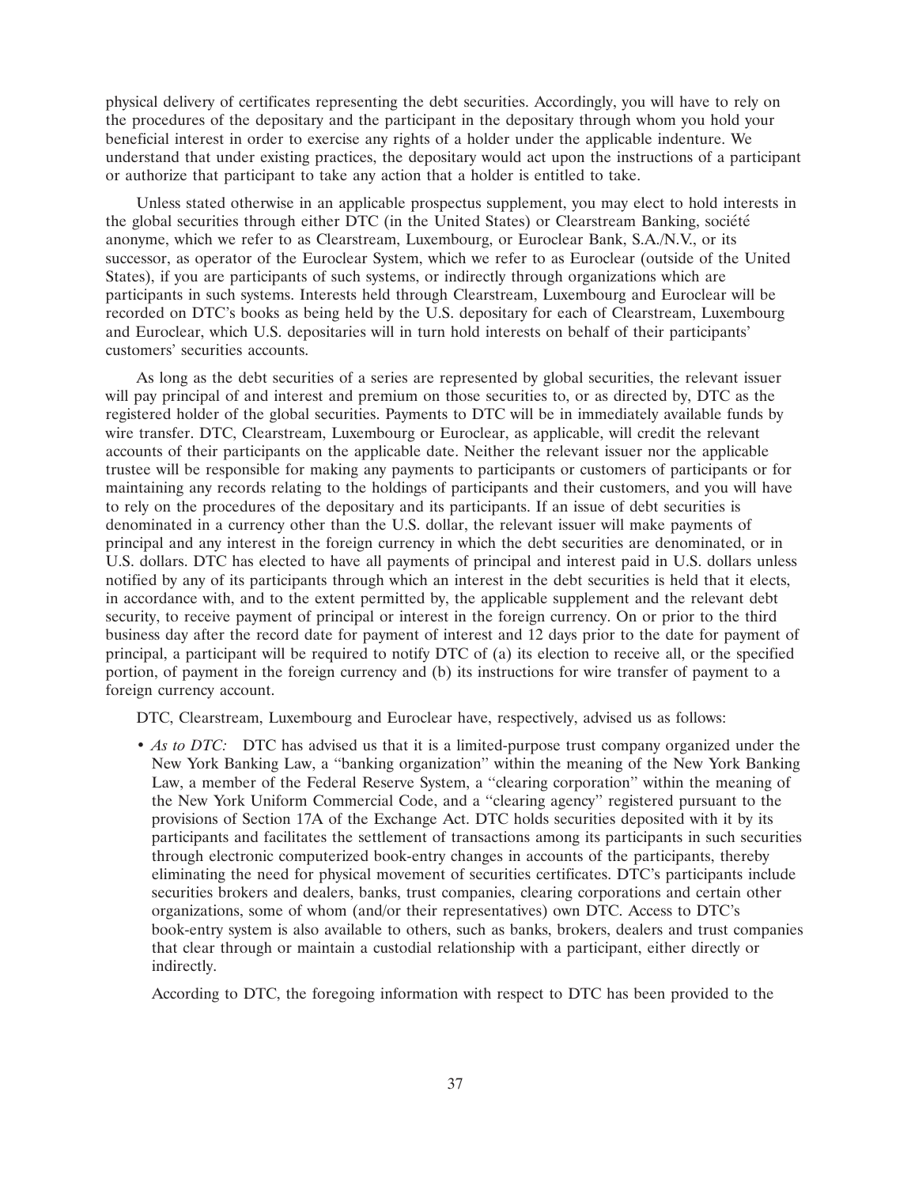physical delivery of certificates representing the debt securities. Accordingly, you will have to rely on the procedures of the depositary and the participant in the depositary through whom you hold your beneficial interest in order to exercise any rights of a holder under the applicable indenture. We understand that under existing practices, the depositary would act upon the instructions of a participant or authorize that participant to take any action that a holder is entitled to take.

Unless stated otherwise in an applicable prospectus supplement, you may elect to hold interests in the global securities through either DTC (in the United States) or Clearstream Banking, société anonyme, which we refer to as Clearstream, Luxembourg, or Euroclear Bank, S.A./N.V., or its successor, as operator of the Euroclear System, which we refer to as Euroclear (outside of the United States), if you are participants of such systems, or indirectly through organizations which are participants in such systems. Interests held through Clearstream, Luxembourg and Euroclear will be recorded on DTC's books as being held by the U.S. depositary for each of Clearstream, Luxembourg and Euroclear, which U.S. depositaries will in turn hold interests on behalf of their participants' customers' securities accounts.

As long as the debt securities of a series are represented by global securities, the relevant issuer will pay principal of and interest and premium on those securities to, or as directed by, DTC as the registered holder of the global securities. Payments to DTC will be in immediately available funds by wire transfer. DTC, Clearstream, Luxembourg or Euroclear, as applicable, will credit the relevant accounts of their participants on the applicable date. Neither the relevant issuer nor the applicable trustee will be responsible for making any payments to participants or customers of participants or for maintaining any records relating to the holdings of participants and their customers, and you will have to rely on the procedures of the depositary and its participants. If an issue of debt securities is denominated in a currency other than the U.S. dollar, the relevant issuer will make payments of principal and any interest in the foreign currency in which the debt securities are denominated, or in U.S. dollars. DTC has elected to have all payments of principal and interest paid in U.S. dollars unless notified by any of its participants through which an interest in the debt securities is held that it elects, in accordance with, and to the extent permitted by, the applicable supplement and the relevant debt security, to receive payment of principal or interest in the foreign currency. On or prior to the third business day after the record date for payment of interest and 12 days prior to the date for payment of principal, a participant will be required to notify DTC of (a) its election to receive all, or the specified portion, of payment in the foreign currency and (b) its instructions for wire transfer of payment to a foreign currency account.

DTC, Clearstream, Luxembourg and Euroclear have, respectively, advised us as follows:

• *As to DTC*: DTC has advised us that it is a limited-purpose trust company organized under the New York Banking Law, a ''banking organization'' within the meaning of the New York Banking Law, a member of the Federal Reserve System, a ''clearing corporation'' within the meaning of the New York Uniform Commercial Code, and a ''clearing agency'' registered pursuant to the provisions of Section 17A of the Exchange Act. DTC holds securities deposited with it by its participants and facilitates the settlement of transactions among its participants in such securities through electronic computerized book-entry changes in accounts of the participants, thereby eliminating the need for physical movement of securities certificates. DTC's participants include securities brokers and dealers, banks, trust companies, clearing corporations and certain other organizations, some of whom (and/or their representatives) own DTC. Access to DTC's book-entry system is also available to others, such as banks, brokers, dealers and trust companies that clear through or maintain a custodial relationship with a participant, either directly or indirectly.

According to DTC, the foregoing information with respect to DTC has been provided to the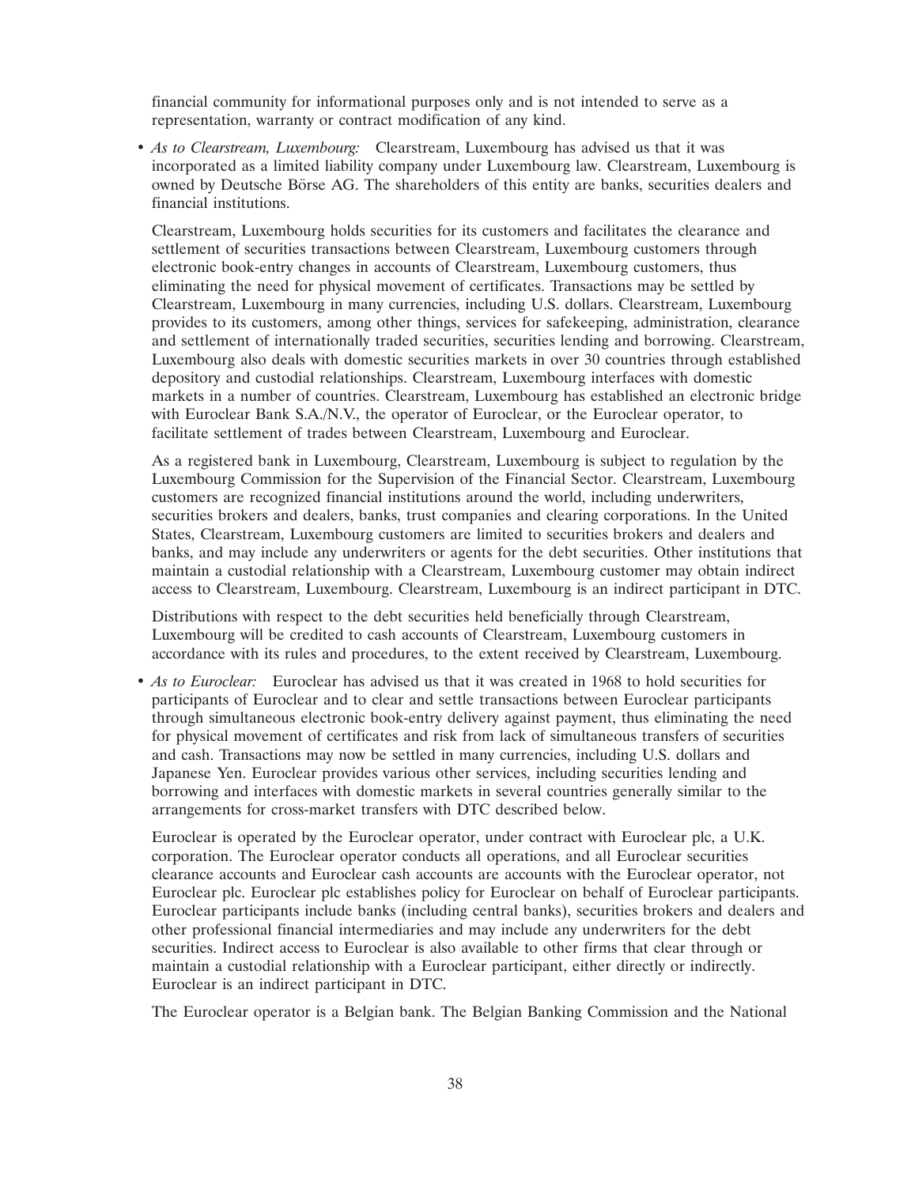financial community for informational purposes only and is not intended to serve as a representation, warranty or contract modification of any kind.

• *As to Clearstream, Luxembourg:* Clearstream, Luxembourg has advised us that it was incorporated as a limited liability company under Luxembourg law. Clearstream, Luxembourg is owned by Deutsche Börse AG. The shareholders of this entity are banks, securities dealers and financial institutions.

Clearstream, Luxembourg holds securities for its customers and facilitates the clearance and settlement of securities transactions between Clearstream, Luxembourg customers through electronic book-entry changes in accounts of Clearstream, Luxembourg customers, thus eliminating the need for physical movement of certificates. Transactions may be settled by Clearstream, Luxembourg in many currencies, including U.S. dollars. Clearstream, Luxembourg provides to its customers, among other things, services for safekeeping, administration, clearance and settlement of internationally traded securities, securities lending and borrowing. Clearstream, Luxembourg also deals with domestic securities markets in over 30 countries through established depository and custodial relationships. Clearstream, Luxembourg interfaces with domestic markets in a number of countries. Clearstream, Luxembourg has established an electronic bridge with Euroclear Bank S.A./N.V., the operator of Euroclear, or the Euroclear operator, to facilitate settlement of trades between Clearstream, Luxembourg and Euroclear.

As a registered bank in Luxembourg, Clearstream, Luxembourg is subject to regulation by the Luxembourg Commission for the Supervision of the Financial Sector. Clearstream, Luxembourg customers are recognized financial institutions around the world, including underwriters, securities brokers and dealers, banks, trust companies and clearing corporations. In the United States, Clearstream, Luxembourg customers are limited to securities brokers and dealers and banks, and may include any underwriters or agents for the debt securities. Other institutions that maintain a custodial relationship with a Clearstream, Luxembourg customer may obtain indirect access to Clearstream, Luxembourg. Clearstream, Luxembourg is an indirect participant in DTC.

Distributions with respect to the debt securities held beneficially through Clearstream, Luxembourg will be credited to cash accounts of Clearstream, Luxembourg customers in accordance with its rules and procedures, to the extent received by Clearstream, Luxembourg.

• *As to Euroclear:* Euroclear has advised us that it was created in 1968 to hold securities for participants of Euroclear and to clear and settle transactions between Euroclear participants through simultaneous electronic book-entry delivery against payment, thus eliminating the need for physical movement of certificates and risk from lack of simultaneous transfers of securities and cash. Transactions may now be settled in many currencies, including U.S. dollars and Japanese Yen. Euroclear provides various other services, including securities lending and borrowing and interfaces with domestic markets in several countries generally similar to the arrangements for cross-market transfers with DTC described below.

Euroclear is operated by the Euroclear operator, under contract with Euroclear plc, a U.K. corporation. The Euroclear operator conducts all operations, and all Euroclear securities clearance accounts and Euroclear cash accounts are accounts with the Euroclear operator, not Euroclear plc. Euroclear plc establishes policy for Euroclear on behalf of Euroclear participants. Euroclear participants include banks (including central banks), securities brokers and dealers and other professional financial intermediaries and may include any underwriters for the debt securities. Indirect access to Euroclear is also available to other firms that clear through or maintain a custodial relationship with a Euroclear participant, either directly or indirectly. Euroclear is an indirect participant in DTC.

The Euroclear operator is a Belgian bank. The Belgian Banking Commission and the National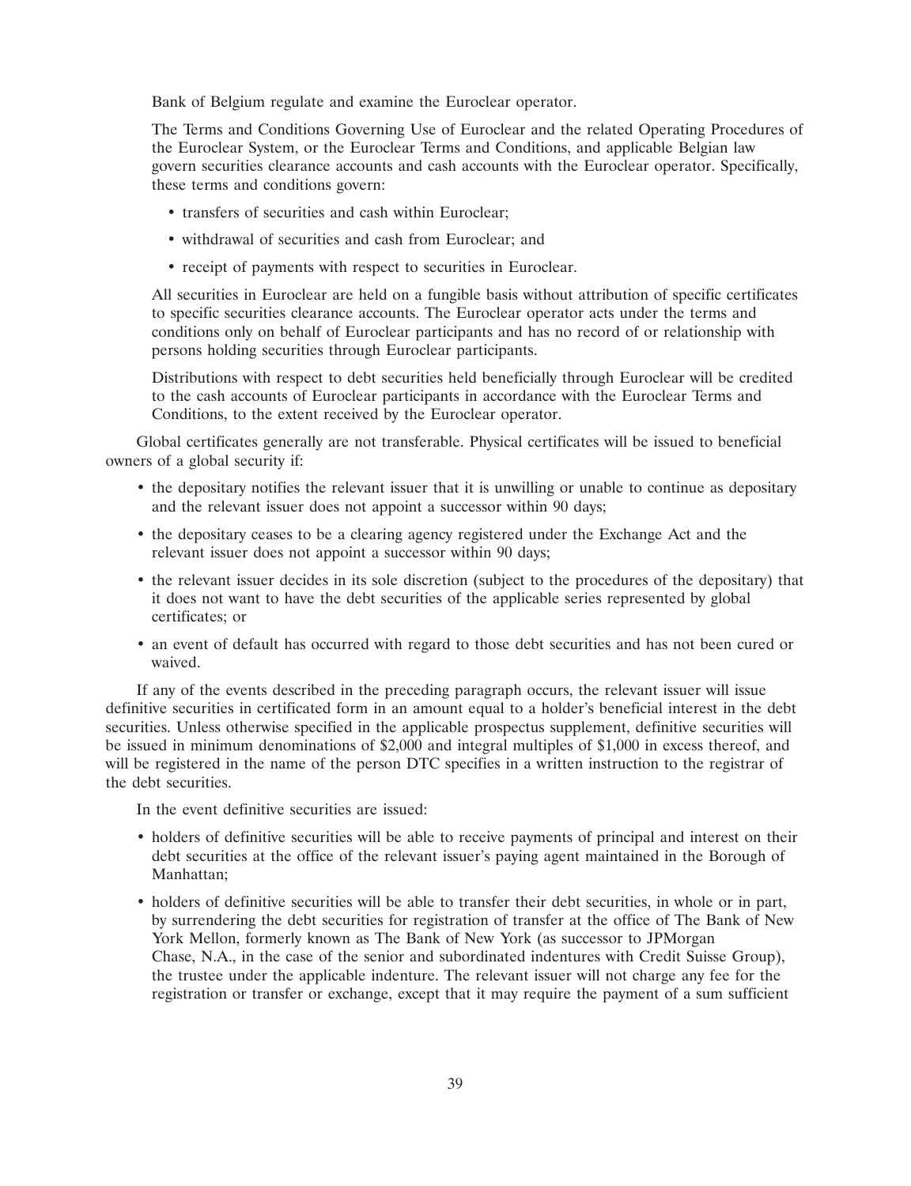Bank of Belgium regulate and examine the Euroclear operator.

The Terms and Conditions Governing Use of Euroclear and the related Operating Procedures of the Euroclear System, or the Euroclear Terms and Conditions, and applicable Belgian law govern securities clearance accounts and cash accounts with the Euroclear operator. Specifically, these terms and conditions govern:

- transfers of securities and cash within Euroclear;
- withdrawal of securities and cash from Euroclear; and
- receipt of payments with respect to securities in Euroclear.

All securities in Euroclear are held on a fungible basis without attribution of specific certificates to specific securities clearance accounts. The Euroclear operator acts under the terms and conditions only on behalf of Euroclear participants and has no record of or relationship with persons holding securities through Euroclear participants.

Distributions with respect to debt securities held beneficially through Euroclear will be credited to the cash accounts of Euroclear participants in accordance with the Euroclear Terms and Conditions, to the extent received by the Euroclear operator.

Global certificates generally are not transferable. Physical certificates will be issued to beneficial owners of a global security if:

- the depositary notifies the relevant issuer that it is unwilling or unable to continue as depositary and the relevant issuer does not appoint a successor within 90 days;
- the depositary ceases to be a clearing agency registered under the Exchange Act and the relevant issuer does not appoint a successor within 90 days;
- the relevant issuer decides in its sole discretion (subject to the procedures of the depositary) that it does not want to have the debt securities of the applicable series represented by global certificates; or
- an event of default has occurred with regard to those debt securities and has not been cured or waived.

If any of the events described in the preceding paragraph occurs, the relevant issuer will issue definitive securities in certificated form in an amount equal to a holder's beneficial interest in the debt securities. Unless otherwise specified in the applicable prospectus supplement, definitive securities will be issued in minimum denominations of \$2,000 and integral multiples of \$1,000 in excess thereof, and will be registered in the name of the person DTC specifies in a written instruction to the registrar of the debt securities.

In the event definitive securities are issued:

- holders of definitive securities will be able to receive payments of principal and interest on their debt securities at the office of the relevant issuer's paying agent maintained in the Borough of Manhattan<sup>.</sup>
- holders of definitive securities will be able to transfer their debt securities, in whole or in part, by surrendering the debt securities for registration of transfer at the office of The Bank of New York Mellon, formerly known as The Bank of New York (as successor to JPMorgan Chase, N.A., in the case of the senior and subordinated indentures with Credit Suisse Group), the trustee under the applicable indenture. The relevant issuer will not charge any fee for the registration or transfer or exchange, except that it may require the payment of a sum sufficient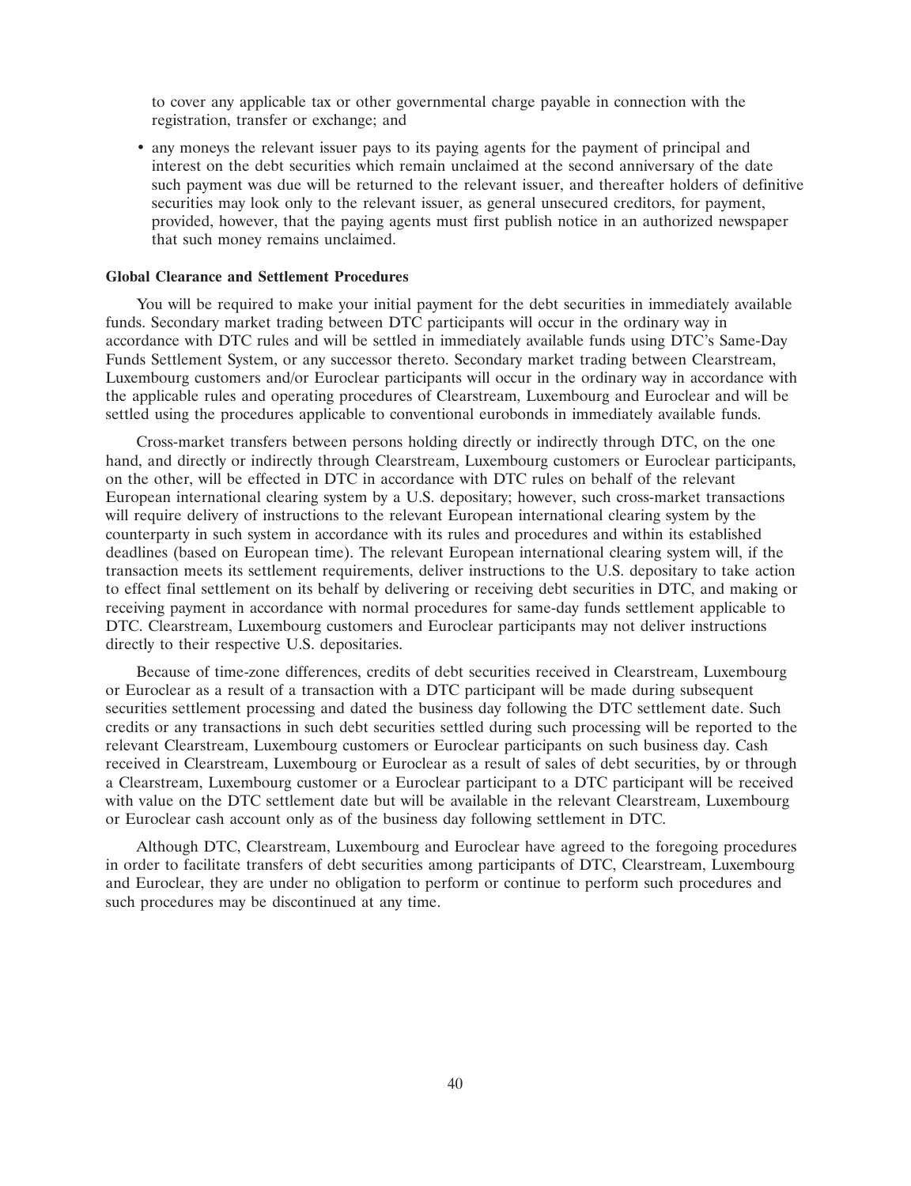to cover any applicable tax or other governmental charge payable in connection with the registration, transfer or exchange; and

• any moneys the relevant issuer pays to its paying agents for the payment of principal and interest on the debt securities which remain unclaimed at the second anniversary of the date such payment was due will be returned to the relevant issuer, and thereafter holders of definitive securities may look only to the relevant issuer, as general unsecured creditors, for payment, provided, however, that the paying agents must first publish notice in an authorized newspaper that such money remains unclaimed.

### **Global Clearance and Settlement Procedures**

You will be required to make your initial payment for the debt securities in immediately available funds. Secondary market trading between DTC participants will occur in the ordinary way in accordance with DTC rules and will be settled in immediately available funds using DTC's Same-Day Funds Settlement System, or any successor thereto. Secondary market trading between Clearstream, Luxembourg customers and/or Euroclear participants will occur in the ordinary way in accordance with the applicable rules and operating procedures of Clearstream, Luxembourg and Euroclear and will be settled using the procedures applicable to conventional eurobonds in immediately available funds.

Cross-market transfers between persons holding directly or indirectly through DTC, on the one hand, and directly or indirectly through Clearstream, Luxembourg customers or Euroclear participants, on the other, will be effected in DTC in accordance with DTC rules on behalf of the relevant European international clearing system by a U.S. depositary; however, such cross-market transactions will require delivery of instructions to the relevant European international clearing system by the counterparty in such system in accordance with its rules and procedures and within its established deadlines (based on European time). The relevant European international clearing system will, if the transaction meets its settlement requirements, deliver instructions to the U.S. depositary to take action to effect final settlement on its behalf by delivering or receiving debt securities in DTC, and making or receiving payment in accordance with normal procedures for same-day funds settlement applicable to DTC. Clearstream, Luxembourg customers and Euroclear participants may not deliver instructions directly to their respective U.S. depositaries.

Because of time-zone differences, credits of debt securities received in Clearstream, Luxembourg or Euroclear as a result of a transaction with a DTC participant will be made during subsequent securities settlement processing and dated the business day following the DTC settlement date. Such credits or any transactions in such debt securities settled during such processing will be reported to the relevant Clearstream, Luxembourg customers or Euroclear participants on such business day. Cash received in Clearstream, Luxembourg or Euroclear as a result of sales of debt securities, by or through a Clearstream, Luxembourg customer or a Euroclear participant to a DTC participant will be received with value on the DTC settlement date but will be available in the relevant Clearstream, Luxembourg or Euroclear cash account only as of the business day following settlement in DTC.

Although DTC, Clearstream, Luxembourg and Euroclear have agreed to the foregoing procedures in order to facilitate transfers of debt securities among participants of DTC, Clearstream, Luxembourg and Euroclear, they are under no obligation to perform or continue to perform such procedures and such procedures may be discontinued at any time.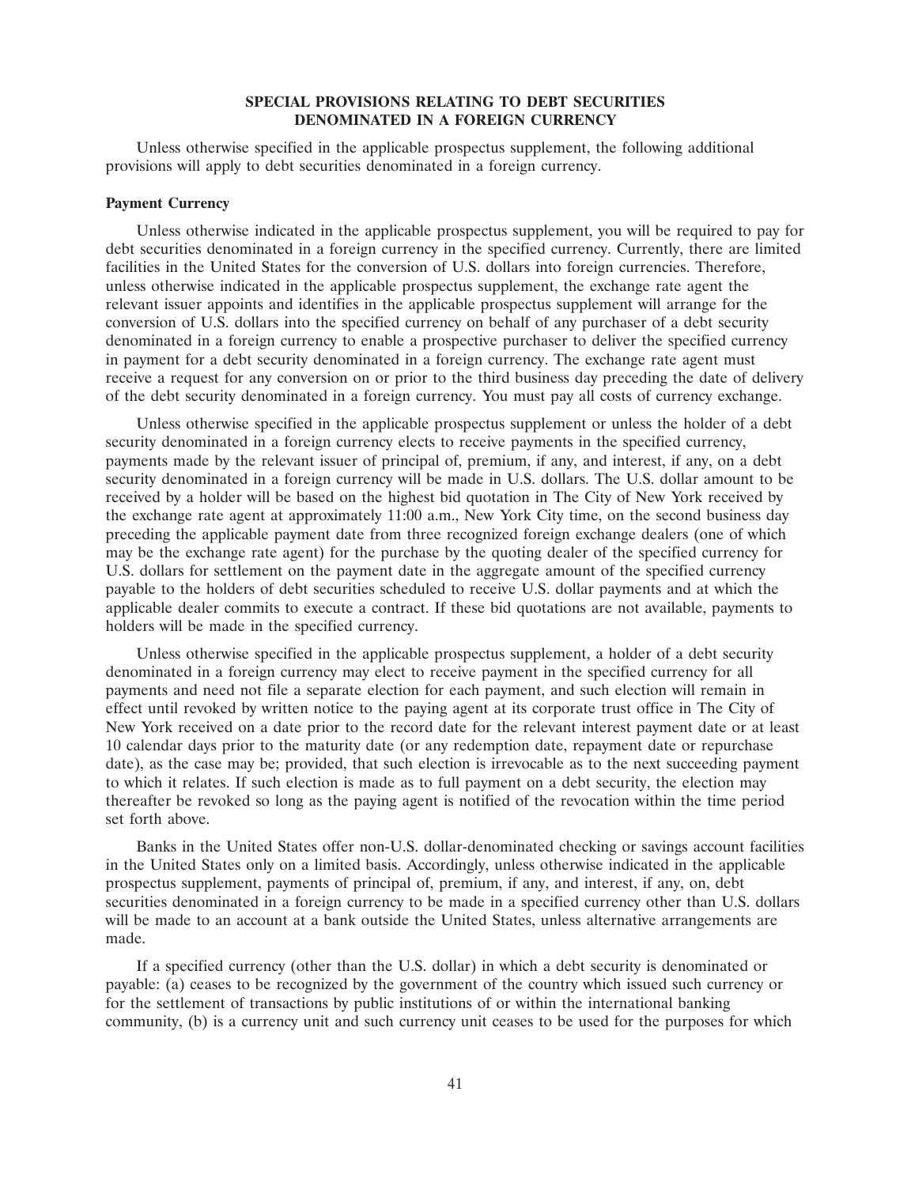## **SPECIAL PROVISIONS RELATING TO DEBT SECURITIES DENOMINATED IN A FOREIGN CURRENCY**

Unless otherwise specified in the applicable prospectus supplement, the following additional provisions will apply to debt securities denominated in a foreign currency.

### **Payment Currency**

Unless otherwise indicated in the applicable prospectus supplement, you will be required to pay for debt securities denominated in a foreign currency in the specified currency. Currently, there are limited facilities in the United States for the conversion of U.S. dollars into foreign currencies. Therefore, unless otherwise indicated in the applicable prospectus supplement, the exchange rate agent the relevant issuer appoints and identifies in the applicable prospectus supplement will arrange for the conversion of U.S. dollars into the specified currency on behalf of any purchaser of a debt security denominated in a foreign currency to enable a prospective purchaser to deliver the specified currency in payment for a debt security denominated in a foreign currency. The exchange rate agent must receive a request for any conversion on or prior to the third business day preceding the date of delivery of the debt security denominated in a foreign currency. You must pay all costs of currency exchange.

Unless otherwise specified in the applicable prospectus supplement or unless the holder of a debt security denominated in a foreign currency elects to receive payments in the specified currency, payments made by the relevant issuer of principal of, premium, if any, and interest, if any, on a debt security denominated in a foreign currency will be made in U.S. dollars. The U.S. dollar amount to be received by a holder will be based on the highest bid quotation in The City of New York received by the exchange rate agent at approximately 11:00 a.m., New York City time, on the second business day preceding the applicable payment date from three recognized foreign exchange dealers (one of which may be the exchange rate agent) for the purchase by the quoting dealer of the specified currency for U.S. dollars for settlement on the payment date in the aggregate amount of the specified currency payable to the holders of debt securities scheduled to receive U.S. dollar payments and at which the applicable dealer commits to execute a contract. If these bid quotations are not available, payments to holders will be made in the specified currency.

Unless otherwise specified in the applicable prospectus supplement, a holder of a debt security denominated in a foreign currency may elect to receive payment in the specified currency for all payments and need not file a separate election for each payment, and such election will remain in effect until revoked by written notice to the paying agent at its corporate trust office in The City of New York received on a date prior to the record date for the relevant interest payment date or at least 10 calendar days prior to the maturity date (or any redemption date, repayment date or repurchase date), as the case may be; provided, that such election is irrevocable as to the next succeeding payment to which it relates. If such election is made as to full payment on a debt security, the election may thereafter be revoked so long as the paying agent is notified of the revocation within the time period set forth above.

Banks in the United States offer non-U.S. dollar-denominated checking or savings account facilities in the United States only on a limited basis. Accordingly, unless otherwise indicated in the applicable prospectus supplement, payments of principal of, premium, if any, and interest, if any, on, debt securities denominated in a foreign currency to be made in a specified currency other than U.S. dollars will be made to an account at a bank outside the United States, unless alternative arrangements are made.

If a specified currency (other than the U.S. dollar) in which a debt security is denominated or payable: (a) ceases to be recognized by the government of the country which issued such currency or for the settlement of transactions by public institutions of or within the international banking community, (b) is a currency unit and such currency unit ceases to be used for the purposes for which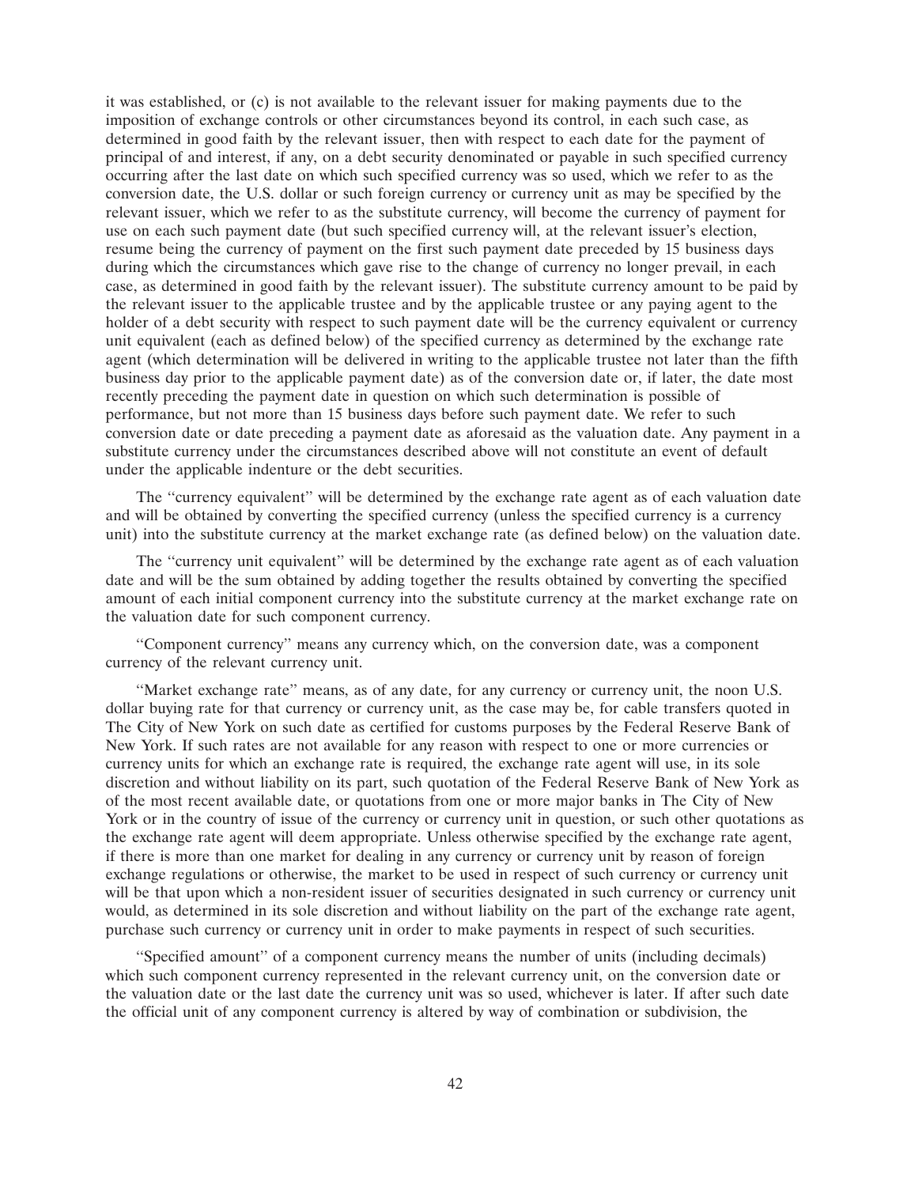it was established, or (c) is not available to the relevant issuer for making payments due to the imposition of exchange controls or other circumstances beyond its control, in each such case, as determined in good faith by the relevant issuer, then with respect to each date for the payment of principal of and interest, if any, on a debt security denominated or payable in such specified currency occurring after the last date on which such specified currency was so used, which we refer to as the conversion date, the U.S. dollar or such foreign currency or currency unit as may be specified by the relevant issuer, which we refer to as the substitute currency, will become the currency of payment for use on each such payment date (but such specified currency will, at the relevant issuer's election, resume being the currency of payment on the first such payment date preceded by 15 business days during which the circumstances which gave rise to the change of currency no longer prevail, in each case, as determined in good faith by the relevant issuer). The substitute currency amount to be paid by the relevant issuer to the applicable trustee and by the applicable trustee or any paying agent to the holder of a debt security with respect to such payment date will be the currency equivalent or currency unit equivalent (each as defined below) of the specified currency as determined by the exchange rate agent (which determination will be delivered in writing to the applicable trustee not later than the fifth business day prior to the applicable payment date) as of the conversion date or, if later, the date most recently preceding the payment date in question on which such determination is possible of performance, but not more than 15 business days before such payment date. We refer to such conversion date or date preceding a payment date as aforesaid as the valuation date. Any payment in a substitute currency under the circumstances described above will not constitute an event of default under the applicable indenture or the debt securities.

The ''currency equivalent'' will be determined by the exchange rate agent as of each valuation date and will be obtained by converting the specified currency (unless the specified currency is a currency unit) into the substitute currency at the market exchange rate (as defined below) on the valuation date.

The ''currency unit equivalent'' will be determined by the exchange rate agent as of each valuation date and will be the sum obtained by adding together the results obtained by converting the specified amount of each initial component currency into the substitute currency at the market exchange rate on the valuation date for such component currency.

''Component currency'' means any currency which, on the conversion date, was a component currency of the relevant currency unit.

''Market exchange rate'' means, as of any date, for any currency or currency unit, the noon U.S. dollar buying rate for that currency or currency unit, as the case may be, for cable transfers quoted in The City of New York on such date as certified for customs purposes by the Federal Reserve Bank of New York. If such rates are not available for any reason with respect to one or more currencies or currency units for which an exchange rate is required, the exchange rate agent will use, in its sole discretion and without liability on its part, such quotation of the Federal Reserve Bank of New York as of the most recent available date, or quotations from one or more major banks in The City of New York or in the country of issue of the currency or currency unit in question, or such other quotations as the exchange rate agent will deem appropriate. Unless otherwise specified by the exchange rate agent, if there is more than one market for dealing in any currency or currency unit by reason of foreign exchange regulations or otherwise, the market to be used in respect of such currency or currency unit will be that upon which a non-resident issuer of securities designated in such currency or currency unit would, as determined in its sole discretion and without liability on the part of the exchange rate agent, purchase such currency or currency unit in order to make payments in respect of such securities.

''Specified amount'' of a component currency means the number of units (including decimals) which such component currency represented in the relevant currency unit, on the conversion date or the valuation date or the last date the currency unit was so used, whichever is later. If after such date the official unit of any component currency is altered by way of combination or subdivision, the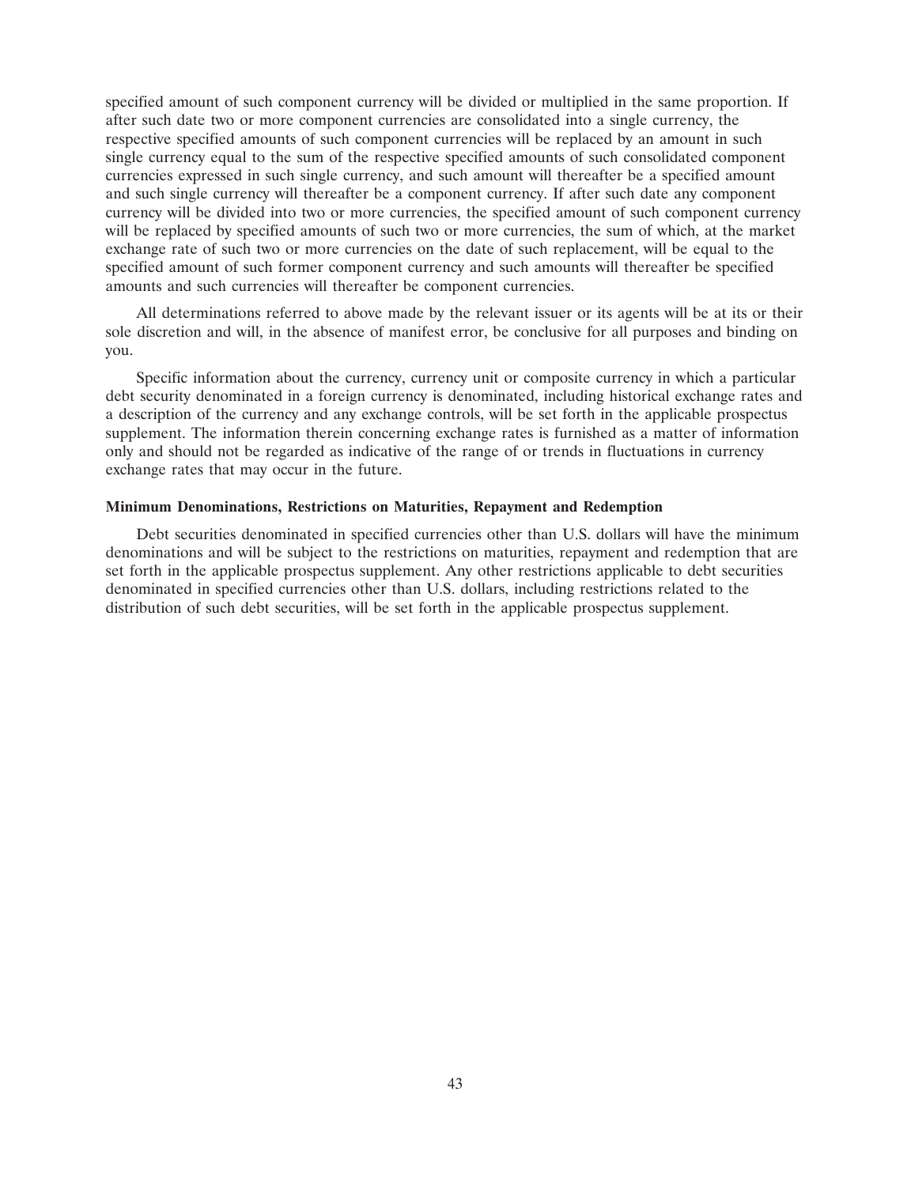specified amount of such component currency will be divided or multiplied in the same proportion. If after such date two or more component currencies are consolidated into a single currency, the respective specified amounts of such component currencies will be replaced by an amount in such single currency equal to the sum of the respective specified amounts of such consolidated component currencies expressed in such single currency, and such amount will thereafter be a specified amount and such single currency will thereafter be a component currency. If after such date any component currency will be divided into two or more currencies, the specified amount of such component currency will be replaced by specified amounts of such two or more currencies, the sum of which, at the market exchange rate of such two or more currencies on the date of such replacement, will be equal to the specified amount of such former component currency and such amounts will thereafter be specified amounts and such currencies will thereafter be component currencies.

All determinations referred to above made by the relevant issuer or its agents will be at its or their sole discretion and will, in the absence of manifest error, be conclusive for all purposes and binding on you.

Specific information about the currency, currency unit or composite currency in which a particular debt security denominated in a foreign currency is denominated, including historical exchange rates and a description of the currency and any exchange controls, will be set forth in the applicable prospectus supplement. The information therein concerning exchange rates is furnished as a matter of information only and should not be regarded as indicative of the range of or trends in fluctuations in currency exchange rates that may occur in the future.

### **Minimum Denominations, Restrictions on Maturities, Repayment and Redemption**

Debt securities denominated in specified currencies other than U.S. dollars will have the minimum denominations and will be subject to the restrictions on maturities, repayment and redemption that are set forth in the applicable prospectus supplement. Any other restrictions applicable to debt securities denominated in specified currencies other than U.S. dollars, including restrictions related to the distribution of such debt securities, will be set forth in the applicable prospectus supplement.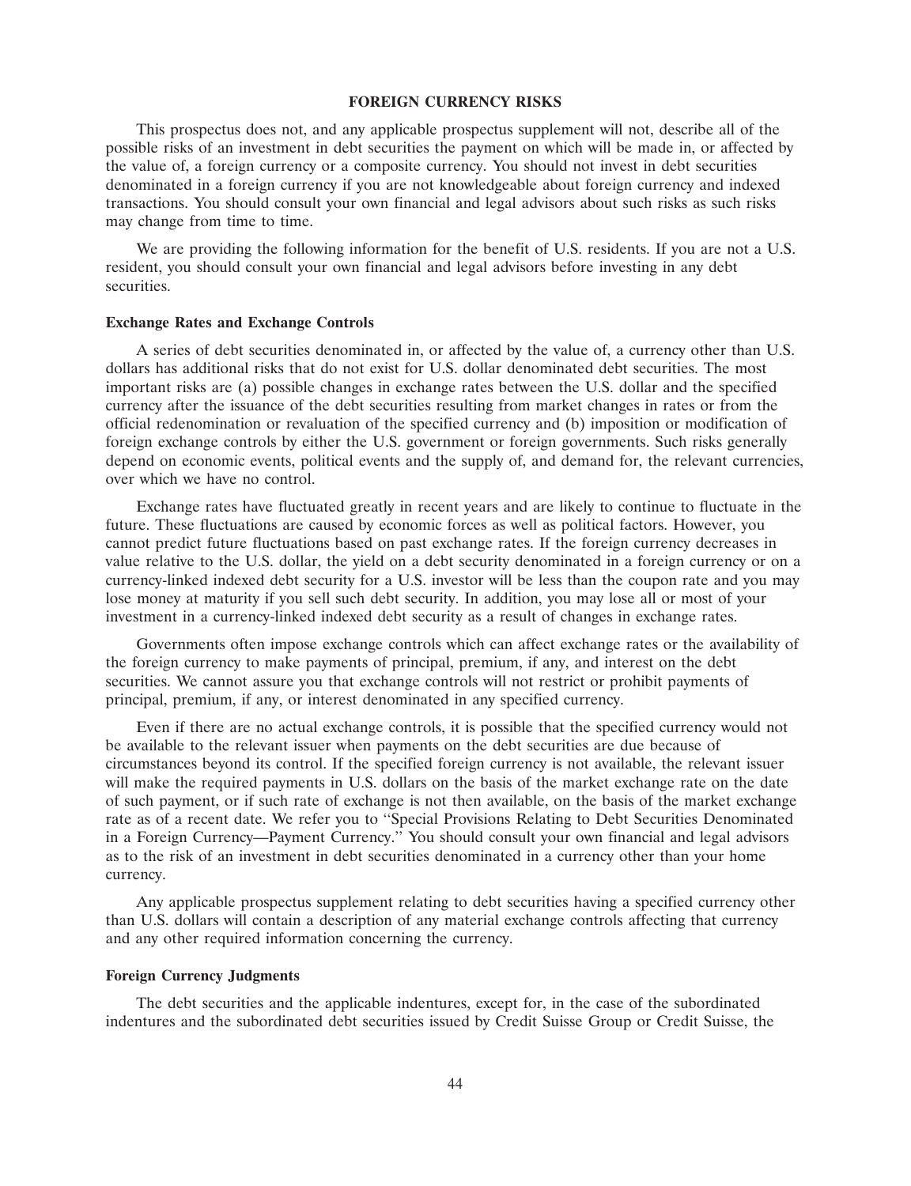### **FOREIGN CURRENCY RISKS**

This prospectus does not, and any applicable prospectus supplement will not, describe all of the possible risks of an investment in debt securities the payment on which will be made in, or affected by the value of, a foreign currency or a composite currency. You should not invest in debt securities denominated in a foreign currency if you are not knowledgeable about foreign currency and indexed transactions. You should consult your own financial and legal advisors about such risks as such risks may change from time to time.

We are providing the following information for the benefit of U.S. residents. If you are not a U.S. resident, you should consult your own financial and legal advisors before investing in any debt securities.

#### **Exchange Rates and Exchange Controls**

A series of debt securities denominated in, or affected by the value of, a currency other than U.S. dollars has additional risks that do not exist for U.S. dollar denominated debt securities. The most important risks are (a) possible changes in exchange rates between the U.S. dollar and the specified currency after the issuance of the debt securities resulting from market changes in rates or from the official redenomination or revaluation of the specified currency and (b) imposition or modification of foreign exchange controls by either the U.S. government or foreign governments. Such risks generally depend on economic events, political events and the supply of, and demand for, the relevant currencies, over which we have no control.

Exchange rates have fluctuated greatly in recent years and are likely to continue to fluctuate in the future. These fluctuations are caused by economic forces as well as political factors. However, you cannot predict future fluctuations based on past exchange rates. If the foreign currency decreases in value relative to the U.S. dollar, the yield on a debt security denominated in a foreign currency or on a currency-linked indexed debt security for a U.S. investor will be less than the coupon rate and you may lose money at maturity if you sell such debt security. In addition, you may lose all or most of your investment in a currency-linked indexed debt security as a result of changes in exchange rates.

Governments often impose exchange controls which can affect exchange rates or the availability of the foreign currency to make payments of principal, premium, if any, and interest on the debt securities. We cannot assure you that exchange controls will not restrict or prohibit payments of principal, premium, if any, or interest denominated in any specified currency.

Even if there are no actual exchange controls, it is possible that the specified currency would not be available to the relevant issuer when payments on the debt securities are due because of circumstances beyond its control. If the specified foreign currency is not available, the relevant issuer will make the required payments in U.S. dollars on the basis of the market exchange rate on the date of such payment, or if such rate of exchange is not then available, on the basis of the market exchange rate as of a recent date. We refer you to ''Special Provisions Relating to Debt Securities Denominated in a Foreign Currency—Payment Currency.'' You should consult your own financial and legal advisors as to the risk of an investment in debt securities denominated in a currency other than your home currency.

Any applicable prospectus supplement relating to debt securities having a specified currency other than U.S. dollars will contain a description of any material exchange controls affecting that currency and any other required information concerning the currency.

### **Foreign Currency Judgments**

The debt securities and the applicable indentures, except for, in the case of the subordinated indentures and the subordinated debt securities issued by Credit Suisse Group or Credit Suisse, the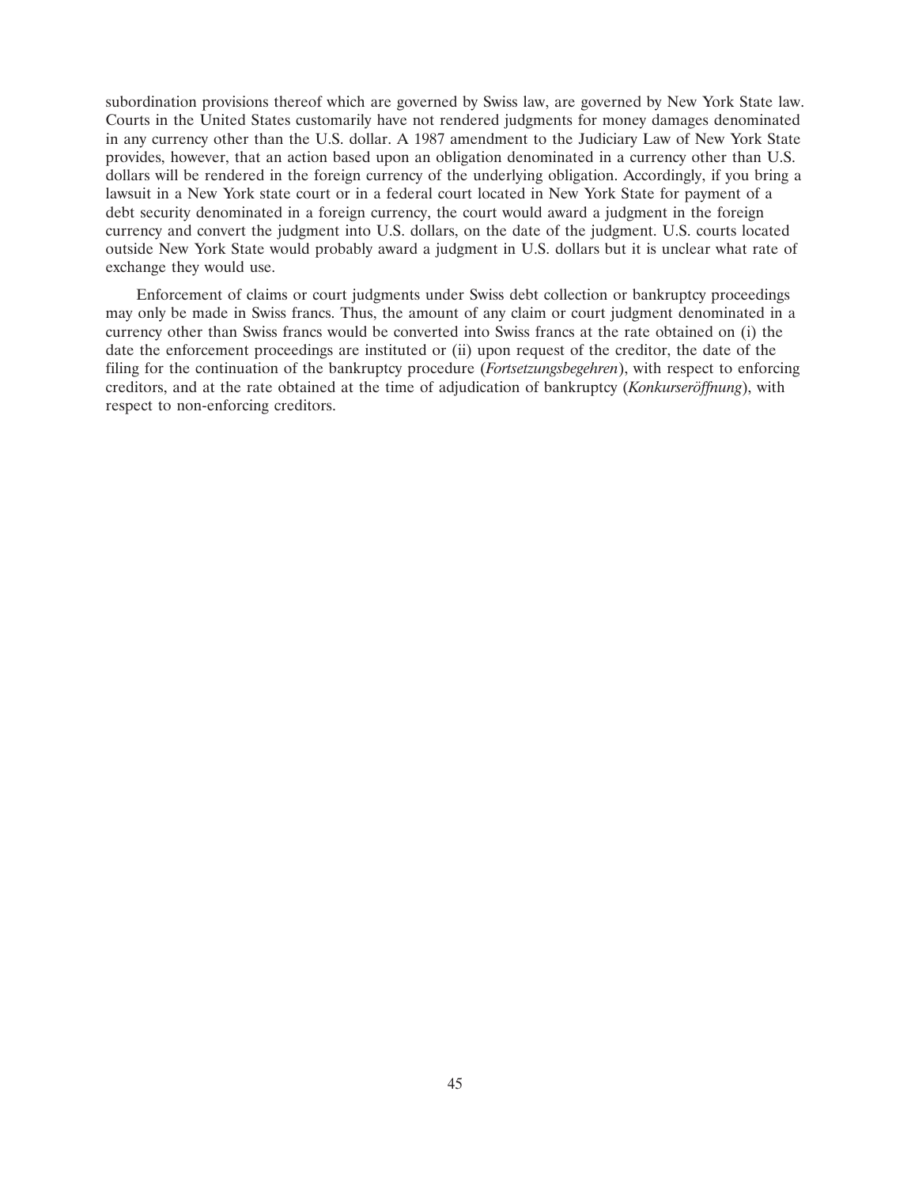subordination provisions thereof which are governed by Swiss law, are governed by New York State law. Courts in the United States customarily have not rendered judgments for money damages denominated in any currency other than the U.S. dollar. A 1987 amendment to the Judiciary Law of New York State provides, however, that an action based upon an obligation denominated in a currency other than U.S. dollars will be rendered in the foreign currency of the underlying obligation. Accordingly, if you bring a lawsuit in a New York state court or in a federal court located in New York State for payment of a debt security denominated in a foreign currency, the court would award a judgment in the foreign currency and convert the judgment into U.S. dollars, on the date of the judgment. U.S. courts located outside New York State would probably award a judgment in U.S. dollars but it is unclear what rate of exchange they would use.

Enforcement of claims or court judgments under Swiss debt collection or bankruptcy proceedings may only be made in Swiss francs. Thus, the amount of any claim or court judgment denominated in a currency other than Swiss francs would be converted into Swiss francs at the rate obtained on (i) the date the enforcement proceedings are instituted or (ii) upon request of the creditor, the date of the filing for the continuation of the bankruptcy procedure (*Fortsetzungsbegehren*), with respect to enforcing creditors, and at the rate obtained at the time of adjudication of bankruptcy (*Konkurseröffnung*), with respect to non-enforcing creditors.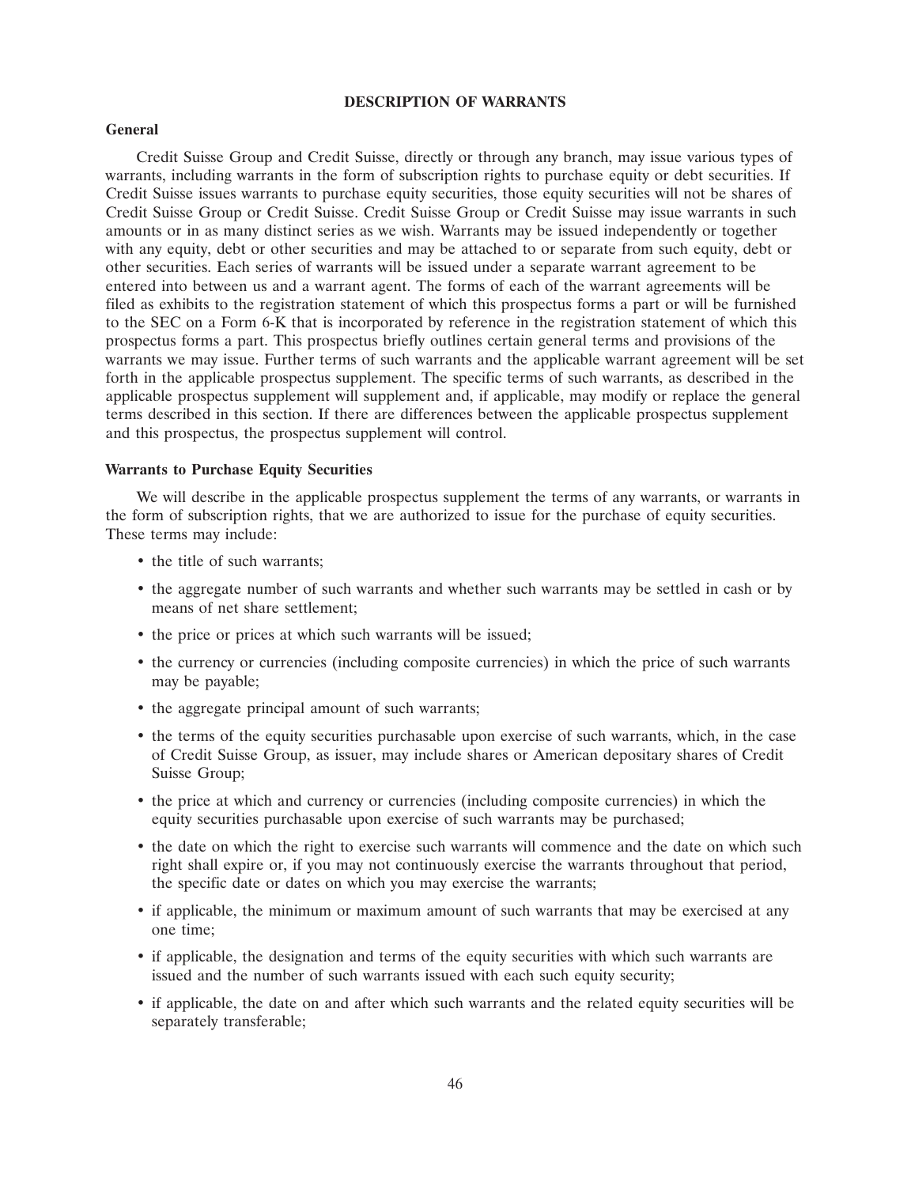### **DESCRIPTION OF WARRANTS**

#### **General**

Credit Suisse Group and Credit Suisse, directly or through any branch, may issue various types of warrants, including warrants in the form of subscription rights to purchase equity or debt securities. If Credit Suisse issues warrants to purchase equity securities, those equity securities will not be shares of Credit Suisse Group or Credit Suisse. Credit Suisse Group or Credit Suisse may issue warrants in such amounts or in as many distinct series as we wish. Warrants may be issued independently or together with any equity, debt or other securities and may be attached to or separate from such equity, debt or other securities. Each series of warrants will be issued under a separate warrant agreement to be entered into between us and a warrant agent. The forms of each of the warrant agreements will be filed as exhibits to the registration statement of which this prospectus forms a part or will be furnished to the SEC on a Form 6-K that is incorporated by reference in the registration statement of which this prospectus forms a part. This prospectus briefly outlines certain general terms and provisions of the warrants we may issue. Further terms of such warrants and the applicable warrant agreement will be set forth in the applicable prospectus supplement. The specific terms of such warrants, as described in the applicable prospectus supplement will supplement and, if applicable, may modify or replace the general terms described in this section. If there are differences between the applicable prospectus supplement and this prospectus, the prospectus supplement will control.

### **Warrants to Purchase Equity Securities**

We will describe in the applicable prospectus supplement the terms of any warrants, or warrants in the form of subscription rights, that we are authorized to issue for the purchase of equity securities. These terms may include:

- the title of such warrants:
- the aggregate number of such warrants and whether such warrants may be settled in cash or by means of net share settlement;
- the price or prices at which such warrants will be issued;
- the currency or currencies (including composite currencies) in which the price of such warrants may be payable;
- the aggregate principal amount of such warrants;
- the terms of the equity securities purchasable upon exercise of such warrants, which, in the case of Credit Suisse Group, as issuer, may include shares or American depositary shares of Credit Suisse Group;
- the price at which and currency or currencies (including composite currencies) in which the equity securities purchasable upon exercise of such warrants may be purchased;
- the date on which the right to exercise such warrants will commence and the date on which such right shall expire or, if you may not continuously exercise the warrants throughout that period, the specific date or dates on which you may exercise the warrants;
- if applicable, the minimum or maximum amount of such warrants that may be exercised at any one time;
- if applicable, the designation and terms of the equity securities with which such warrants are issued and the number of such warrants issued with each such equity security;
- if applicable, the date on and after which such warrants and the related equity securities will be separately transferable;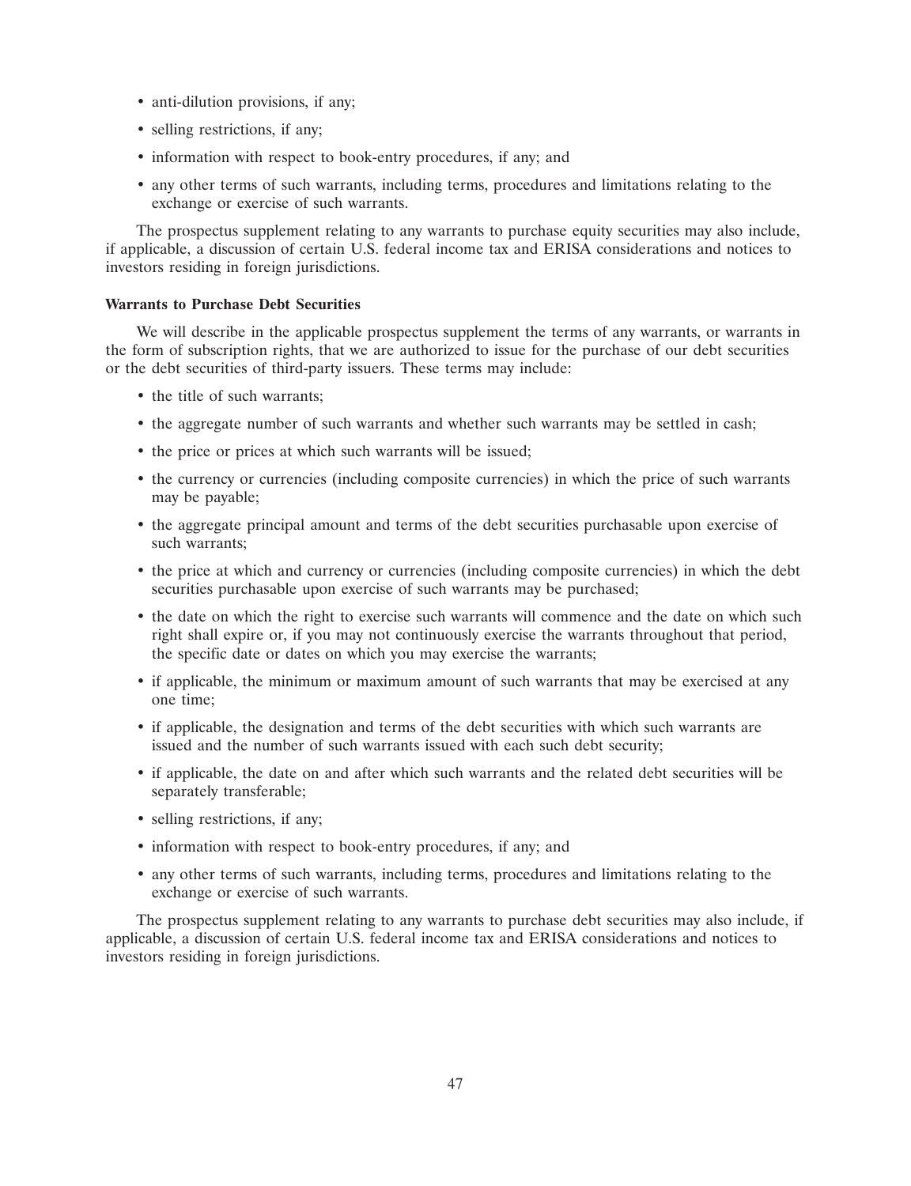- anti-dilution provisions, if any;
- selling restrictions, if any;
- information with respect to book-entry procedures, if any; and
- any other terms of such warrants, including terms, procedures and limitations relating to the exchange or exercise of such warrants.

The prospectus supplement relating to any warrants to purchase equity securities may also include, if applicable, a discussion of certain U.S. federal income tax and ERISA considerations and notices to investors residing in foreign jurisdictions.

## **Warrants to Purchase Debt Securities**

We will describe in the applicable prospectus supplement the terms of any warrants, or warrants in the form of subscription rights, that we are authorized to issue for the purchase of our debt securities or the debt securities of third-party issuers. These terms may include:

- the title of such warrants;
- the aggregate number of such warrants and whether such warrants may be settled in cash;
- the price or prices at which such warrants will be issued;
- the currency or currencies (including composite currencies) in which the price of such warrants may be payable;
- the aggregate principal amount and terms of the debt securities purchasable upon exercise of such warrants:
- the price at which and currency or currencies (including composite currencies) in which the debt securities purchasable upon exercise of such warrants may be purchased;
- the date on which the right to exercise such warrants will commence and the date on which such right shall expire or, if you may not continuously exercise the warrants throughout that period, the specific date or dates on which you may exercise the warrants;
- if applicable, the minimum or maximum amount of such warrants that may be exercised at any one time;
- if applicable, the designation and terms of the debt securities with which such warrants are issued and the number of such warrants issued with each such debt security;
- if applicable, the date on and after which such warrants and the related debt securities will be separately transferable;
- selling restrictions, if any;
- information with respect to book-entry procedures, if any; and
- any other terms of such warrants, including terms, procedures and limitations relating to the exchange or exercise of such warrants.

The prospectus supplement relating to any warrants to purchase debt securities may also include, if applicable, a discussion of certain U.S. federal income tax and ERISA considerations and notices to investors residing in foreign jurisdictions.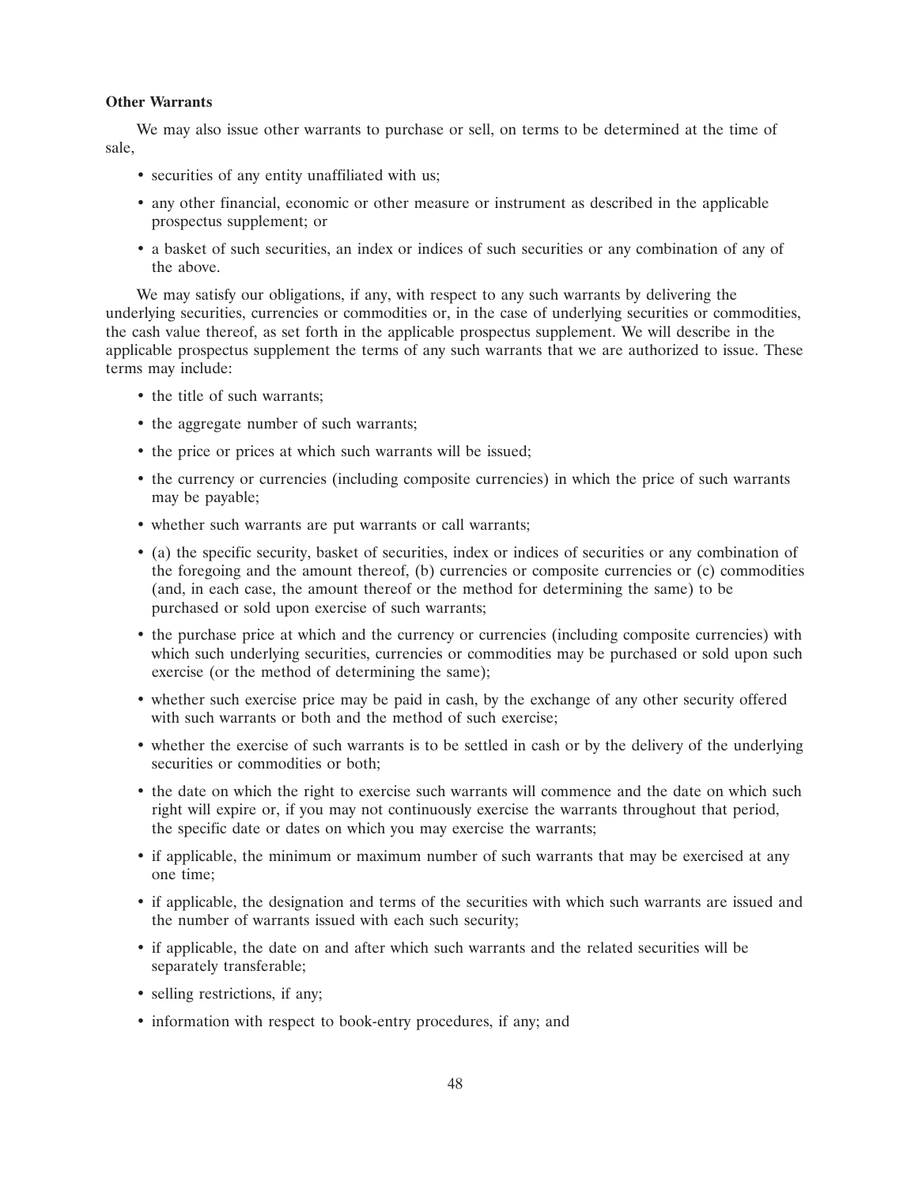## **Other Warrants**

We may also issue other warrants to purchase or sell, on terms to be determined at the time of sale,

- securities of any entity unaffiliated with us;
- any other financial, economic or other measure or instrument as described in the applicable prospectus supplement; or
- a basket of such securities, an index or indices of such securities or any combination of any of the above.

We may satisfy our obligations, if any, with respect to any such warrants by delivering the underlying securities, currencies or commodities or, in the case of underlying securities or commodities, the cash value thereof, as set forth in the applicable prospectus supplement. We will describe in the applicable prospectus supplement the terms of any such warrants that we are authorized to issue. These terms may include:

- the title of such warrants;
- the aggregate number of such warrants;
- the price or prices at which such warrants will be issued;
- the currency or currencies (including composite currencies) in which the price of such warrants may be payable;
- whether such warrants are put warrants or call warrants;
- (a) the specific security, basket of securities, index or indices of securities or any combination of the foregoing and the amount thereof, (b) currencies or composite currencies or (c) commodities (and, in each case, the amount thereof or the method for determining the same) to be purchased or sold upon exercise of such warrants;
- the purchase price at which and the currency or currencies (including composite currencies) with which such underlying securities, currencies or commodities may be purchased or sold upon such exercise (or the method of determining the same);
- whether such exercise price may be paid in cash, by the exchange of any other security offered with such warrants or both and the method of such exercise;
- whether the exercise of such warrants is to be settled in cash or by the delivery of the underlying securities or commodities or both:
- the date on which the right to exercise such warrants will commence and the date on which such right will expire or, if you may not continuously exercise the warrants throughout that period, the specific date or dates on which you may exercise the warrants;
- if applicable, the minimum or maximum number of such warrants that may be exercised at any one time;
- if applicable, the designation and terms of the securities with which such warrants are issued and the number of warrants issued with each such security;
- if applicable, the date on and after which such warrants and the related securities will be separately transferable;
- selling restrictions, if any;
- information with respect to book-entry procedures, if any; and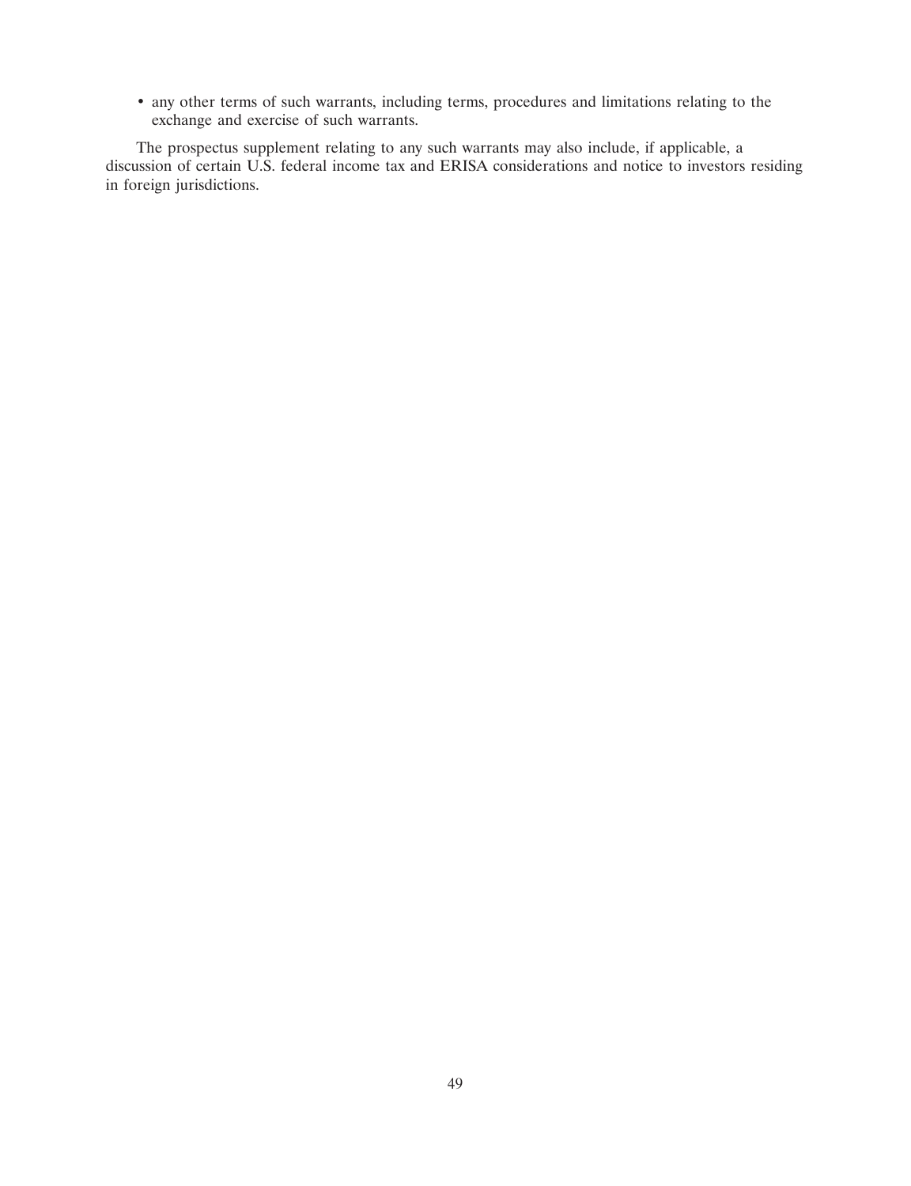• any other terms of such warrants, including terms, procedures and limitations relating to the exchange and exercise of such warrants.

The prospectus supplement relating to any such warrants may also include, if applicable, a discussion of certain U.S. federal income tax and ERISA considerations and notice to investors residing in foreign jurisdictions.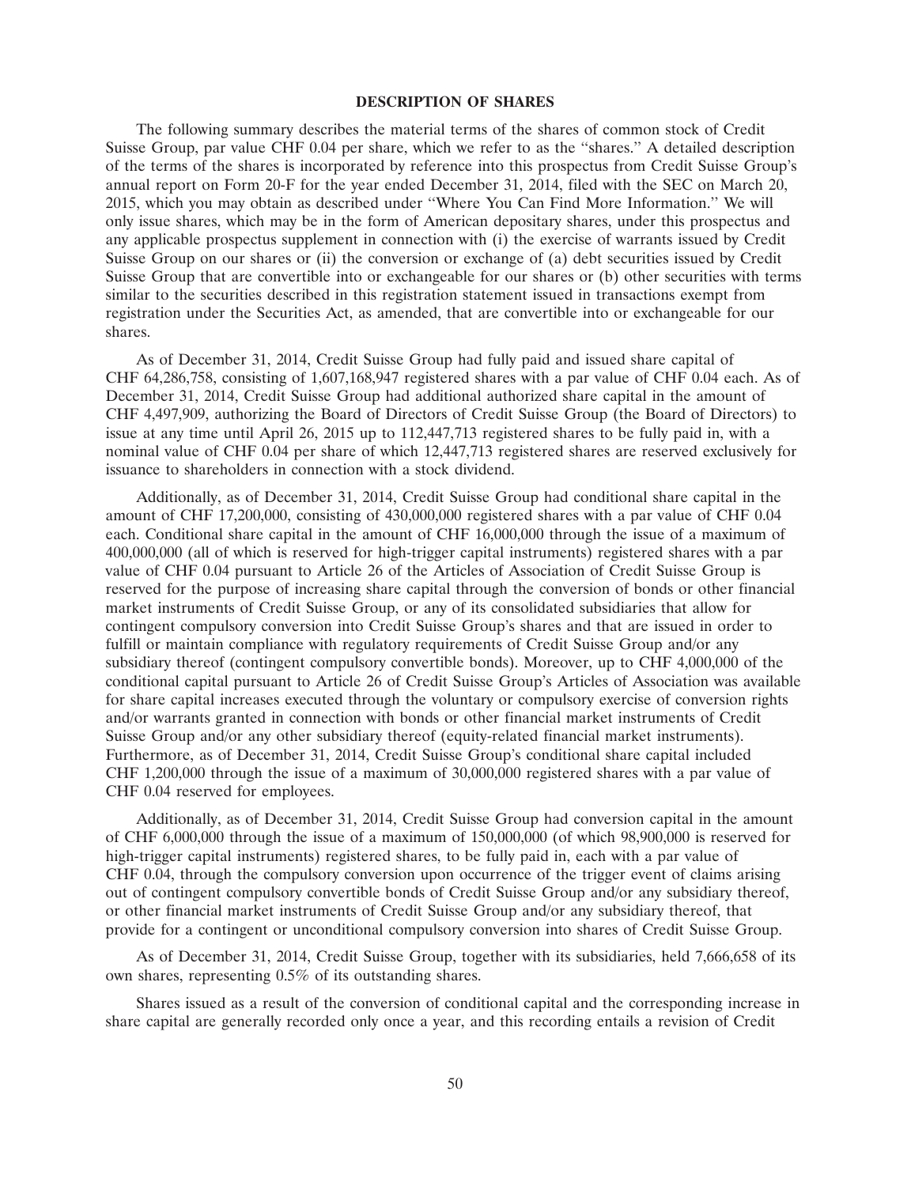### **DESCRIPTION OF SHARES**

The following summary describes the material terms of the shares of common stock of Credit Suisse Group, par value CHF 0.04 per share, which we refer to as the ''shares.'' A detailed description of the terms of the shares is incorporated by reference into this prospectus from Credit Suisse Group's annual report on Form 20-F for the year ended December 31, 2014, filed with the SEC on March 20, 2015, which you may obtain as described under ''Where You Can Find More Information.'' We will only issue shares, which may be in the form of American depositary shares, under this prospectus and any applicable prospectus supplement in connection with (i) the exercise of warrants issued by Credit Suisse Group on our shares or (ii) the conversion or exchange of (a) debt securities issued by Credit Suisse Group that are convertible into or exchangeable for our shares or (b) other securities with terms similar to the securities described in this registration statement issued in transactions exempt from registration under the Securities Act, as amended, that are convertible into or exchangeable for our shares.

As of December 31, 2014, Credit Suisse Group had fully paid and issued share capital of CHF 64,286,758, consisting of 1,607,168,947 registered shares with a par value of CHF 0.04 each. As of December 31, 2014, Credit Suisse Group had additional authorized share capital in the amount of CHF 4,497,909, authorizing the Board of Directors of Credit Suisse Group (the Board of Directors) to issue at any time until April 26, 2015 up to 112,447,713 registered shares to be fully paid in, with a nominal value of CHF 0.04 per share of which 12,447,713 registered shares are reserved exclusively for issuance to shareholders in connection with a stock dividend.

Additionally, as of December 31, 2014, Credit Suisse Group had conditional share capital in the amount of CHF 17,200,000, consisting of 430,000,000 registered shares with a par value of CHF 0.04 each. Conditional share capital in the amount of CHF 16,000,000 through the issue of a maximum of 400,000,000 (all of which is reserved for high-trigger capital instruments) registered shares with a par value of CHF 0.04 pursuant to Article 26 of the Articles of Association of Credit Suisse Group is reserved for the purpose of increasing share capital through the conversion of bonds or other financial market instruments of Credit Suisse Group, or any of its consolidated subsidiaries that allow for contingent compulsory conversion into Credit Suisse Group's shares and that are issued in order to fulfill or maintain compliance with regulatory requirements of Credit Suisse Group and/or any subsidiary thereof (contingent compulsory convertible bonds). Moreover, up to CHF 4,000,000 of the conditional capital pursuant to Article 26 of Credit Suisse Group's Articles of Association was available for share capital increases executed through the voluntary or compulsory exercise of conversion rights and/or warrants granted in connection with bonds or other financial market instruments of Credit Suisse Group and/or any other subsidiary thereof (equity-related financial market instruments). Furthermore, as of December 31, 2014, Credit Suisse Group's conditional share capital included CHF 1,200,000 through the issue of a maximum of 30,000,000 registered shares with a par value of CHF 0.04 reserved for employees.

Additionally, as of December 31, 2014, Credit Suisse Group had conversion capital in the amount of CHF 6,000,000 through the issue of a maximum of 150,000,000 (of which 98,900,000 is reserved for high-trigger capital instruments) registered shares, to be fully paid in, each with a par value of CHF 0.04, through the compulsory conversion upon occurrence of the trigger event of claims arising out of contingent compulsory convertible bonds of Credit Suisse Group and/or any subsidiary thereof, or other financial market instruments of Credit Suisse Group and/or any subsidiary thereof, that provide for a contingent or unconditional compulsory conversion into shares of Credit Suisse Group.

As of December 31, 2014, Credit Suisse Group, together with its subsidiaries, held 7,666,658 of its own shares, representing 0.5% of its outstanding shares.

Shares issued as a result of the conversion of conditional capital and the corresponding increase in share capital are generally recorded only once a year, and this recording entails a revision of Credit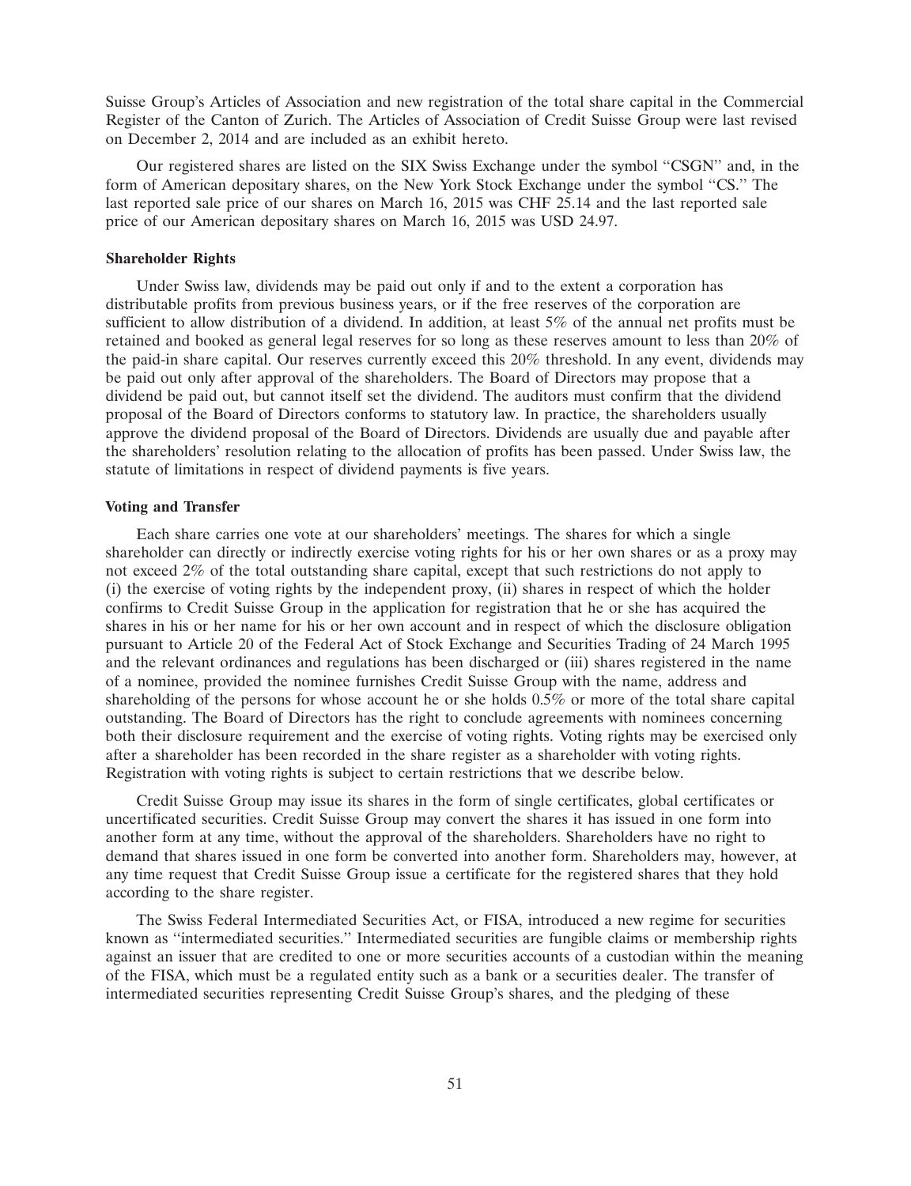Suisse Group's Articles of Association and new registration of the total share capital in the Commercial Register of the Canton of Zurich. The Articles of Association of Credit Suisse Group were last revised on December 2, 2014 and are included as an exhibit hereto.

Our registered shares are listed on the SIX Swiss Exchange under the symbol ''CSGN'' and, in the form of American depositary shares, on the New York Stock Exchange under the symbol ''CS.'' The last reported sale price of our shares on March 16, 2015 was CHF 25.14 and the last reported sale price of our American depositary shares on March 16, 2015 was USD 24.97.

#### **Shareholder Rights**

Under Swiss law, dividends may be paid out only if and to the extent a corporation has distributable profits from previous business years, or if the free reserves of the corporation are sufficient to allow distribution of a dividend. In addition, at least 5% of the annual net profits must be retained and booked as general legal reserves for so long as these reserves amount to less than 20% of the paid-in share capital. Our reserves currently exceed this 20% threshold. In any event, dividends may be paid out only after approval of the shareholders. The Board of Directors may propose that a dividend be paid out, but cannot itself set the dividend. The auditors must confirm that the dividend proposal of the Board of Directors conforms to statutory law. In practice, the shareholders usually approve the dividend proposal of the Board of Directors. Dividends are usually due and payable after the shareholders' resolution relating to the allocation of profits has been passed. Under Swiss law, the statute of limitations in respect of dividend payments is five years.

#### **Voting and Transfer**

Each share carries one vote at our shareholders' meetings. The shares for which a single shareholder can directly or indirectly exercise voting rights for his or her own shares or as a proxy may not exceed 2% of the total outstanding share capital, except that such restrictions do not apply to (i) the exercise of voting rights by the independent proxy, (ii) shares in respect of which the holder confirms to Credit Suisse Group in the application for registration that he or she has acquired the shares in his or her name for his or her own account and in respect of which the disclosure obligation pursuant to Article 20 of the Federal Act of Stock Exchange and Securities Trading of 24 March 1995 and the relevant ordinances and regulations has been discharged or (iii) shares registered in the name of a nominee, provided the nominee furnishes Credit Suisse Group with the name, address and shareholding of the persons for whose account he or she holds  $0.5\%$  or more of the total share capital outstanding. The Board of Directors has the right to conclude agreements with nominees concerning both their disclosure requirement and the exercise of voting rights. Voting rights may be exercised only after a shareholder has been recorded in the share register as a shareholder with voting rights. Registration with voting rights is subject to certain restrictions that we describe below.

Credit Suisse Group may issue its shares in the form of single certificates, global certificates or uncertificated securities. Credit Suisse Group may convert the shares it has issued in one form into another form at any time, without the approval of the shareholders. Shareholders have no right to demand that shares issued in one form be converted into another form. Shareholders may, however, at any time request that Credit Suisse Group issue a certificate for the registered shares that they hold according to the share register.

The Swiss Federal Intermediated Securities Act, or FISA, introduced a new regime for securities known as ''intermediated securities.'' Intermediated securities are fungible claims or membership rights against an issuer that are credited to one or more securities accounts of a custodian within the meaning of the FISA, which must be a regulated entity such as a bank or a securities dealer. The transfer of intermediated securities representing Credit Suisse Group's shares, and the pledging of these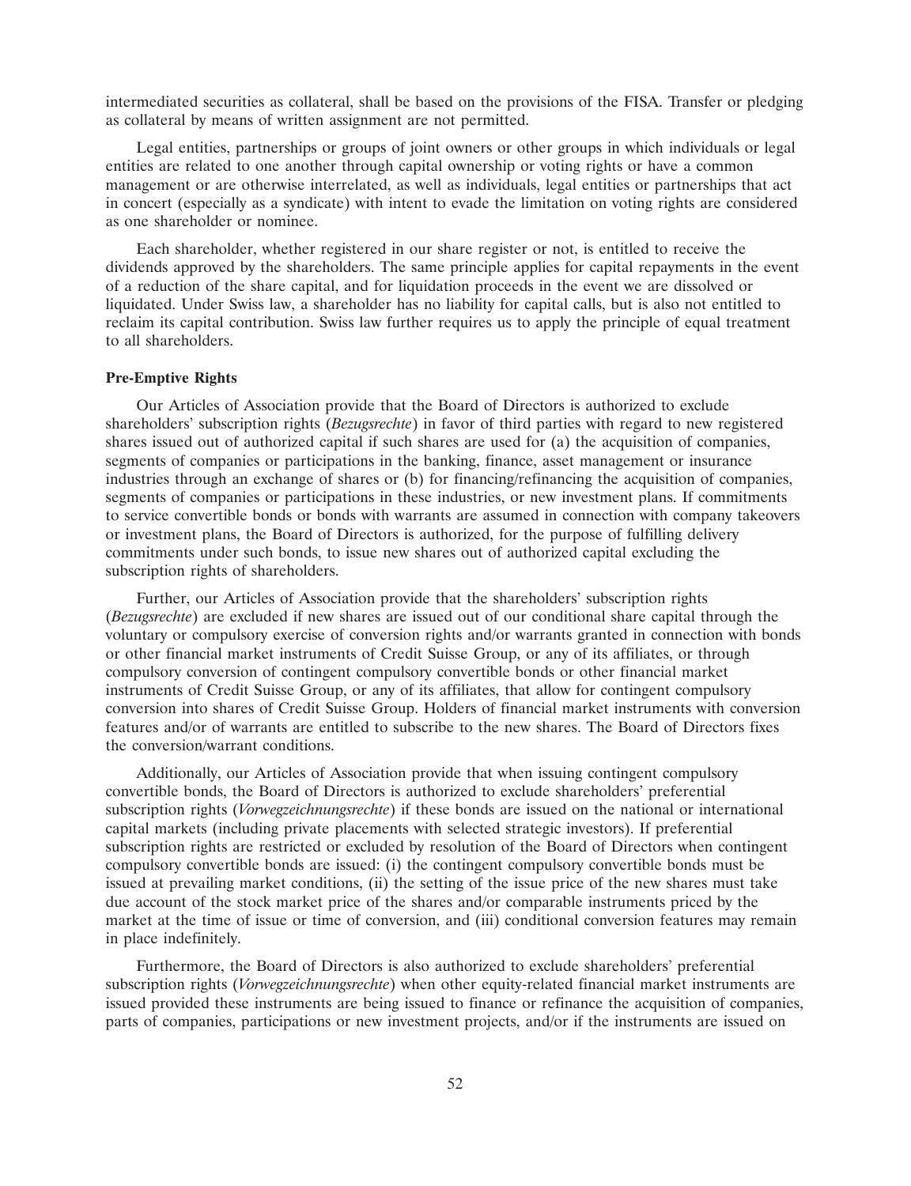intermediated securities as collateral, shall be based on the provisions of the FISA. Transfer or pledging as collateral by means of written assignment are not permitted.

Legal entities, partnerships or groups of joint owners or other groups in which individuals or legal entities are related to one another through capital ownership or voting rights or have a common management or are otherwise interrelated, as well as individuals, legal entities or partnerships that act in concert (especially as a syndicate) with intent to evade the limitation on voting rights are considered as one shareholder or nominee.

Each shareholder, whether registered in our share register or not, is entitled to receive the dividends approved by the shareholders. The same principle applies for capital repayments in the event of a reduction of the share capital, and for liquidation proceeds in the event we are dissolved or liquidated. Under Swiss law, a shareholder has no liability for capital calls, but is also not entitled to reclaim its capital contribution. Swiss law further requires us to apply the principle of equal treatment to all shareholders.

# **Pre-Emptive Rights**

Our Articles of Association provide that the Board of Directors is authorized to exclude shareholders' subscription rights (*Bezugsrechte*) in favor of third parties with regard to new registered shares issued out of authorized capital if such shares are used for (a) the acquisition of companies, segments of companies or participations in the banking, finance, asset management or insurance industries through an exchange of shares or (b) for financing/refinancing the acquisition of companies, segments of companies or participations in these industries, or new investment plans. If commitments to service convertible bonds or bonds with warrants are assumed in connection with company takeovers or investment plans, the Board of Directors is authorized, for the purpose of fulfilling delivery commitments under such bonds, to issue new shares out of authorized capital excluding the subscription rights of shareholders.

Further, our Articles of Association provide that the shareholders' subscription rights (*Bezugsrechte*) are excluded if new shares are issued out of our conditional share capital through the voluntary or compulsory exercise of conversion rights and/or warrants granted in connection with bonds or other financial market instruments of Credit Suisse Group, or any of its affiliates, or through compulsory conversion of contingent compulsory convertible bonds or other financial market instruments of Credit Suisse Group, or any of its affiliates, that allow for contingent compulsory conversion into shares of Credit Suisse Group. Holders of financial market instruments with conversion features and/or of warrants are entitled to subscribe to the new shares. The Board of Directors fixes the conversion/warrant conditions.

Additionally, our Articles of Association provide that when issuing contingent compulsory convertible bonds, the Board of Directors is authorized to exclude shareholders' preferential subscription rights (*Vorwegzeichnungsrechte*) if these bonds are issued on the national or international capital markets (including private placements with selected strategic investors). If preferential subscription rights are restricted or excluded by resolution of the Board of Directors when contingent compulsory convertible bonds are issued: (i) the contingent compulsory convertible bonds must be issued at prevailing market conditions, (ii) the setting of the issue price of the new shares must take due account of the stock market price of the shares and/or comparable instruments priced by the market at the time of issue or time of conversion, and (iii) conditional conversion features may remain in place indefinitely.

Furthermore, the Board of Directors is also authorized to exclude shareholders' preferential subscription rights (*Vorwegzeichnungsrechte*) when other equity-related financial market instruments are issued provided these instruments are being issued to finance or refinance the acquisition of companies, parts of companies, participations or new investment projects, and/or if the instruments are issued on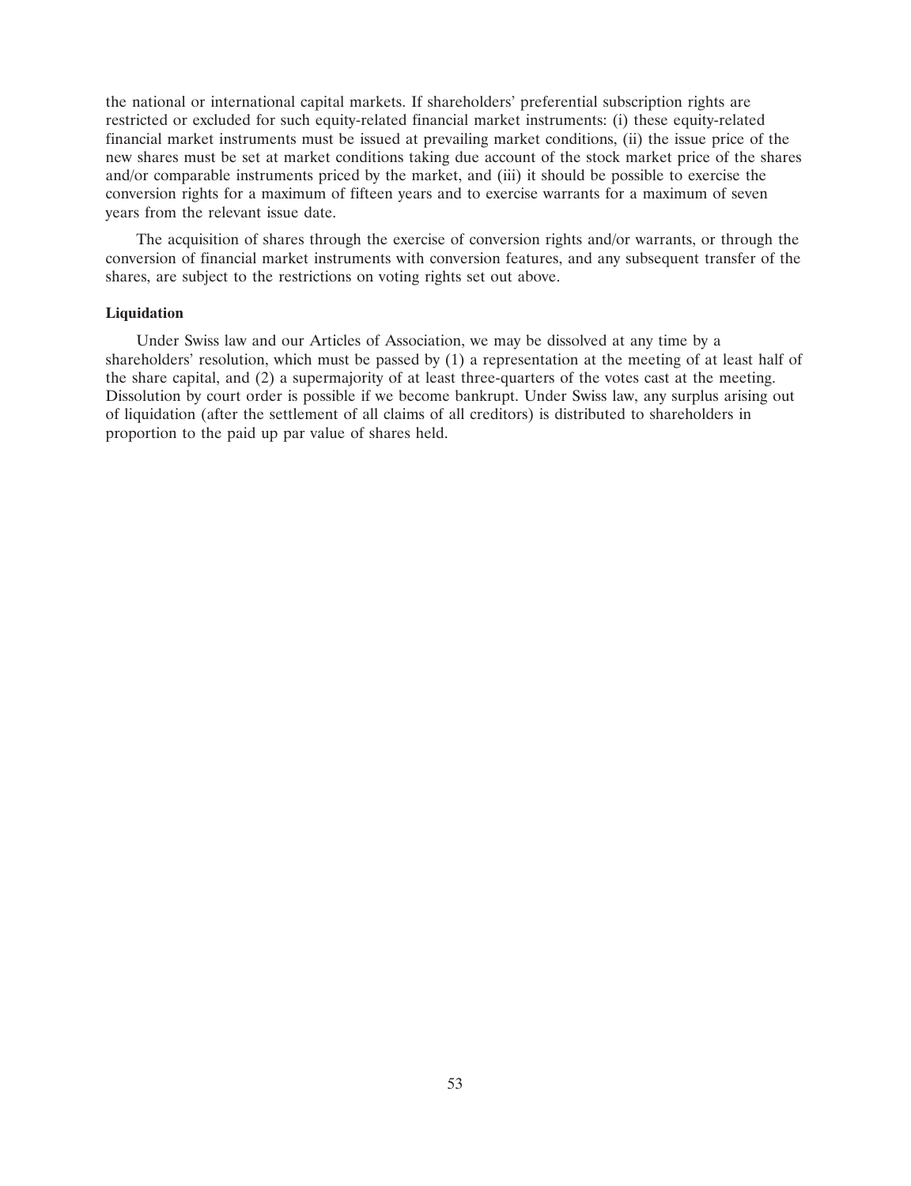the national or international capital markets. If shareholders' preferential subscription rights are restricted or excluded for such equity-related financial market instruments: (i) these equity-related financial market instruments must be issued at prevailing market conditions, (ii) the issue price of the new shares must be set at market conditions taking due account of the stock market price of the shares and/or comparable instruments priced by the market, and (iii) it should be possible to exercise the conversion rights for a maximum of fifteen years and to exercise warrants for a maximum of seven years from the relevant issue date.

The acquisition of shares through the exercise of conversion rights and/or warrants, or through the conversion of financial market instruments with conversion features, and any subsequent transfer of the shares, are subject to the restrictions on voting rights set out above.

## **Liquidation**

Under Swiss law and our Articles of Association, we may be dissolved at any time by a shareholders' resolution, which must be passed by (1) a representation at the meeting of at least half of the share capital, and (2) a supermajority of at least three-quarters of the votes cast at the meeting. Dissolution by court order is possible if we become bankrupt. Under Swiss law, any surplus arising out of liquidation (after the settlement of all claims of all creditors) is distributed to shareholders in proportion to the paid up par value of shares held.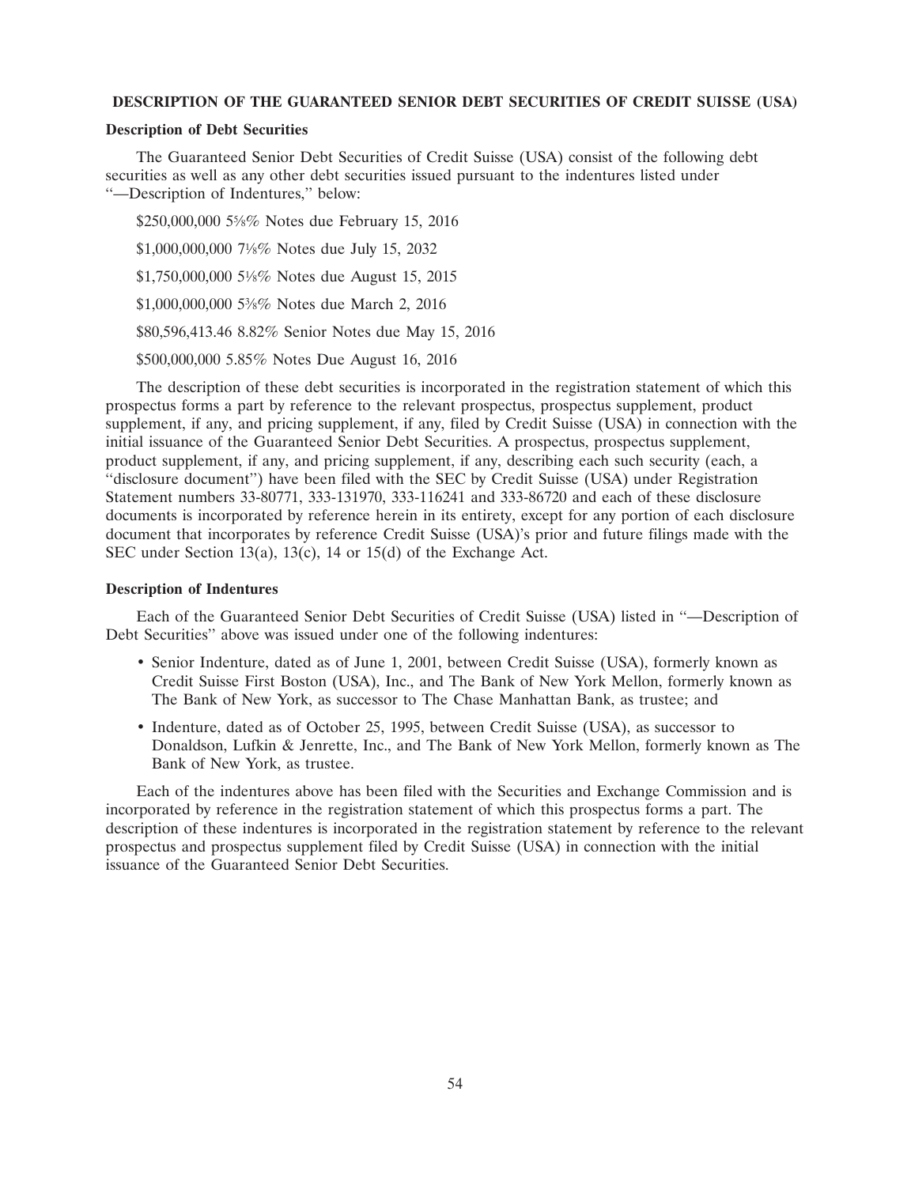## **DESCRIPTION OF THE GUARANTEED SENIOR DEBT SECURITIES OF CREDIT SUISSE (USA)**

### **Description of Debt Securities**

The Guaranteed Senior Debt Securities of Credit Suisse (USA) consist of the following debt securities as well as any other debt securities issued pursuant to the indentures listed under ''—Description of Indentures,'' below:

\$250,000,000 55⁄8% Notes due February 15, 2016 \$1,000,000,000 71⁄8% Notes due July 15, 2032 \$1,750,000,000 51⁄8% Notes due August 15, 2015 \$1,000,000,000 53⁄8% Notes due March 2, 2016 \$80,596,413.46 8.82% Senior Notes due May 15, 2016 \$500,000,000 5.85% Notes Due August 16, 2016

The description of these debt securities is incorporated in the registration statement of which this prospectus forms a part by reference to the relevant prospectus, prospectus supplement, product supplement, if any, and pricing supplement, if any, filed by Credit Suisse (USA) in connection with the initial issuance of the Guaranteed Senior Debt Securities. A prospectus, prospectus supplement, product supplement, if any, and pricing supplement, if any, describing each such security (each, a ''disclosure document'') have been filed with the SEC by Credit Suisse (USA) under Registration Statement numbers 33-80771, 333-131970, 333-116241 and 333-86720 and each of these disclosure documents is incorporated by reference herein in its entirety, except for any portion of each disclosure document that incorporates by reference Credit Suisse (USA)'s prior and future filings made with the SEC under Section 13(a), 13(c), 14 or 15(d) of the Exchange Act.

### **Description of Indentures**

Each of the Guaranteed Senior Debt Securities of Credit Suisse (USA) listed in ''—Description of Debt Securities'' above was issued under one of the following indentures:

- Senior Indenture, dated as of June 1, 2001, between Credit Suisse (USA), formerly known as Credit Suisse First Boston (USA), Inc., and The Bank of New York Mellon, formerly known as The Bank of New York, as successor to The Chase Manhattan Bank, as trustee; and
- Indenture, dated as of October 25, 1995, between Credit Suisse (USA), as successor to Donaldson, Lufkin & Jenrette, Inc., and The Bank of New York Mellon, formerly known as The Bank of New York, as trustee.

Each of the indentures above has been filed with the Securities and Exchange Commission and is incorporated by reference in the registration statement of which this prospectus forms a part. The description of these indentures is incorporated in the registration statement by reference to the relevant prospectus and prospectus supplement filed by Credit Suisse (USA) in connection with the initial issuance of the Guaranteed Senior Debt Securities.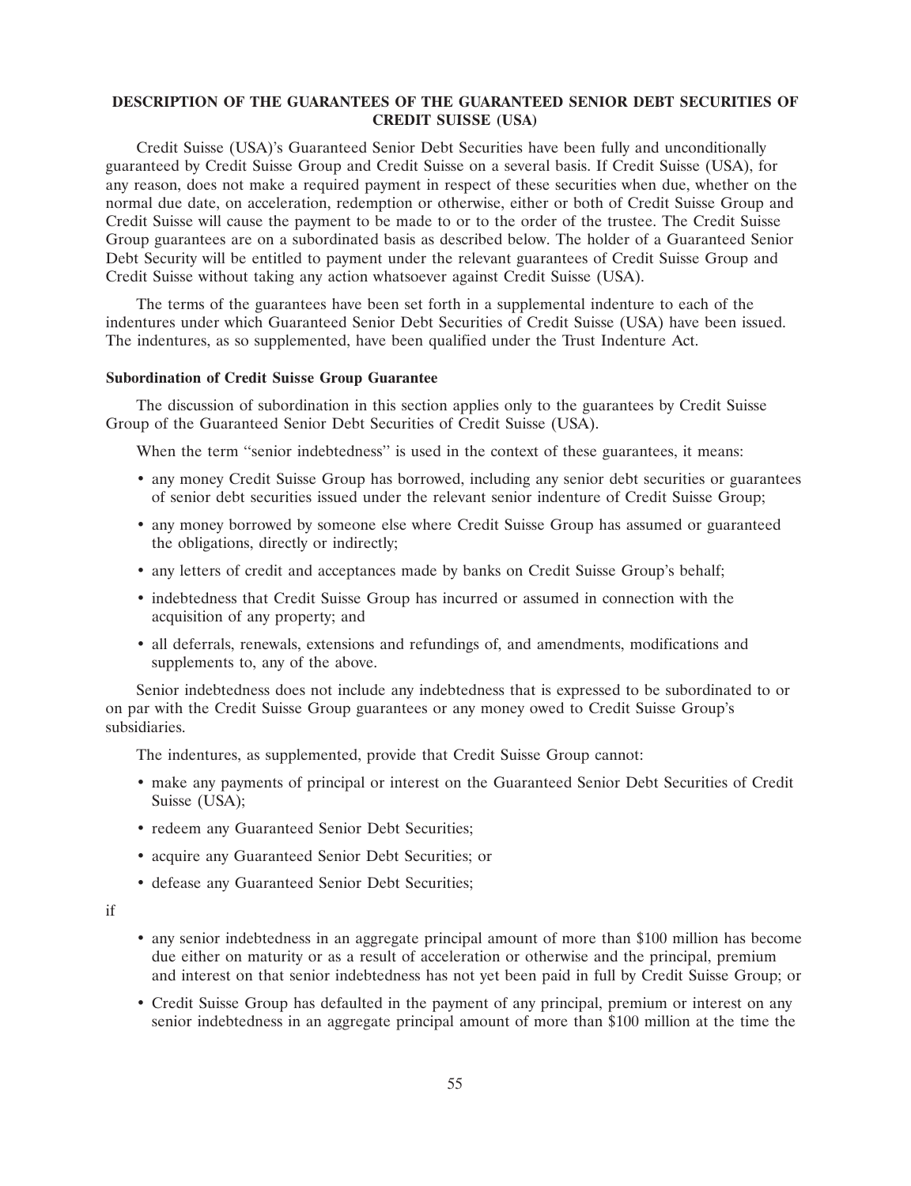## **DESCRIPTION OF THE GUARANTEES OF THE GUARANTEED SENIOR DEBT SECURITIES OF CREDIT SUISSE (USA)**

Credit Suisse (USA)'s Guaranteed Senior Debt Securities have been fully and unconditionally guaranteed by Credit Suisse Group and Credit Suisse on a several basis. If Credit Suisse (USA), for any reason, does not make a required payment in respect of these securities when due, whether on the normal due date, on acceleration, redemption or otherwise, either or both of Credit Suisse Group and Credit Suisse will cause the payment to be made to or to the order of the trustee. The Credit Suisse Group guarantees are on a subordinated basis as described below. The holder of a Guaranteed Senior Debt Security will be entitled to payment under the relevant guarantees of Credit Suisse Group and Credit Suisse without taking any action whatsoever against Credit Suisse (USA).

The terms of the guarantees have been set forth in a supplemental indenture to each of the indentures under which Guaranteed Senior Debt Securities of Credit Suisse (USA) have been issued. The indentures, as so supplemented, have been qualified under the Trust Indenture Act.

## **Subordination of Credit Suisse Group Guarantee**

The discussion of subordination in this section applies only to the guarantees by Credit Suisse Group of the Guaranteed Senior Debt Securities of Credit Suisse (USA).

When the term "senior indebtedness" is used in the context of these guarantees, it means:

- any money Credit Suisse Group has borrowed, including any senior debt securities or guarantees of senior debt securities issued under the relevant senior indenture of Credit Suisse Group;
- any money borrowed by someone else where Credit Suisse Group has assumed or guaranteed the obligations, directly or indirectly;
- any letters of credit and acceptances made by banks on Credit Suisse Group's behalf;
- indebtedness that Credit Suisse Group has incurred or assumed in connection with the acquisition of any property; and
- all deferrals, renewals, extensions and refundings of, and amendments, modifications and supplements to, any of the above.

Senior indebtedness does not include any indebtedness that is expressed to be subordinated to or on par with the Credit Suisse Group guarantees or any money owed to Credit Suisse Group's subsidiaries.

The indentures, as supplemented, provide that Credit Suisse Group cannot:

- make any payments of principal or interest on the Guaranteed Senior Debt Securities of Credit Suisse (USA);
- redeem any Guaranteed Senior Debt Securities;
- acquire any Guaranteed Senior Debt Securities; or
- defease any Guaranteed Senior Debt Securities;

if

- any senior indebtedness in an aggregate principal amount of more than \$100 million has become due either on maturity or as a result of acceleration or otherwise and the principal, premium and interest on that senior indebtedness has not yet been paid in full by Credit Suisse Group; or
- Credit Suisse Group has defaulted in the payment of any principal, premium or interest on any senior indebtedness in an aggregate principal amount of more than \$100 million at the time the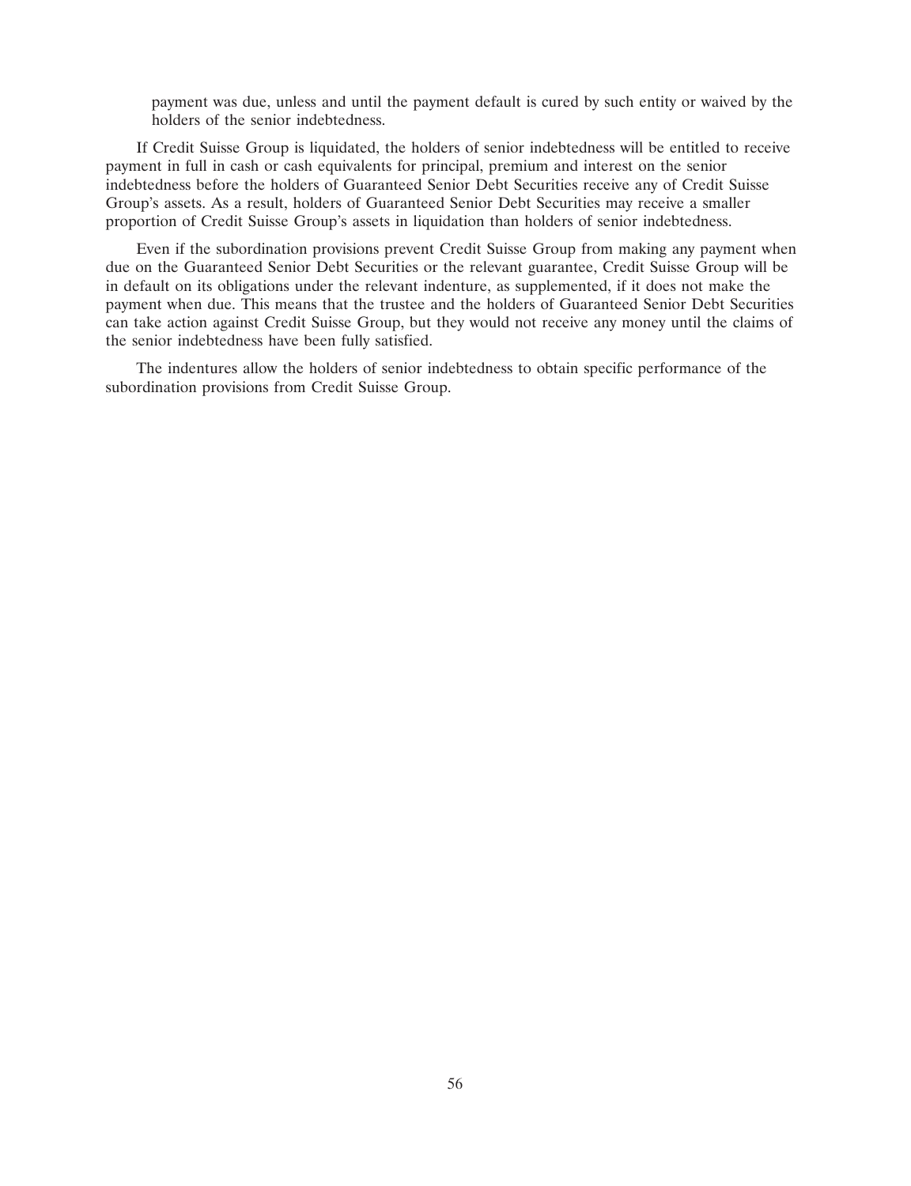payment was due, unless and until the payment default is cured by such entity or waived by the holders of the senior indebtedness.

If Credit Suisse Group is liquidated, the holders of senior indebtedness will be entitled to receive payment in full in cash or cash equivalents for principal, premium and interest on the senior indebtedness before the holders of Guaranteed Senior Debt Securities receive any of Credit Suisse Group's assets. As a result, holders of Guaranteed Senior Debt Securities may receive a smaller proportion of Credit Suisse Group's assets in liquidation than holders of senior indebtedness.

Even if the subordination provisions prevent Credit Suisse Group from making any payment when due on the Guaranteed Senior Debt Securities or the relevant guarantee, Credit Suisse Group will be in default on its obligations under the relevant indenture, as supplemented, if it does not make the payment when due. This means that the trustee and the holders of Guaranteed Senior Debt Securities can take action against Credit Suisse Group, but they would not receive any money until the claims of the senior indebtedness have been fully satisfied.

The indentures allow the holders of senior indebtedness to obtain specific performance of the subordination provisions from Credit Suisse Group.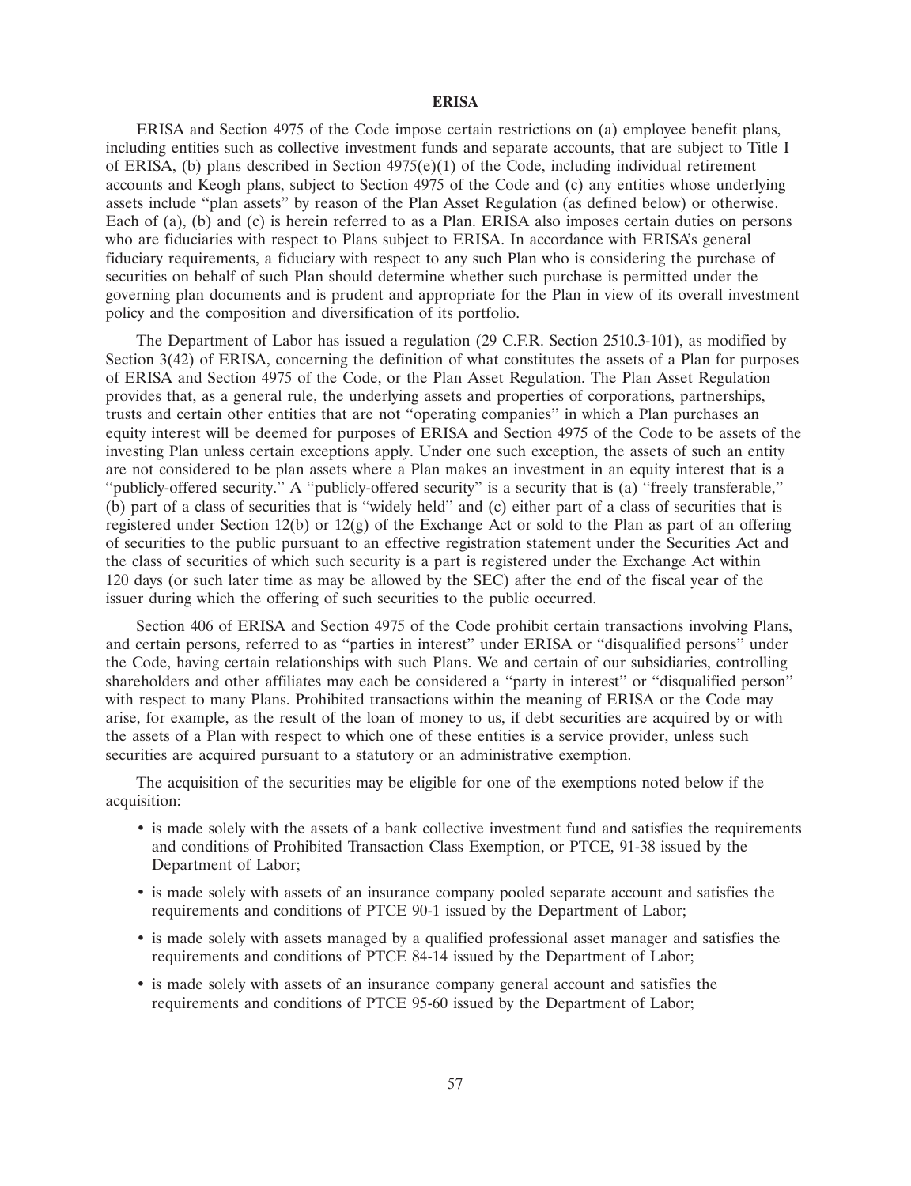## **ERISA**

ERISA and Section 4975 of the Code impose certain restrictions on (a) employee benefit plans, including entities such as collective investment funds and separate accounts, that are subject to Title I of ERISA, (b) plans described in Section  $4975(e)(1)$  of the Code, including individual retirement accounts and Keogh plans, subject to Section 4975 of the Code and (c) any entities whose underlying assets include ''plan assets'' by reason of the Plan Asset Regulation (as defined below) or otherwise. Each of (a), (b) and (c) is herein referred to as a Plan. ERISA also imposes certain duties on persons who are fiduciaries with respect to Plans subject to ERISA. In accordance with ERISA's general fiduciary requirements, a fiduciary with respect to any such Plan who is considering the purchase of securities on behalf of such Plan should determine whether such purchase is permitted under the governing plan documents and is prudent and appropriate for the Plan in view of its overall investment policy and the composition and diversification of its portfolio.

The Department of Labor has issued a regulation (29 C.F.R. Section 2510.3-101), as modified by Section 3(42) of ERISA, concerning the definition of what constitutes the assets of a Plan for purposes of ERISA and Section 4975 of the Code, or the Plan Asset Regulation. The Plan Asset Regulation provides that, as a general rule, the underlying assets and properties of corporations, partnerships, trusts and certain other entities that are not ''operating companies'' in which a Plan purchases an equity interest will be deemed for purposes of ERISA and Section 4975 of the Code to be assets of the investing Plan unless certain exceptions apply. Under one such exception, the assets of such an entity are not considered to be plan assets where a Plan makes an investment in an equity interest that is a ''publicly-offered security.'' A ''publicly-offered security'' is a security that is (a) ''freely transferable,'' (b) part of a class of securities that is ''widely held'' and (c) either part of a class of securities that is registered under Section 12(b) or 12(g) of the Exchange Act or sold to the Plan as part of an offering of securities to the public pursuant to an effective registration statement under the Securities Act and the class of securities of which such security is a part is registered under the Exchange Act within 120 days (or such later time as may be allowed by the SEC) after the end of the fiscal year of the issuer during which the offering of such securities to the public occurred.

Section 406 of ERISA and Section 4975 of the Code prohibit certain transactions involving Plans, and certain persons, referred to as ''parties in interest'' under ERISA or ''disqualified persons'' under the Code, having certain relationships with such Plans. We and certain of our subsidiaries, controlling shareholders and other affiliates may each be considered a ''party in interest'' or ''disqualified person'' with respect to many Plans. Prohibited transactions within the meaning of ERISA or the Code may arise, for example, as the result of the loan of money to us, if debt securities are acquired by or with the assets of a Plan with respect to which one of these entities is a service provider, unless such securities are acquired pursuant to a statutory or an administrative exemption.

The acquisition of the securities may be eligible for one of the exemptions noted below if the acquisition:

- is made solely with the assets of a bank collective investment fund and satisfies the requirements and conditions of Prohibited Transaction Class Exemption, or PTCE, 91-38 issued by the Department of Labor;
- is made solely with assets of an insurance company pooled separate account and satisfies the requirements and conditions of PTCE 90-1 issued by the Department of Labor;
- is made solely with assets managed by a qualified professional asset manager and satisfies the requirements and conditions of PTCE 84-14 issued by the Department of Labor;
- is made solely with assets of an insurance company general account and satisfies the requirements and conditions of PTCE 95-60 issued by the Department of Labor;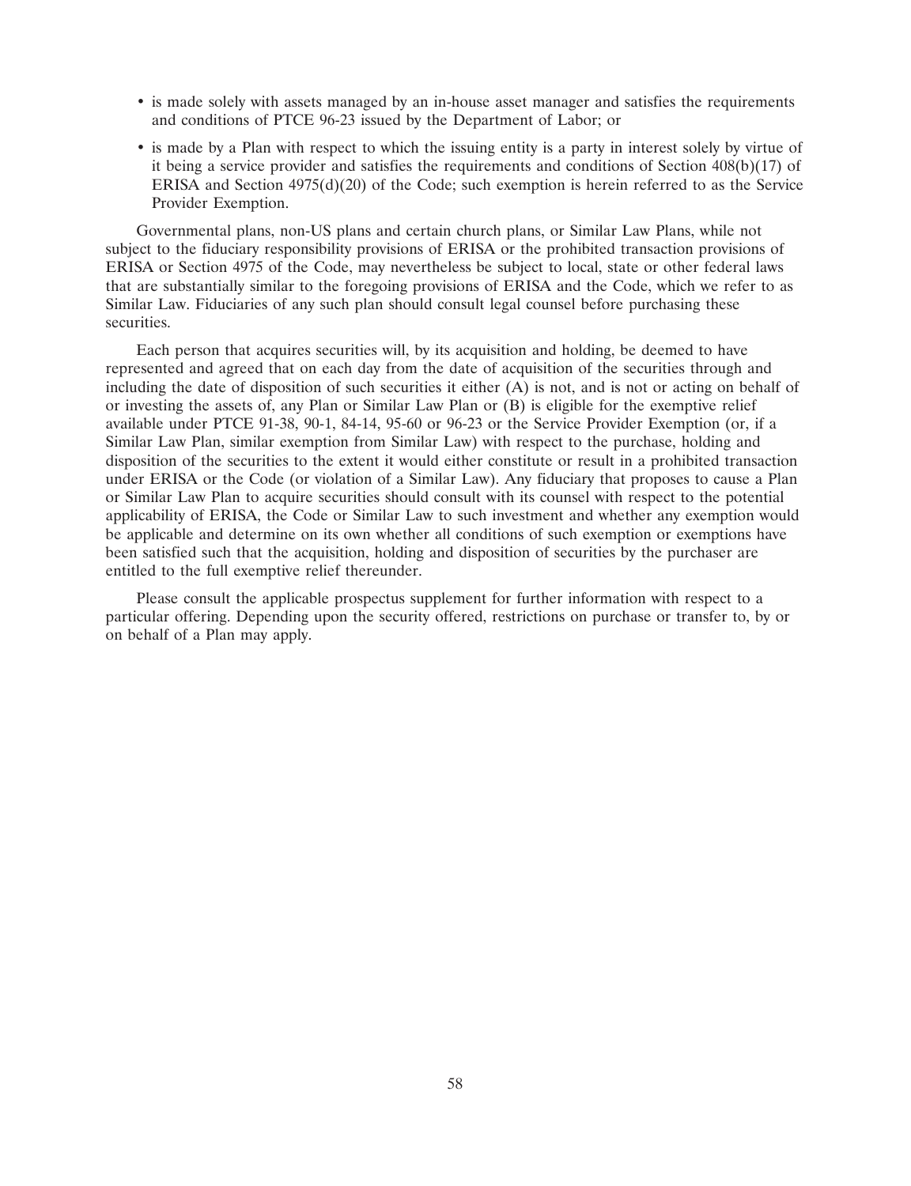- is made solely with assets managed by an in-house asset manager and satisfies the requirements and conditions of PTCE 96-23 issued by the Department of Labor; or
- is made by a Plan with respect to which the issuing entity is a party in interest solely by virtue of it being a service provider and satisfies the requirements and conditions of Section 408(b)(17) of ERISA and Section 4975(d)(20) of the Code; such exemption is herein referred to as the Service Provider Exemption.

Governmental plans, non-US plans and certain church plans, or Similar Law Plans, while not subject to the fiduciary responsibility provisions of ERISA or the prohibited transaction provisions of ERISA or Section 4975 of the Code, may nevertheless be subject to local, state or other federal laws that are substantially similar to the foregoing provisions of ERISA and the Code, which we refer to as Similar Law. Fiduciaries of any such plan should consult legal counsel before purchasing these securities.

Each person that acquires securities will, by its acquisition and holding, be deemed to have represented and agreed that on each day from the date of acquisition of the securities through and including the date of disposition of such securities it either  $(A)$  is not, and is not or acting on behalf of or investing the assets of, any Plan or Similar Law Plan or (B) is eligible for the exemptive relief available under PTCE 91-38, 90-1, 84-14, 95-60 or 96-23 or the Service Provider Exemption (or, if a Similar Law Plan, similar exemption from Similar Law) with respect to the purchase, holding and disposition of the securities to the extent it would either constitute or result in a prohibited transaction under ERISA or the Code (or violation of a Similar Law). Any fiduciary that proposes to cause a Plan or Similar Law Plan to acquire securities should consult with its counsel with respect to the potential applicability of ERISA, the Code or Similar Law to such investment and whether any exemption would be applicable and determine on its own whether all conditions of such exemption or exemptions have been satisfied such that the acquisition, holding and disposition of securities by the purchaser are entitled to the full exemptive relief thereunder.

Please consult the applicable prospectus supplement for further information with respect to a particular offering. Depending upon the security offered, restrictions on purchase or transfer to, by or on behalf of a Plan may apply.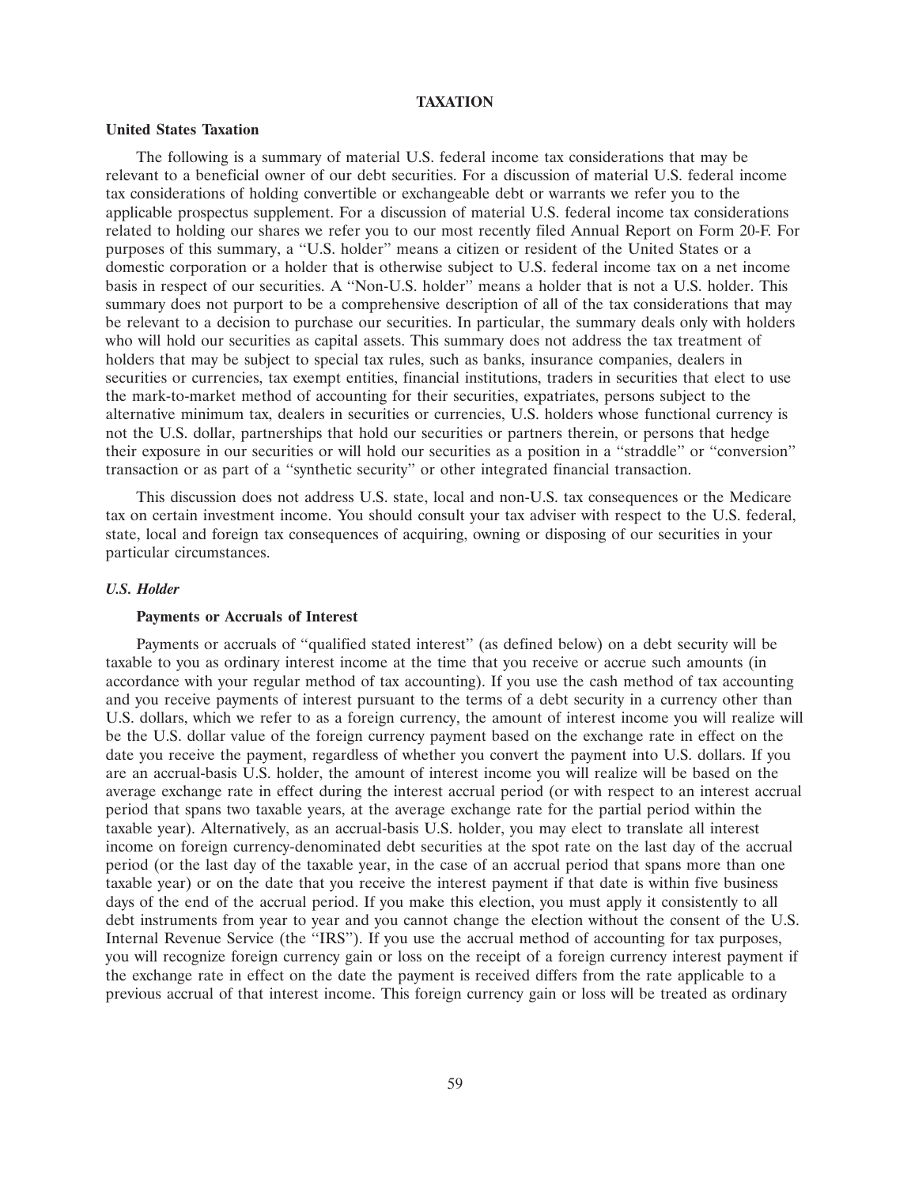## **TAXATION**

### **United States Taxation**

The following is a summary of material U.S. federal income tax considerations that may be relevant to a beneficial owner of our debt securities. For a discussion of material U.S. federal income tax considerations of holding convertible or exchangeable debt or warrants we refer you to the applicable prospectus supplement. For a discussion of material U.S. federal income tax considerations related to holding our shares we refer you to our most recently filed Annual Report on Form 20-F. For purposes of this summary, a ''U.S. holder'' means a citizen or resident of the United States or a domestic corporation or a holder that is otherwise subject to U.S. federal income tax on a net income basis in respect of our securities. A ''Non-U.S. holder'' means a holder that is not a U.S. holder. This summary does not purport to be a comprehensive description of all of the tax considerations that may be relevant to a decision to purchase our securities. In particular, the summary deals only with holders who will hold our securities as capital assets. This summary does not address the tax treatment of holders that may be subject to special tax rules, such as banks, insurance companies, dealers in securities or currencies, tax exempt entities, financial institutions, traders in securities that elect to use the mark-to-market method of accounting for their securities, expatriates, persons subject to the alternative minimum tax, dealers in securities or currencies, U.S. holders whose functional currency is not the U.S. dollar, partnerships that hold our securities or partners therein, or persons that hedge their exposure in our securities or will hold our securities as a position in a ''straddle'' or ''conversion'' transaction or as part of a ''synthetic security'' or other integrated financial transaction.

This discussion does not address U.S. state, local and non-U.S. tax consequences or the Medicare tax on certain investment income. You should consult your tax adviser with respect to the U.S. federal, state, local and foreign tax consequences of acquiring, owning or disposing of our securities in your particular circumstances.

### *U.S. Holder*

### **Payments or Accruals of Interest**

Payments or accruals of ''qualified stated interest'' (as defined below) on a debt security will be taxable to you as ordinary interest income at the time that you receive or accrue such amounts (in accordance with your regular method of tax accounting). If you use the cash method of tax accounting and you receive payments of interest pursuant to the terms of a debt security in a currency other than U.S. dollars, which we refer to as a foreign currency, the amount of interest income you will realize will be the U.S. dollar value of the foreign currency payment based on the exchange rate in effect on the date you receive the payment, regardless of whether you convert the payment into U.S. dollars. If you are an accrual-basis U.S. holder, the amount of interest income you will realize will be based on the average exchange rate in effect during the interest accrual period (or with respect to an interest accrual period that spans two taxable years, at the average exchange rate for the partial period within the taxable year). Alternatively, as an accrual-basis U.S. holder, you may elect to translate all interest income on foreign currency-denominated debt securities at the spot rate on the last day of the accrual period (or the last day of the taxable year, in the case of an accrual period that spans more than one taxable year) or on the date that you receive the interest payment if that date is within five business days of the end of the accrual period. If you make this election, you must apply it consistently to all debt instruments from year to year and you cannot change the election without the consent of the U.S. Internal Revenue Service (the ''IRS''). If you use the accrual method of accounting for tax purposes, you will recognize foreign currency gain or loss on the receipt of a foreign currency interest payment if the exchange rate in effect on the date the payment is received differs from the rate applicable to a previous accrual of that interest income. This foreign currency gain or loss will be treated as ordinary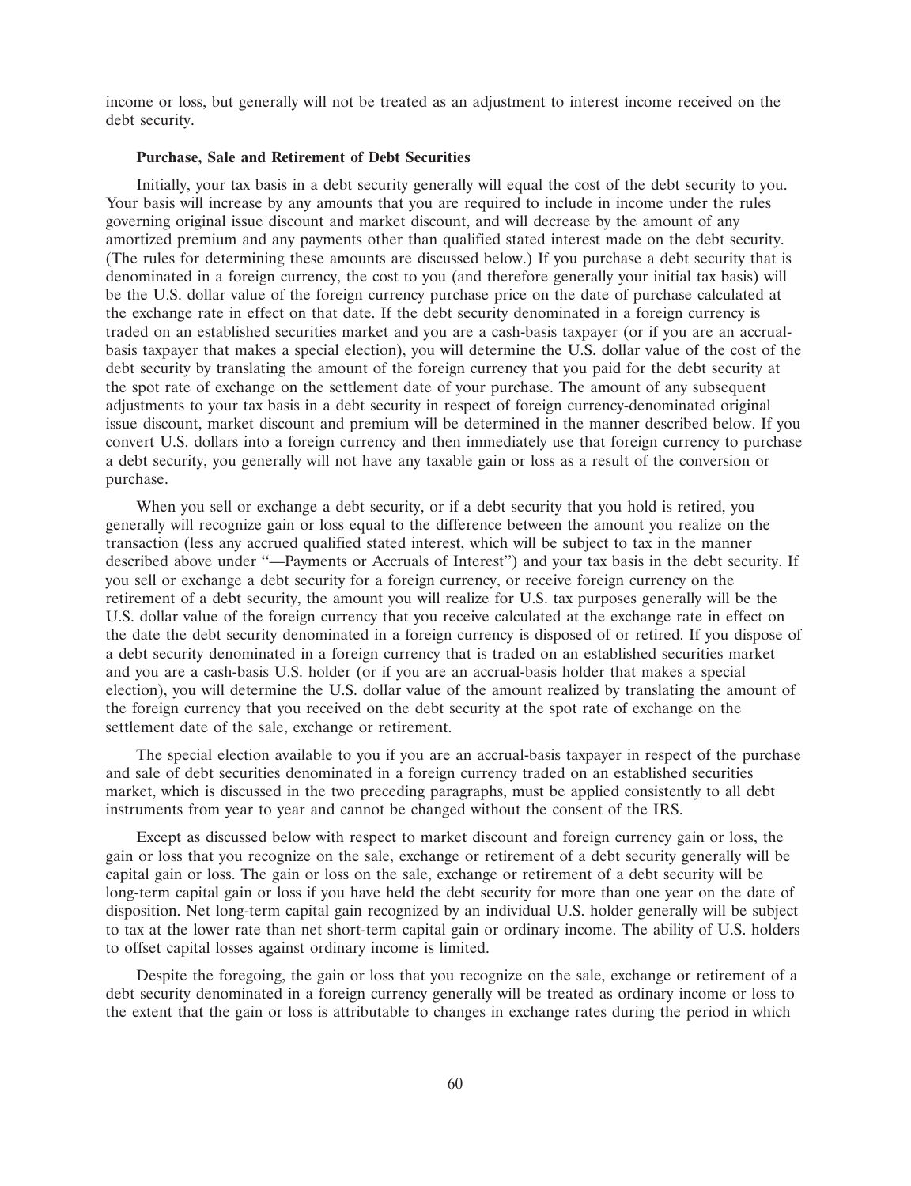income or loss, but generally will not be treated as an adjustment to interest income received on the debt security.

### **Purchase, Sale and Retirement of Debt Securities**

Initially, your tax basis in a debt security generally will equal the cost of the debt security to you. Your basis will increase by any amounts that you are required to include in income under the rules governing original issue discount and market discount, and will decrease by the amount of any amortized premium and any payments other than qualified stated interest made on the debt security. (The rules for determining these amounts are discussed below.) If you purchase a debt security that is denominated in a foreign currency, the cost to you (and therefore generally your initial tax basis) will be the U.S. dollar value of the foreign currency purchase price on the date of purchase calculated at the exchange rate in effect on that date. If the debt security denominated in a foreign currency is traded on an established securities market and you are a cash-basis taxpayer (or if you are an accrualbasis taxpayer that makes a special election), you will determine the U.S. dollar value of the cost of the debt security by translating the amount of the foreign currency that you paid for the debt security at the spot rate of exchange on the settlement date of your purchase. The amount of any subsequent adjustments to your tax basis in a debt security in respect of foreign currency-denominated original issue discount, market discount and premium will be determined in the manner described below. If you convert U.S. dollars into a foreign currency and then immediately use that foreign currency to purchase a debt security, you generally will not have any taxable gain or loss as a result of the conversion or purchase.

When you sell or exchange a debt security, or if a debt security that you hold is retired, you generally will recognize gain or loss equal to the difference between the amount you realize on the transaction (less any accrued qualified stated interest, which will be subject to tax in the manner described above under "-Payments or Accruals of Interest") and your tax basis in the debt security. If you sell or exchange a debt security for a foreign currency, or receive foreign currency on the retirement of a debt security, the amount you will realize for U.S. tax purposes generally will be the U.S. dollar value of the foreign currency that you receive calculated at the exchange rate in effect on the date the debt security denominated in a foreign currency is disposed of or retired. If you dispose of a debt security denominated in a foreign currency that is traded on an established securities market and you are a cash-basis U.S. holder (or if you are an accrual-basis holder that makes a special election), you will determine the U.S. dollar value of the amount realized by translating the amount of the foreign currency that you received on the debt security at the spot rate of exchange on the settlement date of the sale, exchange or retirement.

The special election available to you if you are an accrual-basis taxpayer in respect of the purchase and sale of debt securities denominated in a foreign currency traded on an established securities market, which is discussed in the two preceding paragraphs, must be applied consistently to all debt instruments from year to year and cannot be changed without the consent of the IRS.

Except as discussed below with respect to market discount and foreign currency gain or loss, the gain or loss that you recognize on the sale, exchange or retirement of a debt security generally will be capital gain or loss. The gain or loss on the sale, exchange or retirement of a debt security will be long-term capital gain or loss if you have held the debt security for more than one year on the date of disposition. Net long-term capital gain recognized by an individual U.S. holder generally will be subject to tax at the lower rate than net short-term capital gain or ordinary income. The ability of U.S. holders to offset capital losses against ordinary income is limited.

Despite the foregoing, the gain or loss that you recognize on the sale, exchange or retirement of a debt security denominated in a foreign currency generally will be treated as ordinary income or loss to the extent that the gain or loss is attributable to changes in exchange rates during the period in which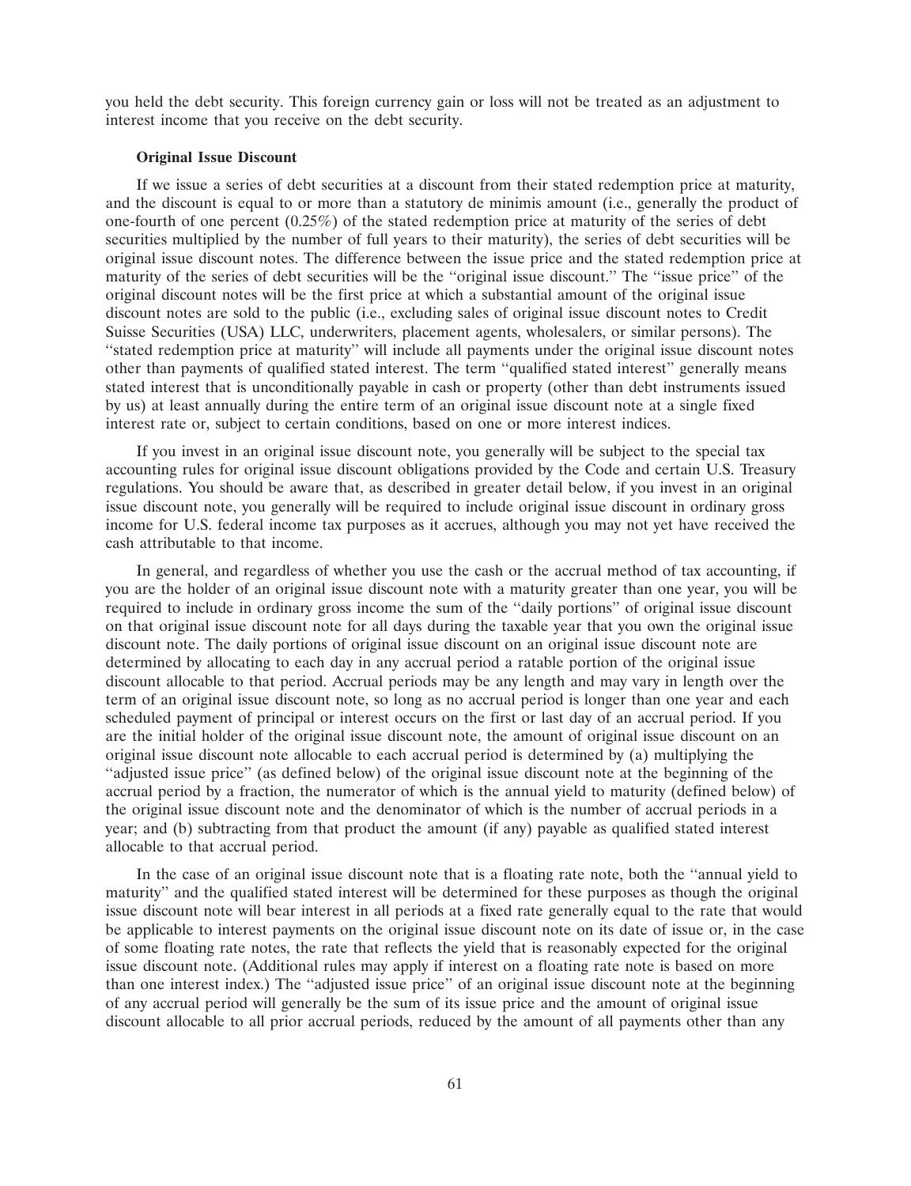you held the debt security. This foreign currency gain or loss will not be treated as an adjustment to interest income that you receive on the debt security.

### **Original Issue Discount**

If we issue a series of debt securities at a discount from their stated redemption price at maturity, and the discount is equal to or more than a statutory de minimis amount (i.e., generally the product of one-fourth of one percent (0.25%) of the stated redemption price at maturity of the series of debt securities multiplied by the number of full years to their maturity), the series of debt securities will be original issue discount notes. The difference between the issue price and the stated redemption price at maturity of the series of debt securities will be the ''original issue discount.'' The ''issue price'' of the original discount notes will be the first price at which a substantial amount of the original issue discount notes are sold to the public (i.e., excluding sales of original issue discount notes to Credit Suisse Securities (USA) LLC, underwriters, placement agents, wholesalers, or similar persons). The "stated redemption price at maturity" will include all payments under the original issue discount notes other than payments of qualified stated interest. The term ''qualified stated interest'' generally means stated interest that is unconditionally payable in cash or property (other than debt instruments issued by us) at least annually during the entire term of an original issue discount note at a single fixed interest rate or, subject to certain conditions, based on one or more interest indices.

If you invest in an original issue discount note, you generally will be subject to the special tax accounting rules for original issue discount obligations provided by the Code and certain U.S. Treasury regulations. You should be aware that, as described in greater detail below, if you invest in an original issue discount note, you generally will be required to include original issue discount in ordinary gross income for U.S. federal income tax purposes as it accrues, although you may not yet have received the cash attributable to that income.

In general, and regardless of whether you use the cash or the accrual method of tax accounting, if you are the holder of an original issue discount note with a maturity greater than one year, you will be required to include in ordinary gross income the sum of the ''daily portions'' of original issue discount on that original issue discount note for all days during the taxable year that you own the original issue discount note. The daily portions of original issue discount on an original issue discount note are determined by allocating to each day in any accrual period a ratable portion of the original issue discount allocable to that period. Accrual periods may be any length and may vary in length over the term of an original issue discount note, so long as no accrual period is longer than one year and each scheduled payment of principal or interest occurs on the first or last day of an accrual period. If you are the initial holder of the original issue discount note, the amount of original issue discount on an original issue discount note allocable to each accrual period is determined by (a) multiplying the ''adjusted issue price'' (as defined below) of the original issue discount note at the beginning of the accrual period by a fraction, the numerator of which is the annual yield to maturity (defined below) of the original issue discount note and the denominator of which is the number of accrual periods in a year; and (b) subtracting from that product the amount (if any) payable as qualified stated interest allocable to that accrual period.

In the case of an original issue discount note that is a floating rate note, both the ''annual yield to maturity'' and the qualified stated interest will be determined for these purposes as though the original issue discount note will bear interest in all periods at a fixed rate generally equal to the rate that would be applicable to interest payments on the original issue discount note on its date of issue or, in the case of some floating rate notes, the rate that reflects the yield that is reasonably expected for the original issue discount note. (Additional rules may apply if interest on a floating rate note is based on more than one interest index.) The ''adjusted issue price'' of an original issue discount note at the beginning of any accrual period will generally be the sum of its issue price and the amount of original issue discount allocable to all prior accrual periods, reduced by the amount of all payments other than any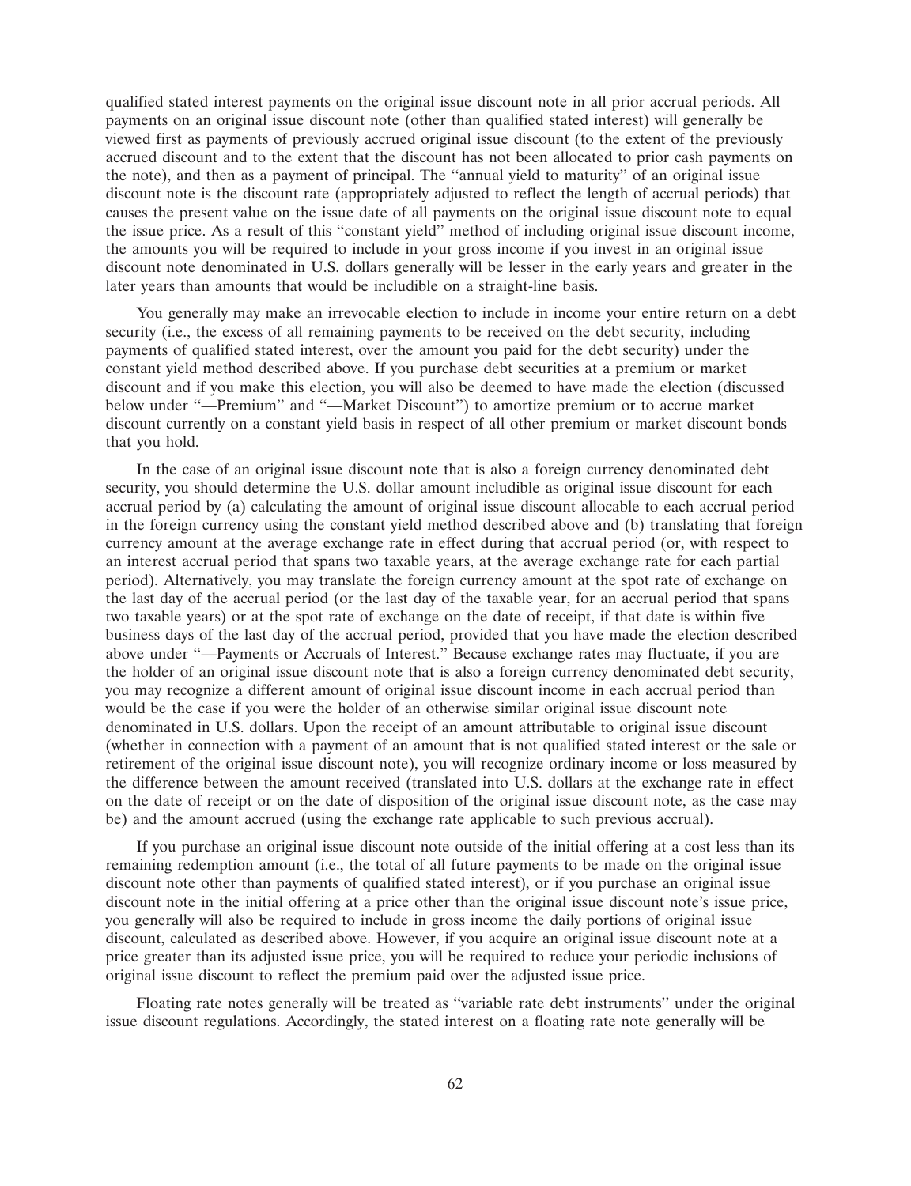qualified stated interest payments on the original issue discount note in all prior accrual periods. All payments on an original issue discount note (other than qualified stated interest) will generally be viewed first as payments of previously accrued original issue discount (to the extent of the previously accrued discount and to the extent that the discount has not been allocated to prior cash payments on the note), and then as a payment of principal. The ''annual yield to maturity'' of an original issue discount note is the discount rate (appropriately adjusted to reflect the length of accrual periods) that causes the present value on the issue date of all payments on the original issue discount note to equal the issue price. As a result of this ''constant yield'' method of including original issue discount income, the amounts you will be required to include in your gross income if you invest in an original issue discount note denominated in U.S. dollars generally will be lesser in the early years and greater in the later years than amounts that would be includible on a straight-line basis.

You generally may make an irrevocable election to include in income your entire return on a debt security (i.e., the excess of all remaining payments to be received on the debt security, including payments of qualified stated interest, over the amount you paid for the debt security) under the constant yield method described above. If you purchase debt securities at a premium or market discount and if you make this election, you will also be deemed to have made the election (discussed below under "—Premium" and "—Market Discount") to amortize premium or to accrue market discount currently on a constant yield basis in respect of all other premium or market discount bonds that you hold.

In the case of an original issue discount note that is also a foreign currency denominated debt security, you should determine the U.S. dollar amount includible as original issue discount for each accrual period by (a) calculating the amount of original issue discount allocable to each accrual period in the foreign currency using the constant yield method described above and (b) translating that foreign currency amount at the average exchange rate in effect during that accrual period (or, with respect to an interest accrual period that spans two taxable years, at the average exchange rate for each partial period). Alternatively, you may translate the foreign currency amount at the spot rate of exchange on the last day of the accrual period (or the last day of the taxable year, for an accrual period that spans two taxable years) or at the spot rate of exchange on the date of receipt, if that date is within five business days of the last day of the accrual period, provided that you have made the election described above under "-Payments or Accruals of Interest." Because exchange rates may fluctuate, if you are the holder of an original issue discount note that is also a foreign currency denominated debt security, you may recognize a different amount of original issue discount income in each accrual period than would be the case if you were the holder of an otherwise similar original issue discount note denominated in U.S. dollars. Upon the receipt of an amount attributable to original issue discount (whether in connection with a payment of an amount that is not qualified stated interest or the sale or retirement of the original issue discount note), you will recognize ordinary income or loss measured by the difference between the amount received (translated into U.S. dollars at the exchange rate in effect on the date of receipt or on the date of disposition of the original issue discount note, as the case may be) and the amount accrued (using the exchange rate applicable to such previous accrual).

If you purchase an original issue discount note outside of the initial offering at a cost less than its remaining redemption amount (i.e., the total of all future payments to be made on the original issue discount note other than payments of qualified stated interest), or if you purchase an original issue discount note in the initial offering at a price other than the original issue discount note's issue price, you generally will also be required to include in gross income the daily portions of original issue discount, calculated as described above. However, if you acquire an original issue discount note at a price greater than its adjusted issue price, you will be required to reduce your periodic inclusions of original issue discount to reflect the premium paid over the adjusted issue price.

Floating rate notes generally will be treated as ''variable rate debt instruments'' under the original issue discount regulations. Accordingly, the stated interest on a floating rate note generally will be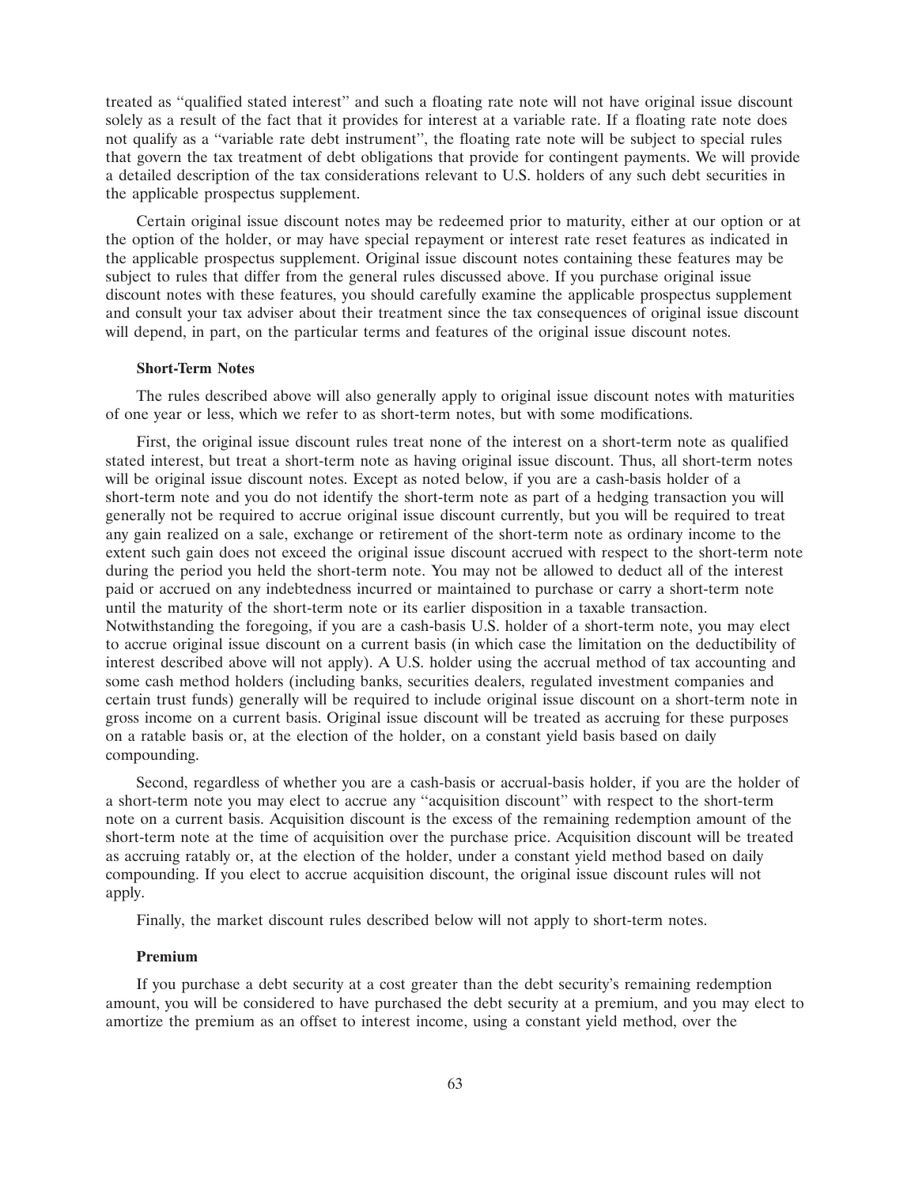treated as ''qualified stated interest'' and such a floating rate note will not have original issue discount solely as a result of the fact that it provides for interest at a variable rate. If a floating rate note does not qualify as a ''variable rate debt instrument'', the floating rate note will be subject to special rules that govern the tax treatment of debt obligations that provide for contingent payments. We will provide a detailed description of the tax considerations relevant to U.S. holders of any such debt securities in the applicable prospectus supplement.

Certain original issue discount notes may be redeemed prior to maturity, either at our option or at the option of the holder, or may have special repayment or interest rate reset features as indicated in the applicable prospectus supplement. Original issue discount notes containing these features may be subject to rules that differ from the general rules discussed above. If you purchase original issue discount notes with these features, you should carefully examine the applicable prospectus supplement and consult your tax adviser about their treatment since the tax consequences of original issue discount will depend, in part, on the particular terms and features of the original issue discount notes.

## **Short-Term Notes**

The rules described above will also generally apply to original issue discount notes with maturities of one year or less, which we refer to as short-term notes, but with some modifications.

First, the original issue discount rules treat none of the interest on a short-term note as qualified stated interest, but treat a short-term note as having original issue discount. Thus, all short-term notes will be original issue discount notes. Except as noted below, if you are a cash-basis holder of a short-term note and you do not identify the short-term note as part of a hedging transaction you will generally not be required to accrue original issue discount currently, but you will be required to treat any gain realized on a sale, exchange or retirement of the short-term note as ordinary income to the extent such gain does not exceed the original issue discount accrued with respect to the short-term note during the period you held the short-term note. You may not be allowed to deduct all of the interest paid or accrued on any indebtedness incurred or maintained to purchase or carry a short-term note until the maturity of the short-term note or its earlier disposition in a taxable transaction. Notwithstanding the foregoing, if you are a cash-basis U.S. holder of a short-term note, you may elect to accrue original issue discount on a current basis (in which case the limitation on the deductibility of interest described above will not apply). A U.S. holder using the accrual method of tax accounting and some cash method holders (including banks, securities dealers, regulated investment companies and certain trust funds) generally will be required to include original issue discount on a short-term note in gross income on a current basis. Original issue discount will be treated as accruing for these purposes on a ratable basis or, at the election of the holder, on a constant yield basis based on daily compounding.

Second, regardless of whether you are a cash-basis or accrual-basis holder, if you are the holder of a short-term note you may elect to accrue any ''acquisition discount'' with respect to the short-term note on a current basis. Acquisition discount is the excess of the remaining redemption amount of the short-term note at the time of acquisition over the purchase price. Acquisition discount will be treated as accruing ratably or, at the election of the holder, under a constant yield method based on daily compounding. If you elect to accrue acquisition discount, the original issue discount rules will not apply.

Finally, the market discount rules described below will not apply to short-term notes.

### **Premium**

If you purchase a debt security at a cost greater than the debt security's remaining redemption amount, you will be considered to have purchased the debt security at a premium, and you may elect to amortize the premium as an offset to interest income, using a constant yield method, over the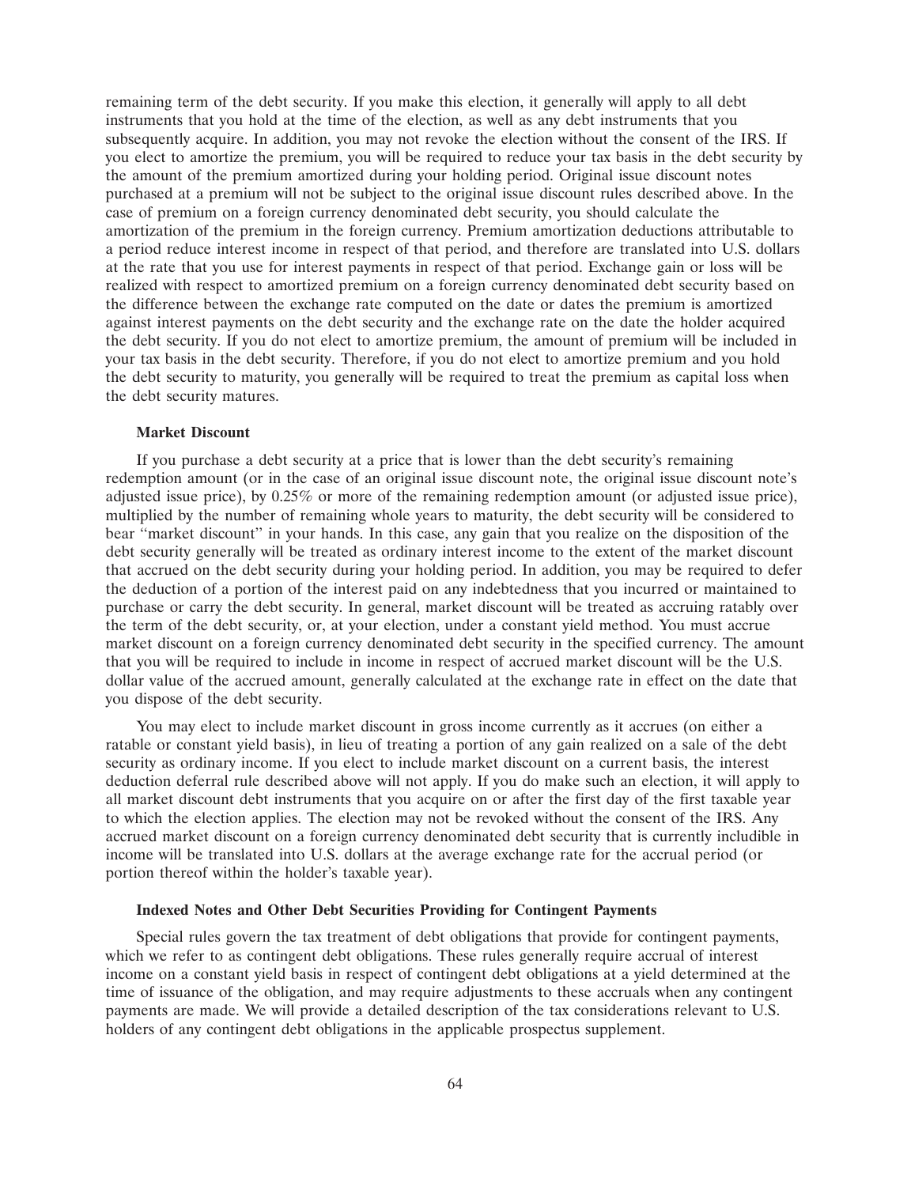remaining term of the debt security. If you make this election, it generally will apply to all debt instruments that you hold at the time of the election, as well as any debt instruments that you subsequently acquire. In addition, you may not revoke the election without the consent of the IRS. If you elect to amortize the premium, you will be required to reduce your tax basis in the debt security by the amount of the premium amortized during your holding period. Original issue discount notes purchased at a premium will not be subject to the original issue discount rules described above. In the case of premium on a foreign currency denominated debt security, you should calculate the amortization of the premium in the foreign currency. Premium amortization deductions attributable to a period reduce interest income in respect of that period, and therefore are translated into U.S. dollars at the rate that you use for interest payments in respect of that period. Exchange gain or loss will be realized with respect to amortized premium on a foreign currency denominated debt security based on the difference between the exchange rate computed on the date or dates the premium is amortized against interest payments on the debt security and the exchange rate on the date the holder acquired the debt security. If you do not elect to amortize premium, the amount of premium will be included in your tax basis in the debt security. Therefore, if you do not elect to amortize premium and you hold the debt security to maturity, you generally will be required to treat the premium as capital loss when the debt security matures.

### **Market Discount**

If you purchase a debt security at a price that is lower than the debt security's remaining redemption amount (or in the case of an original issue discount note, the original issue discount note's adjusted issue price), by 0.25% or more of the remaining redemption amount (or adjusted issue price), multiplied by the number of remaining whole years to maturity, the debt security will be considered to bear "market discount" in your hands. In this case, any gain that you realize on the disposition of the debt security generally will be treated as ordinary interest income to the extent of the market discount that accrued on the debt security during your holding period. In addition, you may be required to defer the deduction of a portion of the interest paid on any indebtedness that you incurred or maintained to purchase or carry the debt security. In general, market discount will be treated as accruing ratably over the term of the debt security, or, at your election, under a constant yield method. You must accrue market discount on a foreign currency denominated debt security in the specified currency. The amount that you will be required to include in income in respect of accrued market discount will be the U.S. dollar value of the accrued amount, generally calculated at the exchange rate in effect on the date that you dispose of the debt security.

You may elect to include market discount in gross income currently as it accrues (on either a ratable or constant yield basis), in lieu of treating a portion of any gain realized on a sale of the debt security as ordinary income. If you elect to include market discount on a current basis, the interest deduction deferral rule described above will not apply. If you do make such an election, it will apply to all market discount debt instruments that you acquire on or after the first day of the first taxable year to which the election applies. The election may not be revoked without the consent of the IRS. Any accrued market discount on a foreign currency denominated debt security that is currently includible in income will be translated into U.S. dollars at the average exchange rate for the accrual period (or portion thereof within the holder's taxable year).

### **Indexed Notes and Other Debt Securities Providing for Contingent Payments**

Special rules govern the tax treatment of debt obligations that provide for contingent payments, which we refer to as contingent debt obligations. These rules generally require accrual of interest income on a constant yield basis in respect of contingent debt obligations at a yield determined at the time of issuance of the obligation, and may require adjustments to these accruals when any contingent payments are made. We will provide a detailed description of the tax considerations relevant to U.S. holders of any contingent debt obligations in the applicable prospectus supplement.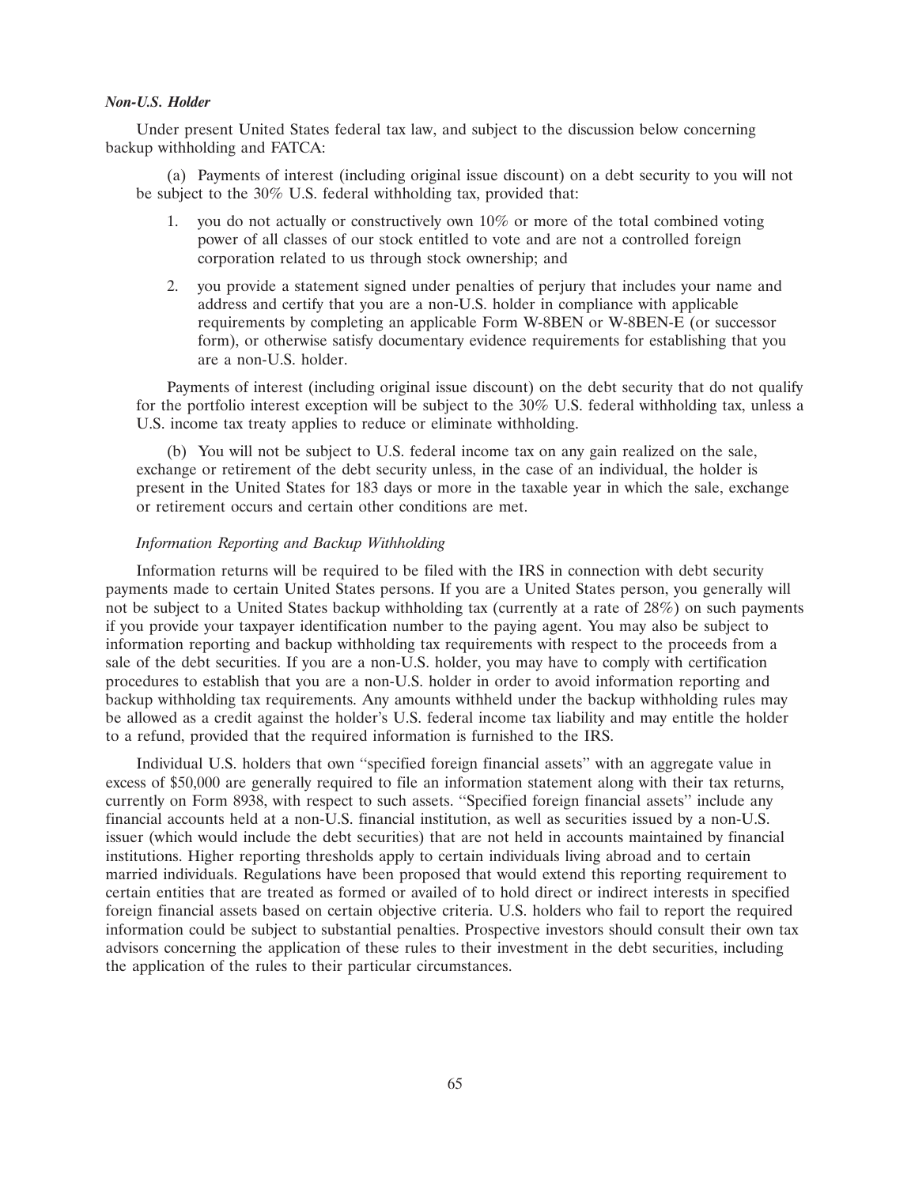### *Non-U.S. Holder*

Under present United States federal tax law, and subject to the discussion below concerning backup withholding and FATCA:

(a) Payments of interest (including original issue discount) on a debt security to you will not be subject to the 30% U.S. federal withholding tax, provided that:

- 1. you do not actually or constructively own 10% or more of the total combined voting power of all classes of our stock entitled to vote and are not a controlled foreign corporation related to us through stock ownership; and
- 2. you provide a statement signed under penalties of perjury that includes your name and address and certify that you are a non-U.S. holder in compliance with applicable requirements by completing an applicable Form W-8BEN or W-8BEN-E (or successor form), or otherwise satisfy documentary evidence requirements for establishing that you are a non-U.S. holder.

Payments of interest (including original issue discount) on the debt security that do not qualify for the portfolio interest exception will be subject to the 30% U.S. federal withholding tax, unless a U.S. income tax treaty applies to reduce or eliminate withholding.

(b) You will not be subject to U.S. federal income tax on any gain realized on the sale, exchange or retirement of the debt security unless, in the case of an individual, the holder is present in the United States for 183 days or more in the taxable year in which the sale, exchange or retirement occurs and certain other conditions are met.

# *Information Reporting and Backup Withholding*

Information returns will be required to be filed with the IRS in connection with debt security payments made to certain United States persons. If you are a United States person, you generally will not be subject to a United States backup withholding tax (currently at a rate of 28%) on such payments if you provide your taxpayer identification number to the paying agent. You may also be subject to information reporting and backup withholding tax requirements with respect to the proceeds from a sale of the debt securities. If you are a non-U.S. holder, you may have to comply with certification procedures to establish that you are a non-U.S. holder in order to avoid information reporting and backup withholding tax requirements. Any amounts withheld under the backup withholding rules may be allowed as a credit against the holder's U.S. federal income tax liability and may entitle the holder to a refund, provided that the required information is furnished to the IRS.

Individual U.S. holders that own ''specified foreign financial assets'' with an aggregate value in excess of \$50,000 are generally required to file an information statement along with their tax returns, currently on Form 8938, with respect to such assets. ''Specified foreign financial assets'' include any financial accounts held at a non-U.S. financial institution, as well as securities issued by a non-U.S. issuer (which would include the debt securities) that are not held in accounts maintained by financial institutions. Higher reporting thresholds apply to certain individuals living abroad and to certain married individuals. Regulations have been proposed that would extend this reporting requirement to certain entities that are treated as formed or availed of to hold direct or indirect interests in specified foreign financial assets based on certain objective criteria. U.S. holders who fail to report the required information could be subject to substantial penalties. Prospective investors should consult their own tax advisors concerning the application of these rules to their investment in the debt securities, including the application of the rules to their particular circumstances.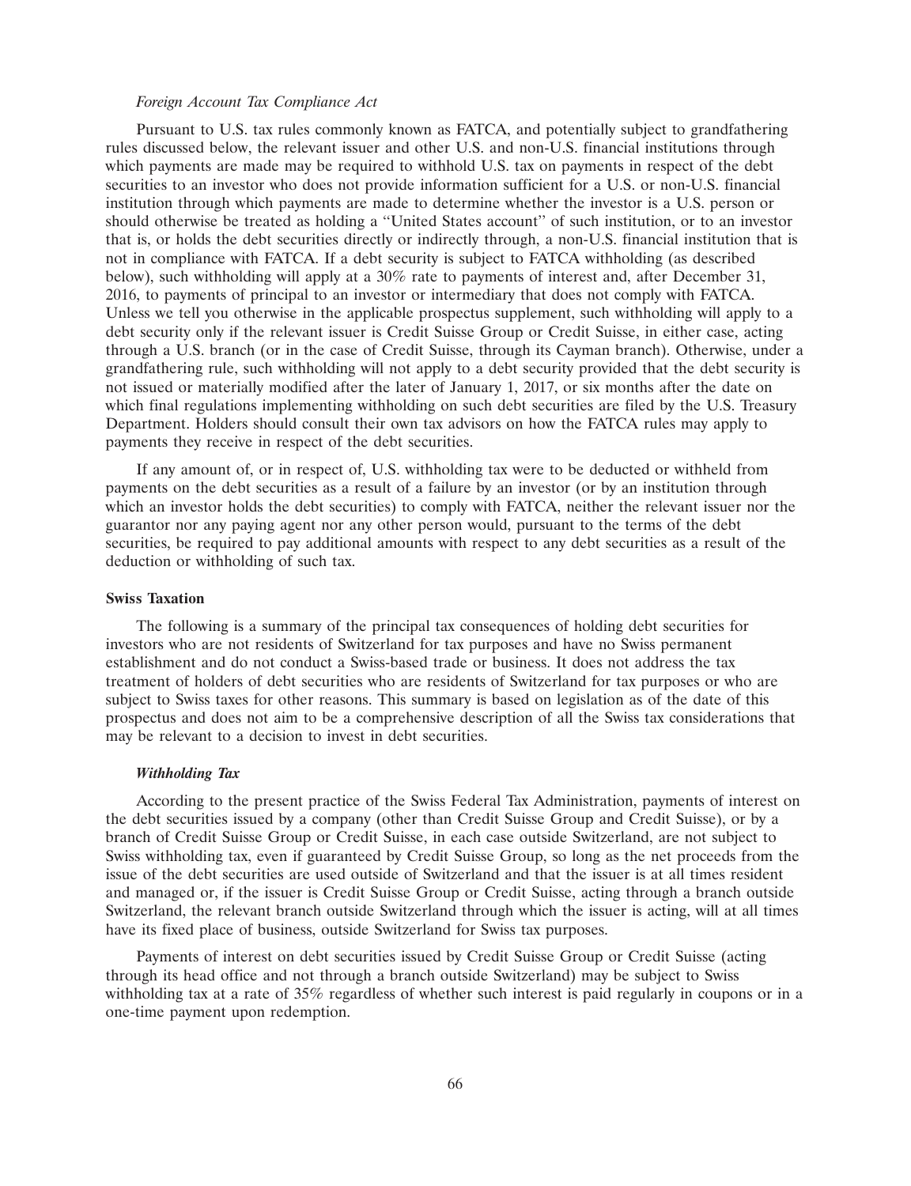### *Foreign Account Tax Compliance Act*

Pursuant to U.S. tax rules commonly known as FATCA, and potentially subject to grandfathering rules discussed below, the relevant issuer and other U.S. and non-U.S. financial institutions through which payments are made may be required to withhold U.S. tax on payments in respect of the debt securities to an investor who does not provide information sufficient for a U.S. or non-U.S. financial institution through which payments are made to determine whether the investor is a U.S. person or should otherwise be treated as holding a ''United States account'' of such institution, or to an investor that is, or holds the debt securities directly or indirectly through, a non-U.S. financial institution that is not in compliance with FATCA. If a debt security is subject to FATCA withholding (as described below), such withholding will apply at a 30% rate to payments of interest and, after December 31, 2016, to payments of principal to an investor or intermediary that does not comply with FATCA. Unless we tell you otherwise in the applicable prospectus supplement, such withholding will apply to a debt security only if the relevant issuer is Credit Suisse Group or Credit Suisse, in either case, acting through a U.S. branch (or in the case of Credit Suisse, through its Cayman branch). Otherwise, under a grandfathering rule, such withholding will not apply to a debt security provided that the debt security is not issued or materially modified after the later of January 1, 2017, or six months after the date on which final regulations implementing withholding on such debt securities are filed by the U.S. Treasury Department. Holders should consult their own tax advisors on how the FATCA rules may apply to payments they receive in respect of the debt securities.

If any amount of, or in respect of, U.S. withholding tax were to be deducted or withheld from payments on the debt securities as a result of a failure by an investor (or by an institution through which an investor holds the debt securities) to comply with FATCA, neither the relevant issuer nor the guarantor nor any paying agent nor any other person would, pursuant to the terms of the debt securities, be required to pay additional amounts with respect to any debt securities as a result of the deduction or withholding of such tax.

### **Swiss Taxation**

The following is a summary of the principal tax consequences of holding debt securities for investors who are not residents of Switzerland for tax purposes and have no Swiss permanent establishment and do not conduct a Swiss-based trade or business. It does not address the tax treatment of holders of debt securities who are residents of Switzerland for tax purposes or who are subject to Swiss taxes for other reasons. This summary is based on legislation as of the date of this prospectus and does not aim to be a comprehensive description of all the Swiss tax considerations that may be relevant to a decision to invest in debt securities.

#### *Withholding Tax*

According to the present practice of the Swiss Federal Tax Administration, payments of interest on the debt securities issued by a company (other than Credit Suisse Group and Credit Suisse), or by a branch of Credit Suisse Group or Credit Suisse, in each case outside Switzerland, are not subject to Swiss withholding tax, even if guaranteed by Credit Suisse Group, so long as the net proceeds from the issue of the debt securities are used outside of Switzerland and that the issuer is at all times resident and managed or, if the issuer is Credit Suisse Group or Credit Suisse, acting through a branch outside Switzerland, the relevant branch outside Switzerland through which the issuer is acting, will at all times have its fixed place of business, outside Switzerland for Swiss tax purposes.

Payments of interest on debt securities issued by Credit Suisse Group or Credit Suisse (acting through its head office and not through a branch outside Switzerland) may be subject to Swiss withholding tax at a rate of 35% regardless of whether such interest is paid regularly in coupons or in a one-time payment upon redemption.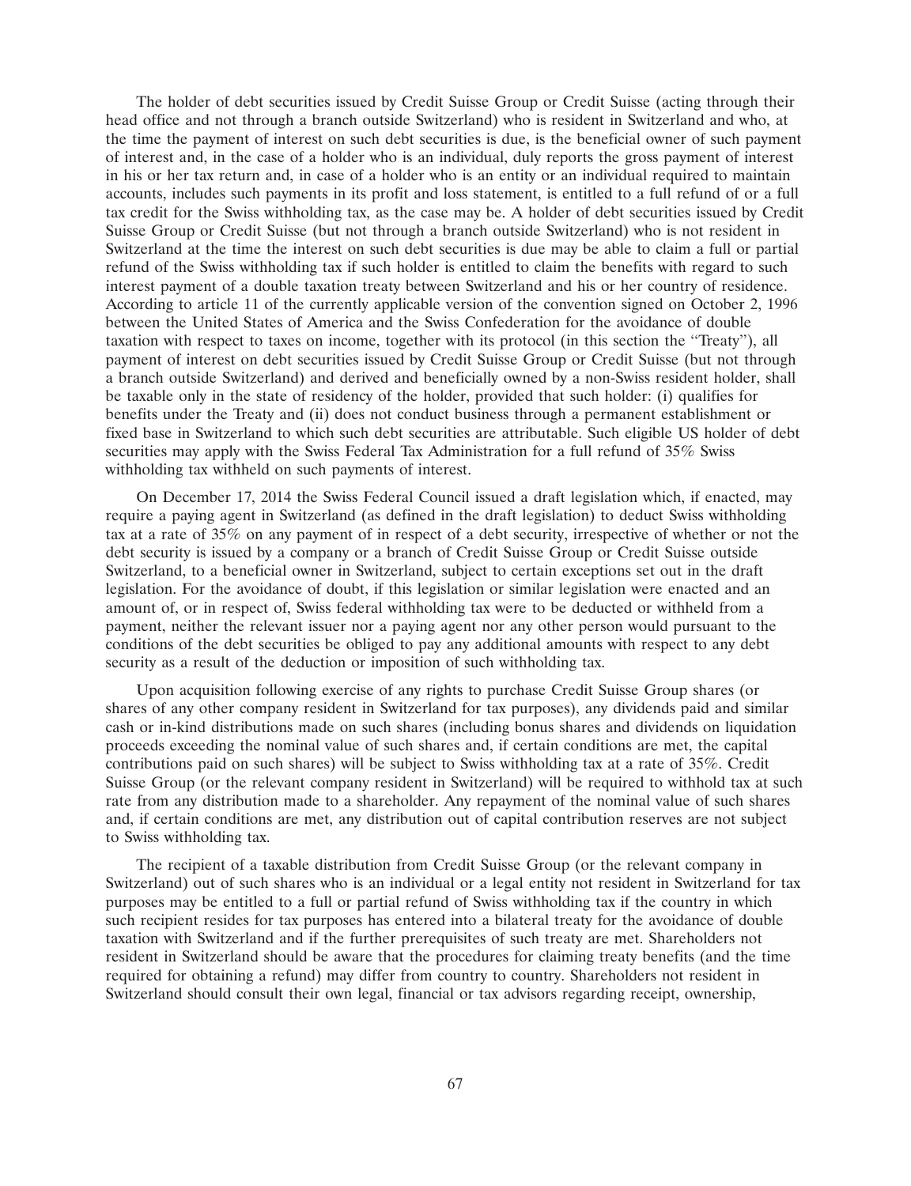The holder of debt securities issued by Credit Suisse Group or Credit Suisse (acting through their head office and not through a branch outside Switzerland) who is resident in Switzerland and who, at the time the payment of interest on such debt securities is due, is the beneficial owner of such payment of interest and, in the case of a holder who is an individual, duly reports the gross payment of interest in his or her tax return and, in case of a holder who is an entity or an individual required to maintain accounts, includes such payments in its profit and loss statement, is entitled to a full refund of or a full tax credit for the Swiss withholding tax, as the case may be. A holder of debt securities issued by Credit Suisse Group or Credit Suisse (but not through a branch outside Switzerland) who is not resident in Switzerland at the time the interest on such debt securities is due may be able to claim a full or partial refund of the Swiss withholding tax if such holder is entitled to claim the benefits with regard to such interest payment of a double taxation treaty between Switzerland and his or her country of residence. According to article 11 of the currently applicable version of the convention signed on October 2, 1996 between the United States of America and the Swiss Confederation for the avoidance of double taxation with respect to taxes on income, together with its protocol (in this section the ''Treaty''), all payment of interest on debt securities issued by Credit Suisse Group or Credit Suisse (but not through a branch outside Switzerland) and derived and beneficially owned by a non-Swiss resident holder, shall be taxable only in the state of residency of the holder, provided that such holder: (i) qualifies for benefits under the Treaty and (ii) does not conduct business through a permanent establishment or fixed base in Switzerland to which such debt securities are attributable. Such eligible US holder of debt securities may apply with the Swiss Federal Tax Administration for a full refund of 35% Swiss withholding tax withheld on such payments of interest.

On December 17, 2014 the Swiss Federal Council issued a draft legislation which, if enacted, may require a paying agent in Switzerland (as defined in the draft legislation) to deduct Swiss withholding tax at a rate of 35% on any payment of in respect of a debt security, irrespective of whether or not the debt security is issued by a company or a branch of Credit Suisse Group or Credit Suisse outside Switzerland, to a beneficial owner in Switzerland, subject to certain exceptions set out in the draft legislation. For the avoidance of doubt, if this legislation or similar legislation were enacted and an amount of, or in respect of, Swiss federal withholding tax were to be deducted or withheld from a payment, neither the relevant issuer nor a paying agent nor any other person would pursuant to the conditions of the debt securities be obliged to pay any additional amounts with respect to any debt security as a result of the deduction or imposition of such withholding tax.

Upon acquisition following exercise of any rights to purchase Credit Suisse Group shares (or shares of any other company resident in Switzerland for tax purposes), any dividends paid and similar cash or in-kind distributions made on such shares (including bonus shares and dividends on liquidation proceeds exceeding the nominal value of such shares and, if certain conditions are met, the capital contributions paid on such shares) will be subject to Swiss withholding tax at a rate of 35%. Credit Suisse Group (or the relevant company resident in Switzerland) will be required to withhold tax at such rate from any distribution made to a shareholder. Any repayment of the nominal value of such shares and, if certain conditions are met, any distribution out of capital contribution reserves are not subject to Swiss withholding tax.

The recipient of a taxable distribution from Credit Suisse Group (or the relevant company in Switzerland) out of such shares who is an individual or a legal entity not resident in Switzerland for tax purposes may be entitled to a full or partial refund of Swiss withholding tax if the country in which such recipient resides for tax purposes has entered into a bilateral treaty for the avoidance of double taxation with Switzerland and if the further prerequisites of such treaty are met. Shareholders not resident in Switzerland should be aware that the procedures for claiming treaty benefits (and the time required for obtaining a refund) may differ from country to country. Shareholders not resident in Switzerland should consult their own legal, financial or tax advisors regarding receipt, ownership,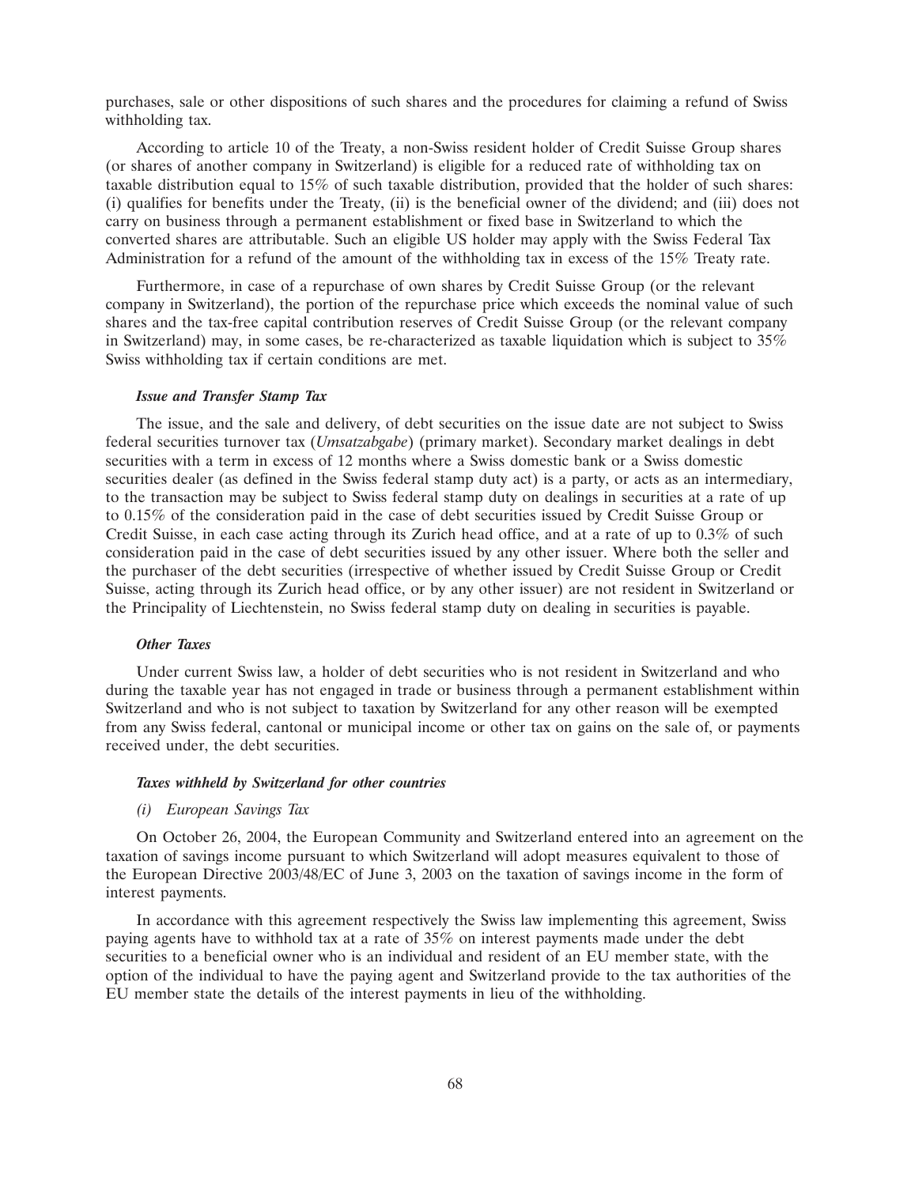purchases, sale or other dispositions of such shares and the procedures for claiming a refund of Swiss withholding tax.

According to article 10 of the Treaty, a non-Swiss resident holder of Credit Suisse Group shares (or shares of another company in Switzerland) is eligible for a reduced rate of withholding tax on taxable distribution equal to 15% of such taxable distribution, provided that the holder of such shares: (i) qualifies for benefits under the Treaty, (ii) is the beneficial owner of the dividend; and (iii) does not carry on business through a permanent establishment or fixed base in Switzerland to which the converted shares are attributable. Such an eligible US holder may apply with the Swiss Federal Tax Administration for a refund of the amount of the withholding tax in excess of the 15% Treaty rate.

Furthermore, in case of a repurchase of own shares by Credit Suisse Group (or the relevant company in Switzerland), the portion of the repurchase price which exceeds the nominal value of such shares and the tax-free capital contribution reserves of Credit Suisse Group (or the relevant company in Switzerland) may, in some cases, be re-characterized as taxable liquidation which is subject to 35% Swiss withholding tax if certain conditions are met.

## *Issue and Transfer Stamp Tax*

The issue, and the sale and delivery, of debt securities on the issue date are not subject to Swiss federal securities turnover tax (*Umsatzabgabe*) (primary market). Secondary market dealings in debt securities with a term in excess of 12 months where a Swiss domestic bank or a Swiss domestic securities dealer (as defined in the Swiss federal stamp duty act) is a party, or acts as an intermediary, to the transaction may be subject to Swiss federal stamp duty on dealings in securities at a rate of up to 0.15% of the consideration paid in the case of debt securities issued by Credit Suisse Group or Credit Suisse, in each case acting through its Zurich head office, and at a rate of up to 0.3% of such consideration paid in the case of debt securities issued by any other issuer. Where both the seller and the purchaser of the debt securities (irrespective of whether issued by Credit Suisse Group or Credit Suisse, acting through its Zurich head office, or by any other issuer) are not resident in Switzerland or the Principality of Liechtenstein, no Swiss federal stamp duty on dealing in securities is payable.

## *Other Taxes*

Under current Swiss law, a holder of debt securities who is not resident in Switzerland and who during the taxable year has not engaged in trade or business through a permanent establishment within Switzerland and who is not subject to taxation by Switzerland for any other reason will be exempted from any Swiss federal, cantonal or municipal income or other tax on gains on the sale of, or payments received under, the debt securities.

#### *Taxes withheld by Switzerland for other countries*

#### *(i) European Savings Tax*

On October 26, 2004, the European Community and Switzerland entered into an agreement on the taxation of savings income pursuant to which Switzerland will adopt measures equivalent to those of the European Directive 2003/48/EC of June 3, 2003 on the taxation of savings income in the form of interest payments.

In accordance with this agreement respectively the Swiss law implementing this agreement, Swiss paying agents have to withhold tax at a rate of 35% on interest payments made under the debt securities to a beneficial owner who is an individual and resident of an EU member state, with the option of the individual to have the paying agent and Switzerland provide to the tax authorities of the EU member state the details of the interest payments in lieu of the withholding.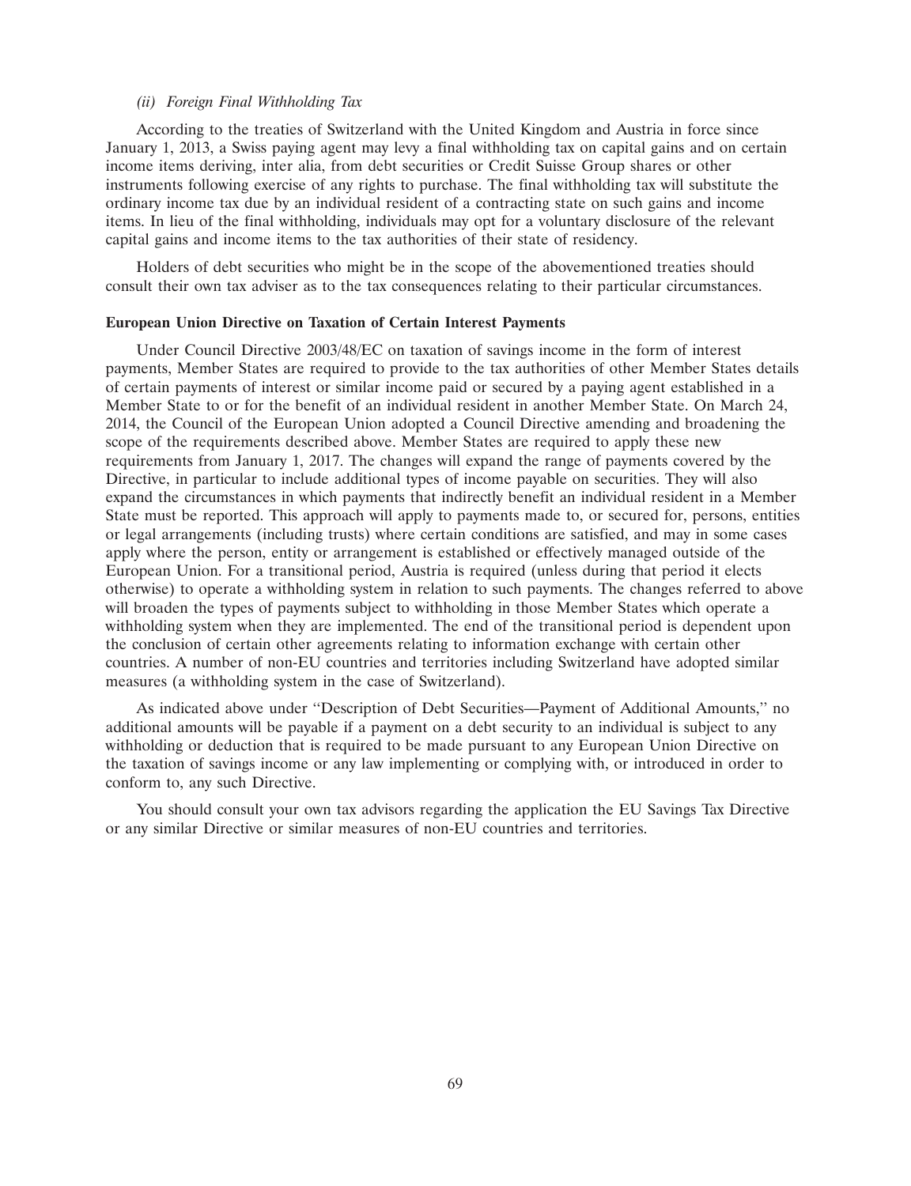#### *(ii) Foreign Final Withholding Tax*

According to the treaties of Switzerland with the United Kingdom and Austria in force since January 1, 2013, a Swiss paying agent may levy a final withholding tax on capital gains and on certain income items deriving, inter alia, from debt securities or Credit Suisse Group shares or other instruments following exercise of any rights to purchase. The final withholding tax will substitute the ordinary income tax due by an individual resident of a contracting state on such gains and income items. In lieu of the final withholding, individuals may opt for a voluntary disclosure of the relevant capital gains and income items to the tax authorities of their state of residency.

Holders of debt securities who might be in the scope of the abovementioned treaties should consult their own tax adviser as to the tax consequences relating to their particular circumstances.

#### **European Union Directive on Taxation of Certain Interest Payments**

Under Council Directive 2003/48/EC on taxation of savings income in the form of interest payments, Member States are required to provide to the tax authorities of other Member States details of certain payments of interest or similar income paid or secured by a paying agent established in a Member State to or for the benefit of an individual resident in another Member State. On March 24, 2014, the Council of the European Union adopted a Council Directive amending and broadening the scope of the requirements described above. Member States are required to apply these new requirements from January 1, 2017. The changes will expand the range of payments covered by the Directive, in particular to include additional types of income payable on securities. They will also expand the circumstances in which payments that indirectly benefit an individual resident in a Member State must be reported. This approach will apply to payments made to, or secured for, persons, entities or legal arrangements (including trusts) where certain conditions are satisfied, and may in some cases apply where the person, entity or arrangement is established or effectively managed outside of the European Union. For a transitional period, Austria is required (unless during that period it elects otherwise) to operate a withholding system in relation to such payments. The changes referred to above will broaden the types of payments subject to withholding in those Member States which operate a withholding system when they are implemented. The end of the transitional period is dependent upon the conclusion of certain other agreements relating to information exchange with certain other countries. A number of non-EU countries and territories including Switzerland have adopted similar measures (a withholding system in the case of Switzerland).

As indicated above under ''Description of Debt Securities—Payment of Additional Amounts,'' no additional amounts will be payable if a payment on a debt security to an individual is subject to any withholding or deduction that is required to be made pursuant to any European Union Directive on the taxation of savings income or any law implementing or complying with, or introduced in order to conform to, any such Directive.

You should consult your own tax advisors regarding the application the EU Savings Tax Directive or any similar Directive or similar measures of non-EU countries and territories.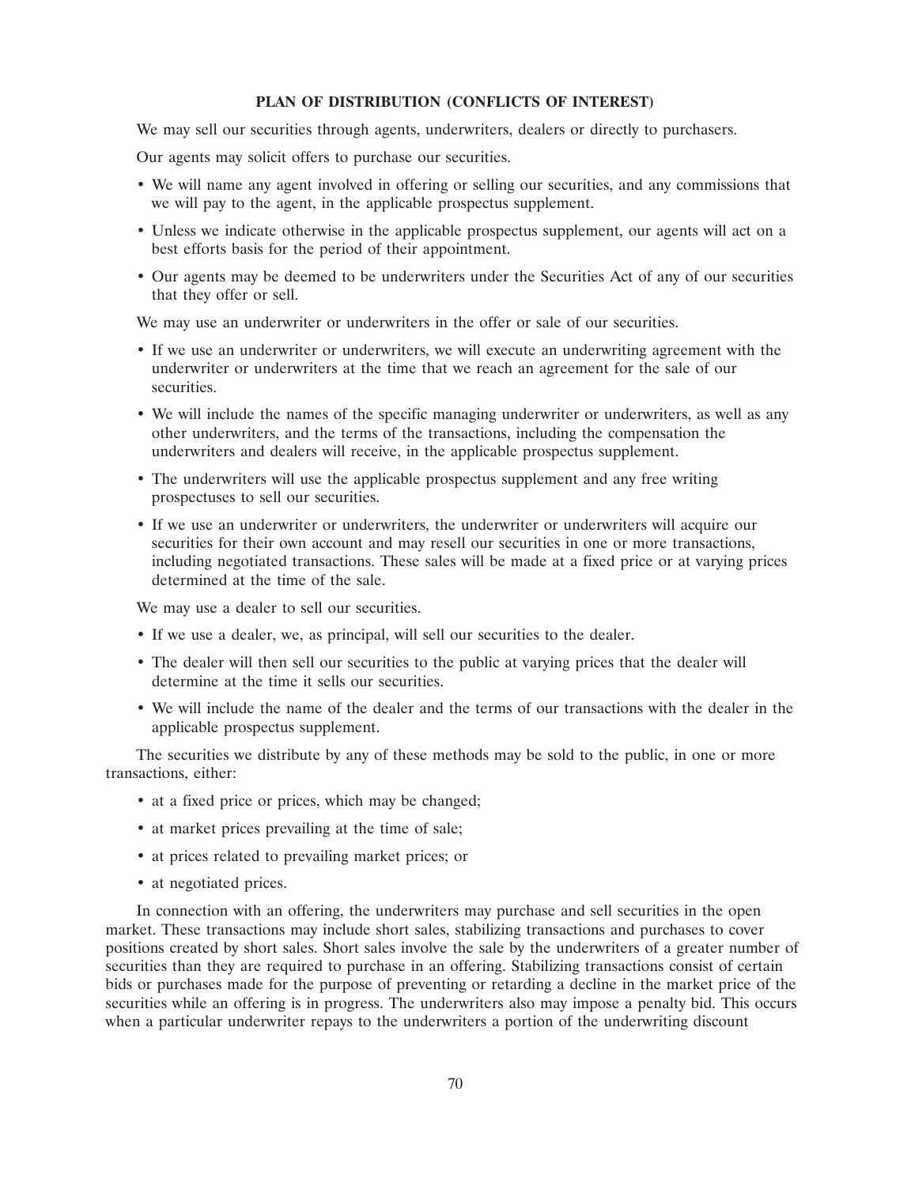## **PLAN OF DISTRIBUTION (CONFLICTS OF INTEREST)**

We may sell our securities through agents, underwriters, dealers or directly to purchasers.

Our agents may solicit offers to purchase our securities.

- We will name any agent involved in offering or selling our securities, and any commissions that we will pay to the agent, in the applicable prospectus supplement.
- Unless we indicate otherwise in the applicable prospectus supplement, our agents will act on a best efforts basis for the period of their appointment.
- Our agents may be deemed to be underwriters under the Securities Act of any of our securities that they offer or sell.

We may use an underwriter or underwriters in the offer or sale of our securities.

- If we use an underwriter or underwriters, we will execute an underwriting agreement with the underwriter or underwriters at the time that we reach an agreement for the sale of our securities.
- We will include the names of the specific managing underwriter or underwriters, as well as any other underwriters, and the terms of the transactions, including the compensation the underwriters and dealers will receive, in the applicable prospectus supplement.
- The underwriters will use the applicable prospectus supplement and any free writing prospectuses to sell our securities.
- If we use an underwriter or underwriters, the underwriter or underwriters will acquire our securities for their own account and may resell our securities in one or more transactions, including negotiated transactions. These sales will be made at a fixed price or at varying prices determined at the time of the sale.

We may use a dealer to sell our securities.

- If we use a dealer, we, as principal, will sell our securities to the dealer.
- The dealer will then sell our securities to the public at varying prices that the dealer will determine at the time it sells our securities.
- We will include the name of the dealer and the terms of our transactions with the dealer in the applicable prospectus supplement.

The securities we distribute by any of these methods may be sold to the public, in one or more transactions, either:

- at a fixed price or prices, which may be changed;
- at market prices prevailing at the time of sale;
- at prices related to prevailing market prices; or
- at negotiated prices.

In connection with an offering, the underwriters may purchase and sell securities in the open market. These transactions may include short sales, stabilizing transactions and purchases to cover positions created by short sales. Short sales involve the sale by the underwriters of a greater number of securities than they are required to purchase in an offering. Stabilizing transactions consist of certain bids or purchases made for the purpose of preventing or retarding a decline in the market price of the securities while an offering is in progress. The underwriters also may impose a penalty bid. This occurs when a particular underwriter repays to the underwriters a portion of the underwriting discount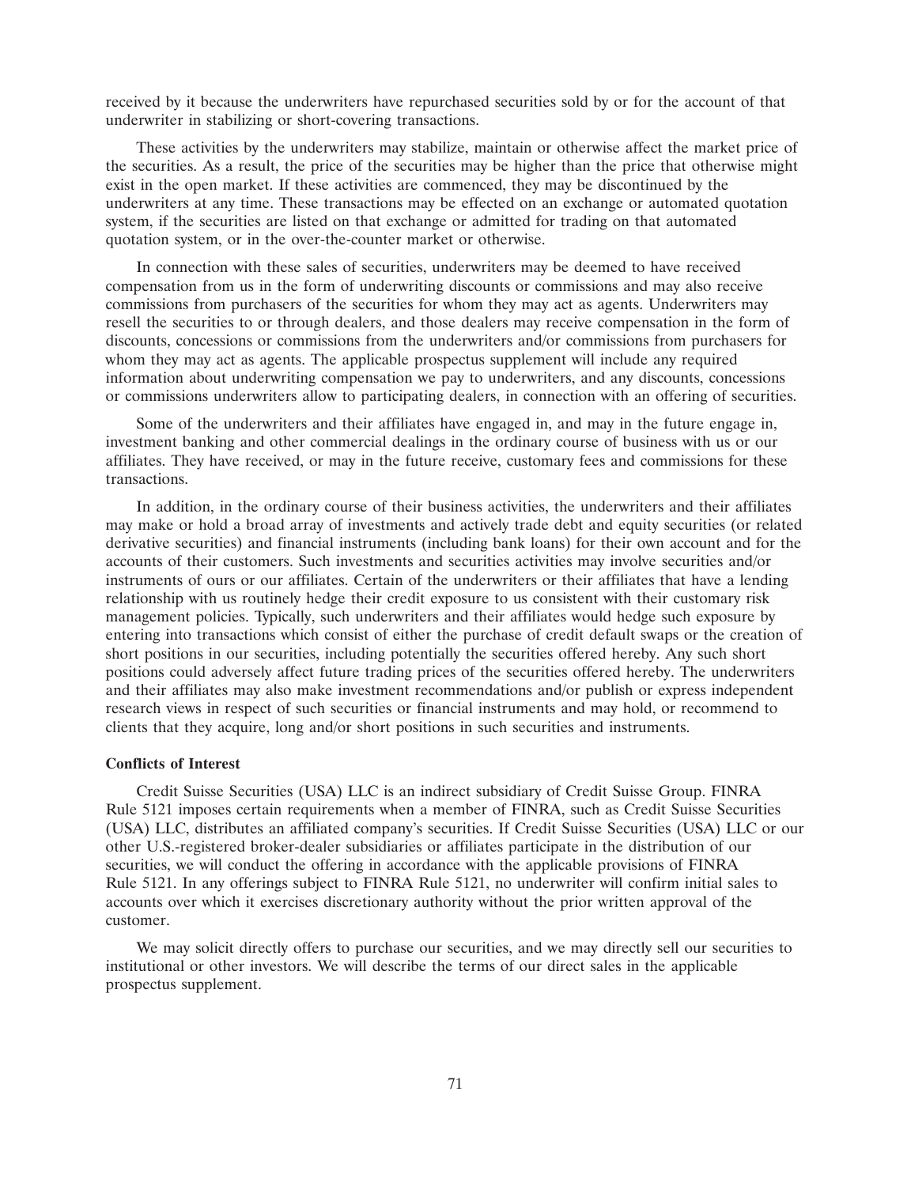received by it because the underwriters have repurchased securities sold by or for the account of that underwriter in stabilizing or short-covering transactions.

These activities by the underwriters may stabilize, maintain or otherwise affect the market price of the securities. As a result, the price of the securities may be higher than the price that otherwise might exist in the open market. If these activities are commenced, they may be discontinued by the underwriters at any time. These transactions may be effected on an exchange or automated quotation system, if the securities are listed on that exchange or admitted for trading on that automated quotation system, or in the over-the-counter market or otherwise.

In connection with these sales of securities, underwriters may be deemed to have received compensation from us in the form of underwriting discounts or commissions and may also receive commissions from purchasers of the securities for whom they may act as agents. Underwriters may resell the securities to or through dealers, and those dealers may receive compensation in the form of discounts, concessions or commissions from the underwriters and/or commissions from purchasers for whom they may act as agents. The applicable prospectus supplement will include any required information about underwriting compensation we pay to underwriters, and any discounts, concessions or commissions underwriters allow to participating dealers, in connection with an offering of securities.

Some of the underwriters and their affiliates have engaged in, and may in the future engage in, investment banking and other commercial dealings in the ordinary course of business with us or our affiliates. They have received, or may in the future receive, customary fees and commissions for these transactions.

In addition, in the ordinary course of their business activities, the underwriters and their affiliates may make or hold a broad array of investments and actively trade debt and equity securities (or related derivative securities) and financial instruments (including bank loans) for their own account and for the accounts of their customers. Such investments and securities activities may involve securities and/or instruments of ours or our affiliates. Certain of the underwriters or their affiliates that have a lending relationship with us routinely hedge their credit exposure to us consistent with their customary risk management policies. Typically, such underwriters and their affiliates would hedge such exposure by entering into transactions which consist of either the purchase of credit default swaps or the creation of short positions in our securities, including potentially the securities offered hereby. Any such short positions could adversely affect future trading prices of the securities offered hereby. The underwriters and their affiliates may also make investment recommendations and/or publish or express independent research views in respect of such securities or financial instruments and may hold, or recommend to clients that they acquire, long and/or short positions in such securities and instruments.

## **Conflicts of Interest**

Credit Suisse Securities (USA) LLC is an indirect subsidiary of Credit Suisse Group. FINRA Rule 5121 imposes certain requirements when a member of FINRA, such as Credit Suisse Securities (USA) LLC, distributes an affiliated company's securities. If Credit Suisse Securities (USA) LLC or our other U.S.-registered broker-dealer subsidiaries or affiliates participate in the distribution of our securities, we will conduct the offering in accordance with the applicable provisions of FINRA Rule 5121. In any offerings subject to FINRA Rule 5121, no underwriter will confirm initial sales to accounts over which it exercises discretionary authority without the prior written approval of the customer.

We may solicit directly offers to purchase our securities, and we may directly sell our securities to institutional or other investors. We will describe the terms of our direct sales in the applicable prospectus supplement.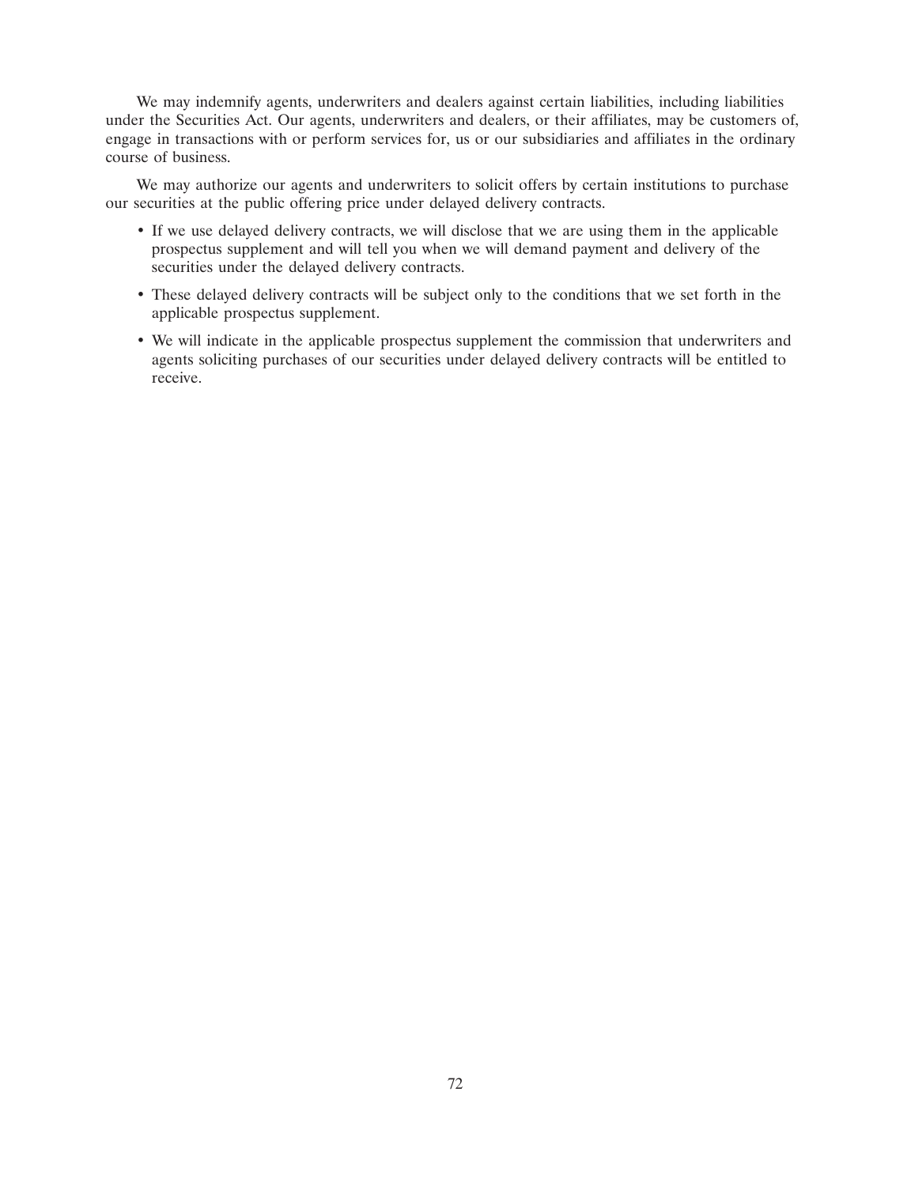We may indemnify agents, underwriters and dealers against certain liabilities, including liabilities under the Securities Act. Our agents, underwriters and dealers, or their affiliates, may be customers of, engage in transactions with or perform services for, us or our subsidiaries and affiliates in the ordinary course of business.

We may authorize our agents and underwriters to solicit offers by certain institutions to purchase our securities at the public offering price under delayed delivery contracts.

- If we use delayed delivery contracts, we will disclose that we are using them in the applicable prospectus supplement and will tell you when we will demand payment and delivery of the securities under the delayed delivery contracts.
- These delayed delivery contracts will be subject only to the conditions that we set forth in the applicable prospectus supplement.
- We will indicate in the applicable prospectus supplement the commission that underwriters and agents soliciting purchases of our securities under delayed delivery contracts will be entitled to receive.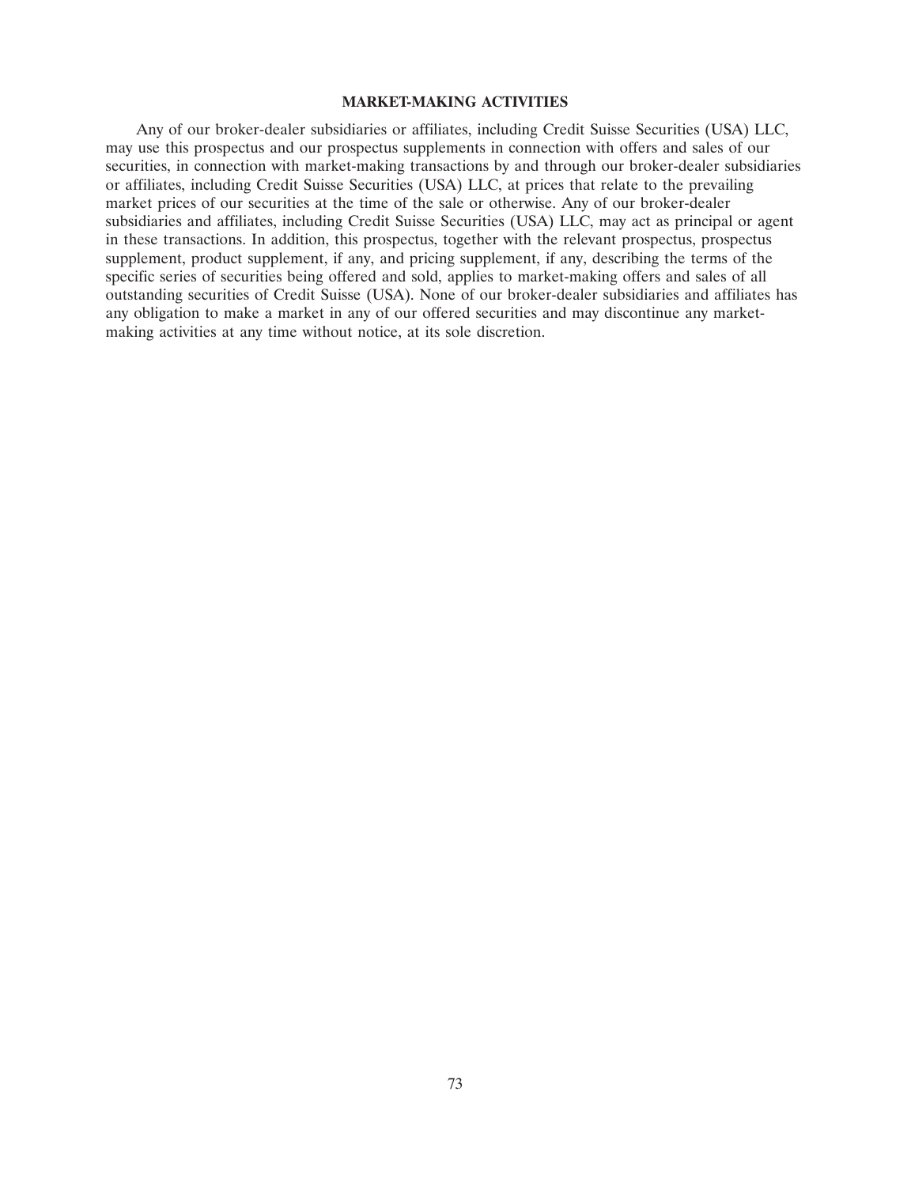## **MARKET-MAKING ACTIVITIES**

Any of our broker-dealer subsidiaries or affiliates, including Credit Suisse Securities (USA) LLC, may use this prospectus and our prospectus supplements in connection with offers and sales of our securities, in connection with market-making transactions by and through our broker-dealer subsidiaries or affiliates, including Credit Suisse Securities (USA) LLC, at prices that relate to the prevailing market prices of our securities at the time of the sale or otherwise. Any of our broker-dealer subsidiaries and affiliates, including Credit Suisse Securities (USA) LLC, may act as principal or agent in these transactions. In addition, this prospectus, together with the relevant prospectus, prospectus supplement, product supplement, if any, and pricing supplement, if any, describing the terms of the specific series of securities being offered and sold, applies to market-making offers and sales of all outstanding securities of Credit Suisse (USA). None of our broker-dealer subsidiaries and affiliates has any obligation to make a market in any of our offered securities and may discontinue any marketmaking activities at any time without notice, at its sole discretion.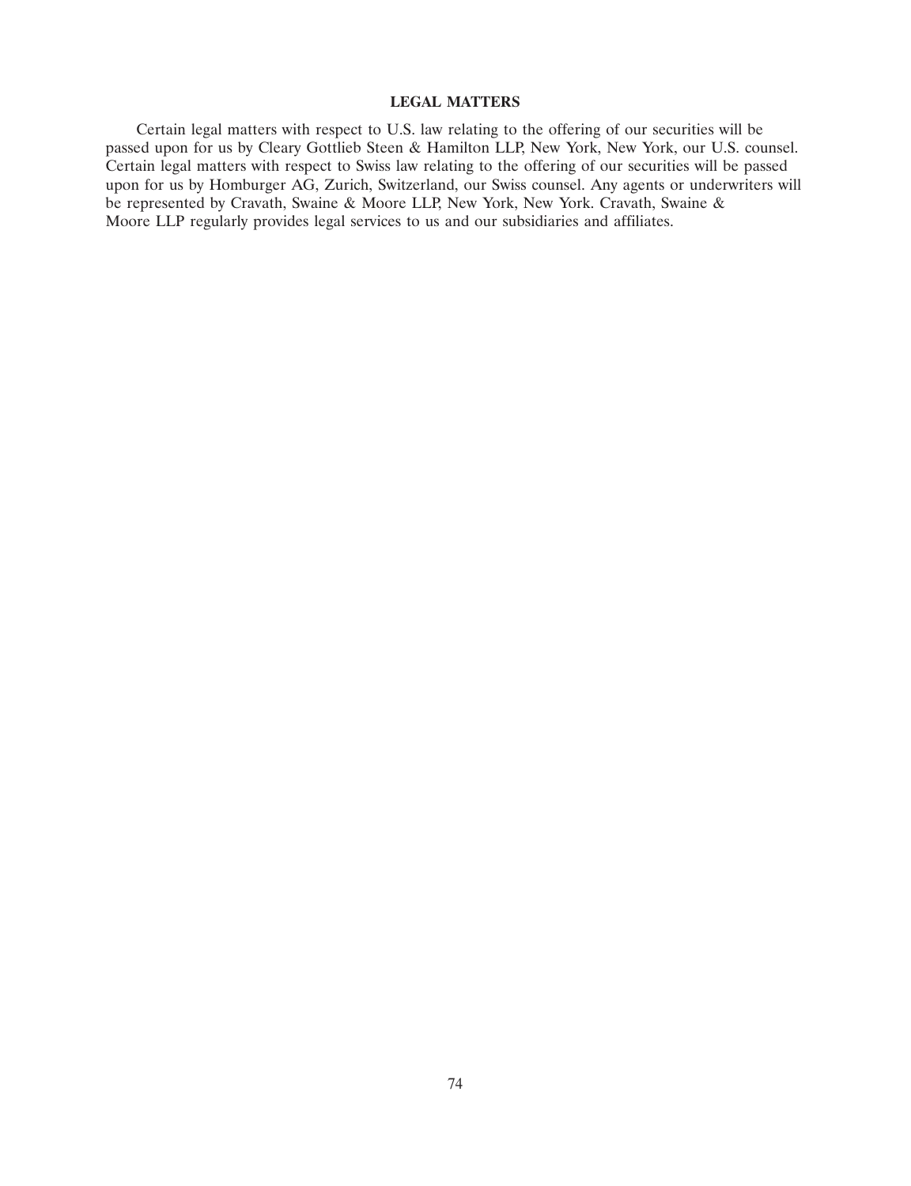## **LEGAL MATTERS**

Certain legal matters with respect to U.S. law relating to the offering of our securities will be passed upon for us by Cleary Gottlieb Steen & Hamilton LLP, New York, New York, our U.S. counsel. Certain legal matters with respect to Swiss law relating to the offering of our securities will be passed upon for us by Homburger AG, Zurich, Switzerland, our Swiss counsel. Any agents or underwriters will be represented by Cravath, Swaine & Moore LLP, New York, New York. Cravath, Swaine & Moore LLP regularly provides legal services to us and our subsidiaries and affiliates.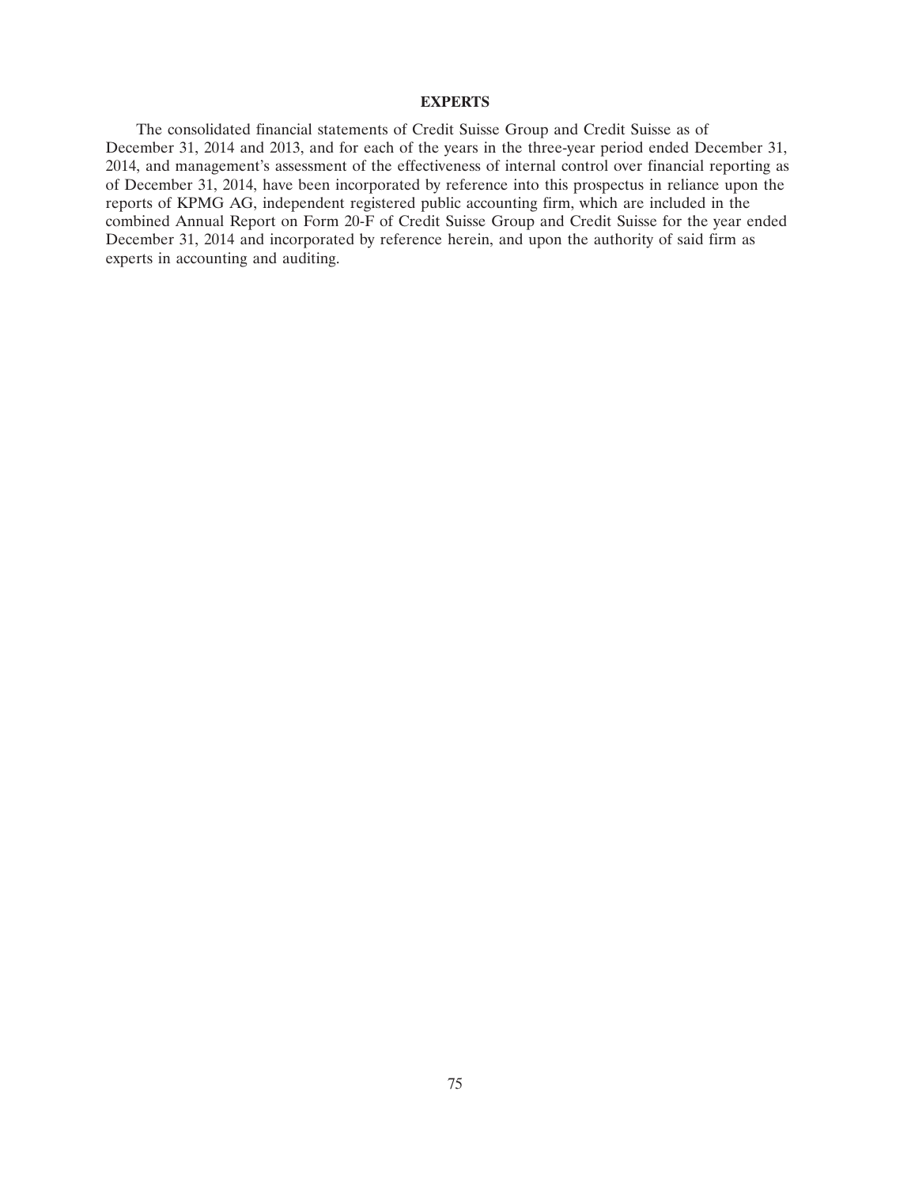# **EXPERTS**

The consolidated financial statements of Credit Suisse Group and Credit Suisse as of December 31, 2014 and 2013, and for each of the years in the three-year period ended December 31, 2014, and management's assessment of the effectiveness of internal control over financial reporting as of December 31, 2014, have been incorporated by reference into this prospectus in reliance upon the reports of KPMG AG, independent registered public accounting firm, which are included in the combined Annual Report on Form 20-F of Credit Suisse Group and Credit Suisse for the year ended December 31, 2014 and incorporated by reference herein, and upon the authority of said firm as experts in accounting and auditing.